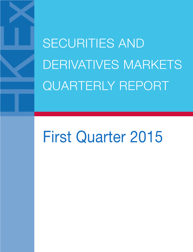SECURITIES AND DERIVATIVES MARKETS QUARTERLY REPORT

# First Quarter 2015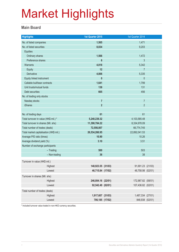#### **Main Board**

| <b>Highlights</b>                       |               | 1st Quarter 2015   | 1st Quarter 2014   |  |
|-----------------------------------------|---------------|--------------------|--------------------|--|
| No. of listed companies                 |               | 1,565              | 1,471              |  |
| No. of listed securities                |               | 8,834              | 9,203              |  |
| <b>Equities</b>                         |               |                    |                    |  |
| Ordinary shares                         |               | 1,566              | 1,472              |  |
| Preference shares                       |               | $6\phantom{1}$     | 3                  |  |
| <b>Warrants</b>                         |               | 4,818              | 5,342              |  |
| Equity                                  |               | 12                 | $\overline{7}$     |  |
| <b>Derivative</b>                       |               | 4,806              | 5,335              |  |
| Equity linked instrument                |               | $\mathbf{0}$       | $\mathbf{0}$       |  |
| Callable bull/bear contracts            |               | 1,641              | 1,799              |  |
| Unit trusts/mutual funds                |               | 138                | 131                |  |
| Debt securities                         |               | 665                | 456                |  |
| No. of trading only stocks              |               |                    |                    |  |
| Nasdaq stocks                           |               | $\overline{7}$     | $\overline{7}$     |  |
| <b>iShares</b>                          |               | $\overline{2}$     | $\overline{2}$     |  |
|                                         |               |                    |                    |  |
| No. of trading days                     |               | 61                 | 61                 |  |
| Total turnover in value (HK\$ mil.) *   |               | 5,240,239.32       | 4, 103, 585. 48    |  |
| Total turnover in shares (Mil. shs)     |               | 11,390,784.22      | 8,334,978.09       |  |
| Total number of trades (deals)          |               | 72,556,007         | 66,774,745         |  |
| Total market capitalisation (HK\$ mil.) |               | 26,534,266.95      | 22,892,041.53      |  |
| Average P/E ratio (times)               |               | 10.90              | 10.26              |  |
| Average dividend yield (%)              |               | 3.10               | 3.51               |  |
| Number of exchange participants         |               |                    |                    |  |
|                                         | $-$ Trading   | 500                | 503                |  |
|                                         | - Non-trading | 36                 | 38                 |  |
| Turnover in value (HK\$ mil.)           |               |                    |                    |  |
|                                         | Highest       | 148,923.55 (31/03) | 91,691.23 (21/03)  |  |
|                                         | Lowest        | 46,715.84 (17/02)  | 48,758.98 (02/01)  |  |
| Turnover in shares (Mil. shs)           |               |                    |                    |  |
|                                         | Highest       | 246,004.16 (22/01) | 172,987.82 (08/01) |  |
|                                         | Lowest        | 92,542.49 (02/01)  | 107,436.82 (02/01) |  |
| Total number of trades (deals)          |               |                    |                    |  |
|                                         | Highest       | 1,917,607 (31/03)  | 1,487,334 (27/01)  |  |
|                                         | Lowest        | 706,185 (17/02)    | 848,938 (02/01)    |  |
|                                         |               |                    |                    |  |

\* Included turnover value traded in non-HKD currency securities.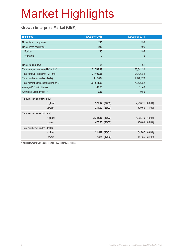### **Growth Enterprise Market (GEM)**

| <b>Highlights</b>                       |         | 1st Quarter 2015 |                | 1st Quarter 2014 |                |
|-----------------------------------------|---------|------------------|----------------|------------------|----------------|
| No. of listed companies                 |         | 210              |                | 195              |                |
| No. of listed securities                |         | 210              |                | 195              |                |
| Equities                                |         | 210              |                | 195              |                |
| Warrants                                |         | $\mathbf{0}$     |                | $\mathbf 0$      |                |
|                                         |         |                  |                |                  |                |
| No. of trading days                     |         | 61               |                | 61               |                |
| Total turnover in value (HK\$ mil.) *   |         | 31,767.18        |                | 63,841.30        |                |
| Total turnover in shares (Mil. shs)     |         | 74,102.98        |                | 108,376.84       |                |
| Total number of trades (deals)          |         | 912,664          |                | 1,599,170        |                |
| Total market capitalisation (HK\$ mil.) |         | 207,611.93       |                | 172,776.82       |                |
| Average P/E ratio (times)               |         | 60.53            | 11.46          |                  |                |
| Average dividend yield (%)              |         | 0.63             |                | 0.50             |                |
| Turnover in value (HK\$ mil.)           |         |                  |                |                  |                |
|                                         | Highest |                  | 927.12 (24/03) | 2,938.71 (09/01) |                |
|                                         | Lowest  |                  | 214.00 (23/02) |                  | 620.60 (11/02) |
| Turnover in shares (Mil. shs)           |         |                  |                |                  |                |
|                                         | Highest | 2,345.86 (13/03) |                | 4,095.76 (10/03) |                |
|                                         | Lowest  |                  | 475.85 (23/02) |                  | 956.04 (06/02) |
| Total number of trades (deals)          |         |                  |                |                  |                |
|                                         | Highest |                  | 31,517 (15/01) |                  | 64,707 (09/01) |
|                                         | Lowest  |                  | 7,321 (17/02)  |                  | 14,556 (31/03) |
|                                         |         |                  |                |                  |                |

\* Included turnover value traded in non-HKD currency securities.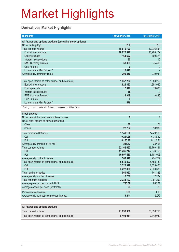### **Derivatives Market Highlights**

| <b>Highlights</b>                                               | 1st Quarter 2015 | 1st Quarter 2014 |
|-----------------------------------------------------------------|------------------|------------------|
| All futures and options products (excluding stock options)      |                  |                  |
| No. of trading days                                             | 61.0             | 61.0             |
| Total contract volume                                           | 18,870,729       | 17,076,554       |
| Equity index products                                           | 18,625,326       | 16,900,172       |
| <b>Equity products</b>                                          | 168,602          | 100,874          |
| Interest rates products                                         | 80               | 10               |
| <b>RMB Currency Futures</b>                                     | 58,303           | 75,498           |
| <b>Gold Futures</b>                                             | $\mathbf{0}$     | $\overline{0}$   |
| London Metal Mini Futures *                                     | 18,418           |                  |
| Average daily contract volume                                   | 309,356          | 279,944          |
|                                                                 |                  |                  |
| Total open interest as at the quarter end (contracts)           | 1,857,234        | 1,683,250        |
| Equity index products                                           | 1,826,327        | 1,654,060        |
| <b>Equity products</b>                                          | 17,347           | 19,695           |
| Interest rates products                                         | 35               | $\Omega$         |
| <b>RMB Currency Futures</b>                                     | 12,949           | 9,495            |
| <b>Gold Futures</b>                                             | 0                | 0                |
| London Metal Mini Futures *                                     | 576              |                  |
| * Trading in London Metal Mini Futures commenced on 01 Dec 2014 |                  |                  |
| <b>Stock options</b>                                            |                  |                  |
| No. of newly introduced stock options classes                   | $\mathbf{0}$     | $\overline{4}$   |
| No. of stock options as at the quarter end                      |                  |                  |
| <b>Class</b>                                                    | 80               | 74               |
| <b>Series</b>                                                   | 22,764           | 18,930           |
| Total premium (HK\$ mil.)                                       | 17,410.66        | 14,497.65        |
| Call                                                            | 9,284.26         | 6,384.32         |
| Put                                                             | 8,126.40         | 8,113.33         |
| Average daily premium (HK\$ mil.)                               | 285.42           | 237.67           |
| Total contract volume                                           | 22, 162, 657     | 16,760,161       |
| Call                                                            | 11,465,247       | 7,976,155        |
| Put                                                             | 10,697,410       | 8,784,006        |
| Average daily contract volume                                   | 363,322          | 274,757          |
| Total open interest as at the quarter end (contracts)           | 6,545,827        | 5,458,789        |
| Call                                                            | 3,322,929        | 2,525,406        |
| Put                                                             | 3,222,898        | 2,933,383        |
| Total number of trades                                          | 960,023          | 744,326          |
| Average daily number of trades                                  | 15,738           | 12,202           |
| Total contracts exercised                                       | 2,333,192        | 1,981,292        |
| Average premium per contract (HK\$)                             | 785.59           | 865.01           |
| Average contract per trade (contracts)                          | 23               | 23               |
| Put volume/call volume                                          | 0.93             | 1.10             |
| Average daily contract volume/open interest                     | 5.6%             | 5.0%             |
|                                                                 |                  |                  |
| All futures and options products                                |                  |                  |
| Total contract volume                                           | 41,033,386       | 33,836,715       |

Total open interest as at the quarter end (contracts) **8,403,061** 8,403,061 7,142,039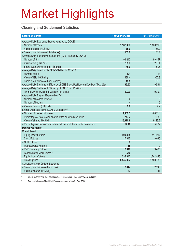### **Clearing and Settlement Statistics**

| <b>Securities Market</b>                                                        | 1st Quarter 2015        | 1st Quarter 2014 |
|---------------------------------------------------------------------------------|-------------------------|------------------|
| Average Daily Exchange Trades Handled by CCASS                                  |                         |                  |
| - Number of trades                                                              | 1,182,398               | 1,120,215        |
| - Value of trades (HK\$ bil.)                                                   | 85.0                    | 68.2             |
| - Share quantity Involved (bil shares)                                          | 187.7                   | 138.4            |
| Average Daily Settlement Instructions ("SIs") Settled by CCASS                  |                         |                  |
| - Number of SIs                                                                 | 90,242                  | 89,857           |
| - Value of SIs (HK\$ bil.)                                                      | 209.8                   | 200.4            |
| - Share quantity involved (bil. Shares)                                         | 45.0                    | 51.5             |
| Average Daily Investor SIs ("ISIs") Settled by CCASS                            |                         |                  |
| - Number of ISIs                                                                | 401                     | 418              |
| - Value of ISIs (HK\$ mil.)                                                     | 165.4                   | 302.9            |
| - Share quantity involved (mil. shares)                                         | 49.5                    | 195.8            |
| Average Daily Settlement Efficiency of CNS Stock Positions on Due Day (T+2) (%) | 99.93                   | 99.91            |
| Average Daily Settlement Efficiency of CNS Stock Positions                      |                         |                  |
| on the Day following the Due Day (T+3) (%)                                      | 99.99                   | 99.99            |
| Average Daily Buy-ins Executed on T+3                                           |                         |                  |
| - Number of brokers involved                                                    | $\overline{\mathbf{4}}$ | 5                |
| - Number of buy-ins                                                             | $\overline{\mathbf{4}}$ | 5                |
| - Value of buy-ins (HK\$ mil)                                                   | 2.6                     | 4.2              |
| Shares Deposited in the CCASS Depository *                                      |                         |                  |
| - Number of shares (bil shares)                                                 | 4,489.3                 | 4,058.3          |
| - Percentage of total issued shares of the admitted securities                  | 71.67                   | 70.36            |
| - Value of shares (HK\$ bil)                                                    | 15,975.6                | 13,423.2         |
| - Percentage of the total market capitalisation of the admitted securities      | 54.46                   | 52.82            |
| <b>Derivatives Market</b>                                                       |                         |                  |
| Open Interest                                                                   |                         |                  |
| - Equity Index Futures                                                          | 490,485                 | 411,217          |
| - Stock Futures                                                                 | 17,347                  | 19,695           |
| - Gold Futures                                                                  | $\mathbf{0}$            | $\theta$         |
| - Interest Rates Futures                                                        | 35                      | $\Omega$         |
| - RMB Currency Futures                                                          | 12,949                  | 9,495            |
| - London Metal Mini Futures #                                                   | 576                     |                  |
| - Equity Index Options                                                          | 1,335,842               | 1,242,843        |
| - Stock Options                                                                 | 6,545,827               | 5,458,789        |
| <b>Cumulative Stock Options Exercised</b>                                       |                         |                  |
| - Share quantity involved (mil. shs)                                            | 2,814                   | 2,246            |
| - Value of shares (HK\$ bil.)                                                   | 53                      | 41               |

\* Share quantity and market value of securities in non-HKD currency are included.

# Trading in London Metal Mini Futures commenced on 01 Dec 2014.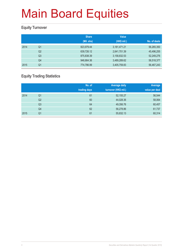### **Equity Turnover**

|                | <b>Share</b><br>(Mil. shs) | <b>Value</b><br>(HK\$ mil.) | No. of deals |
|----------------|----------------------------|-----------------------------|--------------|
| Q1             | 823,979.44                 | 3,181,471.21                | 56,265,350   |
| Q <sub>2</sub> | 639,726.12                 | 2,641,701.39                | 45,496,255   |
| Q <sub>3</sub> | 875,838.39                 | 3,158,832.53                | 52,249,276   |
| Q4             | 946,664.36                 | 3,489,289.62                | 56,518,377   |
| Q <sub>1</sub> | 774,786.99                 | 3,405,759.83                | 56,467,243   |
|                |                            |                             |              |

### **Equity Trading Statistics**

|      |                | No. of<br>trading days | <b>Average daily</b><br>turnover (HK\$ mil.) | Average<br>value per deal |
|------|----------------|------------------------|----------------------------------------------|---------------------------|
| 2014 | Q <sub>1</sub> | 61                     | 52,155.27                                    | 56,544                    |
|      | Q2             | 60                     | 44,028.36                                    | 58,064                    |
|      | Q <sub>3</sub> | 64                     | 49,356.76                                    | 60,457                    |
|      | Q4             | 62                     | 56,278.86                                    | 61,737                    |
| 2015 | Q <sub>1</sub> | 61                     | 55,832.13                                    | 60,314                    |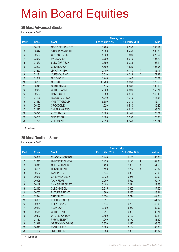#### **20 Most Advanced Stocks**

for 1st quarter 2015

|                |       |                        |                 | <b>Closing price</b> |                          |
|----------------|-------|------------------------|-----------------|----------------------|--------------------------|
| Rank           | Code  | <b>Stock</b>           | End of Mar 2015 | End of Dec 2014      | $%$ up                   |
| 1              | 00109 | <b>GOOD FELLOW RES</b> | 3.700           | 0.530                | 598.11                   |
| $\overline{2}$ | 00444 | SINCEREWATCH HK        | 1.660           | 0.450                | 268.89                   |
| 3              | 00530 | <b>GOLDIN FIN-2K</b>   | 24.500          | 7.500                | 226.67                   |
| 4              | 02080 | <b>MAGNUM ENT</b>      | 2.700           | 0.910                | 196.70                   |
| $\overline{5}$ | 01063 | <b>SUNCORP TECH</b>    | 0.690           | 0.233                | 196.14                   |
| $6\phantom{.}$ | 02223 | <b>CASABLANCA</b>      | 4.500           | 1.520                | 196.05                   |
| $\overline{7}$ | 01250 | <b>JIN CAI H-NEW</b>   | 0.400           | 0.140                | $\overline{A}$<br>185.71 |
| $\bf 8$        | 01191 | YUESHOU ENV            | 0.610           | 0.218                | 179.82<br>A              |
| 9              | 01669 | <b>GIC GROUP</b>       | 3.940           | 1.440                | 173.61                   |
| 10             | 00283 | <b>GOLDIN PPT</b>      | 13.760          | 5.030                | 173.56                   |
| 11             | 00340 | <b>CHINA MINING</b>    | 0.175           | 0.066                | 165.15                   |
| 12             | 00976 | CHIHO-TIANDE           | 7.300           | 2.800                | 160.71                   |
| 13             | 00566 | <b>HANERGY TFP</b>     | 6.980           | 2.810                | 148.40                   |
| 14             | 01196 | <b>REALORD GROUP</b>   | 4.240           | 1.740                | 143.68                   |
| 15             | 01480 | YAN TAT GROUP          | 5.680           | 2.340                | 142.74                   |
| 16             | 00122 | <b>CROCODILE</b>       | 1.220           | 0.510                | 139.22                   |
| 17             | 02277 | <b>CHUN SING ENG</b>   | 1.480           | 0.620                | 138.71                   |
| 18             | 00720 | <b>AUTO ITALIA</b>     | 0.365           | 0.161                | 126.71                   |
| 19             | 00708 | <b>NEW MEDIA</b>       | 8.000           | 3.550                | 125.35                   |
| 20             | 01220 | <b>ZHIDAO INT'L</b>    | 2.090           | 0.940                | 122.34                   |

A Adjusted

#### **20 Most Declined Stocks**

for 1st quarter 2015

|                |       |                        | <b>Closing price</b> |                         |          |
|----------------|-------|------------------------|----------------------|-------------------------|----------|
| Rank           | Code  | <b>Stock</b>           | End of Mar 2015      | End of Dec 2014         | % down   |
| 1              | 00682 | <b>CHAODA MODERN</b>   | 0.440                | 1.100                   | $-60.00$ |
| $\overline{2}$ | 01046 | <b>UNIVERSE IN-NEW</b> | 0.455                | 1.120<br>$\overline{A}$ | $-59.38$ |
| 3              | 00810 | <b>OPES ASIA-NEW</b>   | 0.450                | $\overline{A}$<br>0.990 | $-54.55$ |
| 4              | 00185 | <b>HENG FAI ENT</b>    | 0.130                | $\overline{A}$<br>0.277 | $-53.07$ |
| 5              | 00582 | <b>LANDING INTL</b>    | 0.144                | 0.300                   | $-52.00$ |
| $6\phantom{1}$ | 00986 | CH ENV ENERGY          | 0.132                | 0.275                   | $-52.00$ |
| 7              | 00928 | <b>TACK FIORI</b>      | 0.960                | 1.950                   | $-50.77$ |
| 8              | 00149 | CH AGRI-PROD EX        | 0.108                | 0.214                   | $-49.53$ |
| 9              | 02012 | SUNSHINE OIL           | 0.315                | 0.600                   | $-47.50$ |
| 10             | 00703 | <b>FUTURE BRIGHT</b>   | 1.380                | 2.430                   | $-43.21$ |
| 11             | 02324 | <b>CAPITAL VC</b>      | 0.124                | 0.214                   | $-42.06$ |
| 12             | 00689 | EPI (HOLDINGS)         | 0.091                | 0.156                   | $-41.67$ |
| 13             | 00851 | <b>SHENG YUAN HLDG</b> | 0.174                | 0.290                   | $-40.00$ |
| 14             | 00439 | <b>KUANGCHI</b>        | 3.160                | 5.260                   | $-39.92$ |
| 15             | 00648 | <b>CHINA RENJI</b>     | 0.211                | 0.350                   | $-39.71$ |
| 16             | 00307 | UP ENFRGY DEV          | 0.480                | 0.790                   | $-39.24$ |
| 17             | 01180 | <b>PARADISE ENT</b>    | 1.940                | 3.170                   | $-38.80$ |
| 18             | 01318 | <b>GREENS HOLDINGS</b> | 0.870                | 1.420                   | $-38.73$ |
| 19             | 00313 | <b>RICHLY FIELD</b>    | 0.083                | 0.134                   | $-38.06$ |
| 20             | 01159 | <b>JIMEI INT ENT</b>   | 8.300                | 13.360                  | $-37.87$ |

A Adjusted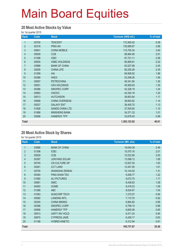#### **20 Most Active Stocks by Value**

for 1st quarter 2015

| Rank             | Code  | <b>Stock</b>           | Turnover (HK\$ mil.) | % of total |
|------------------|-------|------------------------|----------------------|------------|
| 1                | 00700 | <b>TENCENT</b>         | 172,905.02           | 5.08       |
| $\overline{2}$   | 02318 | <b>PING AN</b>         | 135,689.67           | 3.98       |
| 3                | 00941 | <b>CHINA MOBILE</b>    | 115,705.34           | 3.40       |
| $\overline{4}$   | 00939 | <b>CCB</b>             | 98,964.95            | 2.91       |
| 5                | 01398 | <b>ICBC</b>            | 87,721.11            | 2.58       |
| $6\phantom{a}$   | 00005 | <b>HSBC HOLDINGS</b>   | 85,869.81            | 2.52       |
| $\overline{7}$   | 03988 | <b>BANK OF CHINA</b>   | 83,527.89            | 2.45       |
| 8                | 02628 | <b>CHINA LIFE</b>      | 80,200.28            | 2.35       |
| $\boldsymbol{9}$ | 01299 | AIA                    | 66,908.92            | 1.96       |
| 10               | 00388 | <b>HKEX</b>            | 53,298.26            | 1.56       |
| 11               | 00857 | <b>PETROCHINA</b>      | 49,341.84            | 1.45       |
| 12               | 00001 | <b>CKH HOLDINGS</b>    | 45,909.93            | 1.35       |
| 13               | 00386 | SINOPEC CORP           | 42,328.19            | 1.24       |
| 14               | 00883 | <b>CNOOC</b>           | 42,324.18            | 1.24       |
| 15               | 00013 | <b>HUTCHISON</b>       | 39,803.84            | 1.17       |
| 16               | 00688 | <b>CHINA OVERSEAS</b>  | 38,663.62            | 1.14       |
| 17               | 00027 | <b>GALAXY ENT</b>      | 38,405.70            | 1.13       |
| 18               | 01928 | <b>SANDS CHINA LTD</b> | 37,505.65            | 1.10       |
| 19               | 01988 | <b>MINSHENG BANK</b>   | 34,371.32            | 1.01       |
| 20               | 00566 | <b>HANERGY TFP</b>     | 33,678.40            | 0.99       |
| <b>Total</b>     |       |                        | 1,383,123.92         | 40.61      |

#### **20 Most Active Stock by Shares**

for 1st quarter 2015

| Rank           | Code  | <b>Stock</b>          | <b>Turnover (Mil. shs)</b> | % of total |
|----------------|-------|-----------------------|----------------------------|------------|
| 1              | 03988 | <b>BANK OF CHINA</b>  | 19,040.39                  | 2.46       |
| $\overline{2}$ | 01398 | <b>ICBC</b>           | 15,570.16                  | 2.01       |
| 3              | 00939 | <b>CCB</b>            | 15,532.90                  | 2.00       |
| $\overline{4}$ | 00397 | <b>JUNYANG SOLAR</b>  | 13,098.12                  | 1.69       |
| 5              | 00745 | CN CULTURE GP         | 12,627.04                  | 1.63       |
| 6              | 00261 | <b>CCT LAND</b>       | 12,447.05                  | 1.61       |
| $\overline{7}$ | 00755 | SHANGHAI ZENDAI       | 10,144.02                  | 1.31       |
| 8              | 00364 | PING SHAN TEA         | 9,458.77                   | 1.22       |
| 9              | 01060 | <b>ALI PICTURES</b>   | 9,072.75                   | 1.17       |
| 10             | 00981 | <b>SMIC</b>           | 8,438.63                   | 1.09       |
| 11             | 00493 | <b>GOME</b>           | 8,418.23                   | 1.09       |
| 12             | 01288 | <b>ABC</b>            | 8,024.67                   | 1.04       |
| 13             | 01063 | <b>SUNCORP TECH</b>   | 7,273.07                   | 0.94       |
| 14             | 00582 | <b>LANDING INTL</b>   | 7,115.70                   | 0.92       |
| 15             | 00340 | <b>CHINA MINING</b>   | 6,864.82                   | 0.89       |
| 16             | 00386 | SINOPEC CORP          | 6,799.10                   | 0.88       |
| 17             | 00566 | <b>HANERGY TFP</b>    | 6,600.08                   | 0.85       |
| 18             | 00913 | UNITY INV HOLD        | 6,471.24                   | 0.84       |
| 19             | 00875 | <b>CYPRESS JADE</b>   | 6,428.17                   | 0.83       |
| 20             | 01188 | <b>HYBRID KINETIC</b> | 6,312.94                   | 0.81       |
| <b>Total</b>   |       |                       | 195,737.87                 | 25.26      |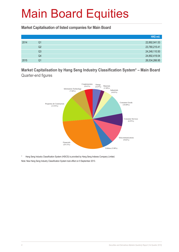**Market Capitalisation of listed companies for Main Board**

|      |                | HK\$ mil.     |
|------|----------------|---------------|
| 2014 | Q1             | 22,892,041.53 |
|      | Q2             | 23,780,215.41 |
|      | Q <sub>3</sub> | 24,248,110.50 |
|      | Q4             | 24,892,419.04 |
| 2015 | Q1             | 26,534,266.95 |

**Market Capitalisation by Hang Seng Industry Classification System\* – Main Board**  Quarter-end figures



Hang Seng Industry Classification System (HSICS) is provided by Hang Seng Indexes Company Limited. Note: New Hang Seng Industry Classification System took effect on 9 September 2013.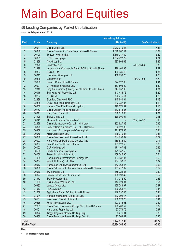#### **50 Leading Companies by Market Capitalisation**

as at the 1st quarter end 2015

|                         |                | <b>Market capitalisation</b>                                      |                          |                    |
|-------------------------|----------------|-------------------------------------------------------------------|--------------------------|--------------------|
| Rank                    | Code           | <b>Company</b>                                                    | (HK\$ mil.)              | % of market total  |
| 1                       | 00941          | China Mobile Ltd.                                                 | 2,072,019.43             | 7.81               |
| $\overline{2}$          | 00939          | China Construction Bank Corporation - H Shares                    | 1,548,287.54             | 5.84               |
| 3                       | 00700          | Tencent Holdings Ltd.                                             | 1,379,737.80             | 5.20               |
| $\overline{\mathbf{4}}$ | 00005          | <b>HSBC Holdings plc</b>                                          | 1,284,727.29             | 4.84               |
| 5                       | 01299          | AIA Group Ltd.                                                    | 587,803.62               | 2.22               |
| $6\phantom{a}$          | 02378          | Prudential plc *                                                  |                          | N.A.<br>518,295.84 |
| $\overline{7}$          | 01398          | Industrial and Commercial Bank of China Ltd. - H Shares           | 496,461.93               | 1.87               |
| 8                       | 00883          | CNOOC Ltd.                                                        | 489,336.12               | 1.84               |
| $\boldsymbol{9}$        | 00013          | Hutchison Whampoa Ltd.                                            | 458,738.70               | 1.73               |
| 10                      | 00805          | Glencore plc *                                                    |                          | 444,324.08<br>N.A. |
| 11                      | 03988          | Bank of China Ltd. - H Shares                                     | 374,627.80               | 1.41               |
| 12                      | 00001          | CK Hutchison Holdings Ltd.                                        | 367,806.90               | 1.39               |
| 13                      | 02318          | Ping An Insurance (Group) Co. of China Ltd. - H Shares            | 347,057.08               | 1.31               |
| 14                      | 00016          | Sun Hung Kai Properties Ltd.                                      | 343,485.76               | 1.29               |
| 15                      | 00267          | CITIC Ltd.                                                        | 330,716.14               | 1.25               |
| 16                      | 02888          | <b>Standard Chartered PLC</b>                                     | 315,681.34               | 1.19               |
| 17                      | 02388          | BOC Hong Kong (Holdings) Ltd.                                     | 292,337.37               | 1.10               |
| 18                      | 00566          | Hanergy Thin Film Power Group Ltd.                                | 290,771.82               | 1.10               |
| 19                      | 00762          | China Unicom (Hong Kong) Ltd.                                     | 282,575.56               | 1.06               |
| 20                      | 00011          | Hang Seng Bank Ltd.                                               | 268,613.90               | 1.01               |
| 21                      | 01928          | Sands China Ltd.                                                  | 258,990.64               | 0.98               |
| 22                      | 00945          | Manulife Financial Corporation *                                  |                          | N.A.<br>257,674.52 |
| 23                      | 02628          | China Life Insurance Co. Ltd. - H Shares                          | 252,627.89               | 0.95               |
| 24                      | 03328          | Bank of Communications Co., Ltd. - H Shares                       | 232,828.89               | 0.88               |
| 25                      | 00388          | Hong Kong Exchanges and Clearing Ltd.                             | 221,978.83               | 0.84               |
| 26                      | 00066          | MTR Corporation Ltd.                                              | 215,240.88               | 0.81               |
| 27                      | 00688          | China Overseas Land & Investment Ltd.                             | 204,758.09               | 0.77               |
| 28                      | 00003          | Hong Kong and China Gas Co. Ltd., The                             | 188,586.89               | 0.71               |
| 29                      | 00857          | PetroChina Co. Ltd. - H Shares                                    | 181,028.56               | 0.68               |
| 30                      | 00002          | CLP Holdings Ltd.                                                 | 171,167.03               | 0.65               |
| 31<br>32                | 00530          | Goldin Financial Holdings Ltd.                                    | 171,047.53               | 0.64               |
| 33                      | 00006<br>01038 | Power Assets Holdings Ltd.                                        | 169,246.95               | 0.64               |
| 34                      | 00004          | Cheung Kong Infrastructure Holdings Ltd.                          | 167,932.07               | 0.63<br>0.62       |
| 35                      | 00012          | Wharf (Holdings) Ltd., The<br>Henderson Land Development Co. Ltd. | 164,130.13               | 0.62               |
| 36                      | 00386          | China Petroleum & Chemical Corporation - H Shares                 | 163,368.47<br>157,417.92 | 0.59               |
| 37                      | 00019          | Swire Pacific Ltd.                                                | 155,324.53               | 0.59               |
| 38                      | 00027          | Galaxy Entertainment Group Ltd.                                   | 150,093.42               | 0.57               |
| 39                      | 01972          | Swire Properties Ltd.                                             | 147,712.50               | 0.56               |
| 40                      | 01109          | China Resources Land Ltd.                                         | 143,024.84               | 0.54               |
| 41                      | 00992          | Lenovo Group Ltd.                                                 | 125,749.97               | 0.47               |
| 42                      | 01913          | PRADA S.p.A.                                                      | 120,264.73               | 0.45               |
| 43                      | 01288          | Agricultural Bank of China Ltd. - H Shares                        | 118,037.08               | 0.44               |
| 44                      | 01044          | Hengan International Group Co. Ltd.                               | 113,992.17               | 0.43               |
| 45                      | 00151          | Want Want China Holdings Ltd.                                     | 108,573.28               | 0.41               |
| 46                      | 00656          | Fosun International Ltd.                                          | 103,975.63               | 0.39               |
| 47                      | 02601          | China Pacific Insurance (Group) Co., Ltd. - H Shares              | 102,408.57               | 0.39               |
| 48                      | 00101          | Hang Lung Properties Ltd.                                         | 97,779.75                | 0.37               |
| 49                      | 00322          | Tingyi (Cayman Islands) Holding Corp.                             | 93,476.04                | 0.35               |
| 50                      | 00836          | China Resources Power Holdings Co. Ltd.                           | 93,363.62                | 0.35               |
|                         |                |                                                                   |                          | 60.77              |
| <b>Total</b>            |                |                                                                   | 16,124,912.99            |                    |
| <b>Market Total</b>     |                |                                                                   | 26,534,266.95            | 100.00             |

Notes:

\* not included in Market Total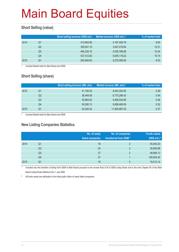### **Short Selling (value)**

|      |    | Short selling turnover (HK\$ mil.) | Market turnover (HK\$ mil.) * | % of market total |
|------|----|------------------------------------|-------------------------------|-------------------|
| 2014 | Q1 | 413,654.80                         | 4, 167, 426. 78               | 9.93              |
|      | Q2 | 355,541.15                         | 3,447,418.64                  | 10.31             |
|      | Q3 | 464,325.10                         | 4,535,766.69                  | 10.24             |
|      | Q4 | 537,312.82                         | 5,005,118.22                  | 10.74             |
| 2015 | Q1 | 502,684.62                         | 5,272,006.50                  | 9.53              |

Included Market total for Main Board and GEM.

### **Short Selling (share)**

|      |    | <b>Short selling turnover (Mil. shs)</b> | Market turnover (Mil. shs) * | % of market total |
|------|----|------------------------------------------|------------------------------|-------------------|
| 2014 | Q1 | 41,100.03                                | 8,443,354.93                 | 0.49              |
|      | Q2 | 36.449.08                                | 6,775,296.43                 | 0.54              |
|      | Q3 | 45.864.62                                | 9,468,544.88                 | 0.48              |
|      | Q4 | 50.290.13                                | 9,599,469.09                 | 0.52              |
| 2015 | Q1 | 42,342.54                                | 11,464,887.20                | 0.37              |

Included Market total for Main Board and GEM.

#### **New Listing Companies Statistics**

|      |                | No. of newly<br>listed companies | No. of companies<br>transferred from GEM* | <b>Funds raised</b><br>(HK\$ mil.) # |
|------|----------------|----------------------------------|-------------------------------------------|--------------------------------------|
| 2014 | Q1             | 18                               | $\mathcal{P}$                             | 45,540.23                            |
|      | Q <sub>2</sub> | 24                               | 2                                         | 35,955.89                            |
|      | Q3             | 27                               | ာ                                         | 48,806.13                            |
|      | Q4             | 27                               |                                           | 100,054.42                           |
| 2015 | Q1             | 16                               | 3                                         | 18,413.14                            |

Included only the transfers of listing from GEM to Main Board pursuant to the revised Rule 9.24 of GEM Listing Rules and to the new Chapter 9A of the Main Board Listing Rules effective from 1 July 2008.

# All funds raised are attributed to the initial public offers of newly listed companies.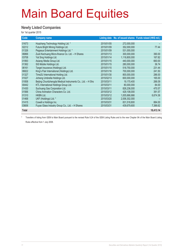#### **Newly Listed Companies**

for 1st quarter 2015

| Code         | <b>Company name</b>                                         |            |               | Listing date No. of issued shares Funds raised (HK\$ mil.) |
|--------------|-------------------------------------------------------------|------------|---------------|------------------------------------------------------------|
| 01673        | Huazhang Technology Holding Ltd. *                          | 2015/01/05 | 272,000,000   |                                                            |
| 02212        | Future Bright Mining Holdings Ltd.                          | 2015/01/09 | 352,000,000   | 77.44                                                      |
| 01326        | Pegasus Entertainment Holdings Ltd. *                       | 2015/01/09 | 531,000,000   |                                                            |
| 06866        | Zuoli Kechuang Micro-finance Co. Ltd. - H Shares            | 2015/01/13 | 300,000,000   | 390.00                                                     |
| 03708        | Yat Sing Holdings Ltd.                                      | 2015/01/14 | 1,118,800,000 | 167.82                                                     |
| 01993        | Asiaray Media Group Ltd.                                    | 2015/01/15 | 440,000,000   | 660.00                                                     |
| 01362        | SiS Mobile Holdings Ltd.                                    | 2015/01/15 | 280,000,000   | 36.74                                                      |
| 06161        | Target Insurance (Holdings) Ltd.                            | 2015/01/15 | 518,750,000   | 231.44                                                     |
| 06822        | King's Flair International (Holdings) Ltd.                  | 2015/01/16 | 700,000,000   | 241.50                                                     |
| 01327        | Time2U International Holding Ltd.                           | 2015/01/30 | 800,000,000   | 286.00                                                     |
| 01027        | Jicheng Umbrella Holdings Ltd.                              | 2015/02/13 | 600.000.000   | 165.00                                                     |
| 01858        | Beijing Chunlizhengda Medical Instruments Co., Ltd. - H Shs | 2015/03/11 | 19,170,400    | 266.09                                                     |
| 00442        | KTL International Holdings Group Ltd.                       | 2015/03/11 | 80,000,000    | 84.00                                                      |
| 01430        | Suchuang Gas Corporation Ltd.                               | 2015/03/11 | 826,236,000   | 470.57                                                     |
| 01566        | China Animation Characters Co. Ltd.                         | 2015/03/12 | 429,108,000   | 391.57                                                     |
| 01310        | <b>HKBN Ltd.</b>                                            | 2015/03/12 | 1,005,666,666 | 6,674.36                                                   |
| 01468        | UKF (Holdings) Ltd. *                                       | 2015/03/20 | 2,006,302,000 |                                                            |
| 01415        | Cowell e Holdings Inc.                                      | 2015/03/31 | 831,518,800   | 884.00                                                     |
| 03606        | Fuyao Glass Industry Group Co., Ltd. - H Shares             | 2015/03/31 | 439,679,600   | 7,386.62                                                   |
|              |                                                             |            |               |                                                            |
| <b>Total</b> |                                                             |            |               | 18,413.14                                                  |

\* Transfers of listing from GEM to Main Board pursuant to the revised Rule 9.24 of the GEM Listing Rules and to the new Chapter 9A of the Main Board Listing Rules effective from 1 July 2008.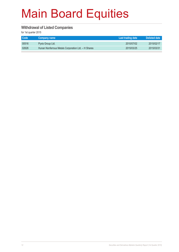#### **Withdrawal of Listed Companies**

for 1st quarter 2015

| Code  | Company name                                        | Last trading date | Delisted date |
|-------|-----------------------------------------------------|-------------------|---------------|
| 00516 | Pyxis Group Ltd.                                    | 2010/07/02        | 2015/02/17    |
| 02626 | Hunan Nonferrous Metals Corporation Ltd. - H Shares | 2015/03/25        | 2015/03/31    |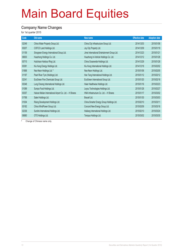### **Company Name Changes**

for 1st quarter 2015

| Code  | Old name                                                | New name                                     | <b>Effective date</b> | <b>Adoption date</b> |
|-------|---------------------------------------------------------|----------------------------------------------|-----------------------|----------------------|
| 02349 | China Water Property Group Ltd.                         | China City Infrastructure Group Ltd.         | 2014/12/03            | 2015/01/06           |
| 00207 | COFCO Land Holdings Ltd.                                | Joy City Property Ltd.                       | 2014/12/09            | 2015/01/19           |
| 01159 | Sinogreen Energy International Group Ltd.               | Jimei International Entertainment Group Ltd. | 2014/12/23            | 2015/01/21           |
| 06830 | Huazhong Holdings Co. Ltd.                              | Huazhong In-Vehicle Holdings Co. Ltd.        | 2014/12/12            | 2015/01/28           |
| 00715 | Hutchison Harbour Ring Ltd.                             | China Oceanwide Holdings Ltd.                | 2014/12/29            | 2015/01/28           |
| 00381 | Kiu Hung Energy Holdings Ltd.                           | Kiu Hung International Holdings Ltd.         | 2014/12/18            | 2015/02/02           |
| 01868 | Neo-Neon Holdings Ltd. #                                | Neo-Neon Holdings Ltd.                       | 2015/01/06            | 2015/02/05           |
| 01187 | Pearl River Tyre (Holdings) Ltd.                        | Han Tang International Holdings Ltd.         | 2015/01/12            | 2015/02/12           |
| 02341 | EcoGreen Fine Chemicals Group Ltd.                      | EcoGreen International Group Ltd.            | 2015/01/20            | 2015/02/18           |
| 00348 | Lung Cheong International Holdings Ltd.                 | Haier Healthwise Holdings Ltd.               | 2015/01/16            | 2015/02/23           |
| 01089 | Sumpo Food Holdings Ltd.                                | Leyou Technologies Holdings Ltd.             | 2015/01/28            | 2015/02/27           |
| 00357 | Hainan Meilan International Airport Co. Ltd. - H Shares | HNA Infrastructure Co. Ltd. - H Shares       | 2015/01/17            | 2015/03/02           |
| 01768 | Sateri Holdings Ltd.                                    | Bracell Ltd.                                 | 2015/01/30            | 2015/03/03           |
| 01004 | Rising Development Holdings Ltd.                        | China Smarter Energy Group Holdings Ltd.     | 2015/02/10            | 2015/03/11           |
| 00182 | China WindPower Group Ltd.                              | Concord New Energy Group Ltd.                | 2015/02/09            | 2015/03/16           |
| 02336 | Sunlink International Holdings Ltd.                     | Hailiang International Holdings Ltd.         | 2015/02/10            | 2015/03/24           |
| 06880 | OTO Holdings Ltd.                                       | Tempus Holdings Ltd.                         | 2015/03/02            | 2015/03/30           |

# Change of Chinese name only.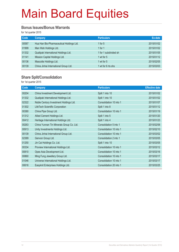#### **Bonus Issues/Bonus Warrants**

for 1st quarter 2015

| Code  | Company                                  | <b>Particulars</b>    | Ex-date    |
|-------|------------------------------------------|-----------------------|------------|
| 00587 | Hua Han Bio-Pharmaceutical Holdings Ltd. | 1 for $5$             | 2015/01/02 |
| 01999 | Man Wah Holdings Ltd.                    | 1 for $1$             | 2015/01/02 |
| 01332 | Qualipak International Holdings Ltd.     | 1 for 1 subdivided sh | 2015/01/05 |
| 01141 | Mission Capital Holdings Ltd.            | 1 wt for 5            | 2015/01/12 |
| 00136 | Mascotte Holdings Ltd.                   | 1 wt for 5            | 2015/02/05 |
| 00139 | China Jinhai International Group Ltd.    | 1 wt for 6 rts shs    | 2015/03/03 |

### **Share Split/Consolidation**

for 1st quarter 2015

| Code  | <b>Company</b>                           | <b>Particulars</b>      | <b>Effective date</b> |
|-------|------------------------------------------|-------------------------|-----------------------|
| 00204 | China Investment Development Ltd.        | Split 1 into 10         | 2015/01/02            |
| 01332 | Qualipak International Holdings Ltd.     | Split 1 into 10         | 2015/01/02            |
| 02322 | Noble Century Investment Holdings Ltd.   | Consolidation 10 into 1 | 2015/01/07            |
| 01302 | LifeTech Scientific Corporation          | Split 1 into 8          | 2015/01/12            |
| 00380 | China Pipe Group Ltd.                    | Consolidation 10 into 1 | 2015/01/19            |
| 01312 | Allied Cement Holdings Ltd.              | Split 1 into 5          | 2015/01/20            |
| 00412 | Heritage International Holdings Ltd.     | Split 1 into 4          | 2015/01/23            |
| 00263 | China Yunnan Tin Minerals Group Co. Ltd. | Consolidation 5 into 1  | 2015/02/06            |
| 00913 | Unity Investments Holdings Ltd.          | Consolidation 10 into 1 | 2015/02/10            |
| 00139 | China Jinhai International Group Ltd.    | Consolidation 10 into 1 | 2015/03/02            |
| 02389 | Genvon Group Ltd.                        | Consolidation 2 into 1  | 2015/03/05            |
| 01250 | Jin Cai Holdings Co. Ltd.                | Split 1 into 10         | 2015/03/05            |
| 00334 | Proview International Holdings Ltd.      | Consolidation 10 into 1 | 2015/03/12            |
| 00810 | Opes Asia Development Ltd.               | Consolidation 10 into 1 | 2015/03/16            |
| 00860 | Ming Fung Jewellery Group Ltd.           | Consolidation 10 into 1 | 2015/03/17            |
| 01046 | Universe International Holdings Ltd.     | Consolidation 10 into 1 | 2015/03/17            |
| 00616 | Easyknit Enterprises Holdings Ltd.       | Consolidation 20 into 1 | 2015/03/25            |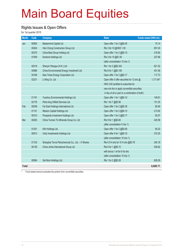#### **Rights Issues & Open Offers**

for 1st quarter 2015

| <b>Month</b> | Code  | <b>Company</b>                                    | <b>Ratio</b>                                     | Funds raised (HK\$ mil.) |
|--------------|-------|---------------------------------------------------|--------------------------------------------------|--------------------------|
| Jan          | 00905 | Mastermind Capital Ltd.                           | Open offer 1 for 2 @\$0.45                       | 70.14                    |
|              | 00404 | Hsin Chong Construction Group Ltd.                | Rts 3 for 10 @HKD 1.00                           | 857.45                   |
|              | 00370 | China Best Group Holding Ltd.                     | Open offer 1 for 2 @\$0.15                       | 218.85                   |
|              | 01059 | Kantone Holdings Ltd.                             | Rts 3 for 10 @\$1.00                             | 227.66                   |
|              |       |                                                   | (after consolidation 10 into 1)                  |                          |
|              | 00218 | Shenyin Wanguo (H.K.) Ltd.                        | Rts 1 for 2 @\$2.342                             | 621.52                   |
|              | 00986 | China Environmental Energy Investment Ltd.        | Rts 8 for 1 @\$0.195                             | 451.06                   |
|              | 00166 | New Times Energy Corporation Ltd.                 | Open offer 1 for 2 @\$0.17                       | 117.73                   |
|              | 02331 | Li Ning Co. Ltd.                                  | Open offer 5 offer securities for 12 shs @       | 1,171.64*                |
|              |       |                                                   | HKD 2.60 (entitled to subscribe for              |                          |
|              |       |                                                   | new ord shs or apply convertible securities      |                          |
|              |       |                                                   | in lieu of all or part or a combination of both) |                          |
|              | 01191 | Yueshou Environmental Holdings Ltd.               | Open offer 1 for 1 @\$0.10                       | 149.81                   |
|              | 02178 | Petro-king Oilfield Services Ltd.                 | Rts 1 for 7 @\$0.98                              | 151.25                   |
| Feb          | 00036 | Far East Holdings International Ltd.              | Open offer 1 for 2 @\$0.30                       | 80.49                    |
|              | 01141 | Mission Capital Holdings Ltd.                     | Open offer 1 for 2 @\$0.10                       | 213.92                   |
|              | 00310 | Prosperity Investment Holdings Ltd.               | Open offer 1 for 2 @\$0.17                       | 60.57                    |
| Mar          | 00263 | China Yunnan Tin Minerals Group Co. Ltd.          | Rts 9 for 1 @\$0.60                              | 420.58                   |
|              |       |                                                   | (after consolidation 5 into 1)                   |                          |
|              | 01201 | Kith Holdings Ltd.                                | Open offer 1 for 2 @\$0.69                       | 90.20                    |
|              | 00913 | Unity Investments Holdings Ltd.                   | Open offer 4 for 1 @\$0.16                       | 372.55                   |
|              |       |                                                   | (after consolidation 10 into 1)                  |                          |
|              | 01103 | Shanghai Tonva Petrochemcial Co., Ltd. - H Shares | Rts 4.5 H shs for 10 H shs @\$0.78               | 240.18                   |
|              | 00139 | China Jinhai International Group Ltd.             | Rts 6 for 1 @\$0.15                              | 538.82                   |
|              |       |                                                   | with bonus 1 wt for 6 rts shs                    |                          |
|              |       |                                                   | (after consolidation 10 into 1)                  |                          |
|              | 00064 | Get Nice Holdings Ltd.                            | Rts 1 for 2 @\$0.28                              | 626.29                   |
| <b>Total</b> |       |                                                   |                                                  | 6,680.71                 |

\* Fund raised amount excludes the portion from convertible securities.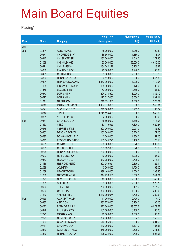#### **Placing\***

|              |       |                        | No. of new    | <b>Placing price</b> | <b>Funds raised</b> |
|--------------|-------|------------------------|---------------|----------------------|---------------------|
| <b>Month</b> | Code  | <b>Company</b>         | shares placed | (HK\$)               | (HK\$ mil.)         |
| 2015         |       |                        |               |                      |                     |
| Jan          | 03344 | <b>ADDCHANCE</b>       | 88,000,000    | 1.0500               | 92.40               |
|              | 00871 | CH DREDG ENV           | 85,560,000    | 1.3800               | 118.07              |
|              | 00815 | CHI SILVER GP          | 180,000,000   | 1.5100               | 271.80              |
|              | 01038 | <b>CKI HOLDINGS</b>    | 80,000,000    | 58.0000              | 4,640.00            |
|              | 00471 | <b>CMMB VISION</b>     | 184,242,178   | 0.2650               | 48.82               |
|              | 00838 | <b>EVA HOLDINGS</b>    | 70,000,000    | 1.9400               | 135.80              |
|              | 00431 | <b>G CHINA HOLD</b>    | 59,600,000    | 2.0000               | 119.20              |
|              | 03836 | <b>HARMONY AUTO</b>    | 90,113,000    | 6.0800               | 547.89              |
|              | 00404 | HSIN CHONG CONS        | 1,472,960,000 | 1.0000               | 1,472.96            |
|              | 01195 | KINGWELL GROUP         | 185,000,000   | 0.4700               | 86.95               |
|              | 01355 | <b>LEGEND STRAT</b>    | 52,300,000    | 0.6600               | 34.52               |
|              | 00577 | LOUIS XIII H           | 294,233,500   | 3.0000               | 882.70              |
|              | 00577 | <b>LOUIS XIII H</b>    | 177,037,000   | 3.0000               | 531.11              |
|              | 01011 | NT PHARMA              | 216,391,300   | 1.0500               | 227.21              |
|              | 00618 | PKU RESOURCES          | 1,454,376,000 | 0.6500               | 945.34              |
|              | 00521 | <b>SHOUGANG TECH</b>   | 240,000,000   | 0.2530               | 60.72               |
|              | 00812 | <b>TANRICH</b>         | 1,245,124,409 | 0.2800               | 348.63              |
|              | 00821 | <b>VC HOLDINGS</b>     | 82,600,000    | 0.9800               | 80.95               |
| Feb          | 00871 | CH DREDG ENV           | 85,560,000    | 1.3800               | 118.07              |
|              | 01363 | <b>CTEG</b>            | 87,115,959    | 7.1200               | 620.27              |
|              | 00875 | <b>CYPRESS JADE</b>    | 500,000,000   | 0.0710               | 35.50               |
|              | 00262 | DESON DEV INT'L        | 100,000,000   | 0.7200               | 72.00               |
|              | 00695 | <b>DONGWU CEMENT</b>   | 40,000,000    | 1.3000               | 52.00               |
|              | 00943 | <b>EFORCE HOLDINGS</b> | 133,644,720   | 0.1880               | 25.13               |
|              | 00535 | <b>GEMDALE PPT</b>     | 3,530,000,000 | 0.5200               | 1,835.60            |
|              | 00601 | <b>GROUP SENSE</b>     | 239,532,000   | 0.3200               | 76.65               |
|              | 00275 | <b>HANNY HOLDINGS</b>  | 260,000,000   | 0.3000               | 78.00               |
|              | 00007 | <b>HOIFU ENERGY</b>    | 30,000,000    | 1.2000               | 36.00               |
|              | 00377 | <b>HUAJUN HOLD</b>     | 533,058,000   | 0.7000               | 373.14              |
|              | 01188 | <b>HYBRID KINETIC</b>  | 697,946,951   | 0.1750               | 122.14              |
|              | 02028 | <b>JOLIMARK</b>        | 40,000,000    | 1.7000               | 68.00               |
|              | 01089 | LEYOU TECH H           | 398,400,000   | 1.0000               | 398.40              |
|              | 01236 | <b>NATIONAL AGRI</b>   | 314,736,500   | 3.0000               | 944.21              |
|              | 01323 | <b>NEWTREE GROUP</b>   | 16,000,000    | 2.5300               | 40.48               |
|              | 01335 | <b>SHEEN TAI</b>       | 83,000,000    | 2.6600               | 220.78              |
|              | 00990 | THEME INT'L            | 730,000,000   | 0.1610               | 117.53              |
|              | 00686 | <b>UNITED PV</b>       | 380,000,000   | 1.0000               | 380.00              |
|              | 01230 | YASHILI INT'L          | 1,186,390,074 | 3.7000               | 4,389.64            |
| Mar          | 00959 | <b>AMAX INT HOLD</b>   | 11,000,000    | 0.7000               | 7.70                |
|              | 00835 | <b>ASIA COAL</b>       | 230,770,000   | 0.1300               | 30.00               |
|              | 00023 | <b>BANK OF E ASIA</b>  | 222,600,000   | 29.5576              | 6,579.52            |
|              | 06828 | <b>BLUE SKY PWR</b>    | 162,500,000   | 0.4000               | 65.00               |
|              | 02223 | CASABLANCA             | 40,000,000    | 1.5000               | 60.00               |
|              | 02623 | CH ZHONGSHENG          | 392,000,000   | 0.3840               | 150.53              |
|              | 01039 | <b>CHANGFENG AXLE</b>  | 610,606,060   | 0.3300               | 201.50              |
|              | 00711 | CHUN WO DEV            | 130,000,000   | 1.4270               | 185.51              |
|              | 02389 | <b>GENVON GP-NEW</b>   | 465,000,000   | 0.5200               | 241.80              |
|              | 03836 | <b>HARMONY AUTO</b>    | 128,734,000   | 4.7300               | 608.91              |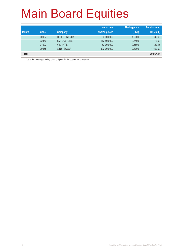|              |       |                     | No. of new    | <b>Placing price</b> | <b>Funds raised</b> |
|--------------|-------|---------------------|---------------|----------------------|---------------------|
| <b>Month</b> | Code  | Company             | shares placed | (HK\$)               | (HK\$ mil.)         |
|              | 00007 | <b>HOIFU ENERGY</b> | 30,000,000    | 1.2300               | 36.90               |
|              | 02366 | <b>SMI CULTURE</b>  | 112,500,000   | 0.6400               | 72.00               |
|              | 01002 | V.S. INT'L          | 53,000,000    | 0.5500               | 29.15               |
|              | 00968 | <b>XINYI SOLAR</b>  | 500,000,000   | 2.3000               | 1,150.00            |
| <b>Total</b> |       |                     |               |                      | 30,067.14           |

\* Due to the reporting time-lag, placing figures for the quarter are provisional.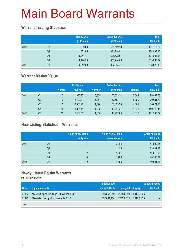### **Warrant Trading Statistics**

|      |                | <b>Equity wts</b><br>(HK\$ mil.) | <b>Derivative wts</b><br>(HK\$ mil.) | <b>Total</b><br>(HK\$ mil.) |
|------|----------------|----------------------------------|--------------------------------------|-----------------------------|
| 2014 | Q1             | 30.09                            | 431,689.18                           | 431,719.27                  |
|      | Q <sub>2</sub> | 651.85                           | 384,246.51                           | 384,898.36                  |
|      | Q <sub>3</sub> | 1,251.17                         | 626,632.51                           | 627,883.68                  |
|      | Q4             | 1,124.93                         | 601,944.06                           | 603,068.99                  |
| 2015 | Q <sub>1</sub> | 1,242.98                         | 897,585.47                           | 898,828.45                  |

### **Warrant Market Value**

|      |                |                | <b>Equity wts</b> |               | <b>Derivative wts</b> |           | <b>Total</b> |
|------|----------------|----------------|-------------------|---------------|-----------------------|-----------|--------------|
|      |                | <b>Number</b>  | (HK\$ mil.)       | <b>Number</b> | (HK\$ mil.)           | Total no. | (HK\$ mil.)  |
| 2014 | Q1             |                | 336.27            | 5,335         | 76,633.31             | 5,342     | 76,969.58    |
|      | Q <sub>2</sub> | $5\phantom{.}$ | 2,493.01          | 5.054         | 67,588.71             | 5,059     | 70,081.72    |
|      | Q <sub>3</sub> |                | 3,338.72          | 4.794         | 76,683.23             | 4.801     | 80,021.95    |
|      | Q4             | 10             | 3,031.11          | 4.938         | 146.741.31            | 4.948     | 149,772.41   |
| 2015 | Q1             | 12             | 2,484.83          | 4.806         | 148,902.89            | 4,818     | 151,387.72   |

### **New Listing Statistics – Warrants**

|      |                | No. of newly listed<br>equity wts | No. of newly listed<br>derivative wts | <b>Amount raised</b><br>(HK\$ mil.) |
|------|----------------|-----------------------------------|---------------------------------------|-------------------------------------|
| 2014 | Q1             |                                   | 2,188                                 | 51,909.16                           |
|      | Q <sub>2</sub> |                                   | 1,435                                 | 33,081.98                           |
|      | Q <sub>3</sub> | 2                                 | 1,951                                 | 44,515.12                           |
|      | Q4             | 3                                 | 1,986                                 | 48,705.91                           |
| 2015 | Q1             | C                                 | 1,498                                 | 40,081.11                           |

### **Newly Listed Equity Warrants**

for 1st quarter 2015

|              |                                             | Initial issued |                     |            | <b>Amount raised</b> |
|--------------|---------------------------------------------|----------------|---------------------|------------|----------------------|
| <b>Code</b>  | <b>Equity warrants</b>                      | amount (HK\$)  | Listing date Expiry |            | (HK\$ mil.)          |
| 01392        | Mission Capital Holdings Ltd. Warrants 2016 | 88.567.010     | 2015/01/28          | 2016/01/26 |                      |
| 01493        | Mascotte Holdings Ltd. Warrants 2017        | 537,864,104    | 2015/02/25          | 2017/02/23 |                      |
| <b>Total</b> |                                             |                |                     |            |                      |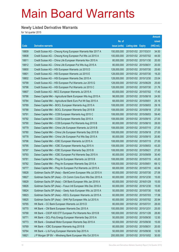### **Newly Listed Derivative Warrants**

for 1st quarter 2015

|       |                                                               |               |                       | <b>Amount</b> |
|-------|---------------------------------------------------------------|---------------|-----------------------|---------------|
|       |                                                               | No. of        |                       | raised        |
| Code  | <b>Derivative warrants</b>                                    | issue (units) | Listing date Expiry   | (HK\$ mil.)   |
| 18809 | Credit Suisse AG - Cheung Kong European Warrants Mar 2017 A   | 150,000,000   | 2015/01/02 2017/03/31 | 34.50         |
| 18808 | Credit Suisse AG – Cheung Kong European Put Wts Jul 2015 A    | 100,000,000   | 2015/01/02 2015/07/02 | 44.00         |
| 18811 | Credit Suisse AG - China Life European Warrants Nov 2015 A    | 80,000,000    | 2015/01/02 2015/11/30 | 20.00         |
| 18812 | Credit Suisse AG – China Life European Put Wts Aug 2015 A     | 80,000,000    | 2015/01/02 2015/08/31 | 20.00         |
| 18800 | Credit Suisse AG - HSI European Warrants Jul 2015 D           | 128,000,000   | 2015/01/02 2015/07/30 | 25.60         |
| 18801 | Credit Suisse AG - HSI European Warrants Jul 2015 E           | 128,000,000   | 2015/01/02 2015/07/30 | 19.20         |
| 18802 | Credit Suisse AG - HSI European Warrants Dec 2015 A           | 128,000,000   | 2015/01/02 2015/12/30 | 23.04         |
| 18799 | Credit Suisse AG - HSI European Put Warrants Jun 2015 G       | 128,000,000   | 2015/01/02 2015/06/29 | 25.60         |
| 18798 | Credit Suisse AG - HSI European Put Warrants Jul 2015 C       | 128,000,000   | 2015/01/02 2015/07/30 | 21.76         |
| 18807 | Credit Suisse AG - MCC European Warrants Jul 2015 A           | 60,000,000    | 2015/01/02 2015/07/02 | 17.40         |
| 18786 | Daiwa Capital Mkt - Agricultural Bank European Wts Aug 2015 A | 98,000,000    | 2015/01/02 2015/08/18 | 24.50         |
| 18784 | Daiwa Capital Mkt - Agricultural Bank Euro Put Wt Sep 2015 A  | 68,000,000    | 2015/01/02 2015/09/01 | 25.16         |
| 18789 | Daiwa Capital Mkt - BOCL European Warrants Aug 2015 A         | 108,000,000   | 2015/01/02 2015/08/03 | 29.16         |
| 18788 | Daiwa Capital Mkt - BOCL European Warrants Sep 2015 B         | 108,000,000   | 2015/01/02 2015/09/18 | 27.00         |
| 18791 | Daiwa Capital Mkt – CCB European Warrants Aug 2015 C          | 108,000,000   | 2015/01/02 2015/08/03 | 59.40         |
| 18792 | Daiwa Capital Mkt - CCB European Warrants Sep 2015 A          | 108,000,000   | 2015/01/02 2015/09/15 | 27.00         |
| 18790 | Daiwa Capital Mkt - CCB European Put Warrants Aug 2015 B      | 80,000,000    | 2015/01/02 2015/08/10 | 28.00         |
| 18779 | Daiwa Capital Mkt - China Life European Warrants Jul 2015 B   | 108,000,000   | 2015/01/02 2015/07/15 | 27.00         |
| 18780 | Daiwa Capital Mkt – China Life European Warrants Sep 2015 B   | 108,000,000   | 2015/01/02 2015/09/18 | 27.00         |
| 18778 | Daiwa Capital Mkt - China Life European Put Wts Sep 2015 A    | 80,000,000    | 2015/01/02 2015/09/15 | 20.80         |
| 18796 | Daiwa Capital Mkt - ICBC European Warrants Jul 2015 A         | 108,000,000   | 2015/01/02 2015/07/15 | 27.00         |
| 18795 | Daiwa Capital Mkt - ICBC European Warrants Aug 2015 A         | 108,000,000   | 2015/01/02 2015/08/03 | 43.20         |
| 18797 | Daiwa Capital Mkt - ICBC European Warrants Sep 2015 B         | 108,000,000   | 2015/01/02 2015/09/21 | 27.00         |
| 18793 | Daiwa Capital Mkt - ICBC European Put Warrants Sep 2015 A     | 80,000,000    | 2015/01/02 2015/09/09 | 30.40         |
| 18781 | Daiwa Capital Mkt - Ping An European Warrants Jul 2015 B      | 108,000,000   | 2015/01/02 2015/07/15 | 43.20         |
| 18782 | Daiwa Capital Mkt – Ping An European Warrants Sep 2015 A      | 108,000,000   | 2015/01/02 2015/09/01 | 69.12         |
| 18777 | Daiwa Capital Mkt - Ping An European Put Warrants Jul 2015 A  | 68,000,000    | 2015/01/02 2015/07/10 | 42.84         |
| 18828 | Goldman Sachs SP (Asia) - BankComm European Wts Jul 2015 A    | 60,000,000    | 2015/01/02 2015/07/30 | 27.06         |
| 18827 | Goldman Sachs SP (Asia) - Ch Comm Cons Euro Wts Dec 2015 A    | 60,000,000    | 2015/01/02 2015/12/30 | 15.00         |
| 18829 | Goldman Sachs SP (Asia) - CM Bank European Wts Jan 2016 A     | 60,000,000    | 2015/01/02 2016/01/29 | 15.00         |
| 18826 | Goldman Sachs SP (Asia) - Fosun Intl European Wts Dec 2016 A  | 60,000,000    | 2015/01/02 2016/12/30 | 15.00         |
| 18824 | Goldman Sachs SP (Asia) - Geely Auto European Wts Jul 2015 A  | 50,000,000    | 2015/01/02 2015/07/30 | 15.80         |
| 18823 | Goldman Sachs SP (Asia) - KECL European Warrants Jul 2015 A   | 60,000,000    | 2015/01/02 2015/07/03 | 17.58         |
| 18825 | Goldman Sachs SP (Asia) - SHK Ppt European Wts Jul 2015 A     | 60,000,000    | 2015/01/02 2015/07/02 | 20.94         |
| 18765 | HK Bank - CC Bank European Warrants Jul 2015 D                | 80,000,000    | 2015/01/02 2015/07/31 | 28.00         |
| 18770 | HK Bank - CM Bank European Warrants Dec 2015 A                | 100,000,000   | 2015/01/02 2015/12/31 | 25.00         |
| 18768 | HK Bank - CSOP A50 ETF European Put Warrants Nov 2015 B       | 180,000,000   | 2015/01/02 2015/11/26 | 28.80         |
| 18771 | HK Bank - GCL-Poly Energy European Warrants Sep 2015 A        | 50,000,000    | 2015/01/02 2015/09/30 | 12.50         |
| 18773 | HK Bank - Greatwall Motor European Warrants Sep 2015 A        | 50,000,000    | 2015/01/02 2015/09/30 | 15.00         |
| 18769 | HK Bank - ICBC European Warrants Aug 2015 B                   | 80,000,000    | 2015/01/02 2015/08/31 | 20.00         |
| 18764 | HK Bank - Li & Fung European Warrants Sep 2015 A              | 50,000,000    | 2015/01/02 2015/09/30 | 12.50         |
| 18821 | J P Morgan SP BV - Minsheng Bank European Wts Oct 2015 A      | 200,000,000   | 2015/01/02 2015/10/02 | 30.00         |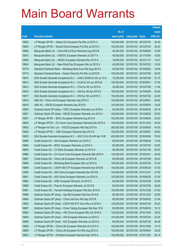|       |                                                                  |               |                            | <b>Amount</b> |
|-------|------------------------------------------------------------------|---------------|----------------------------|---------------|
|       |                                                                  | No. of        |                            | raised        |
| Code  | <b>Derivative warrants</b>                                       | issue (units) | <b>Listing date Expiry</b> | (HK\$ mil.)   |
| 18822 | J P Morgan SP BV - Galaxy Ent European Put Wts Jul 2015 C        | 100,000,000   | 2015/01/02 2015/07/03      | 25.40         |
| 18820 | J P Morgan SP BV - Sands China European Put Wts Jul 2015 C       | 100,000,000   | 2015/01/02 2015/07/03      | 29.30         |
| 18806 | Macquarie Bank Ltd. - China EB Ltd Euro Warrants Aug 2015 B      | 40,000,000    | 2015/01/02 2015/08/04      | 10.00         |
| 18810 | Macquarie Bank Ltd. - CNOOC European Warrants Jul 2017 A         | 40,000,000    | 2015/01/02 2017/07/04      | 10.00         |
| 18805 | Macquarie Bank Ltd. - JNCEC European Warrants Nov 2015 A         | 18,000,000    | 2015/01/02 2015/11/17      | 10.01         |
| 18804 | Macquarie Bank Ltd. - New World Dev European Wts Jul 2015 A      | 40,000,000    | 2015/01/02 2015/07/03      | 10.00         |
| 18776 | Standard Chartered Bank - Minsheng Bank Euro Wts Aug 2015 A      | 40,000,000    | 2015/01/02 2015/08/05      | 18.00         |
| 18774 | Standard Chartered Bank - Sands China Eu Put Wts Jul 2015 B      | 100,000,000   | 2015/01/02 2015/07/06      | 30.00         |
| 18815 | SGA Societe Generale Acceptance N.V. - CAM CSI300 Eu Wt Jul 15 A | 75,000,000    | 2015/01/02 2015/07/06      | 21.75         |
| 18813 | SGA Societe Generale Acceptance N.V. - CLife Eu Wt Jun 2016 B    | 150,000,000   | 2015/01/02 2016/06/01      | 37.50         |
| 18814 | SGA Societe Generale Acceptance N.V. - CTel Eu Wt Jul 2015 A     | 35,000,000    | 2015/01/02 2015/07/06      | 11.38         |
| 18816 | SGA Societe Generale Acceptance N.V. - HSI Eur Wt Apr 2015 D     | 150,000,000   | 2015/01/02 2015/04/29      | 25.50         |
| 18817 | SGA Societe Generale Acceptance N.V. - HSI Eur Wt Jul 2015 C     | 150,000,000   | 2015/01/02 2015/07/30      | 22.50         |
| 18818 | UBS AG - China Life European Warrants Sep 2015 C                 | 100,000,000   | 2015/01/02 2015/09/21      | 25.00         |
| 18819 | UBS AG - HSCEI European Warrants Sep 2015 B                      | 100,000,000   | 2015/01/02 2015/09/29      | 16.00         |
| 18830 | Goldman Sachs SP (Asia) - CRCC European Warrants Jun 2016 A      | 80,000,000    | 2015/01/05 2016/06/30      | 20.16         |
| 18831 | Goldman Sachs SP (Asia) - HSCEI European Warrants Jun 2015 A     | 150,000,000   | 2015/01/05 2015/06/29      | 22.50         |
| 18837 | J P Morgan SP BV - BOCL European Warrants Aug 2015 A             | 100,000,000   | 2015/01/05 2015/08/04      | 25.20         |
| 18834 | J P Morgan SP BV - Ch Comm Cons European Warrants Dec 2015 A     | 100,000,000   | 2015/01/05 2015/12/02      | 25.00         |
| 18835 | J P Morgan Int'l Der. Ltd. - HSCEI European Wts Sep 2015 A       | 300,000,000   | 2015/01/05 2015/09/29      | 45.30         |
| 18836 | J P Morgan SP BV - ICBC European Warrants Sep 2015 A             | 100,000,000   | 2015/01/05 2015/09/01      | 29.60         |
| 18833 | SGA Societe Generale Acceptance N.V. - A50 Ch Eu Put Wt Apr 16 B | 400,000,000   | 2015/01/05 2016/04/06      | 76.00         |
| 18880 | Credit Suisse AG - AIA European Warrants Jun 2015 C              | 80,000,000    | 2015/01/06 2015/06/29      | 12.00         |
| 18884 | Credit Suisse AG - BOCL European Warrants Jul 2015 A             | 80,000,000    | 2015/01/06 2015/07/30      | 20.00         |
| 18883 | Credit Suisse AG - CC Bank European Warrants Jul 2015 A          | 80,000,000    | 2015/01/06 2015/07/30      | 20.00         |
| 18886 | Credit Suisse AG - Ch Comm Cons European Warrants Mar 2016 A     | 120,000,000   | 2015/01/06 2016/03/31      | 30.00         |
| 18887 | Credit Suisse AG - China Life European Warrants Jul 2015 B       | 80,000,000    | 2015/01/06 2015/07/06      | 20.00         |
| 18885 | Credit Suisse AG - Minsheng Bank European Wts Jul 2016 A         | 150,000,000   | 2015/01/06 2016/07/04      | 37.50         |
| 18889 | Credit Suisse AG - CSOP A50 ETF European Warrants Apr 2016 B     | 150,000,000   | 2015/01/06 2016/04/29      | 37.50         |
| 18890 | Credit Suisse AG - A50 China European Warrants Dec 2015 B        | 150,000,000   | 2015/01/06 2015/12/31      | 37.50         |
| 18891 | Credit Suisse AG - A50 China European Warrants Jun 2016 A        | 150,000,000   | 2015/01/06 2016/06/30      | 37.50         |
| 18882 | Credit Suisse AG - ICBC European Warrants Jul 2015 C             | 80,000,000    | 2015/01/06 2015/07/06      | 20.00         |
| 18888 | Credit Suisse AG - Ping An European Warrants Jul 2015 B          | 80,000,000    | 2015/01/06 2015/07/06      | 36.80         |
| 18881 | Credit Suisse AG - Tencent Holdings European Wts Dec 2015 D      | 150,000,000   | 2015/01/06 2015/12/28      | 27.00         |
| 18896 | Goldman Sachs SP (Asia) - Agri Bk European Wts Dec 2015 B        | 80,000,000    | 2015/01/06 2015/12/30      | 20.00         |
| 18894 | Goldman Sachs SP (Asia) - China Life Euro Wts Sep 2015 B         | 80,000,000    | 2015/01/06 2015/09/30      | 21.04         |
| 18893 | Goldman Sachs SP (Asia) - CSOP A50 ETF Euro Wts Jul 2016 A       | 120,000,000   | 2015/01/06 2016/07/29      | 30.24         |
| 18897 | Goldman Sachs SP (Asia) - China Taiping European Wts Sep 15 B    | 60,000,000    | 2015/01/06 2015/09/30      | 18.12         |
| 18892 | Goldman Sachs SP (Asia) - A50 China European Wts Oct 2016 A      | 120,000,000   | 2015/01/06 2016/10/28      | 30.00         |
| 18844 | Goldman Sachs SP (Asia) - HSI European Warrants Jul 2015 C       | 150,000,000   | 2015/01/06 2015/07/30      | 22.50         |
| 18895 | Goldman Sachs SP (Asia) - NCI European Warrants Jul 2015 A       | 80,000,000    | 2015/01/06 2015/07/30      | 26.48         |
| 18858 | J P Morgan SP BV - China Life European Warrants Oct 2015 C       | 100,000,000   | 2015/01/06 2015/10/05      | 15.10         |
| 18860 | J P Morgan SP BV - China Life European Put Wts Aug 2015 A        | 100,000,000   | 2015/01/06 2015/08/04      | 25.00         |
| 18853 | J P Morgan SP BV - CM Bank European Warrants Dec 2015 A          | 100,000,000   | 2015/01/06 2015/12/02      | 25.10         |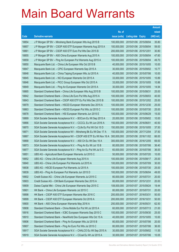|       |                                                                  |               |                            |                       | <b>Amount</b> |
|-------|------------------------------------------------------------------|---------------|----------------------------|-----------------------|---------------|
|       |                                                                  | No. of        |                            |                       | raised        |
| Code  | <b>Derivative warrants</b>                                       | issue (units) | <b>Listing date Expiry</b> |                       | (HK\$ mil.)   |
| 18854 | J P Morgan SP BV - Minsheng Bank European Wts Aug 2015 B         | 100,000,000   | 2015/01/06 2015/08/04      |                       | 35.80         |
| 18857 | J P Morgan SP BV - CSOP A50 ETF European Warrants Aug 2015 A     | 100,000,000   | 2015/01/06 2015/08/04      |                       | 59.00         |
| 18861 | J P Morgan SP BV - CSOP A50 ETF Euro Put Wts Dec 2015 B          | 200,000,000   | 2015/01/06 2015/12/01      |                       | 30.80         |
| 18855 | J P Morgan SP BV - A50 China European Warrants Aug 2015 A        | 100,000,000   | 2015/01/06 2015/08/04      |                       | 47.60         |
| 18859 | J P Morgan SP BV - Ping An European Put Warrants Aug 2015 A      | 100,000,000   |                            | 2015/01/06 2015/08/04 | 49.70         |
| 18850 | Macquarie Bank Ltd. - China Life European Wts Oct 2015 B         | 40,000,000    |                            | 2015/01/06 2015/10/05 | 10.00         |
| 18847 | Macquarie Bank Ltd. - CPIC European Warrants Sep 2015 A          | 30,000,000    |                            | 2015/01/06 2015/09/02 | 10.77         |
| 18848 | Macquarie Bank Ltd. - China Taiping European Wts Jul 2015 A      | 40,000,000    |                            | 2015/01/06 2015/07/06 | 10.00         |
| 18845 | Macquarie Bank Ltd. - NCI European Warrants Oct 2015 A           | 33,000,000    |                            | 2015/01/06 2015/10/05 | 10.89         |
| 18846 | Macquarie Bank Ltd. - PICC Group European Wts Oct 2015 A         | 33,000,000    |                            | 2015/01/06 2015/10/05 | 10.86         |
| 18849 | Macquarie Bank Ltd. - Ping An European Warrants Oct 2015 A       | 30,000,000    | 2015/01/06 2015/10/05      |                       | 14.94         |
| 18865 | Standard Chartered Bank - China Life European Wts Aug 2015 B     | 100,000,000   | 2015/01/06 2015/08/31      |                       | 25.00         |
| 18842 | Standard Chartered Bank - China Life Euro Put Wts Aug 2015 A     | 100,000,000   |                            | 2015/01/06 2015/08/03 | 40.00         |
| 18843 | Standard Chartered Bank - CSOP A50 ETF Eu Put Wts Dec 2015 B     | 100,000,000   |                            | 2015/01/06 2015/12/02 | 25.00         |
| 18879 | Standard Chartered Bank - HSCEI European Warrants Dec 2015 A     | 100,000,000   | 2015/01/06 2015/12/30      |                       | 25.00         |
| 18863 | Standard Chartered Bank - HSCEI European Put Wts Jul 2015 C      | 100,000,000   |                            | 2015/01/06 2015/07/30 | 25.00         |
| 18878 | Standard Chartered Bank - HSI European Warrants Jun 2015 E       | 100,000,000   |                            | 2015/01/06 2015/06/29 | 15.00         |
| 18869 | SGA Societe Generale Acceptance N.V. - BOCom Eu Wt Sep 2015 A    | 20,000,000    |                            | 2015/01/06 2015/09/02 | 10.00         |
| 18866 | SGA Societe Generale Acceptance N.V. - CCCCL Eu Wt Jun 2016 A    | 150,000,000   | 2015/01/06 2016/06/01      |                       | 40.50         |
| 18870 | SGA Societe Generale Acceptance N.V. - CLife Eu Put Wt Oct 15 D  | 150,000,000   |                            | 2015/01/06 2015/10/05 | 37.50         |
| 18871 | SGA Societe Generale Acceptance NV - Minsheng Bk Eu Wt Dec 17 A  | 150,000,000   |                            | 2015/01/06 2017/12/04 | 37.50         |
| 18867 | SGA Societe Generale Acceptance NV - CSOP A50 ETF Eu Wt Nov 16 A | 300,000,000   |                            | 2015/01/06 2016/11/02 | 66.00         |
| 18868 | SGA Societe Generale Acceptance N.V. - A50 Ch Eu Wt Dec 16 A     | 300,000,000   | 2015/01/06 2016/12/05      |                       | 69.00         |
| 18873 | SGA Societe Generale Acceptance N.V. - Ping An Eu Wt Jul 15 B    | 80,000,000    |                            | 2015/01/06 2015/07/06 | 36.40         |
| 18877 | SGA Societe Generale Acceptance N.V - Ping An Eu Put Wt Jul 5 C  | 60,000,000    |                            | 2015/01/06 2015/07/06 | 36.00         |
| 18851 | UBS AG - Agricultural Bank European Warrants Jul 2015 C          | 50,000,000    | 2015/01/06 2015/07/20      |                       | 10.00         |
| 18852 | UBS AG – China Life European Warrants Aug 2015 A                 | 100,000,000   |                            | 2015/01/06 2015/08/17 | 25.00         |
| 18840 | UBS AG - China Life European Put Warrants Jul 2015 A             | 100,000,000   | 2015/01/06 2015/07/09      |                       | 30.00         |
| 18838 | UBS AG - HSCEI European Put Warrants Jul 2015 A                  | 100,000,000   | 2015/01/06 2015/07/30      |                       | 25.00         |
| 18839 | UBS AG - Ping An European Put Warrants Jun 2015 D                | 100,000,000   | 2015/01/06 2015/06/04      |                       | 49.00         |
| 18902 | Credit Suisse AG - China Life European Warrants Jul 2015 C       | 80,000,000    | 2015/01/07 2015/07/31      |                       | 20.00         |
| 18903 | Credit Suisse AG - CM Bank European Warrants Dec 2015 A          | 80,000,000    | 2015/01/07 2015/12/31      |                       | 20.00         |
| 18909 | Daiwa Capital Mkt - China Life European Warrants Sep 2015 C      | 108,000,000   | 2015/01/07 2015/09/24      |                       | 19.44         |
| 18901 | HK Bank - China Life European Warrants Jul 2015 C                | 80,000,000    | 2015/01/07 2015/07/31      |                       | 20.00         |
| 18898 | HK Bank - CSOP A50 ETF European Warrants Mar 2016 C              | 200,000,000   | 2015/01/07 2016/03/31      |                       | 50.00         |
| 18899 | HK Bank - CSOP A50 ETF European Warrants Oct 2016 A              | 200,000,000   | 2015/01/07 2016/10/31      |                       | 50.00         |
| 18900 | HK Bank - A50 China European Warrants May 2016 A                 | 250,000,000   | 2015/01/07 2016/05/31      |                       | 62.50         |
| 18908 | Standard Chartered Bank - China Mobile Eur Put Wt Jul 2015 A     | 60,000,000    | 2015/01/07 2015/07/13      |                       | 21.00         |
| 18916 | Standard Chartered Bank - ICBC European Warrants Sep 2015 C      | 100,000,000   | 2015/01/07 2015/09/30      |                       | 25.00         |
| 18910 | Standard Chartered Bank - NewWorld Dev European Wts Oct 15 A     | 40,000,000    | 2015/01/07 2015/10/05      |                       | 10.00         |
| 18906 | Standard Chartered Bank - Ping An European Wts Jul 2015 B        | 80,000,000    | 2015/01/07 2015/07/06      |                       | 20.00         |
| 18907 | Standard Chartered Bank - Ping An Euro Put Wts Jul 2015 C        | 80,000,000    | 2015/01/07 2015/07/06      |                       | 36.00         |
| 18917 | SGA Societe Generale Acceptance N.V. - CHALCO Eu Wt Sep 2015 A   | 30,000,000    | 2015/01/07 2015/09/02      |                       | 11.55         |
| 18919 | SGA Societe Generale Acceptance N.V. - CCoal Eu Wt Jul 2015 A    | 30,000,000    | 2015/01/07 2015/07/06      |                       | 10.05         |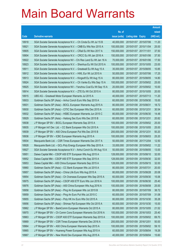|       |                                                                  |               |                            |            | <b>Amount</b> |
|-------|------------------------------------------------------------------|---------------|----------------------------|------------|---------------|
|       |                                                                  | No. of        |                            |            | raised        |
| Code  | <b>Derivative warrants</b>                                       | issue (units) | <b>Listing date Expiry</b> |            | (HK\$ mil.)   |
| 18918 | SGA Societe Generale Acceptance N.V. - Ch Cinda Eu Wt Jul 15 B   | 40,000,000    | 2015/01/07 2015/07/06      |            | 11.20         |
| 18921 | SGA Societe Generale Acceptance N.V. - CMB Eu Wts Nov 2015 A     | 100,000,000   | 2015/01/07 2015/11/04      |            | 25.00         |
| 18905 | SGA Societe Generale Acceptance N.V. - CRail Eu Wt Nov 2017 A    | 150,000,000   | 2015/01/07                 | 2017/11/01 | 37.50         |
| 18904 | SGA Societe Generale Acceptance N.V. - CRCC Eu Wt Jan 2016 A     | 150,000,000   | 2015/01/07 2016/01/06      |            | 37.50         |
| 18922 | SGA Societe Generale Acceptance NV - Chi Res Land Eu Wt Jan 16 A | 70,000,000    | 2015/01/07 2016/01/06      |            | 17.50         |
| 18923 | SGA Societe Generale Acceptance N.V. - Shenhua Eu Wt Oct 2015 A  | 100,000,000   | 2015/01/07 2015/10/05      |            | 23.00         |
| 18911 | SGA Societe Generale Acceptance N.V. - Greatwall Eu Wt Aug 15 A  | 35,000,000    | 2015/01/07                 | 2015/08/05 | 10.85         |
| 18912 | SGA Societe Generale Acceptance N.V. - HWL Eur Wt Jul 2015 A     | 50,000,000    | 2015/01/07 2015/07/06      |            | 17.25         |
| 18913 | SGA Societe Generale Acceptance N.V. - Kingsoft Eu Wt Aug 15 A   | 80,000,000    | 2015/01/07 2015/08/05      |            | 14.80         |
| 18924 | SGA Societe Generale Acceptance N.V. - Ch Vanke Eu Wts Sep 15 A  | 100,000,000   | 2015/01/07 2015/09/02      |            | 25.00         |
| 18925 | SGA Societe Generale Acceptance NV - Yanzhou Coal Eu Wt Sep 15 A | 20,000,000    | 2015/01/07 2015/09/02      |            | 10.00         |
| 18914 | SGA Societe Generale Acceptance N.V. - ZTE Eu Wt Oct 2015 A      | 80,000,000    | 2015/01/07 2015/10/05      |            | 20.00         |
| 18915 | UBS AG - Greatwall Motor European Warrants Jul 2015 A            | 40,000,000    | 2015/01/07 2015/07/13      |            | 11.20         |
| 18933 | Goldman Sachs SP (Asia) – Anhui Conch Euro Wts Sep 2015 A        | 60,000,000    | 2015/01/08 2015/09/30      |            | 15.00         |
| 18931 | Goldman Sachs SP (Asia) - BOCL European Warrants Aug 2015 A      | 80,000,000    | 2015/01/08 2015/08/31      |            | 18.72         |
| 18930 | Goldman Sachs SP (Asia) – CITIC Sec European Wts Dec 2015 A      | 60,000,000    | 2015/01/08 2015/12/31      |            | 30.54         |
| 18932 | Goldman Sachs SP (Asia) – HSBC European Warrants Jun 2015 C      | 80,000,000    | 2015/01/08 2015/06/30      |            | 14.48         |
| 18929 | Goldman Sachs SP (Asia) - Haitong Sec Euro Wts Dec 2015 B        | 60,000,000    | 2015/01/08 2015/12/31      |            | 20.82         |
| 18938 | J P Morgan SP BV - BOCL European Warrants Sep 2015 A             | 100,000,000   | 2015/01/08 2015/09/02      |            | 25.00         |
| 18935 | J P Morgan Int'l Der. Ltd. – CC Bank European Wts Oct 2015 A     | 100,000,000   | 2015/01/08 2015/10/05      |            | 25.00         |
| 18939 | J P Morgan SP BV - A50 China European Put Wts Dec 2015 B         | 200,000,000   | 2015/01/08 2015/12/31      |            | 50.20         |
| 18936 | J P Morgan SP BV - ICBC European Warrants Aug 2015 A             | 100,000,000   | 2015/01/08 2015/08/03      |            | 25.20         |
| 18934 | Macquarie Bank Ltd. - CSR Times European Warrants Dec 2017 A     | 50,000,000    | 2015/01/08 2017/12/04      |            | 12.50         |
| 18928 | Macquarie Bank Ltd. - GCL-Poly Energy European Wts Sep 2015 A    | 33,000,000    | 2015/01/08 2015/09/02      |            | 11.22         |
| 18927 | SGA Societe Generale Acceptance N.V - Anhui Conch Eu Wt Aug 15 A | 50,000,000    | 2015/01/08 2015/08/05      |            | 13.00         |
| 18951 | Daiwa Capital Mkt - CSOP A50 ETF European Wts Aug 2015 A         | 128,000,000   | 2015/01/09 2015/08/10      |            | 32.00         |
| 18952 | Daiwa Capital Mkt - CSOP A50 ETF European Wts Sep 2015 A         | 128,000,000   | 2015/01/09 2015/09/30      |            | 32.00         |
| 18953 | Daiwa Capital Mkt - A50 China European Warrants Sep 2015 A       | 128,000,000   | 2015/01/09 2015/09/15      |            | 32.00         |
| 18960 | Goldman Sachs SP (Asia) - CC Bank European Wts Jul 2015 A        | 80,000,000    | 2015/01/09 2015/07/31      |            | 20.00         |
| 18957 | Goldman Sachs SP (Asia) - China Life Euro Wts Aug 2015 A         | 80,000,000    | 2015/01/09 2015/08/28      |            | 20.08         |
| 18954 | Goldman Sachs SP (Asia) - Ch Overseas European Wts Sep 2015 A    | 60,000,000    | 2015/01/09 2015/09/30      |            | 15.06         |
| 18975 | Goldman Sachs SP (Asia) - CSOP A50 ETF Euro Wts Jun 2016 A       | 100,000,000   | 2015/01/09 2016/06/30      |            | 25.40         |
| 18976 | Goldman Sachs SP (Asia) - A50 China European Wts Aug 2016 A      | 100,000,000   | 2015/01/09                 | 2016/08/08 | 25.00         |
| 18958 | Goldman Sachs SP (Asia) - Ping An European Wts Jul 2015 B        | 80,000,000    | 2015/01/09 2015/07/09      |            | 38.72         |
| 18959 | Goldman Sachs SP (Asia) - Ping An Euro Put Wts Jul 2015 C        | 60,000,000    | 2015/01/09 2015/07/09      |            | 31.08         |
| 18955 | Goldman Sachs SP (Asia) - Poly HK Inv Euro Wts Oct 2015 A        | 80,000,000    | 2015/01/09 2015/10/30      |            | 35.28         |
| 18956 | Goldman Sachs SP (Asia) - Shimao Ppt European Wts Oct 2015 A     | 60,000,000    | 2015/01/09                 | 2015/10/30 | 15.00         |
| 18962 | J P Morgan SP BV - BankComm European Warrants Oct 2015 A         | 80,000,000    | 2015/01/09 2015/10/05      |            | 21.52         |
| 18970 | J P Morgan SP BV - Ch Comm Cons European Warrants Oct 2016 A     | 100,000,000   | 2015/01/09 2016/10/03      |            | 25.40         |
| 18963 | J P Morgan SP BV - CSOP A50 ETF European Warrants Sep 2015 A     | 100,000,000   | 2015/01/09 2015/09/02      |            | 69.70         |
| 18969 | J P Morgan SP BV - CSR Times European Warrants Dec 2016 A        | 200,000,000   | 2015/01/09                 | 2016/12/01 | 50.00         |
| 18964 | J P Morgan SP BV - A50 China European Warrants Sep 2015 A        | 100,000,000   | 2015/01/09 2015/09/02      |            | 59.10         |
| 18965 | J P Morgan SP BV - Huaneng Power European Wts Aug 2015 A         | 60,000,000    | 2015/01/09 2015/08/04      |            | 19.26         |
| 18967 | J P Morgan SP BV - New World Dev European Wts Aug 2015 A         | 40,000,000    | 2015/01/09 2015/08/04      |            | 15.60         |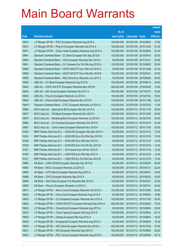|         |                                                               |               |                            |                       | <b>Amount</b> |
|---------|---------------------------------------------------------------|---------------|----------------------------|-----------------------|---------------|
|         |                                                               | No. of        |                            |                       | raised        |
| Code    | <b>Derivative warrants</b>                                    | issue (units) | <b>Listing date Expiry</b> |                       | (HK\$ mil.)   |
| 18974   | J P Morgan SP BV - PICC European Warrants Aug 2016 A          | 150,000,000   |                            | 2015/01/09 2016/08/02 | 37.80         |
| 18973   | J P Morgan SP BV - Ping An European Warrants Oct 2015 A       | 150,000,000   | 2015/01/09 2015/10/05      |                       | 81.90         |
| 18971   | J P Morgan SP BV - China Vanke European Warrants Aug 2015 A   | 100,000,000   | 2015/01/09 2015/08/04      |                       | 25.20         |
| 18941   | Standard Chartered Bank - CC Bank European Wts Sep 2015 B     | 100,000,000   | 2015/01/09 2015/09/15      |                       | 25.00         |
| 18940   | Standard Chartered Bank - CGS European Warrants Dec 2015 A    | 80,000,000    | 2015/01/09 2015/12/31      |                       | 20.00         |
| 18961   | Standard Chartered Bank - Ch Overseas Eur Put Wts Aug 2015 A  | 100,000,000   |                            | 2015/01/09 2015/08/05 | 25.00         |
| 18949   | Standard Chartered Bank - CSOP A50 ETF Euro Wts Oct 2015 A    | 30,000,000    | 2015/01/09 2015/10/08      |                       | 42.30         |
| 18948   | Standard Chartered Bank - CSOP A50 ETF Euro Wts Mar 2016 B    | 100,000,000   | 2015/01/09 2016/03/31      |                       | 25.00         |
| 18950   | Standard Chartered Bank - A50 China Euro Warrants Jun 2015 C  | 40,000,000    |                            | 2015/01/09 2015/06/26 | 28.40         |
| 18945   | UBS AG - CC Bank European Warrants Aug 2015 B                 | 100,000,000   |                            | 2015/01/09 2015/08/10 | 25.00         |
| 18943   | UBS AG - CSOP A50 ETF European Warrants May 2016 B            | 300,000,000   | 2015/01/09 2016/05/30      |                       | 75.00         |
| 18942   | UBS AG - A50 China European Warrants Feb 2017 A               | 300,000,000   |                            | 2015/01/09 2017/02/13 | 76.50         |
| 18944   | UBS AG - Ping An European Warrants Jul 2015 C                 | 100,000,000   |                            | 2015/01/09 2015/07/20 | 76.00         |
| 18946   | UBS AG - China Vanke European Warrants Nov 2015 A             | 100,000,000   |                            | 2015/01/09 2015/11/09 | 25.00         |
| 15801 # | Standard Chartered Bank - CITIC European Warrants Jul 2015 A  | 100,000,000   | 2015/01/09 2015/07/03      |                       | 11.60         |
| 18980   | BOCI Asia Ltd. - Agricultural Bk European Wts Nov 2015 A      | 100,000,000   |                            | 2015/01/12 2015/11/16 | 28.00         |
| 18977   | BOCI Asia Ltd. - CM Bank European Warrants Dec 2015 A         | 100,000,000   | 2015/01/12 2015/12/28      |                       | 25.00         |
| 18979   | BOCI Asia Ltd. - Minsheng Bank European Warrants Jul 2016 A   | 100,000,000   |                            | 2015/01/12 2016/07/25 | 25.00         |
| 18982   | BOCI Asia Ltd. - Ch Overseas European Warrants Oct 2015 A     | 100,000,000   | 2015/01/12 2015/10/19      |                       | 25.00         |
| 18981   | BOCI Asia Ltd. - China Vanke European Warrants Nov 2015 A     | 100,000,000   |                            | 2015/01/12 2015/11/09 | 30.00         |
| 10332   | BNP Paribas Arbit Issu B.V. - AUD/USD European Wts Dec 2015 A | 50,000,000    |                            | 2015/01/12 2015/12/18 | 12.50         |
| 10333   | BNP Paribas Arbit Issu B.V. - AUD/USD Euro Put Wts Dec 2015 B | 50,000,000    |                            | 2015/01/12 2015/12/18 | 12.50         |
| 10328   | BNP Paribas Arbit Issu B.V. - EUR/USD Euro Wts Dec 2015 A     | 50,000,000    | 2015/01/12 2015/12/18      |                       | 12.50         |
| 10329   | BNP Paribas Arbit Issu B.V. - EUR/USD Euro Put Wt Dec 2015 B  | 50,000,000    |                            | 2015/01/12 2015/12/18 | 12.50         |
| 10327   | BNP Paribas Arbit Issu B.V. - Oil Futures Euro Wt Nov 2015 D  | 50,000,000    | 2015/01/12 2015/11/18      |                       | 12.50         |
| 10330   | BNP Paribas Arbit Issu B.V. - USD/YEN Euro Wts Dec 2015 A     | 50,000,000    | 2015/01/12 2015/12/18      |                       | 12.50         |
| 10331   | BNP Paribas Arbit Issu B.V. - USD/YEN Eur Put Wts Dec 2015 B  | 50,000,000    |                            | 2015/01/12 2015/12/18 | 12.50         |
| 18994   | HK Bank - CAM CSI300 European Warrants Sep 2015 B             | 80,000,000    | 2015/01/12 2015/09/30      |                       | 24.00         |
| 18992   | HK Bank - BOCL European Warrants Jul 2015 D                   | 80,000,000    | 2015/01/12 2015/07/31      |                       | 22.40         |
| 18993   | HK Bank - CITIC Bank European Warrants Aug 2015 A             | 60,000,000    | 2015/01/12 2015/08/31      |                       | 16.80         |
| 18988   | HK Bank - CPIC European Warrants Sep 2015 A                   | 60,000,000    | 2015/01/12 2015/09/30      |                       | 18.00         |
| 18989   | HK Bank - A50 China European Put Warrants Mar 2016 C          | 150,000,000   | 2015/01/12 2016/03/21      |                       | 22.50         |
| 18990   | HK Bank - Ping An European Warrants Jul 2015 A                | 80,000,000    | 2015/01/12 2015/07/31      |                       | 40.00         |
| 19017   | J P Morgan SP BV - Anhui Conch European Warrants Oct 2015 A   | 100,000,000   |                            | 2015/01/12 2015/10/05 | 25.00         |
| 19024   | J P Morgan SP BV - China Coal European Warrants Aug 2015 A    | 60,000,000    | 2015/01/12 2015/08/04      |                       | 18.66         |
| 19030   | J P Morgan SP BV - Ch Overseas European Warrants Nov 2015 A   | 100,000,000   | 2015/01/12 2015/11/03      |                       | 25.40         |
| 19026   | J P Morgan SP BV - CSOP A50 ETF European Warrants Sep 2016 A  | 300,000,000   | 2015/01/12 2016/09/02      |                       | 75.30         |
| 19023   | J P Morgan SP BV - Chsouthcity European Warrants Aug 2015 A   | 60,000,000    | 2015/01/12 2015/08/04      |                       | 20.82         |
| 19018   | J P Morgan SP BV - China Taiping European Wts Aug 2015 A      | 100,000,000   | 2015/01/12 2015/08/04      |                       | 25.10         |
| 19020   | J P Morgan SP BV - Datang European Wts Aug 2015 A             | 50,000,000    | 2015/01/12 2015/08/04      |                       | 16.30         |
| 19029   | J P Morgan SP BV - Evergrande European Warrants Aug 2015 A    | 60,000,000    | 2015/01/12 2015/08/04      |                       | 15.30         |
| 19025   | J P Morgan SP BV - A50 China European Warrants Dec 2016 A     | 300,000,000   | 2015/01/12 2016/12/30      |                       | 75.00         |
| 19021   | J P Morgan SP BV - NCI European Warrants Sep 2015 A           | 100,000,000   | 2015/01/12 2015/09/02      |                       | 25.20         |
| 19022   | J P Morgan SP BV - PICC Group European Warrants Aug 2015 A    | 100,000,000   | 2015/01/12 2015/08/04      |                       | 25.10         |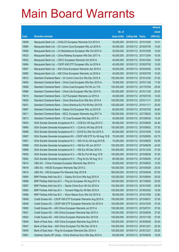|                |                                                                                              |                            |                            |                                                | <b>Amount</b>  |
|----------------|----------------------------------------------------------------------------------------------|----------------------------|----------------------------|------------------------------------------------|----------------|
|                |                                                                                              | No. of                     |                            |                                                | raised         |
| Code           | <b>Derivative warrants</b>                                                                   | issue (units)              | <b>Listing date Expiry</b> |                                                | (HK\$ mil.)    |
| 19009          | Macquarie Bank Ltd. - CHALCO European Warrants Oct 2015 A                                    | 35,000,000                 |                            | 2015/01/12 2015/10/05                          | 10.01          |
| 18985          | Macquarie Bank Ltd. - Ch Comm Cons European Wts Jul 2016 A                                   | 40,000,000                 |                            | 2015/01/12 2016/07/05                          | 10.00          |
| 19008          | Macquarie Bank Ltd. - Ch Molybdenum European Wts Oct 2015 A                                  | 25,000,000                 |                            | 2015/01/12 2015/10/05                          | 10.63          |
| 19033          | Macquarie Bank Ltd. - China Railway European Wts Dec 2017 A                                  | 40,000,000                 |                            | 2015/01/12 2017/12/04                          | 10.00          |
| 19032          | Macquarie Bank Ltd. - CRCC European Warrants Oct 2016 A                                      | 40,000,000                 |                            | 2015/01/12 2016/10/04                          | 10.00          |
| 18984          | Macquarie Bank Ltd. - CSOP A50 ETF European Wts Jul 2016 A                                   | 40,000,000                 |                            | 2015/01/12 2016/07/05                          | 10.00          |
| 19007          | Macquarie Bank Ltd. - A50 China European Warrants Apr 2016 A                                 | 40,000,000                 |                            | 2015/01/12 2016/04/05                          | 10.00          |
| 18983          | Macquarie Bank Ltd. - A50 China European Warrants Jul 2016 A                                 | 40,000,000                 |                            | 2015/01/12 2016/07/05                          | 10.00          |
| 19012          | Standard Chartered Bank - Ch Comm Cons Eur Wts Dec 2015 A                                    | 150,000,000                |                            | 2015/01/12 2015/12/30                          | 37.50          |
| 19004          | Standard Chartered Bank - China Coal European Wts Nov 2015 A                                 | 70,000,000                 |                            | 2015/01/12 2015/11/26                          | 17.50          |
| 19006          | Standard Chartered Bank - China Coal European Put Wt Jul 17A                                 | 100,000,000                |                            | 2015/01/12 2017/07/04                          | 25.00          |
| 18986          | Standard Chartered Bank - China Life European Wts Nov 2015 A                                 | 100,000,000                |                            | 2015/01/12 2015/11/02                          | 25.00          |
| 19010          | Standard Chartered Bank - CLP European Warrants Jul 2015 A                                   | 40,000,000                 |                            | 2015/01/12 2015/07/30                          | 10.00          |
| 19005          | Standard Chartered Bank - China Shenhua Euro Wts Nov 2015 A                                  | 100,000,000                | 2015/01/12 2015/11/11      |                                                | 25.00          |
| 19031          | Standard Chartered Bank - China Shenhua Eu Put Wt Nov 2015 B                                 | 100,000,000                | 2015/01/12 2015/11/11      |                                                | 25.00          |
| 18987          | Standard Chartered Bank - Galaxy Ent European Wts Jul 2015 B                                 | 80,000,000                 |                            | 2015/01/12 2015/07/02                          | 30.80          |
| 19011          | Standard Chartered Bank - KECL European Warrants Aug 2017 A                                  | 100,000,000                |                            | 2015/01/12 2017/08/24                          | 16.00          |
| 19013          | Standard Chartered Bank - YZ Coal European Wts Sep 2015 A                                    | 40,000,000                 |                            | 2015/01/12 2015/09/30                          | 15.20          |
| 19003          | SGA Societe Generale Acceptance N.V. - CCB Eur Wt Aug 2015 C                                 | 80,000,000                 |                            | 2015/01/12 2015/08/05                          | 24.40          |
| 18995          | SGA Societe Generale Acceptance N.V. - CLife Eu Wt Sep 2015 B                                | 150,000,000                |                            | 2015/01/12 2015/09/02                          | 37.50          |
| 18996          | SGA Societe Generale Acceptance N.V - COVS Eu Wts Oct 2015 A                                 | 60,000,000                 |                            | 2015/01/12 2015/10/05                          | 15.00          |
| 18997          | SGA Societe Generale Acceptance NV - CSOP A50 ETF Eu Wt Aug 15 B                             | 70,000,000                 |                            | 2015/01/12 2015/08/05                          | 63.70          |
| 19001          | SGA Societe Generale Acceptance N.V. - A50 Ch Eu Wt Aug 2015 B                               | 70,000,000                 |                            | 2015/01/12 2015/08/05                          | 53.90          |
| 18999          | SGA Societe Generale Acceptance N.V. - HSI Eur Wt Jun 2015 F                                 | 150,000,000                |                            | 2015/01/12 2015/06/29                          | 24.00          |
| 18998          | SGA Societe Generale Acceptance N.V. - HSI Eur Wt Dec 2015 A                                 | 150,000,000                |                            | 2015/01/12 2015/12/30                          | 37.50          |
| 19000          | SGA Societe Generale Acceptance N.V. - HSI Eu Put Wt Aug 15 B                                | 150,000,000                |                            | 2015/01/12 2015/08/28                          | 37.50          |
| 19002          | SGA Societe Generale Acceptance N.V. - Ping An Eu Wt Aug 15 C                                | 80,000,000                 |                            | 2015/01/12 2015/08/05                          | 47.20          |
| 19014          | UBS AG - China Overseas European Warrants Sep 2015 A                                         | 50,000,000                 |                            | 2015/01/12 2015/09/25                          | 12.50          |
| 19016<br>19015 | UBS AG - HSCEI European Warrants Sep 2015 C<br>UBS AG - HSI European Put Warrants Sep 2015 B | 100,000,000<br>300,000,000 |                            | 2015/01/12 2015/09/29<br>2015/01/12 2015/09/29 | 25.00<br>87.00 |
| 19064          | BNP Paribas Arbit Issu B.V. - Galaxy Ent Euro Wts Aug 2015 A                                 | 100,000,000                |                            | 2015/01/13 2015/08/04                          | 25.00          |
| 19068          | BNP Paribas Arbit Issu B.V. - Ping An European Wt Aug 2017 A                                 | 100,000,000                |                            | 2015/01/13 2017/08/02                          | 25.00          |
| 19067          | BNP Paribas Arbit Issu B.V. - Sands China Euro Wt Oct 2015 A                                 | 100,000,000                |                            | 2015/01/13 2015/10/05                          | 25.00          |
| 19065          | BNP Paribas Arbit Issu B.V. - Tencent Hidgs Eu Wt Mar 2016 A                                 | 100,000,000                |                            | 2015/01/13 2016/03/02                          | 15.00          |
| 19066          | BNP Paribas Arbit Issu B.V. - Wynn Macau Euro Wts Oct 2015 A                                 | 80,000,000                 |                            | 2015/01/13 2015/10/05                          | 12.80          |
| 19048          | Credit Suisse AG - CSOP A50 ETF European Warrants Aug 2015 A                                 | 150,000,000                | 2015/01/13 2015/08/31      |                                                | 37.50          |
| 19049          | Credit Suisse AG - CSOP A50 ETF European Warrants Oct 2015 A                                 | 150,000,000                |                            | 2015/01/13 2015/10/30                          | 37.50          |
| 19050          | Credit Suisse AG - A50 China European Warrants Jul 2015 A                                    | 150,000,000                | 2015/01/13 2015/07/31      |                                                | 37.50          |
| 19051          | Credit Suisse AG - A50 China European Warrants Sep 2015 A                                    | 150,000,000                |                            | 2015/01/13 2015/09/30                          | 37.50          |
| 19052          | Credit Suisse AG - A50 China European Warrants Nov 2015 B                                    | 150,000,000                |                            | 2015/01/13 2015/11/30                          | 37.50          |
| 19046          | Bank of East Asia - A50 China European Warrants Aug 2016 A                                   | 100,000,000                | 2015/01/13 2016/08/29      |                                                | 25.00          |
| 19047          | Bank of East Asia - A50 China European Put Wts Dec 2016 A                                    | 100,000,000                | 2015/01/13 2016/12/21      |                                                | 22.50          |
| 19045          | Bank of East Asia - Ping An European Warrants Dec 2016 A                                     | 100,000,000                | 2015/01/13 2016/12/21      |                                                | 25.00          |
| 19081          | Goldman Sachs SP (Asia) - China Shenhua Euro Wts Sep 2015 A                                  | 60,000,000                 |                            | 2015/01/13 2015/09/30                          | 15.00          |
|                |                                                                                              |                            |                            |                                                |                |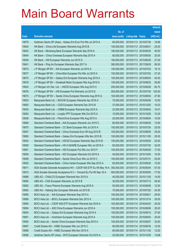|       |                                                                  |               |                            |                       | <b>Amount</b> |
|-------|------------------------------------------------------------------|---------------|----------------------------|-----------------------|---------------|
|       |                                                                  | No. of        |                            |                       | raised        |
| Code  | <b>Derivative warrants</b>                                       | issue (units) | <b>Listing date Expiry</b> |                       | (HK\$ mil.)   |
| 19079 | Goldman Sachs SP (Asia) – Galaxy Ent Euro Put Wts Jul 2015 A     | 60,000,000    |                            | 2015/01/13 2015/07/30 | 18.66         |
| 19042 | HK Bank – China Life European Warrants Aug 2015 B                | 100,000,000   | 2015/01/13 2015/08/31      |                       | 25.00         |
| 19043 | HK Bank – Minsheng Bank European Warrants Sep 2016 A             | 180,000,000   | 2015/01/13 2016/09/30      |                       | 45.00         |
| 19044 | HK Bank – China Overseas European Warrants Sep 2015 A            | 80,000,000    | 2015/01/13 2015/09/30      |                       | 20.00         |
| 19039 | HK Bank - HSI European Warrants Jun 2015 G                       | 180,000,000   | 2015/01/13 2015/06/29      |                       | 27.00         |
| 19041 | HK Bank - Ping An European Warrants Sep 2017 A                   | 380,000,000   | 2015/01/13 2017/09/29      |                       | 95.00         |
| 19073 | J P Morgan SP BV - AIA European Warrants Jul 2015 A              | 100,000,000   | 2015/01/13 2015/07/03      |                       | 19.10         |
| 19077 | J P Morgan SP BV - China Mob European Put Wts Jul 2015 A         | 100,000,000   | 2015/01/13 2015/07/02      |                       | 27.30         |
| 19075 | J P Morgan SP BV - Galaxy Ent European Warrants Aug 2015 A       | 100,000,000   |                            | 2015/01/13 2015/08/04 | 40.00         |
| 19078 | J P Morgan SP BV - Greatwall Motor European Wts Aug 2015 A       | 100,000,000   |                            | 2015/01/13 2015/08/03 | 26.80         |
| 19034 | J P Morgan Int'l Der. Ltd. - HSCEI European Wts Aug 2015 C       | 250,000,000   | 2015/01/13 2015/08/28      |                       | 62.75         |
| 19076 | J P Morgan SP BV - HSI European Put Warrants Jul 2015 E          | 500,000,000   | 2015/01/13 2015/07/30      |                       | 125.50        |
| 19074 | J P Morgan SP BV - Sands China European Warrants Aug 2015 A      | 100,000,000   | 2015/01/13 2015/08/04      |                       | 27.90         |
| 19053 | Macquarie Bank Ltd. - BOCHK European Warrants Apr 2016 A         | 70,000,000    |                            | 2015/01/13 2016/04/05 | 10.50         |
| 19062 | Macquarie Bank Ltd. - CGS European Warrants Dec 2015 B           | 37,000,000    |                            | 2015/01/13 2015/12/02 | 10.03         |
| 19035 | Macquarie Bank Ltd. - CNBM European Warrants Sep 2015 A          | 23,000,000    | 2015/01/13 2015/09/02      |                       | 10.01         |
| 19063 | Macquarie Bank Ltd. - Longfor PPT European Wts Oct 2015 A        | 15,000,000    |                            | 2015/01/13 2015/10/05 | 10.25         |
| 19036 | Macquarie Bank Ltd. - PetroChina European Wts Aug 2015 A         | 25,000,000    | 2015/01/13 2015/08/04      |                       | 10.00         |
| 19069 | Standard Chartered Bank - AIA European Warrants Jun 2015 C       | 80,000,000    | 2015/01/13 2015/06/29      |                       | 13.60         |
| 19070 | Standard Chartered Bank – CC Bank European Wts Jul 2015 A        | 100,000,000   | 2015/01/13 2015/07/24      |                       | 25.00         |
| 19057 | Standard Chartered Bank – China Overseas Euro Wt Aug 2015 B      | 100,000,000   |                            | 2015/01/13 2015/08/05 | 25.00         |
| 19060 | Standard Chartered Bank - Galaxy Ent European Wts Nov 2015 B     | 100,000,000   | 2015/01/13 2015/11/05      |                       | 25.00         |
| 19054 | Standard Chartered Bank - HSCEI European Warrants Sep 2015 B     | 100,000,000   | 2015/01/13 2015/09/29      |                       | 25.00         |
| 19059 | Standard Chartered Bank - HS H-SHARE European Wts Jul 2015 A     | 80,000,000    | 2015/01/13 2015/07/30      |                       | 32.00         |
| 19061 | Standard Chartered Bank – HSI European Put Wts Jun 2015 F        | 100,000,000   | 2015/01/13 2015/06/29      |                       | 17.00         |
| 19058 | Standard Chartered Bank - NCI European Warrants Oct 2015 A       | 40,000,000    | 2015/01/13 2015/10/05      |                       | 10.00         |
| 19056 | Standard Chartered Bank – Sands China Euro Wts Jul 2015 C        | 100,000,000   | 2015/01/13 2015/07/31      |                       | 25.00         |
| 19055 | Standard Chartered Bank - China Vanke European Wts Sep 2015 A    | 60,000,000    | 2015/01/13 2015/09/30      |                       | 15.00         |
| 19071 | SGA Societe Generale Acceptance NV - CSOP A50 ETF Eu Wt May 16 A | 300,000,000   | 2015/01/13 2016/05/04      |                       | 57.00         |
| 19072 | SGA Societe Generale Acceptance N.V - Tencent Eu Put Wt Sep 16 A | 500,000,000   | 2015/01/13 2016/09/05      |                       | 77.50         |
| 19086 | UBS AG - CHALCO European Warrants Nov 2015 A                     | 40,000,000    | 2015/01/13 2015/11/30      |                       | 14.00         |
| 19084 | UBS AG - CGS European Warrants Jul 2015 B                        | 30,000,000    | 2015/01/13 2015/07/13      |                       | 49.50         |
| 19082 | UBS AG - Fosun Pharma European Warrants Aug 2016 A               | 50,000,000    | 2015/01/13 2016/08/08      |                       | 12.50         |
| 19083 | UBS AG - Haitong Sec European Warrants Jul 2015 B                | 70,000,000    | 2015/01/13 2015/07/20      |                       | 24.50         |
| 19090 | BOCI Asia Ltd. - AIA European Warrants Sep 2015 A                | 100,000,000   | 2015/01/14 2015/09/21      |                       | 29.00         |
| 19089 | BOCI Asia Ltd. - BOCL European Warrants Dec 2015 A               | 100,000,000   | 2015/01/14 2015/12/14      |                       | 35.00         |
| 19095 | BOCI Asia Ltd. - CSOP A50 ETF European Warrants Apr 2016 A       | 100,000,000   | 2015/01/14                 | 2016/04/25            | 25.00         |
| 19094 | BOCI Asia Ltd. - A50 China European Warrants Jun 2016 A          | 100,000,000   | 2015/01/14 2016/06/06      |                       | 25.00         |
| 19093 | BOCI Asia Ltd. - Galaxy Ent European Warrants Aug 2015 A         | 100,000,000   | 2015/01/14 2015/08/10      |                       | 37.00         |
| 19091 | BOCI Asia Ltd. - Hutchison European Warrants Aug 2015 A          | 100,000,000   | 2015/01/14 2015/08/03      |                       | 34.00         |
| 19092 | BOCI Asia Ltd. - Sands China European Warrants Sep 2015 A        | 100,000,000   | 2015/01/14                 | 2015/09/07            | 33.00         |
| 19087 | Credit Suisse AG - HSBC European Wts Jun 2015 C                  | 80,000,000    | 2015/01/14 2015/06/30      |                       | 12.00         |
| 19088 | Credit Suisse AG - HSBC European Wts Nov 2015 A                  | 80,000,000    | 2015/01/14 2015/11/30      |                       | 12.00         |
| 19096 | Goldman Sachs SP (Asia) - BYD European Warrants Oct 2015 A       | 20,000,000    | 2015/01/14 2015/10/30      |                       | 13.68         |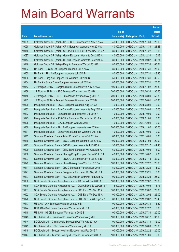|       |                                                                  |               |                            |            | <b>Amount</b> |
|-------|------------------------------------------------------------------|---------------|----------------------------|------------|---------------|
|       |                                                                  | No. of        |                            |            | raised        |
| Code  | <b>Derivative warrants</b>                                       | issue (units) | <b>Listing date Expiry</b> |            | (HK\$ mil.)   |
| 19099 | Goldman Sachs SP (Asia) - Ch COSCO European Wts Nov 2015 A       | 40,000,000    | 2015/01/14 2015/11/30      |            | 23.16         |
| 19098 | Goldman Sachs SP (Asia) - CPIC European Warrants Nov 2015 A      | 40,000,000    | 2015/01/14 2015/11/30      |            | 23.28         |
| 19115 | Goldman Sachs SP (Asia) - CSOP A50 ETF Eu Put Wts Nov 2015 A     | 80,000,000    | 2015/01/14 2015/11/27      |            | 12.16         |
| 19097 | Goldman Sachs SP (Asia) - Gome European Warrants Dec 2015 A      | 40,000,000    | 2015/01/14 2015/12/30      |            | 10.12         |
| 19114 | Goldman Sachs SP (Asia) - HSBC European Warrants Sep 2015 A      | 80,000,000    | 2015/01/14 2015/09/02      |            | 30.24         |
| 19116 | Goldman Sachs SP (Asia) - Ping An European Wts Jul 2015 D        | 80,000,000    | 2015/01/14 2015/07/30      |            | 60.64         |
| 19103 | HK Bank - Galaxy Ent European Warrants Jul 2015 A                | 80,000,000    | 2015/01/14 2015/07/31      |            | 28.00         |
| 19105 | HK Bank - Ping An European Warrants Jul 2015 B                   | 80,000,000    | 2015/01/14 2015/07/31      |            | 48.80         |
| 19106 | HK Bank - Ping An European Put Warrants Jul 2015 C               | 50,000,000    | 2015/01/14 2015/07/31      |            | 35.50         |
| 19104 | HK Bank - Sands China European Warrants Jul 2015 A               | 80,000,000    | 2015/01/14 2015/07/31      |            | 20.00         |
| 19143 | J P Morgan SP BV - Dongfeng Motor European Wts Nov 2016 A        | 100,000,000   | 2015/01/14 2016/11/02      |            | 25.30         |
| 19138 | J P Morgan SP BV - HSBC European Warrants Jun 2015 B             | 200,000,000   | 2015/01/14 2015/06/30      |            | 30.60         |
| 19140 | J P Morgan SP BV - HSBC European Put Warrants Aug 2015 A         | 200,000,000   | 2015/01/14 2015/08/04      |            | 50.80         |
| 19142 | J P Morgan SP BV - Tencent European Warrants Jun 2015 B          | 200,000,000   | 2015/01/14 2015/06/01      |            | 40.80         |
| 19129 | Macquarie Bank Ltd. - BOCL European Warrants Aug 2015 A          | 40,000,000    | 2015/01/14 2015/08/04      |            | 10.00         |
| 19132 | Macquarie Bank Ltd. - BankComm European Warrants Aug 2015 A      | 40,000,000    | 2015/01/14 2015/08/04      |            | 10.00         |
| 19133 | Macquarie Bank Ltd. - China Mobile European Wts Oct 2015 A       | 40,000,000    | 2015/01/14 2015/10/05      |            | 10.00         |
| 19125 | Macquarie Bank Ltd. - A50 China European Warrants Jan 2016 A     | 40,000,000    | 2015/01/14 2016/01/04      |            | 10.00         |
| 19128 | Macquarie Bank Ltd. - GAC European Wts Dec 2017 A                | 40,000,000    | 2015/01/14 2017/12/04      |            | 10.00         |
| 19130 | Macquarie Bank Ltd. - Ping An European Warrants Nov 2016 A       | 200,000,000   | 2015/01/14 2016/11/02      |            | 30.00         |
| 19131 | Macquarie Bank Ltd. - China Vanke European Warrants Oct 15 B     | 40,000,000    | 2015/01/14 2015/10/05      |            | 10.00         |
| 19112 | Standard Chartered Bank - Anhui Conch Euro Wts Oct 2015 A        | 60,000,000    | 2015/01/14 2015/10/05      |            | 15.00         |
| 19110 | Standard Chartered Bank - BOCL European Warrants Jul 2015 A      | 100,000,000   | 2015/01/14 2015/07/03      |            | 20.00         |
| 19123 | Standard Chartered Bank - CGS European Warrants Jul 2015 A       | 30,000,000    | 2015/01/14 2015/07/17      |            | 41.40         |
| 19109 | Standard Chartered Bank - CITIC Bank European Wts Oct 2015 A     | 60,000,000    | 2015/01/14 2015/10/05      |            | 18.00         |
| 19108 | Standard Chartered Bank - Cheung Kong European Put Wt Oct 15 A   | 40,000,000    | 2015/01/14 2015/10/02      |            | 12.00         |
| 19107 | Standard Chartered Bank - CNOOC European Put Wts Jul 2015 B      | 80,000,000    | 2015/01/14 2015/07/13      |            | 32.00         |
| 19122 | Standard Chartered Bank - China Railway Euro Wts Dec 2017 A      | 100,000,000   | 2015/01/14 2017/12/22      |            | 25.00         |
| 19111 | Standard Chartered Bank - CRCC European Warrants Dec 2015 A      | 50,000,000    | 2015/01/14 2015/12/23      |            | 11.00         |
| 19121 | Standard Chartered Bank - Evergrande European Wts Sep 2015 A     | 40,000,000    | 2015/01/14 2015/09/21      |            | 10.00         |
| 19137 | Standard Chartered Bank - HSCEI European Warrants Aug 2015 A     | 100,000,000   | 2015/01/14 2015/08/28      |            | 25.00         |
| 19100 | SGA Societe Generale Acceptance N.V. - AIA Eur Wt Dec 2015 A     | 100,000,000   | 2015/01/14 2015/12/02      |            | 20.00         |
| 19119 | SGA Societe Generale Acceptance N.V. - CAM CSI300 Eu Wt Oct 15 A | 75,000,000    | 2015/01/14                 | 2015/10/05 | 18.75         |
| 19101 | SGA Societe Generale Acceptance N.V. - CGS Euro Wts Sep 15 A     | 100,000,000   | 2015/01/14 2015/09/02      |            | 26.00         |
| 19102 | SGA Societe Generale Acceptance N.V. - CGS Euro Wts Dec 15 A     | 100,000,000   | 2015/01/14 2015/12/02      |            | 25.00         |
| 19120 | SGA Societe Generale Acceptance N.V. - CITIC Sec Eu Wt Sep 15 B  | 60,000,000    | 2015/01/14 2015/09/02      |            | 26.40         |
| 19117 | UBS AG - AIA European Warrants Jun 2015 B                        | 100,000,000   | 2015/01/14 2015/06/30      |            | 16.50         |
| 19124 | UBS AG - BankComm European Warrants Jul 2015 A                   | 40,000,000    | 2015/01/14 2015/07/27      |            | 15.00         |
| 19118 | UBS AG - HSCEI European Warrants Jul 2015 B                      | 100,000,000   | 2015/01/14 2015/07/30      |            | 20.00         |
| 19145 | BOCI Asia Ltd. - China Mobile European Warrants Aug 2015 B       | 100,000,000   | 2015/01/15 2015/08/17      |            | 37.00         |
| 19144 | BOCI Asia Ltd. - China Mobile European Put Wts Aug 2015 A        | 100,000,000   | 2015/01/15 2015/08/10      |            | 42.00         |
| 19149 | BOCI Asia Ltd. - HSBC European Warrants Aug 2015 A               | 100,000,000   | 2015/01/15 2015/08/03      |            | 25.00         |
| 19148 | BOCI Asia Ltd. - Tencent Holdings European Wts Feb 2016 A        | 100,000,000   | 2015/01/15 2016/02/22      |            | 20.00         |
| 19147 | BOCI Asia Ltd. - Tencent Holdings European Put Wts Nov 2015 A    | 100,000,000   | 2015/01/15 2015/11/06      |            | 15.00         |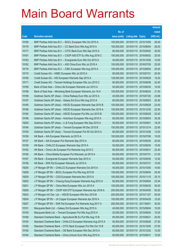|       |                                                                |               |                            |                       | <b>Amount</b> |
|-------|----------------------------------------------------------------|---------------|----------------------------|-----------------------|---------------|
|       |                                                                | No. of        |                            |                       | raised        |
| Code  | <b>Derivative warrants</b>                                     | issue (units) | <b>Listing date Expiry</b> |                       | (HK\$ mil.)   |
| 19180 | BNP Paribas Arbit Issu B.V. - BOCL European Wts Oct 2015 A     | 100,000,000   |                            | 2015/01/15 2015/10/05 | 26.00         |
| 19176 | BNP Paribas Arbit Issu B.V. - CC Bank Euro Wts Aug 2015 A      | 100,000,000   | 2015/01/15 2015/08/04      |                       | 26.00         |
| 19177 | BNP Paribas Arbit Issu B.V. - CITIC Bank Euro Wts Sep 2015 A   | 80,000,000    |                            | 2015/01/15 2015/09/02 | 20.00         |
| 19181 | BNP Paribas Arbit Issu B.V. - CSOP A50 ETF Eu Wts Aug 2016 C   | 100,000,000   |                            | 2015/01/15 2016/08/02 | 25.00         |
| 19183 | BNP Paribas Arbit Issu B.V. - Evergrande Euro Wts Oct 2015 A   | 40,000,000    |                            | 2015/01/15 2015/10/05 | 10.00         |
| 19182 | BNP Paribas Arbit Issu B.V. - A50 China Euro Wts Jul 2016 A    | 100,000,000   |                            | 2015/01/15 2016/07/05 | 25.00         |
| 19178 | BNP Paribas Arbit Issu B.V. - ICBC European Wts Aug 2015 A     | 100,000,000   | 2015/01/15 2015/08/04      |                       | 25.00         |
| 19170 | Credit Suisse AG - HSBC European Wts Jul 2015 A                | 80,000,000    | 2015/01/15 2015/07/31      |                       | 20.00         |
| 19169 | Credit Suisse AG - HSI European Warrants Sep 2015 A            | 128,000,000   |                            | 2015/01/15 2015/09/29 | 19.20         |
| 19171 | Credit Suisse AG - Tencent Holdings European Wts Jun 2015 C    | 80,000,000    | 2015/01/15 2015/06/08      |                       | 22.40         |
| 19189 | Bank of East Asia - China Life European Warrants Jun 2015 A    | 50,000,000    |                            | 2015/01/15 2015/06/30 | 10.00         |
| 19188 | Bank of East Asia - Minsheng Bank European Warrants Jun 16 A   | 100,000,000   |                            | 2015/01/15 2016/06/24 | 21.00         |
| 19199 | Goldman Sachs SP (Asia) - China Railway Euro Wts Jul 2015 A    | 40,000,000    |                            | 2015/01/15 2015/07/20 | 23.68         |
| 19197 | Goldman Sachs SP (Asia) - Galaxy Ent Euro Wts Aug 2015 A       | 80,000,000    |                            | 2015/01/15 2015/08/03 | 22.40         |
| 19185 | Goldman Sachs SP (Asia) - HSCEI European Warrants Sep 2015 B   | 150,000,000   | 2015/01/15 2015/09/29      |                       | 23.40         |
| 19186 | Goldman Sachs SP (Asia) - HSCEI European Warrants Dec 2015 A   | 150,000,000   | 2015/01/15 2015/12/30      |                       | 22.50         |
| 19184 | Goldman Sachs SP (Asia) - HSCEI European Put Wts Jun 2015 B    | 150,000,000   |                            | 2015/01/15 2015/06/29 | 23.40         |
| 19196 | Goldman Sachs SP (Asia) - Hutchison European Wts Aug 2015 A    | 80,000,000    |                            | 2015/01/15 2015/08/03 | 35.28         |
| 19200 | Goldman Sachs SP (Asia) - Li & Fung European Wts Sep 2015 A    | 50,000,000    | 2015/01/15 2015/09/01      |                       | 18.25         |
| 19194 | Goldman Sachs SP (Asia) - Tencent European Wt Dec 2015 B       | 150,000,000   | 2015/01/15 2015/12/14      |                       | 22.65         |
| 19195 | Goldman Sachs SP (Asia) - Tencent European Put Wt Oct 2015 A   | 80,000,000    |                            | 2015/01/15 2015/10/26 | 12.00         |
| 19156 | HK Bank - AIA European Warrants Jul 2015 A                     | 100,000,000   |                            | 2015/01/15 2015/07/06 | 15.00         |
| 19157 | HK Bank - AIA European Put Warrants Sep 2015 A                 | 80,000,000    |                            | 2015/01/15 2015/09/30 | 20.00         |
| 19159 | HK Bank - CHALCO European Warrants Sep 2015 A                  | 50,000,000    | 2015/01/15 2015/09/30      |                       | 15.00         |
| 19162 | HK Bank - China Life European Put Warrants Aug 2015 C          | 80,000,000    | 2015/01/15 2015/08/31      |                       | 22.40         |
| 19160 | HK Bank - China Mobile European Put Warrants Jul 2015 A        | 60,000,000    | 2015/01/15 2015/07/31      |                       | 21.00         |
| 19167 | HK Bank – Evergrande European Warrants Sep 2015 A              | 50,000,000    | 2015/01/15 2015/09/30      |                       | 12.50         |
| 19158 | HK Bank - SHK Ppt European Warrants Jul 2015 A                 | 60,000,000    | 2015/01/15 2015/07/31      |                       | 15.00         |
| 19205 | J P Morgan SP BV - CHALCO European Warrants Oct 2015 A         | 40,000,000    | 2015/01/15 2015/10/05      |                       | 10.60         |
| 19208 | J P Morgan SP BV - BOCL European Put Wts Aug 2015 B            | 100,000,000   | 2015/01/15 2015/08/04      |                       | 25.40         |
| 19209 | J P Morgan SP BV - CGS European Warrants Nov 2015 A            | 100,000,000   | 2015/01/15 2015/11/10      |                       | 25.10         |
| 19202 | J P Morgan SP BV - Cheung Kong European Warrants Aug 2015 A    | 60,000,000    | 2015/01/15 2015/08/04      |                       | 23.04         |
| 19201 | J P Morgan SP BV - China Mob European Wts Jun 2015 A           | 100,000,000   | 2015/01/15 2015/06/30      |                       | 35.00         |
| 19206 | J P Morgan SP BV - CSOP A50 ETF European Warrants Apr 2016 A   | 200,000,000   |                            | 2015/01/15 2016/04/05 | 50.20         |
| 19203 | J P Morgan Int'l Der. Ltd. - HSCEI European Wts Nov 2015 B     | 200,000,000   | 2015/01/15 2015/11/27      |                       | 50.00         |
| 19204 | J P Morgan SP BV - JX Copper European Warrants Apr 2016 A      | 100,000,000   | 2015/01/15 2016/04/29      |                       | 15.20         |
| 19207 | J P Morgan SP BV - SHK Ppt European Put Warrants Aug 2017 A    | 200,000,000   | 2015/01/15 2017/08/01      |                       | 30.00         |
| 19151 | Macquarie Bank Ltd. - Galaxy Ent European Wts Aug 2015 A       | 40,000,000    | 2015/01/15 2015/08/04      |                       | 10.00         |
| 19150 | Macquarie Bank Ltd. - Tencent European Put Wts Aug 2015 A      | 20,000,000    | 2015/01/15 2015/08/04      |                       | 10.00         |
| 19166 | Standard Chartered Bank - Agricultural Bk Eu Put Wts Aug 15 B  | 80,000,000    | 2015/01/15 2015/08/21      |                       | 20.00         |
| 19193 | Standard Chartered Bank - CHALCO European Warrants Aug 2015 A  | 50,000,000    | 2015/01/15 2015/08/26      |                       | 27.50         |
| 19165 | Standard Chartered Bank - CITIC Bank European Put Wts Oct 15 B | 60,000,000    | 2015/01/15 2015/10/05      |                       | 27.00         |
| 19192 | Standard Chartered Bank - CM Bank European Wts Dec 2015 A      | 80,000,000    | 2015/01/15 2015/12/02      |                       | 12.00         |
| 19164 | Standard Chartered Bank - China Unicom Euro Wts Aug 2015 A     | 60,000,000    | 2015/01/15 2015/08/31      |                       | 15.00         |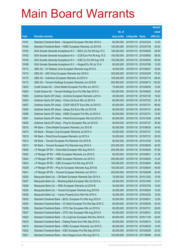|       |                                                                 |               |                            | <b>Amount</b> |
|-------|-----------------------------------------------------------------|---------------|----------------------------|---------------|
|       |                                                                 | No. of        |                            | raised        |
| Code  | <b>Derivative warrants</b>                                      | issue (units) | <b>Listing date Expiry</b> | (HK\$ mil.)   |
| 19191 | Standard Chartered Bank - Henganintl European Wts Mar 2016 A    | 80,000,000    | 2015/01/15 2016/03/24      | 12.00         |
| 19163 | Standard Chartered Bank - HSBC European Warrants Jul 2015 B     | 100,000,000   | 2015/01/15 2015/07/30      | 30.00         |
| 19152 | SGA Societe Generale Acceptance N.V. - BOCL Eu Put Wt Aug 15 C  | 100,000,000   | 2015/01/15 2015/08/05      | 29.50         |
| 19153 | SGA Societe Generale Acceptance N.V. - CCB Euro Put Wt Aug 15 D | 100,000,000   | 2015/01/15 2015/08/05      | 58.00         |
| 19155 | SGA Societe Generale Acceptance N.V. - ICBC Eu Put Wt Aug 15 B  | 100,000,000   | 2015/01/15 2015/08/05      | 50.00         |
| 19168 | SGA Societe Generale Acceptance N.V. - Kingsoft Eu Wt Jul 15 A  | 80,000,000    | 2015/01/15 2015/07/06      | 12.00         |
| 19173 | UBS AG - Ch Railway Cons European Warrants Aug 2015 A           | 40,000,000    | 2015/01/15 2015/08/27      | 35.60         |
| 19174 | UBS AG - A50 China European Warrants Apr 2016 A                 | 300,000,000   | 2015/01/15 2016/04/25      | 75.00         |
| 19175 | UBS AG - Hutchison European Warrants Jul 2015 A                 | 100,000,000   | 2015/01/15 2015/07/14      | 68.00         |
| 19172 | UBS AG - Tencent Holdings European Warrants Jun 2016 B          | 500,000,000   | 2015/01/15 2016/06/13      | 125.00        |
| 19223 | Credit Suisse AG - China Mobile European Put Wts Jun 2015 C     | 70,000,000    | 2015/01/16 2015/06/30      | 12.60         |
| 19224 | Credit Suisse AG - Tencent Holdings Euro Put Wts Sep 2015 C     | 100,000,000   | 2015/01/16 2015/09/02      | 16.00         |
| 19254 | Goldman Sachs SP (Asia) - Avichina European Warrants Jul15 A    | 40,000,000    | 2015/01/16 2015/07/30      | 19.52         |
| 19253 | Goldman Sachs SP (Asia) - China Life Euro Wts Jul 2015 A        | 80,000,000    | 2015/01/16 2015/07/22      | 24.16         |
| 19257 | Goldman Sachs SP (Asia) - CSOP A50 ETF Euro Wts Jul 2015 C      | 80,000,000    | 2015/01/16 2015/07/31      | 86.80         |
| 19255 | Goldman Sachs SP (Asia) - Galaxy Ent Euro Wts Jul 2015 B        | 80,000,000    | 2015/01/16 2015/07/31      | 20.80         |
| 19256 | Goldman Sachs SP (Asia) - HSBC European Put Wts Jul 2015 A      | 60,000,000    | 2015/01/16 2015/07/31      | 15.90         |
| 19251 | Goldman Sachs SP (Asia) - PetroChina European Wts Oct 2015 A    | 80,000,000    | 2015/01/16 2015/10/29      | 24.96         |
| 19252 | Goldman Sachs SP (Asia) - Ping An European Wts Jul 2015 E       | 80,000,000    | 2015/01/16 2015/07/27      | 30.56         |
| 19210 | HK Bank - China Mobile European Warrants Jun 2015 B             | 80,000,000    | 2015/01/16 2015/06/30      | 34.40         |
| 19215 | HK Bank - Sinopec Corp European Warrants Jul 2015 A             | 50,000,000    | 2015/01/16 2015/07/31      | 14.00         |
| 19216 | HK Bank - PetroChina European Warrants Jul 2015 A               | 50,000,000    | 2015/01/16 2015/07/31      | 20.50         |
| 19212 | HK Bank - Tencent European Put Warrants Oct 2015 B              | 80,000,000    | 2015/01/16 2015/10/30      | 12.00         |
| 19214 | HK Bank - Tencent European Put Warrants Aug 2016 A              | 250,000,000   | 2015/01/16 2016/08/29      | 40.00         |
| 19240 | J P Morgan SP BV - China Mob European Wts Aug 2015 A            | 200,000,000   | 2015/01/16 2015/08/04      | 57.80         |
| 19242 | J P Morgan SP BV - HKEx European Warrants Jun 2015 D            | 80,000,000    | 2015/01/16 2015/06/01      | 21.28         |
| 19244 | J P Morgan SP BV - HSBC European Warrants Jun 2015 C            | 200,000,000   | 2015/01/16 2015/06/03      | 31.20         |
| 19243 | J P Morgan SP BV - ICBC European Put Wts Aug 2015 B             | 100,000,000   | 2015/01/16 2015/08/04      | 38.90         |
| 19238 | J P Morgan SP BV - Ping An European Warrants Aug 2015 B         | 100,000,000   | 2015/01/16 2015/08/04      | 45.60         |
| 19241 | J P Morgan SP BV - Tencent European Warrants Jun 2015 C         | 200,000,000   | 2015/01/16 2015/06/08      | 30.40         |
| 19225 | Macquarie Bank Ltd. - CM Bank European Warrants Dec 2015 A      | 70,000,000    | 2015/01/16 2015/12/02      | 10.50         |
| 19227 | Macquarie Bank Ltd. - Minsheng Bank European Wts Oct 2015 A     | 28,000,000    | 2015/01/16 2015/10/05      | 10.47         |
| 19226 | Macquarie Bank Ltd. - HKEx European Warrants Jul 2016 B         | 40,000,000    | 2015/01/16 2016/07/05      | 10.00         |
| 19230 | Macquarie Bank Ltd. - Tencent European Warrants Aug 2015 B      | 20,000,000    | 2015/01/16 2015/08/04      | 10.00         |
| 19228 | Macquarie Bank Ltd. - Yuexiu Property Euro Wts Feb 2016 A       | 40,000,000    | 2015/01/16 2016/02/02      | 10.00         |
| 19235 | Standard Chartered Bank - BOCL European Put Wts Aug 2015 A      | 50,000,000    | 2015/01/16 2015/08/31      | 12.50         |
| 19234 | Standard Chartered Bank - CC Bank European Put Wts Sep 2015 C   | 80,000,000    | 2015/01/16 2015/09/30      | 42.40         |
| 19236 | Standard Chartered Bank - CITIC Sec European Wts Jul 2015 A     | 80,000,000    | 2015/01/16 2015/07/31      | 28.00         |
| 19237 | Standard Chartered Bank - CITIC Sec European Wts Aug 2015 A     | 80,000,000    | 2015/01/16 2015/08/31      | 20.00         |
| 19222 | Standard Chartered Bank - Ch LongYuan European Wts Nov 2016 A   | 80,000,000    | 2015/01/16 2016/11/30      | 20.00         |
| 19233 | Standard Chartered Bank - Datang Power Euro Wts Sep 2015 A      | 50,000,000    | 2015/01/16 2015/09/14      | 12.50         |
| 19219 | Standard Chartered Bank - HSBC European Warrants Jun 2015 C     | 80,000,000    | 2015/01/16 2015/06/29      | 12.00         |
| 19232 | Standard Chartered Bank - ICBC European Put Wts Sep 2015 D      | 80,000,000    | 2015/01/16 2015/09/29      | 20.00         |
| 19221 | Standard Chartered Bank - Nine Dragons Euro Wts Aug 2017 A      | 100,000,000   | 2015/01/16 2017/08/08      | 25.00         |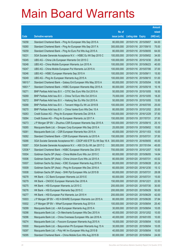|         |                                                                  |               |                            | <b>Amount</b> |
|---------|------------------------------------------------------------------|---------------|----------------------------|---------------|
|         |                                                                  | No. of        |                            | raised        |
| Code    | <b>Derivative warrants</b>                                       | issue (units) | <b>Listing date Expiry</b> | (HK\$ mil.)   |
| 19258   | Standard Chartered Bank - Ping An European Wts Sep 2015 A        | 80,000,000    | 2015/01/16 2015/09/07      | 64.00         |
| 19260   | Standard Chartered Bank - Ping An European Wts Sep 2017 A        | 300,000,000   | 2015/01/16 2017/09/15      | 75.00         |
| 19259   | Standard Chartered Bank - Ping An Euro Put Wts Aug 2015 A        | 80,000,000    | 2015/01/16 2015/08/05      | 64.00         |
| 19231   | SGA Societe Generale Acceptance N.V. - HSBC Eu Wt Sep 2015 C     | 100,000,000   | 2015/01/16 2015/09/02      | 34.00         |
| 19245   | UBS AG - China Life European Warrants Oct 2015 C                 | 100,000,000   | 2015/01/16 2015/10/30      | 25.00         |
| 19248   | UBS AG - China Mobile European Warrants Jun 2015 A               | 100,000,000   | 2015/01/16 2015/06/23      | 40.00         |
| 19247   | UBS AG - China Mobile European Put Warrants Jul 2015 A           | 100,000,000   | 2015/01/16 2015/07/06      | 37.00         |
| 19246   | UBS AG - HSBC European Warrants Sep 2015 A                       | 100,000,000   | 2015/01/16 2015/09/11      | 15.50         |
| 19249   | UBS AG - Ping An European Warrants Aug 2015 A                    | 100,000,000   | 2015/01/16 2015/08/10      | 51.00         |
| 16610 # | Standard Chartered Bank - Galaxy Ent European Wts May 2015 A     | 60,000,000    | 2015/01/16 2015/05/04      | 10.56         |
| 16831 # | Standard Chartered Bank - HSBC European Warrants May 2015 A      | 80,000,000    | 2015/01/16 2015/05/18      | 10.16         |
| 19271   | BNP Paribas Arbit Issu B.V. - CITIC Sec Euro Wts Oct 2015 A      | 50,000,000    | 2015/01/19 2015/10/05      | 18.50         |
| 19269   | BNP Paribas Arbit Issu B.V. - China Tel Euro Wts Oct 2015 A      | 70,000,000    | 2015/01/19 2015/10/05      | 18.20         |
| 19272   | BNP Paribas Arbit Issu B.V. - Haitong Sec Eu Wts Oct 2015 A      | 50,000,000    | 2015/01/19 2015/10/05      | 13.50         |
| 19268   | BNP Paribas Arbit Issu B.V. - Tencent HIdgs Eu Wt Jul 2016 B     | 100,000,000   | 2015/01/19 2016/07/05      | 25.00         |
| 19270   | BNP Paribas Arbit Issu B.V. - China Vanke Euro Wts Dec 15 A      | 80,000,000    | 2015/01/19 2015/12/02      | 20.00         |
| 19263   | Credit Suisse AG - Ping An European Warrants Dec 2016 A          | 150,000,000   | 2015/01/19 2016/12/29      | 37.50         |
| 19264   | Credit Suisse AG - Ping An European Warrants Jul 2017 A          | 150,000,000   | 2015/01/19 2017/07/31      | 37.50         |
| 19273   | J P Morgan SP BV - Zhuzhou CSR European Warrants Sep 2015 A      | 100,000,000   | 2015/01/19 2015/09/15      | 25.10         |
| 19265   | Macquarie Bank Ltd. - Sinopec Corp European Wts Sep 2015 A       | 25,000,000    | 2015/01/19 2015/09/02      | 10.00         |
| 19261   | Macquarie Bank Ltd. - CSR European Warrants Nov 2015 A           | 40,000,000    | 2015/01/19 2015/11/03      | 10.00         |
| 19262   | Standard Chartered Bank - CSR European Warrants Jul 2015 A       | 150,000,000   | 2015/01/19 2015/07/31      | 37.50         |
| 19266   | SGA Societe Generale Acceptance NV - CSOP A50 ETF Eu Wt Sep 16 A | 300,000,000   | 2015/01/19 2016/09/05      | 45.00         |
| 19267   | SGA Societe Generale Acceptance N.V. - A50 Ch Eu Wt Jan 2017 C   | 300,000,000   | 2015/01/19 2017/01/04      | 45.00         |
| 12536 # | Standard Chartered Bank - HSBC European Warrants Dec 2015        | 700,000,000   | 2015/01/19 2015/12/07      | 10.50         |
| 19304   | Goldman Sachs SP (Asia) - China Mobile Euro Wts Jun 2015 C       | 60,000,000    | 2015/01/20 2015/06/05      | 14.64         |
| 19306   | Goldman Sachs SP (Asia) - China Unicom Euro Wts Jul 2015 A       | 80,000,000    | 2015/01/20 2015/07/31      | 43.52         |
| 19307   | Goldman Sachs Sp (Asia) - ICBC European Warrants Aug 2015 A      | 80,000,000    | 2015/01/20 2015/08/28      | 20.24         |
| 19309   | Goldman Sachs SP (Asia) - Ping An European Wts Dec 2016 A        | 60,000,000    | 2015/01/20 2016/12/30      | 15.12         |
| 19308   | Goldman Sachs SP (Asia) - SHK Ppt European Wts Jul 2015 B        | 60,000,000    | 2015/01/20 2015/07/31      | 28.08         |
| 19278   | HK Bank - CC Bank European Warrants Jul 2015 E                   | 60,000,000    | 2015/01/20 2015/07/31      | 15.00         |
| 19279   | HK Bank - CNOOC European Warrants Dec 2016 A                     | 150,000,000   | 2015/01/20 2016/12/21      | 22.50         |
| 19275   | HK Bank - HSI European Warrants Jul 2015 C                       | 200,000,000   | 2015/01/20 2015/07/30      | 30.00         |
| 19276   | HK Bank - HSI European Warrants Sep 2015 C                       | 200,000,000   | 2015/01/20 2015/09/29      | 50.00         |
| 19277   | HK Bank - HSI European Put Warrants Jun 2015 H                   | 200,000,000   | 2015/01/20 2015/06/29      | 42.00         |
| 19303   | J P Morgan SP BV - HS H-SHARE European Warrants Jun 2015 A       | 80,000,000    | 2015/01/20 2015/06/26      | 37.84         |
| 19302   | J P Morgan SP BV - Wharf European Warrants Aug 2015 A            | 100,000,000   | 2015/01/20 2015/08/04      | 25.40         |
| 19299   | Macquarie Bank Ltd. - AIA European Warrants Aug 2015 A           | 30,000,000    | 2015/01/20 2015/08/04      | 10.05         |
| 19298   | Macquarie Bank Ltd. - Ch Merchants European Wts Dec 2015 A       | 40,000,000    | 2015/01/20 2015/12/02      | 10.00         |
| 19296   | Macquarie Bank Ltd. - China Overseas European Wts Jan 2016 A     | 40,000,000    | 2015/01/20 2016/01/05      | 10.00         |
| 19274   | Macquarie Bank Ltd. - Foxconn European Warrants Aug 2015 A       | 16,000,000    | 2015/01/20 2015/08/04      | 10.00         |
| 19300   | Macquarie Bank Ltd. - Baiyunshan Ph European Warrants Aug 15 A   | 30,000,000    | 2015/01/20 2015/08/04      | 10.05         |
| 19297   | Macquarie Bank Ltd. - Poly HK Inv European Wts Aug 2015 B        | 40,000,000    | 2015/01/20 2015/08/04      | 10.00         |
| 19295   | Standard Chartered Bank - China Mobile Euro Wts Aug 2015 B       | 80,000,000    | 2015/01/20 2015/08/04      | 24.00         |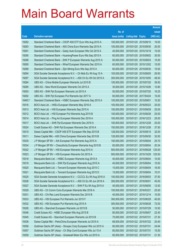|         |                                                                |               |                                  |            | <b>Amount</b> |
|---------|----------------------------------------------------------------|---------------|----------------------------------|------------|---------------|
|         |                                                                | No. of        |                                  |            | raised        |
| Code    | <b>Derivative warrants</b>                                     | issue (units) | <b>Listing date Expiry</b>       |            | (HK\$ mil.)   |
| 19282   | Standard Chartered Bank - CSOP A50 ETF Euro Wts Aug 2015 A     | 100,000,000   | 2015/01/20 2015/08/10            |            | 19.00         |
| 19283   | Standard Chartered Bank - A50 China Euro Warrants Sep 2015 A   | 100,000,000   | 2015/01/20 2015/09/30            |            | 20.00         |
| 19281   | Standard Chartered Bank - Geely Auto European Wts Oct 2015 A   | 40,000,000    | 2015/01/20 2015/10/19            |            | 10.00         |
| 19290   | Standard Chartered Bank - HuanengPower Euro Wts Sep 2015 A     | 60,000,000    | 2015/01/20 2015/09/02            |            | 30.00         |
| 19288   | Standard Chartered Bank - SHK P European Warrants Aug 2015 A   | 60,000,000    | 2015/01/20 2015/08/03            |            | 15.00         |
| 19280   | Standard Chartered Bank – Wharf European Warrants Dec 2015 A   | 60,000,000    | 2015/01/20 2015/12/02            |            | 15.00         |
| 19289   | Standard Chartered Bank - Zijin Mining Euro Wts Sep 2015 A     | 60,000,000    | 2015/01/20 2015/09/30            |            | 15.00         |
| 19294   | SGA Societe Generale Acceptance N.V. - Ch Mob Eu Wt Aug 15 A   | 100,000,000   | 2015/01/20 2015/08/05            |            | 29.50         |
| 19287   | SGA Societe Generale Acceptance N.V. - A50 Ch Eu Wt Oct 2015 A | 300,000,000   | 2015/01/20 2015/10/05            |            | 48.00         |
| 19284   | UBS AG - China Mobile European Warrants Jul 2015 B             | 100,000,000   | 2015/01/20 2015/07/20            |            | 39.50         |
| 19285   | UBS AG - New World European Warrants Oct 2015 A                | 30,000,000    | 2015/01/20 2015/10/26            |            | 10.80         |
| 19293   | UBS AG - SHK Ppt European Warrants Jul 2015 A                  | 50,000,000    | 2015/01/20 2015/07/20            |            | 16.25         |
| 19292   | UBS AG – SHK Ppt European Put Warrants Apr 2017 A              | 60,000,000    | 2015/01/20 2017/04/24            |            | 15.00         |
| 18493 # | Standard Chartered Bank - HSBC European Warrants Sep 2015 A    | 100,000,000   | 2015/01/20 2015/09/01            |            | 10.20         |
| 19316   | BOCI Asia Ltd. - HKEx European Warrants May 2016 A             | 100,000,000   | 2015/01/21                       | 2016/05/23 | 25.00         |
| 19313   | BOCI Asia Ltd. - HSI European Warrants Sep 2015 A              | 100,000,000   | 2015/01/21 2015/09/29            |            | 25.00         |
| 19312   | BOCI Asia Ltd. - HSI European Put Warrants Aug 2015 B          | 100,000,000   | 2015/01/21                       | 2015/08/28 | 25.00         |
| 19314   | BOCI Asia Ltd. - Ping An European Warrants Dec 2016 A          | 100,000,000   | 2015/01/21 2016/12/23            |            | 25.00         |
| 19317   | BOCI Asia Ltd. - SHK Ppt European Warrants Dec 2016 A          | 100,000,000   | 2015/01/21                       | 2016/12/28 | 25.00         |
| 19324   | Credit Suisse AG - SHK Ppt European Warrants Dec 2016 A        | 150,000,000   | 2015/01/21 2016/12/28            |            | 37.50         |
| 19310   | Daiwa Capital Mkt - CSOP A50 ETF European Wts Sep 2015 B       | 128,000,000   | 2015/01/21                       | 2015/09/15 | 32.00         |
| 19311   | Daiwa Capital Mkt - A50 China European Warrants Sep 2015 B     | 128,000,000   | 2015/01/21                       | 2015/09/30 | 32.00         |
| 19335   | J P Morgan SP BV - AIA European Put Warrants Aug 2015 A        | 100,000,000   | 2015/01/21                       | 2015/08/04 | 25.70         |
| 19334   | J P Morgan SP BV - Chsouthcity European Warrants Aug 2015 B    | 60,000,000    | 2015/01/21 2015/08/04            |            | 20.34         |
| 19322   | J P Morgan SP BV - HSI European Warrants Aug 2015 A            | 500,000,000   | 2015/01/21                       | 2015/08/28 | 125.00        |
| 19323   | J P Morgan SP BV - HSI European Warrants Oct 2015 A            | 500,000,000   | 2015/01/21                       | 2015/10/29 | 125.50        |
| 19318   | Macquarie Bank Ltd. - HSBC European Warrants Aug 2015 A        |               | 40,000,000 2015/01/21 2015/08/04 |            | 10.00         |
| 19319   | Macquarie Bank Ltd. - SHK Ppt European Warrants Aug 2015 A     | 40,000,000    | 2015/01/21 2015/08/04            |            | 10.00         |
| 19320   | Macquarie Bank Ltd. - Tencent European Warrants Aug 2015 C     | 15,000,000    | 2015/01/21                       | 2015/08/04 | 16.50         |
| 19321   | Macquarie Bank Ltd. - Tencent European Warrants Aug 2015 D     | 15,000,000    | 2015/01/21                       | 2015/08/04 | 10.01         |
| 19325   | SGA Societe Generale Acceptance N.V. - CCCCL Eu Wt Aug 2016 A  | 150,000,000   | 2015/01/21                       | 2016/08/03 | 37.50         |
| 19326   | SGA Societe Generale Acceptance N.V. - A50 Ch Eu Wt Jun 2016 A | 300,000,000   | 2015/01/21                       | 2016/06/01 | 45.00         |
| 19327   | SGA Societe Generale Acceptance N.V. - SHK P Eu Wt Aug 2015 A  | 40,000,000    | 2015/01/21                       | 2015/08/05 | 12.00         |
| 19329   | UBS AG - Ch Comm Cons European Warrants Mar 2016 A             | 100,000,000   | 2015/01/21                       | 2016/03/21 | 25.00         |
| 19331   | UBS AG - Chi Res Land European Warrants Dec 2015 B             | 40,000,000    | 2015/01/21                       | 2015/12/14 | 10.00         |
| 19333   | UBS AG - HSI European Put Warrants Jun 2015 F                  | 300,000,000   | 2015/01/21                       | 2015/06/29 | 45.00         |
| 19332   | UBS AG - HSI European Put Warrants Aug 2015 A                  | 300,000,000   | 2015/01/21                       | 2015/08/28 | 72.00         |
| 19328   | UBS AG - Stanchart European Warrants Jul 2015 B                | 50,000,000    | 2015/01/21 2015/07/29            |            | 10.50         |
| 19346   | Credit Suisse AG - HSBC European Wts Aug 2015 B                | 80,000,000    | 2015/01/22 2015/08/07            |            | 22.40         |
| 19345   | Credit Suisse AG - Stanchart European Warrants Jul 2015 B      | 70,000,000    | 2015/01/22 2015/07/31            |            | 27.30         |
| 19336   | Daiwa Capital Mkt - PetroChina European Warrants Jul 2015 A    | 68,000,000    | 2015/01/22 2015/07/22            |            | 20.40         |
| 19358   | Goldman Sachs SP (Asia) - Sinopec Corp European Wts Jul 2015 A | 80,000,000    | 2015/01/22 2015/07/31            |            | 24.64         |
| 19357   | Goldman Sachs SP (Asia) - Ch Ship Cont European Wts Jul 15 A   | 60,000,000    | 2015/01/22 2015/07/31            |            | 15.00         |
| 19359   | Goldman Sachs SP (Asia) - Greatwall Motor Eur Wts Jul 2015 A   | 60,000,000    | 2015/01/22 2015/07/31            |            | 21.30         |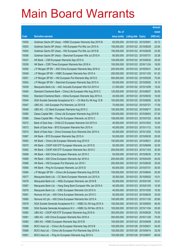|       |                                                               |               |                            | <b>Amount</b> |
|-------|---------------------------------------------------------------|---------------|----------------------------|---------------|
|       |                                                               | No. of        |                            | raised        |
| Code  | <b>Derivative warrants</b>                                    | issue (units) | <b>Listing date Expiry</b> | (HK\$ mil.)   |
| 19355 | Goldman Sachs SP (Asia) – HSBC European Warrants Sep 2015 B   | 80,000,000    | 2015/01/22 2015/09/01      | 20.72         |
| 19353 | Goldman Sachs SP (Asia) - HSI European Put Wts Jun 2015 A     | 150,000,000   | 2015/01/22 2015/06/29      | 22.65         |
| 19354 | Goldman Sachs SP (Asia) - HSI European Put Wts Jun 2015 B     | 150,000,000   | 2015/01/22 2015/06/29      | 23.55         |
| 19356 | Goldman Sachs SP (Asia) – Stanchart European Wts Jul 2015 A   | 80,000,000    | 2015/01/22 2015/07/31      | 33.28         |
| 19337 | HK Bank – CSR European Warrants Sep 2015 A                    | 100,000,000   | 2015/01/22 2015/09/30      | 25.00         |
| 19338 | HK Bank – CSR Times European Warrants Nov 2016 A              | 100,000,000   | 2015/01/22 2016/11/24      | 18.00         |
| 19350 | J P Morgan SP BV - A50 China European Warrants May 2016 A     | 200,000,000   | 2015/01/22 2016/05/31      | 34.20         |
| 19349 | J P Morgan SP BV - HSBC European Warrants Nov 2015 A          | 200,000,000   | 2015/01/22 2015/11/03      | 81.20         |
| 19351 | J P Morgan SP BV - HSI European Put Warrants May 2015 D       | 500,000,000   | 2015/01/22 2015/05/28      | 75.00         |
| 19352 | J P Morgan SP BV - Stanchart European Warrants Sep 2015 A     | 50,000,000    | 2015/01/22 2015/09/02      | 16.10         |
| 19339 | Macquarie Bank Ltd. - AAC Acoustic European Wts Oct 2015 A    | 21,000,000    | 2015/01/22 2015/10/09      | 10.02         |
| 19340 | Standard Chartered Bank – China Life European Wts Aug 2015 C  | 120,000,000   | 2015/01/22 2015/08/07      | 30.00         |
| 19342 | Standard Chartered Bank – Intime European Warrants Sep 2015 A | 40,000,000    | 2015/01/22 2015/09/30      | 10.00         |
| 19344 | SGA Societe Generale Acceptance N.V. - Ch Mob Eu Wt Aug 15 B  | 100,000,000   | 2015/01/22 2015/08/05      | 42.50         |
| 19347 | UBS AG - AIA European Put Warrants Jul 2015 B                 | 70,000,000    | 2015/01/22 2015/07/21      | 17.50         |
| 19348 | UBS AG - CC Bank European Warrants Aug 2015 C                 | 100,000,000   | 2015/01/22 2015/08/17      | 32.00         |
| 19385 | Daiwa Capital Mkt - China Life European Warrants Aug 2015 B   | 108,000,000   | 2015/01/23 2015/08/03      | 27.00         |
| 19386 | Daiwa Capital Mkt - Ping An European Warrants Jul 2015 C      | 108,000,000   | 2015/01/23 2015/07/22      | 55.08         |
| 19372 | Bank of East Asia – CHALCO European Warrants Oct 2015 A       | 40,000,000    | 2015/01/23 2015/10/02      | 10.00         |
| 19373 | Bank of East Asia – BYD European Warrants Nov 2015 A          | 40,000,000    | 2015/01/23 2015/11/12      | 10.00         |
| 19374 | Bank of East Asia - China Overseas Euro Warrants Dec 2015 A   | 40,000,000    | 2015/01/23 2015/12/02      | 10.00         |
| 19367 | HK Bank - BYD European Warrants Sep 2015 A                    | 50,000,000    | 2015/01/23 2015/09/30      | 20.00         |
| 19363 | HK Bank - China Life European Warrants Aug 2015 D             | 100,000,000   | 2015/01/23 2015/08/31      | 25.00         |
| 19370 | HK Bank - CSOP A50 ETF European Warrants Jun 2015 D           | 50,000,000    | 2015/01/23 2015/06/08      | 32.50         |
| 19362 | HK Bank - CSOP A50 ETF European Warrants Nov 2015 C           | 200,000,000   | 2015/01/23 2015/11/03      | 32.00         |
| 19368 | HK Bank - A50 China European Warrants Jun 2015 C              | 50,000,000    | 2015/01/23 2015/06/30      | 37.50         |
| 19369 | HK Bank - A50 China European Warrants Apr 2016 A              | 200,000,000   | 2015/01/23 2016/04/29      | 40.00         |
| 19366 | HK Bank - HSI European Put Warrants Jun 2015 I                | 200,000,000   | 2015/01/23 2015/06/29      | 30.00         |
| 19365 | HK Bank - Ping An European Warrants Jul 2015 D                | 60,000,000    | 2015/01/23 2015/07/31      | 30.00         |
| 19384 | J P Morgan SP BV - China Life European Warrants Aug 2015 B    | 100,000,000   | 2015/01/23 2015/08/04      | 25.00         |
| 19377 | Macquarie Bank Ltd. - CC Bank European Warrants Jun 2015 A    | 35,000,000    | 2015/01/23 2015/06/02      | 10.01         |
| 19378 | Macquarie Bank Ltd. - HKEx European Warrants Jan 2016 B       | 55,000,000    | 2015/01/23 2016/01/05      | 10.01         |
| 19387 | Macquarie Bank Ltd. - Hang Seng Bank European Wts Jan 2016 A  | 40,000,000    | 2015/01/23 2016/01/05      | 10.00         |
| 19376 | Macquarie Bank Ltd. - ICBC European Warrants Oct 2015 A       | 40,000,000    | 2015/01/23 2015/10/05      | 10.00         |
| 19361 | Nomura Int'l plc - A50 China European Warrants Jun 2015 C     | 50,000,000    | 2015/01/23 2015/06/30      | 33.00         |
| 19360 | Nomura Int'l plc - A50 China European Warrants Nov 2015 A     | 100,000,000   | 2015/01/23 2015/11/30      | 20.60         |
| 19379 | SGA Societe Generale Acceptance N.V. - HSBC Eu Wt Aug 2015 A  | 100,000,000   | 2015/01/23 2015/08/05      | 46.50         |
| 19380 | SGA Societe Generale Acceptance N.V. - HSBC Eu Wt Nov 2015 A  | 100,000,000   | 2015/01/23 2015/11/04      | 25.00         |
| 19382 | UBS AG - CSOP A50 ETF European Warrants Aug 2016 A            | 300,000,000   | 2015/01/23 2016/08/29      | 75.00         |
| 19381 | UBS AG - A50 China European Warrants Nov 2016 A               | 300,000,000   | 2015/01/23 2016/11/28      | 75.00         |
| 19383 | UBS AG - HSBC European Warrants Sep 2015 B                    | 100,000,000   | 2015/01/23 2015/09/08      | 25.00         |
| 19389 | BOCI Asia Ltd. - China Life European Warrants Sep 2015 B      | 100,000,000   | 2015/01/26 2015/09/21      | 34.00         |
| 19388 | BOCI Asia Ltd. - China Life European Put Warrants Sep 2015 A  | 100,000,000   | 2015/01/26 2015/09/14      | 32.00         |
| 19391 | BOCI Asia Ltd. - Ping An European Warrants Aug 2015 A         | 100,000,000   | 2015/01/26 2015/08/07      | 66.00         |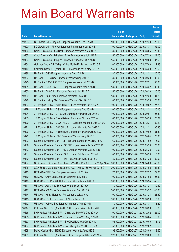|        |                                                                  |               |                            |            | <b>Amount</b> |
|--------|------------------------------------------------------------------|---------------|----------------------------|------------|---------------|
|        |                                                                  | No. of        |                            |            | raised        |
| Code   | <b>Derivative warrants</b>                                       | issue (units) | <b>Listing date Expiry</b> |            | (HK\$ mil.)   |
| 19393  | BOCI Asia Ltd. – Ping An European Warrants Dec 2016 B            | 100,000,000   | 2015/01/26 2016/12/30      |            | 25.00         |
| 19390  | BOCI Asia Ltd. – Ping An European Put Warrants Jul 2015 B        | 100,000,000   | 2015/01/26 2015/07/31      |            | 62.00         |
| 19406  | Credit Suisse AG - CC Bank European Warrants Aug 2015 A          | 80,000,000    | 2015/01/26 2015/08/06      |            | 26.40         |
| 19405  | Credit Suisse AG – Minsheng Bank European Wts Jul 2016 B         | 150,000,000   | 2015/01/26 2016/07/29      |            | 24.00         |
| 19403  | Credit Suisse AG – Ping An European Warrants Oct 2016 B          | 150,000,000   | 2015/01/26 2016/10/03      |            | 37.50         |
| 19404  | Goldman Sachs SP (Asia) – China Mobile Eu Put Wts Jul 2015 B     | 60,000,000    | 2015/01/26 2015/07/03      |            | 11.88         |
| 19419  | Goldman Sachs SP (Asia) - HSI European Put Wts May 2015 A        | 150,000,000   | 2015/01/26 2015/05/28      |            | 22.50         |
| 19396  | HK Bank – CGS European Warrants Dec 2015 B                       | 80,000,000    | 2015/01/26 2015/12/31      |            | 20.00         |
| 19397  | HK Bank – CITIC Sec European Warrants Sep 2015 A                 | 80,000,000    | 2015/01/26 2015/09/30      |            | 32.00         |
| 19395  | HK Bank - CSOP A50 ETF European Warrants Jul 2015 B              | 50,000,000    | 2015/01/26 2015/07/31      |            | 50.00         |
| 19401  | HK Bank - CSOP A50 ETF European Warrants Mar 2016 D              | 180,000,000   | 2015/01/26 2016/03/22      |            | 32.40         |
| 19400  | HK Bank – A50 China European Warrants Jun 2015 D                 | 50,000,000    | 2015/01/26 2015/06/30      |            | 45.00         |
| 19399  | HK Bank - A50 China European Warrants Dec 2015 B                 | 180,000,000   | 2015/01/26 2015/12/28      |            | 34.20         |
| 19398  | HK Bank – Haitong Sec European Warrants Sep 2015 B               | 80,000,000    | 2015/01/26 2015/09/30      |            | 20.00         |
| 19423  | J P Morgan SP BV - Agricultural Bk Euro Warrants Oct 2015 A      | 100,000,000   | 2015/01/26 2015/10/02      |            | 25.20         |
| 19429  | J P Morgan SP BV - CGS European Warrants Dec 2015 B              | 100,000,000   | 2015/01/26 2015/12/31      |            | 25.10         |
| 19424  | J P Morgan SP BV - CITIC Sec European Warrants Sep 2015 B        | 100,000,000   | 2015/01/26 2015/09/01      |            | 25.30         |
| 19433  | J P Morgan SP BV - China Railway European Wts Jun 2015 A         | 60,000,000    | 2015/01/26 2015/06/30      |            | 23.04         |
| 19420  | J P Morgan SP BV - CSOP A50 ETF European Warrants Dec 2015 C     | 200,000,000   | 2015/01/26 2015/12/31      |            | 39.20         |
| 19421  | J P Morgan SP BV - A50 China European Warrants Dec 2015 C        | 200,000,000   | 2015/01/26 2015/12/31      |            | 30.80         |
| 19426  | J P Morgan SP BV - Haitong Sec European Warrants Oct 2015 A      | 100,000,000   | 2015/01/26 2015/10/02      |            | 31.30         |
| 19422  | J P Morgan SP BV - ICBC European Warrants Aug 2015 C             | 100,000,000   | 2015/01/26 2015/08/04      |            | 26.30         |
| 19402  | Standard Chartered Bank - Chi Res Land European Wts Nov 15 A     | 60,000,000    | 2015/01/26 2015/11/02      |            | 15.00         |
| 19409  | Standard Chartered Bank - HSCEI European Warrants Sep 2015 C     | 100,000,000   | 2015/01/26 2015/09/29      |            | 25.00         |
| 19432  | Standard Chartered Bank – HSI European Warrants May 2015 D       | 100,000,000   | 2015/01/26 2015/05/28      |            | 19.00         |
| 19431  | Standard Chartered Bank - HSI European Put Wts Jun 2015 G        | 100.000.000   | 2015/01/26 2015/06/29      |            | 15.00         |
| 19430  | Standard Chartered Bank – Ping An European Wts Jul 2015 D        | 80,000,000    | 2015/01/26 2015/07/28      |            | 32.00         |
| 19407  | SGA Societe Generale Acceptance NV - CSOP A50 ETF Eu Wt Apr 16 A | 300.000.000   | 2015/01/26 2016/04/06      |            | 48.00         |
| 19408  | SGA Societe Generale Acceptance N.V. - A50 Ch Eu Wt Apr 2016 C   | 300,000,000   | 2015/01/26 2016/04/06      |            | 52.50         |
| 19413  | UBS AG - CITIC Sec European Warrants Jul 2015 A                  | 70,000,000    | 2015/01/26 2015/07/27      |            | 22.05         |
| 19410  | UBS AG - China Life European Warrants Jul 2015 B                 | 100,000,000   | 2015/01/26 2015/07/08      |            | 25.50         |
| 19416  | UBS AG - CSOP A50 ETF European Warrants Mar 2016 A               | 300,000,000   | 2015/01/26 2016/03/24      |            | 46.50         |
| 19411  | UBS AG - A50 China European Warrants Jul 2015 A                  | 80,000,000    | 2015/01/26 2015/07/27      |            | 40.80         |
| 19417  | UBS AG - A50 China European Warrants Sep 2015 A                  | 300,000,000   | 2015/01/26 2015/09/22      |            | 45.00         |
| 19414  | UBS AG - HSBC European Put Warrants Jul 2015 A                   | 100,000,000   | 2015/01/26 2015/07/24      |            | 28.50         |
| 19415  | UBS AG - HSCEI European Put Warrants Jun 2015 C                  | 100,000,000   | 2015/01/26 2015/06/29      |            | 17.00         |
| 19412  | UBS AG - Haitong Sec European Warrants Aug 2015 B                | 70,000,000    | 2015/01/26 2015/08/31      |            | 18.20         |
| 18017# | Goldman Sachs SP (Asia) - HSBC European Warrants Jun 2015 B      | 80,000,000    | 2015/01/26 2015/06/30      |            | 12.88         |
| 19456  | BNP Paribas Arbit Issu B.V. - China Life Euro Wts Dec 2015 A     | 100,000,000   | 2015/01/27 2015/12/02      |            | 25.00         |
| 19455  | BNP Paribas Arbit Issu B.V. - Ch Mobile Euro Wts Aug 2015 B      | 100,000,000   | 2015/01/27 2015/08/04      |            | 16.00         |
| 19453  | BNP Paribas Arbit Issu B.V. - SHK Ppt Euro Wts Oct 2015 A        | 55,000,000    | 2015/01/27                 | 2015/10/05 | 13.75         |
| 19457  | BNP Paribas Arbit Issu B.V. - Zijin Mining Eu Wts Dec 2015 A     | 50,000,000    | 2015/01/27 2015/12/02      |            | 12.50         |
| 19458  | Daiwa Capital Mkt - HSBC European Warrants Aug 2015 B            | 98,000,000    | 2015/01/27 2015/08/03      |            | 19.60         |
| 19459  | Goldman Sachs SP (Asia) - A50 China European Wts Sep 2015 A      | 120,000,000   | 2015/01/27 2015/09/08      |            | 18.00         |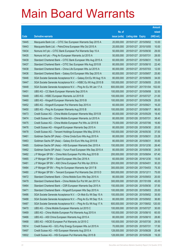|       |                                                                  |               |                            | <b>Amount</b> |
|-------|------------------------------------------------------------------|---------------|----------------------------|---------------|
|       |                                                                  | No. of        |                            | raised        |
| Code  | <b>Derivative warrants</b>                                       | issue (units) | <b>Listing date Expiry</b> | (HK\$ mil.)   |
| 19445 | Macquarie Bank Ltd. - CITIC Sec European Warrants Sep 2015 A     | 20,000,000    | 2015/01/27 2015/09/02      | 10.00         |
| 19443 | Macquarie Bank Ltd. - PetroChina European Wts Oct 2015 A         | 20,000,000    | 2015/01/27 2015/10/05      | 10.00         |
| 19434 | Nomura Int'l plc - CITIC Bank European Put Warrants Sep 15 A     | 50,000,000    | 2015/01/27 2015/09/30      | 29.00         |
| 19435 | Nomura Int'l plc - Ping An European Warrants Jul 2015 A          | 50,000,000    | 2015/01/27 2015/07/31      | 28.00         |
| 19439 | Standard Chartered Bank - CITIC Bank European Wts Aug 2015 A     | 60,000,000    | 2015/01/27 2015/08/31      | 15.00         |
| 19437 | Standard Chartered Bank - CITIC Sec European Wts Aug 2015 B      | 80,000,000    | 2015/01/27 2015/08/10      | 22.40         |
| 19438 | Standard Chartered Bank - China Life European Wts Jul 2015 A     | 80,000,000    | 2015/01/27 2015/07/03      | 12.00         |
| 19436 | Standard Chartered Bank - Galaxy Ent European Wts Sep 2015 A     | 60,000,000    | 2015/01/27 2015/09/07      | 25.80         |
| 19446 | SGA Societe Generale Acceptance N.V. - Galaxy Ent Eu Wt Aug 15 A | 80,000,000    | 2015/01/27 2015/08/05      | 34.00         |
| 19447 | SGA Societe Generale Acceptance N.V. - HSBC Eu Wt Aug 2015 B     | 100,000,000   | 2015/01/27 2015/08/05      | 25.00         |
| 19448 | SGA Societe Generale Acceptance N.V. - Ping An Eu Wt Jan 17 A    | 600,000,000   | 2015/01/27 2017/01/04      | 102.00        |
| 19451 | UBS AG - CC Bank European Warrants Sep 2015 A                    | 100,000,000   | 2015/01/27 2015/09/08      | 32.50         |
| 19449 | UBS AG - HSBC European Warrants Jul 2015 B                       | 100,000,000   | 2015/01/27 2015/07/27      | 21.00         |
| 19460 | UBS AG - Kingsoft European Warrants Sep 2015 B                   | 100,000,000   | 2015/01/27 2015/09/29      | 25.00         |
| 19452 | UBS AG - Kingsoft European Put Warrants Sep 2015 A               | 60,000,000    | 2015/01/27 2015/09/21      | 16.20         |
| 19450 | UBS AG - Ping An European Warrants Aug 2015 B                    | 100,000,000   | 2015/01/27 2015/08/17      | 96.00         |
| 19473 | Credit Suisse AG - China Mobile European Warrants May 2015 B     | 80,000,000    | 2015/01/28 2015/05/29      | 18.40         |
| 19474 | Credit Suisse AG - China Mobile European Warrants Jul 2015 A     | 80,000,000    | 2015/01/28 2015/07/31      | 38.40         |
| 19475 | Credit Suisse AG - China Mobile European Put Wts Jul 2015 B      | 70,000,000    | 2015/01/28 2015/07/06      | 16.80         |
| 19476 | Credit Suisse AG - Kingsoft European Warrants Sep 2015 A         | 80,000,000    | 2015/01/28 2015/09/30      | 20.00         |
| 19478 | Credit Suisse AG - Tencent Holdings European Wts May 2016 A      | 150,000,000   | 2015/01/28 2016/05/30      | 37.50         |
| 19461 | Goldman Sachs SP (Asia) - China Cinda Euro Wts Aug 2015 A        | 80,000,000    | 2015/01/28 2015/08/31      | 23.28         |
| 19463 | Goldman Sachs SP (Asia) - Galaxy Ent Euro Wts Aug 2015 B         | 80,000,000    | 2015/01/28 2015/08/31      | 35.60         |
| 19485 | Goldman Sachs SP (Asia) - HSI European Warrants Dec 2015 A       | 150,000,000   | 2015/01/28 2015/12/30      | 26.40         |
| 19462 | Goldman Sachs SP (Asia) - Yurun Food European Wts Sep 2015 A     | 80,000,000    | 2015/01/28 2015/09/30      | 24.00         |
| 19482 | J P Morgan SP BV - China Mob European Put Wts Aug 2015 B         | 200,000,000   | 2015/01/28 2015/08/04      | 67.40         |
| 19465 | J P Morgan SP BV - Esprit European Wts Dec 2016 A                | 60,000,000    | 2015/01/28 2016/12/30      | 15.00         |
| 19481 | J P Morgan SP BV - A50 China European Put Wts Apr 2016 A         | 200,000,000   | 2015/01/28 2016/04/01      | 30.20         |
| 19484 | J P Morgan SP BV - Ping An European Warrants Apr 2017 B          | 300,000,000   | 2015/01/28 2017/04/03      | 75.30         |
| 19480 | J P Morgan SP BV - Tencent European Put Warrants Dec 2015 D      | 500,000,000   | 2015/01/28 2015/12/11      | 75.00         |
| 19472 | Standard Chartered Bank - China Mobile Euro Wts Sep 2015 A       | 80,000,000    | 2015/01/28 2015/09/03      | 20.00         |
| 19479 | Standard Chartered Bank - China Mobile Eur Put Wt Jan 2017 A     | 300,000,000   | 2015/01/28 2017/01/09      | 45.00         |
| 19464 | Standard Chartered Bank - CSR European Warrants Sep 2015 A       | 150,000,000   | 2015/01/28 2015/09/30      | 37.50         |
| 19471 | Standard Chartered Bank - Kingsoft European Wts Sep 2015 A       | 100,000,000   | 2015/01/28 2015/09/03      | 25.00         |
| 19486 | SGA Societe Generale Acceptance N.V. - Ch Mob Eu Wt Sep 15 A     | 100,000,000   | 2015/01/28 2015/09/02      | 35.50         |
| 19488 | SGA Societe Generale Acceptance N.V. - Ping An Eu Wt Sep 15 A    | 80,000,000    | 2015/01/28 2015/09/02      | 36.80         |
| 19487 | SGA Societe Generale Acceptance N.V. - Ping An Eu Wt Aug 17 A    | 600,000,000   | 2015/01/28 2017/08/02      | 120.00        |
| 19470 | UBS AG - China Mobile European Warrants Jul 2015 C               | 100,000,000   | 2015/01/28 2015/07/27      | 30.00         |
| 19469 | UBS AG - China Mobile European Put Warrants Aug 2015 A           | 100,000,000   | 2015/01/28 2015/08/10      | 60.00         |
| 19466 | UBS AG - A50 China European Warrants Aug 2015 A                  | 80,000,000    | 2015/01/28 2015/08/10      | 28.80         |
| 19468 | UBS AG - HSCEI European Put Warrants Jul 2015 C                  | 100,000,000   | 2015/01/28 2015/07/30      | 29.50         |
| 19514 | Credit Suisse AG - GCL-Poly Energy European Wts Jul 2015 A       | 70,000,000    | 2015/01/29 2015/07/31      | 17.50         |
| 19497 | Credit Suisse AG - HSI European Warrants Aug 2015 A              | 128,000,000   | 2015/01/29 2015/08/28      | 20.48         |
| 19502 | Credit Suisse AG - HSI European Put Warrants May 2015 B          | 128,000,000   | 2015/01/29 2015/05/28      | 19.20         |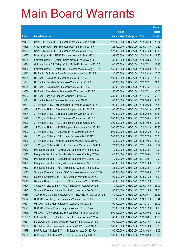|         |                                                                |               |                            |            | <b>Amount</b> |
|---------|----------------------------------------------------------------|---------------|----------------------------|------------|---------------|
|         |                                                                | No. of        |                            |            | raised        |
| Code    | <b>Derivative warrants</b>                                     | issue (units) | <b>Listing date Expiry</b> |            | (HK\$ mil.)   |
| 19499   | Credit Suisse AG - HSI European Put Warrants Jun 2015 H        | 128,000,000   | 2015/01/29 2015/06/29      |            | 23.04         |
| 19498   | Credit Suisse AG - HSI European Put Warrants Jul 2015 F        | 128,000,000   | 2015/01/29 2015/07/30      |            | 19.20         |
| 19503   | Credit Suisse AG - HSI European Put Warrants Jul 2015 G        | 128,000,000   | 2015/01/29                 | 2015/07/30 | 32.00         |
| 19525   | Daiwa Capital Mkt - HSBC European Warrants Sep 2015 A          | 98,000,000    | 2015/01/29 2015/09/15      |            | 24.50         |
| 19535   | Goldman Sachs SP (Asia) - China Mobile Euro Wts Aug 2015 A     | 80,000,000    | 2015/01/29 2015/08/05      |            | 20.00         |
| 19524   | Goldman Sachs SP (Asia) - China Mobile Eu Put Wts Jul 2015 C   | 60,000,000    | 2015/01/29 2015/07/31      |            | 28.98         |
| 19490   | Goldman Sachs SP (Asia) - HSI European Warrants Aug 2015 A     | 150,000,000   | 2015/01/29                 | 2015/08/28 | 22.50         |
| 19510   | HK Bank – Agricultural Bank European Warrants Sep 2015 B       | 80,000,000    | 2015/01/29 2015/09/30      |            | 20.00         |
| 19508   | HK Bank - China Life European Warrants Jul 2015 D              | 100,000,000   | 2015/01/29 2015/07/31      |            | 25.00         |
| 19504   | HK Bank – China Mobile European Warrants Jul 2015 B            | 80,000,000    | 2015/01/29 2015/07/31      |            | 24.00         |
| 19505   | HK Bank - China Mobile European Warrants Jul 2015 C            | 80,000,000    | 2015/01/29                 | 2015/07/31 | 40.00         |
| 19506   | HK Bank – China Mobile European Put Warrants Jul 2015 D        | 50,000,000    | 2015/01/29 2015/07/31      |            | 30.00         |
| 19507   | HK Bank - Ping An European Warrants Jul 2017 A                 | 280,000,000   | 2015/01/29 2017/07/31      |            | 53.20         |
| 19511   | HK Bank - Tencent European Warrants Jun 2016 C                 | 180,000,000   | 2015/01/29 2016/06/03      |            | 36.00         |
| 19531   | J P Morgan SP BV - Minsheng Bank European Wts Sep 2016 A       | 100,000,000   | 2015/01/29                 | 2016/09/30 | 15.80         |
| 19530   | J P Morgan SP BV - China Mob European Wts Jun 2015 B           | 100,000,000   | 2015/01/29 2015/06/10      |            | 35.50         |
| 19534   | J P Morgan SP BV - China Mob European Wts Jun 2015 C           | 100,000,000   | 2015/01/29 2015/06/09      |            | 22.30         |
| 19528   | J P Morgan SP BV - HSBC European Warrants Aug 2015 B           | 200,000,000   | 2015/01/29 2015/08/04      |            | 50.60         |
| 19529   | J P Morgan SP BV - HSBC European Warrants Oct 2015 A           | 200,000,000   | 2015/01/29                 | 2015/10/02 | 50.80         |
| 19493   | J P Morgan SP BV - HSCEI European Put Warrants Aug 2015 D      | 200,000,000   | 2015/01/29 2015/08/28      |            | 50.20         |
| 19492   | J P Morgan SP BV - HSI European Put Warrants Jun 2015 F        | 500,000,000   | 2015/01/29 2015/06/29      |            | 76.00         |
| 19491   | J P Morgan SP BV - HSI European Put Warrants Jul 2015 F        | 500,000,000   | 2015/01/29                 | 2015/07/30 | 125.00        |
| 19536   | J P Morgan SP BV - Kingsoft European Warrants Oct 2015 A       | 80,000,000    | 2015/01/29                 | 2015/10/05 | 20.00         |
| 19527   | J P Morgan SP BV - Zijin Mining European Warrants Nov 2015 A   | 70,000,000    | 2015/01/29 2015/11/03      |            | 17.57         |
| 19512   | Macquarie Bank Ltd. - CAM CSI300 European Wts Aug 2015 A       | 40,000,000    | 2015/01/29 2015/08/04      |            | 10.00         |
| 19515   | Macquarie Bank Ltd. - China Mobile European Wts Aug 2015 A     | 40,000,000    | 2015/01/29 2015/08/04      |            | 10.00         |
| 19516   | Macquarie Bank Ltd. - China Mobile European Wts Dec 2017 A     | 40,000,000    | 2015/01/29 2017/12/04      |            | 10.00         |
| 19496   | Macquarie Bank Ltd. - Kingsoft European Warrants Nov 2015 A    | 40,000,000    | 2015/01/29 2015/11/03      |            | 10.00         |
| 19513   | Macquarie Bank Ltd. - Ping An European Warrants Aug 2015 A     | 25,000,000    | 2015/01/29 2015/08/04      |            | 10.08         |
| 19517   | Standard Chartered Bank - HSBC European Warrants Jun 2015 D    | 80,000,000    | 2015/01/29 2015/06/08      |            | 15.20         |
| 19489   | Standard Chartered Bank - HSI European Warrants Jul 2015 E     | 100,000,000   | 2015/01/29 2015/07/30      |            | 15.00         |
| 19518   | Standard Chartered Bank - PetroChina European Wts Jul 2015 A   | 50,000,000    | 2015/01/29 2015/07/28      |            | 12.50         |
| 19494   | Standard Chartered Bank - Ping An European Wts Aug 2015 B      | 80,000,000    | 2015/01/29 2015/08/05      |            | 24.00         |
| 19495   | Standard Chartered Bank - Ping An European Wts Dec 2015 B      | 80,000,000    | 2015/01/29 2015/12/03      |            | 24.00         |
| 10334   | SGA Societe Generale Acceptance NV - N225 Eu Put Wt Sep 2015 B | 150,000,000   | 2015/01/29 2015/09/11      |            | 22.50         |
| 19522   | UBS AG - Minsheng Bank European Warrants Jul 2016 A            | 70,000,000    | 2015/01/29 2016/07/18      |            | 13.44         |
| 19521   | UBS AG - China Mobile European Warrants Mar 2017 B             | 100,000,000   | 2015/01/29 2017/03/27      |            | 25.00         |
| 19520   | UBS AG - Sihuan Pharm European Warrants Nov 2015 A             | 20,000,000    | 2015/01/29 2015/11/23      |            | 14.00         |
| 19519   | UBS AG - Tencent Holdings European Put Warrants Sep 2015 A     | 500,000,000   | 2015/01/29 2015/09/02      |            | 75.00         |
| 17139 # | Goldman Sachs SP (Asia) - Tencent European Wt Jun 2015 A       | 80,000,000    | 2015/01/29 2015/06/01      |            | 37.20         |
| 19551   | BOCI Asia Ltd. - China Mobile European Warrants Aug 2015 C     | 100,000,000   | 2015/01/30 2015/08/03      |            | 42.00         |
| 19550   | BOCI Asia Ltd. - China Mobile European Put Wts Jan 2017 A      | 100,000,000   | 2015/01/30 2017/01/09      |            | 16.00         |
| 19579   | BNP Paribas Arbit Issu B.V. - HSI European Wts Oct 2015 A      | 100,000,000   | 2015/01/30 2015/10/29      |            | 19.00         |
| 19580   | BNP Paribas Arbit Issu B.V. - HSI Euro Put Wts Aug 2015 A      | 100,000,000   | 2015/01/30 2015/08/28      |            | 19.00         |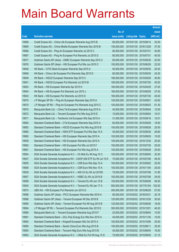|       |                                                                  |               |                            |                       | <b>Amount</b> |
|-------|------------------------------------------------------------------|---------------|----------------------------|-----------------------|---------------|
|       |                                                                  | No. of        |                            |                       | raised        |
| Code  | <b>Derivative warrants</b>                                       | issue (units) | <b>Listing date Expiry</b> |                       | (HK\$ mil.)   |
| 19568 | Credit Suisse AG - China Life European Warrants Aug 2015 B       | 80,000,000    | 2015/01/30 2015/08/14      |                       | 20.00         |
| 19569 | Credit Suisse AG - China Mobile European Warrants Dec 2016 B     | 150,000,000   | 2015/01/30 2016/12/28      |                       | 37.50         |
| 19566 | Credit Suisse AG - Ping An European Warrants Jul 2015 C          | 80,000,000    | 2015/01/30 2015/07/31      |                       | 40.80         |
| 19567 | Credit Suisse AG - Ping An European Put Warrants Jul 2015 D      | 80,000,000    | 2015/01/30 2015/07/31      |                       | 40.00         |
| 19577 | Goldman Sachs SP (Asia) - HSBC European Warrants Sep 2015 C      | 80,000,000    |                            | 2015/01/30 2015/09/30 | 20.00         |
| 19576 | Goldman Sachs SP (Asia) - HSI European Put Wts Jun 2015 C        | 150,000,000   |                            | 2015/01/30 2015/06/29 | 22.50         |
| 19548 | HK Bank - CITIC Bank European Warrants Sep 2015 A                | 50,000,000    | 2015/01/30 2015/09/30      |                       | 20.00         |
| 19546 | HK Bank - China Life European Put Warrants Sep 2015 D            | 80,000,000    | 2015/01/30 2015/09/30      |                       | 24.00         |
| 19549 | HK Bank - HSCEI European Warrants Sep 2015 C                     | 180,000,000   |                            | 2015/01/30 2015/09/29 | 30.60         |
| 19541 | HK Bank - HSCEI European Put Warrants Jul 2015 B                 | 180,000,000   |                            | 2015/01/30 2015/07/30 | 45.00         |
| 19553 | HK Bank - HSI European Warrants Apr 2015 H                       | 180,000,000   | 2015/01/30 2015/04/29      |                       | 27.00         |
| 19544 | HK Bank - HSI European Put Warrants Jun 2015 J                   | 180,000,000   |                            | 2015/01/30 2015/06/29 | 27.00         |
| 19543 | HK Bank - HSI European Put Warrants Jul 2015 D                   | 180,000,000   |                            | 2015/01/30 2015/07/30 | 45.00         |
| 19575 | J P Morgan SP BV - Ping An European Warrants Sep 2015 A          | 100,000,000   | 2015/01/30 2015/09/01      |                       | 42.60         |
| 19574 | J P Morgan SP BV - Ping An European Put Warrants Aug 2015 C      | 100,000,000   | 2015/01/30 2015/08/03      |                       | 61.30         |
| 19570 | Macquarie Bank Ltd. - China Tel European Warrants Aug 2015 A     | 40,000,000    | 2015/01/30 2015/08/04      |                       | 10.00         |
| 19572 | Macquarie Bank Ltd. - Tencent European Put Wts Aug 2015 E        | 15,000,000    |                            | 2015/01/30 2015/08/04 | 10.01         |
| 19571 | Macquarie Bank Ltd. - Techtronic Ind European Wts Sep 2015 A     | 31,000,000    | 2015/01/30 2015/09/16      |                       | 10.01         |
| 19564 | Standard Chartered Bank - CTel European Warrants Sep 2015 A      | 60,000,000    | 2015/01/30 2015/09/29      |                       | 18.00         |
| 19563 | Standard Chartered Bank - HSCEI European Put Wts Aug 2015 B      | 100,000,000   |                            | 2015/01/30 2015/08/28 | 25.00         |
| 19565 | Standard Chartered Bank - HSHI ETF European Put Wts Sep 15 A     | 40,000,000    |                            | 2015/01/30 2015/09/30 | 26.80         |
| 19560 | Standard Chartered Bank - HSI European Warrants Sep 2015 A       | 100,000,000   |                            | 2015/01/30 2015/09/29 | 15.00         |
| 19559 | Standard Chartered Bank - HSI European Warrants Dec 2015 A       | 100,000,000   | 2015/01/30 2015/12/30      |                       | 25.00         |
| 19562 | Standard Chartered Bank - HSI European Put Wts Jul 2015 F        | 100,000,000   |                            | 2015/01/30 2015/07/30 | 25.00         |
| 19561 | Standard Chartered Bank - HSI European Put Wts Aug 2015 A        | 100,000,000   | 2015/01/30 2015/08/28      |                       | 25.00         |
| 19554 | SGA Societe Generale Acceptance N.V. - Ch Mob Eu Wt Aug 15 C     | 100,000,000   | 2015/01/30 2015/08/05      |                       | 32.50         |
| 19537 | SGA Societe Generale Acceptance NV - CSOP A50 ETF Eu Wt Jul 15 D | 70,000,000    | 2015/01/30 2015/07/06      |                       | 48.30         |
| 19555 | SGA Societe Generale Acceptance N.V. - CSR Euro Wts Sep 15 A     | 100,000,000   | 2015/01/30 2015/09/02      |                       | 25.00         |
| 19556 | SGA Societe Generale Acceptance N.V. - CSR Euro Wts Nov 15 A     | 100,000,000   | 2015/01/30 2015/11/04      |                       | 25.00         |
| 19539 | SGA Societe Generale Acceptance N.V. - A50 Ch Eu Wt Jul 2015D    | 70,000,000    | 2015/01/30 2015/07/06      |                       | 31.85         |
| 19557 | SGA Societe Generale Acceptance N.V. - HSBC Eu Wt Jul 2015 B     | 100,000,000   | 2015/01/30 2015/07/06      |                       | 24.00         |
| 19558 | SGA Societe Generale Acceptance N.V. - Tencent Eu Wt Jun 15 B    | 150,000,000   | 2015/01/30 2015/06/08      |                       | 46.50         |
| 19540 | SGA Societe Generale Acceptance N.V. - Tencent Eu Wt Jan 17 A    | 500,000,000   | 2015/01/30 2017/01/04      |                       | 102.50        |
| 19573 | UBS AG - HSI European Put Warrants Jun 2015 G                    | 300,000,000   | 2015/01/30 2015/06/29      |                       | 57.00         |
| 19598 | Goldman Sachs SP (Asia) - PICC European Warrants Mar 2016 A      | 80,000,000    | 2015/02/02 2016/03/31      |                       | 20.16         |
| 19596 | Goldman Sachs SP (Asia) - Tencent European Wt Dec 2016 B         | 120,000,000   | 2015/02/02 2016/12/30      |                       | 30.00         |
| 19595 | Goldman Sachs SP (Asia) - Tencent European Put Wt Aug 2015 B     | 120,000,000   | 2015/02/02 2015/08/26      |                       | 18.00         |
| 19594 | J P Morgan SP BV - Tencent European Put Warrants Dec 2015 E      | 300,000,000   | 2015/02/02 2015/12/01      |                       | 46.20         |
| 19589 | Macquarie Bank Ltd. - Tencent European Warrants Aug 2015 F       | 25,000,000    | 2015/02/02 2015/08/04      |                       | 10.00         |
| 19581 | Standard Chartered Bank - GCL-Poly Energy Eur Wts Nov 2015 A     | 40,000,000    | 2015/02/02 2015/11/30      |                       | 10.00         |
| 19592 | Standard Chartered Bank - Kingsoft European Wts Oct 2015 A       | 100,000,000   | 2015/02/02 2015/10/06      |                       | 25.00         |
| 19590 | Standard Chartered Bank - Sands China Euro Wts Aug 2015 B        | 100,000,000   | 2015/02/02 2015/08/11      |                       | 25.00         |
| 19593 | Standard Chartered Bank - Tencent Hidg Euro Wts Aug 2015 B       | 40,000,000    | 2015/02/02 2015/08/04      |                       | 16.00         |
| 19583 | SGA Societe Generale Acceptance N.V. - CMob Eu Put Wt Aug 15 D   | 70,000,000    | 2015/02/02 2015/08/05      |                       | 31.15         |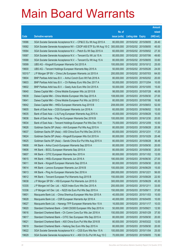|         |                                                                  |               |                            |                       | <b>Amount</b> |
|---------|------------------------------------------------------------------|---------------|----------------------------|-----------------------|---------------|
|         |                                                                  | No. of        |                            |                       | raised        |
| Code    | <b>Derivative warrants</b>                                       | issue (units) | <b>Listing date Expiry</b> |                       | (HK\$ mil.)   |
| 19586   | SGA Societe Generale Acceptance N.V. - CP&CC Eu Wt Aug 2015 A    | 80,000,000    |                            | 2015/02/02 2015/08/05 | 26.40         |
| 19582   | SGA Societe Generale Acceptance NV - CSOP A50 ETF Eu Wt Aug 15 C | 300,000,000   |                            | 2015/02/02 2015/08/05 | 45.00         |
| 19584   | SGA Societe Generale Acceptance N.V. - Petch Eu Wt Sep 2015 A    | 60,000,000    |                            | 2015/02/02 2015/09/02 | 27.30         |
| 19587   | SGA Societe Generale Acceptance N.V. - Tencent Eu Wt Jul 15 A    | 80,000,000    |                            | 2015/02/02 2015/07/06 | 49.60         |
| 19588   | SGA Societe Generale Acceptance N.V. - Tencent Eu Wt Aug 15 A    | 80,000,000    |                            | 2015/02/02 2015/08/05 | 33.60         |
| 19599   | UBS AG - Kingsoft European Warrants Oct 2015 A                   | 100,000,000   |                            | 2015/02/02 2015/10/12 | 25.00         |
| 19600   | UBS AG - Tencent Holdings European Warrants May 2015 A           | 50,000,000    |                            | 2015/02/02 2015/05/26 | 24.00         |
| 18310 # | J P Morgan SP BV - China Life European Warrants Jul 2015 A       | 200,000,000   |                            | 2015/02/02 2015/07/03 | 64.00         |
| 19604   | BNP Paribas Arbit Issu B.V. - Anhui Conch Euro Wt Feb 2016 A     | 80,000,000    |                            | 2015/02/03 2016/02/02 | 20.00         |
| 19603   | BNP Paribas Arbit Issu B.V. - Ch Railway Euro Wts Dec 2017 A     | 50,000,000    |                            | 2015/02/03 2017/12/04 | 10.00         |
| 19602   | BNP Paribas Arbit Issu B.V. - Geely Auto Euro Wts Oct 2015 A     | 50,000,000    |                            | 2015/02/03 2015/10/05 | 15.00         |
| 19640   | Daiwa Capital Mkt - China Mobile European Wts Jul 2015 B         | 98,000,000    | 2015/02/03 2015/07/28      |                       | 46.06         |
| 19639   | Daiwa Capital Mkt - China Mobile European Wts Sep 2015 A         | 108,000,000   |                            | 2015/02/03 2015/09/30 | 27.00         |
| 19641   | Daiwa Capital Mkt - China Mobile European Put Wts Jul 2015 C     | 80,000,000    |                            | 2015/02/03 2015/07/06 | 16.80         |
| 19642   | Daiwa Capital Mkt - HKEx European Warrants Aug 2015 B            | 208,000,000   |                            | 2015/02/03 2015/08/03 | 52.00         |
| 19605   | Bank of East Asia - CGS European Warrants Jun 2016 A             | 60,000,000    |                            | 2015/02/03 2016/06/02 | 15.00         |
| 19635   | Bank of East Asia - Li & Fung European Warrants Aug 2015 A       | 40,000,000    |                            | 2015/02/03 2015/08/28 | 10.00         |
| 19636   | Bank of East Asia - Ping An European Warrants Dec 2016 B         | 100,000,000   |                            | 2015/02/03 2016/12/30 | 20.00         |
| 19634   | Bank of East Asia - Tencent Holdings European Put Wts Dec 15 A   | 70,000,000    |                            | 2015/02/03 2015/12/09 | 10.50         |
| 19626   | Goldman Sachs SP (Asia) - AIA European Put Wts Aug 2015 A        | 80,000,000    |                            | 2015/02/03 2015/08/28 | 20.56         |
| 19637   | Goldman Sachs SP (Asia) - A50 China Euro Put Wts Dec 2015 A      | 80,000,000    |                            | 2015/02/03 2015/12/31 | 17.20         |
| 19624   | Goldman Sachs SP (Asia) - Kingsoft European Wts Oct 2015 A       | 80,000,000    |                            | 2015/02/03 2015/10/29 | 20.48         |
| 19625   | Goldman Sachs SP (Asia) - Sands China Eur Put Wts Aug 2015 A     | 80,000,000    |                            | 2015/02/03 2015/08/28 | 36.48         |
| 19608   | HK Bank - Anhui Conch European Warrants Sep 2015 A               | 80,000,000    |                            | 2015/02/03 2015/09/30 | 20.00         |
| 19606   | HK Bank - BOCL European Warrants Sep 2015 A                      | 80,000,000    |                            | 2015/02/03 2015/09/30 | 20.00         |
| 19607   | HK Bank - CITIC European Warrants Nov 2015 A                     | 80,000,000    |                            | 2015/02/03 2015/11/02 | 12.00         |
| 19615   | HK Bank – HKEx European Warrants Jun 2016 A                      | 180,000,000   |                            | 2015/02/03 2016/06/30 | 27.00         |
| 19611   | HK Bank - Kingsoft European Warrants Sep 2015 A                  | 80,000,000    |                            | 2015/02/03 2015/09/30 | 20.00         |
| 19614   | HK Bank - Lenovo European Warrants Jun 2016 B                    | 100,000,000   |                            | 2015/02/03 2016/06/29 | 15.00         |
| 19613   | HK Bank - Ping An European Warrants Dec 2016 A                   | 280,000,000   | 2015/02/03 2016/12/21      |                       | 56.00         |
| 19612   | HK Bank - Tencent European Put Warrants Aug 2015 B               | 150,000,000   |                            | 2015/02/03 2015/08/28 | 22.50         |
| 19638   | J P Morgan SP BV - HSI European Put Warrants Jun 2015 G          | 300,000,000   |                            | 2015/02/03 2015/06/29 | 45.30         |
| 10335   | J P Morgan Int'l Der. Ltd. - N225 Index Euro Wts Dec 2015 A      | 200,000,000   | 2015/02/03 2015/12/11      |                       | 33.00         |
| 10336   | J P Morgan Int'l Der. Ltd. - N225 Idx Euro Put Wts Sep 2015 A    | 150,000,000   | 2015/02/03 2015/09/11      |                       | 37.65         |
| 19601   | Macquarie Bank Ltd. - China Shenhua European Wts Nov 2015 A      | 40,000,000    |                            | 2015/02/03 2015/11/03 | 10.00         |
| 19628   | Macquarie Bank Ltd. - CSR European Warrants Apr 2016 A           | 40,000,000    |                            | 2015/02/03 2016/04/05 | 10.00         |
| 19627   | Macquarie Bank Ltd. - Hanergy TFP European Warrants Nov 15 A     | 16,000,000    |                            | 2015/02/03 2015/11/17 | 10.03         |
| 19620   | Standard Chartered Bank - CAM CSI300 European Wts Sep 2015 A     | 50,000,000    | 2015/02/03 2015/09/21      |                       | 12.50         |
| 19616   | Standard Chartered Bank - Ch Comm Cons Eur Wts Jan 2016 A        | 150,000,000   |                            | 2015/02/03 2016/01/29 | 37.50         |
| 19617   | Standard Chartered Bank - CITIC Sec European Wts Sep 2015 A      | 80,000,000    |                            | 2015/02/03 2015/09/30 | 20.00         |
| 19621   | Standard Chartered Bank - A50 China Euro Put Wts Mar 2016 B      | 80,000,000    |                            | 2015/02/03 2016/03/22 | 12.00         |
| 19619   | Standard Chartered Bank - Haitong Sec Euro Wts Sep 2015 A        | 80,000,000    |                            | 2015/02/03 2015/09/30 | 20.00         |
| 19622   | SGA Societe Generale Acceptance N.V. - CGS Euro Wts Nov 15 A     | 100,000,000   |                            | 2015/02/03 2015/11/04 | 25.00         |
| 19629   | SGA Societe Generale Acceptance N.V. - A50 Ch Eu Put Wt Aug 15 C | 70,000,000    |                            | 2015/02/03 2015/08/05 | 72.80         |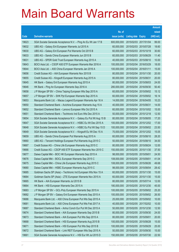|       |                                                                  |               |                            |            | <b>Amount</b> |
|-------|------------------------------------------------------------------|---------------|----------------------------|------------|---------------|
|       |                                                                  | No. of        |                            |            | raised        |
| Code  | <b>Derivative warrants</b>                                       | issue (units) | <b>Listing date Expiry</b> |            | (HK\$ mil.)   |
| 19623 | SGA Societe Generale Acceptance N.V. - Ping An Eu Wt Jan 17 B    | 600,000,000   | 2015/02/03 2017/01/04      |            | 99.00         |
| 19632 | UBS AG - Galaxy Ent European Warrants Jul 2015 A                 | 60,000,000    | 2015/02/03 2015/07/28      |            | 18.60         |
| 19630 | UBS AG - Galaxy Ent European Put Warrants Oct 2015 B             | 60,000,000    | 2015/02/03 2015/10/19      |            | 30.60         |
| 19633 | UBS AG - Sands China European Warrants Jun 2015 B                | 60,000,000    | 2015/02/03 2015/06/29      |            | 11.40         |
| 19631 | UBS AG - SPDR Gold Trust European Warrants Aug 2015 A            | 40,000,000    | 2015/02/03 2015/08/10      |            | 10.00         |
| 19643 | BOCI Asia Ltd. - CSOP A50 ETF European Warrants Mar 2016 A       | 100,000,000   | 2015/02/04 2016/03/29      |            | 18.00         |
| 19644 | BOCI Asia Ltd. - A50 China European Warrants Jan 2016 A          | 100,000,000   | 2015/02/04                 | 2016/01/11 | 15.00         |
| 19656 | Credit Suisse AG - AIA European Warrants Nov 2015 B              | 80,000,000    | 2015/02/04 2015/11/30      |            | 20.00         |
| 19655 | Credit Suisse AG - Kingsoft European Warrants Aug 2015 A         | 80,000,000    | 2015/02/04 2015/08/31      |            | 20.00         |
| 19645 | HK Bank - Galaxy Ent European Warrants Aug 2015 A                | 80,000,000    | 2015/02/04 2015/08/03      |            | 24.00         |
| 19646 | HK Bank - Ping An European Warrants Sep 2016 A                   | 280,000,000   | 2015/02/04                 | 2016/09/30 | 50.40         |
| 19658 | J P Morgan SP BV - China Taiping European Wts Sep 2015 A         | 60,000,000    | 2015/02/04 2015/09/02      |            | 15.12         |
| 19657 | J P Morgan SP BV - SHK Ppt European Warrants Sep 2015 A          | 60,000,000    | 2015/02/04                 | 2015/09/02 | 16.14         |
| 19653 | Macquarie Bank Ltd. - Macau Legend European Warrants Apr 16 A    | 14,000,000    | 2015/02/04 2016/04/05      |            | 10.23         |
| 19650 | Standard Chartered Bank - Avichina European Warrants Aug 15 A    | 40,000,000    | 2015/02/04                 | 2015/08/31 | 14.00         |
| 19652 | Standard Chartered Bank - Lenovo European Wts Oct 2015 A         | 60,000,000    | 2015/02/04 2015/10/02      |            | 15.00         |
| 19651 | Standard Chartered Bank - Techtronic Ind Euro Wts Dec 2015 A     | 50,000,000    | 2015/02/04 2015/12/18      |            | 12.50         |
| 19654 | SGA Societe Generale Acceptance N.V. - Galaxy Eu Put Wt Aug 15 B | 80,000,000    | 2015/02/04 2015/08/05      |            | 17.20         |
| 19647 | SGA Societe Generale Acceptance N.V. - HSBC Eu Wt Dec 2015 A     | 100,000,000   | 2015/02/04                 | 2015/12/02 | 17.00         |
| 19648 | SGA Societe Generale Acceptance N.V. - HSBC Eu Put Wt Sep 15 D   | 100,000,000   | 2015/02/04 2015/09/02      |            | 23.50         |
| 19649 | SGA Societe Generale Acceptance N.V. - Kingsoft Eu Wt Dec 15 A   | 70,000,000    | 2015/02/04                 | 2015/12/02 | 15.05         |
| 19659 | UBS AG - Sands China European Put Warrants Aug 2015 A            | 60,000,000    | 2015/02/04 2015/08/10      |            | 28.20         |
| 19660 | UBS AG - Tencent Holdings European Put Warrants Aug 2015 C       | 50,000,000    | 2015/02/04                 | 2015/08/10 | 34.00         |
| 19667 | Credit Suisse AG - China Life European Warrants Aug 2015 C       | 80,000,000    | 2015/02/05 2015/08/24      |            | 12.00         |
| 19666 | Credit Suisse AG - CSOP A50 ETF European Warrants Nov 2015 C     | 150,000,000   | 2015/02/05 2015/11/30      |            | 37.50         |
| 19677 | Daiwa Capital Mkt - BOC HK European Warrants Sep 2015 A          | 98,000,000    | 2015/02/05 2015/09/01      |            | 24.50         |
| 19676 | Daiwa Capital Mkt - BOCL European Warrants Sep 2015 C            | 108,000,000   | 2015/02/05 2015/09/01      |            | 41.04         |
| 19675 | Daiwa Capital Mkt - China Life European Warrants Aug 2015 C      | 108,000,000   | 2015/02/05 2015/08/26      |            | 49.68         |
| 19680 | Daiwa Capital Mkt - HSBC European Warrants Aug 2015 C            | 98,000,000    | 2015/02/05 2015/08/04      |            | 28.42         |
| 19685 | Goldman Sachs SP (Asia) - Techtronic Ind European Wts Nov 15 A   | 60,000,000    | 2015/02/05 2015/11/30      |            | 15.00         |
| 19684 | Goldman Sachs SP (Asia) - ZTE European Warrants Nov 2015 A       | 60,000,000    | 2015/02/05 2015/11/30      |            | 15.00         |
| 19665 | HK Bank - AIA European Warrants Jul 2015 B                       | 80,000,000    | 2015/02/05 2015/07/14      |            | 12.00         |
| 19664 | HK Bank - HSI European Warrants Dec 2015 A                       | 180,000,000   | 2015/02/05 2015/12/30      |            | 45.00         |
| 19683 | J P Morgan SP BV - GCL-Poly European Warrants Sep 2015 A         | 100,000,000   | 2015/02/05 2015/09/02      |            | 25.20         |
| 19682 | J P Morgan SP BV - Galaxy Ent European Warrants Sep 2015 A       | 100,000,000   | 2015/02/05 2015/09/02      |            | 26.50         |
| 19686 | Macquarie Bank Ltd. - A50 China European Put Wts Sep 2015 A      | 25,000,000    | 2015/02/05 2015/09/02      |            | 10.00         |
| 19681 | Macquarie Bank Ltd. - A50 China European Put Wts Feb 2017 A      | 40,000,000    | 2015/02/05 2017/02/02      |            | 10.00         |
| 19687 | Standard Chartered Bank - Anhui Conch Eur Put Wt Dec 2015 A      | 50,000,000    | 2015/02/05 2015/12/30      |            | 12.50         |
| 19674 | Standard Chartered Bank - AIA European Warrants Sep 2015 B       | 80,000,000    | 2015/02/05 2015/09/30      |            | 24.00         |
| 19673 | Standard Chartered Bank - AIA European Put Wts Sep 2015 A        | 80,000,000    | 2015/02/05 2015/09/01      |            | 20.00         |
| 19668 | Standard Chartered Bank - HSI European Warrants Aug 2015 B       | 100,000,000   | 2015/02/05 2015/08/28      |            | 15.00         |
| 19671 | Standard Chartered Bank - HSI European Put Wts Sep 2015 B        | 100,000,000   | 2015/02/05 2015/09/29      |            | 25.00         |
| 19672 | Standard Chartered Bank - Link REIT European Wts Sep 2015 A      | 50,000,000    | 2015/02/05 2015/09/30      |            | 15.00         |
| 19661 | SGA Societe Generale Acceptance N.V. - HSI Eur Wt Jul 2015 D     | 150,000,000   | 2015/02/05 2015/07/30      |            | 22.50         |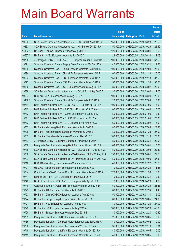|         |                                                                 |               |                       |            | <b>Amount</b> |
|---------|-----------------------------------------------------------------|---------------|-----------------------|------------|---------------|
|         |                                                                 | No. of        |                       |            | raised        |
| Code    | <b>Derivative warrants</b>                                      | issue (units) | Listing date Expiry   |            | $(HK$$ mil.)  |
| 19662   | SGA Societe Generale Acceptance N.V. - HSI Eur Wt Aug 2015 C    | 150,000,000   | 2015/02/05 2015/08/28 |            | 22.50         |
| 19663   | SGA Societe Generale Acceptance N.V. - HSI Eur Wt Oct 2015 A    | 150,000,000   | 2015/02/05 2015/10/29 |            | 22.50         |
| 14133 # | HK Bank - Lenovo European Warrants Aug 2016 A                   | 120,000,000   | 2015/02/05 2016/08/01 |            | 10.68         |
| 16557 # | HK Bank - HKEx European Warrants Jun 2015 A                     | 128,000,000   | 2015/02/05 2015/06/30 |            | 12.03         |
| 19700   | J P Morgan SP BV - CSOP A50 ETF European Warrants Jun 2015 B    | 100,000,000   | 2015/02/06 2015/06/04 |            | 67.50         |
| 19691   | Standard Chartered Bank – Angang Steel European Wts Sep 15 A    | 40,000,000    | 2015/02/06 2015/09/21 |            | 19.20         |
| 19699   | Standard Chartered Bank - CGS European Warrants Dec 2015 B      | 100,000,000   | 2015/02/06 2015/12/04 |            | 25.00         |
| 19694   | Standard Chartered Bank – China Life European Wts Nov 2015 B    | 100,000,000   | 2015/02/06 2015/11/30 |            | 25.00         |
| 19693   | Standard Chartered Bank - CSR European Warrants Dec 2015 A      | 150,000,000   | 2015/02/06 2015/12/18 |            | 37.50         |
| 19692   | Standard Chartered Bank – CSR European Warrants Nov 2016 A      | 150,000,000   | 2015/02/06 2016/11/30 |            | 37.50         |
| 19696   | Standard Chartered Bank - ICBC European Warrants Aug 2015 A     | 80,000,000    | 2015/02/06 2015/08/07 |            | 20.00         |
| 19688   | SGA Societe Generale Acceptance N.V. - CCoal Eu Wt Sep 2015 A   | 30,000,000    | 2015/02/06 2015/09/02 |            | 12.00         |
| 19697   | UBS AG - AIA European Warrants Aug 2015 A                       | 100,000,000   | 2015/02/06 2015/08/24 |            | 25.00         |
| 19438 # | Standard Chartered Bank - China Life European Wts Jul 2015 A    | 120,000,000   | 2015/02/06 2015/07/03 |            | 10.80         |
| 19714   | BNP Paribas Arbit Issu B.V. - CSOP A50 ETF Eu Wts Apr 2016 A    | 100,000,000   | 2015/02/09            | 2016/04/05 | 15.00         |
| 19715   | BNP Paribas Arbit Issu B.V. - A50 China Euro Wts Oct 2016 A     | 100,000,000   | 2015/02/09 2016/10/04 |            | 15.00         |
| 19712   | BNP Paribas Arbit Issu B.V. - Gome European Wts Jul 2016 A      | 50,000,000    | 2015/02/09 2016/07/05 |            | 12.50         |
| 19711   | BNP Paribas Arbit Issu B.V. - SHK Ppt Euro Wts Jan 2017 A       | 100,000,000   | 2015/02/09            | 2017/01/04 | 20.00         |
| 19713   | BNP Paribas Arbit Issu B.V. - ZTE European Wts Mar 2016 A       | 60,000,000    | 2015/02/09            | 2016/03/02 | 15.00         |
| 19703   | HK Bank - Minsheng Bank European Warrants Jul 2016 A            | 180,000,000   | 2015/02/09 2016/07/06 |            | 28.80         |
| 19706   | HK Bank - Minsheng Bank European Warrants Jul 2016 B            | 180,000,000   | 2015/02/09            | 2016/07/28 | 27.00         |
| 19705   | HK Bank - China Mobile European Warrants Dec 2016 B             | 180,000,000   | 2015/02/09 2016/12/19 |            | 28.80         |
| 19717   | J P Morgan SP BV - Goldwind European Warrants Aug 2015 A        | 80,000,000    | 2015/02/09            | 2015/08/31 | 20.08         |
| 19709   | Macquarie Bank Ltd. - Minsheng Bank European Wts Aug 2016 A     | 63,000,000    | 2015/02/09 2016/08/01 |            | 10.08         |
| 19716   | SGA Societe Generale Acceptance N.V. - CCCCL Eu Wt Dec 2015 A   | 150,000,000   | 2015/02/09 2015/12/02 |            | 22.50         |
| 19708   | SGA Societe Generale Acceptance NV - Minsheng Bk Eu Wt Aug 16 A | 150,000,000   | 2015/02/09 2016/08/01 |            | 22.50         |
| 19707   | SGA Societe Generale Acceptance NV - Minsheng Bk Eu Wt Oct 16 A | 150,000,000   | 2015/02/09 2016/10/05 |            | 37.50         |
| 19710   | UBS AG - Minsheng Bank European Warrants Jul 2015 C             | 40,000,000    | 2015/02/09 2015/07/27 |            | 23.20         |
| 19701   | UBS AG - Minsheng Bank European Warrants Jun 2016 A             | 70,000,000    | 2015/02/09 2016/06/24 |            | 11.55         |
| 19734   | Credit Suisse AG - Ch Comm Cons European Warrants Nov 2015 A    | 120,000,000   | 2015/02/10 2015/11/30 |            | 18.00         |
| 19741   | Bank of East Asia - CPIC European Warrants Aug 2015 A           | 40,000,000    | 2015/02/10 2015/08/31 |            | 10.60         |
| 19742   | Bank of East Asia - CSOP A50 ETF European Wts Apr 2016 A        | 70,000,000    | 2015/02/10 2016/04/28 |            | 11.90         |
| 19740   | Goldman Sachs SP (Asia) - HSI European Warrants Jun 2015 D      | 150,000,000   | 2015/02/10 2015/06/29 |            | 23.25         |
| 19725   | HK Bank - AIA European Put Warrants Jul 2015 C                  | 80,000,000    | 2015/02/10 2015/07/24 |            | 14.40         |
| 19723   | HK Bank - China COSCO European Warrants Aug 2015 A              | 50,000,000    | 2015/02/10 2015/08/31 |            | 15.00         |
| 19724   | HK Bank - Sinopec Corp European Warrants Oct 2015 A             | 80,000,000    | 2015/02/10 2015/10/05 |            | 24.00         |
| 19721   | HK Bank - HSCEI European Warrants Aug 2015 A                    | 180,000,000   | 2015/02/10 2015/08/28 |            | 27.00         |
| 19722   | HK Bank - HSI European Put Warrants Aug 2015 A                  | 180,000,000   | 2015/02/10 2015/08/28 |            | 45.00         |
| 19720   | HK Bank - Tencent European Warrants Dec 2016 B                  | 180,000,000   | 2015/02/10 2016/12/21 |            | 30.60         |
| 19739   | Macquarie Bank Ltd. - Ch Southern Air Euro Wts Oct 2015 A       | 25,000,000    | 2015/02/10 2015/10/05 |            | 10.15         |
| 19736   | Macquarie Bank Ltd. - Greatwall Motor European Wts Sep 2015 A   | 40,000,000    | 2015/02/10 2015/09/02 |            | 10.00         |
| 19738   | Macquarie Bank Ltd. - Haier Elec European Wts Dec 2015 A        | 35,000,000    | 2015/02/10 2015/12/16 |            | 10.01         |
| 19718   | Macquarie Bank Ltd. - Li & Fung European Warrants Oct 2015 A    | 40,000,000    | 2015/02/10 2015/10/05 |            | 10.00         |
| 19719   | Macquarie Bank Ltd. - Stanchart European Warrants Oct 2015 A    | 40,000,000    | 2015/02/10 2015/10/05 |            | 10.00         |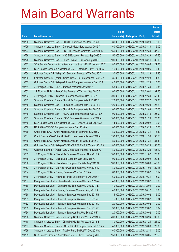|       |                                                                  |               |                       |            | <b>Amount</b> |
|-------|------------------------------------------------------------------|---------------|-----------------------|------------|---------------|
|       |                                                                  | No. of        |                       |            | raised        |
| Code  | <b>Derivative warrants</b>                                       | issue (units) | Listing date Expiry   |            | (HK\$ mil.)   |
| 19730 | Standard Chartered Bank - BOC HK European Wts Mar 2016 A         | 80,000,000    | 2015/02/10 2016/03/29 |            | 12.00         |
| 19729 | Standard Chartered Bank - Greatwall Motor Euro Wt Aug 2015 A     | 60,000,000    | 2015/02/10 2015/08/10 |            | 15.00         |
| 19727 | Standard Chartered Bank - HSCEI European Warrants Dec 2015 B     | 150,000,000   | 2015/02/10 2015/12/30 |            | 37.50         |
| 19726 | Standard Chartered Bank - HSCEI European Put Wts Sep 2015 D      | 150,000,000   | 2015/02/10 2015/09/29 |            | 37.50         |
| 19728 | Standard Chartered Bank - Sands China Eu Put Wts Aug 2015 C      | 100,000,000   | 2015/02/10 2015/08/11 |            | 36.00         |
| 19733 | SGA Societe Generale Acceptance N.V. - Galaxy Ent Eu Wt Aug 15 C | 80,000,000    | 2015/02/10 2015/08/05 |            | 21.60         |
| 19731 | SGA Societe Generale Acceptance N.V. - Stanchart Eu Wt Oct 15 A  | 16,000,000    | 2015/02/10 2015/10/05 |            | 10.40         |
| 19754 | Goldman Sachs SP (Asia) – Ch South Air European Wts Dec 15 A     | 30,000,000    | 2015/02/11 2015/12/28 |            | 14.25         |
| 19756 | Goldman Sachs SP (Asia) - China Travel HK European Wt Dec 15 A   | 35,000,000    | 2015/02/11            | 2015/12/28 | 11.38         |
| 19755 | Goldman Sachs SP (Asia) – Goldwind European Warrants Dec 15 A    | 40,000,000    | 2015/02/11            | 2015/12/28 | 10.08         |
| 19751 | J P Morgan SP BV - BEA European Warrants Nov 2015 A              | 68,000,000    | 2015/02/11            | 2015/11/30 | 10.34         |
| 19752 | J P Morgan SP BV - PetroChina European Warrants Sep 2015 A       | 100,000,000   | 2015/02/11            | 2015/09/01 | 32.60         |
| 19753 | J P Morgan SP BV - Tencent European Warrants Dec 2016 A          | 300,000,000   | 2015/02/11            | 2016/12/30 | 53.40         |
| 19743 | Standard Chartered Bank - China Life European Wts Jul 2015 B     | 120,000,000   | 2015/02/11            | 2015/07/27 | 22.20         |
| 19745 | Standard Chartered Bank - China Life European Wts Oct 2015 B     | 120,000,000   | 2015/02/11            | 2015/10/23 | 25.20         |
| 19746 | Standard Chartered Bank – China Life European Wts Jan 2016 A     | 100,000,000   | 2015/02/11            | 2016/01/08 | 25.00         |
| 19748 | Standard Chartered Bank - HSBC European Warrants Aug 2015 A      | 100,000,000   | 2015/02/11            | 2015/08/10 | 25.00         |
| 19747 | Standard Chartered Bank - HSBC European Warrants Jan 2016 A      | 100,000,000   | 2015/02/11            | 2016/01/29 | 25.00         |
| 19749 | SGA Societe Generale Acceptance N.V. - Lenovo Eu Wt Sep 15 A     | 14,000,000    | 2015/02/11            | 2015/09/02 | 10.08         |
| 19750 | UBS AG - CNOOC European Warrants Sep 2016 A                      | 100,000,000   | 2015/02/11            | 2016/09/26 | 15.00         |
| 19779 | Credit Suisse AG - China Mobile European Warrants Jul 2015 C     | 80,000,000    | 2015/02/12 2015/07/31 |            | 18.40         |
| 19781 | Credit Suisse AG - China Mobile European Warrants Nov 2016 A     | 150,000,000   | 2015/02/12 2016/11/30 |            | 37.50         |
| 19780 | Credit Suisse AG - China Mobile European Put Wts Jul 2015 D      | 80,000,000    | 2015/02/12 2015/07/31 |            | 34.40         |
| 19788 | Goldman Sachs SP (Asia) - CSOP A50 ETF Eu Put Wts Aug 2015 A     | 80,000,000    | 2015/02/12 2015/08/28 |            | 56.00         |
| 19787 | Goldman Sachs SP (Asia) - A50 China Euro Put Wts Aug 2015 A      | 80,000,000    | 2015/02/12 2015/08/28 |            | 55.12         |
| 19782 | J P Morgan SP BV - China Life European Warrants Nov 2015 A       | 100,000,000   | 2015/02/12 2015/11/02 |            | 25.30         |
| 19785 | J P Morgan SP BV - China Mob European Wts Sep 2015 A             | 100,000,000   | 2015/02/12 2015/09/02 |            | 29.30         |
| 19786 | J P Morgan SP BV - China Mob European Put Wts Aug 2015 C         | 100,000,000   | 2015/02/12 2015/08/03 |            | 40.00         |
| 19783 | J P Morgan SP BV - Chi Res Power European Wts Nov 2015 A         | 80,000,000    | 2015/02/12 2015/11/03 |            | 20.16         |
| 19784 | J P Morgan SP BV - Datang European Wts Sep 2015 A                | 60,000,000    | 2015/02/12 2015/09/02 |            | 15.12         |
| 19789 | J P Morgan SP BV - Huaneng Power European Wts Oct 2016 A         | 60,000,000    | 2015/02/12 2016/10/31 |            | 15.00         |
| 19767 | Macquarie Bank Ltd. - China Mobile European Wts Sep 2015 A       | 40,000,000    | 2015/02/12 2015/09/02 |            | 10.00         |
| 19768 | Macquarie Bank Ltd. - China Mobile European Wts Dec 2017 B       | 40,000,000    | 2015/02/12 2017/12/04 |            | 10.00         |
| 19765 | Macquarie Bank Ltd. - Datang European Warrants Aug 2015 A        | 40,000,000    | 2015/02/12 2015/08/12 |            | 10.00         |
| 19760 | Macquarie Bank Ltd. - Tencent European Warrants Sep 2015 B       | 15,000,000    | 2015/02/12 2015/09/02 |            | 15.00         |
| 19761 | Macquarie Bank Ltd. - Tencent European Warrants Sep 2015 C       | 15,000,000    | 2015/02/12 2015/09/02 |            | 10.04         |
| 19762 | Macquarie Bank Ltd. - Tencent European Warrants Sep 2015 D       | 20,000,000    | 2015/02/12 2015/09/02 |            | 10.00         |
| 19763 | Macquarie Bank Ltd. - Tencent European Warrants Sep 2015 E       | 30,000,000    | 2015/02/12 2015/09/02 |            | 10.02         |
| 19764 | Macquarie Bank Ltd. - Tencent European Put Wts Sep 2015 F        | 20,000,000    | 2015/02/12 2015/09/02 |            | 10.00         |
| 19758 | Standard Chartered Bank - Minsheng Bank Euro Wts Jun 2016 A      | 200,000,000   | 2015/02/12 2016/06/24 |            | 30.00         |
| 19778 | Standard Chartered Bank - China Mobile Eur Put Wt Jul 2015 B     | 80,000,000    | 2015/02/12 2015/07/24 |            | 24.00         |
| 19757 | Standard Chartered Bank - HS H-SHARE European Wts Oct 2015 A     | 40,000,000    | 2015/02/12 2015/10/06 |            | 20.00         |
| 19759 | Standard Chartered Bank - Tracker Fund Eu Put Wt Dec 2015 A      | 60,000,000    | 2015/02/12 2015/12/31 |            | 15.00         |
| 19769 | SGA Societe Generale Acceptance N.V. - CLife Eu Wt Aug 2015 C    | 150,000,000   | 2015/02/12 2015/08/05 |            | 22.50         |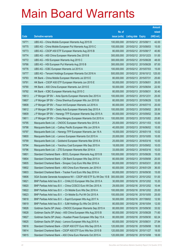|       |                                                                  |               |                            | <b>Amount</b> |
|-------|------------------------------------------------------------------|---------------|----------------------------|---------------|
|       |                                                                  | No. of        |                            | raised        |
| Code  | <b>Derivative warrants</b>                                       | issue (units) | <b>Listing date Expiry</b> | $(HK$$ mil.)  |
| 19771 | UBS AG – China Mobile European Warrants Aug 2015 B               | 100,000,000   | 2015/02/12 2015/08/11      | 42.00         |
| 19775 | UBS AG – China Mobile European Put Warrants Aug 2015 C           | 100,000,000   | 2015/02/12 2015/08/03      | 15.00         |
| 19773 | UBS AG - CSOP A50 ETF European Warrants Aug 2015 B               | 80,000,000    | 2015/02/12 2015/08/17      | 40.80         |
| 19774 | UBS AG - A50 China European Warrants Dec 2015 B                  | 300,000,000   | 2015/02/12 2015/12/23      | 51.00         |
| 19772 | UBS AG - HSI European Warrants Aug 2015 C                        | 300,000,000   | 2015/02/12 2015/08/28      | 48.00         |
| 19766 | UBS AG - HSI European Put Warrants Aug 2015 B                    | 300,000,000   | 2015/02/12 2015/08/28      | 87.00         |
| 19776 | UBS AG - ICBC European Warrants Jul 2015 A                       | 100,000,000   | 2015/02/12 2015/07/03      | 15.00         |
| 19777 | UBS AG - Tencent Holdings European Warrants Oct 2016 A           | 500,000,000   | 2015/02/12 2016/10/12      | 125.00        |
| 19793 | HK Bank - China Mobile European Warrants Jul 2015 E              | 80,000,000    | 2015/02/13 2015/07/31      | 25.60         |
| 19791 | HK Bank - CSOP A50 ETF European Warrants Jun 2015 E              | 50,000,000    | 2015/02/13 2015/06/01      | 26.00         |
| 19790 | HK Bank - A50 China European Warrants Jun 2015 E                 | 50,000,000    | 2015/02/13 2015/06/04      | 22.50         |
| 19792 | HK Bank – ICBC European Warrants Aug 2015 C                      | 80,000,000    | 2015/02/13 2015/08/31      | 30.40         |
| 19813 | J P Morgan SP BV - Anta Sports European Warrants Dec 2015 A      | 100,000,000   | 2015/02/13 2015/12/31      | 25.00         |
| 19807 | J P Morgan SP BV - China Shenhua European Wts Jun 2015 B         | 80,000,000    | 2015/02/13 2015/06/29      | 12.00         |
| 19808 | J P Morgan SP BV - Fosun Intl European Warrants Jul 2016 A       | 80,000,000    | 2015/02/13 2016/07/15      | 20.00         |
| 19812 | J P Morgan SP BV - Geely Auto European Warrants Sep 2015 A       | 100,000,000   | 2015/02/13 2015/09/02      | 28.50         |
| 19809 | J P Morgan SP BV - Hanergy TFP European Warrants Sep 2015 A      | 80,000,000    | 2015/02/13 2015/09/02      | 33.84         |
| 19811 | J P Morgan SP BV - China Mengniu European Warrants Oct 2015 A    | 100,000,000   | 2015/02/13 2015/10/02      | 25.80         |
| 19795 | Macquarie Bank Ltd. - CNOOC European Warrants Nov 2015 A         | 25,000,000    | 2015/02/13 2015/11/03      | 10.00         |
| 19798 | Macquarie Bank Ltd. - Cathay Pacific European Wts Jun 2016 A     | 40,000,000    | 2015/02/13 2016/06/02      | 10.00         |
| 19797 | Macquarie Bank Ltd. - Hanergy TFP European Warrants Jan 16 A     | 16,000,000    | 2015/02/13 2016/01/18      | 10.02         |
| 19800 | Macquarie Bank Ltd. - Lenovo European Warrants Oct 2015 A        | 20,000,000    | 2015/02/13 2015/10/05      | 10.00         |
| 19799 | Macquarie Bank Ltd. - Goldwind European Warrants Mar 2016 A      | 25,000,000    | 2015/02/13 2016/03/16      | 10.00         |
| 19794 | Macquarie Bank Ltd. - Yanzhou Coal European Wts Sep 2015 A       | 18,000,000    | 2015/02/13 2015/09/02      | 10.03         |
| 19796 | Macquarie Bank Ltd. - ZTE European Warrants Mar 2016 A           | 33,000,000    | 2015/02/13 2016/03/16      | 10.03         |
| 19801 | Standard Chartered Bank - BOCL European Warrants Aug 2015 B      | 100,000,000   | 2015/02/13 2015/08/26      | 15.00         |
| 19804 | Standard Chartered Bank - CM Bank European Wts Sep 2015 A        | 80,000,000    | 2015/02/13 2015/09/08      | 20.00         |
| 19805 | Standard Chartered Bank - Sinopec Corp Euro Wts Mar 2016 A       | 80,000,000    | 2015/02/13 2016/03/31      | 20.00         |
| 19802 | Standard Chartered Bank - A50 China Euro Warrants Jan 2016 A     | 60,000,000    | 2015/02/13 2016/01/29      | 36.00         |
| 19803 | Standard Chartered Bank – Tracker Fund Euro Wts Sep 2016 A       | 60,000,000    | 2015/02/13 2016/09/30      | 15.00         |
| 19806 | SGA Societe Generale Acceptance NV - CSOP A50 ETF Eu Wt Dec 15 B | 300,000,000   | 2015/02/13 2015/12/02      | 51.00         |
| 19821 | BNP Paribas Arbit Issu B.V. - CHALCO European Wts Dec 2015 A     | 30,000,000    | 2015/02/16 2015/12/02      | 10.20         |
| 19820 | BNP Paribas Arbit Issu B.V. - China COSCO Euro Wt Dec 2015 A     | 29,000,000    | 2015/02/16 2015/12/02      | 10.44         |
| 19822 | BNP Paribas Arbit Issu B.V. - Ch Mobile Euro Wts Dec 2016 A      | 100,000,000   | 2015/02/16 2016/12/02      | 25.00         |
| 19823 | BNP Paribas Arbit Issu B.V. - Ch Mobile Eu Put Wt Oct 2015 A     | 100,000,000   | 2015/02/16 2015/10/05      | 25.00         |
| 19818 | BNP Paribas Arbit Issu B.V. - Esprit European Wts Aug 2017 A     | 50,000,000    | 2015/02/16 2017/08/02      | 12.50         |
| 19819 | BNP Paribas Arbit Issu B.V. - SJM Holdings Eu Wts Oct 2016 A     | 80,000,000    | 2015/02/16 2016/10/04      | 12.00         |
| 19826 | Goldman Sachs SP (Asia) - CNOOC European Warrants Sep 2015 A     | 80,000,000    | 2015/02/16 2015/09/30      | 33.52         |
| 19828 | Goldman Sachs SP (Asia) - A50 China European Wts Aug 2015 B      | 80,000,000    | 2015/02/16 2015/08/28      | 71.60         |
| 19827 | Goldman Sachs SP (Asia) - Huadian Power European Wts Sep 15 A    | 80,000,000    | 2015/02/16 2015/09/30      | 62.24         |
| 19825 | Goldman Sachs SP (Asia) - Lenovo European Wts Aug 2015 A         | 60,000,000    | 2015/02/16 2015/08/31      | 27.84         |
| 19816 | Standard Chartered Bank - CSOP A50 ETF Euro Wts Sep 2015 A       | 120,000,000   | 2015/02/16 2015/09/08      | 18.00         |
| 19814 | Standard Chartered Bank - CSOP A50 ETF Euro Wts Nov 2015 B       | 120,000,000   | 2015/02/16 2015/11/27      | 18.00         |
| 19815 | Standard Chartered Bank - A50 China Euro Warrants Oct 2015 A     | 120,000,000   | 2015/02/16 2015/10/08      | 18.00         |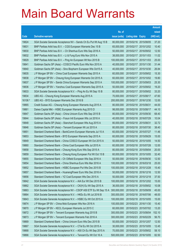|         |                                                                  |               |                            |            | <b>Amount</b> |
|---------|------------------------------------------------------------------|---------------|----------------------------|------------|---------------|
|         |                                                                  | No. of        |                            |            | raised        |
| Code    | <b>Derivative warrants</b>                                       | issue (units) | <b>Listing date Expiry</b> |            | (HK\$ mil.)   |
| 19824   | SGA Societe Generale Acceptance NV – Sands Ch Eu Put Wt Aug 15 B | 80,000,000    | 2015/02/16 2015/08/05      |            | 37.20         |
| 19831   | BNP Paribas Arbit Issu B.V. - CGS European Warrants Dec 15 B     | 65,000,000    | 2015/02/17 2015/12/02      |            | 10.40         |
| 19830   | BNP Paribas Arbit Issu B.V. - Ch Shenhua Euro Wts Sep 2016 A     | 50,000,000    | 2015/02/17                 | 2016/09/02 | 12.50         |
| 19832   | BNP Paribas Arbit Issu B.V. - Li & Fung Euro Wts Nov 2015 A      | 38,000,000    | 2015/02/17 2015/11/03      |            | 11.02         |
| 19829   | BNP Paribas Arbit Issu B.V. - Ping An European Wt Nov 2015 B     | 100,000,000   | 2015/02/17                 | 2015/11/03 | 25.00         |
| 19841   | Goldman Sachs SP (Asia) – COSCO Pacific Euro Wts Nov 2015 A      | 40,000,000    | 2015/02/17 2015/11/30      |            | 31.44         |
| 19840   | Goldman Sachs SP (Asia) - Sino Biopharm European Wts Oct15 A     | 40,000,000    | 2015/02/17                 | 2015/10/30 | 26.84         |
| 19835   | J P Morgan SP BV – China Coal European Warrants Sep 2015 A       | 60,000,000    | 2015/02/17 2015/09/02      |            | 15.30         |
| 19838   | J P Morgan SP BV - Cheung Kong European Warrants Oct 2015 A      | 60,000,000    | 2015/02/17 2015/10/02      |            | 19.80         |
| 19837   | J P Morgan SP BV - Sands China European Warrants Sep 2015 A      | 100,000,000   | 2015/02/17 2015/09/03      |            | 25.30         |
| 19836   | J P Morgan SP BV - Yanzhou Coal European Warrants Sep 2015 A     | 50,000,000    | 2015/02/17                 | 2015/09/02 | 19.20         |
| 19833   | SGA Societe Generale Acceptance N.V. - Ping An Eu Wt Sep 15 B    | 80,000,000    | 2015/02/17 2015/09/02      |            | 33.20         |
| 19834   | UBS AG – Cheung Kong European Warrants Aug 2015 A                | 70,000,000    | 2015/02/17 2015/08/17      |            | 47.60         |
| 16106 # | UBS AG - BYD European Warrants Dec 2016 B                        | 200,000,000   | 2015/02/17 2016/12/30      |            | 12.00         |
| 19865   | Credit Suisse AG - Cheung Kong European Warrants Aug 2015 A      | 80,000,000    | 2015/02/18                 | 2015/08/31 | 44.00         |
| 19861   | Daiwa Capital Mkt - HSBC European Warrants Aug 2015 D            | 98,000,000    | 2015/02/18 2015/08/17      |            | 44.10         |
| 19847   | Goldman Sachs SP (Asia) – China Unicom Euro Wts Sep 2015 B       | 80,000,000    | 2015/02/18 2015/09/30      |            | 68.40         |
| 19844   | Goldman Sachs SP (Asia) – Fosun Intl European Wts Jul 2016 A     | 40,000,000    | 2015/02/18 2016/07/29      |            | 10.04         |
| 19848   | Goldman Sachs SP (Asia) – Stanchart European Wts Aug 2015 A      | 80,000,000    | 2015/02/18                 | 2015/08/31 | 32.72         |
| 19846   | Goldman Sachs SP (Asia) – Tencent European Wt Jul 2015 A         | 80,000,000    | 2015/02/18 2015/07/30      |            | 38.40         |
| 19851   | Standard Chartered Bank - BankComm European Warrants Jul 15 A    | 60,000,000    | 2015/02/18 2015/07/27      |            | 11.46         |
| 19853   | Standard Chartered Bank - BYD European Warrants Sep 2015 A       | 60,000,000    | 2015/02/18 2015/09/29      |            | 15.00         |
| 19849   | Standard Chartered Bank – China COSCO European Wt Oct 2015 A     | 50,000,000    | 2015/02/18 2015/10/05      |            | 14.50         |
| 19860   | Standard Chartered Bank – China Coal European Wts Jul 2015 A     | 60,000,000    | 2015/02/18 2015/07/28      |            | 12.00         |
| 19858   | Standard Chartered Bank - Cheung Kong Euro Wts Sep 2015 A        | 80,000,000    | 2015/02/18 2015/09/04      |            | 20.00         |
| 19859   | Standard Chartered Bank - Cheung Kong European Put Wt Oct 15 B   | 60,000,000    | 2015/02/18 2015/10/05      |            | 32.40         |
| 19855   | Standard Chartered Bank - Ch Oilfield European Wts Sep 2016 A    | 50,000,000    | 2015/02/18 2016/09/30      |            | 12.50         |
| 19854   | Standard Chartered Bank - China Shenhua Euro Wts Mar 2016 A      | 100,000,000   | 2015/02/18 2016/03/18      |            | 25.00         |
| 19852   | Standard Chartered Bank - HSBC European Put Wts Dec 2015 B       | 100,000,000   | 2015/02/18 2015/12/28      |            | 15.40         |
| 19857   | Standard Chartered Bank - HuanengPower Euro Wts Dec 2016 A       | 50,000,000    | 2015/02/18 2016/12/16      |            | 12.50         |
| 19856   | Standard Chartered Bank - YZ Coal European Wts Dec 2015 A        | 50,000,000    | 2015/02/18 2015/12/18      |            | 37.50         |
| 19842   | SGA Societe Generale Acceptance N.V. - AIA Eur Wt Dec 2015 B     | 100,000,000   | 2015/02/18 2015/12/02      |            | 15.00         |
| 19862   | SGA Societe Generale Acceptance N.V. - CK(H) Eu Wt Sep 2015 A    | 36,000,000    | 2015/02/18                 | 2015/09/02 | 10.08         |
| 19863   | SGA Societe Generale Acceptance NV - CSOP A50 ETF Eu Wt Sep 15 A | 300,000,000   | 2015/02/18 2015/09/09      |            | 45.00         |
| 19864   | SGA Societe Generale Acceptance N.V. - HKEx Eu Wt Jul 2016 B     | 300,000,000   | 2015/02/18 2016/07/06      |            | 48.00         |
| 19843   | SGA Societe Generale Acceptance N.V. - HSBC Eu Wt Oct 2015 A     | 100,000,000   | 2015/02/18 2015/10/05      |            | 15.00         |
| 19874   | J P Morgan SP BV - China Mob European Wts Nov 2016 A             | 100,000,000   | 2015/02/23                 | 2016/11/30 | 15.40         |
| 19870   | J P Morgan SP BV - KECL European Warrants Jul 2015 C             | 60,000,000    | 2015/02/23 2015/07/02      |            | 13.20         |
| 19872   | J P Morgan SP BV - Tencent European Warrants Aug 2015 B          | 300,000,000   | 2015/02/23                 | 2015/08/04 | 152.10        |
| 19873   | J P Morgan SP BV - Tencent European Warrants Feb 2016 A          | 300,000,000   | 2015/02/23 2016/02/29      |            | 56.70         |
| 19869   | Standard Chartered Bank - China Unicom Euro Wts Dec 2015 B       | 50,000,000    | 2015/02/23 2015/12/07      |            | 12.50         |
| 19867   | SGA Societe Generale Acceptance N.V. - CTel Eu Wt Oct 2015 A     | 30,000,000    | 2015/02/23 2015/10/05      |            | 12.45         |
| 19868   | SGA Societe Generale Acceptance N.V. - A50 Ch Eu Wt Sep 2015 A   | 70,000,000    | 2015/02/23 2015/09/02      |            | 58.10         |
| 19866   | SGA Societe Generale Acceptance N.V. - Tencent Eu Wt Oct 16 A    | 500,000,000   | 2015/02/23 2016/10/05      |            | 82.50         |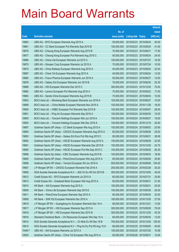|         |                                                                  |               |                            |                       | <b>Amount</b> |
|---------|------------------------------------------------------------------|---------------|----------------------------|-----------------------|---------------|
|         |                                                                  | No. of        |                            |                       | raised        |
| Code    | <b>Derivative warrants</b>                                       | issue (units) | <b>Listing date Expiry</b> |                       | $(HK$$ mil.)  |
| 19883   | UBS AG - BYD European Warrants Aug 2015 A                        | 50,000,000    | 2015/02/23                 | 2015/08/24            | 20.00         |
| 19881   | UBS AG - CC Bank European Put Warrants Sep 2015 B                | 100,000,000   | 2015/02/23 2015/09/25      |                       | 41.00         |
| 19876   | UBS AG - Cheung Kong European Warrants Aug 2015 B                | 70,000,000    | 2015/02/23                 | 2015/08/31            | 17.50         |
| 19877   | UBS AG – Cheung Kong European Put Warrants Aug 2015 C            | 50,000,000    | 2015/02/23 2015/08/24      |                       | 24.00         |
| 19886   | UBS AG - China Life European Warrants Jul 2015 C                 | 100,000,000   | 2015/02/23 2015/07/27      |                       | 16.50         |
| 19879   | UBS AG - Sinopec Corp European Warrants Jul 2015 A               | 70,000,000    | 2015/02/23 2015/07/24      |                       | 10.50         |
| 19875   | UBS AG - China Railway European Warrants Aug 2015 A              | 40,000,000    | 2015/02/23                 | 2015/08/24            | 22.00         |
| 19887   | UBS AG – China Tel European Warrants Aug 2015 A                  | 40,000,000    | 2015/02/23 2015/08/24      |                       | 12.00         |
| 19880   | UBS AG - Fosun Pharma European Warrants Jun 2016 A               | 50,000,000    |                            | 2015/02/23 2016/06/27 | 12.50         |
| 19878   | UBS AG - Galaxy Ent European Warrants Jun 2015 B                 | 70,000,000    |                            | 2015/02/23 2015/06/30 | 20.30         |
| 19888   | UBS AG - HSI European Warrants Dec 2015 C                        | 300,000,000   | 2015/02/23                 | 2015/12/30            | 75.00         |
| 19882   | UBS AG - Lenovo European Put Warrants Aug 2016 A                 | 70,000,000    | 2015/02/23 2016/08/22      |                       | 17.50         |
| 19884   | UBS AG - Sands China European Warrants Aug 2015 B                | 70,000,000    |                            | 2015/02/23 2015/08/04 | 10.50         |
| 19903   | BOCI Asia Ltd. - Minsheng Bank European Warrants Jun 2016 A      | 100,000,000   | 2015/02/24 2016/06/27      |                       | 15.00         |
| 19899   | BOCI Asia Ltd. - China Mobile European Warrants Nov 2016 A       | 100,000,000   | 2015/02/24                 | 2016/11/28            | 18.00         |
| 19900   | BOCI Asia Ltd. - HSBC European Put Warrants Sep 2015 B           | 100,000,000   | 2015/02/24 2015/09/07      |                       | 28.00         |
| 19901   | BOCI Asia Ltd. - Ping An European Warrants Sep 2016 A            | 100,000,000   |                            | 2015/02/24 2016/09/30 | 15.00         |
| 19905   | BOCI Asia Ltd. - Tencent Holdings European Wts Jun 2016 A        | 100,000,000   | 2015/02/24 2016/06/27      |                       | 19.00         |
| 19904   | BOCI Asia Ltd. - Tencent Holdings European Wts Dec 2016 A        | 100,000,000   | 2015/02/24                 | 2016/12/19            | 20.00         |
| 19897   | Goldman Sachs SP (Asia) – CC Bank European Wts Aug 2015 A        | 100,000,000   | 2015/02/24 2015/08/03      |                       | 25.90         |
| 19894   | Goldman Sachs SP (Asia) – CNOOC European Warrants Aug 2015 A     | 60,000,000    | 2015/02/24 2015/08/28      |                       | 29.52         |
| 19893   | Goldman Sachs SP (Asia) - Galaxy Ent Euro Put Wts Aug 2015 C     | 80,000,000    | 2015/02/24 2015/08/31      |                       | 38.08         |
| 19892   | Goldman Sachs SP (Asia) - HSCEI European Warrants Aug 2015 A     | 150,000,000   | 2015/02/24                 | 2015/08/28            | 22.50         |
| 19891   | Goldman Sachs SP (Asia) – HSCEI European Warrants Dec 2015 B     | 150,000,000   | 2015/02/24 2015/12/30      |                       | 24.75         |
| 19890   | Goldman Sachs SP (Asia) – HSCEI European Put Wts Sep 2015 C      | 150,000,000   | 2015/02/24 2015/09/29      |                       | 26.25         |
| 19898   | Goldman Sachs Sp (Asia) - ICBC European Warrants Aug 2015 B      | 100,000,000   | 2015/02/24 2015/08/03      |                       | 18.90         |
| 19895   | Goldman Sachs SP (Asia) - PetroChina European Wts Aug 2015 A     | 60,000,000    | 2015/02/24 2015/08/28      |                       | 30.60         |
| 19896   | Goldman Sachs SP (Asia) - Tencent European Wt Jun 2016 A         | 500,000,000   | 2015/02/24 2016/06/06      |                       | 104.00        |
| 19907   | J P Morgan SP BV - CNOOC European Warrants Feb 2016 A            | 200,000,000   | 2015/02/24 2016/02/29      |                       | 30.20         |
| 19906   | SGA Societe Generale Acceptance N.V. - A50 Ch Eu Wt Oct 2015 B   | 300,000,000   | 2015/02/24 2015/10/05      |                       | 45.00         |
| 19912   | Credit Suisse AG - BYD European Warrants Jul 2015 A              | 60,000,000    | 2015/02/25 2015/07/31      |                       | 25.80         |
| 19913   | Credit Suisse AG - Greatwall Motor European Wts Aug 2015 A       | 60,000,000    | 2015/02/25 2015/08/31      |                       | 21.00         |
| 19910   | HK Bank - AIA European Warrants Aug 2015 A                       | 100,000,000   | 2015/02/25                 | 2015/08/31            | 25.00         |
| 19909   | HK Bank - China Life European Warrants Sep 2015 E                | 100,000,000   | 2015/02/25 2015/09/30      |                       | 25.00         |
| 19911   | HK Bank - PetroChina European Warrants Sep 2015 A                | 80,000,000    | 2015/02/25 2015/09/30      |                       | 32.00         |
| 19908   | HK Bank - SHK Ppt European Warrants Dec 2016 A                   | 180,000,000   | 2015/02/25 2016/12/30      |                       | 27.00         |
| 19919   | J P Morgan SP BV - Guangdong Inv European Warrants Dec 16 A      | 80,000,000    | 2015/02/25 2016/12/21      |                       | 13.92         |
| 19917   | J P Morgan SP BV - HSI European Warrants Sep 2015 A              | 300,000,000   | 2015/02/25 2015/09/29      |                       | 75.00         |
| 19918   | J P Morgan SP BV - HSI European Warrants Dec 2015 B              | 300,000,000   | 2015/02/25 2015/12/30      |                       | 45.30         |
| 19916   | Standard Chartered Bank - Chi Resources European Wts Sep 15 A    | 80,000,000    | 2015/02/25 2015/09/30      |                       | 12.00         |
| 19914   | SGA Societe Generale Acceptance N.V. - Ch Mob Eu Wt Dec 16 B     | 700,000,000   | 2015/02/25                 | 2016/12/05            | 126.00        |
| 19915   | SGA Societe Generale Acceptance N.V - Ping An Eu Put Wt Aug 15 D | 80,000,000    | 2015/02/25 2015/08/05      |                       | 40.80         |
| 15484 # | UBS AG - AIA European Warrants Jul 2015 A                        | 155,000,000   | 2015/02/25 2015/07/20      |                       | 10.08         |
| 19920   | Goldman Sachs SP (Asia) - China Tel European Wts Aug 2015 A      | 60,000,000    | 2015/02/26 2015/08/31      |                       | 15.84         |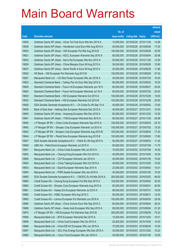|       |                                                                 |               |                            |            | <b>Amount</b> |
|-------|-----------------------------------------------------------------|---------------|----------------------------|------------|---------------|
|       |                                                                 | No. of        |                            |            | raised        |
| Code  | <b>Derivative warrants</b>                                      | issue (units) | <b>Listing date Expiry</b> |            | (HK\$ mil.)   |
| 19935 | Goldman Sachs SP (Asia) - Chow Tai Fook Euro Wts Nov 2015 A     | 10,000,000    | 2015/02/26 2015/11/30      |            | 12.96         |
| 19938 | Goldman Sachs SP (Asia) – Henderson Land Euro Wts Aug 2015 A    | 50,000,000    | 2015/02/26 2015/08/28      |            | 17.50         |
| 19934 | Goldman Sachs SP (Asia) – HSI European Put Wts Aug 2015 B       | 150,000,000   | 2015/02/26 2015/08/28      |            | 25.95         |
| 19921 | Goldman Sachs SP (Asia) – KECL European Warrants Sep 2015 A     | 80,000,000    | 2015/02/26 2015/09/04      |            | 25.68         |
| 19933 | Goldman Sachs SP (Asia) - Kerry Ppt European Wts Nov 2015 A     | 50,000,000    | 2015/02/26 2015/11/25      |            | 12.90         |
| 19936 | Goldman Sachs SP (Asia) - China Mengniu Euro Wt Aug 2015 A      | 50,000,000    | 2015/02/26 2015/08/28      |            | 15.90         |
| 19937 | Goldman Sachs SP (Asia) – Swrie Pacific A Euro Wt Aug 2015 A    | 20,000,000    | 2015/02/26 2015/08/28      |            | 11.86         |
| 19922 | HK Bank – HSI European Put Warrants Aug 2015 B                  | 150,000,000   | 2015/02/26 2015/08/28      |            | 37.50         |
| 19927 | Macquarie Bank Ltd. - Chi Res Power European Wts Jan 2016 A     | 40,000,000    | 2015/02/26 2016/01/05      |            | 10.00         |
| 19923 | Standard Chartered Bank – Cathay Pac Air Euro Wts Sep 2015 A    | 80,000,000    | 2015/02/26 2015/09/25      |            | 15.20         |
| 19929 | Standard Chartered Bank - Fosun Intl European Warrants Jun 16 A | 80,000,000    | 2015/02/26 2016/06/27      |            | 20.00         |
| 19924 | Standard Chartered Bank – Fosun Intl European Warrants Jul 16 A | 80,000,000    | 2015/02/26 2016/07/25      |            | 20.00         |
| 19930 | Standard Chartered Bank - HSI European Warrants Oct 2015 A      | 100,000,000   | 2015/02/26 2015/10/29      |            | 15.00         |
| 19932 | Standard Chartered Bank - HSI European Warrants Oct 2015 B      | 100,000,000   | 2015/02/26 2015/10/29      |            | 25.00         |
| 19926 | SGA Societe Generale Acceptance N.V. - Ch Cinda Eu Wt Sep 15 A  | 40,000,000    | 2015/02/26 2015/09/02      |            | 13.00         |
| 19939 | Bank of East Asia – Haitong Sec European Warrants Dec 2015 A    | 40,000,000    | 2015/02/27 2015/12/31      |            | 10.00         |
| 19940 | Goldman Sachs SP (Asia) – Huaneng European Wts Dec 2016 A       | 60,000,000    | 2015/02/27 2016/12/30      |            | 15.00         |
| 19941 | Goldman Sachs SP (Asia) – TVB European Warrants Nov 2015 A      | 60,000,000    | 2015/02/27 2015/11/30      |            | 25.98         |
| 19945 | J P Morgan SP BV - China Cinda European Warrants Sep 2015 A     | 100,000,000   | 2015/02/27                 | 2015/09/02 | 25.70         |
| 19942 | J P Morgan SP BV - Sinopec Corp European Warrants Jul 2015 A    | 100,000,000   | 2015/02/27 2015/07/02      |            | 15.30         |
| 19943 | J P Morgan SP BV - Sinopec Corp European Warrants Aug 2015 B    | 100,000,000   | 2015/02/27 2015/08/03      |            | 17.20         |
| 19944 | J P Morgan SP BV – PetroChina European Warrants Aug 2015 B      | 100,000,000   | 2015/02/27 2015/08/03      |            | 17.80         |
| 19947 | SGA Societe Generale Acceptance N.V. - Petch Eu Wt Aug 2015 A   | 60,000,000    | 2015/02/27                 | 2015/08/03 | 11.40         |
| 19948 | UBS AG - PetroChina European Warrants Jul 2015 A                | 60,000,000    | 2015/02/27 2015/07/28      |            | 11.70         |
| 19951 | Macquarie Bank Ltd. - China Cinda European Wts Jul 2015 A       | 70,000,000    | 2015/03/02 2015/07/08      |            | 10.50         |
| 19952 | Macquarie Bank Ltd. - Cheung Kong European Wts Oct 2015 A       | 40.000.000    | 2015/03/02 2015/10/05      |            | 10.00         |
| 19956 | Macquarie Bank Ltd. - CLP European Warrants Jan 2016 A          | 40,000,000    | 2015/03/02 2016/01/05      |            | 10.00         |
| 19954 | Macquarie Bank Ltd. - China Taiping European Wts Oct 2015 A     | 40,000,000    | 2015/03/02 2015/10/05      |            | 10.00         |
| 19953 | Macquarie Bank Ltd. - Esprit European Warrants Sep 2015 A       | 23,000,000    | 2015/03/02 2015/09/02      |            | 10.01         |
| 19955 | Macquarie Bank Ltd. - PWR Assets European Wts Jan 2016 A        | 40,000,000    | 2015/03/02 2016/01/05      |            | 10.00         |
| 19950 | SGA Societe Generale Acceptance N.V. - CNOOC Eu Wt Mar 2016 A   | 300,000,000   | 2015/03/02 2016/03/02      |            | 48.00         |
| 19964 | Credit Suisse AG - Cheung Kong European Put Wts Sep 2015 A      | 100,000,000   | 2015/03/03 2015/09/02      |            | 35.00         |
| 19962 | Credit Suisse AG - Sinopec Corp European Warrants Aug 2015 A    | 80,000,000    | 2015/03/03 2015/08/31      |            | 20.80         |
| 19961 | Credit Suisse AG - Galaxy Ent European Warrants Jul 2015 A      | 80,000,000    | 2015/03/03 2015/07/31      |            | 16.00         |
| 19960 | Credit Suisse AG - HSBC European Wts Aug 2015 C                 | 80,000,000    | 2015/03/03 2015/08/31      |            | 12.00         |
| 19963 | Credit Suisse AG - Lenovo European Put Warrants Jun 2016 A      | 100,000,000   | 2015/03/03 2016/06/30      |            | 25.00         |
| 19965 | Goldman Sachs SP (Asia) - China Unicom Euro Wts Sep 2015 C      | 80,000,000    | 2015/03/03 2015/09/04      |            | 38.24         |
| 19966 | Goldman Sachs SP (Asia) - Geely Auto European Wts Sep 2015 A    | 80,000,000    | 2015/03/03 2015/09/04      |            | 21.20         |
| 19970 | J P Morgan SP BV - HSI European Put Warrants Sep 2015 B         | 300,000,000   | 2015/03/03 2015/09/29      |            | 75.30         |
| 19959 | Macquarie Bank Ltd. - BYD European Warrants Dec 2015 A          | 15,000,000    | 2015/03/03 2015/12/02      |            | 10.01         |
| 19958 | Macquarie Bank Ltd. - China Coal European Wts Oct 2015 A        | 25,000,000    | 2015/03/03 2015/10/05      |            | 10.00         |
| 19968 | Macquarie Bank Ltd. - China EB Int'l European Wts Jun 2016 A    | 70,000,000    | 2015/03/03 2016/06/20      |            | 10.50         |
| 19957 | Macquarie Bank Ltd. - GCL-Poly Energy European Wts Dec 2015 A   | 30,000,000    | 2015/03/03 2015/12/02      |            | 10.02         |
| 19969 | Macquarie Bank Ltd. - Yurun Food European Wts Jan 2016 A        | 40,000,000    | 2015/03/03 2016/01/05      |            | 10.00         |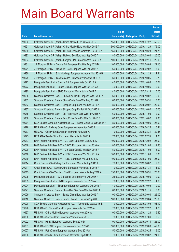|       |                                                                  |               |                            | <b>Amount</b> |
|-------|------------------------------------------------------------------|---------------|----------------------------|---------------|
|       |                                                                  | No. of        |                            | raised        |
| Code  | <b>Derivative warrants</b>                                       | issue (units) | <b>Listing date Expiry</b> | (HK\$ mil.)   |
| 19992 | Goldman Sachs SP (Asia) – China Mobile Euro Wts Jul 2015 D       | 150,000,000   | 2015/03/04 2015/07/22      | 55.50         |
| 19991 | Goldman Sachs SP (Asia) - China Mobile Euro Wts Nov 2016 A       | 500,000,000   | 2015/03/04 2016/11/29      | 75.00         |
| 19989 | Goldman Sachs SP (Asia) – HSBC European Warrants Oct 2015 A      | 150,000,000   | 2015/03/04 2015/10/28      | 24.75         |
| 19993 | Goldman Sachs SP (Asia) – Haitong Sec Euro Wts Sep 2015 A        | 80.000.000    | 2015/03/04 2015/09/04      | 20.00         |
| 19994 | Goldman Sachs SP (Asia) - Longfor PPT European Wts Feb 16 A      | 100,000,000   | 2015/03/04 2016/02/11      | 25.00         |
| 19981 | J P Morgan SP BV - Galaxy Ent European Put Wts Aug 2015 B        | 100,000,000   | 2015/03/04 2015/08/03      | 22.10         |
| 19971 | J P Morgan SP BV - Melco Int'l Dev European Wts Feb 2016 A       | 60,000,000    | 2015/03/04 2016/02/02      | 15.00         |
| 19980 | J P Morgan SP BV - SJM Holdings European Warrants Nov 2016 B     | 80,000,000    | 2015/03/04 2016/11/28      | 12.24         |
| 19979 | J P Morgan SP BV - Techtronic Ind European Warrants Oct 15 A     | 60,000,000    | 2015/03/04 2015/10/05      | 15.78         |
| 19972 | Macquarie Bank Ltd. - Galaxy Ent European Wts Oct 2015 A         | 40,000,000    | 2015/03/04 2015/10/05      | 10.04         |
| 19973 | Macquarie Bank Ltd. - Sands China European Wts Oct 2015 A        | 40,000,000    | 2015/03/04 2015/10/05      | 10.00         |
| 19995 | Macquarie Bank Ltd. - SMIC European Warrants Mar 2017 A          | 40,000,000    | 2015/03/04 2017/03/16      | 10.00         |
| 19988 | Standard Chartered Bank – China Gas Hold European Wts Oct 16 A   | 60,000,000    | 2015/03/04 2016/10/07      | 15.00         |
| 19982 | Standard Chartered Bank - China Cinda Euro Wts Aug 2015 B        | 60,000,000    | 2015/03/04 2015/08/31      | 15.00         |
| 19983 | Standard Chartered Bank – Sinopec Corp Euro Wts Sep 2015 A       | 80,000,000    | 2015/03/04 2015/09/07      | 20.00         |
| 19987 | Standard Chartered Bank – Sinopec Corp Eu Put Wt Oct 2015 A      | 60,000,000    | 2015/03/04 2015/10/02      | 15.00         |
| 19985 | Standard Chartered Bank - Chi Res Power Euro Wts Nov 2015 A      | 60,000,000    | 2015/03/04 2015/11/03      | 12.00         |
| 19986 | Standard Chartered Bank - PetroChina Euro Put Wts Oct 2015 B     | 60,000,000    | 2015/03/04 2015/10/02      | 19.80         |
| 19974 | SGA Societe Generale Acceptance N.V - Sands China Eu Wt Oct 15 A | 80,000,000    | 2015/03/04 2015/10/05      | 26.00         |
| 19976 | UBS AG – Ch Railway Cons European Warrants Apr 2016 A            | 60,000,000    | 2015/03/04 2016/04/25      | 10.44         |
| 19977 | UBS AG - Galaxy Ent European Warrants Aug 2015 A                 | 70,000,000    | 2015/03/04 2015/08/31      | 30.45         |
| 19975 | UBS AG - Sands China European Warrants Jul 2015 A                | 70,000,000    | 2015/03/04 2015/07/24      | 14.00         |
| 20017 | BNP Paribas Arbit Issu B.V. - CC Bank Euro Wts Dec 2015 A        | 100,000,000   | 2015/03/05 2015/12/02      | 26.00         |
| 20018 | BNP Paribas Arbit Issu B.V. - CRCC European Wts Jan 2016 A       | 80,000,000    | 2015/03/05 2016/01/05      | 12.80         |
| 20020 | BNP Paribas Arbit Issu B.V. - Ch State Con Eu Wts Nov 2016 A     | 50,000,000    | 2015/03/05 2016/11/02      | 13.00         |
| 20016 | BNP Paribas Arbit Issu B.V. - HSBC European Wts Nov 2015 A       | 100,000,000   | 2015/03/05 2015/11/03      | 16.00         |
| 20019 | BNP Paribas Arbit Issu B.V. - ICBC European Wts Jan 2016 A       | 100,000,000   | 2015/03/05 2016/01/05      | 25.00         |
| 20014 | Credit Suisse AG - Galaxy Ent European Warrants Aug 2015 A       | 70,000,000    | 2015/03/05 2015/08/07      | 19.60         |
| 20011 | Credit Suisse AG - Sands China European Warrants Jul 2015 A      | 70,000,000    | 2015/03/05 2015/07/31      | 11.90         |
| 20015 | Credit Suisse AG - Yanzhou Coal European Warrants Aug 2018 A     | 150,000,000   | 2015/03/05 2018/08/31      | 27.00         |
| 20005 | Macquarie Bank Ltd. - BJ Ent Water European Wts Oct 2015 A       | 25,000,000    | 2015/03/05 2015/10/05      | 10.00         |
| 20003 | Macquarie Bank Ltd. - CMS European Warrants Dec 2015 A           | 70,000,000    | 2015/03/05 2015/12/22      | 11.90         |
| 20004 | Macquarie Bank Ltd. - Sinopharm European Warrants Oct 2015 A     | 40,000,000    | 2015/03/05 2015/10/05      | 10.00         |
| 20021 | Standard Chartered Bank - China Res Gas Euro Wts Jan 2016 A      | 60,000,000    | 2015/03/05 2016/01/15      | 15.00         |
| 20009 | Standard Chartered Bank - Sands China Euro Wts Sep 2015 A        | 100,000,000   | 2015/03/05 2015/09/04      | 25.00         |
| 20010 | Standard Chartered Bank - Sands China Eu Put Wts Sep 2015 B      | 100,000,000   | 2015/03/05 2015/09/04      | 25.00         |
| 20008 | SGA Societe Generale Acceptance N.V. - Tencent Eu Wt Aug 15 B    | 70,000,000    | 2015/03/05 2015/08/05      | 51.10         |
| 19996 | UBS AG - Ch Comm Cons European Warrants Dec 2015 A               | 70,000,000    | 2015/03/05 2015/12/22      | 11.20         |
| 19997 | UBS AG - China Mobile European Warrants Nov 2016 A               | 100,000,000   | 2015/03/05 2016/11/23      | 19.50         |
| 20000 | UBS AG - Sinopec Corp European Warrants Jul 2015 B               | 70,000,000    | 2015/03/05 2015/07/06      | 10.50         |
| 20002 | UBS AG - HSBC European Warrants Sep 2015 D                       | 100,000,000   | 2015/03/05 2015/09/14      | 25.00         |
| 20001 | UBS AG - HSBC European Put Warrants Sep 2015 C                   | 100,000,000   | 2015/03/05 2015/09/08      | 42.00         |
| 20007 | UBS AG - PetroChina European Warrants Sep 2015 A                 | 50,000,000    | 2015/03/05 2015/09/25      | 19.00         |
| 20006 | UBS AG - Sands China European Warrants Sep 2015 A                | 70,000,000    | 2015/03/05 2015/09/07      | 24.15         |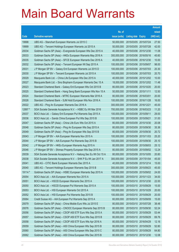|         |                                                                  |               |                            |            | <b>Amount</b> |
|---------|------------------------------------------------------------------|---------------|----------------------------|------------|---------------|
|         |                                                                  | No. of        |                            |            | raised        |
| Code    | <b>Derivative warrants</b>                                       | issue (units) | <b>Listing date Expiry</b> |            | (HK\$ mil.)   |
| 19998   | UBS AG - Stanchart European Warrants Jul 2015 C                  | 50,000,000    | 2015/03/05 2015/07/24      |            | 27.50         |
| 19999   | UBS AG - Tencent Holdings European Warrants Jul 2015 A           | 50,000,000    | 2015/03/05 2015/07/28      |            | 42.00         |
| 20034   | Goldman Sachs SP (Asia) - Evergrande European Wts Dec 2015 A     | 40,000,000    | 2015/03/06 2015/12/30      |            | 11.08         |
| 20033   | Goldman Sachs SP (Asia) - HKEx European Warrants May 2016 A      | 300,000,000   | 2015/03/06 2016/05/16      |            | 45.60         |
| 20035   | Goldman Sachs SP (Asia) - SFCE European Warrants Dec 2016 A      | 40,000,000    | 2015/03/06 2016/12/30      |            | 10.00         |
| 20032   | Goldman Sachs SP (Asia) - Tencent European Wt Sep 2015 A         | 100,000,000   | 2015/03/06 2015/09/07      |            | 98.00         |
| 20031   | J P Morgan SP BV - Galaxy Ent European Warrants Jul 2015 D       | 100,000,000   | 2015/03/06 2015/07/03      |            | 20.30         |
| 20030   | J P Morgan SP BV - Tencent European Warrants Jul 2015 A          | 100,000,000   | 2015/03/06 2015/07/03      |            | 20.70         |
| 20029   | Macquarie Bank Ltd. - China Life European Wts Dec 2015 A         | 40,000,000    | 2015/03/06 2015/12/02      |            | 10.00         |
| 20027   | Macquarie Bank Ltd. - Sino Biopharm European Warrants Dec 15 A   | 18,000,000    | 2015/03/06 2015/12/02      |            | 11.48         |
| 20023   | Standard Chartered Bank - Galaxy Ent European Wts Oct 2015 B     | 80,000,000    | 2015/03/06 2015/10/20      |            | 20.00         |
| 20025   | Standard Chartered Bank - Hang Seng Bank European Wts Nov 15 A   | 50,000,000    | 2015/03/06 2015/11/11      |            | 12.50         |
| 20024   | Standard Chartered Bank - MTRC European Warrants Mar 2016 A      | 80,000,000    | 2015/03/06 2016/03/01      |            | 20.00         |
| 20026   | Standard Chartered Bank - SJM Hold European Wts Nov 2016 A       | 100,000,000   | 2015/03/06 2016/11/28      |            | 16.00         |
| 20022   | UBS AG - Ping An European Warrants Dec 2016 A                    | 300,000,000   | 2015/03/06 2016/12/21      |            | 45.00         |
| 12897 # | SGA Societe Generale Acceptance N.V. - HSBC Eu Wt Mar 2016       | 700,000,000   | 2015/03/06 2016/03/23      |            | 11.20         |
| 20037   | BOCI Asia Ltd. - Galaxy Ent European Put Warrants Sep 2015 A     | 100,000,000   | 2015/03/09 2015/09/11      |            | 29.00         |
| 20036   | BOCI Asia Ltd. - Sands China European Put Wts Sep 2015 B         | 100,000,000   | 2015/03/09 2015/09/21      |            | 31.00         |
| 20047   | Goldman Sachs SP (Asia) - China Life Euro Wts Oct 2015 A         | 80,000,000    | 2015/03/09 2015/10/30      |            | 20.08         |
| 20048   | Goldman Sachs SP (Asia) – Ping An European Wts Sep 2015 A        | 80,000,000    | 2015/03/09 2015/09/30      |            | 35.36         |
| 20049   | Goldman Sachs SP (Asia) - Ping An European Wts Sep 2015 B        | 80,000,000    | 2015/03/09 2015/09/30      |            | 20.72         |
| 20043   | J P Morgan SP BV - AIA European Warrants Nov 2015 A              | 100,000,000   | 2015/03/09 2015/11/03      |            | 25.20         |
| 20044   | J P Morgan SP BV - AIA European Put Warrants Sep 2015 B          | 100,000,000   | 2015/03/09                 | 2015/09/30 | 25.10         |
| 20042   | J P Morgan SP BV - HKEx European Warrants Aug 2015 A             | 80,000,000    | 2015/03/09 2015/08/03      |            | 25.12         |
| 20046   | J P Morgan SP BV - Shimao Property European Wts Sep 2015 A       | 80,000,000    | 2015/03/09 2015/09/02      |            | 12.24         |
| 20039   | SGA Societe Generale Acceptance N.V - Haitong Sec Eu Wt Oct 15 A | 80,000,000    | 2015/03/09 2015/10/05      |            | 20.80         |
| 20038   | SGA Societe Generale Acceptance N.V. - SHK P Eu Wt Jan 2017 A    | 300,000,000   | 2015/03/09 2017/01/04      |            | 45.00         |
| 20041   | UBS AG - CITIC Bank European Warrants Dec 2015 A                 | 40,000,000    | 2015/03/09 2015/12/14      |            | 15.00         |
| 20040   | UBS AG - Tencent Holdings European Warrants Sep 2015 B           | 300,000,000   | 2015/03/09 2015/09/23      |            | 45.00         |
| 19114 # | Goldman Sachs SP (Asia) - HSBC European Warrants Sep 2015 A      | 100,000,000   | 2015/03/09 2015/09/02      |            | 24.00         |
| 20054   | BOCI Asia Ltd. - AIA European Warrants Nov 2015 A                | 100,000,000   | 2015/03/10 2015/11/23      |            | 34.00         |
| 20051   | BOCI Asia Ltd. - HSCEI European Warrants Dec 2015 A              | 100,000,000   | 2015/03/10 2015/12/30      |            | 22.00         |
| 20050   | BOCI Asia Ltd. - HSCEI European Put Warrants Sep 2015 A          | 100,000,000   | 2015/03/10 2015/09/29      |            | 15.00         |
| 20053   | BOCI Asia Ltd. - HSI European Warrants Oct 2015 A                | 100,000,000   | 2015/03/10 2015/10/29      |            | 20.00         |
| 20052   | BOCI Asia Ltd. - HSI European Put Warrants Sep 2015 B            | 100,000,000   | 2015/03/10 2015/09/29      |            | 20.00         |
| 20064   | Credit Suisse AG - AIA European Put Warrants Sep 2015 A          | 60,000,000    | 2015/03/10 2015/09/09      |            | 15.00         |
| 20079   | Goldman Sachs SP (Asia) - China Mobile Euro Wts Jul 2015 E       | 80,000,000    | 2015/03/10 2015/07/28      |            | 38.48         |
| 20076   | Goldman Sachs SP (Asia) - CNOOC European Warrants Sep 2015 B     | 80,000,000    | 2015/03/10 2015/09/30      |            | 52.24         |
| 20056   | Goldman Sachs SP (Asia) - CSOP A50 ETF Euro Wts Sep 2015 A       | 80,000,000    | 2015/03/10 2015/09/29      |            | 53.44         |
| 20057   | Goldman Sachs SP (Asia) - CSOP A50 ETF Euro Wts Sep 2015 B       | 80,000,000    | 2015/03/10 2015/09/29      |            | 69.76         |
| 20058   | Goldman Sachs SP (Asia) - CSOP A50 ETF Euro Wts Apr 2016 A       | 80,000,000    | 2015/03/10 2016/04/29      |            | 12.16         |
| 20059   | Goldman Sachs SP (Asia) - A50 China European Wts Sep 2015 B      | 80,000,000    | 2015/03/10 2015/09/29      |            | 52.80         |
| 20060   | Goldman Sachs SP (Asia) - A50 China European Wts Sep 2015 C      | 80,000,000    | 2015/03/10 2015/09/29      |            | 64.80         |
| 20062   | Goldman Sachs SP (Asia) - A50 China European Wts Dec 2015 B      | 80,000,000    | 2015/03/10 2015/12/30      |            | 12.08         |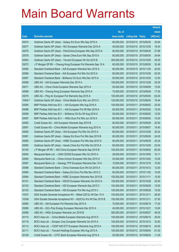|         |                                                                |               |                                  |            | <b>Amount</b> |
|---------|----------------------------------------------------------------|---------------|----------------------------------|------------|---------------|
|         |                                                                | No. of        |                                  |            | raised        |
| Code    | <b>Derivative warrants</b>                                     | issue (units) | <b>Listing date Expiry</b>       |            | $(HK$$ mil.)  |
| 20074   | Goldman Sachs SP (Asia) – Galaxy Ent Euro Wts Sep 2015 A       | 80,000,000    | 2015/03/10 2015/09/30            |            | 30.64         |
| 20077   | Goldman Sachs SP (Asia) – NCI European Warrants Dec 2015 A     | 40,000,000    | 2015/03/10 2015/12/30            |            | 18.40         |
| 20075   | Goldman Sachs SP (Asia) – PetroChina European Wts Sep 2015 A   | 80,000,000    | 2015/03/10 2015/09/30            |            | 27.68         |
| 20078   | Goldman Sachs SP (Asia) - Sands China Euro Wts Sep 2015 A      | 80,000,000    | 2015/03/10 2015/09/30            |            | 24.64         |
| 20063   | Goldman Sachs SP (Asia) – Tencent European Wt Oct 2015 B       | 300,000,000   | 2015/03/10 2015/10/05            |            | 45.00         |
| 20072   | J P Morgan SP BV - Cheung Kong European Put Warrants Sep 15 A  | 60,000,000    | 2015/03/10 2015/09/30            |            | 32.46         |
| 20065   | Standard Chartered Bank - AIA European Warrants Nov 2015 A     | 80,000,000    | 2015/03/10 2015/11/20            |            | 20.00         |
| 20066   | Standard Chartered Bank – AIA European Put Wts Oct 2015 A      | 80,000,000    | 2015/03/10 2015/10/30            |            | 20.00         |
| 20067   | Standard Chartered Bank - Brilliance Chi Euro Wts Dec 2015 A   | 50,000,000    | 2015/03/10 2015/12/30            |            | 12.50         |
| 20068   | UBS AG - AIA European Warrants Dec 2015 A                      | 100,000,000   | 2015/03/10 2015/12/28            |            | 25.00         |
| 20071   | UBS AG - China Cinda European Warrants Sep 2015 A              | 50,000,000    | 2015/03/10 2015/09/09            |            | 15.00         |
| 20069   | UBS AG – Cheung Kong European Warrants Sep 2015 A              | 70,000,000    | 2015/03/10 2015/09/29            |            | 17.50         |
| 20070   | UBS AG – Ping An European Put Warrants Sep 2015 A              | 100,000,000   | 2015/03/10 2015/09/30            |            | 63.00         |
| 19304 # | Goldman Sachs SP (Asia) – China Mobile Euro Wts Jun 2015 C     | 120,000,000   | 2015/03/10 2015/06/05            |            | 19.44         |
| 20095   | BNP Paribas Arbit Issu B.V. - AIA European Wts Aug 2016 A      | 100,000,000   | 2015/03/11                       | 2016/08/02 | 25.00         |
| 20096   | BNP Paribas Arbit Issu B.V. - AIA European Put Wt Mar 2016 A   | 60,000,000    | 2015/03/11                       | 2016/03/02 | 15.00         |
| 20098   | BNP Paribas Arbit Issu B.V. - Brilliance Chi Eu Wt Aug 2016 A  | 50,000,000    | 2015/03/11                       | 2016/08/02 | 12.50         |
| 20097   | BNP Paribas Arbit Issu B.V. - HKEx Euro Put Wts Jun 2016 A     | 60,000,000    | 2015/03/11                       | 2016/06/02 | 15.00         |
| 20092   | Credit Suisse AG - AIA European Warrants Sep 2015 B            | 80,000,000    | 2015/03/11                       | 2015/09/29 | 20.00         |
| 20091   | Credit Suisse AG - China Mobile European Warrants Aug 2015 A   | 80,000,000    | 2015/03/11                       | 2015/08/07 | 18.40         |
| 20082   | Goldman Sachs SP (Asia) – AIA European Put Wts Oct 2015 A      | 80,000,000    | 2015/03/11                       | 2015/10/29 | 20.24         |
| 20081   | Goldman Sachs SP (Asia) - Galaxy Ent Euro Put Wts Sep 2015 B   | 80,000,000    | 2015/03/11                       | 2015/09/29 | 24.00         |
| 20080   | Goldman Sachs SP (Asia) – HSBC European Put Wts Sep 2015 D     | 80,000,000    | 2015/03/11                       | 2015/09/29 | 20.24         |
| 20083   | Goldman Sachs SP (Asia) - Sands China Eur Put Wts Oct 2015 A   | 80,000,000    | 2015/03/11                       | 2015/10/29 | 23.04         |
| 20100   | J P Morgan SP BV - A50 China European Warrants Sep 2015 B      | 100,000,000   | 2015/03/11                       | 2015/09/02 | 60.00         |
| 20093   | Macquarie Bank Ltd. - CAM CSI300 European Wts Oct 2015 A       | 28,000,000    | 2015/03/11                       | 2015/10/05 | 10.11         |
| 20094   | Macquarie Bank Ltd. – China Unicom European Wts Dec 2015 A     |               | 25,000,000 2015/03/11 2015/12/02 |            | 10.05         |
| 20087   | Macquarie Bank Ltd. - Hanergy TFP European Warrants Dec 15 A   | 10,000,000    | 2015/03/11 2015/12/16            |            | 10.00         |
| 20086   | Standard Chartered Bank - China Overseas Euro Wt Oct 2015 A    | 80,000,000    | 2015/03/11                       | 2015/10/12 | 12.00         |
| 20085   | Standard Chartered Bank - Galaxy Ent Euro Put Wts Nov 2015 C   | 60,000,000    | 2015/03/11                       | 2015/11/02 | 15.00         |
| 20084   | Standard Chartered Bank - HSBC European Warrants Nov 2015 B    | 100,000,000   | 2015/03/11                       | 2015/11/11 | 15.50         |
| 20101   | Standard Chartered Bank - HSCEI European Warrants Oct 2015 A   | 100,000,000   | 2015/03/11                       | 2015/10/29 | 25.00         |
| 20102   | Standard Chartered Bank - HSI European Warrants Sep 2015 C     | 100,000,000   | 2015/03/11                       | 2015/09/29 | 15.00         |
| 20103   | Standard Chartered Bank - HSI European Put Wts Aug 2015 C      | 100,000,000   | 2015/03/11                       | 2015/08/28 | 15.00         |
| 10337   | SGA Societe Generale Acceptance NV - Nikkei 225 Eu Wt Dec 15 A | 150,000,000   | 2015/03/11                       | 2015/12/11 | 28.50         |
| 10338   | SGA Societe Generale Acceptance NV - N225 Eu Put Wt Dec 2015 B | 150,000,000   | 2015/03/11                       | 2015/12/11 | 37.50         |
| 20090   | UBS AG - AIA European Put Warrants Sep 2015 A                  | 70,000,000    | 2015/03/11                       | 2015/09/10 | 17.50         |
| 20089   | UBS AG - GCL-Poly Energy European Warrants Dec 2015 A          | 40,000,000    | 2015/03/11                       | 2015/12/21 | 12.60         |
| 20088   | UBS AG - HKEx European Warrants Jun 2016 B                     | 300,000,000   | 2015/03/11                       | 2016/06/27 | 48.00         |
| 20115   | BOCI Asia Ltd. - China Mobile European Warrants Aug 2015 D     | 100,000,000   | 2015/03/12 2015/08/10            |            | 35.00         |
| 20116   | BOCI Asia Ltd. - Sinopec Corp European Warrants Oct 2015 A     | 100,000,000   | 2015/03/12 2015/10/12            |            | 33.00         |
| 20112   | BOCI Asia Ltd. - CSOP A50 ETF European Warrants Aug 2015 A     | 100,000,000   | 2015/03/12 2015/08/10            |            | 43.00         |
| 20111   | BOCI Asia Ltd. - Tencent Holdings European Wts Aug 2015 A      | 100,000,000   | 2015/03/12 2015/08/04            |            | 61.00         |
| 20128   | Credit Suisse AG - CITIC Bank European Warrants Aug 2015 A     | 50,000,000    | 2015/03/12 2015/08/24            |            | 11.00         |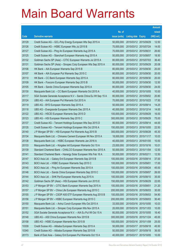|       |                                                                  |               |                            |                       | <b>Amount</b> |
|-------|------------------------------------------------------------------|---------------|----------------------------|-----------------------|---------------|
|       |                                                                  | No. of        |                            |                       | raised        |
| Code  | <b>Derivative warrants</b>                                       | issue (units) | <b>Listing date Expiry</b> |                       | (HK\$ mil.)   |
| 20129 | Credit Suisse AG - GCL-Poly Energy European Wts Sep 2015 A       | 50,000,000    | 2015/03/12 2015/09/29      |                       | 12.50         |
| 20126 | Credit Suisse AG - HSBC European Wts Jul 2015 B                  | 70,000,000    | 2015/03/12 2015/07/24      |                       | 14.00         |
| 20127 | Credit Suisse AG - Ping An European Warrants Aug 2015 A          | 70,000,000    | 2015/03/12 2015/08/31      |                       | 26.60         |
| 20125 | Credit Suisse AG - Stanchart European Warrants Aug 2015 A        | 50,000,000    | 2015/03/12 2015/08/07      |                       | 18.50         |
| 20132 | Goldman Sachs SP (Asia) - CITIC European Warrants Jul 2015 A     | 80,000,000    |                            | 2015/03/12 2015/07/03 | 36.40         |
| 20131 | Goldman Sachs SP (Asia) - Sinopec Corp European Wts Sep 2015 A   | 80,000,000    | 2015/03/12 2015/09/29      |                       | 20.08         |
| 20106 | HK Bank - AIA European Warrants Sep 2015 B                       | 80,000,000    |                            | 2015/03/12 2015/09/30 | 20.00         |
| 20107 | HK Bank - AIA European Put Warrants Sep 2015 C                   | 80,000,000    |                            | 2015/03/12 2015/09/30 | 20.00         |
| 20110 | HK Bank - CC Bank European Warrants Sep 2015 A                   | 80,000,000    |                            | 2015/03/12 2015/09/30 | 20.00         |
| 20109 | HK Bank - Foxconn European Warrants Sep 2015 B                   | 50,000,000    |                            | 2015/03/12 2015/09/30 | 12.50         |
| 20105 | HK Bank - Sands China European Warrants Sep 2015 A               | 80,000,000    | 2015/03/12 2015/09/30      |                       | 24.00         |
| 20130 | Macquarie Bank Ltd. - CC Bank European Warrants Oct 2015 A       | 40,000,000    | 2015/03/12 2015/10/05      |                       | 10.00         |
| 20117 | SGA Societe Generale Acceptance N.V - Sands China Eu Wt Sep 15 A | 80,000,000    |                            | 2015/03/12 2015/09/02 | 20.80         |
| 20124 | UBS AG - AIA European Put Warrants Oct 2015 A                    | 70,000,000    | 2015/03/12 2015/10/23      |                       | 17.50         |
| 20119 | UBS AG - BYD European Warrants Sep 2015 A                        | 50,000,000    |                            | 2015/03/12 2015/09/14 | 14.25         |
| 20118 | UBS AG - Evergrande European Warrants Dec 2015 A                 | 40,000,000    | 2015/03/12 2015/12/14      |                       | 14.00         |
| 20122 | UBS AG - HSCEI European Warrants Sep 2015 D                      | 100,000,000   |                            | 2015/03/12 2015/09/29 | 16.00         |
| 20123 | UBS AG - HSI European Warrants Sep 2015 C                        | 300,000,000   | 2015/03/12 2015/09/29      |                       | 75.00         |
| 20137 | Credit Suisse AG - Tencent Holdings European Wts Sep 2015 D      | 80,000,000    | 2015/03/13 2015/09/14      |                       | 44.00         |
| 20135 | Credit Suisse AG - Tencent Holdings European Wts Oct 2016 A      | 150,000,000   | 2015/03/13 2016/10/05      |                       | 22.50         |
| 20140 | J P Morgan SP BV - HSI European Put Warrants Aug 2015 B          | 300,000,000   |                            | 2015/03/13 2015/08/28 | 45.30         |
| 20134 | Macquarie Bank Ltd. - Chinares Cement European Wt Nov 2015 A     | 18,000,000    | 2015/03/13 2015/11/17      |                       | 10.03         |
| 20138 | Macquarie Bank Ltd. - HSBC European Warrants Jan 2016 A          | 40,000,000    | 2015/03/13 2016/01/05      |                       | 10.00         |
| 20133 | Macquarie Bank Ltd. - Kingdee Intl European Warrants Oct 15 A    | 23,000,000    | 2015/03/13 2015/10/16      |                       | 10.01         |
| 20139 | Standard Chartered Bank - CHALCO European Warrants Nov 2015 A    | 50,000,000    | 2015/03/13 2015/11/04      |                       | 12.50         |
| 20141 | Standard Chartered Bank - Hanergy Solar European Wts Feb 16 A    | 50,000,000    | 2015/03/13 2016/02/11      |                       | 12.50         |
| 20147 | BOCI Asia Ltd. – Galaxy Ent European Warrants Sep 2015 B         | 100,000,000   | 2015/03/16 2015/09/14      |                       | 37.00         |
| 20143 | BOCI Asia Ltd. - HSBC European Warrants Sep 2015 C               | 100,000,000   | 2015/03/16 2015/09/01      |                       | 17.00         |
| 20145 | BOCI Asia Ltd. - Ping An European Warrants Sep 2015 A            | 100,000,000   |                            | 2015/03/16 2015/09/24 | 45.00         |
| 20146 | BOCI Asia Ltd. - Sands China European Warrants Sep 2015 C        | 100,000,000   | 2015/03/16 2015/09/07      |                       | 26.00         |
| 20144 | BOCI Asia Ltd. - SHK Ppt European Warrants Aug 2015 A            | 100,000,000   |                            | 2015/03/16 2015/08/10 | 35.00         |
| 20142 | Goldman Sachs SP (Asia) - HSI European Warrants Jun 2015 E       | 150,000,000   | 2015/03/16 2015/06/29      |                       | 22.65         |
| 20153 | J P Morgan SP BV - CITIC Bank European Warrants Sep 2015 A       | 100,000,000   | 2015/03/16 2015/09/01      |                       | 21.20         |
| 20157 | J P Morgan SP BV - China Life European Warrants Aug 2015 C       | 200,000,000   | 2015/03/16 2015/08/03      |                       | 30.00         |
| 20155 | J P Morgan SP BV - CSOP A50 ETF European Warrants Aug 2015 B     | 100,000,000   | 2015/03/16 2015/08/03      |                       | 54.90         |
| 20156 | J P Morgan SP BV - HSBC European Warrants Aug 2015 C             | 200,000,000   | 2015/03/16 2015/08/03      |                       | 30.40         |
| 20150 | Macquarie Bank Ltd. - Anhui Conch European Wts Oct 2015 A        | 33,000,000    | 2015/03/16 2015/10/05      |                       | 10.03         |
| 20151 | Macquarie Bank Ltd. - Sinopec Corp European Wts Nov 2015 A       | 20,000,000    | 2015/03/16 2015/11/03      |                       | 10.00         |
| 20152 | SGA Societe Generale Acceptance N.V. - AIA Eu Put Wt Oct 15 A    | 80,000,000    | 2015/03/16 2015/10/05      |                       | 16.40         |
| 20148 | UBS AG - A50 China European Warrants Nov 2015 B                  | 300,000,000   | 2015/03/16 2015/11/24      |                       | 45.00         |
| 20158 | UBS AG - HSBC European Warrants Nov 2015 B                       | 100,000,000   | 2015/03/16 2015/11/09      |                       | 25.00         |
| 10339 | Credit Suisse AG - Alibaba European Warrants Sep 2015 A          | 50,000,000    | 2015/03/17 2015/09/18      |                       | 45.50         |
| 10340 | Credit Suisse AG - Alibaba European Warrants Sep 2015 B          | 50,000,000    | 2015/03/17 2015/09/18      |                       | 36.00         |
| 20173 | Bank of East Asia - Galaxy Ent European Put Warrants Oct 15 A    | 40,000,000    | 2015/03/17 2015/10/05      |                       | 10.00         |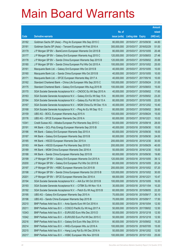|       |                                                                  |               |                            |            | <b>Amount</b> |
|-------|------------------------------------------------------------------|---------------|----------------------------|------------|---------------|
|       |                                                                  | No. of        |                            |            | raised        |
| Code  | <b>Derivative warrants</b>                                       | issue (units) | <b>Listing date Expiry</b> |            | (HK\$ mil.)   |
| 20182 | Goldman Sachs SP (Asia) – Ping An European Wts Sep 2015 C        | 80,000,000    | 2015/03/17                 | 2015/09/30 | 44.80         |
| 20181 | Goldman Sachs SP (Asia) – Tencent European Wt Feb 2016 A         | 300,000,000   | 2015/03/17 2016/02/29      |            | 51.00         |
| 20179 | J P Morgan SP BV - BankComm European Warrants Oct 2015 B         | 80,000,000    | 2015/03/17                 | 2015/10/05 | 20.48         |
| 20177 | J P Morgan SP BV - Galaxy Ent European Warrants Aug 2015 C       | 120,000,000   | 2015/03/17 2015/08/03      |            | 27.48         |
| 20178 | J P Morgan SP BV - Sands China European Warrants Sep 2015 B      | 120,000,000   | 2015/03/17                 | 2015/09/02 | 20.88         |
| 20180 | J P Morgan SP BV - Sands China European Put Wts Oct 2015 A       | 100,000,000   | 2015/03/17 2015/10/02      |            | 25.00         |
| 20161 | Macquarie Bank Ltd. - Galaxy Ent European Wts Oct 2015 B         | 40,000,000    | 2015/03/17                 | 2015/10/05 | 10.00         |
| 20160 | Macquarie Bank Ltd. - Sands China European Wts Oct 2015 B        | 40,000,000    | 2015/03/17 2015/10/05      |            | 10.00         |
| 20171 | Macquarie Bank Ltd. - SFCE European Warrants May 2017 A          | 40,000,000    | 2015/03/17                 | 2017/05/16 | 10.00         |
| 20162 | Standard Chartered Bank - China Life European Wts Sep 2015 C     | 100,000,000   | 2015/03/17 2015/09/24      |            | 31.00         |
| 20175 | Standard Chartered Bank - Galaxy Ent European Wts Aug 2015 B     | 100,000,000   | 2015/03/17                 | 2015/08/03 | 15.00         |
| 20170 | SGA Societe Generale Acceptance N.V. - CNOOC Eu Wt Sep 2015 A    | 40,000,000    | 2015/03/17 2015/09/02      |            | 17.60         |
| 20163 | SGA Societe Generale Acceptance N.V. - Galaxy Ent Eu Wt Sep 15 A | 80,000,000    | 2015/03/17 2015/09/02      |            | 23.20         |
| 20164 | SGA Societe Generale Acceptance N.V. - Galaxy Eu Put Wt Oct 15 A | 80,000,000    | 2015/03/17 2015/10/05      |            | 22.00         |
| 20167 | SGA Societe Generale Acceptance N.V. - MGM China Eu Wt Dec 15 A  | 40,000,000    | 2015/03/17                 | 2015/12/02 | 10.40         |
| 20168 | SGA Societe Generale Acceptance N.V. - Ping An Eu Wt Sep 15 C    | 80,000,000    | 2015/03/17 2015/09/02      |            | 39.60         |
| 20159 | UBS AG - BOCL European Warrants Aug 2015 A                       | 100,000,000   | 2015/03/17 2015/08/24      |            | 15.00         |
| 20176 | UBS AG - SFCE European Warrants Dec 2016 A                       | 60,000,000    | 2015/03/17 2016/12/21      |            | 10.02         |
| 10341 | Credit Suisse AG - Alibaba European Put Warrants Sep 2015 C      | 50,000,000    | 2015/03/18                 | 2015/09/18 | 28.00         |
| 20191 | HK Bank - GCL-Poly Energy European Warrants Sep 2015 B           | 40,000,000    | 2015/03/18 2015/09/30      |            | 10.00         |
| 20186 | HK Bank - Galaxy Ent European Warrants Sep 2015 A                | 60,000,000    | 2015/03/18 2015/09/30      |            | 18.00         |
| 20187 | HK Bank - Galaxy Ent European Warrants Sep 2015 B                | 60,000,000    | 2015/03/18 2015/09/30      |            | 24.00         |
| 20185 | HK Bank - HSCEI European Warrants Dec 2015 A                     | 200,000,000   | 2015/03/18 2015/12/30      |            | 30.00         |
| 20183 | HK Bank – HSCEI European Put Warrants Sep 2015 D                 | 200,000,000   | 2015/03/18 2015/09/29      |            | 40.00         |
| 20189 | HK Bank - MGM China European Warrants Dec 2016 A                 | 50,000,000    | 2015/03/18 2016/12/30      |            | 15.00         |
| 20188 | HK Bank - Sands China European Warrants Sep 2015 B               | 60.000.000    | 2015/03/18 2015/09/30      |            | 19.80         |
| 20199 | J P Morgan SP BV – Galaxy Ent European Warrants Oct 2015 A       | 120,000,000   | 2015/03/18 2015/10/05      |            | 39.12         |
| 20200 | J P Morgan SP BV - Galaxy Ent European Put Wts Oct 2015 B        | 80,000,000    | 2015/03/18 2015/10/05      |            | 20.24         |
| 20197 | J P Morgan SP BV - HSBC European Warrants Oct 2015 B             | 200,000,000   | 2015/03/18 2015/10/02      |            | 57.20         |
| 20198 | J P Morgan SP BV - Sands China European Warrants Oct 2015 B      | 120,000,000   | 2015/03/18 2015/10/02      |            | 30.00         |
| 20201 | J P Morgan SP BV - SFCE European Warrants Dec 2016 A             | 68,000,000    | 2015/03/18 2016/12/21      |            | 10.47         |
| 20194 | SGA Societe Generale Acceptance N.V. - AIA Eur Wt Oct 2015 B     | 100,000,000   | 2015/03/18 2015/10/05      |            | 16.00         |
| 20193 | SGA Societe Generale Acceptance N.V. - CITBK Eu Wt Nov 15 A      | 30,000,000    | 2015/03/18 2015/11/04      |            | 10.20         |
| 20192 | SGA Societe Generale Acceptance N.V. - Petch Eu Wt Aug 2015 B    | 60,000,000    | 2015/03/18 2015/08/05      |            | 22.20         |
| 20195 | UBS AG - Galaxy Ent European Warrants Sep 2015 A                 | 70,000,000    | 2015/03/18 2015/09/17      |            | 30.10         |
| 20196 | UBS AG - Sands China European Warrants Sep 2015 B                | 70,000,000    | 2015/03/18 2015/09/17      |            | 17.50         |
| 20210 | BNP Paribas Arbit Issu B.V. - Anta Sports Euro Wt Oct 2016 A     | 50,000,000    | 2015/03/19 2016/10/04      |            | 12.50         |
| 20211 | BNP Paribas Arbit Issu B.V. - COSCO Pacific Eu Wt Aug 2017 A     | 50,000,000    | 2015/03/19 2017/08/02      |            | 12.50         |
| 10343 | BNP Paribas Arbit Issu B.V. - EUR/USD Euro Wts Dec 2015 D        | 50,000,000    | 2015/03/19 2015/12/18      |            | 12.50         |
| 10342 | BNP Paribas Arbit Issu B.V. - EUR/USD Euro Put Wt Dec 2015 C     | 50,000,000    | 2015/03/19 2015/12/18      |            | 12.50         |
| 20216 | BNP Paribas Arbit Issu B.V. - Galaxy Ent Euro Wts Sep 2015 A     | 80,000,000    | 2015/03/19 2015/09/02      |            | 15.20         |
| 20214 | BNP Paribas Arbit Issu B.V. - HKEx European Wts Jul 2016 A       | 100,000,000   | 2015/03/19 2016/07/05      |            | 15.00         |
| 20215 | BNP Paribas Arbit Issu B.V. - Hang Lung Ppt Eu Wt Dec 2016 A     | 50,000,000    | 2015/03/19 2016/12/02      |            | 12.50         |
| 20217 | BNP Paribas Arbit Issu B.V. - HSBC European Wts Nov 2015 B       | 100,000,000   | 2015/03/19 2015/11/03      |            | 25.00         |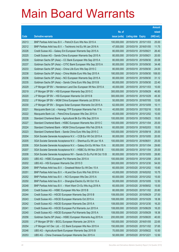|       |                                                                  |               |                            |            | <b>Amount</b> |
|-------|------------------------------------------------------------------|---------------|----------------------------|------------|---------------|
|       |                                                                  | No. of        |                            |            | raised        |
| Code  | <b>Derivative warrants</b>                                       | issue (units) | <b>Listing date Expiry</b> |            | (HK\$ mil.)   |
| 20213 | BNP Paribas Arbit Issu B.V. - PetroCh Euro Wts Nov 2015 A        | 100,000,000   | 2015/03/19 2015/11/03      |            | 25.00         |
| 20212 | BNP Paribas Arbit Issu B.V. - Techtronic Ind Eu Wt Jan 2016 A    | 47,000,000    | 2015/03/19 2016/01/05      |            | 11.75         |
| 20226 | Credit Suisse AG - Galaxy Ent European Warrants Sep 2015 A       | 80,000,000    | 2015/03/19                 | 2015/09/21 | 26.40         |
| 20225 | Credit Suisse AG - Sands China European Warrants Sep 2015 A      | 80,000,000    | 2015/03/19 2015/09/21      |            | 20.00         |
| 20239 | Goldman Sachs SP (Asia) - CC Bank European Wts Sep 2015 A        | 80,000,000    | 2015/03/19 2015/09/30      |            | 20.08         |
| 20237 | Goldman Sachs SP (Asia) - CITIC Bank European Wts Sep 2015 A     | 80,000,000    | 2015/03/19 2015/09/30      |            | 34.48         |
| 20233 | Goldman Sachs SP (Asia) - China Life Euro Wts Sep 2015 C         | 80,000,000    | 2015/03/19                 | 2015/09/30 | 24.00         |
| 20238 | Goldman Sachs SP (Asia) – China Mobile Euro Wts Sep 2015 A       | 180,000,000   | 2015/03/19 2015/09/30      |            | 108.00        |
| 20236 | Goldman Sachs SP (Asia) – NCI European Warrants Sep 2015 A       | 80,000,000    | 2015/03/19                 | 2015/09/30 | 31.12         |
| 20235 | Goldman Sachs SP (Asia) – Sands China Euro Wts Sep 2015 B        | 80,000,000    | 2015/03/19 2015/09/30      |            | 22.40         |
| 20229 | J P Morgan SP BV - Henderson Land Dev European Wt Nov 2015 A     | 40,000,000    | 2015/03/19                 | 2015/11/03 | 10.00         |
| 20219 | J P Morgan SP BV - HSI European Warrants Sep 2015 C              | 300.000.000   | 2015/03/19 2015/09/29      |            | 46.80         |
| 20220 | J P Morgan SP BV - HSI European Warrants Oct 2015 B              | 300,000,000   | 2015/03/19 2015/10/29      |            | 45.30         |
| 20232 | J P Morgan SP BV - MGM China European Warrants Jul 2016 A        | 50,000,000    | 2015/03/19 2016/07/05      |            | 12.65         |
| 20230 | J P Morgan SP BV - Singyes Solar European Warrants Oct 2015 A    | 62,000,000    | 2015/03/19                 | 2015/10/09 | 10.11         |
| 20221 | Macquarie Bank Ltd. - Hanergy TFP European Warrants Feb 17 A     | 40,000,000    | 2015/03/19 2017/02/16      |            | 10.00         |
| 20222 | Macquarie Bank Ltd. - PetroChina European Wts Dec 2015 A         | 40,000,000    | 2015/03/19 2015/12/02      |            | 10.00         |
| 20228 | Standard Chartered Bank - Agricultural Bk Eur Wts Sep 2015 A     | 100,000,000   | 2015/03/19 2015/09/23      |            | 15.00         |
| 20227 | Standard Chartered Bank – HSBC European Warrants Nov 2015 C      | 100,000,000   | 2015/03/19                 | 2015/11/04 | 25.00         |
| 20224 | Standard Chartered Bank – MGM China European Wts Feb 2016 A      | 60,000,000    | 2015/03/19 2016/02/03      |            | 15.00         |
| 20223 | Standard Chartered Bank – Sands China Euro Wts Sep 2015 C        | 100,000,000   | 2015/03/19 2015/09/18      |            | 25.00         |
| 20204 | SGA Societe Generale Acceptance N.V. - CCB Eur Wt Oct 2015 A     | 80,000,000    | 2015/03/19 2015/10/05      |            | 20.00         |
| 20205 | SGA Societe Generale Acceptance N.V. - Shenhua Eu Wt Jun 16 A    | 100,000,000   | 2015/03/19                 | 2016/06/01 | 25.00         |
| 20206 | SGA Societe Generale Acceptance N.V. - Galaxy Ent Eu Wt Nov 15 A | 80,000,000    | 2015/03/19 2015/11/04      |            | 29.60         |
| 20207 | SGA Societe Generale Acceptance N.V. - HSBC Eu Wt Nov 2015 B     | 100,000,000   | 2015/03/19 2015/11/04      |            | 25.00         |
| 20208 | SGA Societe Generale Acceptance NV - Sands Ch Eu Put Wt Oct 15 B | 80,000,000    | 2015/03/19 2015/10/05      |            | 28.80         |
| 20203 | UBS AG – HSBC European Put Warrants Dec 2015 A                   | 100,000,000   | 2015/03/19 2015/12/08      |            | 25.00         |
| 20202 | UBS AG - HSI European Warrants Dec 2015 D                        | 300,000,000   | 2015/03/19 2015/12/30      |            | 54.00         |
| 20249 | BNP Paribas Arbit Issu B.V. - Greatwall Motor Eu Wt Dec 15 A     | 60,000,000    | 2015/03/20 2015/12/02      |            | 15.60         |
| 20251 | BNP Paribas Arbit Issu B.V. - HLand Dev Euro Wts Feb 2016 A      | 43,000,000    | 2015/03/20 2016/02/02      |            | 10.75         |
| 20252 | BNP Paribas Arbit Issu B.V. - NCI European Wts Dec 2015 A        | 60,000,000    | 2015/03/20 2015/12/02      |            | 15.00         |
| 20250 | BNP Paribas Arbit Issu B.V. - Shanghai Electric Eu Wt Oct 15 A   | 50,000,000    | 2015/03/20 2015/10/05      |            | 12.50         |
| 20248 | BNP Paribas Arbit Issu B.V. - Want Want Ch Eu Wts Aug 2018 A     | 60,000,000    | 2015/03/20 2018/08/02      |            | 15.00         |
| 20245 | Credit Suisse AG - HSBC European Wts Nov 2015 B                  | 80,000,000    | 2015/03/20 2015/11/02      |            | 20.80         |
| 20244 | Credit Suisse AG - HSCEI European Warrants Sep 2015 B            | 108,000,000   | 2015/03/20 2015/09/29      |            | 27.00         |
| 20243 | Credit Suisse AG - HSCEI European Warrants Oct 2015 A            | 108,000,000   | 2015/03/20 2015/10/29      |            | 18.36         |
| 20242 | Credit Suisse AG - HSCEI European Warrants Dec 2015 A            | 108,000,000   | 2015/03/20 2015/12/30      |            | 16.20         |
| 20241 | Credit Suisse AG - HSCEI European Put Warrants Jun 2015 A        | 108,000,000   | 2015/03/20 2015/06/29      |            | 16.20         |
| 20240 | Credit Suisse AG - HSCEI European Put Warrants Sep 2015 A        | 108,000,000   | 2015/03/20 2015/09/29      |            | 18.36         |
| 20256 | Goldman Sachs SP (Asia) - HSBC European Warrants Aug 2015 A      | 200,000,000   | 2015/03/20 2015/08/20      |            | 40.00         |
| 20255 | J P Morgan SP BV - BOCL European Warrants Jan 2016 A             | 150,000,000   | 2015/03/20 2016/01/05      |            | 22.65         |
| 20254 | J P Morgan Int'l Der. Ltd. - CC Bank European Wts Nov 2015 A     | 150,000,000   | 2015/03/20 2015/11/02      |            | 37.65         |
| 20246 | UBS AG - Agricultural Bank European Warrants Sep 2015 B          | 70,000,000    | 2015/03/20 2015/09/22      |            | 10.50         |
| 20253 | UBS AG - China Overseas European Warrants Dec 2015 A             | 50,000,000    | 2015/03/20 2015/12/21      |            | 12.50         |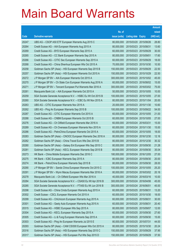|       |                                                               |               |                            |            | <b>Amount</b> |
|-------|---------------------------------------------------------------|---------------|----------------------------|------------|---------------|
|       |                                                               | No. of        |                            |            | raised        |
| Code  | <b>Derivative warrants</b>                                    | issue (units) | <b>Listing date Expiry</b> |            | (HK\$ mil.)   |
| 20247 | UBS AG - CSOP A50 ETF European Warrants Aug 2015 C            | 80,000,000    | 2015/03/20 2015/08/26      |            | 28.80         |
| 20264 | Credit Suisse AG - AIA European Warrants Aug 2015 A           | 80,000,000    | 2015/03/23 2015/08/31      |            | 13.60         |
| 20269 | Credit Suisse AG - BYD European Warrants Sep 2015 A           | 60,000,000    | 2015/03/23 2015/09/29      |            | 30.00         |
| 20265 | Credit Suisse AG - CC Bank European Warrants Sep 2015 A       | 80,000,000    | 2015/03/23 2015/09/01      |            | 17.60         |
| 20266 | Credit Suisse AG - CITIC Sec European Warrants Sep 2015 A     | 60,000,000    | 2015/03/23 2015/09/29      |            | 18.00         |
| 20268 | Credit Suisse AG - China Shenhua European Wts Oct 2015 A      | 70,000,000    | 2015/03/23 2015/10/30      |            | 10.50         |
| 20258 | Goldman Sachs SP (Asia) - HSI European Warrants Sep 2015 B    | 150,000,000   | 2015/03/23 2015/09/29      |            | 22.50         |
| 20257 | Goldman Sachs SP (Asia) - HSI European Warrants Oct 2015 A    | 150,000,000   | 2015/03/23 2015/10/29      |            | 22.50         |
| 20272 | J P Morgan SP BV - AIA European Warrants Oct 2015 A           | 300,000,000   | 2015/03/23 2015/10/02      |            | 45.00         |
| 20270 | J P Morgan SP BV - Ch State Con European Warrants Aug 2016 A  | 60,000,000    | 2015/03/23 2016/08/02      |            | 15.00         |
| 20271 | J P Morgan SP BV - Tencent European Put Warrants Mar 2016 A   | 300,000,000   | 2015/03/23 2016/03/02      |            | 75.00         |
| 20261 | Macquarie Bank Ltd. - AIA European Warrants Oct 2015 A        | 50,000,000    | 2015/03/23 2015/10/05      |            | 10.00         |
| 20259 | SGA Societe Generale Acceptance N.V. - HSBC Eu Wt Oct 2015 B  | 100,000,000   | 2015/03/23 2015/10/05      |            | 27.00         |
| 20260 | SGA Societe Generale Acceptance N.V. - ICBC Eu Wt Nov 2015 A  | 80,000,000    | 2015/03/23 2015/11/04      |            | 20.00         |
| 20263 | UBS AG - CITIC European Warrants Nov 2015 A                   | 20,000,000    | 2015/03/23 2015/11/30      |            | 10.60         |
| 20262 | UBS AG - Ping An European Warrants Sep 2015 B                 | 100,000,000   | 2015/03/23 2015/09/22      |            | 54.00         |
| 20287 | Credit Suisse AG - CITIC European Warrants Oct 2015 A         | 60,000,000    | 2015/03/24 2015/10/05      |            | 21.00         |
| 20288 | Credit Suisse AG - CNBM European Warrants Oct 2015 B          | 60,000,000    | 2015/03/24 2015/10/05      |            | 27.00         |
| 20276 | Credit Suisse AG - Ch Oilfield European Warrants Mar 2016 A   | 60,000,000    | 2015/03/24                 | 2016/03/31 | 15.00         |
| 20289 | Credit Suisse AG – Ch Overseas European Warrants Nov 2015 A   | 60,000,000    | 2015/03/24 2015/11/30      |            | 15.00         |
| 20286 | Credit Suisse AG - PetroChina European Warrants Oct 2015 A    | 60,000,000    | 2015/03/24 2015/10/05      |            | 18.00         |
| 20283 | Goldman Sachs SP (Asia) - CNOOC European Warrants Dec 2016 A  | 80,000,000    | 2015/03/24 2016/12/30      |            | 12.16         |
| 20282 | Goldman Sachs SP (Asia) – China Travel Euro Wts Dec 2015 B    | 80,000,000    | 2015/03/24                 | 2015/12/30 | 30.32         |
| 20280 | Goldman Sachs SP (Asia) - Galaxy Ent European Wts Sep 2015 C  | 80,000,000    | 2015/03/24 2015/09/30      |            | 21.28         |
| 20281 | Goldman Sachs SP (Asia) - KECL European Warrants Sep 2015 B   | 80,000,000    | 2015/03/24 2015/09/30      |            | 35.04         |
| 20273 | HK Bank – China Mobile European Warrants Dec 2016 C           | 180.000.000   | 2015/03/24 2016/12/05      |            | 27.00         |
| 20275 | HK Bank - ICBC European Warrants Sep 2015 A                   | 80,000,000    | 2015/03/24 2015/09/30      |            | 20.00         |
| 20274 | HK Bank - PetroChina European Warrants Sep 2015 B             | 80,000,000    | 2015/03/24 2015/09/30      |            | 28.00         |
| 20290 | J P Morgan SP BV - Sands China European Warrants Oct 2015 C   | 100,000,000   | 2015/03/24 2015/10/05      |            | 25.20         |
| 20291 | J P Morgan SP BV - Wynn Macau European Warrants Mar 2016 A    | 80,000,000    | 2015/03/24 2016/03/02      |            | 20.16         |
| 20278 | Macquarie Bank Ltd. - Ch Oilfield European Wts Mar 2016 A     | 40,000,000    | 2015/03/24 2016/03/16      |            | 10.00         |
| 20284 | SGA Societe Generale Acceptance N.V. - CSA50 Eu Wt Apr 2016 B | 300,000,000   | 2015/03/24 2016/04/06      |            | 45.00         |
| 20285 | SGA Societe Generale Acceptance N.V. - FTA50 Eu Wt Jun 2016 B | 300,000,000   | 2015/03/24                 | 2016/06/01 | 45.00         |
| 20298 | Credit Suisse AG - China Cinda European Warrants Aug 2015 A   | 60,000,000    | 2015/03/25 2015/08/31      |            | 13.20         |
| 20302 | Credit Suisse - CSCL European Warrants Oct 2015 A             | 60,000,000    | 2015/03/25 2015/10/30      |            | 18.00         |
| 20299 | Credit Suisse AG - ChiUnicom European Warrants Aug 2015 A     | 60,000,000    | 2015/03/25 2015/08/31      |            | 30.00         |
| 20301 | Credit Suisse AG - Geely Auto European Warrants Aug 2015 A    | 60,000,000    | 2015/03/25 2015/08/31      |            | 20.40         |
| 20315 | Credit Suisse AG - HSBC European Wts Sep 2015 A               | 80,000,000    | 2015/03/25 2015/09/07      |            | 12.00         |
| 20304 | Credit Suisse AG - KECL European Warrants Sep 2015 A          | 60,000,000    | 2015/03/25 2015/09/30      |            | 27.60         |
| 20305 | Credit Suisse AG - Li & Fung European Warrants Sep 2015 A     | 60,000,000    | 2015/03/25 2015/09/30      |            | 15.00         |
| 20303 | Credit Suisse AG - Ping An European Warrants Jul 2015 E       | 80,000,000    | 2015/03/25 2015/07/31      |            | 44.00         |
| 20293 | Goldman Sachs SP (Asia) - CAM CSI300 European Wts Oct 2015 A  | 80,000,000    | 2015/03/25 2015/10/30      |            | 20.24         |
| 20316 | Goldman Sachs SP (Asia) - HSI European Warrants Sep 2015 C    | 150,000,000   | 2015/03/25 2015/09/29      |            | 37.95         |
| 20317 | Goldman Sachs SP (Asia) - HSI European Put Wts Sep 2015 D     | 150,000,000   | 2015/03/25 2015/09/29      |            | 37.50         |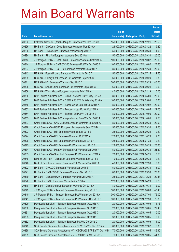|       |                                                                  |               |                            |                       | <b>Amount</b> |
|-------|------------------------------------------------------------------|---------------|----------------------------|-----------------------|---------------|
|       |                                                                  | No. of        |                            |                       | raised        |
| Code  | <b>Derivative warrants</b>                                       | issue (units) | <b>Listing date Expiry</b> |                       | (HK\$ mil.)   |
| 20292 | Goldman Sachs SP (Asia) - Ping An European Wts Dec 2016 B        | 150,000,000   | 2015/03/25 2016/12/21      |                       | 22.50         |
| 20296 | HK Bank - Ch Comm Cons European Warrants Mar 2016 A              | 128,000,000   |                            | 2015/03/25 2016/03/22 | 19.20         |
| 20295 | HK Bank - China Cinda European Warrants Sep 2015 A               | 50,000,000    |                            | 2015/03/25 2015/09/30 | 14.00         |
| 20294 | HK Bank - Ping An European Warrants Sep 2015 A                   | 50,000,000    | 2015/03/25 2015/09/30      |                       | 20.00         |
| 20313 | J P Morgan SP BV - CAM CSI300 European Warrants Oct 2015 A       | 100,000,000   |                            | 2015/03/25 2015/10/02 | 25.10         |
| 20314 | J P Morgan SP BV - CAM CSI300 European Put Wts Oct 2015 B        | 100,000,000   |                            | 2015/03/25 2015/10/02 | 27.60         |
| 20297 | J P Morgan SP BV - R&F Ppt European Warrants Dec 2016 A          | 80,000,000    |                            | 2015/03/25 2016/12/30 | 20.00         |
| 20312 | UBS AG - Fosun Pharma European Warrants Jul 2016 A               | 50,000,000    | 2015/03/25 2016/07/15      |                       | 12.50         |
| 20309 | UBS AG - Galaxy Ent European Put Warrants Sep 2015 B             | 60,000,000    |                            | 2015/03/25 2015/09/24 | 19.80         |
| 20311 | UBS AG - HSI European Warrants Sep 2015 D                        | 300,000,000   |                            | 2015/03/25 2015/09/29 | 45.00         |
| 20308 | UBS AG - Sands China European Put Warrants Sep 2015 C            | 60,000,000    | 2015/03/25 2015/09/24      |                       | 19.50         |
| 20306 | UBS AG - Wynn Macau European Warrants Feb 2016 A                 | 40,000,000    | 2015/03/25 2016/02/19      |                       | 10.00         |
| 20350 | BNP Paribas Arbit Issu B.V. - China Overseas Eu Wt May 2016 A    | 80,000,000    |                            | 2015/03/26 2016/05/04 | 20.00         |
| 20357 | BNP Paribas Arbit Issu B.V. - CSOP A50 ETF Eu Wts May 2016 A     | 100,000,000   | 2015/03/26 2016/05/04      |                       | 15.00         |
| 20356 | BNP Paribas Arbit Issu B.V. - Sands China Euro Wt Dec 2015 A     | 80,000,000    |                            | 2015/03/26 2015/12/02 | 20.00         |
| 20352 | BNP Paribas Arbit Issu B.V. - Tencent HIdgs Eu Wt Oct 2016 A     | 100,000,000   | 2015/03/26 2016/10/05      |                       | 22.00         |
| 20354 | BNP Paribas Arbit Issu B.V. - Tencent Eu Put Wt Oct 2016 B       | 80,000,000    |                            | 2015/03/26 2016/10/05 | 20.00         |
| 20355 | BNP Paribas Arbit Issu B.V. - Wynn Macau Euro Wts Oct 2016 A     | 50,000,000    |                            | 2015/03/26 2016/10/05 | 12.50         |
| 20337 | Credit Suisse AG - CAM CSI300 European Warrants Sep 2015 A       | 80,000,000    |                            | 2015/03/26 2015/09/30 | 20.00         |
| 20328 | Credit Suisse AG - HSBC European Put Warrants Sep 2015 B         | 50,000,000    |                            | 2015/03/26 2015/09/30 | 12.50         |
| 20323 | Credit Suisse AG - HSI European Warrants Sep 2015 B              | 128,000,000   |                            | 2015/03/26 2015/09/29 | 19.20         |
| 20324 | Credit Suisse AG - HSI European Warrants Oct 2015 A              | 128,000,000   |                            | 2015/03/26 2015/10/29 | 19.20         |
| 20326 | Credit Suisse AG - HSI European Put Warrants Jul 2015 H          | 128,000,000   | 2015/03/26 2015/07/30      |                       | 19.20         |
| 20325 | Credit Suisse AG - HSI European Put Warrants Aug 2015 B          | 128,000,000   |                            | 2015/03/26 2015/08/28 | 25.60         |
| 20334 | Credit Suisse AG - Ping An European Put Warrants Sep 2015 A      | 50,000,000    |                            | 2015/03/26 2015/09/30 | 21.50         |
| 20335 | Credit Suisse AG - Stanchart European Put Warrants Apr 2016 A    | 70,000,000    | 2015/03/26 2016/04/25      |                       | 10.50         |
| 20346 | Bank of East Asia – China Life European Warrants Sep 2015 B      | 40,000,000    | 2015/03/26 2015/09/30      |                       | 10.20         |
| 20348 | Bank of East Asia - Lenovo European Put Warrants Dec 2016 A      | 40,000,000    | 2015/03/26 2016/12/30      |                       | 10.00         |
| 20322 | HK Bank - CHALCO European Warrants Sep 2015 B                    | 50,000,000    | 2015/03/26 2015/09/30      |                       | 15.00         |
| 20321 | HK Bank - CAM CSI300 European Warrants Sep 2015 C                | 80,000,000    |                            | 2015/03/26 2015/09/30 | 20.00         |
| 20319 | HK Bank - China Railway European Warrants Dec 2017 A             | 128,000,000   | 2015/03/26 2017/12/29      |                       | 20.48         |
| 20320 | HK Bank - CRCC European Warrants Apr 2016 A                      | 128,000,000   | 2015/03/26 2016/04/29      |                       | 19.20         |
| 20318 | HK Bank - China Shenhua European Warrants Oct 2015 A             | 80,000,000    | 2015/03/26 2015/10/30      |                       | 12.00         |
| 20349 | J P Morgan SP BV - Tencent European Warrants Aug 2015 C          | 100,000,000   | 2015/03/26 2015/08/03      |                       | 47.40         |
| 20340 | J P Morgan SP BV - Tencent European Put Warrants Jul 2016 A      | 300,000,000   | 2015/03/26 2016/07/04      |                       | 75.00         |
| 20341 | J P Morgan SP BV - Tencent European Put Warrants Dec 2016 B      | 300,000,000   | 2015/03/26 2016/12/30      |                       | 75.30         |
| 20329 | Macquarie Bank Ltd. - Tencent European Warrants Oct 2015 A       | 20,000,000    | 2015/03/26 2015/10/05      |                       | 14.76         |
| 20330 | Macquarie Bank Ltd. - Tencent European Warrants Oct 2015 B       | 20,000,000    | 2015/03/26 2015/10/05      |                       | 29.46         |
| 20331 | Macquarie Bank Ltd. - Tencent European Warrants Oct 2015 C       | 20,000,000    | 2015/03/26 2015/10/05      |                       | 10.00         |
| 20333 | Macquarie Bank Ltd. - Tencent European Warrants Oct 2015 E       | 33,000,000    | 2015/03/26 2015/10/05      |                       | 10.10         |
| 20332 | Macquarie Bank Ltd. - Tencent European Put Wts Oct 2015 D        | 20,000,000    | 2015/03/26 2015/10/05      |                       | 14.00         |
| 20342 | SGA Societe Generale Acceptance N.V - COVS Eu Wts Dec 2015 A     | 60,000,000    |                            | 2015/03/26 2015/12/02 | 15.30         |
| 20338 | SGA Societe Generale Acceptance NV - CSOP A50 ETF Eu Wt Oct 15 B | 70,000,000    | 2015/03/26 2015/10/05      |                       | 46.90         |
| 20339 | SGA Societe Generale Acceptance N.V. - A50 Ch Eu Wt Oct 2015 C   | 70,000,000    | 2015/03/26 2015/10/05      |                       | 41.30         |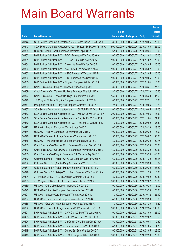|       |                                                                  |               |                            |                       | <b>Amount</b> |
|-------|------------------------------------------------------------------|---------------|----------------------------|-----------------------|---------------|
|       |                                                                  | No. of        |                            |                       | raised        |
| Code  | <b>Derivative warrants</b>                                       | issue (units) | <b>Listing date Expiry</b> |                       | (HK\$ mil.)   |
| 20344 | SGA Societe Generale Acceptance N.V - Sands China Eu Wt Oct 15 C | 80,000,000    | 2015/03/26 2015/10/05      |                       | 26.00         |
| 20343 | SGA Societe Generale Acceptance N.V - Tencent Eu Put Wt Apr 16 A | 500,000,000   |                            | 2015/03/26 2016/04/06 | 125.00        |
| 20358 | UBS AG - Anhui Conch European Warrants Sep 2015 A                | 67,000,000    | 2015/03/26 2015/09/24      |                       | 10.05         |
| 20362 | BNP Paribas Arbit Issu B.V. - BOCL European Wts Dec 2016 A       | 100,000,000   |                            | 2015/03/27 2016/12/02 | 25.00         |
| 20361 | BNP Paribas Arbit Issu B.V. - CC Bank Euro Wts Nov 2016 A        | 100,000,000   |                            | 2015/03/27 2016/11/02 | 25.00         |
| 20364 | BNP Paribas Arbit Issu B.V. - China Life Euro Wts Apr 2016 B     | 100,000,000   |                            | 2015/03/27 2016/04/05 | 26.00         |
| 20366 | BNP Paribas Arbit Issu B.V. - A50 China Euro Wts Jun 2016 A      | 100,000,000   |                            | 2015/03/27 2016/06/02 | 15.00         |
| 20363 | BNP Paribas Arbit Issu B.V. - HSBC European Wts Jan 2016 B       | 100,000,000   |                            | 2015/03/27 2016/01/05 | 25.00         |
| 20360 | BNP Paribas Arbit Issu B.V. - ICBC European Wts Oct 2015 A       | 100,000,000   |                            | 2015/03/27 2015/10/05 | 25.00         |
| 20365 | BNP Paribas Arbit Issu B.V. - Ping An European Wt Jan 2017 A     | 100,000,000   |                            | 2015/03/27 2017/01/04 | 15.00         |
| 20369 | Credit Suisse AG - Ping An European Warrants Aug 2015 B          | 80,000,000    | 2015/03/27 2015/08/31      |                       | 27.20         |
| 20359 | Credit Suisse AG - Tencent Holdings European Wts Jul 2015 A      | 80,000,000    | 2015/03/27 2015/07/30      |                       | 45.60         |
| 20377 | Credit Suisse AG - Tencent Holdings Euro Put Wts Jun 2016 B      | 150,000,000   |                            | 2015/03/27 2016/06/30 | 37.50         |
| 20378 | J P Morgan SP BV - Ping An European Warrants Jul 2015 B          | 100,000,000   | 2015/03/27 2015/07/21      |                       | 15.00         |
| 20371 | Macquarie Bank Ltd. - Ping An European Warrants Oct 2015 B       | 28,000,000    | 2015/03/27 2015/10/05      |                       | 10.22         |
| 20367 | SGA Societe Generale Acceptance N.V. - Ch Mob Eu Wt Oct 15 A     | 100,000,000   |                            | 2015/03/27 2015/10/05 | 44.00         |
| 20372 | SGA Societe Generale Acceptance N.V. - A50 Ch Eu Wt Oct 2016 A   | 300,000,000   |                            | 2015/03/27 2016/10/05 | 46.50         |
| 20368 | SGA Societe Generale Acceptance N.V. - Ping An Eu Wt Nov 15 A    | 80,000,000    | 2015/03/27 2015/11/04      |                       | 24.40         |
| 20370 | SGA Societe Generale Acceptance N.V. - Tencent Eu Wt Sep 15 C    | 70,000,000    |                            | 2015/03/27 2015/09/02 | 55.30         |
| 20373 | UBS AG - Ping An European Warrants Aug 2015 C                    | 100,000,000   |                            | 2015/03/27 2015/08/26 | 28.00         |
| 20374 | UBS AG - Ping An European Put Warrants Sep 2015 C                | 100,000,000   |                            | 2015/03/27 2015/09/29 | 76.00         |
| 20376 | UBS AG - Tencent Holdings European Warrants Aug 2015 D           | 50,000,000    |                            | 2015/03/27 2015/08/07 | 30.00         |
| 20375 | UBS AG - Tencent Holdings European Warrants Sep 2015 C           | 50,000,000    |                            | 2015/03/27 2015/09/30 | 22.75         |
| 20383 | Credit Suisse AG - Sinopec Corp European Warrants Sep 2015 A     | 80,000,000    | 2015/03/30 2015/09/30      |                       | 20.00         |
| 20386 | Credit Suisse AG - CSOP A50 ETF European Warrants Aug 2016 B     | 150,000,000   |                            | 2015/03/30 2016/08/29 | 22.50         |
| 20385 | Credit Suisse AG - Ping An European Put Warrants Sep 2015 B      | 80,000,000    | 2015/03/30 2015/09/29      |                       | 48.00         |
| 20380 | Goldman Sachs SP (Asia) - CHALCO European Wts Nov 2015 A         | 60,000,000    |                            | 2015/03/30 2015/11/30 | 23.16         |
| 20382 | Goldman Sachs SP (Asia) - Ping An European Wts Sep 2015 E        | 60,000,000    | 2015/03/30 2015/09/30      |                       | 19.32         |
| 20381 | Goldman Sachs SP (Asia) - Ping An Euro Put Wts Sep 2015 D        | 60,000,000    | 2015/03/30 2015/09/30      |                       | 26.22         |
| 20379 | Goldman Sachs SP (Asia) - Yurun Food European Wts Nov 2015 A     | 60,000,000    |                            | 2015/03/30 2015/11/30 | 15.06         |
| 20394 | J P Morgan SP BV - HKEx European Warrants Oct 2015 B             | 80,000,000    |                            | 2015/03/30 2015/10/02 | 22.80         |
| 20393 | J P Morgan SP BV - HKEx European Warrants Dec 2016 A             | 300,000,000   |                            | 2015/03/30 2016/12/02 | 75.30         |
| 20389 | UBS AG - China Life European Warrants Oct 2015 D                 | 100,000,000   | 2015/03/30 2015/10/26      |                       | 15.00         |
| 20390 | UBS AG - China Life European Put Warrants Sep 2015 D             | 100,000,000   |                            | 2015/03/30 2015/09/30 | 25.00         |
| 20391 | UBS AG - Sinopec Corp European Warrants Oct 2015 A               | 70,000,000    | 2015/03/30 2015/10/12      |                       | 25.90         |
| 20387 | UBS AG - China Unicom European Warrants Sep 2015 B               | 40,000,000    |                            | 2015/03/30 2015/09/30 | 16.60         |
| 20388 | UBS AG - Greatwall Motor European Warrants Aug 2015 A            | 40,000,000    | 2015/03/30 2015/08/26      |                       | 14.20         |
| 20392 | UBS AG - Tencent Holdings European Put Warrants Feb 2016 A       | 500,000,000   |                            | 2015/03/30 2016/02/24 | 103.00        |
| 20421 | BNP Paribas Arbit Issu B.V. - CAM CSI300 Euro Wts Jan 2016 A     | 100,000,000   | 2015/03/31 2016/01/05      |                       | 26.00         |
| 20403 | BNP Paribas Arbit Issu B.V. - BJ Ent Water Euro Wts Dec 15 A     | 35,000,000    |                            | 2015/03/31 2015/12/02 | 10.50         |
| 20404 | BNP Paribas Arbit Issu B.V. - Ch Comm Cons Eur Wt Oct 2016 A     | 50,000,000    | 2015/03/31                 | 2016/10/04            | 10.50         |
| 20408 | BNP Paribas Arbit Issu B.V. - Country Garden Eu Wt Jul 2016 A    | 47,000,000    | 2015/03/31                 | 2016/07/05            | 11.75         |
| 20419 | BNP Paribas Arbit Issu B.V. - Galaxy Ent Euro Wts Jan 2016 A     | 100,000,000   | 2015/03/31                 | 2016/01/05            | 28.00         |
| 20416 | BNP Paribas Arbit Issu B.V. - HSCEI European Wts Feb 2016 A      | 100,000,000   | 2015/03/31 2016/02/26      |                       | 25.00         |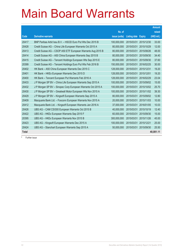|              |                                                              |               |              |               | <b>Amount</b> |
|--------------|--------------------------------------------------------------|---------------|--------------|---------------|---------------|
|              |                                                              | No. of        |              |               | raised        |
| Code         | <b>Derivative warrants</b>                                   | issue (units) | Listing date | <b>Expiry</b> | (HK\$ mil.)   |
| 20417        | BNP Paribas Arbit Issu B.V. - HSCEI Euro Put Wts Dec 2015 B  | 100.000.000   | 2015/03/31   | 2015/12/30    | 33.00         |
| 20428        | Credit Suisse AG - China Life European Warrants Oct 2015 A   | 80,000,000    | 2015/03/31   | 2015/10/29    | 12.00         |
| 20413        | Credit Suisse AG - CSOP A50 ETF European Warrants Aug 2015 B | 80,000,000    | 2015/03/31   | 2015/08/26    | 48.00         |
| 20414        | Credit Suisse AG - A50 China European Warrants Sep 2015 B    | 80,000,000    | 2015/03/31   | 2015/09/30    | 34.40         |
| 20415        | Credit Suisse AG - Tencent Holdings European Wts Sep 2015 E  | 80,000,000    | 2015/03/31   | 2015/09/30    | 37.60         |
| 20399        | Credit Suisse AG - Tencent Holdings Euro Put Wts Feb 2016 B  | 150,000,000   | 2015/03/31   | 2016/02/25    | 30.00         |
| 20402        | HK Bank - A50 China European Warrants Dec 2015 C             | 128,000,000   | 2015/03/31   | 2015/12/31    | 19.20         |
| 20401        | HK Bank - HKEx European Warrants Dec 2015 D                  | 128,000,000   | 2015/03/31   | 2015/12/01    | 19.20         |
| 20400        | HK Bank - Tencent European Put Warrants Feb 2016 A           | 128,000,000   | 2015/03/31   | 2016/02/29    | 23.04         |
| 20433        | J P Morgan SP BV - China Life European Warrants Sep 2015 A   | 100,000,000   | 2015/03/31   | 2015/09/02    | 15.00         |
| 20432        | J P Morgan SP BV - Sinopec Corp European Warrants Oct 2015 A | 100,000,000   | 2015/03/31   | 2015/10/02    | 25.70         |
| 20430        | J P Morgan SP BV - Greatwall Motor European Wts Nov 2015 A   | 100,000,000   | 2015/03/31   | 2015/11/02    | 39.30         |
| 20429        | J P Morgan SP BV - Kingsoft European Warrants Sep 2015 A     | 80,000,000    | 2015/03/31   | 2015/09/02    | 12.80         |
| 20409        | Macquarie Bank Ltd. - Foxconn European Warrants Nov 2015 A   | 20,000,000    | 2015/03/31   | 2015/11/03    | 10.00         |
| 20412        | Macquarie Bank Ltd. - Kingsoft European Warrants Jan 2016 A  | 37,000,000    | 2015/03/31   | 2016/01/05    | 10.03         |
| 20426        | UBS AG - CAM CSI300 European Warrants Oct 2015 B             | 40,000,000    | 2015/03/31   | 2015/10/19    | 12.40         |
| 20422        | UBS AG - HKEx European Warrants Sep 2015 F                   | 60,000,000    | 2015/03/31   | 2015/09/30    | 15.00         |
| 20395        | UBS AG - HKEx European Warrants Nov 2015 B                   | 300,000,000   | 2015/03/31   | 2015/11/26    | 45.00         |
| 20423        | UBS AG - Kingsoft European Warrants Dec 2015 A               | 100,000,000   | 2015/03/31   | 2015/12/21    | 25.00         |
| 20424        | UBS AG - Stanchart European Warrants Sep 2015 A              | 50,000,000    | 2015/03/31   | 2015/09/30    | 25.50         |
| <b>Total</b> |                                                              |               |              |               | 40,081.11     |

# Further issue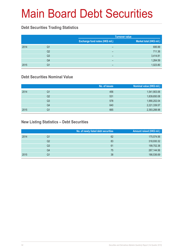# Main Board Debt Securities

### **Debt Securities Trading Statistics**

|      |                |                                 | <b>Turnover value</b>    |
|------|----------------|---------------------------------|--------------------------|
|      |                | Exchange fund notes (HK\$ mil.) | Market total (HK\$ mil.) |
| 2014 | Q1             | -                               | 695.99                   |
|      | Q <sub>2</sub> | -                               | 711.36                   |
|      | Q <sub>3</sub> | -                               | 3,414.81                 |
|      | Q <sub>4</sub> | -                               | 1,264.59                 |
| 2015 | Q1             | -                               | 1,023.80                 |

### **Debt Securities Nominal Value**

|      |    | No. of issues | Nominal value (HK\$ mil.) |
|------|----|---------------|---------------------------|
| 2014 | Q1 | 456           | 1,541,903.06              |
|      | Q2 | 531           | 1,839,650.08              |
|      | Q3 | 578           | 1,990,202.04              |
|      | Q4 | 640           | 2,221,339.57              |
| 2015 | Q1 | 665           | 2,393,288.98              |

### **New Listing Statistics – Debt Securities**

|      |                | No. of newly listed debt securities | Amount raised (HK\$ mil.) |
|------|----------------|-------------------------------------|---------------------------|
| 2014 | Q1             | 62                                  | 175,574.56                |
|      | Q2             | 83                                  | 318,930.32                |
|      | Q <sub>3</sub> | 61                                  | 199,702.38                |
|      | Q4             | 75                                  | 267,144.56                |
| 2015 | Q1             | 38                                  | 186,536.69                |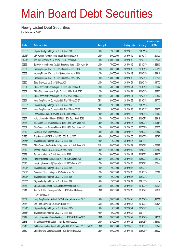# Main Board Debt Securities

#### **Newly Listed Debt Securities**

for 1st quarter 2015

|         |                                                                                 |                  |               |                     |                 | <b>Amount raised</b> |
|---------|---------------------------------------------------------------------------------|------------------|---------------|---------------------|-----------------|----------------------|
| Code    | <b>Debt securities</b>                                                          | <b>Principal</b> |               | <b>Listing date</b> | <b>Maturity</b> | $(HK$$ mil.)         |
| 05855#  | Skyfame Realty (Holdings) Ltd. 0.10% Bonds 2031                                 | <b>HKD</b>       | 20,000,000    | 2015/01/09          | 2031/11/14      |                      |
| 06016#  | CIFI Holdings (Group) Co. Ltd. 8.875% Senior Notes 2019                         | <b>USD</b>       | 200,000,000   | 2015/01/12          | 2019/01/27      | 1,591.20             |
| 04221#  | The Govt of the HKSAR of the PRC 2.22% Bonds 2024                               | <b>HKD</b>       | 2,000,000,000 | 2015/01/16          | 2024/08/07      | 2,071.40             |
| 05856   | Bank of Communications Co., Ltd. Hong Kong Branch 2.50% Notes 2018              | <b>USD</b>       | 750,000,000   | 2015/01/19          | 2018/01/16      | 5,828.00             |
| 05857   | Huarong Finance II Co., Ltd. 3.50% Guaranteed Notes 2018                        | <b>USD</b>       | 600,000,000   | 2015/01/19          | 2018/01/16      | 4,656.13             |
| 05858   | Huarong Finance II Co., Ltd. 4.50% Guaranteed Notes 2020                        | <b>USD</b>       | 1,200,000,000 | 2015/01/19          | 2020/01/16      | 9,318.16             |
| 05859   | Huarong Finance II Co., Ltd. 5.50% Guaranteed Notes 2025                        | <b>USD</b>       | 1,400,000,000 | 2015/01/19          | 2025/01/16      | 10,822.49            |
| 05860   | State Elite Global Ltd. 3.125% Notes 2020                                       | <b>USD</b>       | 700,000,000   | 2015/01/21          | 2020/01/20      | 5,447.72             |
| 05861   | China Shenhua Overseas Capital Co. Ltd. 2.50% Bonds 2018                        | <b>USD</b>       | 500,000,000   | 2015/01/21          | 2018/01/20      | 3,886.24             |
| 05862   | China Shenhua Overseas Capital Co. Ltd. 3.125% Bonds 2020                       | <b>USD</b>       | 500,000,000   | 2015/01/21          | 2020/01/20      | 3,885.53             |
| 05863   | China Shenhua Overseas Capital Co. Ltd. 3.875% Bonds 2025                       | <b>USD</b>       | 500,000,000   | 2015/01/21          | 2025/01/20      | 3,863.97             |
| 05864   | Hong Kong Mortgage Corporation Ltd., The FR Notes 2016A                         | GBP              | 200,000,000   | 2015/01/23          | 2016/01/22      | 2,347.77             |
| 05855#  | Skyfame Realty (Holdings) Ltd. 0.10% Bonds 2031                                 | <b>HKD</b>       | 20,000,000    | 2015/01/26          | 2031/11/14      |                      |
| 05865   | Hong Kong Mortgage Corporation Ltd., The FR Notes 2016B                         | GBP              | 50,000,000    | 2015/01/28          | 2016/01/27      | 584.75               |
| 05866   | Baosteel Financing 2015 Pty Ltd. 3.875% Guar. Bonds 2020                        | <b>USD</b>       | 500,000,000   | 2015/01/29          | 2020/01/28      | 3,880.03             |
| 05867   | Haitong International Finance 2015 Ltd. 4.20% Guar. Bonds 2020                  | <b>USD</b>       | 700,000,000   | 2015/01/30          | 2020/07/29      | 5,383.18             |
| 05868   | Sino-Ocean Land Treasure Finance II Ltd. 4.45% Guar. Notes 2020                 | <b>USD</b>       | 700,000,000   | 2015/02/05          | 2020/02/04      | 5,394.81             |
| 05869   | Sino-Ocean Land Treasure Finance II Ltd. 5.95% Guar. Notes 2027                 | <b>USD</b>       | 500,000,000   | 2015/02/05          | 2027/02/04      | 3,850.75             |
| 05870   | CAR Inc. 6.125% Senior Notes 2020                                               | <b>USD</b>       | 500,000,000   | 2015/02/05          | 2020/02/04      | 3,858.82             |
| 04225   | The Govt of the HKSAR of the PRC 1.06% Bonds 2020                               | <b>HKD</b>       | 1,500,000,000 | 2015/02/06          | 2020/02/05      | 1,487.85             |
| 05855 # | Skyfame Realty (Holdings) Ltd. 0.10% Bonds 2031                                 | <b>HKD</b>       | 10,000,000    | 2015/02/06          | 2031/11/14      |                      |
| 05871   | China Construction Bank (Asia) Corporation Ltd. 1.50% Notes 2020                | <b>EUR</b>       | 500,000,000   | 2015/02/12          | 2020/02/11      | 4,385.68             |
| 05872   | Tencent Holdings Ltd. 2.875% Senior Notes 2020                                  | <b>USD</b>       | 1,100,000,000 | 2015/02/12          | 2020/02/11      | 8,562.59             |
| 05873   | Tencent Holdings Ltd. 3.80% Senior Notes 2025                                   | <b>USD</b>       | 900,000,000   | 2015/02/12          | 2025/02/11      | 6,992.27             |
| 05874   | Hongkong International (Qingdao) Co. Ltd. 4.75% Bonds 2020                      | <b>USD</b>       | 500,000,000   | 2015/02/13          | 2020/02/12      | 3,861.12             |
| 05875   | Hongkong International (Qingdao) Co. Ltd. 5.95% Bonds 2025                      | <b>USD</b>       | 300,000,000   | 2015/02/13          | 2025/02/12      | 2,305.44             |
| 05821#  | Skyfame Realty (Holdings) Ltd. 0.10% Bonds 2024                                 | <b>HKD</b>       | 20,000,000    | 2015/02/16          | 2024/09/12      |                      |
| 05969 # | Greentown China Holdings Ltd. 8% Senior Notes 2019                              | <b>USD</b>       | 200,000,000   | 2015/02/16          | 2019/03/24      | 1,507.09             |
| 05821#  | Skyfame Realty (Holdings) Ltd. 0.10% Bonds 2024                                 | <b>HKD</b>       | 20,000,000    | 2015/02/17          | 2024/09/12      |                      |
| 05855 # | Skyfame Realty (Holdings) Ltd. 0.10% Bonds 2031                                 | <b>HKD</b>       | 20,000,000    | 2015/02/17          | 2031/11/14      |                      |
| 05876   | CSSC Capital 2015 Ltd. 1.70% Credit Enhanced Bonds 2018                         | <b>EUR</b>       | 500,000,000   | 2015/02/18          | 2018/02/19      | 4,391.31             |
| 85711   | Asia Pacific Ports Development Co. Ltd. 4.50% Credit Enhanced<br>CNY Bonds 2018 | <b>RMB</b>       | 800,000,000   | 2015/02/18          | 2018/02/17      | 993.12               |
| 04059   | Hong Kong Monetary Authority 0.43% Exchange Fund Notes 2017                     | <b>HKD</b>       | 1,200,000,000 | 2015/02/23          | 2017/02/20      | 1,197.36             |
| 05877   | Bao-Trans Enterprises Ltd. 1.625% Bonds 2018                                    | <b>EUR</b>       | 500,000,000   | 2015/02/24          | 2018/02/23      | 4,398.24             |
| 05821#  | Skyfame Realty (Holdings) Ltd. 0.10% Bonds 2024                                 | <b>HKD</b>       | 10,000,000    | 2015/02/24          | 2024/09/12      |                      |
| 05855 # | Skyfame Realty (Holdings) Ltd. 0.10% Bonds 2031                                 | <b>HKD</b>       | 20,000,000    | 2015/02/24          | 2031/11/14      |                      |
| 85712   | Haitong International Securities Group Ltd. 4.50% CNY Notes 2018                | <b>RMB</b>       | 200,000,000   | 2015/02/27          | 2018/02/26      | 247.76               |
| 05878   | Times Property Holdings Ltd. 11.45% Senior Notes 2020                           | <b>USD</b>       | 280,000,000   | 2015/03/06          | 2020/03/05      | 2,169.80             |
| 85713   | Golden Bauhinia Investment Holdings Co. Ltd. 6.50% Guar. CNY Bonds 2018         | <b>RMB</b>       | 300,000,000   | 2015/03/06          | 2018/03/05      | 368.47               |
| 05880   | China Shanshui Cement Group Ltd. 7.50% Senior Notes 2020                        | <b>USD</b>       | 500,000,000   | 2015/03/11          | 2020/03/10      | 3,860.22             |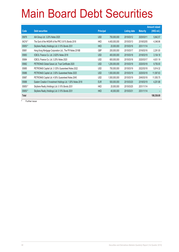# Main Board Debt Securities

|           |                                                               |                  |               |                     |                 | <b>Amount raised</b> |
|-----------|---------------------------------------------------------------|------------------|---------------|---------------------|-----------------|----------------------|
| Code      | <b>Debt securities</b>                                        | <b>Principal</b> |               | <b>Listing date</b> | <b>Maturity</b> | (HK\$ mil.)          |
| 05879     | AIA Group Ltd. 3.20% Notes 2025                               | <b>USD</b>       | 750,000,000   | 2015/03/12          | 2025/03/11      | 5,842.57             |
| 04216 #   | The Govt of the HKSAR of the PRC 0.61% Bonds 2018             | <b>HKD</b>       | 4,400,000,000 | 2015/03/13          | 2018/02/05      | 4,348.96             |
| 05855#    | Skyfame Realty (Holdings) Ltd. 0.10% Bonds 2031               | <b>HKD</b>       | 20,000,000    | 2015/03/16          | 2031/11/14      |                      |
| 05881     | Hong Kong Mortgage Corporation Ltd., The FR Notes 2016B       | GBP              | 200,000,000   | 2015/03/17          | 2016/03/16      | 2,291.00             |
| 05883     | ICBCIL Finance Co. Ltd. 2.625% Notes 2018                     | <b>USD</b>       | 400,000,000   | 2015/03/18          | 2018/03/19      | 3,104.18             |
| 05884     | ICBCIL Finance Co. Ltd. 3.25% Notes 2020                      | <b>USD</b>       | 600,000,000   | 2015/03/18          | 2020/03/17      | 4,631.19             |
| 05882     | PETRONAS Global Sukuk Ltd. Trust Certificate 2020             | <b>USD</b>       | 1,250,000,000 | 2015/03/19          | 2020/03/18      | 9,750.00             |
| 05885     | PETRONAS Capital Ltd. 3.125% Guaranteed Notes 2022            | <b>USD</b>       | 750,000,000   | 2015/03/19          | 2022/03/18      | 5,814.32             |
| 05886     | PETRONAS Capital Ltd. 3.50% Guaranteed Notes 2025             | <b>USD</b>       | 1,500,000,000 | 2015/03/19          | 2025/03/18      | 11,597.63            |
| 05887     | PETRONAS Capital Ltd. 4.50% Guaranteed Notes 2045             | <b>USD</b>       | 1,500,000,000 | 2015/03/19          | 2045/03/18      | 11,555.75            |
| 05888     | Eastern Creation II Investment Holdings Ltd. 1.00% Notes 2018 | <b>EUR</b>       | 500,000,000   | 2015/03/20          | 2018/03/19      | 4,201.88             |
| $05855*$  | Skyfame Realty (Holdings) Ltd. 0.10% Bonds 2031               | <b>HKD</b>       | 20,000,000    | 2015/03/25          | 2031/11/14      |                      |
| $05855$ # | Skyfame Realty (Holdings) Ltd. 0.10% Bonds 2031               | <b>HKD</b>       | 40,000,000    | 2015/03/31          | 2031/11/14      |                      |
| Total     |                                                               |                  |               |                     |                 | 186,536.69           |

# Further issue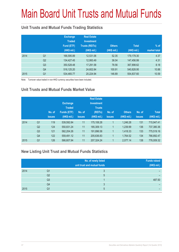# Main Board Unit Trusts and Mutual Funds

### **Unit Trusts and Mutual Funds Trading Statistics**

|      |                | <b>Exchange</b><br><b>Traded</b><br>Fund (ETF)<br>(HK\$ mil.) | <b>Real Estate</b><br><b>Investment</b><br><b>Trusts (REITs)</b><br>(HK\$ mil.) | <b>Others</b><br>(HK\$ mil.) | <b>Total</b><br>(HK\$ mil.) | $%$ of<br>market total |
|------|----------------|---------------------------------------------------------------|---------------------------------------------------------------------------------|------------------------------|-----------------------------|------------------------|
| 2014 | Q <sub>1</sub> | 166,595.89                                                    | 12,531.06                                                                       | 52.35                        | 179,179.30                  | 4.37                   |
|      | Q <sub>2</sub> | 134,427.45                                                    | 12,993.49                                                                       | 36.04                        | 147,456.99                  | 4.31                   |
|      | Q <sub>3</sub> | 350,528.48                                                    | 17,291.58                                                                       | 78.56                        | 367,898.62                  | 8.18                   |
|      | Q4             | 516,125.20                                                    | 24,602.84                                                                       | 100.91                       | 540,828.95                  | 10.88                  |
| 2015 | Q <sub>1</sub> | 534,465.77                                                    | 20,224.94                                                                       | 146.89                       | 554,837.60                  | 10.59                  |

Note: Turnover value traded in non-HKD currency securities have been included.

### **Unit Trusts and Mutual Funds Market Value**

|      |                | No. of<br><b>issues</b> | <b>Exchange</b><br><b>Traded</b><br><b>Funds (ETF)</b><br>(HK\$ mil.) | No. of<br><b>issues</b> | <b>Real Estate</b><br><b>Investment</b><br><b>Trusts</b><br>(REITs)<br>(HK\$ mil.) | No. of<br><b>issues</b> | <b>Others</b><br>(HK\$ mil.) | No. of<br><b>issues</b> | <b>Total</b><br>(HK\$ mil.) |
|------|----------------|-------------------------|-----------------------------------------------------------------------|-------------------------|------------------------------------------------------------------------------------|-------------------------|------------------------------|-------------------------|-----------------------------|
| 2014 | Q <sub>1</sub> | 119                     | 539,592.84                                                            | 11                      | 175,108.28                                                                         |                         | 1,246.28                     | 131                     | 715,947.41                  |
|      | Q <sub>2</sub> | 124                     | 550,831.24                                                            | 11                      | 185,309.13                                                                         |                         | 1,239.99                     | 136                     | 737,380.36                  |
|      | Q <sub>3</sub> | 121                     | 582,204.26                                                            | 11                      | 191,896.58                                                                         | 1                       | 1,418.33                     | 133                     | 775,519.16                  |
|      | Q <sub>4</sub> | 122                     | 559,491.12                                                            | 11                      | 205,636.83                                                                         |                         | 1,764.52                     | 134                     | 766,892.47                  |
| 2015 | Q <sub>1</sub> | 126                     | 566,607.94                                                            | 11                      | 207,324.24                                                                         | ◢                       | 2,077.14                     | 138                     | 776,009.32                  |

### **New Listing Unit Trust and Mutual Funds Statistics**

|      |                | No. of newly listed<br>unit trust and mutual funds | <b>Funds raised</b><br>(HK\$ mil.) |
|------|----------------|----------------------------------------------------|------------------------------------|
| 2014 | Q1             |                                                    |                                    |
|      | Q2             |                                                    |                                    |
|      | Q <sub>3</sub> |                                                    | 487.50                             |
|      | Q4             |                                                    |                                    |
| 2015 | Q1             |                                                    |                                    |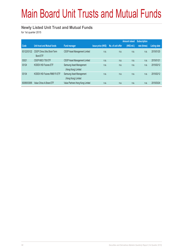# Main Board Unit Trusts and Mutual Funds

#### **Newly Listed Unit Trust and Mutual Funds**

for 1st quarter 2015

|             |                                    |                                  |                           |                   | <b>Amount raised</b> | <b>Subscription</b> |                     |
|-------------|------------------------------------|----------------------------------|---------------------------|-------------------|----------------------|---------------------|---------------------|
| Code        | <b>Unit trust and Mutual funds</b> | <b>Fund manager</b>              | <b>Issue price (HK\$)</b> | No. of unit offer | $(HKS$ mil.)         | rate (times)        | <b>Listing date</b> |
| 83122/03122 | CSOP China Ultra Short-Term        | CSOP Asset Management Limited    | n.a.                      | n.a.              | n.a.                 | n.a.                | 2015/01/20          |
|             | <b>Bond FTF</b>                    |                                  |                           |                   |                      |                     |                     |
| 03021       | CSOP MSCI T50 ETF                  | CSOP Asset Management Limited    | n.a.                      | n.a.              | n.a.                 | n.a.                | 2015/01/21          |
| 03124       | <b>KODEX HSI Futures ETF</b>       | Samsung Asset Management         | n.a.                      | n.a.              | n.a.                 | n.a.                | 2015/02/12          |
|             |                                    | (Hong Kong) Limited              |                           |                   |                      |                     |                     |
| 03134       | KODEX HSI Futures RMB FX ETF       | Samsung Asset Management         | n.a.                      | n.a.              | n.a.                 | n.a.                | 2015/02/12          |
|             |                                    | (Hong Kong) Limited              |                           |                   |                      |                     |                     |
| 83095/03095 | Value China A-Share ETF            | Value Partners Hong Kong Limited | n.a.                      | n.a.              | n.a.                 | n.a.                | 2015/03/24          |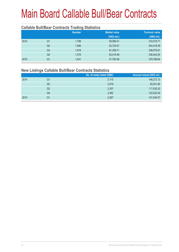#### **Callable Bull/Bear Contracts Trading Statistics**

|      |                | <b>Number</b> | <b>Market value</b> | <b>Turnover value</b> |
|------|----------------|---------------|---------------------|-----------------------|
|      |                |               | (HK\$ mil.)         | (HK\$ mil.)           |
| 2014 | Q1             | 1.799         | 59,586.41           | 310,519.71            |
|      | Q <sub>2</sub> | 1,846         | 52,720.61           | 244,418.59            |
|      | Q <sub>3</sub> | 1,918         | 61,358.71           | 338,575.61            |
|      | Q4             | 1,579         | 55,419.48           | 336,442.50            |
| 2015 | Q1             | 1,641         | 51,783.06           | 379,789.64            |

#### **New Listings Callable Bull/Bear Contracts Statistics**

|      |    | No. of newly listed CBBC | Amount raised (HK\$ mil.) |
|------|----|--------------------------|---------------------------|
| 2014 | Q1 | 3,115                    | 146,272.13                |
|      | Q2 | 2,079                    | 93,001.85                 |
|      | Q3 | 2,307                    | 111,530.32                |
|      | Q4 | 2,482                    | 122,022.54                |
| 2015 | Q1 | 2,287                    | 101,545.07                |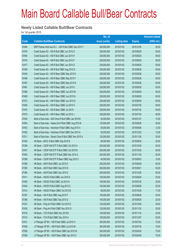#### **Newly Listed Callable Bull/Bear Contracts**

for 1st quarter 2015

|       |                                                          | No. of        |                     |               | <b>Amount raised</b> |
|-------|----------------------------------------------------------|---------------|---------------------|---------------|----------------------|
| Code  | <b>Callable Bull/Bear Contracts</b>                      | issue (units) | <b>Listing date</b> | <b>Expiry</b> | (HK\$ mil.)          |
| 67484 | BNP Paribas Arbit Issu B.V. - HSI R Bull CBBC Dec 2015 Y | 200,000,000   | 2015/01/02          | 2015/12/30    | 50.00                |
| 67478 | Credit Suisse AG - HSI R Bull CBBC Jun 2015 G            | 238,000,000   | 2015/01/02          | 2015/06/29    | 59.50                |
| 67494 | Credit Suisse AG - HSI R Bull CBBC Jun 2015 H            | 238,000,000   | 2015/01/02          | 2015/06/29    | 59.50                |
| 67476 | Credit Suisse AG - HSI R Bull CBBC Jun 2015 P            | 238,000,000   | 2015/01/02          | 2015/06/29    | 59.50                |
| 67477 | Credit Suisse AG - HSI R Bull CBBC Jun 2015 Q            | 238,000,000   | 2015/01/02          | 2015/06/29    | 59.50                |
| 67459 | Credit Suisse AG - HSI R Bull CBBC Aug 2015 Q            | 238,000,000   | 2015/01/02          | 2015/08/28    | 59.50                |
| 67449 | Credit Suisse AG - HSI R Bear CBBC May 2015 E            | 238,000,000   | 2015/01/02          | 2015/05/28    | 59.50                |
| 67496 | Credit Suisse AG - HSI R Bear CBBC May 2015 F            | 238,000,000   | 2015/01/02          | 2015/05/28    | 59.50                |
| 67497 | Credit Suisse AG - HSI R Bear CBBC May 2015 N            | 238,000,000   | 2015/01/02          | 2015/05/28    | 59.50                |
| 67461 | Credit Suisse AG - HSI R Bear CBBC Jun 2015 L            | 238,000,000   | 2015/01/02          | 2015/06/29    | 59.50                |
| 67468 | Credit Suisse AG - HSI R Bear CBBC Jun 2015 M            | 238,000,000   | 2015/01/02          | 2015/06/29    | 59.50                |
| 67469 | Credit Suisse AG - HSI R Bear CBBC Jun 2015 N            | 238,000,000   | 2015/01/02          | 2015/06/29    | 59.50                |
| 67473 | Credit Suisse AG - HSI R Bear CBBC Jun 2015 O            | 238,000,000   | 2015/01/02          | 2015/06/29    | 59.50                |
| 67465 | Credit Suisse AG - HSI R Bear CBBC Jul 2015 H            | 238,000,000   | 2015/01/02          | 2015/07/30    | 59.50                |
| 67470 | Credit Suisse AG - HSI R Bear CBBC Jul 2015 I            | 238,000,000   | 2015/01/02          | 2015/07/30    | 59.50                |
| 67475 | Credit Suisse AG - HSI R Bear CBBC Jul 2015 J            | 238,000,000   | 2015/01/02          | 2015/07/30    | 59.50                |
| 67454 | Bank of East Asia - A50 China R Bull CBBC Jan 2016 B     | 50,000,000    | 2015/01/02          | 2016/01/27    | 12.50                |
| 67504 | Bank of East Asia - Galaxy Ent R Bull CBBC Aug 2015 B    | 120,000,000   | 2015/01/02          | 2015/08/28    | 30.00                |
| 67453 | Bank of East Asia - Hutchison R Bull CBBC Aug 2015 A     | 50,000,000    | 2015/01/02          | 2015/08/06    | 12.50                |
| 67452 | Bank of East Asia - Hutchison R Bull CBBC Dec 2015 A     | 50,000,000    | 2015/01/02          | 2015/12/22    | 12.50                |
| 67511 | Bank of East Asia - Sands China R Bull CBBC Nov 2015 A   | 120,000,000   | 2015/01/02          | 2015/11/30    | 30.00                |
| 67420 | HK Bank - BOCL R Bull CBBC Sep 2015 B                    | 80,000,000    | 2015/01/02          | 2015/09/30    | 20.00                |
| 67399 | HK Bank - CSOP A50 ETF R Bull CBBC Oct 2015 A            | 200,000,000   | 2015/01/02          | 2015/10/30    | 50.00                |
| 67401 | HK Bank - CSOP A50 ETF R Bull CBBC Oct 2015 B            | 200,000,000   | 2015/01/02          | 2015/10/30    | 50.00                |
| 67400 | HK Bank - CSOP A50 ETF R Bull CBBC Nov 2015 A            | 200,000,000   | 2015/01/02          | 2015/11/30    | 50.00                |
| 67389 | HK Bank - CSOP A50 ETF R Bear CBBC Aug 2015 C            | 40,000,000    | 2015/01/02          | 2015/08/03    | 10.00                |
| 67388 | HK Bank - A50 R Bull CBBC Jun 2015 D                     | 200,000,000   | 2015/01/02          | 2015/06/29    | 50.00                |
| 67385 | HK Bank - A50 R Bull CBBC Sep 2015 D                     | 200,000,000   | 2015/01/02          | 2015/09/21    | 50.00                |
| 67384 | HK Bank - A50 R Bull CBBC Dec 2015 E                     | 200,000,000   | 2015/01/02          | 2015/12/28    | 50.00                |
| 67411 | HK Bank - HSCEI R Bull CBBC Jun 2015 E                   | 100,000,000   | 2015/01/02          | 2015/06/29    | 25.00                |
| 67405 | HK Bank - HSCEI R Bull CBBC Jul 2015 H                   | 100,000,000   | 2015/01/02          | 2015/07/30    | 25.00                |
| 67404 | HK Bank - HSCEI R Bull CBBC Aug 2015 C                   | 100,000,000   | 2015/01/02          | 2015/08/28    | 25.00                |
| 67412 | HK Bank - HSCEI R Bear CBBC Oct 2015 B                   | 68,000,000    | 2015/01/02          | 2015/10/29    | 17.00                |
| 67397 | HK Bank - HSI R Bull CBBC Aug 2015 P                     | 100,000,000   | 2015/01/02          | 2015/08/28    | 25.00                |
| 67396 | HK Bank - HSI R Bull CBBC Sep 2015 G                     | 100,000,000   | 2015/01/02          | 2015/09/29    | 25.00                |
| 67427 | HK Bank - Ping An R Bull CBBC Oct 2015 D                 | 120,000,000   | 2015/01/02          | 2015/10/30    | 30.00                |
| 67430 | HK Bank - Ping An R Bull CBBC Nov 2015 G                 | 120,000,000   | 2015/01/02          | 2015/11/23    | 30.00                |
| 67416 | HK Bank - TCH R Bull CBBC Nov 2015 B                     | 100,000,000   | 2015/01/02          | 2015/11/16    | 25.00                |
| 67415 | HK Bank - TCH R Bull CBBC Dec 2015 A                     | 100,000,000   | 2015/01/02          | 2015/12/07    | 25.00                |
| 67431 | J P Morgan SP BV - HSI R Bull CBBC Jul 2015 H            | 300,000,000   | 2015/01/02          | 2015/07/30    | 75.00                |
| 67506 | J P Morgan SP BV - HSI R Bull CBBC Jul 2015 M            | 300,000,000   | 2015/01/02          | 2015/07/30    | 75.00                |
| 67508 | J P Morgan SP BV - HSI R Bear CBBC Apr 2015 W            | 300,000,000   | 2015/01/02          | 2015/04/29    | 75.00                |
| 67509 | J P Morgan SP BV - HSI R Bear CBBC Apr 2015 X            | 300,000,000   | 2015/01/02          | 2015/04/29    | 75.00                |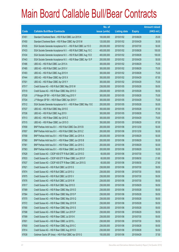|             |                                                                 | No. of        |                     |               | <b>Amount raised</b> |
|-------------|-----------------------------------------------------------------|---------------|---------------------|---------------|----------------------|
| <b>Code</b> | <b>Callable Bull/Bear Contracts</b>                             | issue (units) | <b>Listing date</b> | <b>Expiry</b> | $(HK$$ mil.)         |
| 67451       | Standard Chartered Bank - HSI R Bull CBBC Jun 2015 K            | 100,000,000   | 2015/01/02          | 2015/06/29    | 25.00                |
| 67450       | Standard Chartered Bank - HSI R Bear CBBC Apr 2015 M            | 120,000,000   | 2015/01/02          | 2015/04/29    | 30.00                |
| 67435       | SGA Societe Generale Acceptance N.V. - HSI R Bull CBBC Jul 15 O | 200,000,000   | 2015/01/02          | 2015/07/30    | 50.00                |
| 67433       | SGA Societe Generale Acceptance N.V. - HSI R Bull CBBC Aug 15 C | 400,000,000   | 2015/01/02          | 2015/08/28    | 100.00               |
| 67434       | SGA Societe Generale Acceptance N.V. - HSI R Bull CBBC Aug 15 D | 400,000,000   | 2015/01/02          | 2015/08/28    | 100.00               |
| 67443       | SGA Societe Generale Acceptance N.V. - HSI R Bear CBBC Apr 15 P | 200,000,000   | 2015/01/02          | 2015/04/29    | 50.00                |
| 67486       | UBS AG - HSI R Bull CBBC Jun 2015 A                             | 300,000,000   | 2015/01/02          | 2015/06/29    | 75.00                |
| 67485       | UBS AG - HSI R Bull CBBC Jun 2015 V                             | 300,000,000   | 2015/01/02          | 2015/06/29    | 75.00                |
| 67493       | UBS AG - HSI R Bull CBBC Aug 2015 H                             | 300,000,000   | 2015/01/02          | 2015/08/28    | 75.00                |
| 67444       | UBS AG - HSI R Bear CBBC Apr 2015 X                             | 350,000,000   | 2015/01/02          | 2015/04/29    | 87.50                |
| 67501       | UBS AG - HSI R Bear CBBC Apr 2015 Y                             | 300,000,000   | 2015/01/02          | 2015/04/29    | 75.00                |
| 67517       | Credit Suisse AG - HSI R Bull CBBC May 2015 W                   | 238,000,000   | 2015/01/05          | 2015/05/28    | 59.50                |
| 67519       | Credit Suisse AG - HSI R Bear CBBC May 2015 O                   | 238,000,000   | 2015/01/05          | 2015/05/28    | 59.50                |
| 67528       | J P Morgan SP BV - HSI R Bull CBBC Aug 2015 Y                   | 300,000,000   | 2015/01/05          | 2015/08/28    | 75.00                |
| 67534       | J P Morgan SP BV - HSI R Bear CBBC Apr 2015 Y                   | 300,000,000   | 2015/01/05          | 2015/04/29    | 75.00                |
| 67512       | SGA Societe Generale Acceptance N.V. - HSI R Bear CBBC May 15 E | 200,000,000   | 2015/01/05          | 2015/05/28    | 50.00                |
| 67537       | UBS AG - HSI R Bull CBBC May 2015 E                             | 350,000,000   | 2015/01/05          | 2015/05/28    | 87.50                |
| 67536       | UBS AG - HSI R Bull CBBC Aug 2015 I                             | 300,000,000   | 2015/01/05          | 2015/08/28    | 75.00                |
| 67513       | UBS AG - HSI R Bear CBBC Apr 2015 Z                             | 300,000,000   | 2015/01/05          | 2015/04/29    | 75.00                |
| 67515       | UBS AG - HSI R Bear CBBC Jun 2015 O                             | 350,000,000   | 2015/01/05          | 2015/06/29    | 87.50                |
| 67658       | BNP Paribas Arbit Issu B.V. - HSI R Bull CBBC Dec 2015 B        | 200,000,000   | 2015/01/06          | 2015/12/30    | 50.00                |
| 67657       | BNP Paribas Arbit Issu B.V. - HSI R Bull CBBC Dec 2015 Z        | 200,000,000   | 2015/01/06          | 2015/12/30    | 50.00                |
| 67558       | BNP Paribas Arbit Issu B.V. - HSI R Bear CBBC Jun 2015 A        | 200,000,000   | 2015/01/06          | 2015/06/29    | 50.00                |
| 67560       | BNP Paribas Arbit Issu B.V. - HSI R Bear CBBC Jun 2015 B        | 200,000,000   | 2015/01/06          | 2015/06/29    | 50.00                |
| 67561       | BNP Paribas Arbit Issu B.V. - HSI R Bear CBBC Jun 2015 C        | 200,000,000   | 2015/01/06          | 2015/06/29    | 50.00                |
| 67563       | BNP Paribas Arbit Issu B.V. - HSI R Bear CBBC Jun 2015 D        | 200,000,000   | 2015/01/06          | 2015/06/29    | 50.00                |
| 67628       | Credit Suisse AG - CSOP A50 ETF R Bull CBBC Jul 2015 D          | 60,000,000    | 2015/01/06          | 2015/07/30    | 15.00                |
| 67633       | Credit Suisse AG - CSOP A50 ETF R Bear CBBC Jun 2015 F          | 60,000,000    | 2015/01/06          | 2015/06/30    | 21.60                |
| 67637       | Credit Suisse AG - CSOP A50 ETF R Bear CBBC Jun 2015 G          | 60,000,000    | 2015/01/06          | 2015/06/30    | 27.60                |
| 67621       | Credit Suisse AG - HSI R Bull CBBC Jul 2015 S                   | 238,000,000   | 2015/01/06          | 2015/07/30    | 59.50                |
| 67674       | Credit Suisse AG - HSI R Bull CBBC Jul 2015 U                   | 238,000,000   | 2015/01/06          | 2015/07/30    | 59.50                |
| 67675       | Credit Suisse AG - HSI R Bull CBBC Jul 2015 V                   | 238,000,000   | 2015/01/06          | 2015/07/30    | 59.50                |
| 67676       | Credit Suisse AG - HSI R Bull CBBC Jul 2015 W                   | 238,000,000   | 2015/01/06          | 2015/07/30    | 59.50                |
| 67617       | Credit Suisse AG - HSI R Bull CBBC Sep 2015 D                   | 238,000,000   | 2015/01/06          | 2015/09/29    | 59.50                |
| 67589       | Credit Suisse AG - HSI R Bear CBBC May 2015 D                   | 238,000,000   | 2015/01/06          | 2015/05/28    | 59.50                |
| 67564       | Credit Suisse AG - HSI R Bear CBBC May 2015 P                   | 238,000,000   | 2015/01/06          | 2015/05/28    | 59.50                |
| 67570       | Credit Suisse AG - HSI R Bear CBBC May 2015 Q                   | 238,000,000   | 2015/01/06          | 2015/05/28    | 59.50                |
| 67572       | Credit Suisse AG - HSI R Bear CBBC May 2015 R                   | 238,000,000   | 2015/01/06          | 2015/05/28    | 59.50                |
| 67590       | Credit Suisse AG - HSI R Bear CBBC May 2015 S                   | 238,000,000   | 2015/01/06          | 2015/05/28    | 59.50                |
| 67598       | Credit Suisse AG - HSI R Bear CBBC Jun 2015 P                   | 238,000,000   | 2015/01/06          | 2015/06/29    | 59.50                |
| 67599       | Credit Suisse AG - HSI R Bear CBBC Jul 2015 K                   | 238,000,000   | 2015/01/06          | 2015/07/30    | 59.50                |
| 67601       | Credit Suisse AG - HSI R Bear CBBC Jul 2015 L                   | 238,000,000   | 2015/01/06          | 2015/07/30    | 59.50                |
| 67600       | Credit Suisse AG - HSI R Bear CBBC Aug 2015 C                   | 238,000,000   | 2015/01/06          | 2015/08/28    | 59.50                |
| 67614       | Credit Suisse AG - HSI R Bear CBBC Aug 2015 D                   | 238,000,000   | 2015/01/06          | 2015/08/28    | 59.50                |
| 67638       | Goldman Sachs SP (Asia) - HSI R Bull CBBC Apr 2015 G            | 150,000,000   | 2015/01/06          | 2015/04/29    | 37.50                |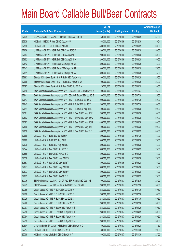|             |                                                                  | No. of        |                     |               | <b>Amount raised</b> |
|-------------|------------------------------------------------------------------|---------------|---------------------|---------------|----------------------|
| <b>Code</b> | <b>Callable Bull/Bear Contracts</b>                              | issue (units) | <b>Listing date</b> | <b>Expiry</b> | (HK\$ mil.)          |
| 67639       | Goldman Sachs SP (Asia) - HSI R Bull CBBC Apr 2015 H             | 150,000,000   | 2015/01/06          | 2015/04/29    | 37.50                |
| 67539       | HK Bank - HSCEI R Bear CBBC Dec 2015 A                           | 68,000,000    | 2015/01/06          | 2015/12/30    | 19.04                |
| 67538       | HK Bank - HSI R Bull CBBC Jun 2015 U                             | 400,000,000   | 2015/01/06          | 2015/06/29    | 100.00               |
| 67656       | J P Morgan SP BV - HSI R Bull CBBC Jun 2015 R                    | 200,000,000   | 2015/01/06          | 2015/06/29    | 50.00                |
| 67654       | J P Morgan SP BV - HSI R Bull CBBC Aug 2015 H                    | 200,000,000   | 2015/01/06          | 2015/08/28    | 50.00                |
| 67652       | J P Morgan SP BV - HSI R Bull CBBC Aug 2015 K                    | 200,000,000   | 2015/01/06          | 2015/08/28    | 50.00                |
| 67542       | J P Morgan SP BV - HSI R Bear CBBC Apr 2015 A                    | 300,000,000   | 2015/01/06          | 2015/04/29    | 75.00                |
| 67543       | J P Morgan SP BV - HSI R Bear CBBC Apr 2015 B                    | 300,000,000   | 2015/01/06          | 2015/04/29    | 75.00                |
| 67541       | J P Morgan SP BV - HSI R Bear CBBC Apr 2015 Z                    | 300,000,000   | 2015/01/06          | 2015/04/29    | 75.00                |
| 67663       | Standard Chartered Bank - HSI R Bull CBBC Apr 2015 V             | 100,000,000   | 2015/01/06          | 2015/04/29    | 25.00                |
| 67665       | Standard Chartered Bank - HSI R Bull CBBC Apr 2015 W             | 100,000,000   | 2015/01/06          | 2015/04/29    | 25.00                |
| 67597       | Standard Chartered Bank - HSI R Bear CBBC Apr 2015 N             | 120,000,000   | 2015/01/06          | 2015/04/29    | 30.00                |
| 67640       | SGA Societe Generale Acceptance N.V - CSA50 R Bull CBBC Nov 15 A | 100,000,000   | 2015/01/06          | 2015/11/27    | 25.00                |
| 67641       | SGA Societe Generale Acceptance N.V - CSA50 R Bear CBBC Jul 15 E | 100,000,000   | 2015/01/06          | 2015/07/30    | 25.00                |
| 67647       | SGA Societe Generale Acceptance N.V. - HSI R Bull CBBC Jul 15 S  | 200,000,000   | 2015/01/06          | 2015/07/30    | 50.00                |
| 67645       | SGA Societe Generale Acceptance N.V. - HSI R Bull CBBC Jul 15 T  | 200,000,000   | 2015/01/06          | 2015/07/30    | 50.00                |
| 67644       | SGA Societe Generale Acceptance N.V. - HSI R Bull CBBC Aug 15 E  | 400,000,000   | 2015/01/06          | 2015/08/28    | 100.00               |
| 67591       | SGA Societe Generale Acceptance N.V. - HSI R Bear CBBC May 15 F  | 200,000,000   | 2015/01/06          | 2015/05/28    | 50.00                |
| 67592       | SGA Societe Generale Acceptance N.V. - HSI R Bear CBBC May 15 G  | 200,000,000   | 2015/01/06          | 2015/05/28    | 50.00                |
| 67593       | SGA Societe Generale Acceptance N.V. - HSI R Bear CBBC May 15 H  | 400,000,000   | 2015/01/06          | 2015/05/28    | 100.00               |
| 67596       | SGA Societe Generale Acceptance N.V. - HSI R Bear CBBC May 15 I  | 400,000,000   | 2015/01/06          | 2015/05/28    | 100.00               |
| 67650       | SGA Societe Generale Acceptance N.V. - HSI R Bear CBBC Jun 15 D  | 400,000,000   | 2015/01/06          | 2015/06/29    | 100.00               |
| 67666       | UBS AG - HSI R Bull CBBC Jul 2015 P                              | 300,000,000   | 2015/01/06          | 2015/07/30    | 75.00                |
| 67669       | UBS AG - HSI R Bull CBBC Aug 2015 J                              | 300,000,000   | 2015/01/06          | 2015/08/28    | 75.00                |
| 67670       | UBS AG - HSI R Bull CBBC Aug 2015 K                              | 300,000,000   | 2015/01/06          | 2015/08/28    | 75.00                |
| 67544       | UBS AG - HSI R Bear CBBC Apr 2015 F                              | 300,000,000   | 2015/01/06          | 2015/04/29    | 75.00                |
| 67555       | UBS AG - HSI R Bear CBBC Apr 2015 G                              | 300,000,000   | 2015/01/06          | 2015/04/29    | 75.00                |
| 67556       | UBS AG - HSI R Bear CBBC May 2015 S                              | 300,000,000   | 2015/01/06          | 2015/05/28    | 75.00                |
| 67557       | UBS AG - HSI R Bear CBBC May 2015 T                              | 300,000,000   | 2015/01/06          | 2015/05/28    | 75.00                |
| 67671       | UBS AG - HSI R Bear CBBC May 2015 U                              | 300,000,000   | 2015/01/06          | 2015/05/28    | 75.00                |
| 67673       | UBS AG - HSI R Bear CBBC May 2015 V                              | 300,000,000   | 2015/01/06          | 2015/05/28    | 75.00                |
| 67672       | UBS AG - HSI R Bear CBBC Jun 2015 P                              | 300,000,000   | 2015/01/06          | 2015/06/29    | 75.00                |
| 67776       | BNP Paribas Arbit Issu B.V. - CSOP A50 ETF R Bull CBBC Dec 15 B  | 100,000,000   | 2015/01/07          | 2015/12/30    | 25.00                |
| 67775       | BNP Paribas Arbit Issu B.V. - HSI R Bull CBBC Dec 2015 C         | 200,000,000   | 2015/01/07          | 2015/12/30    | 50.00                |
| 67785       | Credit Suisse AG - HSI R Bull CBBC Jul 2015 H                    | 238,000,000   | 2015/01/07          | 2015/07/30    | 59.50                |
| 67728       | Credit Suisse AG - HSI R Bull CBBC Jul 2015 Q                    | 238,000,000   | 2015/01/07          | 2015/07/30    | 59.50                |
| 67725       | Credit Suisse AG - HSI R Bull CBBC Jul 2015 X                    | 238,000,000   | 2015/01/07          | 2015/07/30    | 59.50                |
| 67726       | Credit Suisse AG - HSI R Bull CBBC Jul 2015 Y                    | 238,000,000   | 2015/01/07          | 2015/07/30    | 59.50                |
| 67797       | Credit Suisse AG - HSI R Bear CBBC Apr 2015 S                    | 238,000,000   | 2015/01/07          | 2015/04/29    | 59.50                |
| 67798       | Credit Suisse AG - HSI R Bear CBBC Apr 2015 T                    | 238,000,000   | 2015/01/07          | 2015/04/29    | 59.50                |
| 67794       | Credit Suisse AG - HSI R Bear CBBC Apr 2015 X                    | 238,000,000   | 2015/01/07          | 2015/04/29    | 59.50                |
| 67792       | Credit Suisse AG - HSI R Bear CBBC Apr 2015 Y                    | 238,000,000   | 2015/01/07          | 2015/04/29    | 59.50                |
| 67804       | Goldman Sachs SP (Asia) - HSI R Bear CBBC May 2015 D             | 150,000,000   | 2015/01/07          | 2015/05/28    | 37.50                |
| 67717       | HK Bank - BOCL R Bull CBBC Nov 2015 A                            | 80,000,000    | 2015/01/07          | 2015/11/30    | 20.00                |
| 67709       | HK Bank - China Life R Bull CBBC Nov 2015 A                      | 60,000,000    | 2015/01/07          | 2015/11/30    | 27.00                |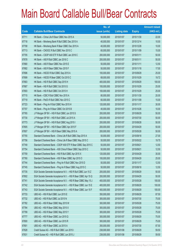|       |                                                                 | No. of        |                     |               | <b>Amount raised</b> |
|-------|-----------------------------------------------------------------|---------------|---------------------|---------------|----------------------|
| Code  | <b>Callable Bull/Bear Contracts</b>                             | issue (units) | <b>Listing date</b> | <b>Expiry</b> | (HK\$ mil.)          |
| 67711 | HK Bank - China Life R Bear CBBC Nov 2015 A                     | 50,000,000    | 2015/01/07          | 2015/11/30    | 22.00                |
| 67718 | HK Bank - Minsheng Bank R Bull CBBC Dec 2015 A                  | 40,000,000    | 2015/01/07          | 2015/12/14    | 10.00                |
| 67708 | HK Bank - Minsheng Bank R Bear CBBC Dec 2015 A                  | 40,000,000    | 2015/01/07          | 2015/12/28    | 10.00                |
| 67713 | HK Bank - CNOOC R Bull CBBC Nov 2015 C                          | 60,000,000    | 2015/01/07          | 2015/11/09    | 15.00                |
| 67705 | HK Bank - CSOP A50 ETF R Bull CBBC Jan 2016 C                   | 200,000,000   | 2015/01/07          | 2016/01/11    | 50.00                |
| 67678 | HK Bank - A50 R Bull CBBC Jan 2016 C                            | 200,000,000   | 2015/01/07          | 2016/01/11    | 50.00                |
| 67680 | HK Bank - A50 R Bear CBBC Nov 2015 E                            | 50,000,000    | 2015/01/07          | 2015/11/11    | 12.50                |
| 67682 | HK Bank - A50 R Bear CBBC Nov 2015 F                            | 50,000,000    | 2015/01/07          | 2015/11/18    | 17.00                |
| 67696 | HK Bank - HSCEI R Bull CBBC Sep 2015 A                          | 100,000,000   | 2015/01/07          | 2015/09/29    | 25.00                |
| 67699 | HK Bank - HSCEI R Bear CBBC Oct 2015 C                          | 68,000,000    | 2015/01/07          | 2015/10/29    | 19.72                |
| 67683 | HK Bank - HSI R Bull CBBC Sep 2015 H                            | 400,000,000   | 2015/01/07          | 2015/09/29    | 100.00               |
| 67687 | HK Bank - HSI R Bull CBBC Oct 2015 G                            | 100,000,000   | 2015/01/07          | 2015/10/29    | 25.00                |
| 67693 | HK Bank - HSI R Bull CBBC Oct 2015 H                            | 100,000,000   | 2015/01/07          | 2015/10/29    | 25.00                |
| 67715 | HK Bank - ICBC R Bull CBBC Nov 2015 A                           | 80,000,000    | 2015/01/07          | 2015/11/30    | 20.00                |
| 67719 | HK Bank - PetCh R Bull CBBC Nov 2015 C                          | 60,000,000    | 2015/01/07          | 2015/11/09    | 15.00                |
| 67723 | HK Bank - Ping An R Bull CBBC Nov 2015 H                        | 120,000,000   | 2015/01/07          | 2015/11/17    | 30.00                |
| 67707 | HK Bank - Ping An R Bear CBBC Oct 2015 B                        | 40,000,000    | 2015/01/07          | 2015/10/26    | 10.00                |
| 67765 | J P Morgan SP BV - HSI R Bull CBBC Jun 2015 S                   | 200,000,000   | 2015/01/07          | 2015/06/29    | 50.00                |
| 67730 | J P Morgan SP BV - HSI R Bull CBBC Jul 2015 A                   | 200,000,000   | 2015/01/07          | 2015/07/30    | 50.00                |
| 67773 | J P Morgan SP BV - HSI R Bull CBBC Aug 2015 I                   | 200,000,000   | 2015/01/07          | 2015/08/28    | 50.00                |
| 67805 | J P Morgan SP BV - HSI R Bear CBBC Apr 2015 F                   | 200,000,000   | 2015/01/07          | 2015/04/29    | 50.00                |
| 67807 | J P Morgan SP BV - HSI R Bear CBBC May 2015 A                   | 200,000,000   | 2015/01/07          | 2015/05/28    | 50.00                |
| 67755 | Standard Chartered Bank - China Life R Bull CBBC Sep 2015 A     | 50,000,000    | 2015/01/07          | 2015/09/18    | 27.00                |
| 67756 | Standard Chartered Bank - China Life R Bear CBBC May 2015 C     | 50,000,000    | 2015/01/07          | 2015/05/22    | 19.75                |
| 67749 | Standard Chartered Bank - CSOP A50 ETF R Bear CBBC Sep 2015 C   | 50,000,000    | 2015/01/07          | 2015/09/21    | 12.50                |
| 67754 | Standard Chartered Bank - A50 China R Bear CBBC Sep 2015 C      | 50,000,000    | 2015/01/07          | 2015/09/21    | 12.50                |
| 67759 | Standard Chartered Bank - HSI R Bull CBBC Apr 2015 X            | 120,000,000   | 2015/01/07          | 2015/04/29    | 30.00                |
| 67760 | Standard Chartered Bank - HSI R Bear CBBC Apr 2015 O            | 100,000,000   | 2015/01/07          | 2015/04/29    | 25.00                |
| 67744 | Standard Chartered Bank - Ping An R Bull CBBC Nov 2015 D        | 50,000,000    | 2015/01/07          | 2015/11/17    | 12.50                |
| 67745 | Standard Chartered Bank - Ping An R Bear CBBC Aug 2015 C        | 50,000,000    | 2015/01/07          | 2015/08/18    | 12.50                |
| 67735 | SGA Societe Generale Acceptance N.V. - HSI R Bull CBBC Jun 15 Z | 200,000,000   | 2015/01/07          | 2015/06/29    | 50.00                |
| 67802 | SGA Societe Generale Acceptance N.V. - HSI R Bear CBBC Apr 15 Q | 200,000,000   | 2015/01/07          | 2015/04/29    | 50.00                |
| 67741 | SGA Societe Generale Acceptance N.V. - HSI R Bear CBBC May 15 J | 400,000,000   | 2015/01/07          | 2015/05/28    | 100.00               |
| 67742 | SGA Societe Generale Acceptance N.V. - HSI R Bear CBBC Jun 15 E | 400,000,000   | 2015/01/07          | 2015/06/29    | 100.00               |
| 67743 | SGA Societe Generale Acceptance N.V. - HSI R Bear CBBC Jun 15 F | 400,000,000   | 2015/01/07          | 2015/06/29    | 100.00               |
| 67733 | UBS AG - HSI R Bull CBBC Jun 2015 E                             | 350,000,000   | 2015/01/07          | 2015/06/29    | 87.50                |
| 67732 | UBS AG - HSI R Bull CBBC Jul 2015 N                             | 300,000,000   | 2015/01/07          | 2015/07/30    | 75.00                |
| 67782 | UBS AG - HSI R Bear CBBC May 2015 W                             | 300,000,000   | 2015/01/07          | 2015/05/28    | 75.00                |
| 67784 | UBS AG - HSI R Bear CBBC May 2015 X                             | 300,000,000   | 2015/01/07          | 2015/05/28    | 75.00                |
| 67799 | UBS AG - HSI R Bear CBBC May 2015 Y                             | 300,000,000   | 2015/01/07          | 2015/05/28    | 75.00                |
| 67777 | UBS AG - HSI R Bear CBBC Jun 2015 Q                             | 300,000,000   | 2015/01/07          | 2015/06/29    | 75.00                |
| 67800 | UBS AG - HSI R Bear CBBC Jun 2015 R                             | 300,000,000   | 2015/01/07          | 2015/06/29    | 75.00                |
| 67801 | UBS AG - HSI R Bear CBBC Jul 2015 A                             | 350,000,000   | 2015/01/07          | 2015/07/30    | 87.50                |
| 67828 | Credit Suisse AG - HSI R Bull CBBC Jun 2015 I                   | 238,000,000   | 2015/01/08          | 2015/06/29    | 59.50                |
| 67831 | Credit Suisse AG - HSI R Bull CBBC Jun 2015 J                   | 238,000,000   | 2015/01/08          | 2015/06/29    | 59.50                |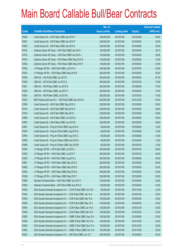|       |                                                                  | No. of        |                     |               | <b>Amount raised</b> |
|-------|------------------------------------------------------------------|---------------|---------------------|---------------|----------------------|
| Code  | <b>Callable Bull/Bear Contracts</b>                              | issue (units) | <b>Listing date</b> | <b>Expiry</b> | $(HK$$ mil.)         |
| 67826 | Credit Suisse AG - HSI R Bear CBBC Apr 2015 F                    | 238,000,000   | 2015/01/08          | 2015/04/29    | 59.50                |
| 67827 | Credit Suisse AG - HSI R Bear CBBC Apr 2015 P                    | 238,000,000   | 2015/01/08          | 2015/04/29    | 59.50                |
| 67825 | Credit Suisse AG - HSI R Bear CBBC Apr 2015 V                    | 238,000,000   | 2015/01/08          | 2015/04/29    | 59.50                |
| 67810 | Goldman Sachs SP (Asia) - HSI R Bull CBBC Apr 2015 I             | 150,000,000   | 2015/01/08          | 2015/04/29    | 38.10                |
| 67816 | Goldman Sachs SP (Asia) - HSI R Bull CBBC Apr 2015 J             | 150,000,000   | 2015/01/08          | 2015/04/29    | 39.90                |
| 67819 | Goldman Sachs SP (Asia) - HSI R Bear CBBC May 2015 E             | 150,000,000   | 2015/01/08          | 2015/05/28    | 37.80                |
| 67820 | Goldman Sachs SP (Asia) - HSI R Bear CBBC May 2015 F             | 150,000,000   | 2015/01/08          | 2015/05/28    | 40.95                |
| 67835 | J P Morgan SP BV - HSI R Bull CBBC Jul 2015 O                    | 200,000,000   | 2015/01/08          | 2015/07/30    | 50.00                |
| 67834 | J P Morgan SP BV - HSI R Bear CBBC May 2015 B                    | 200,000,000   | 2015/01/08          | 2015/05/28    | 50.00                |
| 67830 | UBS AG - HSI R Bull CBBC Jun 2015 F                              | 350,000,000   | 2015/01/08          | 2015/06/29    | 87.50                |
| 67829 | UBS AG - HSI R Bull CBBC Jul 2015 Q                              | 300,000,000   | 2015/01/08          | 2015/07/30    | 75.00                |
| 67821 | UBS AG - HSI R Bear CBBC Jun 2015 S                              | 300,000,000   | 2015/01/08          | 2015/06/29    | 75.00                |
| 67822 | UBS AG - HSI R Bear CBBC Jun 2015 T                              | 300,000,000   | 2015/01/08          | 2015/06/29    | 75.00                |
| 67824 | UBS AG - HSI R Bear CBBC Jul 2015 B                              | 300,000,000   | 2015/01/08          | 2015/07/30    | 75.00                |
| 67924 | BNP Paribas Arbit Issu B.V. - HSI R Bull CBBC Dec 2015 D         | 200,000,000   | 2015/01/09          | 2015/12/30    | 50.00                |
| 67909 | Credit Suisse AG - HSI R Bull CBBC May 2015 G                    | 238,000,000   | 2015/01/09          | 2015/05/28    | 59.50                |
| 67915 | Credit Suisse AG - HSI R Bull CBBC May 2015 H                    | 238,000,000   | 2015/01/09          | 2015/05/28    | 59.50                |
| 67916 | Credit Suisse AG - HSI R Bull CBBC May 2015 I                    | 238,000,000   | 2015/01/09          | 2015/05/28    | 59.50                |
| 67885 | Credit Suisse AG - HSI R Bear CBBC Jun 2015 Q                    | 238,000,000   | 2015/01/09          | 2015/06/29    | 59.50                |
| 67887 | Credit Suisse AG - HSI R Bear CBBC Jun 2015 R                    | 238,000,000   | 2015/01/09          | 2015/06/29    | 59.50                |
| 67891 | Credit Suisse AG - Ping An R Bull CBBC Aug 2015 A                | 60,000,000    | 2015/01/09          | 2015/08/28    | 15.00                |
| 67893 | Credit Suisse AG - Ping An R Bull CBBC Aug 2015 B                | 60,000,000    | 2015/01/09          | 2015/08/28    | 15.00                |
| 67894 | Credit Suisse AG - Ping An R Bull CBBC Aug 2015 C                | 60,000,000    | 2015/01/09          | 2015/08/28    | 15.00                |
| 67895 | Credit Suisse AG - Ping An R Bear CBBC Apr 2015 A                | 60,000,000    | 2015/01/09          | 2015/04/30    | 15.00                |
| 67896 | Credit Suisse AG - Ping An R Bear CBBC Apr 2015 B                | 60,000,000    | 2015/01/09          | 2015/04/30    | 15.00                |
| 67940 | J P Morgan SP BV - HSI R Bull CBBC Jul 2015 J                    | 200,000,000   | 2015/01/09          | 2015/07/30    | 50.00                |
| 67930 | J P Morgan SP BV - HSI R Bull CBBC Jul 2015 T                    | 200,000,000   | 2015/01/09          | 2015/07/30    | 50.00                |
| 67943 | J P Morgan SP BV - HSI R Bull CBBC Aug 2015 L                    | 200,000,000   | 2015/01/09          | 2015/08/28    | 50.00                |
| 67861 | J P Morgan SP BV - HSI R Bear CBBC May 2015 C                    | 200,000,000   | 2015/01/09          | 2015/05/28    | 50.00                |
| 67862 | J P Morgan SP BV - HSI R Bear CBBC May 2015 D                    | 200,000,000   | 2015/01/09          | 2015/05/28    | 50.00                |
| 67926 | J P Morgan SP BV - HSI R Bear CBBC May 2015 E                    | 200,000,000   | 2015/01/09          | 2015/05/28    | 50.00                |
| 67928 | J P Morgan SP BV - HSI R Bear CBBC May 2015 F                    | 200,000,000   | 2015/01/09          | 2015/05/28    | 50.00                |
| 67888 | Standard Chartered Bank - HSI R Bull CBBC Apr 2015 Y             | 100,000,000   | 2015/01/09          | 2015/04/29    | 25.00                |
| 67905 | Standard Chartered Bank - HSI R Bull CBBC Apr 2015 Z             | 120,000,000   | 2015/01/09          | 2015/04/29    | 30.00                |
| 67904 | SGA Societe Generale Acceptance N.V. - COVS R Bull CBBC Oct 15 A | 50,000,000    | 2015/01/09          | 2015/10/29    | 22.50                |
| 67842 | SGA Societe Generale Acceptance N.V. - CCB R Bull CBBC Jan 16 A  | 100,000,000   | 2015/01/09          | 2016/01/28    | 25.00                |
| 67840 | SGA Societe Generale Acceptance N.V. - CCB R Bull CBBC Mar 16 A  | 100,000,000   | 2015/01/09          | 2016/03/30    | 25.00                |
| 67836 | SGA Societe Generale Acceptance N.V. - CCB R Bull CBBC May 16 A  | 100,000,000   | 2015/01/09          | 2016/05/30    | 25.00                |
| 67845 | SGA Societe Generale Acceptance N.V. - CCB R Bear CBBC Jan 16 A  | 100,000,000   | 2015/01/09          | 2016/01/28    | 25.00                |
| 67849 | SGA Societe Generale Acceptance N.V. - CCB R Bear CBBC Mar 16 A  | 100,000,000   | 2015/01/09          | 2016/03/30    | 25.00                |
| 67853 | SGA Societe Generale Acceptance N.V. - CMBC R Bull CBBC Aug 15 A | 100,000,000   | 2015/01/09          | 2015/08/28    | 25.00                |
| 67852 | SGA Societe Generale Acceptance N.V. - CMBC R Bull CBBC Oct 15 A | 100,000,000   | 2015/01/09          | 2015/10/29    | 25.00                |
| 67850 | SGA Societe Generale Acceptance N.V. - CMBC R Bull CBBC Dec 15 A | 100,000,000   | 2015/01/09          | 2015/12/30    | 28.00                |
| 67854 | SGA Societe Generale Acceptance N.V. - CMBC R Bear CBBC Oct 15 A | 100,000,000   | 2015/01/09          | 2015/10/29    | 25.00                |
| 67922 | SGA Societe Generale Acceptance N.V. - HSI R Bull CBBC Jun 15 T  | 200,000,000   | 2015/01/09          | 2015/06/29    | 50.00                |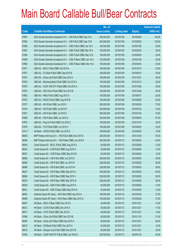|        |                                                                  | No. of        |                     |               | <b>Amount raised</b> |
|--------|------------------------------------------------------------------|---------------|---------------------|---------------|----------------------|
| Code   | <b>Callable Bull/Bear Contracts</b>                              | issue (units) | <b>Listing date</b> | <b>Expiry</b> | $(HK$$ mil.)         |
| 67897  | SGA Societe Generale Acceptance N.V. - HSI R Bull CBBC Sep 15 A  | 400,000,000   | 2015/01/09          | 2015/09/29    | 100.00               |
| 67902  | SGA Societe Generale Acceptance N.V. - HSI R Bull CBBC Sep 15 B  | 400,000,000   | 2015/01/09          | 2015/09/29    | 100.00               |
| 67858  | SGA Societe Generale Acceptance N.V. - ICBC R Bull CBBC Jan 16 A | 100,000,000   | 2015/01/09          | 2016/01/28    | 25.00                |
| 67857  | SGA Societe Generale Acceptance N.V. - ICBC R Bull CBBC Mar 16 A | 100,000,000   | 2015/01/09          | 2016/03/30    | 25.00                |
| 67856  | SGA Societe Generale Acceptance N.V. - ICBC R Bull CBBC May 16 A | 100,000,000   | 2015/01/09          | 2016/05/30    | 25.00                |
| 67859  | SGA Societe Generale Acceptance N.V. - ICBC R Bear CBBC Jan 16 A | 100,000,000   | 2015/01/09          | 2016/01/28    | 25.00                |
| 67860  | SGA Societe Generale Acceptance N.V. - ICBC R Bear CBBC Mar 16 A | 100,000,000   | 2015/01/09          | 2016/03/30    | 25.00                |
| 67871  | UBS AG - BOCL R Bull CBBC Oct 2015 A                             | 100,000,000   | 2015/01/09          | 2015/10/12    | 25.00                |
| 67877  | UBS AG - CC Bank R Bull CBBC Sep 2015 B                          | 100,000,000   | 2015/01/09          | 2015/09/14    | 25.00                |
| 67874  | UBS AG - China Life R Bull CBBC Dec 2015 A                       | 100,000,000   | 2015/01/09          | 2015/12/21    | 25.00                |
| 67876  | UBS AG - Minsheng Bank R Bull CBBC Oct 2015 A                    | 100,000,000   | 2015/01/09          | 2015/10/12    | 25.00                |
| 67873  | UBS AG - CSOP A50 ETF R Bull CBBC Oct 2015 A                     | 100,000,000   | 2015/01/09          | 2015/10/05    | 25.00                |
| 67872  | UBS AG - A50 China R Bull CBBC Dec 2015 B                        | 100,000,000   | 2015/01/09          | 2015/12/28    | 25.00                |
| 67882  | UBS AG - HKEx R Bull CBBC Aug 2015 A                             | 100,000,000   | 2015/01/09          | 2015/08/17    | 25.00                |
| 67870  | UBS AG - HSCEI R Bull CBBC Aug 2015 B                            | 100,000,000   | 2015/01/09          | 2015/08/28    | 25.00                |
| 67917  | UBS AG - HSI R Bull CBBC Jun 2015 I                              | 300,000,000   | 2015/01/09          | 2015/06/29    | 75.00                |
| 67919  | UBS AG - HSI R Bull CBBC Jul 2015 R                              | 300,000,000   | 2015/01/09          | 2015/07/30    | 75.00                |
| 67921  | UBS AG - HSI R Bull CBBC Jul 2015 S                              | 300,000,000   | 2015/01/09          | 2015/07/30    | 75.00                |
| 67869  | UBS AG - HSI R Bear CBBC Jun 2015 U                              | 350,000,000   | 2015/01/09          | 2015/06/29    | 87.50                |
| 67875  | UBS AG - Ping An R Bull CBBC Oct 2015 C                          | 100,000,000   | 2015/01/09          | 2015/10/19    | 25.00                |
| 67878  | UBS AG - TCH R Bull CBBC Jun 2015 H                              | 100,000,000   | 2015/01/09          | 2015/06/22    | 25.00                |
| 67411# | HK Bank - HSCEI R Bull CBBC Jun 2015 E                           | 180,000,000   | 2015/01/09          | 2015/06/29    | 16.56                |
| 68093  | BNP Paribas Arbit Issu B.V. - HSI R Bull CBBC Dec 2015 E         | 200,000,000   | 2015/01/12          | 2015/12/30    | 50.00                |
| 68096  | BNP Paribas Arbit Issu B.V. - HSI R Bear CBBC Jun 2015 E         | 200,000,000   | 2015/01/12          | 2015/06/29    | 50.00                |
| 68045  | Credit Suisse AG - BOCL R Bull CBBC Aug 2015 A                   | 50,000,000    | 2015/01/12          | 2015/08/28    | 12.50                |
| 68032  | Credit Suisse AG - CCB R Bull CBBC Aug 2015 A                    | 50,000,000    | 2015/01/12          | 2015/08/28    | 12.50                |
| 68037  | Credit Suisse AG - CCB R Bear CBBC May 2015 B                    | 50,000,000    | 2015/01/12          | 2015/05/29    | 12.50                |
| 68068  | Credit Suisse AG - HSI R Bull CBBC Jun 2015 E                    | 238,000,000   | 2015/01/12          | 2015/06/29    | 59.50                |
| 68065  | Credit Suisse AG - HSI R Bull CBBC Jun 2015 R                    | 238,000,000   | 2015/01/12          | 2015/06/29    | 59.50                |
| 68066  | Credit Suisse AG - HSI R Bull CBBC Jun 2015 W                    | 238,000,000   | 2015/01/12          | 2015/06/29    | 59.50                |
| 68027  | Credit Suisse AG - HSI R Bear CBBC May 2015 U                    | 238,000,000   | 2015/01/12          | 2015/05/28    | 59.50                |
| 68069  | Credit Suisse AG - HSI R Bear CBBC May 2015 V                    | 238,000,000   | 2015/01/12          | 2015/05/28    | 59.50                |
| 68070  | Credit Suisse AG - HSI R Bear CBBC May 2015 W                    | 238,000,000   | 2015/01/12          | 2015/05/28    | 59.50                |
| 68038  | Credit Suisse AG - ICBC R Bull CBBC Aug 2015 A                   | 50,000,000    | 2015/01/12          | 2015/08/28    | 12.50                |
| 68041  | Credit Suisse AG - ICBC R Bear CBBC May 2015 B                   | 50,000,000    | 2015/01/12          | 2015/05/29    | 12.50                |
| 68055  | Goldman Sachs SP (Asia) - HSI R Bull CBBC Apr 2015 K             | 150,000,000   | 2015/01/12          | 2015/04/29    | 37.50                |
| 68089  | Goldman Sachs SP (Asia) - HSI R Bear CBBC May 2015 G             | 150,000,000   | 2015/01/12          | 2015/05/28    | 37.50                |
| 68007  | HK Bank - BOCL R Bear CBBC Dec 2015 A                            | 40,000,000    | 2015/01/12          | 2015/12/21    | 10.00                |
| 68012  | HK Bank - COVS R Bull CBBC Dec 2015 A                            | 50,000,000    | 2015/01/12          | 2015/12/21    | 17.50                |
| 68017  | HK Bank - CITIC R Bull CBBC Dec 2015 A                           | 40,000,000    | 2015/01/12          | 2015/12/21    | 14.40                |
| 67998  | HK Bank - China Life R Bull CBBC Nov 2015 B                      | 60,000,000    | 2015/01/12          | 2015/11/16    | 21.00                |
| 68004  | HK Bank - China Life R Bear CBBC Dec 2015 A                      | 50,000,000    | 2015/01/12          | 2015/12/21    | 26.00                |
| 68018  | HK Bank - CM Bank R Bull CBBC Dec 2015 A                         | 40,000,000    | 2015/01/12          | 2015/12/21    | 14.00                |
| 68010  | HK Bank - Sinopec Corp R Bull CBBC Dec 2015 B                    | 80,000,000    | 2015/01/12          | 2015/12/21    | 20.00                |
| 67962  | HK Bank - CSOP A50 ETF R Bull CBBC Jan 2016 D                    | 200,000,000   | 2015/01/12          | 2016/01/18    | 50.00                |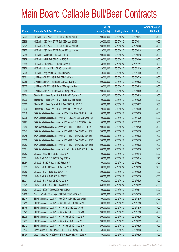|             |                                                                  | No. of        |                     |               | <b>Amount raised</b> |
|-------------|------------------------------------------------------------------|---------------|---------------------|---------------|----------------------|
| <b>Code</b> | <b>Callable Bull/Bear Contracts</b>                              | issue (units) | <b>Listing date</b> | <b>Expiry</b> | $(HK$$ mil.)         |
| 67964       | HK Bank - CSOP A50 ETF R Bull CBBC Jan 2016 E                    | 200,000,000   | 2015/01/12          | 2016/01/14    | 50.00                |
| 67968       | HK Bank - CSOP A50 ETF R Bull CBBC Jan 2016 F                    | 200,000,000   | 2015/01/12          | 2016/01/11    | 50.00                |
| 67971       | HK Bank - CSOP A50 ETF R Bull CBBC Jan 2016 G                    | 200,000,000   | 2015/01/12          | 2016/01/06    | 50.00                |
| 67975       | HK Bank - CSOP A50 ETF R Bear CBBC Jan 2016 A                    | 40,000,000    | 2015/01/12          | 2016/01/18    | 10.00                |
| 67955       | HK Bank - A50 R Bull CBBC Jan 2016 D                             | 200,000,000   | 2015/01/12          | 2016/01/18    | 50.00                |
| 67959       | HK Bank - A50 R Bull CBBC Jan 2016 E                             | 200,000,000   | 2015/01/12          | 2016/01/06    | 50.00                |
| 68008       | HK Bank - ICBC R Bear CBBC Dec 2015 A                            | 40,000,000    | 2015/01/12          | 2015/12/21    | 10.00                |
| 67976       | HK Bank - Ping An R Bull CBBC Nov 2015 I                         | 120,000,000   | 2015/01/12          | 2015/11/26    | 30.00                |
| 67965       | HK Bank - Ping An R Bear CBBC Nov 2015 C                         | 40,000,000    | 2015/01/12          | 2015/11/26    | 10.00                |
| 68061       | J P Morgan SP BV - HSI R Bull CBBC Jul 2015 I                    | 200,000,000   | 2015/01/12          | 2015/07/30    | 50.00                |
| 67985       | J P Morgan SP BV - HSI R Bull CBBC Aug 2015 E                    | 200,000,000   | 2015/01/12          | 2015/08/28    | 50.00                |
| 68025       | J P Morgan SP BV - HSI R Bear CBBC Apr 2015 G                    | 200,000,000   | 2015/01/12          | 2015/04/29    | 50.00                |
| 68088       | J P Morgan SP BV - HSI R Bear CBBC Apr 2015 J                    | 200,000,000   | 2015/01/12          | 2015/04/29    | 50.00                |
| 68064       | Standard Chartered Bank - HSI R Bull CBBC Apr 2015 A             | 120,000,000   | 2015/01/12          | 2015/04/29    | 30.00                |
| 68029       | Standard Chartered Bank - HSI R Bull CBBC Sep 2015 B             | 100,000,000   | 2015/01/12          | 2015/09/29    | 25.00                |
| 68062       | Standard Chartered Bank - HSI R Bear CBBC Apr 2015 P             | 100,000,000   | 2015/01/12          | 2015/04/29    | 25.00                |
| 68030       | Standard Chartered Bank - HSI R Bear CBBC Sep 2015 A             | 120,000,000   | 2015/01/12          | 2015/09/29    | 30.00                |
| 68019       | SGA Societe Generale Acceptance N.V - CLife R Bull CBBC Aug 15 A | 100,000,000   | 2015/01/12          | 2015/08/28    | 50.00                |
| 67995       | SGA Societe Generale Acceptance N.V - CSA50 R Bull CBBC Oct 15 A | 100,000,000   | 2015/01/12          | 2015/10/29    | 25.00                |
| 67997       | SGA Societe Generale Acceptance N.V. - A50 R Bull CBBC Oct 15 A  | 100,000,000   | 2015/01/12          | 2015/10/29    | 25.00                |
| 68046       | SGA Societe Generale Acceptance N.V. - HSI R Bull CBBC Jul 15 W  | 200,000,000   | 2015/01/12          | 2015/07/30    | 50.00                |
| 68047       | SGA Societe Generale Acceptance N.V. - HSI R Bear CBBC May 15 K  | 200,000,000   | 2015/01/12          | 2015/05/28    | 50.00                |
| 68048       | SGA Societe Generale Acceptance N.V. - HSI R Bear CBBC May 15 L  | 200,000,000   | 2015/01/12          | 2015/05/28    | 50.00                |
| 68050       | SGA Societe Generale Acceptance N.V. - HSI R Bear CBBC May 15 M  | 200,000,000   | 2015/01/12          | 2015/05/28    | 50.00                |
| 68053       | SGA Societe Generale Acceptance N.V. - HSI R Bear CBBC May 15 N  | 200,000,000   | 2015/01/12          | 2015/05/28    | 50.00                |
| 68021       | SGA Societe Generale Acceptance NV - PingAn R Bull CBBC Aug 15 A | 300,000,000   | 2015/01/12          | 2015/08/28    | 75.00                |
| 68083       | UBS AG - ABC R Bull CBBC Jan 2016 A                              | 100,000,000   | 2015/01/12          | 2016/01/18    | 25.00                |
| 68031       | UBS AG - COVS R Bull CBBC Sep 2015 A                             | 50,000,000    | 2015/01/12          | 2015/09/14    | 22.75                |
| 68084       | UBS AG - HSBC R Bear CBBC Jun 2015 A                             | 100,000,000   | 2015/01/12          | 2015/06/22    | 25.00                |
| 68081       | UBS AG - HSCEI R Bear CBBC Aug 2015 A                            | 100,000,000   | 2015/01/12          | 2015/08/28    | 28.50                |
| 68080       | UBS AG - HSI R Bull CBBC Jun 2015 H                              | 300,000,000   | 2015/01/12          | 2015/06/29    | 75.00                |
| 68076       | UBS AG - HSI R Bull CBBC Jul 2015 T                              | 350,000,000   | 2015/01/12          | 2015/07/30    | 87.50                |
| 68071       | UBS AG - HSI R Bear CBBC Apr 2015 H                              | 300,000,000   | 2015/01/12          | 2015/04/29    | 75.00                |
| 68075       | UBS AG - HSI R Bear CBBC Jun 2015 W                              | 350,000,000   | 2015/01/12          | 2015/06/29    | 87.50                |
| 68082       | UBS AG - ICBC R Bear CBBC Aug 2015 A                             | 100,000,000   | 2015/01/12          | 2015/08/17    | 25.00                |
| 64966 #     | Goldman Sachs SP (Asia) - HSI R Bull CBBC Jul 2014 P             | 60,000,000    | 2015/01/12          | 2014/07/30    | 18.00                |
| 68214       | BNP Paribas Arbit Issu B.V. - A50 Ch R Bull CBBC Dec 2015 B      | 100,000,000   | 2015/01/13          | 2015/12/30    | 25.00                |
| 68215       | BNP Paribas Arbit Issu B.V. - HSCEI R Bull CBBC Dec 2015 B       | 100,000,000   | 2015/01/13          | 2015/12/30    | 25.00                |
| 68146       | BNP Paribas Arbit Issu B.V. - HSI R Bull CBBC Dec 2015 F         | 200,000,000   | 2015/01/13          | 2015/12/30    | 50.00                |
| 68149       | BNP Paribas Arbit Issu B.V. - HSI R Bull CBBC Dec 2015 G         | 200,000,000   | 2015/01/13          | 2015/12/30    | 50.00                |
| 68208       | BNP Paribas Arbit Issu B.V. - HSI R Bear CBBC Jun 2015 F         | 200,000,000   | 2015/01/13          | 2015/06/29    | 50.00                |
| 68209       | BNP Paribas Arbit Issu B.V. - HSI R Bear CBBC Jun 2015 G         | 200,000,000   | 2015/01/13          | 2015/06/29    | 50.00                |
| 68212       | BNP Paribas Arbit Issu B.V. - HSI R Bear CBBC Jun 2015 H         | 200,000,000   | 2015/01/13          | 2015/06/29    | 50.00                |
| 68193       | Credit Suisse AG - CSOP A50 ETF R Bull CBBC Aug 2015 C           | 60,000,000    | 2015/01/13          | 2015/08/28    | 15.00                |
| 68194       | Credit Suisse AG - CSOP A50 ETF R Bear CBBC May 2015 A           | 60,000,000    | 2015/01/13          | 2015/05/29    | 15.00                |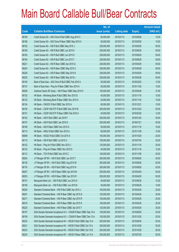|       |                                                                  | No. of        |                     |               | <b>Amount raised</b> |
|-------|------------------------------------------------------------------|---------------|---------------------|---------------|----------------------|
| Code  | <b>Callable Bull/Bear Contracts</b>                              | issue (units) | <b>Listing date</b> | <b>Expiry</b> | $(HK$$ mil.)         |
| 68195 | Credit Suisse AG - A50 China R Bull CBBC Aug 2015 C              | 60,000,000    | 2015/01/13          | 2015/08/28    | 15.00                |
| 68196 | Credit Suisse AG - A50 China R Bear CBBC May 2015 A              | 60,000,000    | 2015/01/13          | 2015/05/29    | 15.00                |
| 68192 | Credit Suisse AG - HSI R Bull CBBC May 2015 J                    | 238,000,000   | 2015/01/13          | 2015/05/28    | 59.50                |
| 68180 | Credit Suisse AG - HSI R Bull CBBC Jun 2015 K                    | 238,000,000   | 2015/01/13          | 2015/06/29    | 59.50                |
| 68183 | Credit Suisse AG - HSI R Bull CBBC Jun 2015 S                    | 238,000,000   | 2015/01/13          | 2015/06/29    | 59.50                |
| 68184 | Credit Suisse AG - HSI R Bull CBBC Jun 2015 T                    | 238,000,000   | 2015/01/13          | 2015/06/29    | 59.50                |
| 68221 | Credit Suisse AG - HSI R Bear CBBC Apr 2015 Q                    | 238,000,000   | 2015/01/13          | 2015/04/29    | 59.50                |
| 68224 | Credit Suisse AG - HSI R Bear CBBC May 2015 C                    | 238,000,000   | 2015/01/13          | 2015/05/28    | 59.50                |
| 68228 | Credit Suisse AG - HSI R Bear CBBC May 2015 K                    | 238,000,000   | 2015/01/13          | 2015/05/28    | 59.50                |
| 68230 | Credit Suisse AG - HSI R Bear CBBC May 2015 L                    | 238,000,000   | 2015/01/13          | 2015/05/28    | 59.50                |
| 68140 | Bank of East Asia - A50 China R Bull CBBC Feb 2016 A             | 50,000,000    | 2015/01/13          | 2016/02/25    | 12.50                |
| 68137 | Bank of East Asia - Ping An R Bear CBBC Nov 2015 A               | 60,000,000    | 2015/01/13          | 2015/11/25    | 15.00                |
| 68206 | Goldman Sachs SP (Asia) - HSI R Bear CBBC May 2015 H             | 150,000,000   | 2015/01/13          | 2015/05/28    | 37.65                |
| 68125 | HK Bank - Minsheng Bank R Bull CBBC Nov 2015 D                   | 40,000,000    | 2015/01/13          | 2015/11/16    | 10.00                |
| 68132 | HK Bank - Minsheng Bank R Bear CBBC Nov 2015 A                   | 40,000,000    | 2015/01/13          | 2015/11/16    | 10.00                |
| 68134 | HK Bank - CNOOC R Bull CBBC Dec 2015 A                           | 60,000,000    | 2015/01/13          | 2015/12/21    | 15.00                |
| 68100 | HK Bank - CSOP A50 ETF R Bull CBBC Dec 2015 M                    | 200,000,000   | 2015/01/13          | 2015/12/22    | 50.00                |
| 68101 | HK Bank - CSOP A50 ETF R Bear CBBC Feb 2016 A                    | 40,000,000    | 2015/01/13          | 2016/02/29    | 12.00                |
| 68102 | HK Bank - A50 R Bull CBBC Jan 2016 F                             | 200,000,000   | 2015/01/13          | 2016/01/25    | 50.00                |
| 68107 | HK Bank - A50 R Bull CBBC Jan 2016 G                             | 200,000,000   | 2015/01/13          | 2016/01/21    | 50.00                |
| 68108 | HK Bank - A50 R Bear CBBC Nov 2015 G                             | 50,000,000    | 2015/01/13          | 2015/11/16    | 16.00                |
| 68113 | HK Bank - HKEx R Bull CBBC Nov 2015 A                            | 60,000,000    | 2015/01/13          | 2015/11/09    | 15.00                |
| 68099 | HK Bank - HSCEI R Bull CBBC Oct 2015 A                           | 100,000,000   | 2015/01/13          | 2015/10/29    | 25.00                |
| 68110 | HK Bank - HSI R Bull CBBC Jul 2015 U                             | 100,000,000   | 2015/01/13          | 2015/07/30    | 25.00                |
| 68122 | HK Bank - Ping An R Bull CBBC Nov 2015 J                         | 120,000,000   | 2015/01/13          | 2015/11/16    | 30.00                |
| 68123 | HK Bank - Ping An R Bear CBBC Nov 2015 D                         | 40,000,000    | 2015/01/13          | 2015/11/16    | 12.00                |
| 68112 | HK Bank - TCH R Bull CBBC Nov 2015 C                             | 100,000,000   | 2015/01/13          | 2015/11/09    | 25.00                |
| 68254 | J P Morgan SP BV - HSI R Bull CBBC Jun 2015 T                    | 200,000,000   | 2015/01/13          | 2015/06/29    | 50.00                |
| 68135 | J P Morgan SP BV - HSI R Bull CBBC Aug 2015 M                    | 200,000,000   | 2015/01/13          | 2015/08/28    | 50.00                |
| 68176 | J P Morgan SP BV - HSI R Bull CBBC Aug 2015 N                    | 200,000,000   | 2015/01/13          | 2015/08/28    | 50.00                |
| 68207 | JP Morgan SP BV - HSI R Bear CBBC Apr 2015 M                     | 200,000,000   | 2015/01/13          | 2015/04/29    | 50.00                |
| 68253 | J P Morgan SP BV - HSI R Bear CBBC Apr 2015 R                    | 200,000,000   | 2015/01/13          | 2015/04/29    | 50.00                |
| 68151 | Macquarie Bank Ltd. - HSI R Bull CBBC Jun 2015 A                 | 40,000,000    | 2015/01/13          | 2015/06/29    | 10.20                |
| 68156 | Macquarie Bank Ltd. - HSI R Bull CBBC Jun 2015 B                 | 40,000,000    | 2015/01/13          | 2015/06/29    | 10.00                |
| 68200 | Standard Chartered Bank - HSI R Bull CBBC Apr 2015 J             | 100,000,000   | 2015/01/13          | 2015/04/29    | 25.00                |
| 68201 | Standard Chartered Bank - HSI R Bear CBBC Apr 2015 Q             | 120,000,000   | 2015/01/13          | 2015/04/29    | 30.00                |
| 68217 | Standard Chartered Bank - HSI R Bear CBBC Apr 2015 R             | 100,000,000   | 2015/01/13          | 2015/04/29    | 25.00                |
| 68219 | Standard Chartered Bank - HSI R Bear CBBC Apr 2015 S             | 100,000,000   | 2015/01/13          | 2015/04/29    | 25.00                |
| 68220 | Standard Chartered Bank - HSI R Bear CBBC Apr 2015 T             | 120,000,000   | 2015/01/13          | 2015/04/29    | 30.00                |
| 68157 | SGA Societe Generale Acceptance N.V - CSA50 R Bear CBBC Sep 15 A | 100,000,000   | 2015/01/13          | 2015/09/29    | 25.00                |
| 68159 | SGA Societe Generale Acceptance N.V - CSA50 R Bear CBBC Dec 15 A | 100,000,000   | 2015/01/13          | 2015/12/30    | 25.00                |
| 68232 | SGA Societe Generale Acceptance NV - HSCEI R Bull CBBC Sep 15 A  | 200,000,000   | 2015/01/13          | 2015/09/29    | 50.00                |
| 68231 | SGA Societe Generale Acceptance NV - HSCEI R Bull CBBC Oct 15 A  | 200,000,000   | 2015/01/13          | 2015/10/29    | 50.00                |
| 68233 | SGA Societe Generale Acceptance NV - HSCEI R Bull CBBC Oct 15 B  | 200,000,000   | 2015/01/13          | 2015/10/29    | 50.00                |
| 68234 | SGA Societe Generale Acceptance NV - HSCEI R Bear CBBC Jul 15 A  | 200,000,000   | 2015/01/13          | 2015/07/30    | 50.00                |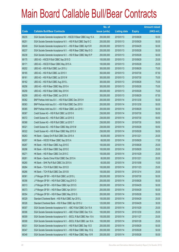|       |                                                                  | No. of        |                     |               | <b>Amount raised</b> |
|-------|------------------------------------------------------------------|---------------|---------------------|---------------|----------------------|
| Code  | <b>Callable Bull/Bear Contracts</b>                              | issue (units) | <b>Listing date</b> | <b>Expiry</b> | $(HK$$ mil.)         |
| 68235 | SGA Societe Generale Acceptance NV - HSCEI R Bear CBBC Aug 15 A  | 200,000,000   | 2015/01/13          | 2015/08/28    | 50.00                |
| 68251 | SGA Societe Generale Acceptance N.V. - HSI R Bull CBBC Sep15 C   | 200,000,000   | 2015/01/13          | 2015/09/29    | 50.00                |
| 68249 | SGA Societe Generale Acceptance N.V. - HSI R Bear CBBC Apr15 R   | 200,000,000   | 2015/01/13          | 2015/04/29    | 50.00                |
| 68237 | SGA Societe Generale Acceptance N.V. - HSI R Bear CBBC May15 O   | 200,000,000   | 2015/01/13          | 2015/05/28    | 50.00                |
| 68238 | SGA Societe Generale Acceptance N.V. - HSI R Bear CBBC May15 P   | 200,000,000   | 2015/01/13          | 2015/05/28    | 50.00                |
| 68175 | UBS AG - HSCEI R Bull CBBC Sep 2015 D                            | 100,000,000   | 2015/01/13          | 2015/09/29    | 25.00                |
| 68171 | UBS AG - HSCEI R Bear CBBC May 2015 A                            | 100,000,000   | 2015/01/13          | 2015/05/28    | 25.00                |
| 68202 | UBS AG - HSI R Bull CBBC Jun 2015 J                              | 300,000,000   | 2015/01/13          | 2015/06/29    | 75.00                |
| 68165 | UBS AG - HSI R Bull CBBC Jul 2015 V                              | 350,000,000   | 2015/01/13          | 2015/07/30    | 87.50                |
| 68161 | UBS AG - HSI R Bull CBBC Jul 2015 W                              | 300,000,000   | 2015/01/13          | 2015/07/30    | 75.00                |
| 68162 | UBS AG - HSI R Bull CBBC Aug 2015 L                              | 300,000,000   | 2015/01/13          | 2015/08/28    | 75.00                |
| 68256 | UBS AG - HSI R Bear CBBC May 2015 A                              | 300,000,000   | 2015/01/13          | 2015/05/28    | 75.00                |
| 68258 | UBS AG - HSI R Bear CBBC May 2015 K                              | 300,000,000   | 2015/01/13          | 2015/05/28    | 75.00                |
| 68259 | UBS AG - HSI R Bear CBBC Jun 2015 X                              | 350,000,000   | 2015/01/13          | 2015/06/29    | 87.50                |
| 68362 | BNP Paribas Arbit Issu B.V. - HSI R Bull CBBC Dec 2015 H         | 200,000,000   | 2015/01/14          | 2015/12/30    | 50.00                |
| 68363 | BNP Paribas Arbit Issu B.V. - HSI R Bull CBBC Dec 2015 I         | 200,000,000   | 2015/01/14          | 2015/12/30    | 50.00                |
| 68365 | BNP Paribas Arbit Issu B.V. - HSI R Bear CBBC Jun 2015 I         | 200,000,000   | 2015/01/14          | 2015/06/29    | 50.00                |
| 68367 | Credit Suisse AG - HSI R Bull CBBC Jul 2015 K                    | 238,000,000   | 2015/01/14          | 2015/07/30    | 59.50                |
| 68372 | Credit Suisse AG - HSI R Bull CBBC Jul 2015 S                    | 238,000,000   | 2015/01/14          | 2015/07/30    | 59.50                |
| 68368 | Credit Suisse AG - HSI R Bull CBBC Jul 2015 T                    | 238,000,000   | 2015/01/14          | 2015/07/30    | 59.50                |
| 68321 | Credit Suisse AG - HSI R Bear CBBC May 2015 M                    | 238,000,000   | 2015/01/14          | 2015/05/28    | 59.50                |
| 68322 | Credit Suisse AG - HSI R Bear CBBC May 2015 X                    | 238,000,000   | 2015/01/14          | 2015/05/28    | 59.50                |
| 68263 | HK Bank - Galaxy Ent R Bull CBBC Dec 2015 A                      | 80,000,000    | 2015/01/14          | 2015/12/21    | 20.00                |
| 68297 | HK Bank - HSCEI R Bear CBBC Sep 2015 A                           | 68,000,000    | 2015/01/14          | 2015/09/29    | 17.00                |
| 68267 | HK Bank - HSI R Bear CBBC Aug 2015 E                             | 100,000,000   | 2015/01/14          | 2015/08/28    | 25.00                |
| 68296 | HK Bank - HSI R Bear CBBC Sep 2015 E                             | 100,000,000   | 2015/01/14          | 2015/09/29    | 25.00                |
| 68271 | HK Bank - HSI R Bear CBBC Oct 2015 C                             | 100,000,000   | 2015/01/14          | 2015/10/29    | 25.00                |
| 68261 | HK Bank - Sands China R Bull CBBC Dec 2015 A                     | 80,000,000    | 2015/01/14          | 2015/12/21    | 20.00                |
| 68260 | HK Bank - SHK Ppt R Bull CBBC Oct 2015 A                         | 60,000,000    | 2015/01/14          | 2015/10/08    | 15.00                |
| 68264 | HK Bank - TCH R Bull CBBC Nov 2015 D                             | 100,000,000   | 2015/01/14          | 2015/11/23    | 25.00                |
| 68266 | HK Bank - TCH R Bull CBBC Dec 2015 B                             | 100,000,000   | 2015/01/14          | 2015/12/14    | 25.00                |
| 68361 | J P Morgan SP BV - HSI R Bull CBBC Jul 2015 L                    | 200,000,000   | 2015/01/14          | 2015/07/30    | 50.00                |
| 68356 | J P Morgan SP BV - HSI R Bull CBBC Aug 2015 O                    | 200,000,000   | 2015/01/14          | 2015/08/28    | 50.00                |
| 68313 | J P Morgan SP BV - HSI R Bear CBBC Apr 2015 S                    | 200,000,000   | 2015/01/14          | 2015/04/29    | 50.00                |
| 68373 | J P Morgan SP BV - HSI R Bear CBBC Apr 2015 V                    | 200,000,000   | 2015/01/14          | 2015/04/29    | 50.00                |
| 68354 | J P Morgan SP BV - HSI R Bear CBBC May 2015 G                    | 200,000,000   | 2015/01/14          | 2015/05/28    | 50.00                |
| 68329 | Standard Chartered Bank - HSI R Bull CBBC Apr 2015 L             | 100,000,000   | 2015/01/14          | 2015/04/29    | 25.00                |
| 68326 | Standard Chartered Bank - HSI R Bear CBBC Apr 2015 U             | 120,000,000   | 2015/01/14          | 2015/04/29    | 30.00                |
| 68307 | SGA Societe Generale Acceptance N.V. - ABC R Bull CBBC Oct 15 A  | 100,000,000   | 2015/01/14          | 2015/10/29    | 25.00                |
| 68306 | SGA Societe Generale Acceptance N.V. - ABC R Bull CBBC Dec 15 A  | 100,000,000   | 2015/01/14          | 2015/12/30    | 25.00                |
| 68309 | SGA Societe Generale Acceptance N.V. - BOCL R Bull CBBC Nov 15 A | 100,000,000   | 2015/01/14          | 2015/11/27    | 25.00                |
| 68308 | SGA Societe Generale Acceptance N.V. - BOCL R Bull CBBC Jan 16 A | 100,000,000   | 2015/01/14          | 2016/01/28    | 25.00                |
| 68331 | SGA Societe Generale Acceptance N.V. - HSI R Bull CBBC Sep 15 D  | 200,000,000   | 2015/01/14          | 2015/09/29    | 50.00                |
| 68347 | SGA Societe Generale Acceptance N.V. - HSI R Bear CBBC May 15 Q  | 200,000,000   | 2015/01/14          | 2015/05/28    | 50.00                |
| 68348 | SGA Societe Generale Acceptance N.V. - HSI R Bear CBBC May 15 R  | 200,000,000   | 2015/01/14          | 2015/05/28    | 50.00                |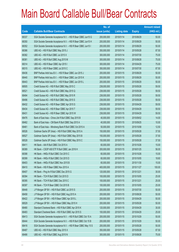|       |                                                                 | No. of        |                     |               | <b>Amount raised</b> |
|-------|-----------------------------------------------------------------|---------------|---------------------|---------------|----------------------|
| Code  | <b>Callable Bull/Bear Contracts</b>                             | issue (units) | <b>Listing date</b> | <b>Expiry</b> | (HK\$ mil.)          |
| 68337 | SGA Societe Generale Acceptance N.V. - HSI R Bear CBBC Jun15 G  | 200,000,000   | 2015/01/14          | 2015/06/29    | 50.00                |
| 68350 | SGA Societe Generale Acceptance N.V. - HSI R Bear CBBC Jun15 H  | 200,000,000   | 2015/01/14          | 2015/06/29    | 50.00                |
| 68352 | SGA Societe Generale Acceptance N.V. - HSI R Bear CBBC Jun15 I  | 200,000,000   | 2015/01/14          | 2015/06/29    | 50.00                |
| 68386 | UBS AG - HSI R Bull CBBC May 2015 J                             | 350,000,000   | 2015/01/14          | 2015/05/28    | 87.50                |
| 68382 | UBS AG - HSI R Bull CBBC Jul 2015 X                             | 300,000,000   | 2015/01/14          | 2015/07/30    | 75.00                |
| 68381 | UBS AG - HSI R Bull CBBC Aug 2015 M                             | 300,000,000   | 2015/01/14          | 2015/08/28    | 75.00                |
| 68314 | UBS AG - HSI R Bear CBBC Apr 2015 I                             | 300,000,000   | 2015/01/14          | 2015/04/29    | 75.00                |
| 68315 | UBS AG - HSI R Bear CBBC Jul 2015 C                             | 350,000,000   | 2015/01/14          | 2015/07/30    | 87.50                |
| 68436 | BNP Paribas Arbit Issu B.V. - HSI R Bear CBBC Jun 2015 J        | 200,000,000   | 2015/01/15          | 2015/06/29    | 50.00                |
| 68440 | BNP Paribas Arbit Issu B.V. - HSI R Bear CBBC Jun 2015 K        | 200,000,000   | 2015/01/15          | 2015/06/29    | 50.00                |
| 68443 | BNP Paribas Arbit Issu B.V. - HSI R Bear CBBC Jun 2015 L        | 200,000,000   | 2015/01/15          | 2015/06/29    | 50.00                |
| 68505 | Credit Suisse AG - HSI R Bull CBBC May 2015 C                   | 238,000,000   | 2015/01/15          | 2015/05/28    | 59.50                |
| 68521 | Credit Suisse AG - HSI R Bull CBBC May 2015 Q                   | 238,000,000   | 2015/01/15          | 2015/05/28    | 59.50                |
| 68494 | Credit Suisse AG - HSI R Bull CBBC May 2015 R                   | 238,000,000   | 2015/01/15          | 2015/05/28    | 59.50                |
| 68496 | Credit Suisse AG - HSI R Bull CBBC May 2015 S                   | 238,000,000   | 2015/01/15          | 2015/05/28    | 59.50                |
| 68432 | Credit Suisse AG - HSI R Bear CBBC Apr 2015 S                   | 238,000,000   | 2015/01/15          | 2015/04/29    | 59.50                |
| 68434 | Credit Suisse AG - HSI R Bear CBBC Apr 2015 T                   | 238,000,000   | 2015/01/15          | 2015/04/29    | 59.50                |
| 68431 | Credit Suisse AG - HSI R Bear CBBC Apr 2015 W                   | 238,000,000   | 2015/01/15          | 2015/04/29    | 59.50                |
| 68476 | Bank of East Asia - China Life R Bull CBBC Sep 2015 B           | 40,000,000    | 2015/01/15          | 2015/09/02    | 14.00                |
| 68462 | Bank of East Asia - CM Bank R Bull CBBC Sep 2015 A              | 40,000,000    | 2015/01/15          | 2015/09/25    | 10.00                |
| 68461 | Bank of East Asia - Minsheng Bank R Bull CBBC Oct 2015 A        | 50,000,000    | 2015/01/15          | 2015/10/08    | 12.50                |
| 68526 | Goldman Sachs SP (Asia) - HSI R Bull CBBC May 2015 A            | 150,000,000   | 2015/01/15          | 2015/05/28    | 37.50                |
| 68527 | Goldman Sachs SP (Asia) - HSI R Bull CBBC May 2015 B            | 150,000,000   | 2015/01/15          | 2015/05/28    | 37.50                |
| 68528 | Goldman Sachs SP (Asia) - HSI R Bull CBBC May 2015 C            | 150,000,000   | 2015/01/15          | 2015/05/28    | 37.50                |
| 68411 | HK Bank - AIA R Bull CBBC Oct 2015 A                            | 60,000,000    | 2015/01/15          | 2015/10/26    | 15.00                |
| 68389 | HK Bank - CSOP A50 ETF R Bull CBBC Jan 2016 H                   | 200,000,000   | 2015/01/15          | 2016/01/25    | 56.00                |
| 68398 | HK Bank - HKEx R Bull CBBC Oct 2015 C                           | 60,000,000    | 2015/01/15          | 2015/10/26    | 15.00                |
| 68399 | HK Bank – HKEx R Bull CBBC Oct 2015 D                           | 60,000,000    | 2015/01/15          | 2015/10/05    | 18.60                |
| 68403 | HK Bank - HKEx R Bull CBBC Nov 2015 B                           | 60,000,000    | 2015/01/15          | 2015/11/30    | 15.00                |
| 68410 | HK Bank - HSI R Bear CBBC Nov 2015 A                            | 400,000,000   | 2015/01/15          | 2015/11/27    | 100.00               |
| 68407 | HK Bank - Ping An R Bull CBBC Dec 2015 G                        | 120,000,000   | 2015/01/15          | 2015/12/21    | 30.00                |
| 68394 | HK Bank - TCH R Bull CBBC Oct 2015 D                            | 100,000,000   | 2015/01/15          | 2015/10/05    | 25.00                |
| 68395 | HK Bank - TCH R Bull CBBC Dec 2015 C                            | 100,000,000   | 2015/01/15          | 2015/12/21    | 25.00                |
| 68397 | HK Bank - TCH R Bear CBBC Oct 2015 B                            | 100,000,000   | 2015/01/15          | 2015/10/05    | 25.00                |
| 68448 | J P Morgan SP BV - HSI R Bull CBBC Jul 2015 S                   | 200,000,000   | 2015/01/15          | 2015/07/30    | 50.00                |
| 68458 | J P Morgan SP BV - HSI R Bull CBBC Aug 2015 A                   | 200,000,000   | 2015/01/15          | 2015/08/28    | 50.00                |
| 68422 | J P Morgan SP BV - HSI R Bear CBBC Apr 2015 L                   | 200,000,000   | 2015/01/15          | 2015/04/29    | 50.00                |
| 68529 | J P Morgan SP BV - HSI R Bear CBBC May 2015 H                   | 200,000,000   | 2015/01/15          | 2015/05/28    | 50.00                |
| 68480 | Standard Chartered Bank - HSI R Bull CBBC Apr 2015 K            | 120,000,000   | 2015/01/15          | 2015/04/29    | 30.00                |
| 68483 | Standard Chartered Bank - HSI R Bull CBBC Apr 2015 S            | 100,000,000   | 2015/01/15          | 2015/04/29    | 25.00                |
| 68413 | SGA Societe Generale Acceptance N.V. - HSI R Bull CBBC Oct 15 A | 200,000,000   | 2015/01/15          | 2015/10/29    | 50.00                |
| 68444 | SGA Societe Generale Acceptance N.V. - HSI R Bull CBBC Oct 15 B | 200,000,000   | 2015/01/15          | 2015/10/29    | 50.00                |
| 68416 | SGA Societe Generale Acceptance N.V. - HSI R Bear CBBC May 15 S | 200,000,000   | 2015/01/15          | 2015/05/28    | 50.00                |
| 68487 | UBS AG - HSI R Bull CBBC May 2015 X                             | 350,000,000   | 2015/01/15          | 2015/05/28    | 87.50                |
| 68486 | UBS AG - HSI R Bull CBBC Aug 2015 N                             | 300,000,000   | 2015/01/15          | 2015/08/28    | 75.00                |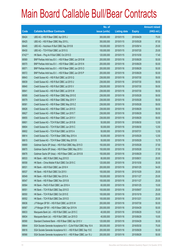|         |                                                                  | No. of        |                     |               | <b>Amount raised</b> |
|---------|------------------------------------------------------------------|---------------|---------------------|---------------|----------------------|
| Code    | <b>Callable Bull/Bear Contracts</b>                              | issue (units) | <b>Listing date</b> | <b>Expiry</b> | $(HK$$ mil.)         |
| 68424   | UBS AG - HSI R Bear CBBC Apr 2015 J                              | 300,000,000   | 2015/01/15          | 2015/04/29    | 75.00                |
| 68425   | UBS AG - HSI R Bear CBBC May 2015 L                              | 350,000,000   | 2015/01/15          | 2015/05/28    | 87.50                |
| 68445   | UBS AG - Hutchison R Bull CBBC Sep 2015 B                        | 100,000,000   | 2015/01/15          | 2015/09/14    | 25.00                |
| 68430   | UBS AG - TCH R Bull CBBC Jul 2015 G                              | 100,000,000   | 2015/01/15          | 2015/07/20    | 25.00                |
| 67427 # | HK Bank - Ping An R Bull CBBC Oct 2015 D                         | 120,000,000   | 2015/01/15          | 2015/10/30    | 17.40                |
| 68569   | BNP Paribas Arbit Issu B.V. - HSI R Bear CBBC Jun 2015 M         | 200,000,000   | 2015/01/16          | 2015/06/29    | 50.00                |
| 68570   | BNP Paribas Arbit Issu B.V. - HSI R Bear CBBC Jun 2015 N         | 200,000,000   | 2015/01/16          | 2015/06/29    | 50.00                |
| 68571   | BNP Paribas Arbit Issu B.V. - HSI R Bear CBBC Jun 2015 O         | 200,000,000   | 2015/01/16          | 2015/06/29    | 50.00                |
| 68572   | BNP Paribas Arbit Issu B.V. - HSI R Bear CBBC Jun 2015 P         | 200,000,000   | 2015/01/16          | 2015/06/29    | 50.00                |
| 68643   | Credit Suisse AG - HSI R Bull CBBC Jul 2015 Q                    | 238,000,000   | 2015/01/16          | 2015/07/30    | 59.50                |
| 68639   | Credit Suisse AG - HSI R Bull CBBC Jul 2015 U                    | 238,000,000   | 2015/01/16          | 2015/07/30    | 59.50                |
| 68640   | Credit Suisse AG - HSI R Bull CBBC Jul 2015 V                    | 238,000,000   | 2015/01/16          | 2015/07/30    | 59.50                |
| 68641   | Credit Suisse AG - HSI R Bull CBBC Jul 2015 W                    | 238,000,000   | 2015/01/16          | 2015/07/30    | 59.50                |
| 68585   | Credit Suisse AG - HSI R Bear CBBC May 2015 E                    | 238,000,000   | 2015/01/16          | 2015/05/28    | 59.50                |
| 68579   | Credit Suisse AG - HSI R Bear CBBC May 2015 Y                    | 238,000,000   | 2015/01/16          | 2015/05/28    | 59.50                |
| 68581   | Credit Suisse AG - HSI R Bear CBBC May 2015 Z                    | 238,000,000   | 2015/01/16          | 2015/05/28    | 59.50                |
| 68626   | Credit Suisse AG - HSI R Bear CBBC Jun 2015 S                    | 238,000,000   | 2015/01/16          | 2015/06/29    | 59.50                |
| 68627   | Credit Suisse AG - HSI R Bear CBBC Jun 2015 T                    | 238,000,000   | 2015/01/16          | 2015/06/29    | 59.50                |
| 68655   | Credit Suisse AG - HSI R Bear CBBC Jun 2015 V                    | 238,000,000   | 2015/01/16          | 2015/06/29    | 59.50                |
| 68601   | Credit Suisse AG - TCH R Bull CBBC Jun 2015 B                    | 50,000,000    | 2015/01/16          | 2015/06/30    | 12.50                |
| 68604   | Credit Suisse AG - TCH R Bull CBBC Jun 2015 C                    | 50,000,000    | 2015/01/16          | 2015/06/30    | 12.50                |
| 68602   | Credit Suisse AG - TCH R Bull CBBC Jul 2015 A                    | 50,000,000    | 2015/01/16          | 2015/07/31    | 12.50                |
| 68614   | Credit Suisse AG - TCH R Bear CBBC May 2015 A                    | 50,000,000    | 2015/01/16          | 2015/05/29    | 12.50                |
| 68615   | Credit Suisse AG - TCH R Bear CBBC May 2015 B                    | 50,000,000    | 2015/01/16          | 2015/05/29    | 15.75                |
| 68669   | Goldman Sachs SP (Asia) - HSI R Bull CBBC May 2015 D             | 150,000,000   | 2015/01/16          | 2015/05/28    | 37.50                |
| 68670   | Goldman Sachs SP (Asia) - HSI R Bear CBBC May 2015 I             | 150,000,000   | 2015/01/16          | 2015/05/28    | 37.50                |
| 68678   | Goldman Sachs SP (Asia) - HSI R Bear CBBC Jun 2015 B             | 150,000,000   | 2015/01/16          | 2015/06/29    | 37.50                |
| 68533   | HK Bank - ABC R Bull CBBC Aug 2015 D                             | 80,000,000    | 2015/01/16          | 2015/08/31    | 20.00                |
| 68558   | HK Bank - China Mobile R Bull CBBC Oct 2015 C                    | 120,000,000   | 2015/01/16          | 2015/10/30    | 30.00                |
| 68531   | HK Bank - A50 R Bull CBBC Jan 2016 H                             | 200,000,000   | 2015/01/16          | 2016/01/25    | 54.00                |
| 68537   | HK Bank - HSI R Bull CBBC Oct 2015 I                             | 100,000,000   | 2015/01/16          | 2015/10/29    | 25.00                |
| 68549   | HK Bank - HSI R Bull CBBC Nov 2015 A                             | 100,000,000   | 2015/01/16          | 2015/11/27    | 25.00                |
| 68547   | HK Bank - HSI R Bear CBBC Nov 2015 B                             | 100,000,000   | 2015/01/16          | 2015/11/27    | 25.00                |
| 68564   | HK Bank - PetCh R Bull CBBC Jan 2016 A                           | 60,000,000    | 2015/01/16          | 2016/01/25    | 15.00                |
| 68551   | HK Bank - TCH R Bull CBBC Sep 2015 D                             | 100,000,000   | 2015/01/16          | 2015/09/07    | 25.00                |
| 68550   | HK Bank - TCH R Bull CBBC Oct 2015 E                             | 100,000,000   | 2015/01/16          | 2015/10/19    | 25.00                |
| 68552   | HK Bank - TCH R Bull CBBC Dec 2015 D                             | 100,000,000   | 2015/01/16          | 2015/12/21    | 25.00                |
| 68636   | J P Morgan SP BV - HSI R Bull CBBC Jul 2015 W                    | 200,000,000   | 2015/01/16          | 2015/07/30    | 50.00                |
| 68567   | J P Morgan SP BV - HSI R Bear CBBC Apr 2015 N                    | 200,000,000   | 2015/01/16          | 2015/04/29    | 50.00                |
| 68633   | Macquarie Bank Ltd. - HSI R Bull CBBC Jun 2015 C                 | 40,000,000    | 2015/01/16          | 2015/06/29    | 10.20                |
| 68634   | Macquarie Bank Ltd. - HSI R Bull CBBC Jun 2015 D                 | 40,000,000    | 2015/01/16          | 2015/06/29    | 10.00                |
| 68590   | Standard Chartered Bank - HSI R Bear CBBC Apr 2015 V             | 120,000,000   | 2015/01/16          | 2015/04/29    | 30.00                |
| 68644   | SGA Societe Generale Acceptance N.V - CLife R Bull CBBC May 16 A | 300,000,000   | 2015/01/16          | 2016/05/30    | 75.00                |
| 68616   | SGA Societe Generale Acceptance N.V. - HSI R Bull CBBC Sep 15 E  | 200,000,000   | 2015/01/16          | 2015/09/29    | 50.00                |
| 68566   | SGA Societe Generale Acceptance N.V. - HSI R Bear CBBC Jun 15 J  | 200,000,000   | 2015/01/16          | 2015/06/29    | 50.00                |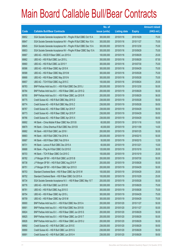|       |                                                                  | No. of        |                     |               | <b>Amount raised</b> |
|-------|------------------------------------------------------------------|---------------|---------------------|---------------|----------------------|
| Code  | <b>Callable Bull/Bear Contracts</b>                              | issue (units) | <b>Listing date</b> | <b>Expiry</b> | $(HK$$ mil.)         |
| 68652 | SGA Societe Generale Acceptance NV - PingAn R Bull CBBC Oct 15 A | 300,000,000   | 2015/01/16          | 2015/10/29    | 75.00                |
| 68647 | SGA Societe Generale Acceptance NV - PingAn R Bull CBBC Nov 15 A | 300,000,000   | 2015/01/16          | 2015/11/27    | 75.00                |
| 68645 | SGA Societe Generale Acceptance NV - PingAn R Bull CBBC Dec 15 A | 300,000,000   | 2015/01/16          | 2015/12/30    | 75.00                |
| 68653 | SGA Societe Generale Acceptance NV - PingAn R Bear CBBC Sep 15 A | 300,000,000   | 2015/01/16          | 2015/09/29    | 75.00                |
| 68667 | UBS AG - HSCEI R Bear CBBC Jun 2015 A                            | 100,000,000   | 2015/01/16          | 2015/06/29    | 25.00                |
| 68662 | UBS AG - HSI R Bull CBBC Jun 2015 L                              | 350,000,000   | 2015/01/16          | 2015/06/29    | 87.50                |
| 68660 | UBS AG - HSI R Bull CBBC Jul 2015 Y                              | 300,000,000   | 2015/01/16          | 2015/07/30    | 75.00                |
| 68586 | UBS AG - HSI R Bear CBBC Apr 2015 K                              | 300,000,000   | 2015/01/16          | 2015/04/29    | 75.00                |
| 68588 | UBS AG - HSI R Bear CBBC May 2015 M                              | 300,000,000   | 2015/01/16          | 2015/05/28    | 75.00                |
| 68668 | UBS AG - HSI R Bear CBBC May 2015 N                              | 300,000,000   | 2015/01/16          | 2015/05/28    | 75.00                |
| 68657 | UBS AG - TCH R Bull CBBC Aug 2015 C                              | 100,000,000   | 2015/01/16          | 2015/08/24    | 25.00                |
| 68783 | BNP Paribas Arbit Issu B.V. - HSI R Bull CBBC Dec 2015 J         | 200,000,000   | 2015/01/19          | 2015/12/30    | 50.00                |
| 68784 | BNP Paribas Arbit Issu B.V. - HSI R Bear CBBC Jun 2015 Q         | 200,000,000   | 2015/01/19          | 2015/06/29    | 50.00                |
| 68785 | BNP Paribas Arbit Issu B.V. - HSI R Bear CBBC Jun 2015 R         | 200,000,000   | 2015/01/19          | 2015/06/29    | 56.00                |
| 68775 | Credit Suisse AG - HSI R Bull CBBC May 2015 D                    | 238,000,000   | 2015/01/19          | 2015/05/28    | 59.50                |
| 68774 | Credit Suisse AG - HSI R Bull CBBC May 2015 Z                    | 238,000,000   | 2015/01/19          | 2015/05/28    | 59.50                |
| 68767 | Credit Suisse AG - HSI R Bear CBBC Apr 2015 F                    | 238,000,000   | 2015/01/19          | 2015/04/29    | 59.50                |
| 68773 | Credit Suisse AG - HSI R Bear CBBC Apr 2015 P                    | 238,000,000   | 2015/01/19          | 2015/04/29    | 59.50                |
| 68766 | Credit Suisse AG - HSI R Bear CBBC Apr 2015 X                    | 238,000,000   | 2015/01/19          | 2015/04/29    | 59.50                |
| 68692 | HK Bank - China Mobile R Bear CBBC Nov 2015 B                    | 60,000,000    | 2015/01/19          | 2015/11/16    | 15.00                |
| 68679 | HK Bank - China Shenhua R Bull CBBC Nov 2015 B                   | 40,000,000    | 2015/01/19          | 2015/11/09    | 14.00                |
| 68682 | HK Bank - A50 R Bull CBBC Jan 2016 I                             | 200,000,000   | 2015/01/19          | 2016/01/25    | 50.00                |
| 68683 | HK Bank - A50 R Bull CBBC Feb 2016 A                             | 200,000,000   | 2015/01/19          | 2016/02/15    | 50.00                |
| 68687 | HK Bank - A50 R Bear CBBC Feb 2016 A                             | 50,000,000    | 2015/01/19          | 2016/02/15    | 12.50                |
| 68731 | HK Bank - Lenovo R Bull CBBC Dec 2015 A                          | 60,000,000    | 2015/01/19          | 2015/12/21    | 15.00                |
| 68688 | HK Bank - Ping An R Bull CBBC Oct 2015 E                         | 120,000,000   | 2015/01/19          | 2015/10/19    | 30.00                |
| 68703 | HK Bank - TCH R Bear CBBC Oct 2015 C                             | 100,000,000   | 2015/01/19          | 2015/10/19    | 25.00                |
| 68782 | J P Morgan SP BV - HSI R Bull CBBC Jul 2015 B                    | 200,000,000   | 2015/01/19          | 2015/07/30    | 50.00                |
| 68738 | J P Morgan SP BV - HSI R Bull CBBC Aug 2015 P                    | 200,000,000   | 2015/01/19          | 2015/08/28    | 50.00                |
| 68751 | J P Morgan SP BV - HSI R Bear CBBC Apr 2015 O                    | 200,000,000   | 2015/01/19          | 2015/04/29    | 50.00                |
| 68753 | Standard Chartered Bank - HSI R Bear CBBC Apr 2015 W             | 100,000,000   | 2015/01/19          | 2015/04/29    | 25.00                |
| 68752 | Standard Chartered Bank - HSI R Bear CBBC Oct 2015 A             | 100,000,000   | 2015/01/19          | 2015/10/29    | 25.00                |
| 68734 | SGA Societe Generale Acceptance N.V. - HSI R Bear CBBC May 15 T  | 200,000,000   | 2015/01/19          | 2015/05/28    | 50.00                |
| 68776 | UBS AG - HSI R Bull CBBC Jun 2015 M                              | 300,000,000   | 2015/01/19          | 2015/06/29    | 75.00                |
| 68781 | UBS AG - HSI R Bull CBBC Aug 2015 O                              | 300,000,000   | 2015/01/19          | 2015/08/28    | 75.00                |
| 68754 | UBS AG - HSI R Bear CBBC Apr 2015 L                              | 300,000,000   | 2015/01/19          | 2015/04/29    | 75.00                |
| 68759 | UBS AG - HSI R Bear CBBC Apr 2015 M                              | 300,000,000   | 2015/01/19          | 2015/04/29    | 75.00                |
| 68900 | BNP Paribas Arbit Issu B.V. - HSI R Bull CBBC Nov 2015 A         | 200,000,000   | 2015/01/20          | 2015/11/27    | 50.00                |
| 68901 | BNP Paribas Arbit Issu B.V. - HSI R Bull CBBC Nov 2015 B         | 200,000,000   | 2015/01/20          | 2015/11/27    | 50.00                |
| 68824 | BNP Paribas Arbit Issu B.V. - HSI R Bear CBBC Jun 2015 S         | 200,000,000   | 2015/01/20          | 2015/06/29    | 50.00                |
| 68825 | BNP Paribas Arbit Issu B.V. - HSI R Bear CBBC Jun 2015 T         | 200,000,000   | 2015/01/20          | 2015/06/29    | 50.00                |
| 68826 | BNP Paribas Arbit Issu B.V. - HSI R Bear CBBC Jun 2015 U         | 200,000,000   | 2015/01/20          | 2015/06/29    | 50.00                |
| 68892 | Credit Suisse AG - HSI R Bull CBBC Jun 2015 E                    | 238,000,000   | 2015/01/20          | 2015/06/29    | 59.50                |
| 68890 | Credit Suisse AG - HSI R Bull CBBC Jun 2015 G                    | 238,000,000   | 2015/01/20          | 2015/06/29    | 59.50                |
| 68891 | Credit Suisse AG - HSI R Bull CBBC Jun 2015 H                    | 238,000,000   | 2015/01/20          | 2015/06/29    | 59.50                |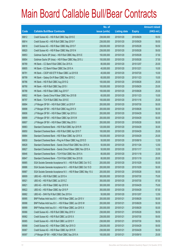|             |                                                                 | No. of        |                     |               | <b>Amount raised</b> |
|-------------|-----------------------------------------------------------------|---------------|---------------------|---------------|----------------------|
| <b>Code</b> | <b>Callable Bull/Bear Contracts</b>                             | issue (units) | <b>Listing date</b> | <b>Expiry</b> | $(HK$$ mil.)         |
| 68812       | Credit Suisse AG - HSI R Bull CBBC Sep 2015 E                   | 238,000,000   | 2015/01/20          | 2015/09/29    | 59.50                |
| 68814       | Credit Suisse AG - HSI R Bull CBBC Sep 2015 F                   | 238,000,000   | 2015/01/20          | 2015/09/29    | 59.50                |
| 68818       | Credit Suisse AG - HSI R Bear CBBC May 2015 F                   | 238,000,000   | 2015/01/20          | 2015/05/28    | 59.50                |
| 68820       | Credit Suisse AG - HSI R Bear CBBC May 2015 N                   | 238,000,000   | 2015/01/20          | 2015/05/28    | 59.50                |
| 68853       | Goldman Sachs SP (Asia) - HSI R Bull CBBC May 2015 E            | 150,000,000   | 2015/01/20          | 2015/05/28    | 37.50                |
| 68854       | Goldman Sachs SP (Asia) - HSI R Bear CBBC May 2015 J            | 150,000,000   | 2015/01/20          | 2015/05/28    | 37.50                |
| 68789       | HK Bank - CC Bank R Bull CBBC Dec 2015 A                        | 80,000,000    | 2015/01/20          | 2015/12/07    | 20.00                |
| 68805       | HK Bank – CC Bank R Bear CBBC Dec 2015 A                        | 40,000,000    | 2015/01/20          | 2015/12/21    | 10.00                |
| 68791       | HK Bank - CSOP A50 ETF R Bear CBBC Jul 2015 B                   | 40,000,000    | 2015/01/20          | 2015/07/20    | 10.00                |
| 68799       | HK Bank - Galaxy Ent R Bear CBBC Nov 2015 C                     | 60,000,000    | 2015/01/20          | 2015/11/23    | 15.00                |
| 68786       | HK Bank - HSI R Bull CBBC Aug 2015 Q                            | 100,000,000   | 2015/01/20          | 2015/08/28    | 25.00                |
| 68790       | HK Bank - HSI R Bull CBBC Sep 2015 I                            | 100,000,000   | 2015/01/20          | 2015/09/29    | 25.00                |
| 68788       | HK Bank - HSI R Bear CBBC Aug 2015 F                            | 100,000,000   | 2015/01/20          | 2015/08/28    | 25.00                |
| 68802       | HK Bank - Sands China R Bear CBBC Nov 2015 B                    | 60,000,000    | 2015/01/20          | 2015/11/23    | 15.00                |
| 68797       | HK Bank - TCH R Bull CBBC Nov 2015 E                            | 100,000,000   | 2015/01/20          | 2015/11/16    | 25.00                |
| 68894       | J P Morgan SP BV - HSI R Bull CBBC Jul 2015 F                   | 200,000,000   | 2015/01/20          | 2015/07/30    | 50.00                |
| 68898       | J P Morgan SP BV - HSI R Bull CBBC Aug 2015 X                   | 200,000,000   | 2015/01/20          | 2015/08/28    | 50.00                |
| 68806       | J P Morgan SP BV - HSI R Bear CBBC Apr 2015 U                   | 200,000,000   | 2015/01/20          | 2015/04/29    | 50.00                |
| 68899       | J P Morgan SP BV - HSI R Bear CBBC Apr 2015 W                   | 200,000,000   | 2015/01/20          | 2015/04/29    | 50.00                |
| 68807       | J P Morgan SP BV - HSI R Bear CBBC May 2015 I                   | 200,000,000   | 2015/01/20          | 2015/05/28    | 50.00                |
| 68883       | Standard Chartered Bank - HSI R Bull CBBC Apr 2015 R            | 120,000,000   | 2015/01/20          | 2015/04/29    | 30.00                |
| 68850       | Standard Chartered Bank - HSI R Bull CBBC Apr 2015 T            | 100,000,000   | 2015/01/20          | 2015/04/29    | 25.00                |
| 68884       | Standard Chartered Bank - HSI R Bear CBBC Apr 2015 X            | 100,000,000   | 2015/01/20          | 2015/04/29    | 25.00                |
| 68830       | Standard Chartered Bank - Ping An R Bear CBBC Aug 2015 D        | 50,000,000    | 2015/01/20          | 2015/08/19    | 12.50                |
| 68828       | Standard Chartered Bank - Sands China R Bull CBBC Nov 2015 A    | 50,000,000    | 2015/01/20          | 2015/11/24    | 12.50                |
| 68827       | Standard Chartered Bank - Sands China R Bear CBBC Nov 2015 A    | 50,000,000    | 2015/01/20          | 2015/11/17    | 12.50                |
| 68846       | Standard Chartered Bank - TCH R Bull CBBC Nov 2015 A            | 80,000,000    | 2015/01/20          | 2015/11/18    | 20.00                |
| 68847       | Standard Chartered Bank - TCH R Bull CBBC Nov 2015 B            | 80,000,000    | 2015/01/20          | 2015/11/19    | 20.00                |
| 68885       | SGA Societe Generale Acceptance N.V. - HSI R Bull CBBC Oct 15 C | 200,000,000   | 2015/01/20          | 2015/10/29    | 50.00                |
| 68886       | SGA Societe Generale Acceptance N.V. - HSI R Bull CBBC Oct 15 D | 200,000,000   | 2015/01/20          | 2015/10/29    | 50.00                |
| 68887       | SGA Societe Generale Acceptance N.V. - HSI R Bear CBBC May 15 U | 200,000,000   | 2015/01/20          | 2015/05/28    | 50.00                |
| 68909       | UBS AG - HSI R Bull CBBC Jul 2015 A                             | 300,000,000   | 2015/01/20          | 2015/07/30    | 75.00                |
| 68921       | UBS AG - HSI R Bull CBBC Jul 2015 Z                             | 350,000,000   | 2015/01/20          | 2015/07/30    | 87.50                |
| 68821       | UBS AG - HSI R Bear CBBC Apr 2015 N                             | 300,000,000   | 2015/01/20          | 2015/04/29    | 75.00                |
| 68822       | UBS AG - HSI R Bear CBBC Apr 2015 P                             | 350,000,000   | 2015/01/20          | 2015/04/29    | 87.50                |
| 68882       | UBS AG - SHK Ppt R Bull CBBC Dec 2015 A                         | 50,000,000    | 2015/01/20          | 2015/12/07    | 12.50                |
| 68995       | BNP Paribas Arbit Issu B.V. - HSI R Bear CBBC Jun 2015 V        | 200,000,000   | 2015/01/21          | 2015/06/29    | 50.00                |
| 68998       | BNP Paribas Arbit Issu B.V. - HSI R Bear CBBC Jun 2015 W        | 200,000,000   | 2015/01/21          | 2015/06/29    | 50.00                |
| 68999       | BNP Paribas Arbit Issu B.V. - HSI R Bear CBBC Jun 2015 X        | 200,000,000   | 2015/01/21          | 2015/06/29    | 50.00                |
| 69066       | Credit Suisse AG - HSI R Bull CBBC May 2015 V                   | 238,000,000   | 2015/01/21          | 2015/05/28    | 59.50                |
| 69062       | Credit Suisse AG - HSI R Bull CBBC Jul 2015 X                   | 238,000,000   | 2015/01/21          | 2015/07/30    | 59.50                |
| 69065       | Credit Suisse AG - HSI R Bull CBBC Jul 2015 Y                   | 238,000,000   | 2015/01/21          | 2015/07/30    | 59.50                |
| 69068       | Credit Suisse AG - HSI R Bear CBBC Apr 2015 O                   | 238,000,000   | 2015/01/21          | 2015/04/29    | 59.50                |
| 69067       | Credit Suisse AG - HSI R Bear CBBC Apr 2015 R                   | 238,000,000   | 2015/01/21          | 2015/04/29    | 59.50                |
| 69097       | J P Morgan SP BV - HSBC R Bull CBBC Sep 2015 A                  | 100,000,000   | 2015/01/21          | 2015/09/10    | 25.00                |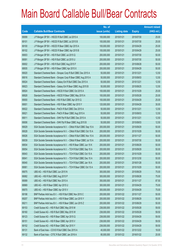|       |                                                                  | No. of        |                     |               | <b>Amount raised</b> |
|-------|------------------------------------------------------------------|---------------|---------------------|---------------|----------------------|
| Code  | <b>Callable Bull/Bear Contracts</b>                              | issue (units) | <b>Listing date</b> | <b>Expiry</b> | (HK\$ mil.)          |
| 69099 | J P Morgan SP BV - HSCEI R Bull CBBC Jul 2015 A                  | 100,000,000   | 2015/01/21          | 2015/07/30    | 25.00                |
| 69101 | J P Morgan SP BV - HSCEI R Bull CBBC Jul 2015 B                  | 100,000,000   | 2015/01/21          | 2015/07/30    | 25.00                |
| 69100 | J P Morgan SP BV - HSCEI R Bear CBBC Apr 2015 A                  | 100,000,000   | 2015/01/21          | 2015/04/29    | 25.00                |
| 69102 | J P Morgan SP BV - HSCEI R Bear CBBC Apr 2015 B                  | 100,000,000   | 2015/01/21          | 2015/04/29    | 25.00                |
| 69003 | J P Morgan SP BV - HSI R Bull CBBC Jul 2015 Q                    | 200,000,000   | 2015/01/21          | 2015/07/30    | 50.00                |
| 69091 | J P Morgan SP BV - HSI R Bull CBBC Jul 2015 U                    | 200,000,000   | 2015/01/21          | 2015/07/30    | 50.00                |
| 69002 | J P Morgan SP BV - HSI R Bull CBBC Aug 2015 F                    | 200,000,000   | 2015/01/21          | 2015/08/28    | 50.00                |
| 68935 | J P Morgan SP BV - HSI R Bear CBBC Apr 2015 X                    | 200,000,000   | 2015/01/21          | 2015/04/29    | 50.00                |
| 69020 | Standard Chartered Bank - Sinopec Corp R Bull CBBC Dec 2015 A    | 50,000,000    | 2015/01/21          | 2015/12/21    | 12.50                |
| 69016 | Standard Chartered Bank - Sinopec Corp R Bear CBBC Aug 2015 A    | 50,000,000    | 2015/01/21          | 2015/08/03    | 12.50                |
| 69024 | Standard Chartered Bank - Galaxy Ent R Bull CBBC Dec 2015 A      | 50,000,000    | 2015/01/21          | 2015/12/21    | 12.50                |
| 69023 | Standard Chartered Bank - Galaxy Ent R Bear CBBC Aug 2015 B      | 50,000,000    | 2015/01/21          | 2015/08/25    | 12.50                |
| 68924 | Standard Chartered Bank - HSCEI R Bull CBBC Oct 2015 A           | 100,000,000   | 2015/01/21          | 2015/10/29    | 25.00                |
| 68928 | Standard Chartered Bank - HSCEI R Bear CBBC May 2015 A           | 100,000,000   | 2015/01/21          | 2015/05/28    | 25.00                |
| 69000 | Standard Chartered Bank - HSI R Bull CBBC Apr 2015 Q             | 100,000,000   | 2015/01/21          | 2015/04/29    | 25.00                |
| 69001 | Standard Chartered Bank - HSI R Bear CBBC Apr 2015 Y             | 120,000,000   | 2015/01/21          | 2015/04/29    | 30.00                |
| 69022 | Standard Chartered Bank - PetCh R Bull CBBC Dec 2015 A           | 50,000,000    | 2015/01/21          | 2015/12/21    | 12.50                |
| 69021 | Standard Chartered Bank - PetCh R Bear CBBC Aug 2015 A           | 50,000,000    | 2015/01/21          | 2015/08/03    | 12.50                |
| 69011 | Standard Chartered Bank - SHK Ppt R Bull CBBC Dec 2015 A         | 50,000,000    | 2015/01/21          | 2015/12/21    | 12.50                |
| 69006 | Standard Chartered Bank - SHK Ppt R Bear CBBC Aug 2015 B         | 50,000,000    | 2015/01/21          | 2015/08/03    | 12.50                |
| 69029 | SGA Societe Generale Acceptance N.V. - CMob R Bull CBBC Sep 15 A | 200,000,000   | 2015/01/21          | 2015/09/29    | 50.00                |
| 69028 | SGA Societe Generale Acceptance N.V. - CMob R Bull CBBC Oct 15 A | 200,000,000   | 2015/01/21          | 2015/10/29    | 50.00                |
| 69026 | SGA Societe Generale Acceptance N.V. - CMob R Bull CBBC Nov 15 A | 200,000,000   | 2015/01/21          | 2015/11/27    | 50.00                |
| 69039 | SGA Societe Generale Acceptance N.V. - CMob R Bear CBBC Jul 15 A | 200,000,000   | 2015/01/21          | 2015/07/30    | 50.00                |
| 68934 | SGA Societe Generale Acceptance N.V. - HSI R Bear CBBC Jun 15 K  | 200,000,000   | 2015/01/21          | 2015/06/29    | 50.00                |
| 69054 | SGA Societe Generale Acceptance N.V. - TCH R Bull CBBC Sep 15 A  | 200,000,000   | 2015/01/21          | 2015/09/29    | 50.00                |
| 69043 | SGA Societe Generale Acceptance N.V. - TCH R Bull CBBC Oct 15 A  | 200,000,000   | 2015/01/21          | 2015/10/29    | 50.00                |
| 69041 | SGA Societe Generale Acceptance N.V. - TCH R Bull CBBC Dec 15 A  | 200,000,000   | 2015/01/21          | 2015/12/30    | 50.00                |
| 69040 | SGA Societe Generale Acceptance N.V. - TCH R Bull CBBC Jan 16 A  | 200,000,000   | 2015/01/21          | 2016/01/28    | 50.00                |
| 69061 | SGA Societe Generale Acceptance N.V. - TCH R Bear CBBC Oct 15 A  | 200,000,000   | 2015/01/21          | 2015/10/29    | 50.00                |
| 69075 | UBS AG - HSI R Bull CBBC Jun 2015 N                              | 300,000,000   | 2015/01/21          | 2015/06/29    | 75.00                |
| 69082 | UBS AG - HSI R Bull CBBC Aug 2015 P                              | 300,000,000   | 2015/01/21          | 2015/08/28    | 75.00                |
| 69089 | UBS AG - HSI R Bull CBBC Nov 2015 A                              | 350,000,000   | 2015/01/21          | 2015/11/27    | 87.50                |
| 68969 | UBS AG - HSI R Bear CBBC Apr 2015 U                              | 300,000,000   | 2015/01/21          | 2015/04/29    | 75.00                |
| 69070 | UBS AG - HSI R Bear CBBC Apr 2015 V                              | 300,000,000   | 2015/01/21          | 2015/04/29    | 75.00                |
| 69198 | BNP Paribas Arbit Issu B.V. - HSI R Bull CBBC Nov 2015 C         | 200,000,000   | 2015/01/22          | 2015/11/27    | 50.00                |
| 69207 | BNP Paribas Arbit Issu B.V. - HSI R Bear CBBC Jun 2015 Y         | 200,000,000   | 2015/01/22          | 2015/06/29    | 50.00                |
| 69211 | BNP Paribas Arbit Issu B.V. - HSI R Bear CBBC Jun 2015 Z         | 200,000,000   | 2015/01/22          | 2015/06/29    | 50.00                |
| 69153 | Credit Suisse AG - HSI R Bull CBBC May 2015 M                    | 238,000,000   | 2015/01/22          | 2015/05/28    | 59.50                |
| 69160 | Credit Suisse AG - HSI R Bull CBBC May 2015 W                    | 238,000,000   | 2015/01/22          | 2015/05/28    | 59.50                |
| 69123 | Credit Suisse AG - HSI R Bear CBBC Apr 2015 Q                    | 238,000,000   | 2015/01/22          | 2015/04/29    | 59.50                |
| 69151 | Credit Suisse AG - HSI R Bear CBBC Apr 2015 V                    | 238,000,000   | 2015/01/22          | 2015/04/29    | 59.50                |
| 69152 | Credit Suisse AG - HSI R Bear CBBC Apr 2015 Y                    | 238,000,000   | 2015/01/22          | 2015/04/29    | 59.50                |
| 69131 | Bank of East Asia - COVS R Bull CBBC Dec 2015 A                  | 40,000,000    | 2015/01/22          | 2015/12/22    | 18.00                |
| 69132 | Bank of East Asia - CITIC R Bull CBBC Jan 2016 A                 | 80,000,000    | 2015/01/22          | 2016/01/22    | 20.00                |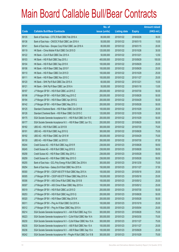|       |                                                                  | No. of        |                     |               | <b>Amount raised</b> |
|-------|------------------------------------------------------------------|---------------|---------------------|---------------|----------------------|
| Code  | <b>Callable Bull/Bear Contracts</b>                              | issue (units) | <b>Listing date</b> | <b>Expiry</b> | $(HK$$ mil.)         |
| 69135 | Bank of East Asia - CITIC R Bull CBBC Feb 2016 A                 | 80,000,000    | 2015/01/22          | 2016/02/26    | 36.00                |
| 69136 | Bank of East Asia - CNOOC R Bull CBBC Jan 2016 A                 | 50,000,000    | 2015/01/22          | 2016/01/15    | 15.00                |
| 69141 | Bank of East Asia - Sinopec Corp R Bull CBBC Jan 2016 A          | 80,000,000    | 2015/01/22          | 2016/01/15    | 20.00                |
| 69119 | HK Bank - China Mobile R Bull CBBC Oct 2015 D                    | 120,000,000   | 2015/01/22          | 2015/10/26    | 30.00                |
| 69122 | HK Bank - CUni R Bull CBBC Dec 2015 A                            | 50,000,000    | 2015/01/22          | 2015/12/21    | 12.50                |
| 69103 | HK Bank - HSI R Bull CBBC Sep 2015 J                             | 400,000,000   | 2015/01/22          | 2015/09/29    | 100.00               |
| 69104 | HK Bank - HSI R Bull CBBC Sep 2015 K                             | 100,000,000   | 2015/01/22          | 2015/09/29    | 25.00                |
| 69106 | HK Bank - HSI R Bear CBBC Sep 2015 F                             | 100,000,000   | 2015/01/22          | 2015/09/29    | 25.00                |
| 69110 | HK Bank - HSI R Bear CBBC Oct 2015 D                             | 100,000,000   | 2015/01/22          | 2015/10/29    | 25.00                |
| 69111 | HK Bank - HSI R Bear CBBC Nov 2015 C                             | 100,000,000   | 2015/01/22          | 2015/11/27    | 25.00                |
| 69120 | HK Bank - SHK Ppt R Bull CBBC Dec 2015 A                         | 60,000,000    | 2015/01/22          | 2015/12/21    | 15.00                |
| 69121 | HK Bank - SHK Ppt R Bear CBBC Jan 2016 A                         | 50,000,000    | 2015/01/22          | 2016/01/18    | 13.00                |
| 69197 | J P Morgan SP BV - HSI R Bull CBBC Jul 2015 Z                    | 200,000,000   | 2015/01/22          | 2015/07/30    | 50.00                |
| 69196 | J P Morgan SP BV - HSI R Bull CBBC Aug 2015 Z                    | 200,000,000   | 2015/01/22          | 2015/08/28    | 50.00                |
| 69194 | J P Morgan SP BV - HSI R Bear CBBC Apr 2015 Q                    | 200,000,000   | 2015/01/22          | 2015/04/29    | 50.00                |
| 69142 | J P Morgan SP BV - HSI R Bear CBBC May 2015 J                    | 200,000,000   | 2015/01/22          | 2015/05/28    | 50.00                |
| 69125 | Standard Chartered Bank - HSI R Bear CBBC Oct 2015 B             | 100,000,000   | 2015/01/22          | 2015/10/29    | 25.00                |
| 69126 | Standard Chartered Bank - HSI R Bear CBBC Oct 2015 C             | 120,000,000   | 2015/01/22          | 2015/10/29    | 30.00                |
| 69175 | SGA Societe Generale Acceptance N.V. - HSI R Bull CBBC Oct 15 E  | 200,000,000   | 2015/01/22          | 2015/10/29    | 50.00                |
| 69177 | SGA Societe Generale Acceptance N.V. - HSI R Bear CBBC Jun 15 L  | 200,000,000   | 2015/01/22          | 2015/06/29    | 50.00                |
| 69182 | UBS AG - HSI R Bull CBBC Jul 2015 B                              | 300,000,000   | 2015/01/22          | 2015/07/30    | 75.00                |
| 69191 | UBS AG - HSI R Bull CBBC Aug 2015 Q                              | 300,000,000   | 2015/01/22          | 2015/08/28    | 75.00                |
| 69192 | UBS AG - HSI R Bear CBBC Apr 2015 W                              | 300,000,000   | 2015/01/22          | 2015/04/29    | 75.00                |
| 69130 | UBS AG - HSI R Bear CBBC Jul 2015 D                              | 350,000,000   | 2015/01/22          | 2015/07/30    | 87.50                |
| 69244 | Credit Suisse AG - HSI R Bull CBBC Aug 2015 R                    | 238,000,000   | 2015/01/23          | 2015/08/28    | 59.50                |
| 69245 | Credit Suisse AG - HSI R Bull CBBC Aug 2015 S                    | 238,000,000   | 2015/01/23          | 2015/08/28    | 59.50                |
| 69258 | Credit Suisse AG - HSI R Bear CBBC May 2015 J                    | 238,000,000   | 2015/01/23          | 2015/05/28    | 59.50                |
| 69259 | Credit Suisse AG - HSI R Bear CBBC May 2015 O                    | 238,000,000   | 2015/01/23          | 2015/05/28    | 59.50                |
| 69255 | Bank of East Asia - GCL-Poly Energy R Bull CBBC Dec 2016 A       | 300,000,000   | 2015/01/23          | 2016/12/30    | 75.00                |
| 69254 | Bank of East Asia - Galaxy Ent R Bull CBBC Nov 2015 A            | 150,000,000   | 2015/01/23          | 2015/11/27    | 37.50                |
| 69300 | J P Morgan SP BV - CSOP A50 ETF R Bull CBBC May 2015 A           | 100,000,000   | 2015/01/23          | 2015/05/18    | 25.00                |
| 69305 | J P Morgan SP BV - CSOP A50 ETF R Bear CBBC May 2015 A           | 100,000,000   | 2015/01/23          | 2015/05/18    | 25.00                |
| 69306 | J P Morgan SP BV - A50 China R Bull CBBC May 2015 B              | 100,000,000   | 2015/01/23          | 2015/05/12    | 25.00                |
| 69307 | J P Morgan SP BV - A50 China R Bear CBBC May 2015 A              | 100,000,000   | 2015/01/23          | 2015/05/12    | 25.00                |
| 69319 | J P Morgan SP BV - HSI R Bull CBBC Jul 2015 D                    | 200,000,000   | 2015/01/23          | 2015/07/30    | 50.00                |
| 69253 | J P Morgan SP BV - HSI R Bull CBBC Aug 2015 Q                    | 200,000,000   | 2015/01/23          | 2015/08/28    | 50.00                |
| 69320 | J P Morgan SP BV - HSI R Bear CBBC May 2015 K                    | 200,000,000   | 2015/01/23          | 2015/05/28    | 50.00                |
| 69311 | J P Morgan SP BV - Ping An R Bull CBBC Oct 2015 A                | 100,000,000   | 2015/01/23          | 2015/10/19    | 25.00                |
| 69312 | J P Morgan SP BV - Ping An R Bear CBBC May 2015 A                | 100,000,000   | 2015/01/23          | 2015/05/04    | 25.00                |
| 69214 | SGA Societe Generale Acceptance N.V. - AIA R Bull CBBC Aug 15 A  | 300,000,000   | 2015/01/23          | 2015/08/28    | 75.00                |
| 69223 | SGA Societe Generale Acceptance N.V - CLife R Bull CBBC Mar 16 A | 300,000,000   | 2015/01/23          | 2016/03/30    | 75.00                |
| 69230 | SGA Societe Generale Acceptance N.V - CLife R Bear CBBC Nov 15 A | 300,000,000   | 2015/01/23          | 2015/11/27    | 75.00                |
| 69235 | SGA Societe Generale Acceptance N.V. - A50 R Bull CBBC Nov 15 A  | 100,000,000   | 2015/01/23          | 2015/11/27    | 25.00                |
| 69236 | SGA Societe Generale Acceptance N.V. - A50 R Bear CBBC Sep 15 A  | 100,000,000   | 2015/01/23          | 2015/09/29    | 25.00                |
| 69242 | SGA Societe Generale Acceptance NV - PingAn R Bull CBBC Oct 15 B | 300,000,000   | 2015/01/23          | 2015/10/29    | 75.00                |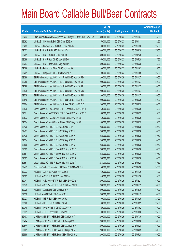|       |                                                                  | No. of        |                     |               | <b>Amount raised</b> |
|-------|------------------------------------------------------------------|---------------|---------------------|---------------|----------------------|
| Code  | <b>Callable Bull/Bear Contracts</b>                              | issue (units) | <b>Listing date</b> | <b>Expiry</b> | $(HK$$ mil.)         |
| 69243 | SGA Societe Generale Acceptance NV - PingAn R Bear CBBC Nov 15 A | 300,000,000   | 2015/01/23          | 2015/11/27    | 75.00                |
| 69262 | UBS AG - CM Bank R Bull CBBC Jan 2016 A                          | 50,000,000    | 2015/01/23          | 2016/01/11    | 12.50                |
| 69283 | UBS AG - Galaxy Ent R Bull CBBC Nov 2015 B                       | 100,000,000   | 2015/01/23          | 2015/11/30    | 25.00                |
| 69252 | UBS AG - HSI R Bull CBBC Jun 2015 O                              | 300,000,000   | 2015/01/23          | 2015/06/29    | 75.00                |
| 69251 | UBS AG - HSI R Bull CBBC Jul 2015 D                              | 300,000,000   | 2015/01/23          | 2015/07/30    | 75.00                |
| 69289 | UBS AG - HSI R Bear CBBC May 2015 O                              | 350,000,000   | 2015/01/23          | 2015/05/28    | 87.50                |
| 69297 | UBS AG - HSI R Bear CBBC May 2015 P                              | 300,000,000   | 2015/01/23          | 2015/05/28    | 75.00                |
| 69268 | UBS AG - Petrochina R Bull CBBC Nov 2015 A                       | 100,000,000   | 2015/01/23          | 2015/11/02    | 25.00                |
| 69261 | UBS AG - Ping An R Bull CBBC Nov 2015 A                          | 100,000,000   | 2015/01/23          | 2015/11/09    | 25.00                |
| 69388 | BNP Paribas Arbit Issu B.V. - HSI R Bull CBBC Nov 2015 D         | 200,000,000   | 2015/01/26          | 2015/11/27    | 50.00                |
| 69389 | BNP Paribas Arbit Issu B.V. - HSI R Bull CBBC Nov 2015 E         | 200,000,000   | 2015/01/26          | 2015/11/27    | 50.00                |
| 69399 | BNP Paribas Arbit Issu B.V. - HSI R Bull CBBC Nov 2015 F         | 200,000,000   | 2015/01/26          | 2015/11/27    | 50.00                |
| 69538 | BNP Paribas Arbit Issu B.V. - HSI R Bull CBBC Nov 2015 G         | 200,000,000   | 2015/01/26          | 2015/11/27    | 50.00                |
| 69539 | BNP Paribas Arbit Issu B.V. - HSI R Bull CBBC Nov 2015 H         | 200,000,000   | 2015/01/26          | 2015/11/27    | 50.00                |
| 69540 | BNP Paribas Arbit Issu B.V. - HSI R Bear CBBC Jun 2015 C         | 200,000,000   | 2015/01/26          | 2015/06/29    | 50.00                |
| 60004 | BNP Paribas Arbit Issu B.V. - HSI R Bear CBBC Jun 2015 D         | 200,000,000   | 2015/01/26          | 2015/06/29    | 50.00                |
| 69570 | Credit Suisse AG - CSOP A50 ETF R Bear CBBC May 2015 B           | 60,000,000    | 2015/01/26          | 2015/05/29    | 15.00                |
| 69571 | Credit Suisse AG - CSOP A50 ETF R Bear CBBC May 2015 C           | 60,000,000    | 2015/01/26          | 2015/05/29    | 15.00                |
| 69573 | Credit Suisse AG - A50 China R Bear CBBC May 2015 B              | 60,000,000    | 2015/01/26          | 2015/05/29    | 15.00                |
| 69574 | Credit Suisse AG - A50 China R Bear CBBC May 2015 C              | 60,000,000    | 2015/01/26          | 2015/05/29    | 15.00                |
| 69426 | Credit Suisse AG - HSI R Bull CBBC Aug 2015 T                    | 238,000,000   | 2015/01/26          | 2015/08/28    | 59.50                |
| 69427 | Credit Suisse AG - HSI R Bull CBBC Aug 2015 U                    | 238,000,000   | 2015/01/26          | 2015/08/28    | 59.50                |
| 69439 | Credit Suisse AG - HSI R Bull CBBC Aug 2015 V                    | 238,000,000   | 2015/01/26          | 2015/08/28    | 59.50                |
| 69554 | Credit Suisse AG - HSI R Bull CBBC Aug 2015 W                    | 238,000,000   | 2015/01/26          | 2015/08/28    | 59.50                |
| 69560 | Credit Suisse AG - HSI R Bull CBBC Aug 2015 X                    | 238,000,000   | 2015/01/26          | 2015/08/28    | 59.50                |
| 69562 | Credit Suisse AG - HSI R Bear CBBC May 2015 P                    | 238,000,000   | 2015/01/26          | 2015/05/28    | 59.50                |
| 69581 | Credit Suisse AG - HSI R Bear CBBC May 2015 Q                    | 238,000,000   | 2015/01/26          | 2015/05/28    | 59.50                |
| 69582 | Credit Suisse AG - HSI R Bear CBBC May 2015 R                    | 238,000,000   | 2015/01/26          | 2015/05/28    | 59.50                |
| 69561 | Credit Suisse AG - HSI R Bear CBBC May 2015 T                    | 238,000,000   | 2015/01/26          | 2015/05/28    | 59.50                |
| 69475 | Goldman Sachs SP (Asia) - HSI R Bear CBBC May 2015 K             | 150,000,000   | 2015/01/26          | 2015/05/28    | 37.50                |
| 69333 | HK Bank - AIA R Bull CBBC Nov 2015 A                             | 60,000,000    | 2015/01/26          | 2015/11/30    | 15.00                |
| 69383 | HK Bank - CITIC R Bull CBBC Nov 2015 A                           | 40,000,000    | 2015/01/26          | 2015/11/30    | 10.00                |
| 69341 | HK Bank - CSOP A50 ETF R Bull CBBC Dec 2015 N                    | 200,000,000   | 2015/01/26          | 2015/12/21    | 50.00                |
| 69372 | HK Bank - CSOP A50 ETF R Bull CBBC Jan 2016 I                    | 200,000,000   | 2015/01/26          | 2016/01/19    | 50.00                |
| 69329 | HK Bank - A50 R Bull CBBC Dec 2015 F                             | 200,000,000   | 2015/01/26          | 2015/12/30    | 50.00                |
| 69330 | HK Bank - A50 R Bull CBBC Jan 2016 J                             | 200,000,000   | 2015/01/26          | 2016/01/19    | 50.00                |
| 69327 | HK Bank - HSI R Bull CBBC Oct 2015 J                             | 100,000,000   | 2015/01/26          | 2015/10/29    | 25.00                |
| 69328 | HK Bank - HSI R Bull CBBC Oct 2015 K                             | 100,000,000   | 2015/01/26          | 2015/10/29    | 25.00                |
| 69340 | HK Bank - Ping An R Bull CBBC Nov 2015 K                         | 120,000,000   | 2015/01/26          | 2015/11/02    | 30.00                |
| 69331 | HK Bank - TCH R Bear CBBC Oct 2015 D                             | 100,000,000   | 2015/01/26          | 2015/10/26    | 25.00                |
| 69403 | J P Morgan SP BV - HSI R Bull CBBC Jul 2015 A                    | 200,000,000   | 2015/01/26          | 2015/07/30    | 50.00                |
| 69404 | J P Morgan SP BV - HSI R Bull CBBC Aug 2015 B                    | 200,000,000   | 2015/01/26          | 2015/08/28    | 50.00                |
| 69544 | J P Morgan SP BV - HSI R Bull CBBC Aug 2015 R                    | 200,000,000   | 2015/01/26          | 2015/08/28    | 50.00                |
| 60001 | J P Morgan SP BV - HSI R Bear CBBC Apr 2015 T                    | 200,000,000   | 2015/01/26          | 2015/04/29    | 50.00                |
| 69999 | J P Morgan SP BV - HSI R Bear CBBC May 2015 L                    | 200,000,000   | 2015/01/26          | 2015/05/28    | 50.00                |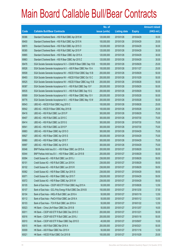|       |                                                                  | No. of        |                     |               | <b>Amount raised</b> |
|-------|------------------------------------------------------------------|---------------|---------------------|---------------|----------------------|
| Code  | <b>Callable Bull/Bear Contracts</b>                              | issue (units) | <b>Listing date</b> | <b>Expiry</b> | (HK\$ mil.)          |
| 69386 | Standard Chartered Bank - HSI R Bull CBBC Apr 2015 M             | 120,000,000   | 2015/01/26          | 2015/04/29    | 30.00                |
| 69400 | Standard Chartered Bank - HSI R Bull CBBC Apr 2015 N             | 100,000,000   | 2015/01/26          | 2015/04/29    | 25.00                |
| 69870 | Standard Chartered Bank - HSI R Bull CBBC Apr 2015 O             | 120,000,000   | 2015/01/26          | 2015/04/29    | 30.00                |
| 69385 | Standard Chartered Bank - HSI R Bull CBBC Apr 2015 P             | 120,000,000   | 2015/01/26          | 2015/04/29    | 30.00                |
| 69865 | Standard Chartered Bank - HSI R Bear CBBC Apr 2015 A             | 120,000,000   | 2015/01/26          | 2015/04/29    | 30.00                |
| 69863 | Standard Chartered Bank - HSI R Bear CBBC Apr 2015 Z             | 120,000,000   | 2015/01/26          | 2015/04/29    | 30.00                |
| 69476 | SGA Societe Generale Acceptance N.V - CSA50 R Bear CBBC Sep 15 B | 100,000,000   | 2015/01/26          | 2015/09/29    | 25.00                |
| 69526 | SGA Societe Generale Acceptance N.V. - A50 R Bear CBBC Nov 15 A  | 100,000,000   | 2015/01/26          | 2015/11/27    | 25.00                |
| 69508 | SGA Societe Generale Acceptance NV - HSCEI R Bull CBBC Sep 15 B  | 200,000,000   | 2015/01/26          | 2015/09/29    | 50.00                |
| 69493 | SGA Societe Generale Acceptance NV - HSCEI R Bull CBBC Oct 15 C  | 200,000,000   | 2015/01/26          | 2015/10/29    | 50.00                |
| 69525 | SGA Societe Generale Acceptance NV - HSCEI R Bear CBBC Aug 15 B  | 200,000,000   | 2015/01/26          | 2015/08/28    | 50.00                |
| 69387 | SGA Societe Generale Acceptance N.V. - HSI R Bull CBBC Sep 15 F  | 200,000,000   | 2015/01/26          | 2015/09/29    | 50.00                |
| 69535 | SGA Societe Generale Acceptance N.V. - HSI R Bull CBBC Sep 15 G  | 200,000,000   | 2015/01/26          | 2015/09/29    | 50.00                |
| 69589 | SGA Societe Generale Acceptance N.V. - HSI R Bear CBBC May 15 V  | 200,000,000   | 2015/01/26          | 2015/05/28    | 50.00                |
| 69776 | SGA Societe Generale Acceptance N.V. - HSI R Bear CBBC May 15 W  | 200,000,000   | 2015/01/26          | 2015/05/28    | 50.00                |
| 69543 | UBS AG - HSCEI R Bull CBBC Aug 2015 C                            | 100,000,000   | 2015/01/26          | 2015/08/28    | 25.00                |
| 69542 | UBS AG - HSCEI R Bear CBBC May 2015 B                            | 100,000,000   | 2015/01/26          | 2015/05/28    | 25.00                |
| 69416 | UBS AG - HSI R Bull CBBC Jun 2015 P                              | 300,000,000   | 2015/01/26          | 2015/06/29    | 75.00                |
| 69407 | UBS AG - HSI R Bull CBBC Jul 2015 C                              | 300,000,000   | 2015/01/26          | 2015/07/30    | 75.00                |
| 69414 | UBS AG - HSI R Bull CBBC Jul 2015 G                              | 300,000,000   | 2015/01/26          | 2015/07/30    | 75.00                |
| 69541 | UBS AG - HSI R Bull CBBC Jul 2015 P                              | 300,000,000   | 2015/01/26          | 2015/07/30    | 75.00                |
| 69883 | UBS AG - HSI R Bear CBBC Apr 2015 O                              | 300,000,000   | 2015/01/26          | 2015/04/29    | 75.00                |
| 69927 | UBS AG - HSI R Bear CBBC Apr 2015 S                              | 300,000,000   | 2015/01/26          | 2015/04/29    | 75.00                |
| 69980 | UBS AG - HSI R Bear CBBC Apr 2015 T                              | 300,000,000   | 2015/01/26          | 2015/04/29    | 75.00                |
| 69997 | UBS AG - HSI R Bear CBBC Apr 2015 X                              | 300,000,000   | 2015/01/26          | 2015/04/29    | 75.00                |
| 60046 | BNP Paribas Arbit Issu B.V. - HSI R Bear CBBC Jun 2015 A         | 200,000,000   | 2015/01/27          | 2015/06/29    | 50.00                |
| 60044 | BNP Paribas Arbit Issu B.V. - HSI R Bear CBBC Jun 2015 B         | 200,000,000   | 2015/01/27          | 2015/06/29    | 50.00                |
| 60094 | Credit Suisse AG - HSI R Bull CBBC Jun 2015 J                    | 238,000,000   | 2015/01/27          | 2015/06/29    | 59.50                |
| 60101 | Credit Suisse AG - HSI R Bull CBBC Jun 2015 K                    | 238,000,000   | 2015/01/27          | 2015/06/29    | 59.50                |
| 60102 | Credit Suisse AG - HSI R Bull CBBC Jun 2015 R                    | 238,000,000   | 2015/01/27          | 2015/06/29    | 59.50                |
| 60062 | Credit Suisse AG - HSI R Bear CBBC Apr 2015 S                    | 238,000,000   | 2015/01/27          | 2015/04/29    | 59.50                |
| 60071 | Credit Suisse AG - HSI R Bear CBBC Apr 2015 T                    | 238,000,000   | 2015/01/27          | 2015/04/29    | 59.50                |
| 60072 | Credit Suisse AG - HSI R Bear CBBC Apr 2015 W                    | 238,000,000   | 2015/01/27          | 2015/04/29    | 59.50                |
| 60105 | Bank of East Asia - CSOP A50 ETF R Bull CBBC Aug 2015 A          | 50,000,000    | 2015/01/27          | 2015/08/26    | 12.50                |
| 60107 | Bank of East Asia - GCL-Poly Energy R Bull CBBC Dec 2016 B       | 150,000,000   | 2015/01/27          | 2016/12/30    | 37.50                |
| 60104 | Bank of East Asia - HKEx R Bull CBBC Jan 2016 A                  | 50,000,000    | 2015/01/27          | 2016/01/19    | 12.50                |
| 60112 | Bank of East Asia - PetCh R Bull CBBC Jan 2016 A                 | 50,000,000    | 2015/01/27          | 2016/01/12    | 12.50                |
| 60103 | Bank of East Asia - TCH R Bull CBBC Jan 2016 A                   | 50,000,000    | 2015/01/27          | 2016/01/22    | 12.50                |
| 60023 | HK Bank - China Life R Bear CBBC Dec 2015 B                      | 50,000,000    | 2015/01/27          | 2015/12/07    | 16.00                |
| 60011 | HK Bank - CSOP A50 ETF R Bull CBBC Dec 2015 O                    | 200,000,000   | 2015/01/27          | 2015/12/21    | 50.00                |
| 60016 | HK Bank - CSOP A50 ETF R Bull CBBC Jan 2016 J                    | 200,000,000   | 2015/01/27          | 2016/01/18    | 50.00                |
| 60010 | HK Bank - CSOP A50 ETF R Bear CBBC Sep 2015 D                    | 40,000,000    | 2015/01/27          | 2015/09/07    | 10.00                |
| 60015 | HK Bank - A50 R Bull CBBC Mar 2016 A                             | 200,000,000   | 2015/01/27          | 2016/03/21    | 50.00                |
| 60009 | HK Bank - A50 R Bear CBBC Nov 2015 H                             | 50,000,000    | 2015/01/27          | 2015/11/16    | 12.50                |
| 60021 | HK Bank - HSCEI R Bull CBBC Oct 2015 B                           | 100,000,000   | 2015/01/27          | 2015/10/29    | 25.00                |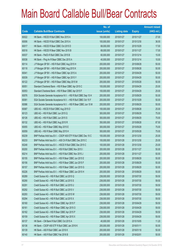|       |                                                                 | No. of        |                     |               | <b>Amount raised</b> |
|-------|-----------------------------------------------------------------|---------------|---------------------|---------------|----------------------|
| Code  | <b>Callable Bull/Bear Contracts</b>                             | issue (units) | <b>Listing date</b> | <b>Expiry</b> | (HK\$ mil.)          |
| 60022 | HK Bank - HSCEI R Bull CBBC Nov 2015 A                          | 100,000,000   | 2015/01/27          | 2015/11/27    | 27.00                |
| 60006 | HK Bank - HSCEI R Bull CBBC Dec 2015 A                          | 100,000,000   | 2015/01/27          | 2015/12/30    | 36.00                |
| 60017 | HK Bank - HSCEI R Bear CBBC Oct 2015 D                          | 68,000,000    | 2015/01/27          | 2015/10/29    | 17.00                |
| 60018 | HK Bank - HSCEI R Bear CBBC Nov 2015 B                          | 68,000,000    | 2015/01/27          | 2015/11/27    | 17.00                |
| 60037 | HK Bank - PetCh R Bull CBBC Dec 2015 B                          | 60,000,000    | 2015/01/27          | 2015/12/14    | 15.00                |
| 60038 | HK Bank - Ping An R Bear CBBC Dec 2015 A                        | 40,000,000    | 2015/01/27          | 2015/12/14    | 10.00                |
| 60114 | J P Morgan SP BV - HSI R Bull CBBC Aug 2015 H                   | 200,000,000   | 2015/01/27          | 2015/08/28    | 50.00                |
| 60118 | J P Morgan SP BV - HSI R Bull CBBC Aug 2015 K                   | 200,000,000   | 2015/01/27          | 2015/08/28    | 50.00                |
| 60041 | J P Morgan SP BV - HSI R Bear CBBC Apr 2015 A                   | 200,000,000   | 2015/01/27          | 2015/04/29    | 50.00                |
| 60039 | J P Morgan SP BV - HSI R Bear CBBC Apr 2015 Y                   | 200,000,000   | 2015/01/27          | 2015/04/29    | 50.00                |
| 60122 | J P Morgan SP BV - HSI R Bear CBBC May 2015 M                   | 200,000,000   | 2015/01/27          | 2015/05/28    | 50.00                |
| 60051 | Standard Chartered Bank - HSI R Bear CBBC Apr 2015 C            | 100,000,000   | 2015/01/27          | 2015/04/29    | 25.00                |
| 60053 | Standard Chartered Bank - HSI R Bear CBBC Apr 2015 F            | 100,000,000   | 2015/01/27          | 2015/04/29    | 25.00                |
| 60076 | SGA Societe Generale Acceptance N.V. - HSI R Bull CBBC Sep 15 H | 200,000,000   | 2015/01/27          | 2015/09/29    | 50.00                |
| 60081 | SGA Societe Generale Acceptance N.V. - HSI R Bull CBBC Oct 15 F | 200,000,000   | 2015/01/27          | 2015/10/29    | 50.00                |
| 60086 | SGA Societe Generale Acceptance N.V. - HSI R Bear CBBC Jun 15 M | 200,000,000   | 2015/01/27          | 2015/06/29    | 50.00                |
| 60087 | UBS AG - HSCEI R Bull CBBC Aug 2015 D                           | 100,000,000   | 2015/01/27          | 2015/08/28    | 25.00                |
| 60123 | UBS AG - HSI R Bull CBBC Jun 2015 Q                             | 300,000,000   | 2015/01/27          | 2015/06/29    | 75.00                |
| 60126 | UBS AG - HSI R Bull CBBC Jun 2015 S                             | 300,000,000   | 2015/01/27          | 2015/06/29    | 75.00                |
| 60132 | UBS AG - HSI R Bull CBBC Aug 2015 R                             | 350,000,000   | 2015/01/27          | 2015/08/28    | 87.50                |
| 60055 | UBS AG - HSI R Bear CBBC May 2015 E                             | 300,000,000   | 2015/01/27          | 2015/05/28    | 75.00                |
| 60059 | UBS AG - HSI R Bear CBBC May 2015 H                             | 300,000,000   | 2015/01/27          | 2015/05/28    | 75.00                |
| 60239 | BNP Paribas Arbit Issu B.V. - CSOP A50 ETF R Bull CBBC Dec 15 C | 100,000,000   | 2015/01/28          | 2015/12/30    | 25.00                |
| 60233 | BNP Paribas Arbit Issu B.V. - A50 Ch R Bull CBBC Dec 2015 C     | 100,000,000   | 2015/01/28          | 2015/12/30    | 25.00                |
| 60248 | BNP Paribas Arbit Issu B.V. - HSCEI R Bull CBBC Dec 2015 C      | 100,000,000   | 2015/01/28          | 2015/12/30    | 25.00                |
| 60200 | BNP Paribas Arbit Issu B.V. - HSI R Bull CBBC Nov 2015 I        | 200,000,000   | 2015/01/28          | 2015/11/27    | 50.00                |
| 60214 | BNP Paribas Arbit Issu B.V. - HSI R Bull CBBC Nov 2015 J        | 200,000,000   | 2015/01/28          | 2015/11/27    | 50.00                |
| 60155 | BNP Paribas Arbit Issu B.V. - HSI R Bear CBBC Jun 2015 E        | 200,000,000   | 2015/01/28          | 2015/06/29    | 50.00                |
| 60156 | BNP Paribas Arbit Issu B.V. - HSI R Bear CBBC Jun 2015 F        | 200,000,000   | 2015/01/28          | 2015/06/29    | 50.00                |
| 60157 | BNP Paribas Arbit Issu B.V. - HSI R Bear CBBC Jun 2015 G        | 200,000,000   | 2015/01/28          | 2015/06/29    | 50.00                |
| 60226 | BNP Paribas Arbit Issu B.V. - HSI R Bear CBBC Jun 2015 H        | 200,000,000   | 2015/01/28          | 2015/06/29    | 50.00                |
| 60289 | Credit Suisse AG - HSI R Bull CBBC Jul 2015 Q                   | 238,000,000   | 2015/01/28          | 2015/07/30    | 59.50                |
| 60290 | Credit Suisse AG - HSI R Bull CBBC Jul 2015 S                   | 238,000,000   | 2015/01/28          | 2015/07/30    | 59.50                |
| 60291 | Credit Suisse AG - HSI R Bull CBBC Jul 2015 U                   | 238,000,000   | 2015/01/28          | 2015/07/30    | 59.50                |
| 60292 | Credit Suisse AG - HSI R Bull CBBC Jul 2015 V                   | 238,000,000   | 2015/01/28          | 2015/07/30    | 59.50                |
| 60293 | Credit Suisse AG - HSI R Bull CBBC Jul 2015 W                   | 238,000,000   | 2015/01/28          | 2015/07/30    | 59.50                |
| 60294 | Credit Suisse AG - HSI R Bull CBBC Jul 2015 X                   | 238,000,000   | 2015/01/28          | 2015/07/30    | 59.50                |
| 60160 | Credit Suisse AG - HSI R Bear CBBC Apr 2015 F                   | 238,000,000   | 2015/01/28          | 2015/04/29    | 59.50                |
| 60161 | Credit Suisse AG - HSI R Bear CBBC Apr 2015 O                   | 238,000,000   | 2015/01/28          | 2015/04/29    | 59.50                |
| 60162 | Credit Suisse AG - HSI R Bear CBBC Apr 2015 P                   | 238,000,000   | 2015/01/28          | 2015/04/29    | 59.50                |
| 60159 | Credit Suisse AG - HSI R Bear CBBC Apr 2015 X                   | 238,000,000   | 2015/01/28          | 2015/04/29    | 59.50                |
| 60137 | HK Bank - CM Bank R Bull CBBC Oct 2015 A                        | 40,000,000    | 2015/01/28          | 2015/10/05    | 11.20                |
| 60136 | HK Bank - CSOP A50 ETF R Bull CBBC Jan 2016 K                   | 200,000,000   | 2015/01/28          | 2016/01/11    | 50.00                |
| 60139 | HK Bank - A50 R Bull CBBC Jan 2016 K                            | 200,000,000   | 2015/01/28          | 2016/01/18    | 50.00                |
| 60140 | HK Bank - A50 R Bull CBBC Feb 2016 B                            | 200,000,000   | 2015/01/28          | 2016/02/01    | 50.00                |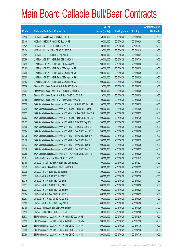|       |                                                                  | No. of        |                     |               | <b>Amount raised</b> |
|-------|------------------------------------------------------------------|---------------|---------------------|---------------|----------------------|
| Code  | <b>Callable Bull/Bear Contracts</b>                              | issue (units) | <b>Listing date</b> | <b>Expiry</b> | (HK\$ mil.)          |
| 60145 | HK Bank - A50 R Bear CBBC Feb 2016 B                             | 50,000,000    | 2015/01/28          | 2016/02/22    | 12.50                |
| 60148 | HK Bank - HSCEI R Bull CBBC Sep 2015 B                           | 100,000,000   | 2015/01/28          | 2015/09/29    | 25.00                |
| 60149 | HK Bank - HSI R Bull CBBC Nov 2015 B                             | 100,000,000   | 2015/01/28          | 2015/11/27    | 25.00                |
| 60134 | HK Bank - Ping An R Bull CBBC Oct 2015 F                         | 120,000,000   | 2015/01/28          | 2015/10/19    | 30.00                |
| 60151 | HK Bank - TCH R Bull CBBC Sep 2015 E                             | 100,000,000   | 2015/01/28          | 2015/09/21    | 25.00                |
| 60296 | J P Morgan SP BV - HSI R Bull CBBC Jul 2015 I                    | 200,000,000   | 2015/01/28          | 2015/07/30    | 50.00                |
| 60295 | J P Morgan SP BV - HSI R Bull CBBC Aug 2015 I                    | 200,000,000   | 2015/01/28          | 2015/08/28    | 50.00                |
| 60165 | J P Morgan SP BV - HSI R Bear CBBC Apr 2015 B                    | 200,000,000   | 2015/01/28          | 2015/04/29    | 50.00                |
| 60299 | J P Morgan SP BV - HSI R Bear CBBC Apr 2015 F                    | 200,000,000   | 2015/01/28          | 2015/04/29    | 50.00                |
| 60305 | J P Morgan SP BV - HSI R Bear CBBC Apr 2015 K                    | 200,000,000   | 2015/01/28          | 2015/04/29    | 50.00                |
| 60152 | J P Morgan SP BV - HSI R Bear CBBC Apr 2015 Z                    | 200,000,000   | 2015/01/28          | 2015/04/29    | 50.00                |
| 60306 | Standard Chartered Bank - HSI R Bull CBBC Apr 2015 H             | 120,000,000   | 2015/01/28          | 2015/04/29    | 30.00                |
| 60307 | Standard Chartered Bank - HSI R Bull CBBC Apr 2015 I             | 100,000,000   | 2015/01/28          | 2015/04/29    | 25.00                |
| 60281 | Standard Chartered Bank - HSI R Bear CBBC Apr 2015 B             | 120,000,000   | 2015/01/28          | 2015/04/29    | 30.00                |
| 60158 | Standard Chartered Bank - HSI R Bear CBBC Apr 2015 G             | 100,000,000   | 2015/01/28          | 2015/04/29    | 25.00                |
| 60250 | SGA Societe Generale Acceptance N.V. - CMob R Bull CBBC Sep 15 B | 200,000,000   | 2015/01/28          | 2015/09/29    | 50.00                |
| 60249 | SGA Societe Generale Acceptance N.V. - CMob R Bull CBBC Oct 15 B | 200,000,000   | 2015/01/28          | 2015/10/29    | 50.00                |
| 60255 | SGA Societe Generale Acceptance N.V. - CMob R Bear CBBC Jun 15 A | 200,000,000   | 2015/01/28          | 2015/06/29    | 50.00                |
| 60263 | SGA Societe Generale Acceptance N.V. - CMob R Bear CBBC Jul 15 B | 200,000,000   | 2015/01/28          | 2015/07/30    | 50.00                |
| 60172 | SGA Societe Generale Acceptance N.V. - HSI R Bull CBBC Sep 15 I  | 200,000,000   | 2015/01/28          | 2015/09/29    | 50.00                |
| 60166 | SGA Societe Generale Acceptance N.V. - HSI R Bull CBBC Oct 15 G  | 200,000,000   | 2015/01/28          | 2015/10/29    | 50.00                |
| 60304 | SGA Societe Generale Acceptance N.V. - HSI R Bear CBBC May 15 X  | 200,000,000   | 2015/01/28          | 2015/05/28    | 50.00                |
| 60175 | SGA Societe Generale Acceptance N.V. - HSI R Bear CBBC Jun 15 N  | 200,000,000   | 2015/01/28          | 2015/06/29    | 50.00                |
| 60176 | SGA Societe Generale Acceptance N.V. - HSI R Bear CBBC Jun 15 O  | 200,000,000   | 2015/01/28          | 2015/06/29    | 50.00                |
| 60177 | SGA Societe Generale Acceptance N.V. - HSI R Bear CBBC Jun 15 P  | 200,000,000   | 2015/01/28          | 2015/06/29    | 50.00                |
| 60178 | SGA Societe Generale Acceptance N.V. - HSI R Bear CBBC Jun 15 Q  | 200,000,000   | 2015/01/28          | 2015/06/29    | 50.00                |
| 60280 | SGA Societe Generale Acceptance N.V. - TCH R Bull CBBC Sep 15 B  | 200,000,000   | 2015/01/28          | 2015/09/29    | 50.00                |
| 60191 | UBS AG - China Mobile R Bull CBBC Oct 2015 C                     | 100,000,000   | 2015/01/28          | 2015/10/19    | 25.00                |
| 60180 | UBS AG - CSOP A50 ETF R Bull CBBC Dec 2015 A                     | 100,000,000   | 2015/01/28          | 2015/12/21    | 25.00                |
| 60179 | UBS AG - A50 China R Bull CBBC Feb 2016 A                        | 100,000,000   | 2015/01/28          | 2016/02/22    | 25.00                |
| 60328 | UBS AG - HSI R Bull CBBC Jul 2015 N                              | 300,000,000   | 2015/01/28          | 2015/07/30    | 75.00                |
| 60337 | UBS AG - HSI R Bull CBBC Jul 2015 T                              | 350,000,000   | 2015/01/28          | 2015/07/30    | 87.50                |
| 60315 | UBS AG - HSI R Bull CBBC Aug 2015 S                              | 300,000,000   | 2015/01/28          | 2015/08/28    | 75.00                |
| 60317 | UBS AG - HSI R Bull CBBC Aug 2015 T                              | 300,000,000   | 2015/01/28          | 2015/08/28    | 75.00                |
| 60327 | UBS AG - HSI R Bull CBBC Aug 2015 U                              | 300,000,000   | 2015/01/28          | 2015/08/28    | 75.00                |
| 60164 | UBS AG - HSI R Bear CBBC Apr 2015 Y                              | 300,000,000   | 2015/01/28          | 2015/04/29    | 75.00                |
| 60283 | UBS AG - HSI R Bear CBBC Apr 2015 Z                              | 300,000,000   | 2015/01/28          | 2015/04/29    | 75.00                |
| 60163 | UBS AG - HSI R Bear CBBC May 2015 I                              | 300,000,000   | 2015/01/28          | 2015/05/28    | 75.00                |
| 60190 | UBS AG - Ping An R Bull CBBC Oct 2015 D                          | 100,000,000   | 2015/01/28          | 2015/10/26    | 25.00                |
| 60193 | UBS AG - TCH R Bull CBBC Jul 2015 H                              | 100,000,000   | 2015/01/28          | 2015/07/06    | 25.00                |
| 60533 | BNP Paribas Arbit Issu B.V. - HSI R Bull CBBC Dec 2015 B         | 200,000,000   | 2015/01/29          | 2015/12/30    | 50.00                |
| 60535 | BNP Paribas Arbit Issu B.V. - HSI R Bull CBBC Dec 2015 W         | 200,000,000   | 2015/01/29          | 2015/12/30    | 50.00                |
| 60385 | BNP Paribas Arbit Issu B.V. - HSI R Bear CBBC Jul 2015 A         | 200,000,000   | 2015/01/29          | 2015/07/30    | 50.00                |
| 60386 | BNP Paribas Arbit Issu B.V. - HSI R Bear CBBC Jul 2015 B         | 200,000,000   | 2015/01/29          | 2015/07/30    | 50.00                |
| 60388 | BNP Paribas Arbit Issu B.V. - HSI R Bear CBBC Jul 2015 C         | 200,000,000   | 2015/01/29          | 2015/07/30    | 50.00                |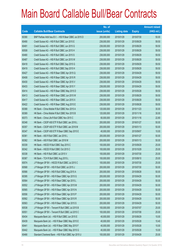|       |                                                          | No. of        |                     |               | <b>Amount raised</b> |
|-------|----------------------------------------------------------|---------------|---------------------|---------------|----------------------|
| Code  | <b>Callable Bull/Bear Contracts</b>                      | issue (units) | <b>Listing date</b> | <b>Expiry</b> | $(HK$$ mil.)         |
| 60390 | BNP Paribas Arbit Issu B.V. - HSI R Bear CBBC Jul 2015 D | 200,000,000   | 2015/01/29          | 2015/07/30    | 50.00                |
| 60490 | Credit Suisse AG - HSI R Bull CBBC Jun 2015 E            | 238,000,000   | 2015/01/29          | 2015/06/29    | 59.50                |
| 60491 | Credit Suisse AG - HSI R Bull CBBC Jun 2015 G            | 238,000,000   | 2015/01/29          | 2015/06/29    | 59.50                |
| 60508 | Credit Suisse AG - HSI R Bull CBBC Jun 2015 H            | 238,000,000   | 2015/01/29          | 2015/06/29    | 59.50                |
| 60480 | Credit Suisse AG - HSI R Bull CBBC Jun 2015 S            | 238,000,000   | 2015/01/29          | 2015/06/29    | 59.50                |
| 60487 | Credit Suisse AG - HSI R Bull CBBC Jun 2015 W            | 238,000,000   | 2015/01/29          | 2015/06/29    | 59.50                |
| 60418 | Credit Suisse AG - HSI R Bull CBBC Sep 2015 G            | 238,000,000   | 2015/01/29          | 2015/09/29    | 59.50                |
| 60419 | Credit Suisse AG - HSI R Bull CBBC Sep 2015 H            | 238,000,000   | 2015/01/29          | 2015/09/29    | 59.50                |
| 60427 | Credit Suisse AG - HSI R Bear CBBC Apr 2015 Q            | 238,000,000   | 2015/01/29          | 2015/04/29    | 59.50                |
| 60408 | Credit Suisse AG - HSI R Bear CBBC Apr 2015 R            | 238,000,000   | 2015/01/29          | 2015/04/29    | 59.50                |
| 60430 | Credit Suisse AG - HSI R Bear CBBC Apr 2015 V            | 238,000,000   | 2015/01/29          | 2015/04/29    | 59.50                |
| 60433 | Credit Suisse AG - HSI R Bear CBBC Apr 2015 Y            | 238,000,000   | 2015/01/29          | 2015/04/29    | 59.50                |
| 60414 | Credit Suisse AG - HSI R Bear CBBC May 2015 D            | 238,000,000   | 2015/01/29          | 2015/05/28    | 59.50                |
| 60413 | Credit Suisse AG - HSI R Bear CBBC Jun 2015 W            | 238,000,000   | 2015/01/29          | 2015/06/29    | 59.50                |
| 60417 | Credit Suisse AG - HSI R Bear CBBC Jun 2015 X            | 238,000,000   | 2015/01/29          | 2015/06/29    | 59.50                |
| 60422 | Credit Suisse AG - HSI R Bear CBBC Aug 2015 E            | 238,000,000   | 2015/01/29          | 2015/08/28    | 59.50                |
| 60368 | HK Bank - China Mobile R Bull CBBC Nov 2015 A            | 120,000,000   | 2015/01/29          | 2015/11/23    | 30.00                |
| 60369 | HK Bank - China Mobile R Bull CBBC Nov 2015 B            | 120,000,000   | 2015/01/29          | 2015/11/16    | 30.00                |
| 60373 | HK Bank - China Life R Bull CBBC Nov 2015 C              | 60,000,000    | 2015/01/29          | 2015/11/16    | 22.80                |
| 60348 | HK Bank - CSOP A50 ETF R Bull CBBC Jan 2016 L            | 200,000,000   | 2015/01/29          | 2016/01/27    | 50.00                |
| 60357 | HK Bank - CSOP A50 ETF R Bull CBBC Jan 2016 M            | 200,000,000   | 2015/01/29          | 2016/01/13    | 50.00                |
| 60347 | HK Bank - CSOP A50 ETF R Bear CBBC Sep 2015 E            | 40,000,000    | 2015/01/29          | 2015/09/07    | 10.00                |
| 60361 | HK Bank - A50 R Bull CBBC Jan 2016 L                     | 200,000,000   | 2015/01/29          | 2016/01/27    | 50.00                |
| 60362 | HK Bank - A50 R Bull CBBC Jan 2016 M                     | 200,000,000   | 2015/01/29          | 2016/01/13    | 50.00                |
| 60339 | HK Bank - HSCEI R Bull CBBC Sep 2015 C                   | 100,000,000   | 2015/01/29          | 2015/09/29    | 25.00                |
| 60342 | HK Bank - HSCEI R Bull CBBC Oct 2015 C                   | 100,000,000   | 2015/01/29          | 2015/10/29    | 25.00                |
| 60338 | HK Bank - HSI R Bull CBBC Jul 2015 V                     | 100,000,000   | 2015/01/29          | 2015/07/30    | 25.00                |
| 60367 | HK Bank - TCH R Bull CBBC Aug 2015 L                     | 100,000,000   | 2015/01/29          | 2015/08/10    | 25.00                |
| 60574 | J P Morgan SP BV - HSCEI R Bull CBBC Jul 2015 C          | 100,000,000   | 2015/01/29          | 2015/07/30    | 25.00                |
| 60568 | J P Morgan SP BV - HSI R Bull CBBC Jul 2015 J            | 200,000,000   | 2015/01/29          | 2015/07/30    | 50.00                |
| 60566 | J P Morgan SP BV - HSI R Bull CBBC Aug 2015 A            | 200,000,000   | 2015/01/29          | 2015/08/28    | 50.00                |
| 60395 | J P Morgan SP BV - HSI R Bear CBBC Apr 2015 G            | 200,000,000   | 2015/01/29          | 2015/04/29    | 50.00                |
| 60564 | J P Morgan SP BV - HSI R Bear CBBC Apr 2015 L            | 200,000,000   | 2015/01/29          | 2015/04/29    | 50.00                |
| 60552 | J P Morgan SP BV - HSI R Bear CBBC Apr 2015 M            | 200,000,000   | 2015/01/29          | 2015/04/29    | 50.00                |
| 60565 | J P Morgan SP BV - HSI R Bear CBBC Apr 2015 N            | 200,000,000   | 2015/01/29          | 2015/04/29    | 50.00                |
| 60556 | J P Morgan SP BV - HSI R Bear CBBC Apr 2015 P            | 200,000,000   | 2015/01/29          | 2015/04/29    | 50.00                |
| 60562 | J P Morgan SP BV - HSI R Bear CBBC Apr 2015 R            | 200,000,000   | 2015/01/29          | 2015/04/29    | 50.00                |
| 60563 | JP Morgan SP BV - HSI R Bear CBBC Apr 2015 S             | 200,000,000   | 2015/01/29          | 2015/04/29    | 50.00                |
| 60538 | J P Morgan SP BV - Tencent R Bull CBBC Jul 2015 B        | 100,000,000   | 2015/01/29          | 2015/07/07    | 25.00                |
| 60551 | J P Morgan SP BV - Tencent R Bull CBBC Jul 2015 C        | 100,000,000   | 2015/01/29          | 2015/07/08    | 25.00                |
| 60434 | Macquarie Bank Ltd. - HSI R Bull CBBC Jun 2015 E         | 40,000,000    | 2015/01/29          | 2015/06/29    | 10.00                |
| 60439 | Macquarie Bank Ltd. - HSI R Bear CBBC May 2015 E         | 40,000,000    | 2015/01/29          | 2015/05/28    | 10.40                |
| 60441 | Macquarie Bank Ltd. - HSI R Bear CBBC May 2015 F         | 40,000,000    | 2015/01/29          | 2015/05/28    | 10.00                |
| 60442 | Macquarie Bank Ltd. - HSI R Bear CBBC May 2015 G         | 40,000,000    | 2015/01/29          | 2015/05/28    | 10.00                |
| 60466 | Standard Chartered Bank - HSI R Bull CBBC Apr 2015 U     | 100,000,000   | 2015/01/29          | 2015/04/29    | 25.00                |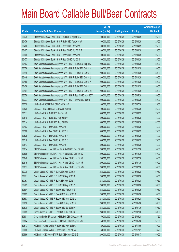|       |                                                                 | No. of        |                     |               | <b>Amount raised</b> |
|-------|-----------------------------------------------------------------|---------------|---------------------|---------------|----------------------|
| Code  | <b>Callable Bull/Bear Contracts</b>                             | issue (units) | <b>Listing date</b> | <b>Expiry</b> | $(HK$$ mil.)         |
| 60475 | Standard Chartered Bank - HSI R Bull CBBC Apr 2015 V            | 100,000,000   | 2015/01/29          | 2015/04/29    | 25.00                |
| 60476 | Standard Chartered Bank - HSI R Bull CBBC Apr 2015 W            | 100,000,000   | 2015/01/29          | 2015/04/29    | 25.00                |
| 60406 | Standard Chartered Bank - HSI R Bear CBBC Apr 2015 D            | 100,000,000   | 2015/01/29          | 2015/04/29    | 25.00                |
| 60407 | Standard Chartered Bank - HSI R Bear CBBC Apr 2015 E            | 100,000,000   | 2015/01/29          | 2015/04/29    | 25.00                |
| 60465 | Standard Chartered Bank - HSI R Bear CBBC Apr 2015 H            | 100,000,000   | 2015/01/29          | 2015/04/29    | 25.00                |
| 60477 | Standard Chartered Bank - HSI R Bear CBBC Apr 2015 I            | 100,000,000   | 2015/01/29          | 2015/04/29    | 25.00                |
| 60463 | SGA Societe Generale Acceptance N.V. - HSI R Bull CBBC Sep 15 J | 200,000,000   | 2015/01/29          | 2015/09/29    | 50.00                |
| 60376 | SGA Societe Generale Acceptance N.V. - HSI R Bull CBBC Oct 15 H | 200,000,000   | 2015/01/29          | 2015/10/29    | 50.00                |
| 60448 | SGA Societe Generale Acceptance N.V. - HSI R Bull CBBC Oct 15 I | 200,000,000   | 2015/01/29          | 2015/10/29    | 50.00                |
| 60449 | SGA Societe Generale Acceptance N.V. - HSI R Bull CBBC Oct 15 J | 200,000,000   | 2015/01/29          | 2015/10/29    | 50.00                |
| 60450 | SGA Societe Generale Acceptance N.V. - HSI R Bull CBBC Oct 15 K | 200,000,000   | 2015/01/29          | 2015/10/29    | 50.00                |
| 60456 | SGA Societe Generale Acceptance N.V. - HSI R Bull CBBC Oct 15 L | 200,000,000   | 2015/01/29          | 2015/10/29    | 50.00                |
| 60464 | SGA Societe Generale Acceptance N.V. - HSI R Bull CBBC Oct 15 M | 200,000,000   | 2015/01/29          | 2015/10/29    | 50.00                |
| 60378 | SGA Societe Generale Acceptance N.V. - HSI R Bear CBBC May 15 Y | 200,000,000   | 2015/01/29          | 2015/05/28    | 50.00                |
| 60377 | SGA Societe Generale Acceptance N.V. - HSI R Bear CBBC Jun 15 R | 200,000,000   | 2015/01/29          | 2015/06/29    | 50.00                |
| 60530 | UBS AG - HSCEI R Bull CBBC Jul 2015 B                           | 100,000,000   | 2015/01/29          | 2015/07/30    | 25.00                |
| 60529 | UBS AG - HSCEI R Bear CBBC Jun 2015 B                           | 100,000,000   | 2015/01/29          | 2015/06/29    | 25.00                |
| 60511 | UBS AG - HSI R Bull CBBC Jun 2015 T                             | 300,000,000   | 2015/01/29          | 2015/06/29    | 75.00                |
| 60510 | UBS AG - HSI R Bull CBBC Aug 2015 V                             | 300,000,000   | 2015/01/29          | 2015/08/28    | 75.00                |
| 60514 | UBS AG - HSI R Bull CBBC Aug 2015 W                             | 350,000,000   | 2015/01/29          | 2015/08/28    | 87.50                |
| 60403 | UBS AG - HSI R Bear CBBC Apr 2015 F                             | 300,000,000   | 2015/01/29          | 2015/04/29    | 75.00                |
| 60398 | UBS AG - HSI R Bear CBBC Apr 2015 G                             | 300,000,000   | 2015/01/29          | 2015/04/29    | 75.00                |
| 60528 | UBS AG - HSI R Bear CBBC Apr 2015 H                             | 300,000,000   | 2015/01/29          | 2015/04/29    | 75.00                |
| 60516 | UBS AG - HSI R Bear CBBC Apr 2015 Q                             | 300,000,000   | 2015/01/29          | 2015/04/29    | 75.00                |
| 60517 | UBS AG - HSI R Bear CBBC Apr 2015 R                             | 300,000,000   | 2015/01/29          | 2015/04/29    | 75.00                |
| 60814 | BNP Paribas Arbit Issu B.V. - HSI R Bull CBBC Dec 2015 C        | 200,000,000   | 2015/01/30          | 2015/12/30    | 50.00                |
| 60805 | BNP Paribas Arbit Issu B.V. - HSI R Bull CBBC Dec 2015 Z        | 200,000,000   | 2015/01/30          | 2015/12/30    | 50.00                |
| 60648 | BNP Paribas Arbit Issu B.V. - HSI R Bear CBBC Jul 2015 E        | 200,000,000   | 2015/01/30          | 2015/07/30    | 50.00                |
| 60815 | BNP Paribas Arbit Issu B.V. - HSI R Bear CBBC Jul 2015 F        | 200,000,000   | 2015/01/30          | 2015/07/30    | 50.00                |
| 60817 | BNP Paribas Arbit Issu B.V. - HSI R Bear CBBC Jul 2015 G        | 200,000,000   | 2015/01/30          | 2015/07/30    | 50.00                |
| 60770 | Credit Suisse AG - HSI R Bull CBBC Aug 2015 A                   | 238,000,000   | 2015/01/30          | 2015/08/28    | 59.50                |
| 60771 | Credit Suisse AG - HSI R Bull CBBC Aug 2015 B                   | 238,000,000   | 2015/01/30          | 2015/08/28    | 59.50                |
| 60767 | Credit Suisse AG - HSI R Bull CBBC Aug 2015 Y                   | 238,000,000   | 2015/01/30          | 2015/08/28    | 59.50                |
| 60769 | Credit Suisse AG - HSI R Bull CBBC Aug 2015 Z                   | 238,000,000   | 2015/01/30          | 2015/08/28    | 59.50                |
| 60694 | Credit Suisse AG - HSI R Bear CBBC Apr 2015 E                   | 238,000,000   | 2015/01/30          | 2015/04/29    | 59.50                |
| 60692 | Credit Suisse AG - HSI R Bear CBBC May 2015 S                   | 238,000,000   | 2015/01/30          | 2015/05/28    | 59.50                |
| 60693 | Credit Suisse AG - HSI R Bear CBBC May 2015 U                   | 238,000,000   | 2015/01/30          | 2015/05/28    | 59.50                |
| 60696 | Credit Suisse AG - HSI R Bear CBBC May 2015 V                   | 238,000,000   | 2015/01/30          | 2015/05/28    | 59.50                |
| 60678 | Credit Suisse AG - HSI R Bear CBBC Jul 2015 M                   | 238,000,000   | 2015/01/30          | 2015/07/30    | 59.50                |
| 60685 | Credit Suisse AG - HSI R Bear CBBC Jul 2015 N                   | 238,000,000   | 2015/01/30          | 2015/07/30    | 59.50                |
| 60801 | Goldman Sachs SP (Asia) - HSI R Bull CBBC May 2015 F            | 150,000,000   | 2015/01/30          | 2015/05/28    | 37.50                |
| 60804 | Goldman Sachs SP (Asia) - HSI R Bull CBBC May 2015 G            | 150,000,000   | 2015/01/30          | 2015/05/28    | 37.50                |
| 60613 | HK Bank - China Mobile R Bull CBBC Nov 2015 C                   | 120,000,000   | 2015/01/30          | 2015/11/09    | 30.00                |
| 60608 | HK Bank - China Mobile R Bear CBBC Dec 2015 A                   | 60,000,000    | 2015/01/30          | 2015/12/21    | 16.20                |
| 60586 | HK Bank - CSOP A50 ETF R Bull CBBC Aug 2015 G                   | 200,000,000   | 2015/01/30          | 2015/08/17    | 50.00                |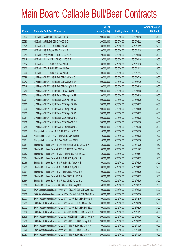|       |                                                                  | No. of        |                     |               | <b>Amount raised</b> |
|-------|------------------------------------------------------------------|---------------|---------------------|---------------|----------------------|
| Code  | <b>Callable Bull/Bear Contracts</b>                              | issue (units) | <b>Listing date</b> | <b>Expiry</b> | (HK\$ mil.)          |
| 60593 | HK Bank - A50 R Bull CBBC Jan 2016 N                             | 200,000,000   | 2015/01/30          | 2016/01/18    | 50.00                |
| 60590 | HK Bank - A50 R Bull CBBC Feb 2016 C                             | 200,000,000   | 2015/01/30          | 2016/02/22    | 50.00                |
| 60575 | HK Bank - HSI R Bull CBBC Oct 2015 L                             | 100,000,000   | 2015/01/30          | 2015/10/29    | 25.00                |
| 60577 | HK Bank - HSI R Bear CBBC Oct 2015 E                             | 100,000,000   | 2015/01/30          | 2015/10/29    | 25.00                |
| 60614 | HK Bank - Ping An R Bull CBBC Jan 2016 A                         | 120,000,000   | 2015/01/30          | 2016/01/25    | 30.00                |
| 60619 | HK Bank - Ping An R Bull CBBC Jan 2016 B                         | 120,000,000   | 2015/01/30          | 2016/01/18    | 30.00                |
| 60594 | HK Bank - TCH R Bull CBBC Nov 2015 F                             | 100,000,000   | 2015/01/30          | 2015/11/16    | 25.00                |
| 60600 | HK Bank - TCH R Bull CBBC Nov 2015 G                             | 100,000,000   | 2015/01/30          | 2015/11/23    | 25.00                |
| 60606 | HK Bank - TCH R Bull CBBC Dec 2015 E                             | 100,000,000   | 2015/01/30          | 2015/12/14    | 25.00                |
| 60798 | J P Morgan SP BV - HSI R Bull CBBC Jul 2015 Q                    | 200,000,000   | 2015/01/30          | 2015/07/30    | 50.00                |
| 60743 | J P Morgan SP BV - HSI R Bull CBBC Jul 2015 W                    | 200,000,000   | 2015/01/30          | 2015/07/30    | 50.00                |
| 60748 | J P Morgan SP BV - HSI R Bull CBBC Aug 2015 E                    | 200,000,000   | 2015/01/30          | 2015/08/28    | 50.00                |
| 60749 | J P Morgan SP BV - HSI R Bull CBBC Aug 2015 L                    | 200,000,000   | 2015/01/30          | 2015/08/28    | 50.00                |
| 60754 | J P Morgan SP BV - HSI R Bear CBBC Apr 2015 E                    | 200,000,000   | 2015/01/30          | 2015/04/29    | 50.00                |
| 60761 | J P Morgan SP BV - HSI R Bear CBBC Apr 2015 J                    | 200,000,000   | 2015/01/30          | 2015/04/29    | 50.00                |
| 60665 | J P Morgan SP BV - HSI R Bear CBBC Apr 2015 O                    | 200,000,000   | 2015/01/30          | 2015/04/29    | 50.00                |
| 60666 | J P Morgan SP BV - HSI R Bear CBBC Apr 2015 U                    | 200,000,000   | 2015/01/30          | 2015/04/29    | 50.00                |
| 60752 | J P Morgan SP BV - HSI R Bear CBBC Apr 2015 X                    | 200,000,000   | 2015/01/30          | 2015/04/29    | 50.00                |
| 60751 | J P Morgan SP BV - HSI R Bear CBBC May 2015 O                    | 200,000,000   | 2015/01/30          | 2015/05/28    | 50.00                |
| 60756 | J P Morgan SP BV - HSI R Bear CBBC May 2015 P                    | 200,000,000   | 2015/01/30          | 2015/05/28    | 50.00                |
| 60758 | J P Morgan SP BV - HSI R Bear CBBC May 2015 Q                    | 200,000,000   | 2015/01/30          | 2015/05/28    | 50.00                |
| 60782 | Macquarie Bank Ltd. - HSI R Bull CBBC May 2015 D                 | 40,000,000    | 2015/01/30          | 2015/05/28    | 10.00                |
| 60775 | Macquarie Bank Ltd. - HSI R Bear CBBC May 2015 H                 | 40,000,000    | 2015/01/30          | 2015/05/28    | 10.20                |
| 60781 | Macquarie Bank Ltd. - HSI R Bear CBBC May 2015 I                 | 40,000,000    | 2015/01/30          | 2015/05/28    | 10.00                |
| 60651 | Standard Chartered Bank - China Mobile R Bull CBBC Oct 2015 A    | 50,000,000    | 2015/01/30          | 2015/10/29    | 12.50                |
| 60652 | Standard Chartered Bank - HSBC R Bull CBBC Nov 2015 A            | 50,000,000    | 2015/01/30          | 2015/11/03    | 12.50                |
| 60653 | Standard Chartered Bank - HSBC R Bear CBBC Aug 2015 A            | 50,000,000    | 2015/01/30          | 2015/08/04    | 12.50                |
| 60764 | Standard Chartered Bank - HSI R Bull CBBC Apr 2015 A             | 100,000,000   | 2015/01/30          | 2015/04/29    | 25.00                |
| 60766 | Standard Chartered Bank - HSI R Bull CBBC Apr 2015 S             | 100,000,000   | 2015/01/30          | 2015/04/29    | 25.00                |
| 60763 | Standard Chartered Bank - HSI R Bull CBBC Apr 2015 X             | 100,000,000   | 2015/01/30          | 2015/04/29    | 25.00                |
| 60661 | Standard Chartered Bank - HSI R Bear CBBC Apr 2015 J             | 100,000,000   | 2015/01/30          | 2015/04/29    | 25.00                |
| 60663 | Standard Chartered Bank - HSI R Bear CBBC Apr 2015 K             | 100,000,000   | 2015/01/30          | 2015/04/29    | 25.00                |
| 60664 | Standard Chartered Bank - HSI R Bear CBBC Apr 2015 L             | 100,000,000   | 2015/01/30          | 2015/04/29    | 25.00                |
| 60650 | Standard Chartered Bank - TCH R Bear CBBC Aug 2015 C             | 50,000,000    | 2015/01/30          | 2015/08/19    | 12.50                |
| 60701 | SGA Societe Generale Acceptance N.V - CSA50 R Bull CBBC Jan 16 A | 100,000,000   | 2015/01/30          | 2016/01/28    | 25.00                |
| 60700 | SGA Societe Generale Acceptance N.V - CSA50 R Bull CBBC Feb 16 A | 100,000,000   | 2015/01/30          | 2016/02/26    | 25.00                |
| 60707 | SGA Societe Generale Acceptance N.V. - A50 R Bull CBBC Dec 15 B  | 100,000,000   | 2015/01/30          | 2015/12/30    | 25.00                |
| 60703 | SGA Societe Generale Acceptance N.V. - A50 R Bull CBBC Jan 16 A  | 100,000,000   | 2015/01/30          | 2016/01/28    | 25.00                |
| 60702 | SGA Societe Generale Acceptance N.V. - A50 R Bull CBBC Feb 16 A  | 100,000,000   | 2015/01/30          | 2016/02/26    | 25.00                |
| 60632 | SGA Societe Generale Acceptance NV - HSCEI R Bull CBBC Nov 15 A  | 200,000,000   | 2015/01/30          | 2015/11/27    | 50.00                |
| 60638 | SGA Societe Generale Acceptance NV - HSCEI R Bear CBBC Sep 15 A  | 200,000,000   | 2015/01/30          | 2015/09/29    | 50.00                |
| 60786 | SGA Societe Generale Acceptance N.V. - HSI R Bull CBBC Sep 15 K  | 200,000,000   | 2015/01/30          | 2015/09/29    | 50.00                |
| 60625 | SGA Societe Generale Acceptance N.V. - HSI R Bull CBBC Oct 15 N  | 400,000,000   | 2015/01/30          | 2015/10/29    | 100.00               |
| 60626 | SGA Societe Generale Acceptance N.V. - HSI R Bull CBBC Oct 15 O  | 400,000,000   | 2015/01/30          | 2015/10/29    | 100.00               |
| 60783 | SGA Societe Generale Acceptance N.V. - HSI R Bull CBBC Oct 15 P  | 200,000,000   | 2015/01/30          | 2015/10/29    | 50.00                |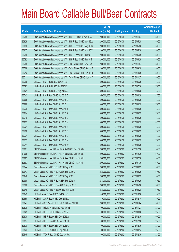|       |                                                                 | No. of        |                     |               | <b>Amount raised</b> |
|-------|-----------------------------------------------------------------|---------------|---------------------|---------------|----------------------|
| Code  | <b>Callable Bull/Bear Contracts</b>                             | issue (units) | <b>Listing date</b> | <b>Expiry</b> | $(HK$$ mil.)         |
| 60785 | SGA Societe Generale Acceptance N.V. - HSI R Bull CBBC Nov 15 A | 200,000,000   | 2015/01/30          | 2015/11/27    | 50.00                |
| 60629 | SGA Societe Generale Acceptance N.V. - HSI R Bear CBBC May 15 A | 200,000,000   | 2015/01/30          | 2015/05/28    | 50.00                |
| 60630 | SGA Societe Generale Acceptance N.V. - HSI R Bear CBBC May 15 B | 200,000,000   | 2015/01/30          | 2015/05/28    | 50.00                |
| 60627 | SGA Societe Generale Acceptance N.V. - HSI R Bear CBBC May 15 Z | 200,000,000   | 2015/01/30          | 2015/05/28    | 50.00                |
| 60790 | SGA Societe Generale Acceptance N.V. - HSI R Bear CBBC Jun 15 S | 200,000,000   | 2015/01/30          | 2015/06/29    | 50.00                |
| 60792 | SGA Societe Generale Acceptance N.V. - HSI R Bear CBBC Jun 15 T | 200,000,000   | 2015/01/30          | 2015/06/29    | 50.00                |
| 60708 | SGA Societe Generale Acceptance N.V. - TCH R Bull CBBC Nov 15 A | 200,000,000   | 2015/01/30          | 2015/11/27    | 50.00                |
| 60709 | SGA Societe Generale Acceptance N.V. - TCH R Bear CBBC Sep 15 A | 200,000,000   | 2015/01/30          | 2015/09/29    | 50.00                |
| 60712 | SGA Societe Generale Acceptance N.V. - TCH R Bear CBBC Oct 15 B | 200,000,000   | 2015/01/30          | 2015/10/29    | 50.00                |
| 60711 | SGA Societe Generale Acceptance N.V. - TCH R Bear CBBC Nov 15 A | 200,000,000   | 2015/01/30          | 2015/11/27    | 50.00                |
| 60795 | UBS AG - HSI R Bull CBBC Jun 2015 U                             | 300,000,000   | 2015/01/30          | 2015/06/29    | 75.00                |
| 60793 | UBS AG - HSI R Bull CBBC Jul 2015 R                             | 300,000,000   | 2015/01/30          | 2015/07/30    | 75.00                |
| 60821 | UBS AG - HSI R Bull CBBC Aug 2015 X                             | 300,000,000   | 2015/01/30          | 2015/08/28    | 75.00                |
| 60742 | UBS AG - HSI R Bear CBBC Apr 2015 D                             | 350,000,000   | 2015/01/30          | 2015/04/29    | 87.50                |
| 60668 | UBS AG - HSI R Bear CBBC Apr 2015 E                             | 300,000,000   | 2015/01/30          | 2015/04/29    | 75.00                |
| 60669 | UBS AG - HSI R Bear CBBC Apr 2015 I                             | 300,000,000   | 2015/01/30          | 2015/04/29    | 75.00                |
| 60739 | UBS AG - HSI R Bear CBBC Apr 2015 J                             | 300,000,000   | 2015/01/30          | 2015/04/29    | 75.00                |
| 60674 | UBS AG - HSI R Bear CBBC Apr 2015 K                             | 300,000,000   | 2015/01/30          | 2015/04/29    | 75.00                |
| 60719 | UBS AG - HSI R Bear CBBC Apr 2015 L                             | 300,000,000   | 2015/01/30          | 2015/04/29    | 75.00                |
| 60675 | UBS AG - HSI R Bear CBBC Apr 2015 M                             | 350,000,000   | 2015/01/30          | 2015/04/29    | 87.50                |
| 60721 | UBS AG - HSI R Bear CBBC Apr 2015 N                             | 300,000,000   | 2015/01/30          | 2015/04/29    | 75.00                |
| 60728 | UBS AG - HSI R Bear CBBC Apr 2015 P                             | 300,000,000   | 2015/01/30          | 2015/04/29    | 75.00                |
| 60734 | UBS AG - HSI R Bear CBBC Apr 2015 U                             | 300,000,000   | 2015/01/30          | 2015/04/29    | 75.00                |
| 60735 | UBS AG - HSI R Bear CBBC Apr 2015 V                             | 300,000,000   | 2015/01/30          | 2015/04/29    | 75.00                |
| 60741 | UBS AG - HSI R Bear CBBC Apr 2015 W                             | 300,000,000   | 2015/01/30          | 2015/04/29    | 75.00                |
| 60891 | BNP Paribas Arbit Issu B.V. - HSI R Bull CBBC Dec 2015 D        | 200,000,000   | 2015/02/02          | 2015/12/30    | 50.00                |
| 61005 | BNP Paribas Arbit Issu B.V. - HSI R Bull CBBC Dec 2015 E        | 200,000,000   | 2015/02/02          | 2015/12/30    | 50.00                |
| 60892 | BNP Paribas Arbit Issu B.V. - HSI R Bear CBBC Jul 2015 H        | 200,000,000   | 2015/02/02          | 2015/07/30    | 50.00                |
| 60893 | BNP Paribas Arbit Issu B.V. - HSI R Bear CBBC Jul 2015 I        | 200,000,000   | 2015/02/02          | 2015/07/30    | 50.00                |
| 60944 | Credit Suisse AG - HSI R Bull CBBC Sep 2015 J                   | 238,000,000   | 2015/02/02          | 2015/09/29    | 59.50                |
| 60947 | Credit Suisse AG - HSI R Bull CBBC Sep 2015 K                   | 238,000,000   | 2015/02/02          | 2015/09/29    | 59.50                |
| 60948 | Credit Suisse AG - HSI R Bull CBBC Sep 2015 L                   | 238,000,000   | 2015/02/02          | 2015/09/29    | 59.50                |
| 60990 | Credit Suisse AG - HSI R Bull CBBC Sep 2015 M                   | 238,000,000   | 2015/02/02          | 2015/09/29    | 59.50                |
| 60960 | Credit Suisse AG - HSI R Bear CBBC May 2015 C                   | 238,000,000   | 2015/02/02          | 2015/05/28    | 59.50                |
| 60949 | Credit Suisse AG - HSI R Bear CBBC May 2015 W                   | 238,000,000   | 2015/02/02          | 2015/05/28    | 59.50                |
| 60849 | HK Bank - AIA R Bear CBBC Oct 2015 B                            | 40,000,000    | 2015/02/02          | 2015/10/26    | 10.00                |
| 60850 | HK Bank - AIA R Bear CBBC Dec 2015 A                            | 40,000,000    | 2015/02/02          | 2015/12/14    | 10.00                |
| 60847 | HK Bank - CSOP A50 ETF R Bull CBBC Jan 2016 N                   | 200,000,000   | 2015/02/02          | 2016/01/04    | 50.00                |
| 60839 | HK Bank - HSCEI R Bull CBBC Nov 2015 B                          | 100,000,000   | 2015/02/02          | 2015/11/27    | 25.00                |
| 60829 | HK Bank - HSI R Bull CBBC Aug 2015 R                            | 100,000,000   | 2015/02/02          | 2015/08/28    | 25.00                |
| 60830 | HK Bank - HSI R Bear CBBC Dec 2015 A                            | 400,000,000   | 2015/02/02          | 2015/12/30    | 100.00               |
| 60837 | HK Bank - HSI R Bear CBBC Dec 2015 B                            | 100,000,000   | 2015/02/02          | 2015/12/30    | 25.00                |
| 60838 | HK Bank - HSI R Bear CBBC Dec 2015 C                            | 100,000,000   | 2015/02/02          | 2015/12/30    | 25.00                |
| 60843 | HK Bank - TCH R Bull CBBC Sep 2015 F                            | 100,000,000   | 2015/02/02          | 2015/09/14    | 25.00                |
| 60845 | HK Bank - TCH R Bear CBBC Dec 2015 A                            | 100,000,000   | 2015/02/02          | 2015/12/30    | 28.00                |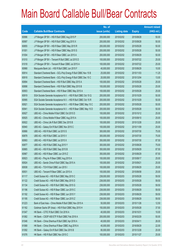|       |                                                                 | No. of        |                     |               | <b>Amount raised</b> |
|-------|-----------------------------------------------------------------|---------------|---------------------|---------------|----------------------|
| Code  | <b>Callable Bull/Bear Contracts</b>                             | issue (units) | <b>Listing date</b> | <b>Expiry</b> | (HK\$ mil.)          |
| 60996 | J P Morgan SP BV - HSI R Bull CBBC Aug 2015 P                   | 200,000,000   | 2015/02/02          | 2015/08/28    | 50.00                |
| 60997 | J P Morgan SP BV - HSI R Bull CBBC Aug 2015 X                   | 200,000,000   | 2015/02/02          | 2015/08/28    | 50.00                |
| 60855 | J P Morgan SP BV - HSI R Bear CBBC May 2015 R                   | 200,000,000   | 2015/02/02          | 2015/05/28    | 50.00                |
| 61001 | J P Morgan SP BV - HSI R Bear CBBC May 2015 S                   | 200,000,000   | 2015/02/02          | 2015/05/28    | 50.00                |
| 61004 | J P Morgan SP BV - HSI R Bear CBBC Jun 2015 A                   | 200,000,000   | 2015/02/02          | 2015/06/29    | 50.00                |
| 61010 | J P Morgan SP BV - Tencent R Bull CBBC Jul 2015 D               | 100,000,000   | 2015/02/02          | 2015/07/22    | 25.00                |
| 61018 | J P Morgan SP BV - Tencent R Bear CBBC Jul 2015 A               | 100,000,000   | 2015/02/02          | 2015/07/22    | 25.00                |
| 60968 | Macquarie Bank Ltd. - HSI R Bull CBBC Jun 2015 F                | 40,000,000    | 2015/02/02          | 2015/06/29    | 10.00                |
| 60914 | Standard Chartered Bank - GCL-Poly Energy R Bull CBBC Nov 15 B  | 25,000,000    | 2015/02/02          | 2015/11/03    | 11.25                |
| 60918 | Standard Chartered Bank - GCL-Poly Energy R Bull CBBC Dec 15 C  | 20,000,000    | 2015/02/02          | 2015/12/04    | 13.00                |
| 60894 | Standard Chartered Bank - HSI R Bull CBBC May 2015 A            | 100,000,000   | 2015/02/02          | 2015/05/28    | 25.00                |
| 60898 | Standard Chartered Bank - HSI R Bull CBBC May 2015 B            | 100,000,000   | 2015/02/02          | 2015/05/28    | 25.00                |
| 60903 | Standard Chartered Bank - HSI R Bear CBBC May 2015 A            | 100,000,000   | 2015/02/02          | 2015/05/28    | 25.00                |
| 60919 | SGA Societe Generale Acceptance N.V. - HSI R Bull CBBC Oct 15 Q | 200,000,000   | 2015/02/02          | 2015/10/29    | 50.00                |
| 60995 | SGA Societe Generale Acceptance N.V. - HSI R Bull CBBC Oct 15 R | 200,000,000   | 2015/02/02          | 2015/10/29    | 50.00                |
| 60921 | SGA Societe Generale Acceptance N.V. - HSI R Bear CBBC May 15 C | 200,000,000   | 2015/02/02          | 2015/05/28    | 50.00                |
| 60941 | SGA Societe Generale Acceptance N.V. - HSI R Bear CBBC May 15 D | 200,000,000   | 2015/02/02          | 2015/05/28    | 50.00                |
| 60927 | UBS AG - China Mobile R Bull CBBC Oct 2015 D                    | 100,000,000   | 2015/02/02          | 2015/10/12    | 25.00                |
| 60925 | UBS AG - China Mobile R Bear CBBC Aug 2015 A                    | 100,000,000   | 2015/02/02          | 2015/08/10    | 25.00                |
| 60922 | UBS AG - China Life R Bull CBBC Dec 2015 B                      | 100,000,000   | 2015/02/02          | 2015/12/28    | 25.00                |
| 60940 | UBS AG - Galaxy Ent R Bull CBBC Nov 2015 C                      | 100,000,000   | 2015/02/02          | 2015/11/09    | 25.00                |
| 60866 | UBS AG - HSI R Bull CBBC Jul 2015 S                             | 300,000,000   | 2015/02/02          | 2015/07/30    | 75.00                |
| 60878 | UBS AG - HSI R Bull CBBC Jul 2015 V                             | 300,000,000   | 2015/02/02          | 2015/07/30    | 75.00                |
| 60993 | UBS AG - HSI R Bull CBBC Jul 2015 X                             | 350,000,000   | 2015/02/02          | 2015/07/30    | 87.50                |
| 60877 | UBS AG - HSI R Bull CBBC Aug 2015 Y                             | 300,000,000   | 2015/02/02          | 2015/08/28    | 75.00                |
| 60865 | UBS AG - HSI R Bull CBBC Sep 2015 B                             | 350,000,000   | 2015/02/02          | 2015/09/29    | 87.50                |
| 60967 | UBS AG - HSI R Bear CBBC Jun 2015 Z                             | 350,000,000   | 2015/02/02          | 2015/06/29    | 87.50                |
| 60923 | UBS AG - Ping An R Bear CBBC Aug 2015 A                         | 100,000,000   | 2015/02/02          | 2015/08/17    | 25.00                |
| 60924 | UBS AG - Sands China R Bull CBBC Sep 2015 A                     | 100,000,000   | 2015/02/02          | 2015/09/21    | 25.00                |
| 60938 | UBS AG - TCH R Bull CBBC Jun 2015 I                             | 100,000,000   | 2015/02/02          | 2015/06/29    | 25.00                |
| 60931 | UBS AG - Tencent R Bear CBBC Jun 2015 A                         | 100,000,000   | 2015/02/02          | 2015/06/08    | 25.00                |
| 61117 | Credit Suisse AG - HSI R Bull CBBC May 2015 C                   | 238,000,000   | 2015/02/03          | 2015/05/28    | 59.50                |
| 61122 | Credit Suisse AG - HSI R Bull CBBC May 2015 D                   | 238,000,000   | 2015/02/03          | 2015/05/28    | 59.50                |
| 61134 | Credit Suisse AG - HSI R Bull CBBC May 2015 G                   | 238,000,000   | 2015/02/03          | 2015/05/28    | 59.50                |
| 61196 | Credit Suisse AG - HSI R Bear CBBC Jun 2015 C                   | 238,000,000   | 2015/02/03          | 2015/06/29    | 59.50                |
| 61192 | Credit Suisse AG - HSI R Bear CBBC Jun 2015 Y                   | 238,000,000   | 2015/02/03          | 2015/06/29    | 59.50                |
| 61195 | Credit Suisse AG - HSI R Bear CBBC Jun 2015 Z                   | 238,000,000   | 2015/02/03          | 2015/06/29    | 59.50                |
| 61223 | Bank of East Asia - China Mobile R Bull CBBC Nov 2015 A         | 50,000,000    | 2015/02/03          | 2015/11/26    | 12.50                |
| 61162 | Goldman Sachs SP (Asia) - HSI R Bull CBBC May 2015 H            | 150,000,000   | 2015/02/03          | 2015/05/28    | 37.50                |
| 61047 | HK Bank - CITIC R Bull CBBC Oct 2016 A                          | 40,000,000    | 2015/02/03          | 2016/10/31    | 10.00                |
| 61082 | HK Bank - CSOP A50 ETF R Bull CBBC Feb 2016 A                   | 200,000,000   | 2015/02/03          | 2016/02/29    | 50.00                |
| 61046 | HK Bank - China Shenhua R Bull CBBC Apr 2016 A                  | 40,000,000    | 2015/02/03          | 2016/04/11    | 26.00                |
| 61068 | HK Bank - China Shenhua R Bear CBBC Aug 2016 A                  | 40,000,000    | 2015/02/03          | 2016/08/29    | 22.00                |
| 61092 | HK Bank - Galaxy Ent R Bull CBBC Dec 2015 B                     | 80,000,000    | 2015/02/03          | 2015/12/28    | 20.00                |
| 61076 | HK Bank - HSI R Bull CBBC Nov 2015 C                            | 100,000,000   | 2015/02/03          | 2015/11/27    | 25.00                |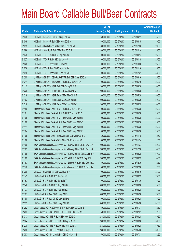|       |                                                                  | No. of        |                     |               | <b>Amount raised</b> |
|-------|------------------------------------------------------------------|---------------|---------------------|---------------|----------------------|
| Code  | <b>Callable Bull/Bear Contracts</b>                              | issue (units) | <b>Listing date</b> | <b>Expiry</b> | $(HK$$ mil.)         |
| 61048 | HK Bank - Lenovo R Bull CBBC Apr 2016 A                          | 60,000,000    | 2015/02/03          | 2016/04/11    | 15.00                |
| 61049 | HK Bank - Lenovo R Bull CBBC Aug 2016 A                          | 60,000,000    | 2015/02/03          | 2016/08/15    | 19.20                |
| 61095 | HK Bank - Sands China R Bull CBBC Dec 2015 B                     | 80,000,000    | 2015/02/03          | 2015/12/28    | 20.00                |
| 61086 | HK Bank - SHK Ppt R Bull CBBC Dec 2015 B                         | 60,000,000    | 2015/02/03          | 2015/12/14    | 15.00                |
| 61075 | HK Bank - TCH R Bull CBBC Sep 2015 G                             | 100,000,000   | 2015/02/03          | 2015/09/14    | 25.00                |
| 61027 | HK Bank - TCH R Bull CBBC Jan 2016 A                             | 100,000,000   | 2015/02/03          | 2016/01/18    | 25.00                |
| 61028 | HK Bank - TCH R Bear CBBC Oct 2015 E                             | 100,000,000   | 2015/02/03          | 2015/10/26    | 25.00                |
| 61036 | HK Bank - TCH R Bear CBBC Nov 2015 A                             | 100,000,000   | 2015/02/03          | 2015/11/16    | 25.00                |
| 61045 | HK Bank - TCH R Bear CBBC Dec 2015 B                             | 100,000,000   | 2015/02/03          | 2015/12/21    | 38.00                |
| 61205 | J P Morgan SP BV - CSOP A50 ETF R Bull CBBC Jun 2015 A           | 100,000,000   | 2015/02/03          | 2015/06/16    | 25.00                |
| 61214 | J P Morgan SP BV - A50 China R Bull CBBC Jun 2015 A              | 100,000,000   | 2015/02/03          | 2015/06/16    | 25.00                |
| 61115 | J P Morgan SP BV - HSI R Bull CBBC Aug 2015 F                    | 200,000,000   | 2015/02/03          | 2015/08/28    | 50.00                |
| 61220 | J P Morgan SP BV - HSI R Bull CBBC Aug 2015 M                    | 200,000,000   | 2015/02/03          | 2015/08/28    | 50.00                |
| 61219 | J P Morgan SP BV - HSI R Bear CBBC May 2015 T                    | 200,000,000   | 2015/02/03          | 2015/05/28    | 50.00                |
| 61163 | J P Morgan SP BV - HSI R Bear CBBC Jun 2015 B                    | 200,000,000   | 2015/02/03          | 2015/06/29    | 50.00                |
| 61218 | J P Morgan SP BV - HSI R Bear CBBC Jun 2015 C                    | 200,000,000   | 2015/02/03          | 2015/06/29    | 50.00                |
| 61186 | Standard Chartered Bank - HSI R Bull CBBC May 2015 C             | 100,000,000   | 2015/02/03          | 2015/05/28    | 25.00                |
| 61191 | Standard Chartered Bank - HSI R Bull CBBC May 2015 D             | 100,000,000   | 2015/02/03          | 2015/05/28    | 25.00                |
| 61108 | Standard Chartered Bank - HSI R Bear CBBC May 2015 B             | 100,000,000   | 2015/02/03          | 2015/05/28    | 25.00                |
| 61109 | Standard Chartered Bank - HSI R Bear CBBC May 2015 C             | 100,000,000   | 2015/02/03          | 2015/05/28    | 25.00                |
| 61114 | Standard Chartered Bank - HSI R Bear CBBC May 2015 D             | 100,000,000   | 2015/02/03          | 2015/05/28    | 25.00                |
| 61184 | Standard Chartered Bank - HSI R Bear CBBC May 2015 E             | 100,000,000   | 2015/02/03          | 2015/05/28    | 25.00                |
| 61105 | Standard Chartered Bank - Ping An R Bull CBBC Nov 2015 E         | 50,000,000    | 2015/02/03          | 2015/11/18    | 12.50                |
| 61106 | Standard Chartered Bank - TCH R Bull CBBC Nov 2015 C             | 50,000,000    | 2015/02/03          | 2015/11/24    | 12.50                |
| 61166 | SGA Societe Generale Acceptance NV - Galaxy R Bull CBBC Nov 15 A | 200,000,000   | 2015/02/03          | 2015/11/27    | 50.00                |
| 61165 | SGA Societe Generale Acceptance NV - Galaxy R Bull CBBC Dec 15 A | 200,000,000   | 2015/02/03          | 2015/12/30    | 50.00                |
| 61168 | SGA Societe Generale Acceptance NV - Galaxy R Bear CBBC Aug 15 A | 200,000,000   | 2015/02/03          | 2015/08/28    | 50.00                |
| 61169 | SGA Societe Generale Acceptance N.V. - HSI R Bull CBBC Sep 15 L  | 200,000,000   | 2015/02/03          | 2015/09/29    | 50.00                |
| 61183 | SGA Societe Generale Acceptance NV - Lenovo R Bull CBBC Dec 15 A | 50,000,000    | 2015/02/03          | 2015/12/30    | 12.50                |
| 61170 | SGA Societe Generale Acceptance NV - Lenovo R Bull CBBC Feb 16 A | 50,000,000    | 2015/02/03          | 2016/02/26    | 12.50                |
| 61200 | UBS AG - HKEx R Bear CBBC Aug 2015 A                             | 100,000,000   | 2015/02/03          | 2015/08/10    | 25.00                |
| 61142 | UBS AG - HSI R Bull CBBC Jun 2015 R                              | 300,000,000   | 2015/02/03          | 2015/06/29    | 75.00                |
| 61153 | UBS AG - HSI R Bull CBBC Jul 2015 Y                              | 300,000,000   | 2015/02/03          | 2015/07/30    | 75.00                |
| 61146 | UBS AG - HSI R Bull CBBC Aug 2015 B                              | 300,000,000   | 2015/02/03          | 2015/08/28    | 75.00                |
| 61137 | UBS AG - HSI R Bull CBBC Aug 2015 Z                              | 300,000,000   | 2015/02/03          | 2015/08/28    | 75.00                |
| 61197 | UBS AG - HSI R Bear CBBC May 2015 J                              | 300,000,000   | 2015/02/03          | 2015/05/28    | 75.00                |
| 61198 | UBS AG - HSI R Bear CBBC May 2015 Q                              | 300,000,000   | 2015/02/03          | 2015/05/28    | 75.00                |
| 61199 | UBS AG - HSI R Bear CBBC May 2015 R                              | 350,000,000   | 2015/02/03          | 2015/05/28    | 87.50                |
| 61282 | Credit Suisse AG - CSOP A50 ETF R Bull CBBC Jul 2015 E           | 50,000,000    | 2015/02/04          | 2015/07/31    | 12.50                |
| 61283 | Credit Suisse AG - CSOP A50 ETF R Bull CBBC Jul 2015 F           | 50,000,000    | 2015/02/04          | 2015/07/31    | 12.50                |
| 61313 | Credit Suisse AG - HSI R Bull CBBC Aug 2015 C                    | 238,000,000   | 2015/02/04          | 2015/08/28    | 59.50                |
| 61324 | Credit Suisse AG - HSI R Bull CBBC Aug 2015 D                    | 238,000,000   | 2015/02/04          | 2015/08/28    | 59.50                |
| 61278 | Credit Suisse AG - HSI R Bear CBBC May 2015 K                    | 238,000,000   | 2015/02/04          | 2015/05/28    | 59.50                |
| 61280 | Credit Suisse AG - HSI R Bear CBBC May 2015 L                    | 238,000,000   | 2015/02/04          | 2015/05/28    | 59.50                |
| 61303 | Credit Suisse AG - Ping An R Bull CBBC Jul 2015 E                | 50,000,000    | 2015/02/04          | 2015/07/31    | 12.50                |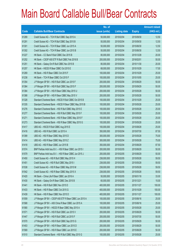|       |                                                          | No. of        |                     |               | <b>Amount raised</b> |
|-------|----------------------------------------------------------|---------------|---------------------|---------------|----------------------|
| Code  | <b>Callable Bull/Bear Contracts</b>                      | issue (units) | <b>Listing date</b> | <b>Expiry</b> | $(HK$$ mil.)         |
| 61289 | Credit Suisse AG - TCH R Bull CBBC Sep 2015 A            | 50,000,000    | 2015/02/04          | 2015/09/30    | 12.50                |
| 61291 | Credit Suisse AG - TCH R Bull CBBC Sep 2015 B            | 50,000,000    | 2015/02/04          | 2015/09/30    | 12.50                |
| 61301 | Credit Suisse AG - TCH R Bear CBBC Jun 2015 A            | 50,000,000    | 2015/02/04          | 2015/06/30    | 12.50                |
| 61302 | Credit Suisse AG - TCH R Bear CBBC Jun 2015 B            | 50,000,000    | 2015/02/04          | 2015/06/30    | 12.50                |
| 61227 | HK Bank - CC Bank R Bull CBBC Dec 2015 B                 | 80,000,000    | 2015/02/04          | 2015/12/28    | 20.00                |
| 61252 | HK Bank - CSOP A50 ETF R Bull CBBC Feb 2016 B            | 200,000,000   | 2015/02/04          | 2016/02/01    | 50.00                |
| 61251 | HK Bank - Galaxy Ent R Bull CBBC Nov 2015 B              | 80,000,000    | 2015/02/04          | 2015/11/30    | 20.00                |
| 61257 | HK Bank - HSCEI R Bear CBBC Oct 2015 E                   | 68,000,000    | 2015/02/04          | 2015/10/29    | 17.00                |
| 61269 | HK Bank - HSI R Bear CBBC Oct 2015 F                     | 100,000,000   | 2015/02/04          | 2015/10/29    | 25.00                |
| 61238 | HK Bank - TCH R Bear CBBC Oct 2015 F                     | 100,000,000   | 2015/02/04          | 2015/10/05    | 25.00                |
| 61354 | J P Morgan SP BV - HSI R Bull CBBC Jun 2015 F            | 200,000,000   | 2015/02/04          | 2015/06/29    | 50.00                |
| 61364 | J P Morgan SP BV - HSI R Bull CBBC Sep 2015 F            | 200,000,000   | 2015/02/04          | 2015/09/29    | 50.00                |
| 61384 | J P Morgan SP BV - HSI R Bear CBBC May 2015 U            | 200,000,000   | 2015/02/04          | 2015/05/28    | 50.00                |
| 61388 | J P Morgan SP BV - HSI R Bear CBBC May 2015 V            | 200,000,000   | 2015/02/04          | 2015/05/28    | 50.00                |
| 61328 | Standard Chartered Bank - HSCEI R Bull CBBC Oct 2015 B   | 100,000,000   | 2015/02/04          | 2015/10/29    | 25.00                |
| 61335 | Standard Chartered Bank - HSCEI R Bear CBBC May 2015 B   | 100,000,000   | 2015/02/04          | 2015/05/28    | 25.00                |
| 61276 | Standard Chartered Bank - HSI R Bull CBBC May 2015 E     | 100,000,000   | 2015/02/04          | 2015/05/28    | 25.00                |
| 61277 | Standard Chartered Bank - HSI R Bull CBBC May 2015 F     | 100,000,000   | 2015/02/04          | 2015/05/28    | 25.00                |
| 61271 | Standard Chartered Bank - HSI R Bear CBBC May 2015 F     | 100,000,000   | 2015/02/04          | 2015/05/28    | 25.00                |
| 61273 | Standard Chartered Bank - HSI R Bear CBBC May 2015 G     | 100,000,000   | 2015/02/04          | 2015/05/28    | 25.00                |
| 61417 | UBS AG - HSCEI R Bull CBBC Aug 2015 E                    | 100,000,000   | 2015/02/04          | 2015/08/28    | 25.00                |
| 61416 | UBS AG - HSI R Bull CBBC Jul 2015 A                      | 350,000,000   | 2015/02/04          | 2015/07/30    | 87.50                |
| 61399 | UBS AG - HSI R Bear CBBC May 2015 D                      | 300,000,000   | 2015/02/04          | 2015/05/28    | 75.00                |
| 61414 | UBS AG - HSI R Bear CBBC May 2015 Z                      | 300,000,000   | 2015/02/04          | 2015/05/28    | 75.00                |
| 61418 | UBS AG - HSI R Bear CBBC Jun 2015 B                      | 350,000,000   | 2015/02/04          | 2015/06/29    | 87.50                |
| 61574 | BNP Paribas Arbit Issu B.V. - HSI R Bear CBBC Jun 2015 I | 200,000,000   | 2015/02/05          | 2015/06/29    | 50.00                |
| 61579 | BNP Paribas Arbit Issu B.V. - HSI R Bear CBBC Jun 2015 J | 200,000,000   | 2015/02/05          | 2015/06/29    | 50.00                |
| 61450 | Credit Suisse AG - HSI R Bull CBBC May 2015 H            | 238,000,000   | 2015/02/05          | 2015/05/28    | 59.50                |
| 61451 | Credit Suisse AG - HSI R Bull CBBC May 2015 I            | 238,000,000   | 2015/02/05          | 2015/05/28    | 59.50                |
| 61538 | Credit Suisse AG - HSI R Bear CBBC May 2015 M            | 238,000,000   | 2015/02/05          | 2015/05/28    | 59.50                |
| 61542 | Credit Suisse AG - HSI R Bear CBBC May 2015 X            | 238,000,000   | 2015/02/05          | 2015/05/28    | 59.50                |
| 61420 | HK Bank - China Life R Bear CBBC Jan 2016 A              | 50,000,000    | 2015/02/05          | 2016/01/18    | 33.00                |
| 61430 | HK Bank - Galaxy Ent R Bear CBBC Dec 2015 B              | 60,000,000    | 2015/02/05          | 2015/12/21    | 15.00                |
| 61441 | HK Bank - HSI R Bull CBBC Nov 2015 D                     | 400,000,000   | 2015/02/05          | 2015/11/27    | 100.00               |
| 61433 | HK Bank - HSI R Bear CBBC Oct 2015 G                     | 400,000,000   | 2015/02/05          | 2015/10/29    | 100.00               |
| 61439 | HK Bank - HSI R Bear CBBC Nov 2015 D                     | 400,000,000   | 2015/02/05          | 2015/11/27    | 100.00               |
| 61559 | J P Morgan SP BV - CSOP A50 ETF R Bear CBBC Jun 2015 A   | 100,000,000   | 2015/02/05          | 2015/06/16    | 25.00                |
| 61568 | J P Morgan SP BV - A50 China R Bear CBBC Jun 2015 A      | 100,000,000   | 2015/02/05          | 2015/06/16    | 25.00                |
| 61580 | J P Morgan SP BV - HSCEI R Bear CBBC May 2015 A          | 100,000,000   | 2015/02/05          | 2015/05/28    | 25.00                |
| 61571 | J P Morgan SP BV - HSI R Bull CBBC Jun 2015 V            | 200,000,000   | 2015/02/05          | 2015/06/29    | 50.00                |
| 61447 | J P Morgan SP BV - HSI R Bull CBBC Jul 2015 F            | 200,000,000   | 2015/02/05          | 2015/07/30    | 50.00                |
| 61570 | J P Morgan SP BV - HSI R Bull CBBC Sep 2015 G            | 200,000,000   | 2015/02/05          | 2015/09/29    | 50.00                |
| 61453 | J P Morgan SP BV - HSI R Bear CBBC Jun 2015 D            | 200,000,000   | 2015/02/05          | 2015/06/29    | 50.00                |
| 61569 | J P Morgan SP BV - HSI R Bear CBBC Jun 2015 E            | 200,000,000   | 2015/02/05          | 2015/06/29    | 50.00                |
| 61510 | Standard Chartered Bank - HSI R Bull CBBC May 2015 G     | 100,000,000   | 2015/02/05          | 2015/05/28    | 25.00                |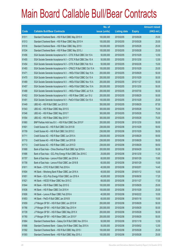|       |                                                                  | No. of        |                     |               | <b>Amount raised</b> |
|-------|------------------------------------------------------------------|---------------|---------------------|---------------|----------------------|
| Code  | <b>Callable Bull/Bear Contracts</b>                              | issue (units) | <b>Listing date</b> | <b>Expiry</b> | (HK\$ mil.)          |
| 61511 | Standard Chartered Bank - HSI R Bull CBBC May 2015 H             | 100,000,000   | 2015/02/05          | 2015/05/28    | 25.00                |
| 61513 | Standard Chartered Bank - HSI R Bear CBBC May 2015 H             | 100,000,000   | 2015/02/05          | 2015/05/28    | 25.00                |
| 61516 | Standard Chartered Bank - HSI R Bear CBBC May 2015 I             | 100,000,000   | 2015/02/05          | 2015/05/28    | 25.00                |
| 61534 | Standard Chartered Bank - HSI R Bear CBBC May 2015 J             | 100,000,000   | 2015/02/05          | 2015/05/28    | 25.00                |
| 61456 | SGA Societe Generale Acceptance N.V - CITIC R Bull CBBC Oct 15 A | 50,000,000    | 2015/02/05          | 2015/10/29    | 12.50                |
| 61455 | SGA Societe Generale Acceptance N.V - CITIC R Bull CBBC Dec 15 A | 50,000,000    | 2015/02/05          | 2015/12/30    | 12.50                |
| 61454 | SGA Societe Generale Acceptance N.V - CITIC R Bull CBBC Feb 16 A | 50,000,000    | 2015/02/05          | 2016/02/26    | 15.00                |
| 61493 | SGA Societe Generale Acceptance N.V - CP&CC R Bull CBBC Oct 15 A | 100,000,000   | 2015/02/05          | 2015/10/29    | 25.00                |
| 61471 | SGA Societe Generale Acceptance N.V. - HKEx R Bull CBBC Sep 15 A | 200,000,000   | 2015/02/05          | 2015/09/29    | 50.00                |
| 61470 | SGA Societe Generale Acceptance N.V. - HKEx R Bull CBBC Oct 15 A | 200,000,000   | 2015/02/05          | 2015/10/29    | 50.00                |
| 61469 | SGA Societe Generale Acceptance N.V. - HKEx R Bull CBBC Nov 15 A | 200,000,000   | 2015/02/05          | 2015/11/27    | 50.00                |
| 61457 | SGA Societe Generale Acceptance N.V. - HKEx R Bull CBBC Dec 15 A | 200,000,000   | 2015/02/05          | 2015/12/30    | 50.00                |
| 61488 | SGA Societe Generale Acceptance N.V. - HKEx R Bear CBBC Jul 15 A | 200,000,000   | 2015/02/05          | 2015/07/30    | 50.00                |
| 61452 | SGA Societe Generale Acceptance N.V. - HSI R Bear CBBC Jun 15 U  | 200,000,000   | 2015/02/05          | 2015/06/29    | 50.00                |
| 61491 | SGA Societe Generale Acceptance N.V - PetCh R Bull CBBC Oct 15 A | 100,000,000   | 2015/02/05          | 2015/10/29    | 25.00                |
| 61449 | UBS AG - HSI R Bull CBBC Jun 2015 D                              | 350,000,000   | 2015/02/05          | 2015/06/29    | 87.50                |
| 61543 | UBS AG - HSI R Bear CBBC May 2015 S                              | 300,000,000   | 2015/02/05          | 2015/05/28    | 75.00                |
| 61546 | UBS AG - HSI R Bear CBBC May 2015 T                              | 300,000,000   | 2015/02/05          | 2015/05/28    | 75.00                |
| 61554 | UBS AG - HSI R Bear CBBC May 2015 Y                              | 300,000,000   | 2015/02/05          | 2015/05/28    | 75.00                |
| 61660 | BNP Paribas Arbit Issu B.V. - HSI R Bull CBBC Dec 2015 F         | 200,000,000   | 2015/02/06          | 2015/12/30    | 50.00                |
| 61601 | Credit Suisse AG - HSI R Bull CBBC Oct 2015 B                    | 238,000,000   | 2015/02/06          | 2015/10/29    | 59.50                |
| 61709 | Credit Suisse AG - HSI R Bull CBBC Oct 2015 C                    | 238,000,000   | 2015/02/06          | 2015/10/29    | 59.50                |
| 61711 | Credit Suisse AG - HSI R Bear CBBC Jun 2015 A                    | 238,000,000   | 2015/02/06          | 2015/06/29    | 59.50                |
| 61710 | Credit Suisse AG - HSI R Bear CBBC Jun 2015 B                    | 238,000,000   | 2015/02/06          | 2015/06/29    | 59.50                |
| 61713 | Credit Suisse AG - HSI R Bear CBBC Jun 2015 D                    | 238,000,000   | 2015/02/06          | 2015/06/29    | 59.50                |
| 61668 | Bank of East Asia - China Shenhua R Bull CBBC Apr 2016 A         | 200,000,000   | 2015/02/06          | 2016/04/29    | 50.00                |
| 61686 | Bank of East Asia - GCL-Poly Energy R Bull CBBC Dec 2016 C       | 25,000,000    | 2015/02/06          | 2016/12/30    | 11.25                |
| 61707 | Bank of East Asia - Lenovo R Bull CBBC Jan 2016 A                | 60,000,000    | 2015/02/06          | 2016/01/29    | 15.60                |
| 61708 | Bank of East Asia - Lenovo R Bull CBBC Jan 2016 B                | 60,000,000    | 2015/02/06          | 2016/01/29    | 15.00                |
| 61611 | HK Bank - CITIC R Bull CBBC Feb 2016 A                           | 40,000,000    | 2015/02/06          | 2016/02/01    | 14.40                |
| 61604 | HK Bank - Minsheng Bank R Bear CBBC Jan 2016 A                   | 40,000,000    | 2015/02/06          | 2016/01/12    | 10.00                |
| 61651 | HK Bank - GCL-Poly Energy R Bull CBBC Jun 2016 A                 | 40,000,000    | 2015/02/06          | 2016/06/30    | 17.20                |
| 61621 | HK Bank - HSCEI R Bear CBBC Nov 2015 C                           | 68,000,000    | 2015/02/06          | 2015/11/27    | 17.00                |
| 61644 | HK Bank - HSI R Bear CBBC Sep 2015 G                             | 100,000,000   | 2015/02/06          | 2015/09/29    | 25.00                |
| 61636 | HK Bank - HSI R Bear CBBC Oct 2015 H                             | 100,000,000   | 2015/02/06          | 2015/10/29    | 25.00                |
| 61606 | HK Bank - Lenovo R Bear CBBC Feb 2016 A                          | 40,000,000    | 2015/02/06          | 2016/02/22    | 10.00                |
| 61653 | HK Bank - PetCh R Bull CBBC Jan 2016 B                           | 60,000,000    | 2015/02/06          | 2016/01/18    | 15.00                |
| 61659 | J P Morgan SP BV - HSI R Bull CBBC Jun 2015 W                    | 200,000,000   | 2015/02/06          | 2015/06/29    | 50.00                |
| 61766 | J P Morgan SP BV - HSI R Bull CBBC Sep 2015 H                    | 200,000,000   | 2015/02/06          | 2015/09/29    | 50.00                |
| 61728 | J P Morgan SP BV - HSI R Bear CBBC May 2015 X                    | 200,000,000   | 2015/02/06          | 2015/05/28    | 50.00                |
| 61760 | J P Morgan SP BV - HSI R Bear CBBC Jun 2015 F                    | 200,000,000   | 2015/02/06          | 2015/06/29    | 50.00                |
| 61664 | Standard Chartered Bank - Galaxy Ent R Bull CBBC Nov 2015 A      | 50,000,000    | 2015/02/06          | 2015/11/18    | 12.50                |
| 61666 | Standard Chartered Bank - Galaxy Ent R Bear CBBC Sep 2015 A      | 50,000,000    | 2015/02/06          | 2015/09/02    | 12.50                |
| 61592 | Standard Chartered Bank - HSI R Bull CBBC May 2015 I             | 100,000,000   | 2015/02/06          | 2015/05/28    | 25.00                |
| 61593 | Standard Chartered Bank - HSI R Bull CBBC May 2015 J             | 100,000,000   | 2015/02/06          | 2015/05/28    | 25.00                |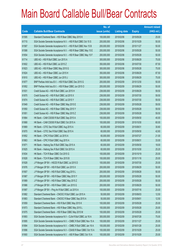|       |                                                                  | No. of        |                     |               | <b>Amount raised</b> |
|-------|------------------------------------------------------------------|---------------|---------------------|---------------|----------------------|
| Code  | <b>Callable Bull/Bear Contracts</b>                              | issue (units) | <b>Listing date</b> | <b>Expiry</b> | $(HK$$ mil.)         |
| 61595 | Standard Chartered Bank - HSI R Bear CBBC May 2015 K             | 100,000,000   | 2015/02/06          | 2015/05/28    | 25.00                |
| 61715 | SGA Societe Generale Acceptance N.V. - HSI R Bull CBBC Oct 15 S  | 200,000,000   | 2015/02/06          | 2015/10/29    | 50.00                |
| 61587 | SGA Societe Generale Acceptance N.V. - HSI R Bull CBBC Nov 15 B  | 200,000,000   | 2015/02/06          | 2015/11/27    | 50.00                |
| 61588 | SGA Societe Generale Acceptance N.V. - HSI R Bear CBBC May 15 E  | 200,000,000   | 2015/02/06          | 2015/05/28    | 50.00                |
| 61654 | SGA Societe Generale Acceptance N.V. - HSI R Bear CBBC May 15 F  | 200,000,000   | 2015/02/06          | 2015/05/28    | 50.00                |
| 61714 | UBS AG - HSI R Bull CBBC Jun 2015 A                              | 300,000,000   | 2015/02/06          | 2015/06/29    | 75.00                |
| 61602 | UBS AG - HSI R Bull CBBC Jul 2015 Z                              | 350,000,000   | 2015/02/06          | 2015/07/30    | 87.50                |
| 61823 | UBS AG - HSI R Bear CBBC May 2015 G                              | 300,000,000   | 2015/02/06          | 2015/05/28    | 75.00                |
| 61824 | UBS AG - HSI R Bear CBBC Jun 2015 H                              | 350,000,000   | 2015/02/06          | 2015/06/29    | 87.50                |
| 61810 | UBS AG - HSI R Bear CBBC Jun 2015 J                              | 300,000,000   | 2015/02/06          | 2015/06/29    | 75.00                |
| 61877 | BNP Paribas Arbit Issu B.V. - HSI R Bull CBBC Dec 2015 G         | 200,000,000   | 2015/02/09          | 2015/12/30    | 50.00                |
| 61952 | BNP Paribas Arbit Issu B.V. - HSI R Bear CBBC Jun 2015 O         | 200,000,000   | 2015/02/09          | 2015/06/29    | 50.00                |
| 61931 | Credit Suisse AG - HSI R Bull CBBC Jun 2015 H                    | 238,000,000   | 2015/02/09          | 2015/06/29    | 59.50                |
| 61875 | Credit Suisse AG - HSI R Bull CBBC Jul 2015 X                    | 238,000,000   | 2015/02/09          | 2015/07/30    | 59.50                |
| 61874 | Credit Suisse AG - HSI R Bull CBBC Jul 2015 Y                    | 238,000,000   | 2015/02/09          | 2015/07/30    | 59.50                |
| 61949 | Credit Suisse AG - HSI R Bear CBBC May 2015 E                    | 238,000,000   | 2015/02/09          | 2015/05/28    | 59.50                |
| 61950 | Credit Suisse AG - HSI R Bear CBBC May 2015 Y                    | 238,000,000   | 2015/02/09          | 2015/05/28    | 59.50                |
| 61951 | Credit Suisse AG - HSI R Bear CBBC May 2015 Z                    | 238,000,000   | 2015/02/09          | 2015/05/28    | 59.50                |
| 61864 | HK Bank - CAM CSI300 R Bull CBBC Sep 2015 A                      | 100,000,000   | 2015/02/09          | 2015/09/30    | 40.00                |
| 61868 | HK Bank - CAM CSI300 R Bull CBBC Oct 2015 A                      | 100,000,000   | 2015/02/09          | 2015/10/30    | 60.00                |
| 61869 | HK Bank - CITIC Sec R Bull CBBC Aug 2015 A                       | 60,000,000    | 2015/02/09          | 2015/08/31    | 30.60                |
| 61870 | HK Bank - CITIC Sec R Bull CBBC Sep 2015 A                       | 60,000,000    | 2015/02/09          | 2015/09/30    | 42.60                |
| 61852 | HK Bank - CPIC R Bull CBBC Jul 2015 A                            | 60,000,000    | 2015/02/09          | 2015/07/27    | 21.00                |
| 61863 | HK Bank - CPIC R Bull CBBC Aug 2015 A                            | 60,000,000    | 2015/02/09          | 2015/08/31    | 33.00                |
| 61871 | HK Bank - Haitong Sec R Bull CBBC Sep 2015 A                     | 60,000,000    | 2015/02/09          | 2015/09/30    | 18.00                |
| 61825 | HK Bank - Haitong Sec R Bull CBBC Oct 2015 A                     | 60,000,000    | 2015/02/09          | 2015/10/30    | 25.20                |
| 61834 | HK Bank - TCH R Bear CBBC Oct 2015 G                             | 100,000,000   | 2015/02/09          | 2015/10/19    | 25.00                |
| 61828 | HK Bank - TCH R Bear CBBC Nov 2015 B                             | 100,000,000   | 2015/02/09          | 2015/11/16    | 25.00                |
| 61928 | J P Morgan SP BV - HSCEI R Bull CBBC Jul 2015 D                  | 100,000,000   | 2015/02/09          | 2015/07/30    | 25.00                |
| 61976 | J P Morgan SP BV - HSI R Bull CBBC Jun 2015 X                    | 200,000,000   | 2015/02/09          | 2015/06/29    | 50.00                |
| 61907 | J P Morgan SP BV - HSI R Bull CBBC Aug 2015 L                    | 200,000,000   | 2015/02/09          | 2015/08/28    | 50.00                |
| 61987 | J P Morgan SP BV - HSI R Bear CBBC May 2015 Y                    | 200,000,000   | 2015/02/09          | 2015/05/28    | 50.00                |
| 61989 | J P Morgan SP BV - HSI R Bear CBBC May 2015 Z                    | 200,000,000   | 2015/02/09          | 2015/05/28    | 50.00                |
| 61986 | J P Morgan SP BV - HSI R Bear CBBC Jun 2015 G                    | 200,000,000   | 2015/02/09          | 2015/06/29    | 50.00                |
| 61997 | J P Morgan SP BV - Ping An R Bull CBBC Jul 2015 A                | 100,000,000   | 2015/02/09          | 2015/07/16    | 25.00                |
| 61882 | Standard Chartered Bank - CNOOC R Bull CBBC Jun 2015 A           | 50,000,000    | 2015/02/09          | 2015/06/03    | 12.50                |
| 61883 | Standard Chartered Bank - CNOOC R Bear CBBC Sep 2015 A           | 50,000,000    | 2015/02/09          | 2015/09/01    | 12.50                |
| 61959 | Standard Chartered Bank - HSI R Bull CBBC May 2015 K             | 100,000,000   | 2015/02/09          | 2015/05/28    | 25.00                |
| 61973 | Standard Chartered Bank - HSI R Bear CBBC May 2015 L             | 100,000,000   | 2015/02/09          | 2015/05/28    | 25.00                |
| 61975 | Standard Chartered Bank - HSI R Bear CBBC May 2015 M             | 100,000,000   | 2015/02/09          | 2015/05/28    | 25.00                |
| 61893 | SGA Societe Generale Acceptance N.V - CLife R Bull CBBC Jul 16 A | 300,000,000   | 2015/02/09          | 2016/07/28    | 75.00                |
| 61895 | SGA Societe Generale Acceptance N.V. - CMBC R Bull CBBC Nov 15 A | 100,000,000   | 2015/02/09          | 2015/11/27    | 25.00                |
| 61894 | SGA Societe Generale Acceptance N.V. - CMBC R Bull CBBC Jan 16 A | 100,000,000   | 2015/02/09          | 2016/01/28    | 25.00                |
| 61896 | SGA Societe Generale Acceptance N.V - CSA50 R Bear CBBC Oct 15 A | 100,000,000   | 2015/02/09          | 2015/10/29    | 25.00                |
| 61900 | SGA Societe Generale Acceptance N.V. - A50 R Bear CBBC Oct 15 A  | 100,000,000   | 2015/02/09          | 2015/10/29    | 25.00                |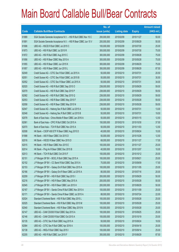|       |                                                                 | No. of        |                     |               | <b>Amount raised</b> |
|-------|-----------------------------------------------------------------|---------------|---------------------|---------------|----------------------|
| Code  | <b>Callable Bull/Bear Contracts</b>                             | issue (units) | <b>Listing date</b> | <b>Expiry</b> | $(HK$$ mil.)         |
| 61889 | SGA Societe Generale Acceptance N.V. - HSI R Bull CBBC Nov 15 C | 200,000,000   | 2015/02/09          | 2015/11/27    | 50.00                |
| 61891 | SGA Societe Generale Acceptance N.V. - HSI R Bear CBBC Jun 15 V | 200,000,000   | 2015/02/09          | 2015/06/29    | 50.00                |
| 61906 | UBS AG - HSCEI R Bull CBBC Jul 2015 C                           | 100,000,000   | 2015/02/09          | 2015/07/30    | 25.00                |
| 61873 | UBS AG - HSI R Bull CBBC Jul 2015 R                             | 300,000,000   | 2015/02/09          | 2015/07/30    | 75.00                |
| 61872 | UBS AG - HSI R Bull CBBC Aug 2015 C                             | 300,000,000   | 2015/02/09          | 2015/08/28    | 75.00                |
| 61956 | UBS AG - HSI R Bear CBBC May 2015 A                             | 300,000,000   | 2015/02/09          | 2015/05/28    | 75.00                |
| 61955 | UBS AG - HSI R Bear CBBC Jun 2015 K                             | 300,000,000   | 2015/02/09          | 2015/06/29    | 75.00                |
| 61957 | UBS AG - HSI R Bear CBBC Jun 2015 L                             | 350,000,000   | 2015/02/09          | 2015/06/29    | 87.50                |
| 62049 | Credit Suisse AG - CITIC Sec R Bull CBBC Jul 2015 A             | 50,000,000    | 2015/02/10          | 2015/07/31    | 20.50                |
| 62051 | Credit Suisse AG - CITIC Sec R Bull CBBC Jul 2015 B             | 50,000,000    | 2015/02/10          | 2015/07/31    | 30.50                |
| 62052 | Credit Suisse AG - CITIC Sec R Bear CBBC Jul 2015 A             | 50,000,000    | 2015/02/10          | 2015/07/31    | 34.00                |
| 62020 | Credit Suisse AG - HSI R Bull CBBC Sep 2015 O                   | 238,000,000   | 2015/02/10          | 2015/09/29    | 59.50                |
| 62079 | Credit Suisse AG - HSI R Bull CBBC Sep 2015 P                   | 238,000,000   | 2015/02/10          | 2015/09/29    | 59.50                |
| 62082 | Credit Suisse AG - HSI R Bull CBBC Sep 2015 Q                   | 238,000,000   | 2015/02/10          | 2015/09/29    | 59.50                |
| 62053 | Credit Suisse AG - HSI R Bear CBBC May 2015 F                   | 238,000,000   | 2015/02/10          | 2015/05/28    | 59.50                |
| 62058 | Credit Suisse AG - HSI R Bear CBBC May 2015 N                   | 238,000,000   | 2015/02/10          | 2015/05/28    | 59.50                |
| 62047 | Credit Suisse AG - Haitong Sec R Bull CBBC Jul 2015 A           | 50,000,000    | 2015/02/10          | 2015/07/31    | 13.00                |
| 62048 | Credit Suisse AG - Haitong Sec R Bull CBBC Jul 2015 B           | 50,000,000    | 2015/02/10          | 2015/07/31    | 19.50                |
| 62078 | Bank of East Asia - China Mobile R Bear CBBC Jan 2016 A         | 50,000,000    | 2015/02/10          | 2016/01/15    | 12.50                |
| 62061 | Bank of East Asia - CPIC R Bull CBBC Oct 2015 A                 | 150,000,000   | 2015/02/10          | 2015/10/30    | 37.50                |
| 62070 | Bank of East Asia - TCH R Bull CBBC Nov 2015 A                  | 50,000,000    | 2015/02/10          | 2015/11/03    | 12.50                |
| 62008 | HK Bank - CSOP A50 ETF R Bear CBBC Aug 2015 D                   | 40,000,000    | 2015/02/10          | 2015/08/24    | 10.00                |
| 61998 | HK Bank - A50 R Bear CBBC Oct 2015 D                            | 50,000,000    | 2015/02/10          | 2015/10/26    | 12.50                |
| 62016 | HK Bank - HSCEI R Bear CBBC Nov 2015 D                          | 68,000,000    | 2015/02/10          | 2015/11/27    | 17.00                |
| 62015 | HK Bank - HSI R Bear CBBC Nov 2015 E                            | 100,000,000   | 2015/02/10          | 2015/11/27    | 25.00                |
| 62014 | HK Bank - Ping An R Bear CBBC Dec 2015 B                        | 40,000,000    | 2015/02/10          | 2015/12/07    | 10.00                |
| 62013 | HK Bank - TCH R Bull CBBC Oct 2015 F                            | 100,000,000   | 2015/02/10          | 2015/10/12    | 25.00                |
| 62151 | J P Morgan SP BV - BOCL R Bull CBBC Sep 2015 A                  | 100,000,000   | 2015/02/10          | 2015/09/21    | 25.00                |
| 62152 | J P Morgan SP BV - CC Bank R Bull CBBC Sep 2015 A               | 70,000,000    | 2015/02/10          | 2015/09/09    | 17.50                |
| 62153 | J P Morgan SP BV - Galaxy Ent R Bull CBBC Nov 2015 A            | 100,000,000   | 2015/02/10          | 2015/11/05    | 25.00                |
| 62166 | J P Morgan SP BV - Galaxy Ent R Bear CBBC Jul 2015 A            | 80,000,000    | 2015/02/10          | 2015/07/16    | 20.00                |
| 62209 | J P Morgan SP BV - HSI R Bull CBBC Sep 2015 I                   | 200,000,000   | 2015/02/10          | 2015/09/29    | 50.00                |
| 62216 | J P Morgan SP BV - HSI R Bear CBBC May 2015 A                   | 200,000,000   | 2015/02/10          | 2015/05/28    | 50.00                |
| 62045 | J P Morgan SP BV - HSI R Bear CBBC Jun 2015 H                   | 200,000,000   | 2015/02/10          | 2015/06/29    | 50.00                |
| 62167 | J P Morgan SP BV - Sands China R Bull CBBC Nov 2015 A           | 100,000,000   | 2015/02/10          | 2015/11/09    | 25.00                |
| 62171 | J P Morgan SP BV - Sands China R Bear CBBC Jul 2015 A           | 88,000,000    | 2015/02/10          | 2015/07/24    | 22.00                |
| 62024 | Standard Chartered Bank - HSI R Bull CBBC May 2015 L            | 100,000,000   | 2015/02/10          | 2015/05/28    | 25.00                |
| 62025 | Standard Chartered Bank - HSI R Bull CBBC May 2015 M            | 100,000,000   | 2015/02/10          | 2015/05/28    | 25.00                |
| 62040 | Standard Chartered Bank - HSI R Bear CBBC May 2015 N            | 100,000,000   | 2015/02/10          | 2015/05/28    | 25.00                |
| 62147 | UBS AG - CAM CSI300 R Bull CBBC Sep 2015 A                      | 100,000,000   | 2015/02/10          | 2015/09/25    | 25.00                |
| 62146 | UBS AG - CAM CSI300 R Bull CBBC Oct 2015 A                      | 100,000,000   | 2015/02/10          | 2015/10/19    | 25.00                |
| 62135 | UBS AG - CITIC Sec R Bull CBBC Aug 2015 A                       | 50,000,000    | 2015/02/10          | 2015/08/24    | 18.50                |
| 62084 | UBS AG - CITIC Sec R Bull CBBC Apr 2016 A                       | 100,000,000   | 2015/02/10          | 2016/04/18    | 25.00                |
| 62138 | UBS AG - HKEx R Bull CBBC Sep 2015 I                            | 100,000,000   | 2015/02/10          | 2015/09/14    | 25.00                |
| 62205 | UBS AG - HSI R Bull CBBC Jun 2015 F                             | 350,000,000   | 2015/02/10          | 2015/06/29    | 87.50                |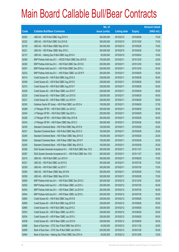|       |                                                                 | No. of        |                     |               | <b>Amount raised</b> |
|-------|-----------------------------------------------------------------|---------------|---------------------|---------------|----------------------|
| Code  | <b>Callable Bull/Bear Contracts</b>                             | issue (units) | <b>Listing date</b> | <b>Expiry</b> | (HK\$ mil.)          |
| 62202 | UBS AG - HSI R Bull CBBC Aug 2015 H                             | 300,000,000   | 2015/02/10          | 2015/08/28    | 75.00                |
| 62222 | UBS AG - HSI R Bull CBBC Oct 2015 B                             | 300,000,000   | 2015/02/10          | 2015/10/29    | 75.00                |
| 62150 | UBS AG - HSI R Bear CBBC May 2015 K                             | 300,000,000   | 2015/02/10          | 2015/05/28    | 75.00                |
| 62221 | UBS AG - HSI R Bear CBBC May 2015 L                             | 300,000,000   | 2015/02/10          | 2015/05/28    | 75.00                |
| 62137 | UBS AG - Haitong Sec R Bull CBBC Aug 2015 A                     | 50,000,000    | 2015/02/10          | 2015/08/24    | 16.00                |
| 62290 | BNP Paribas Arbit Issu B.V. - HSCEI R Bull CBBC Dec 2015 D      | 100,000,000   | 2015/02/11          | 2015/12/30    | 25.00                |
| 62292 | BNP Paribas Arbit Issu B.V. - HSI R Bull CBBC Dec 2015 B        | 200,000,000   | 2015/02/11          | 2015/12/30    | 50.00                |
| 62291 | BNP Paribas Arbit Issu B.V. - HSI R Bull CBBC Dec 2015 J        | 200,000,000   | 2015/02/11          | 2015/12/30    | 50.00                |
| 62232 | BNP Paribas Arbit Issu B.V. - HSI R Bear CBBC Jun 2015 P        | 200,000,000   | 2015/02/11          | 2015/06/29    | 50.00                |
| 62314 | Credit Suisse AG - HSI R Bull CBBC Aug 2015 A                   | 238,000,000   | 2015/02/11          | 2015/08/28    | 59.50                |
| 62308 | Credit Suisse AG - HSI R Bull CBBC Aug 2015 E                   | 238,000,000   | 2015/02/11          | 2015/08/28    | 59.50                |
| 62310 | Credit Suisse AG - HSI R Bull CBBC Aug 2015 F                   | 238,000,000   | 2015/02/11          | 2015/08/28    | 59.50                |
| 62229 | Credit Suisse AG - HSI R Bear CBBC Jun 2015 F                   | 238,000,000   | 2015/02/11          | 2015/06/29    | 59.50                |
| 62230 | Credit Suisse AG - HSI R Bear CBBC Jun 2015 G                   | 238,000,000   | 2015/02/11          | 2015/06/29    | 59.50                |
| 62231 | Credit Suisse AG - HSI R Bear CBBC Jun 2015 H                   | 238,000,000   | 2015/02/11          | 2015/06/29    | 59.50                |
| 62342 | Goldman Sachs SP (Asia) - HSI R Bull CBBC Jun 2015 A            | 150,000,000   | 2015/02/11          | 2015/06/29    | 37.50                |
| 62289 | J P Morgan SP BV - HSI R Bull CBBC Jun 2015 Z                   | 200,000,000   | 2015/02/11          | 2015/06/29    | 50.00                |
| 62344 | J P Morgan SP BV - HSI R Bull CBBC Sep 2015 J                   | 200,000,000   | 2015/02/11          | 2015/09/29    | 50.00                |
| 62226 | J P Morgan SP BV - HSI R Bear CBBC May 2015 B                   | 200,000,000   | 2015/02/11          | 2015/05/28    | 50.00                |
| 62343 | J P Morgan SP BV - HSI R Bear CBBC May 2015 C                   | 200,000,000   | 2015/02/11          | 2015/05/28    | 50.00                |
| 62330 | Standard Chartered Bank - HSI R Bull CBBC May 2015 N            | 100,000,000   | 2015/02/11          | 2015/05/28    | 25.00                |
| 62331 | Standard Chartered Bank - HSI R Bull CBBC May 2015 O            | 100,000,000   | 2015/02/11          | 2015/05/28    | 25.00                |
| 62240 | Standard Chartered Bank - HSI R Bear CBBC May 2015 O            | 100,000,000   | 2015/02/11          | 2015/05/28    | 25.00                |
| 62244 | Standard Chartered Bank - HSI R Bear CBBC May 2015 P            | 100,000,000   | 2015/02/11          | 2015/05/28    | 25.00                |
| 62245 | Standard Chartered Bank - HSI R Bear CBBC May 2015 Q            | 100,000,000   | 2015/02/11          | 2015/05/28    | 25.00                |
| 62256 | SGA Societe Generale Acceptance N.V. - HSI R Bull CBBC Nov 15 D | 200,000,000   | 2015/02/11          | 2015/11/27    | 50.00                |
| 62287 | SGA Societe Generale Acceptance N.V. - HSI R Bull CBBC Nov 15 E | 200,000,000   | 2015/02/11          | 2015/11/27    | 50.00                |
| 62315 | UBS AG - HSI R Bull CBBC Jun 2015 H                             | 300,000,000   | 2015/02/11          | 2015/06/29    | 75.00                |
| 62321 | UBS AG - HSI R Bull CBBC Jul 2015 S                             | 300,000,000   | 2015/02/11          | 2015/07/30    | 75.00                |
| 62329 | UBS AG - HSI R Bull CBBC Jul 2015 T                             | 300,000,000   | 2015/02/11          | 2015/07/30    | 75.00                |
| 62294 | UBS AG - HSI R Bear CBBC May 2015 M                             | 300,000,000   | 2015/02/11          | 2015/05/28    | 75.00                |
| 62300 | UBS AG - HSI R Bear CBBC May 2015 N                             | 300,000,000   | 2015/02/11          | 2015/05/28    | 75.00                |
| 62639 | BNP Paribas Arbit Issu B.V. - HSI R Bull CBBC Dec 2015 C        | 200,000,000   | 2015/02/12          | 2015/12/30    | 50.00                |
| 62542 | BNP Paribas Arbit Issu B.V. - HSI R Bear CBBC Jul 2015 J        | 200,000,000   | 2015/02/12          | 2015/07/30    | 50.00                |
| 62543 | BNP Paribas Arbit Issu B.V. - HSI R Bear CBBC Jul 2015 K        | 200,000,000   | 2015/02/12          | 2015/07/30    | 50.00                |
| 62544 | BNP Paribas Arbit Issu B.V. - HSI R Bear CBBC Jul 2015 L        | 200,000,000   | 2015/02/12          | 2015/07/30    | 50.00                |
| 62683 | Credit Suisse AG - HSI R Bull CBBC Aug 2015 B                   | 238,000,000   | 2015/02/12          | 2015/08/28    | 59.50                |
| 62690 | Credit Suisse AG - HSI R Bull CBBC Aug 2015 R                   | 238,000,000   | 2015/02/12          | 2015/08/28    | 59.50                |
| 62685 | Credit Suisse AG - HSI R Bull CBBC Aug 2015 Z                   | 238,000,000   | 2015/02/12          | 2015/08/28    | 59.50                |
| 62533 | Credit Suisse AG - HSI R Bear CBBC Jun 2015 I                   | 238,000,000   | 2015/02/12          | 2015/06/29    | 59.50                |
| 62534 | Credit Suisse AG - HSI R Bear CBBC Jun 2015 J                   | 238,000,000   | 2015/02/12          | 2015/06/29    | 59.50                |
| 62538 | Credit Suisse AG - HSI R Bear CBBC Jun 2015 K                   | 238,000,000   | 2015/02/12          | 2015/06/29    | 59.50                |
| 62696 | Bank of East Asia - CITIC Sec R Bull CBBC Nov 2015 A            | 40,000,000    | 2015/02/12          | 2015/11/30    | 28.00                |
| 62699 | Bank of East Asia - CITIC Sec R Bull CBBC Jan 2016 A            | 200,000,000   | 2015/02/12          | 2016/01/29    | 50.00                |
| 62694 | Bank of East Asia - Haitong Sec R Bull CBBC Dec 2015 A          | 40,000,000    | 2015/02/12          | 2015/12/08    | 16.00                |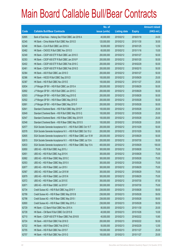|             |                                                                 | No. of        |                     |               | <b>Amount raised</b> |
|-------------|-----------------------------------------------------------------|---------------|---------------------|---------------|----------------------|
| <b>Code</b> | <b>Callable Bull/Bear Contracts</b>                             | issue (units) | <b>Listing date</b> | <b>Expiry</b> | $(HK$$ mil.)         |
| 62695       | Bank of East Asia - Haitong Sec R Bull CBBC Jan 2016 A          | 40,000,000    | 2015/02/12          | 2016/01/18    | 24.00                |
| 62345       | HK Bank - China Mobile R Bull CBBC Nov 2015 D                   | 120,000,000   | 2015/02/12          | 2015/11/30    | 30.00                |
| 62348       | HK Bank - CUni R Bull CBBC Jan 2016 A                           | 50,000,000    | 2015/02/12          | 2016/01/25    | 12.50                |
| 62482       | HK Bank - CNOOC R Bull CBBC Nov 2015 D                          | 60,000,000    | 2015/02/12          | 2015/11/16    | 15.00                |
| 62349       | HK Bank - CSOP A50 ETF R Bull CBBC Jan 2016 O                   | 200,000,000   | 2015/02/12          | 2016/01/27    | 50.00                |
| 62353       | HK Bank - CSOP A50 ETF R Bull CBBC Jan 2016 P                   | 200,000,000   | 2015/02/12          | 2016/01/20    | 50.00                |
| 62402       | HK Bank - CSOP A50 ETF R Bull CBBC Feb 2016 C                   | 200,000,000   | 2015/02/12          | 2016/02/29    | 50.00                |
| 62461       | HK Bank - CSOP A50 ETF R Bull CBBC Feb 2016 D                   | 200,000,000   | 2015/02/12          | 2016/02/15    | 50.00                |
| 62364       | HK Bank - A50 R Bull CBBC Jan 2016 O                            | 200,000,000   | 2015/02/12          | 2016/01/27    | 50.00                |
| 62386       | HK Bank - HSCEI R Bull CBBC Sep 2015 D                          | 100,000,000   | 2015/02/12          | 2015/09/29    | 25.00                |
| 62387       | HK Bank - HSI R Bull CBBC Nov 2015 E                            | 100,000,000   | 2015/02/12          | 2015/11/27    | 25.00                |
| 62634       | J P Morgan SP BV - HSI R Bull CBBC Jun 2015 A                   | 200,000,000   | 2015/02/12          | 2015/06/29    | 50.00                |
| 62692       | J P Morgan SP BV - HSI R Bull CBBC Jun 2015 C                   | 200,000,000   | 2015/02/12          | 2015/06/29    | 50.00                |
| 62503       | J P Morgan SP BV - HSI R Bull CBBC Aug 2015 E                   | 200,000,000   | 2015/02/12          | 2015/08/28    | 50.00                |
| 62502       | J P Morgan SP BV - HSI R Bear CBBC May 2015 D                   | 200,000,000   | 2015/02/12          | 2015/05/28    | 50.00                |
| 62691       | J P Morgan SP BV - HSI R Bear CBBC May 2015 F                   | 200,000,000   | 2015/02/12          | 2015/05/28    | 50.00                |
| 62641       | Standard Chartered Bank - HSI R Bull CBBC May 2015 P            | 100,000,000   | 2015/02/12          | 2015/05/28    | 25.00                |
| 62649       | Standard Chartered Bank - HSI R Bull CBBC May 2015 Q            | 100,000,000   | 2015/02/12          | 2015/05/28    | 25.00                |
| 62547       | Standard Chartered Bank - HSI R Bear CBBC May 2015 R            | 100,000,000   | 2015/02/12          | 2015/05/28    | 25.00                |
| 62548       | Standard Chartered Bank - HSI R Bear CBBC May 2015 S            | 100,000,000   | 2015/02/12          | 2015/05/28    | 25.00                |
| 62577       | SGA Societe Generale Acceptance N.V. - HSI R Bull CBBC Oct 15 T | 200,000,000   | 2015/02/12          | 2015/10/29    | 50.00                |
| 62578       | SGA Societe Generale Acceptance N.V. - HSI R Bull CBBC Oct 15 U | 200,000,000   | 2015/02/12          | 2015/10/29    | 50.00                |
| 62605       | SGA Societe Generale Acceptance N.V. - HSI R Bear CBBC Jun 15 W | 200,000,000   | 2015/02/12          | 2015/06/29    | 50.00                |
| 62615       | SGA Societe Generale Acceptance N.V. - HSI R Bear CBBC Jul 15 A | 200,000,000   | 2015/02/12          | 2015/07/30    | 50.00                |
| 62633       | SGA Societe Generale Acceptance N.V. - HSI R Bear CBBC Sep 15 A | 400,000,000   | 2015/02/12          | 2015/09/29    | 100.00               |
| 62650       | UBS AG - HSI R Bull CBBC Aug 2015 J                             | 300,000,000   | 2015/02/12          | 2015/08/28    | 75.00                |
| 62651       | UBS AG - HSI R Bull CBBC Aug 2015 K                             | 300,000,000   | 2015/02/12          | 2015/08/28    | 75.00                |
| 62682       | UBS AG - HSI R Bear CBBC May 2015 C                             | 300,000,000   | 2015/02/12          | 2015/05/28    | 75.00                |
| 62553       | UBS AG - HSI R Bear CBBC May 2015 X                             | 300,000,000   | 2015/02/12          | 2015/05/28    | 75.00                |
| 62677       | UBS AG - HSI R Bear CBBC Jun 2015 I                             | 300,000,000   | 2015/02/12          | 2015/06/29    | 75.00                |
| 62567       | UBS AG - HSI R Bear CBBC Jun 2015 M                             | 300,000,000   | 2015/02/12          | 2015/06/29    | 75.00                |
| 62679       | UBS AG - HSI R Bear CBBC Jun 2015 N                             | 300,000,000   | 2015/02/12          | 2015/06/29    | 75.00                |
| 62572       | UBS AG - HSI R Bear CBBC Jul 2015 E                             | 350,000,000   | 2015/02/12          | 2015/07/30    | 87.50                |
| 62671       | UBS AG - HSI R Bear CBBC Jul 2015 F                             | 300,000,000   | 2015/02/12          | 2015/07/30    | 75.00                |
| 62734       | Credit Suisse AG - HSI R Bull CBBC Aug 2015 Y                   | 238,000,000   | 2015/02/13          | 2015/08/28    | 59.50                |
| 62799       | Credit Suisse AG - HSI R Bear CBBC May 2015 B                   | 238,000,000   | 2015/02/13          | 2015/05/28    | 59.50                |
| 62798       | Credit Suisse AG - HSI R Bear CBBC May 2015 I                   | 238,000,000   | 2015/02/13          | 2015/05/28    | 59.50                |
| 62800       | Credit Suisse AG - HSI R Bear CBBC May 2015 J                   | 238,000,000   | 2015/02/13          | 2015/05/28    | 59.50                |
| 62729       | HK Bank - CC Bank R Bull CBBC Nov 2015 A                        | 80,000,000    | 2015/02/13          | 2015/11/30    | 20.00                |
| 62728       | HK Bank - CM Bank R Bull CBBC Oct 2015 B                        | 40,000,000    | 2015/02/13          | 2015/10/26    | 10.00                |
| 62710       | HK Bank - CSOP A50 ETF R Bear CBBC Feb 2016 B                   | 40,000,000    | 2015/02/13          | 2016/02/22    | 10.80                |
| 62724       | HK Bank - A50 R Bull CBBC Feb 2016 D                            | 200,000,000   | 2015/02/13          | 2016/02/22    | 50.00                |
| 62722       | HK Bank - A50 R Bear CBBC Feb 2016 C                            | 50,000,000    | 2015/02/13          | 2016/02/29    | 12.50                |
| 62705       | HK Bank - HSI R Bull CBBC Nov 2015 F                            | 100,000,000   | 2015/02/13          | 2015/11/27    | 25.00                |
| 62707       | HK Bank - HSI R Bull CBBC Nov 2015 G                            | 100,000,000   | 2015/02/13          | 2015/11/27    | 25.00                |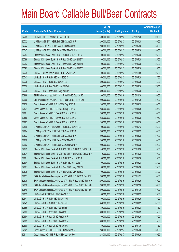|       |                                                                 | No. of        |                     |               | <b>Amount raised</b> |
|-------|-----------------------------------------------------------------|---------------|---------------------|---------------|----------------------|
| Code  | <b>Callable Bull/Bear Contracts</b>                             | issue (units) | <b>Listing date</b> | <b>Expiry</b> | $(HK$$ mil.)         |
| 62709 | HK Bank - HSI R Bear CBBC Dec 2015 D                            | 400,000,000   | 2015/02/13          | 2015/12/30    | 100.00               |
| 62732 | J P Morgan SP BV - HSI R Bull CBBC Aug 2015 P                   | 200,000,000   | 2015/02/13          | 2015/08/28    | 50.00                |
| 62744 | J P Morgan SP BV - HSI R Bear CBBC May 2015 G                   | 200,000,000   | 2015/02/13          | 2015/05/28    | 50.00                |
| 62747 | J P Morgan SP BV - HSI R Bear CBBC May 2015 H                   | 200,000,000   | 2015/02/13          | 2015/05/28    | 50.00                |
| 62784 | Standard Chartered Bank - HSI R Bull CBBC May 2015 R            | 100,000,000   | 2015/02/13          | 2015/05/28    | 25.00                |
| 62789 | Standard Chartered Bank - HSI R Bear CBBC May 2015 T            | 100,000,000   | 2015/02/13          | 2015/05/28    | 25.00                |
| 62793 | Standard Chartered Bank - HSI R Bear CBBC May 2015 U            | 100,000,000   | 2015/02/13          | 2015/05/28    | 25.00                |
| 62795 | Standard Chartered Bank - HSI R Bear CBBC May 2015 V            | 100,000,000   | 2015/02/13          | 2015/05/28    | 25.00                |
| 62779 | UBS AG - China Mobile R Bull CBBC Nov 2015 A                    | 100,000,000   | 2015/02/13          | 2015/11/09    | 25.00                |
| 62743 | UBS AG - HSI R Bull CBBC May 2015 K                             | 350,000,000   | 2015/02/13          | 2015/05/28    | 87.50                |
| 62735 | UBS AG - HSI R Bull CBBC Jun 2015 L                             | 300,000,000   | 2015/02/13          | 2015/06/29    | 75.00                |
| 62750 | UBS AG - HSI R Bear CBBC May 2015 O                             | 300,000,000   | 2015/02/13          | 2015/05/28    | 75.00                |
| 62775 | UBS AG - HSI R Bear CBBC May 2015 P                             | 300,000,000   | 2015/02/13          | 2015/05/28    | 75.00                |
| 62869 | BNP Paribas Arbit Issu B.V. - HSI R Bull CBBC Dec 2015 Z        | 200,000,000   | 2015/02/16          | 2015/12/30    | 50.00                |
| 62906 | BNP Paribas Arbit Issu B.V. - HSI R Bear CBBC Jul 2015 M        | 200,000,000   | 2015/02/16          | 2015/07/30    | 50.00                |
| 62830 | Credit Suisse AG - HSI R Bull CBBC Sep 2015 R                   | 238,000,000   | 2015/02/16          | 2015/09/29    | 59.50                |
| 62834 | Credit Suisse AG - HSI R Bull CBBC Sep 2015 S                   | 238,000,000   | 2015/02/16          | 2015/09/29    | 59.50                |
| 62881 | Credit Suisse AG - HSI R Bear CBBC May 2015 G                   | 238,000,000   | 2015/02/16          | 2015/05/28    | 59.50                |
| 62880 | Credit Suisse AG - HSI R Bear CBBC May 2015 O                   | 238,000,000   | 2015/02/16          | 2015/05/28    | 59.50                |
| 62882 | Credit Suisse AG - HSI R Bear CBBC May 2015 P                   | 238,000,000   | 2015/02/16          | 2015/05/28    | 59.50                |
| 62899 | J P Morgan SP BV - A50 China R Bull CBBC Jun 2015 B             | 100,000,000   | 2015/02/16          | 2015/06/12    | 25.00                |
| 62904 | J P Morgan SP BV - HSI R Bull CBBC Jun 2015 D                   | 200,000,000   | 2015/02/16          | 2015/06/29    | 50.00                |
| 62822 | J P Morgan SP BV - HSI R Bull CBBC Aug 2015 X                   | 200,000,000   | 2015/02/16          | 2015/08/28    | 50.00                |
| 62870 | JP Morgan SP BV - HSI R Bear CBBC May 2015 I                    | 200,000,000   | 2015/02/16          | 2015/05/28    | 50.00                |
| 62902 | J P Morgan SP BV - HSI R Bear CBBC May 2015 N                   | 200,000,000   | 2015/02/16          | 2015/05/28    | 50.00                |
| 62872 | Standard Chartered Bank - CSOP A50 ETF R Bull CBBC Oct 2015 A   | 40,000,000    | 2015/02/16          | 2015/10/28    | 10.00                |
| 62874 | Standard Chartered Bank - CSOP A50 ETF R Bear CBBC Oct 2015 A   | 40,000,000    | 2015/02/16          | 2015/10/28    | 10.00                |
| 62801 | Standard Chartered Bank - HSI R Bull CBBC May 2015 S            | 100,000,000   | 2015/02/16          | 2015/05/28    | 25.00                |
| 62804 | Standard Chartered Bank - HSI R Bull CBBC May 2015 T            | 100,000,000   | 2015/02/16          | 2015/05/28    | 25.00                |
| 62821 | Standard Chartered Bank - HSI R Bear CBBC May 2015 W            | 100,000,000   | 2015/02/16          | 2015/05/28    | 25.00                |
| 62875 | Standard Chartered Bank - HSI R Bear CBBC May 2015 X            | 100,000,000   | 2015/02/16          | 2015/05/28    | 25.00                |
| 62837 | SGA Societe Generale Acceptance N.V. - HSI R Bull CBBC Nov 15 F | 200,000,000   | 2015/02/16          | 2015/11/27    | 50.00                |
| 62839 | SGA Societe Generale Acceptance N.V. - HSI R Bear CBBC Jun 15 X | 200,000,000   | 2015/02/16          | 2015/06/29    | 50.00                |
| 62838 | SGA Societe Generale Acceptance N.V. - HSI R Bear CBBC Jul 15 B | 200,000,000   | 2015/02/16          | 2015/07/30    | 50.00                |
| 62840 | SGA Societe Generale Acceptance N.V. - HSI R Bear CBBC Jul 15 C | 200,000,000   | 2015/02/16          | 2015/07/30    | 50.00                |
| 62852 | UBS AG - HSCEI R Bull CBBC Sep 2015 E                           | 100,000,000   | 2015/02/16          | 2015/09/29    | 25.00                |
| 62841 | UBS AG - HSI R Bull CBBC Jun 2015 M                             | 300,000,000   | 2015/02/16          | 2015/06/29    | 75.00                |
| 62845 | UBS AG - HSI R Bull CBBC Jun 2015 U                             | 350,000,000   | 2015/02/16          | 2015/06/29    | 87.50                |
| 62855 | UBS AG - HSI R Bull CBBC Aug 2015 L                             | 350,000,000   | 2015/02/16          | 2015/08/28    | 87.50                |
| 62883 | UBS AG - HSI R Bear CBBC Jun 2015 O                             | 300,000,000   | 2015/02/16          | 2015/06/29    | 75.00                |
| 62894 | UBS AG - HSI R Bear CBBC Jun 2015 R                             | 300,000,000   | 2015/02/16          | 2015/06/29    | 75.00                |
| 62885 | UBS AG - HSI R Bear CBBC Jun 2015 V                             | 300,000,000   | 2015/02/16          | 2015/06/29    | 75.00                |
| 62898 | UBS AG - HSI R Bear CBBC Jul 2015 G                             | 350,000,000   | 2015/02/16          | 2015/07/30    | 87.50                |
| 62921 | Credit Suisse AG - HSI R Bull CBBC May 2015 Q                   | 238,000,000   | 2015/02/17          | 2015/05/28    | 59.50                |
| 62911 | Credit Suisse AG - HSI R Bull CBBC Jun 2015 G                   | 238,000,000   | 2015/02/17          | 2015/06/29    | 59.50                |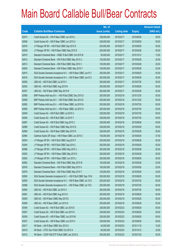|       |                                                                 | No. of        |                     |               | <b>Amount raised</b> |
|-------|-----------------------------------------------------------------|---------------|---------------------|---------------|----------------------|
| Code  | <b>Callable Bull/Bear Contracts</b>                             | issue (units) | <b>Listing date</b> | <b>Expiry</b> | $(HK$$ mil.)         |
| 62910 | Credit Suisse AG - HSI R Bear CBBC Jun 2015 L                   | 238,000,000   | 2015/02/17          | 2015/06/29    | 59.50                |
| 62908 | Credit Suisse AG - HSI R Bear CBBC Jun 2015 U                   | 238,000,000   | 2015/02/17          | 2015/06/29    | 59.50                |
| 62918 | J P Morgan SP BV - HSI R Bull CBBC Sep 2015 K                   | 200,000,000   | 2015/02/17          | 2015/09/29    | 50.00                |
| 62926 | J P Morgan SP BV - HSI R Bear CBBC May 2015 E                   | 200,000,000   | 2015/02/17          | 2015/05/28    | 50.00                |
| 62919 | Standard Chartered Bank - HSBC R Bull CBBC Oct 2015 B           | 50,000,000    | 2015/02/17          | 2015/10/12    | 12.50                |
| 62912 | Standard Chartered Bank - HSI R Bull CBBC May 2015 U            | 100,000,000   | 2015/02/17          | 2015/05/28    | 25.00                |
| 62913 | Standard Chartered Bank - HSI R Bull CBBC May 2015 V            | 100,000,000   | 2015/02/17          | 2015/05/28    | 25.00                |
| 62920 | Standard Chartered Bank - HSI R Bear CBBC May 2015 Y            | 100,000,000   | 2015/02/17          | 2015/05/28    | 25.00                |
| 62915 | SGA Societe Generale Acceptance N.V. - HSI R Bear CBBC Jun15 Y  | 200,000,000   | 2015/02/17          | 2015/06/29    | 50.00                |
| 62916 | SGA Societe Generale Acceptance N.V. - HSI R Bear CBBC Jun15 Z  | 200,000,000   | 2015/02/17          | 2015/06/29    | 50.00                |
| 62928 | UBS AG - HSI R Bull CBBC Jul 2015 V                             | 200,000,000   | 2015/02/17          | 2015/07/30    | 50.00                |
| 62932 | UBS AG - HSI R Bull CBBC Aug 2015 N                             | 200,000,000   | 2015/02/17          | 2015/08/28    | 50.00                |
| 62927 | UBS AG - HSI R Bear CBBC May 2015 W                             | 200,000,000   | 2015/02/17          | 2015/05/28    | 50.00                |
| 62958 | BNP Paribas Arbit Issu B.V. - HSI R Bull CBBC Dec 2015 D        | 200,000,000   | 2015/02/18          | 2015/12/30    | 50.00                |
| 62959 | BNP Paribas Arbit Issu B.V. - HSI R Bull CBBC Dec 2015 E        | 200,000,000   | 2015/02/18          | 2015/12/30    | 50.00                |
| 62992 | BNP Paribas Arbit Issu B.V. - HSI R Bear CBBC Jul 2015 N        | 200,000,000   | 2015/02/18          | 2015/07/30    | 50.00                |
| 62995 | BNP Paribas Arbit Issu B.V. - HSI R Bear CBBC Jul 2015 O        | 200,000,000   | 2015/02/18          | 2015/07/30    | 50.00                |
| 62949 | Credit Suisse AG - HSI R Bull CBBC Jul 2015 X                   | 238,000,000   | 2015/02/18          | 2015/07/30    | 59.50                |
| 62936 | Credit Suisse AG - HSI R Bull CBBC Jul 2015 Y                   | 238,000,000   | 2015/02/18          | 2015/07/30    | 59.50                |
| 62987 | Credit Suisse AG - HSI R Bull CBBC Aug 2015 C                   | 238,000,000   | 2015/02/18          | 2015/08/28    | 59.50                |
| 62989 | Credit Suisse AG - HSI R Bear CBBC May 2015 Q                   | 238,000,000   | 2015/02/18          | 2015/05/28    | 59.50                |
| 62990 | Credit Suisse AG - HSI R Bear CBBC May 2015 R                   | 238,000,000   | 2015/02/18          | 2015/05/28    | 59.50                |
| 62984 | Goldman Sachs SP (Asia) - HSI R Bear CBBC Jun 2015 C            | 150,000,000   | 2015/02/18          | 2015/06/29    | 37.50                |
| 62934 | J P Morgan SP BV - HSI R Bull CBBC Aug 2015 F                   | 200,000,000   | 2015/02/18          | 2015/08/28    | 50.00                |
| 63004 | J P Morgan SP BV - HSI R Bull CBBC Sep 2015 L                   | 200,000,000   | 2015/02/18          | 2015/09/29    | 50.00                |
| 62986 | J P Morgan SP BV - HSI R Bear CBBC May 2015 J                   | 200,000,000   | 2015/02/18          | 2015/05/28    | 50.00                |
| 63003 | J P Morgan SP BV - HSI R Bear CBBC May 2015 K                   | 200,000,000   | 2015/02/18          | 2015/05/28    | 50.00                |
| 63002 | J P Morgan SP BV - HSI R Bear CBBC Jun 2015 J                   | 200,000,000   | 2015/02/18          | 2015/06/29    | 50.00                |
| 62962 | Standard Chartered Bank - HSI R Bull CBBC May 2015 W            | 100,000,000   | 2015/02/18          | 2015/05/28    | 25.00                |
| 62978 | Standard Chartered Bank - HSI R Bull CBBC May 2015 X            | 100,000,000   | 2015/02/18          | 2015/05/28    | 25.00                |
| 62979 | Standard Chartered Bank - HSI R Bull CBBC May 2015 Y            | 100,000,000   | 2015/02/18          | 2015/05/28    | 25.00                |
| 62950 | SGA Societe Generale Acceptance N.V. - HSI R Bull CBBC Sep 15 M | 200,000,000   | 2015/02/18          | 2015/09/29    | 50.00                |
| 62955 | SGA Societe Generale Acceptance N.V. - HSI R Bear CBBC Jul 15 D | 200,000,000   | 2015/02/18          | 2015/07/30    | 50.00                |
| 62996 | SGA Societe Generale Acceptance N.V. - HSI R Bear CBBC Jul 15 E | 200,000,000   | 2015/02/18          | 2015/07/30    | 50.00                |
| 62983 | UBS AG - HSI R Bull CBBC Jul 2015 X                             | 200,000,000   | 2015/02/18          | 2015/07/30    | 50.00                |
| 62981 | UBS AG - HSI R Bull CBBC Aug 2015 O                             | 200,000,000   | 2015/02/18          | 2015/08/28    | 50.00                |
| 63005 | UBS AG - HSI R Bear CBBC May 2015 E                             | 200,000,000   | 2015/02/18          | 2015/05/28    | 50.00                |
| 63006 | UBS AG - HSI R Bear CBBC Jun 2015 S                             | 200,000,000   | 2015/02/18          | 2015/06/29    | 50.00                |
| 63046 | Credit Suisse AG - HSI R Bull CBBC Jun 2015 E                   | 238,000,000   | 2015/02/23          | 2015/06/29    | 59.50                |
| 63057 | Credit Suisse AG - HSI R Bull CBBC Jun 2015 H                   | 238,000,000   | 2015/02/23          | 2015/06/29    | 59.50                |
| 63039 | Credit Suisse AG - HSI R Bear CBBC Jun 2015 M                   | 238,000,000   | 2015/02/23          | 2015/06/29    | 59.50                |
| 63037 | Credit Suisse AG - HSI R Bear CBBC Jun 2015 V                   | 238,000,000   | 2015/02/23          | 2015/06/29    | 59.50                |
| 63017 | HK Bank - AIA R Bear CBBC Nov 2015 A                            | 40,000,000    | 2015/02/23          | 2015/11/16    | 10.00                |
| 63019 | HK Bank - CITIC Sec R Bull CBBC Oct 2015 A                      | 60,000,000    | 2015/02/23          | 2015/10/12    | 22.80                |
| 63010 | HK Bank - CSOP A50 ETF R Bull CBBC Jan 2016 Q                   | 200,000,000   | 2015/02/23          | 2016/01/25    | 50.00                |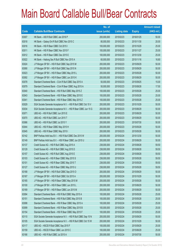|       |                                                                 | No. of        |                     |               | <b>Amount raised</b> |
|-------|-----------------------------------------------------------------|---------------|---------------------|---------------|----------------------|
| Code  | <b>Callable Bull/Bear Contracts</b>                             | issue (units) | <b>Listing date</b> | <b>Expiry</b> | (HK\$ mil.)          |
| 63007 | HK Bank - A50 R Bull CBBC Jan 2016 P                            | 200,000,000   | 2015/02/23          | 2016/01/25    | 50.00                |
| 63018 | HK Bank - Galaxy Ent R Bull CBBC Nov 2015 C                     | 80,000,000    | 2015/02/23          | 2015/11/30    | 20.00                |
| 63016 | HK Bank - HSI R Bear CBBC Oct 2015 I                            | 100,000,000   | 2015/02/23          | 2015/10/29    | 25.00                |
| 63011 | HK Bank - HSI R Bear CBBC Nov 2015 F                            | 100,000,000   | 2015/02/23          | 2015/11/27    | 25.00                |
| 63012 | HK Bank - HSI R Bear CBBC Dec 2015 E                            | 100,000,000   | 2015/02/23          | 2015/12/30    | 25.00                |
| 63022 | HK Bank - Haitong Sec R Bull CBBC Nov 2015 A                    | 60,000,000    | 2015/02/23          | 2015/11/16    | 16.80                |
| 63024 | J P Morgan SP BV - HSI R Bull CBBC Sep 2015 M                   | 200,000,000   | 2015/02/23          | 2015/09/29    | 50.00                |
| 63090 | J P Morgan SP BV - HSI R Bull CBBC Sep 2015 N                   | 200,000,000   | 2015/02/23          | 2015/09/29    | 50.00                |
| 63023 | J P Morgan SP BV - HSI R Bear CBBC May 2015 L                   | 200,000,000   | 2015/02/23          | 2015/05/28    | 50.00                |
| 63092 | J P Morgan SP BV - HSI R Bear CBBC Jun 2015 K                   | 200,000,000   | 2015/02/23          | 2015/06/29    | 50.00                |
| 63078 | Standard Chartered Bank - CUni R Bull CBBC Sep 2015 A           | 50,000,000    | 2015/02/23          | 2015/09/25    | 15.00                |
| 63079 | Standard Chartered Bank - CUni R Bear CBBC Aug 2015 A           | 50,000,000    | 2015/02/23          | 2015/08/28    | 17.50                |
| 63040 | Standard Chartered Bank - HSI R Bull CBBC May 2015 Z            | 100,000,000   | 2015/02/23          | 2015/05/28    | 25.00                |
| 63043 | Standard Chartered Bank - HSI R Bear CBBC May 2015 E            | 100,000,000   | 2015/02/23          | 2015/05/28    | 25.00                |
| 63041 | Standard Chartered Bank - HSI R Bear CBBC May 2015 Z            | 100,000,000   | 2015/02/23          | 2015/05/28    | 25.00                |
| 63029 | SGA Societe Generale Acceptance N.V. - HSI R Bull CBBC Oct 15 V | 200,000,000   | 2015/02/23          | 2015/10/29    | 50.00                |
| 63034 | SGA Societe Generale Acceptance N.V. - HSI R Bear CBBC Jun 15 G | 200,000,000   | 2015/02/23          | 2015/06/29    | 50.00                |
| 63071 | UBS AG - HSI R Bull CBBC Jun 2015 E                             | 200,000,000   | 2015/02/23          | 2015/06/29    | 50.00                |
| 63070 | UBS AG - HSI R Bull CBBC Jun 2015 T                             | 200,000,000   | 2015/02/23          | 2015/06/29    | 50.00                |
| 63066 | UBS AG - HSI R Bull CBBC Jul 2015 Y                             | 200,000,000   | 2015/02/23          | 2015/07/30    | 50.00                |
| 63044 | UBS AG - HSI R Bear CBBC May 2015 H                             | 200,000,000   | 2015/02/23          | 2015/05/28    | 50.00                |
| 63045 | UBS AG - HSI R Bear CBBC May 2015 I                             | 200,000,000   | 2015/02/23          | 2015/05/28    | 50.00                |
| 63142 | BNP Paribas Arbit Issu B.V. - HSI R Bull CBBC Dec 2015 W        | 200,000,000   | 2015/02/24          | 2015/12/30    | 50.00                |
| 63149 | BNP Paribas Arbit Issu B.V. - HSI R Bear CBBC Jun 2015 U        | 200,000,000   | 2015/02/24          | 2015/06/29    | 50.00                |
| 63137 | Credit Suisse AG - HSI R Bull CBBC Aug 2015 A                   | 238,000,000   | 2015/02/24          | 2015/08/28    | 59.50                |
| 63129 | Credit Suisse AG - HSI R Bull CBBC Aug 2015 D                   | 238,000,000   | 2015/02/24          | 2015/08/28    | 59.50                |
| 63157 | Credit Suisse AG - HSI R Bull CBBC Aug 2015 E                   | 238,000,000   | 2015/02/24          | 2015/08/28    | 59.50                |
| 63103 | Credit Suisse AG - HSI R Bear CBBC May 2015 S                   | 238,000,000   | 2015/02/24          | 2015/05/28    | 59.50                |
| 63101 | Credit Suisse AG - HSI R Bear CBBC May 2015 T                   | 238,000,000   | 2015/02/24          | 2015/05/28    | 59.50                |
| 63127 | Credit Suisse AG - HSI R Bear CBBC May 2015 U                   | 238,000,000   | 2015/02/24          | 2015/05/28    | 59.50                |
| 63168 | J P Morgan SP BV - HSI R Bull CBBC Sep 2015 O                   | 200,000,000   | 2015/02/24          | 2015/09/29    | 50.00                |
| 63167 | J P Morgan SP BV - HSI R Bull CBBC Oct 2015 A                   | 200,000,000   | 2015/02/24          | 2015/10/29    | 50.00                |
| 63165 | J P Morgan SP BV - HSI R Bear CBBC May 2015 M                   | 200,000,000   | 2015/02/24          | 2015/05/28    | 50.00                |
| 63100 | J P Morgan SP BV - HSI R Bear CBBC Jun 2015 L                   | 200,000,000   | 2015/02/24          | 2015/06/29    | 50.00                |
| 63169 | J P Morgan SP BV - HSI R Bear CBBC Jun 2015 M                   | 200,000,000   | 2015/02/24          | 2015/06/29    | 50.00                |
| 63094 | Standard Chartered Bank - HSI R Bull CBBC May 2015 A            | 100,000,000   | 2015/02/24          | 2015/05/28    | 25.00                |
| 63151 | Standard Chartered Bank - HSI R Bull CBBC May 2015 B            | 100,000,000   | 2015/02/24          | 2015/05/28    | 25.00                |
| 63098 | Standard Chartered Bank - HSI R Bear CBBC May 2015 A            | 100,000,000   | 2015/02/24          | 2015/05/28    | 25.00                |
| 63099 | Standard Chartered Bank - HSI R Bear CBBC May 2015 B            | 100,000,000   | 2015/02/24          | 2015/05/28    | 25.00                |
| 63154 | Standard Chartered Bank - HSI R Bear CBBC May 2015 F            | 100,000,000   | 2015/02/24          | 2015/05/28    | 25.00                |
| 63110 | SGA Societe Generale Acceptance N.V. - HSI R Bull CBBC Sep 15 N | 200,000,000   | 2015/02/24          | 2015/09/29    | 50.00                |
| 63105 | SGA Societe Generale Acceptance N.V. - HSI R Bull CBBC Oct 15 W | 200,000,000   | 2015/02/24          | 2015/10/29    | 50.00                |
| 63117 | UBS AG - HSCEI R Bull CBBC Sep 2015 F                           | 100,000,000   | 2015/02/24          | 2015/09/29    | 25.00                |
| 63159 | UBS AG - HSCEI R Bear CBBC Jun 2015 C                           | 100,000,000   | 2015/02/24          | 2015/06/29    | 25.00                |
| 63166 | UBS AG - HSI R Bull CBBC Jul 2015 A                             | 200,000,000   | 2015/02/24          | 2015/07/30    | 50.00                |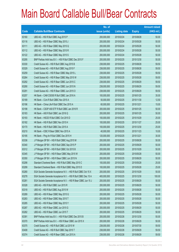|       |                                                                 | No. of        |                     |               | <b>Amount raised</b> |
|-------|-----------------------------------------------------------------|---------------|---------------------|---------------|----------------------|
| Code  | <b>Callable Bull/Bear Contracts</b>                             | issue (units) | <b>Listing date</b> | <b>Expiry</b> | $(HK$$ mil.)         |
| 63160 | UBS AG - HSI R Bull CBBC Aug 2015 P                             | 200,000,000   | 2015/02/24          | 2015/08/28    | 50.00                |
| 63116 | UBS AG - HSI R Bear CBBC May 2015 J                             | 200,000,000   | 2015/02/24          | 2015/05/28    | 50.00                |
| 63111 | UBS AG - HSI R Bear CBBC May 2015 Q                             | 200,000,000   | 2015/02/24          | 2015/05/28    | 50.00                |
| 63112 | UBS AG - HSI R Bear CBBC May 2015 R                             | 200,000,000   | 2015/02/24          | 2015/05/28    | 50.00                |
| 63122 | UBS AG - HSI R Bear CBBC May 2015 S                             | 200,000,000   | 2015/02/24          | 2015/05/28    | 50.00                |
| 63295 | BNP Paribas Arbit Issu B.V. - HSI R Bull CBBC Dec 2015 F        | 200,000,000   | 2015/02/25          | 2015/12/30    | 50.00                |
| 63330 | Credit Suisse AG - HSI R Bull CBBC Aug 2015 B                   | 238,000,000   | 2015/02/25          | 2015/08/28    | 59.50                |
| 63329 | Credit Suisse AG - HSI R Bull CBBC Aug 2015 F                   | 238,000,000   | 2015/02/25          | 2015/08/28    | 59.50                |
| 63259 | Credit Suisse AG - HSI R Bear CBBC May 2015 L                   | 238,000,000   | 2015/02/25          | 2015/05/28    | 59.50                |
| 63264 | Credit Suisse AG - HSI R Bear CBBC May 2015 W                   | 238,000,000   | 2015/02/25          | 2015/05/28    | 59.50                |
| 63292 | Credit Suisse AG - HSI R Bear CBBC Jun 2015 C                   | 238,000,000   | 2015/02/25          | 2015/06/29    | 59.50                |
| 63290 | Credit Suisse AG - HSI R Bear CBBC Jun 2015 N                   | 238,000,000   | 2015/02/25          | 2015/06/29    | 59.50                |
| 63291 | Credit Suisse AG - HSI R Bear CBBC Jun 2015 O                   | 238,000,000   | 2015/02/25          | 2015/06/29    | 59.50                |
| 63257 | HK Bank - CAM CSI300 R Bull CBBC Jan 2016 A                     | 100,000,000   | 2015/02/25          | 2016/01/25    | 35.00                |
| 63189 | HK Bank - CUni R Bull CBBC Nov 2015 A                           | 50,000,000    | 2015/02/25          | 2015/11/30    | 12.50                |
| 63196 | HK Bank - China Life R Bull CBBC Dec 2015 A                     | 60,000,000    | 2015/02/25          | 2015/12/21    | 15.00                |
| 63198 | HK Bank - CSOP A50 ETF R Bull CBBC Jan 2016 R                   | 200,000,000   | 2015/02/25          | 2016/01/25    | 50.00                |
| 63183 | HK Bank - A50 R Bull CBBC Jan 2016 Q                            | 200,000,000   | 2015/02/25          | 2016/01/25    | 50.00                |
| 63193 | HK Bank - HSCEI R Bull CBBC Oct 2015 D                          | 100,000,000   | 2015/02/25          | 2015/10/29    | 25.00                |
| 63182 | HK Bank - HSI R Bull CBBC Nov 2015 H                            | 100,000,000   | 2015/02/25          | 2015/11/27    | 25.00                |
| 63170 | HK Bank - HSI R Bull CBBC Dec 2015 A                            | 100,000,000   | 2015/02/25          | 2015/12/30    | 25.00                |
| 63210 | HK Bank - ICBC R Bear CBBC Nov 2015 A                           | 40,000,000    | 2015/02/25          | 2015/11/23    | 10.00                |
| 63195 | HK Bank - Ping An R Bull CBBC Dec 2015 H                        | 120,000,000   | 2015/02/25          | 2015/12/21    | 30.00                |
| 63336 | J P Morgan SP BV - HSI R Bull CBBC Aug 2015 M                   | 200,000,000   | 2015/02/25          | 2015/08/28    | 50.00                |
| 63340 | J P Morgan SP BV - HSI R Bull CBBC Sep 2015 P                   | 200,000,000   | 2015/02/25          | 2015/09/29    | 50.00                |
| 63312 | J P Morgan SP BV - HSI R Bull CBBC Oct 2015 B                   | 200,000,000   | 2015/02/25          | 2015/10/29    | 50.00                |
| 63345 | J P Morgan SP BV - HSI R Bear CBBC May 2015 W                   | 200,000,000   | 2015/02/25          | 2015/05/28    | 50.00                |
| 63350 | J P Morgan SP BV - HSI R Bear CBBC Jun 2015 N                   | 200,000,000   | 2015/02/25          | 2015/06/29    | 50.00                |
| 63298 | Standard Chartered Bank - HSI R Bull CBBC May 2015 C            | 100,000,000   | 2015/02/25          | 2015/05/28    | 25.00                |
| 63299 | Standard Chartered Bank - HSI R Bull CBBC May 2015 D            | 100,000,000   | 2015/02/25          | 2015/05/28    | 25.00                |
| 63280 | SGA Societe Generale Acceptance N.V. - HSI R Bull CBBC Oct 15 X | 200,000,000   | 2015/02/25          | 2015/10/29    | 50.00                |
| 63278 | SGA Societe Generale Acceptance N.V. - HSI R Bull CBBC Dec 15 A | 400,000,000   | 2015/02/25          | 2015/12/30    | 100.00               |
| 63281 | SGA Societe Generale Acceptance N.V. - HSI R Bear CBBC Jun 15 J | 200,000,000   | 2015/02/25          | 2015/06/29    | 50.00                |
| 63328 | UBS AG - HSI R Bull CBBC Jun 2015 R                             | 200,000,000   | 2015/02/25          | 2015/06/29    | 50.00                |
| 63318 | UBS AG - HSI R Bull CBBC Aug 2015 W                             | 200,000,000   | 2015/02/25          | 2015/08/28    | 50.00                |
| 63289 | UBS AG - HSI R Bear CBBC May 2015 G                             | 200,000,000   | 2015/02/25          | 2015/05/28    | 50.00                |
| 63283 | UBS AG - HSI R Bear CBBC May 2015 T                             | 200,000,000   | 2015/02/25          | 2015/05/28    | 50.00                |
| 63285 | UBS AG - HSI R Bear CBBC May 2015 Y                             | 200,000,000   | 2015/02/25          | 2015/05/28    | 50.00                |
| 63287 | UBS AG - HSI R Bear CBBC Jun 2015 G                             | 200,000,000   | 2015/02/25          | 2015/06/29    | 50.00                |
| 63282 | UBS AG - HSI R Bear CBBC Jun 2015 T                             | 200,000,000   | 2015/02/25          | 2015/06/29    | 50.00                |
| 63391 | BNP Paribas Arbit Issu B.V. - HSI R Bull CBBC Dec 2015 B        | 200,000,000   | 2015/02/26          | 2015/12/30    | 50.00                |
| 63370 | BNP Paribas Arbit Issu B.V. - HSI R Bear CBBC Jun 2015 X        | 200,000,000   | 2015/02/26          | 2015/06/29    | 50.00                |
| 63375 | Credit Suisse AG - HSI R Bull CBBC Jul 2015 W                   | 238,000,000   | 2015/02/26          | 2015/07/30    | 59.50                |
| 63408 | Credit Suisse AG - HSI R Bull CBBC Sep 2015 T                   | 238,000,000   | 2015/02/26          | 2015/09/29    | 59.50                |
| 63374 | Credit Suisse AG - HSI R Bear CBBC Jun 2015 A                   | 238,000,000   | 2015/02/26          | 2015/06/29    | 59.50                |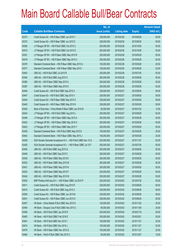|       |                                                                 | No. of        |                     |               | <b>Amount raised</b> |
|-------|-----------------------------------------------------------------|---------------|---------------------|---------------|----------------------|
| Code  | <b>Callable Bull/Bear Contracts</b>                             | issue (units) | <b>Listing date</b> | <b>Expiry</b> | (HK\$ mil.)          |
| 63373 | Credit Suisse AG - HSI R Bear CBBC Jun 2015 Y                   | 238,000,000   | 2015/02/26          | 2015/06/29    | 59.50                |
| 63372 | Credit Suisse AG - HSI R Bear CBBC Jun 2015 Z                   | 238,000,000   | 2015/02/26          | 2015/06/29    | 59.50                |
| 63390 | J P Morgan SP BV - HSI R Bull CBBC Oct 2015 C                   | 200,000,000   | 2015/02/26          | 2015/10/29    | 50.00                |
| 63415 | J P Morgan SP BV - HSI R Bull CBBC Oct 2015 D                   | 200,000,000   | 2015/02/26          | 2015/10/29    | 50.00                |
| 63351 | J P Morgan SP BV - HSI R Bear CBBC May 2015 R                   | 200,000,000   | 2015/02/26          | 2015/05/28    | 50.00                |
| 63418 | J P Morgan SP BV - HSI R Bear CBBC May 2015 U                   | 200,000,000   | 2015/02/26          | 2015/05/28    | 50.00                |
| 63376 | Standard Chartered Bank - HSI R Bear CBBC May 2015 G            | 100,000,000   | 2015/02/26          | 2015/05/28    | 25.00                |
| 63377 | Standard Chartered Bank - HSI R Bear CBBC May 2015 I            | 100,000,000   | 2015/02/26          | 2015/05/28    | 25.00                |
| 63403 | UBS AG - HSI R Bull CBBC Jul 2015 R                             | 200,000,000   | 2015/02/26          | 2015/07/30    | 50.00                |
| 63392 | UBS AG - HSI R Bull CBBC Aug 2015 X                             | 200,000,000   | 2015/02/26          | 2015/08/28    | 50.00                |
| 63380 | UBS AG - HSI R Bear CBBC May 2015 A                             | 200,000,000   | 2015/02/26          | 2015/05/28    | 50.00                |
| 63387 | UBS AG - HSI R Bear CBBC May 2015 K                             | 200,000,000   | 2015/02/26          | 2015/05/28    | 50.00                |
| 63446 | Credit Suisse AG - HSI R Bull CBBC Sep 2015 U                   | 238,000,000   | 2015/02/27          | 2015/09/29    | 59.50                |
| 63447 | Credit Suisse AG - HSI R Bull CBBC Sep 2015 V                   | 238,000,000   | 2015/02/27          | 2015/09/29    | 59.50                |
| 63444 | Credit Suisse AG - HSI R Bear CBBC May 2015 C                   | 238,000,000   | 2015/02/27          | 2015/05/28    | 59.50                |
| 63445 | Credit Suisse AG - HSI R Bear CBBC May 2015 K                   | 238,000,000   | 2015/02/27          | 2015/05/28    | 59.50                |
| 63420 | Bank of East Asia - China Mobile R Bear CBBC Jan 2016 B         | 50,000,000    | 2015/02/27          | 2016/01/22    | 12.50                |
| 63424 | J P Morgan SP BV - HSI R Bull CBBC Aug 2015 L                   | 200,000,000   | 2015/02/27          | 2015/08/28    | 50.00                |
| 63448 | J P Morgan SP BV - HSI R Bear CBBC May 2015 A                   | 200,000,000   | 2015/02/27          | 2015/05/28    | 50.00                |
| 63422 | J P Morgan SP BV - HSI R Bear CBBC May 2015 X                   | 200,000,000   | 2015/02/27          | 2015/05/28    | 50.00                |
| 63423 | J P Morgan SP BV - HSI R Bear CBBC May 2015 Y                   | 200,000,000   | 2015/02/27          | 2015/05/28    | 50.00                |
| 63436 | Standard Chartered Bank - HSI R Bull CBBC May 2015 E            | 100,000,000   | 2015/02/27          | 2015/05/28    | 25.00                |
| 63442 | Standard Chartered Bank - HSI R Bear CBBC May 2015 J            | 100,000,000   | 2015/02/27          | 2015/05/28    | 25.00                |
| 63428 | SGA Societe Generale Acceptance N.V. - HSI R Bull CBBC Nov 15 G | 200,000,000   | 2015/02/27          | 2015/11/27    | 50.00                |
| 63429 | SGA Societe Generale Acceptance N.V. - HSI R Bear CBBC Jul 15 F | 200,000,000   | 2015/02/27          | 2015/07/30    | 50.00                |
| 63450 | UBS AG - HSI R Bull CBBC Aug 2015 Q                             | 200,000,000   | 2015/02/27          | 2015/08/28    | 50.00                |
| 63449 | UBS AG - HSI R Bull CBBC Sep 2015 C                             | 200,000,000   | 2015/02/27          | 2015/09/29    | 50.00                |
| 63435 | UBS AG - HSI R Bear CBBC May 2015 E                             | 200,000,000   | 2015/02/27          | 2015/05/28    | 50.00                |
| 63433 | UBS AG - HSI R Bear CBBC May 2015 M                             | 200,000,000   | 2015/02/27          | 2015/05/28    | 50.00                |
| 63431 | UBS AG - HSI R Bear CBBC May 2015 N                             | 200,000,000   | 2015/02/27          | 2015/05/28    | 50.00                |
| 63432 | UBS AG - HSI R Bear CBBC May 2015 P                             | 200,000,000   | 2015/02/27          | 2015/05/28    | 50.00                |
| 63434 | UBS AG - HSI R Bear CBBC May 2015 W                             | 200,000,000   | 2015/02/27          | 2015/05/28    | 50.00                |
| 63453 | BNP Paribas Arbit Issu B.V. - HSI R Bear CBBC Jul 2015 P        | 200,000,000   | 2015/03/02          | 2015/07/30    | 50.00                |
| 63511 | Credit Suisse AG - HSI R Bull CBBC Aug 2015 R                   | 238,000,000   | 2015/03/02          | 2015/08/28    | 59.50                |
| 63518 | Credit Suisse AG - HSI R Bull CBBC Aug 2015 Z                   | 238,000,000   | 2015/03/02          | 2015/08/28    | 59.50                |
| 63539 | Credit Suisse AG - HSI R Bear CBBC Jun 2015 B                   | 238,000,000   | 2015/03/02          | 2015/06/29    | 59.50                |
| 63541 | Credit Suisse AG - HSI R Bear CBBC Jun 2015 D                   | 238,000,000   | 2015/03/02          | 2015/06/29    | 59.50                |
| 63457 | HK Bank - China Mobile R Bull CBBC Nov 2015 E                   | 120,000,000   | 2015/03/02          | 2015/11/02    | 30.00                |
| 63454 | HK Bank - Sinopec Corp R Bull CBBC Nov 2015 C                   | 80,000,000    | 2015/03/02          | 2015/11/09    | 20.00                |
| 63456 | HK Bank - A50 R Bull CBBC Jan 2016 R                            | 200,000,000   | 2015/03/02          | 2016/01/18    | 50.00                |
| 63455 | HK Bank - A50 R Bull CBBC Feb 2016 E                            | 200,000,000   | 2015/03/02          | 2016/02/01    | 50.00                |
| 63461 | HK Bank - HSI R Bull CBBC Nov 2015 I                            | 100,000,000   | 2015/03/02          | 2015/11/27    | 25.00                |
| 63474 | HK Bank - HSI R Bull CBBC Nov 2015 J                            | 100,000,000   | 2015/03/02          | 2015/11/27    | 25.00                |
| 63476 | HK Bank - HSI R Bear CBBC Nov 2015 G                            | 100,000,000   | 2015/03/02          | 2015/11/27    | 25.00                |
| 63480 | HK Bank - PetCh R Bull CBBC Dec 2015 C                          | 60,000,000    | 2015/03/02          | 2015/12/07    | 15.00                |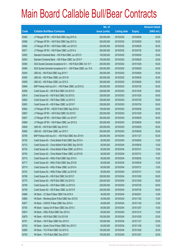|       |                                                                 | No. of        |                     |               | <b>Amount raised</b> |
|-------|-----------------------------------------------------------------|---------------|---------------------|---------------|----------------------|
| Code  | <b>Callable Bull/Bear Contracts</b>                             | issue (units) | <b>Listing date</b> | <b>Expiry</b> | $(HK$$ mil.)         |
| 63492 | J P Morgan SP BV - HSI R Bull CBBC Aug 2015 Q                   | 200,000,000   | 2015/03/02          | 2015/08/28    | 50.00                |
| 63589 | J P Morgan SP BV - HSI R Bull CBBC Sep 2015 Q                   | 200,000,000   | 2015/03/02          | 2015/09/29    | 50.00                |
| 63564 | J P Morgan SP BV - HSI R Bear CBBC Jun 2015 O                   | 200,000,000   | 2015/03/02          | 2015/06/29    | 50.00                |
| 63571 | J P Morgan SP BV - HSI R Bear CBBC Jul 2015 A                   | 200,000,000   | 2015/03/02          | 2015/07/30    | 50.00                |
| 63502 | Standard Chartered Bank - HSI R Bull CBBC Jun 2015 O            | 100,000,000   | 2015/03/02          | 2015/06/29    | 25.00                |
| 63503 | Standard Chartered Bank - HSI R Bear CBBC Jun 2015 F            | 100,000,000   | 2015/03/02          | 2015/06/29    | 25.00                |
| 63484 | SGA Societe Generale Acceptance N.V. - HSI R Bull CBBC Oct 15 Y | 200,000,000   | 2015/03/02          | 2015/10/29    | 50.00                |
| 63485 | SGA Societe Generale Acceptance N.V. - HSI R Bear CBBC Jun 15 K | 200,000,000   | 2015/03/02          | 2015/06/29    | 50.00                |
| 63544 | UBS AG - HSI R Bull CBBC Aug 2015 Y                             | 200,000,000   | 2015/03/02          | 2015/08/28    | 50.00                |
| 63550 | UBS AG - HSI R Bear CBBC Jun 2015 W                             | 200,000,000   | 2015/03/02          | 2015/06/29    | 50.00                |
| 63559 | UBS AG - HSI R Bear CBBC Jun 2015 X                             | 200,000,000   | 2015/03/02          | 2015/06/29    | 50.00                |
| 63646 | BNP Paribas Arbit Issu B.V. - HSI R Bear CBBC Jul 2015 Q        | 200,000,000   | 2015/03/03          | 2015/07/30    | 50.00                |
| 63590 | Credit Suisse AG - HSI R Bull CBBC Oct 2015 D                   | 238,000,000   | 2015/03/03          | 2015/10/29    | 59.50                |
| 63616 | Credit Suisse AG - HSI R Bull CBBC Oct 2015 E                   | 238,000,000   | 2015/03/03          | 2015/10/29    | 59.50                |
| 63652 | Credit Suisse AG - HSI R Bear CBBC Jul 2015 O                   | 238,000,000   | 2015/03/03          | 2015/07/30    | 59.50                |
| 63653 | Credit Suisse AG - HSI R Bear CBBC Jul 2015 P                   | 238,000,000   | 2015/03/03          | 2015/07/30    | 59.50                |
| 63654 | J P Morgan SP BV - HSCEI R Bull CBBC Sep 2015 A                 | 100,000,000   | 2015/03/03          | 2015/09/29    | 25.00                |
| 63657 | J P Morgan SP BV - HSI R Bull CBBC Oct 2015 E                   | 200,000,000   | 2015/03/03          | 2015/10/29    | 50.00                |
| 63637 | J P Morgan SP BV - HSI R Bear CBBC Jun 2015 P                   | 200,000,000   | 2015/03/03          | 2015/06/29    | 50.00                |
| 63669 | J P Morgan SP BV - HSI R Bear CBBC Jun 2015 Q                   | 200,000,000   | 2015/03/03          | 2015/06/29    | 50.00                |
| 63636 | UBS AG - HSI R Bull CBBC Sep 2015 D                             | 200,000,000   | 2015/03/03          | 2015/09/29    | 50.00                |
| 63650 | UBS AG - HSI R Bear CBBC Jun 2015 Y                             | 200,000,000   | 2015/03/03          | 2015/06/29    | 50.00                |
| 63795 | BNP Paribas Arbit Issu B.V. - HSI R Bull CBBC Nov 2015 K        | 200,000,000   | 2015/03/04          | 2015/11/27    | 50.00                |
| 63725 | Credit Suisse AG - China Mobile R Bull CBBC Sep 2015 A          | 60,000,000    | 2015/03/04          | 2015/09/30    | 15.00                |
| 63733 | Credit Suisse AG - China Mobile R Bull CBBC Sep 2015 B          | 60,000,000    | 2015/03/04          | 2015/09/30    | 15.00                |
| 63734 | Credit Suisse AG - China Mobile R Bear CBBC Jul 2015 A          | 60,000,000    | 2015/03/04          | 2015/07/31    | 15.00                |
| 63754 | Credit Suisse AG - China Mobile R Bear CBBC Jul 2015 B          | 60,000,000    | 2015/03/04          | 2015/07/31    | 15.00                |
| 63710 | Credit Suisse AG - HKEx R Bull CBBC Sep 2015 A                  | 60,000,000    | 2015/03/04          | 2015/09/30    | 15.00                |
| 63717 | Credit Suisse AG - HKEx R Bull CBBC Sep 2015 B                  | 60,000,000    | 2015/03/04          | 2015/09/30    | 15.00                |
| 63719 | Credit Suisse AG - HKEx R Bear CBBC Jul 2015 A                  | 60,000,000    | 2015/03/04          | 2015/07/31    | 15.00                |
| 63724 | Credit Suisse AG - HKEx R Bear CBBC Jul 2015 B                  | 60,000,000    | 2015/03/04          | 2015/07/31    | 15.00                |
| 63768 | Credit Suisse AG - HSI R Bull CBBC Oct 2015 F                   | 238,000,000   | 2015/03/04          | 2015/10/29    | 59.50                |
| 63775 | Credit Suisse AG - HSI R Bull CBBC Oct 2015 G                   | 238,000,000   | 2015/03/04          | 2015/10/29    | 59.50                |
| 63708 | Credit Suisse AG - HSI R Bear CBBC Jul 2015 Q                   | 238,000,000   | 2015/03/04          | 2015/07/30    | 59.50                |
| 63709 | Credit Suisse AG - HSI R Bear CBBC Jul 2015 R                   | 238,000,000   | 2015/03/04          | 2015/07/30    | 59.50                |
| 63689 | HK Bank - CC Bank R Bear CBBC Feb 2016 A                        | 40,000,000    | 2015/03/04          | 2016/02/01    | 10.00                |
| 63680 | HK Bank - Minsheng Bank R Bull CBBC Nov 2015 E                  | 40,000,000    | 2015/03/04          | 2015/11/02    | 10.00                |
| 63677 | HK Bank - CNOOC R Bear CBBC Nov 2015 A                          | 40,000,000    | 2015/03/04          | 2015/11/30    | 10.00                |
| 63705 | HK Bank - Galaxy Ent R Bear CBBC Dec 2015 C                     | 60,000,000    | 2015/03/04          | 2015/12/07    | 15.00                |
| 63674 | HK Bank - HKEx R Bull CBBC Dec 2015 A                           | 60,000,000    | 2015/03/04          | 2015/12/14    | 15.00                |
| 63679 | HK Bank - HSI R Bull CBBC Oct 2015 M                            | 100,000,000   | 2015/03/04          | 2015/10/29    | 25.00                |
| 63701 | HK Bank - HSI R Bear CBBC Nov 2015 H                            | 100,000,000   | 2015/03/04          | 2015/11/27    | 25.00                |
| 63703 | HK Bank - Sands China R Bear CBBC Nov 2015 C                    | 60,000,000    | 2015/03/04          | 2015/11/09    | 15.00                |
| 63695 | HK Bank - TCH R Bull CBBC Oct 2015 G                            | 100,000,000   | 2015/03/04          | 2015/10/26    | 25.00                |
| 63700 | HK Bank - TCH R Bull CBBC Dec 2015 F                            | 100,000,000   | 2015/03/04          | 2015/12/07    | 25.00                |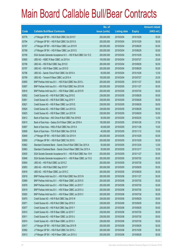|       |                                                                 | No. of        |                     |               | <b>Amount raised</b> |
|-------|-----------------------------------------------------------------|---------------|---------------------|---------------|----------------------|
| Code  | <b>Callable Bull/Bear Contracts</b>                             | issue (units) | <b>Listing date</b> | <b>Expiry</b> | (HK\$ mil.)          |
| 63776 | J P Morgan SP BV - HSI R Bull CBBC Oct 2015 F                   | 200,000,000   | 2015/03/04          | 2015/10/29    | 50.00                |
| 63794 | J P Morgan SP BV - HSI R Bull CBBC Oct 2015 G                   | 200,000,000   | 2015/03/04          | 2015/10/29    | 50.00                |
| 63787 | J P Morgan SP BV - HSI R Bear CBBC Jun 2015 R                   | 200,000,000   | 2015/03/04          | 2015/06/29    | 50.00                |
| 63788 | J P Morgan SP BV - HSI R Bear CBBC Jun 2015 S                   | 200,000,000   | 2015/03/04          | 2015/06/29    | 50.00                |
| 63706 | SGA Societe Generale Acceptance N.V. - HSI R Bull CBBC Oct 15 Z | 200,000,000   | 2015/03/04          | 2015/10/29    | 50.00                |
| 63800 | UBS AG - HSBC R Bear CBBC Jul 2015 A                            | 100,000,000   | 2015/03/04          | 2015/07/27    | 25.00                |
| 63798 | UBS AG - HSI R Bull CBBC Sep 2015 E                             | 200,000,000   | 2015/03/04          | 2015/09/29    | 50.00                |
| 63797 | UBS AG - HSI R Bear CBBC Jun 2015 D                             | 200,000,000   | 2015/03/04          | 2015/06/29    | 50.00                |
| 63796 | UBS AG - Sands China R Bull CBBC Oct 2015 A                     | 50,000,000    | 2015/03/04          | 2015/10/26    | 12.50                |
| 63799 | UBS AG - Tencent R Bear CBBC Jul 2015 A                         | 100,000,000   | 2015/03/04          | 2015/07/27    | 25.00                |
| 63855 | BNP Paribas Arbit Issu B.V. - HSI R Bull CBBC Nov 2015 L        | 200,000,000   | 2015/03/05          | 2015/11/27    | 50.00                |
| 63857 | BNP Paribas Arbit Issu B.V. - HSI R Bull CBBC Nov 2015 M        | 200,000,000   | 2015/03/05          | 2015/11/27    | 50.00                |
| 63816 | BNP Paribas Arbit Issu B.V. - HSI R Bear CBBC Jul 2015 R        | 200,000,000   | 2015/03/05          | 2015/07/30    | 50.00                |
| 63852 | Credit Suisse AG - HSI R Bull CBBC Aug 2015 E                   | 238,000,000   | 2015/03/05          | 2015/08/28    | 59.50                |
| 63851 | Credit Suisse AG - HSI R Bull CBBC Aug 2015 Y                   | 238,000,000   | 2015/03/05          | 2015/08/28    | 59.50                |
| 63821 | Credit Suisse AG - HSI R Bear CBBC Jun 2015 E                   | 238,000,000   | 2015/03/05          | 2015/06/29    | 59.50                |
| 63824 | Credit Suisse AG - HSI R Bear CBBC Jun 2015 Q                   | 238,000,000   | 2015/03/05          | 2015/06/29    | 59.50                |
| 63825 | Credit Suisse AG - HSI R Bear CBBC Jun 2015 R                   | 238,000,000   | 2015/03/05          | 2015/06/29    | 59.50                |
| 63812 | Bank of East Asia - A50 China R Bull CBBC Feb 2016 B            | 50,000,000    | 2015/03/05          | 2016/02/25    | 12.50                |
| 63815 | Bank of East Asia - Galaxy Ent R Bear CBBC Jan 2016 A           | 150,000,000   | 2015/03/05          | 2016/01/26    | 37.50                |
| 63807 | Bank of East Asia - HKEx R Bull CBBC Nov 2015 A                 | 40,000,000    | 2015/03/05          | 2015/11/26    | 10.00                |
| 63808 | Bank of East Asia - TCH R Bull CBBC Nov 2015 B                  | 40,000,000    | 2015/03/05          | 2015/11/12    | 10.00                |
| 63849 | J P Morgan SP BV - HSI R Bull CBBC Oct 2015 H                   | 200,000,000   | 2015/03/05          | 2015/10/29    | 50.00                |
| 63850 | J P Morgan SP BV - HSI R Bull CBBC Oct 2015 I                   | 200,000,000   | 2015/03/05          | 2015/10/29    | 50.00                |
| 63862 | Standard Chartered Bank - Sands China R Bull CBBC Dec 2015 A    | 50,000,000    | 2015/03/05          | 2015/12/24    | 12.50                |
| 63863 | Standard Chartered Bank - Sands China R Bear CBBC Dec 2015 A    | 50,000,000    | 2015/03/05          | 2015/12/17    | 12.50                |
| 63830 | SGA Societe Generale Acceptance N.V. - HSI R Bull CBBC Nov 15 H | 200,000,000   | 2015/03/05          | 2015/11/27    | 50.00                |
| 63848 | SGA Societe Generale Acceptance N.V. - HSI R Bear CBBC Jul 15 G | 200,000,000   | 2015/03/05          | 2015/07/30    | 50.00                |
| 63854 | UBS AG - HSI R Bull CBBC Jul 2015 Z                             | 200,000,000   | 2015/03/05          | 2015/07/30    | 50.00                |
| 63853 | UBS AG - HSI R Bull CBBC Sep 2015 F                             | 200,000,000   | 2015/03/05          | 2015/09/29    | 50.00                |
| 63818 | UBS AG - HSI R Bear CBBC Jun 2015 C                             | 200,000,000   | 2015/03/05          | 2015/06/29    | 50.00                |
| 63918 | BNP Paribas Arbit Issu B.V. - HSI R Bull CBBC Nov 2015 N        | 200,000,000   | 2015/03/06          | 2015/11/27    | 50.00                |
| 63869 | BNP Paribas Arbit Issu B.V. - HSI R Bear CBBC Jul 2015 S        | 200,000,000   | 2015/03/06          | 2015/07/30    | 50.00                |
| 63878 | BNP Paribas Arbit Issu B.V. - HSI R Bear CBBC Jul 2015 T        | 200,000,000   | 2015/03/06          | 2015/07/30    | 50.00                |
| 63919 | BNP Paribas Arbit Issu B.V. - HSI R Bear CBBC Jul 2015 U        | 200,000,000   | 2015/03/06          | 2015/07/30    | 50.00                |
| 63920 | BNP Paribas Arbit Issu B.V. - HSI R Bear CBBC Jul 2015 V        | 200,000,000   | 2015/03/06          | 2015/07/30    | 50.00                |
| 63970 | Credit Suisse AG - HSI R Bull CBBC Sep 2015 W                   | 238,000,000   | 2015/03/06          | 2015/09/29    | 59.50                |
| 63971 | Credit Suisse AG - HSI R Bull CBBC Sep 2015 X                   | 238,000,000   | 2015/03/06          | 2015/09/29    | 59.50                |
| 63977 | Credit Suisse AG - HSI R Bull CBBC Sep 2015 Y                   | 238,000,000   | 2015/03/06          | 2015/09/29    | 59.50                |
| 63910 | Credit Suisse AG - HSI R Bear CBBC Jul 2015 T                   | 238,000,000   | 2015/03/06          | 2015/07/30    | 59.50                |
| 63911 | Credit Suisse AG - HSI R Bear CBBC Jul 2015 U                   | 238,000,000   | 2015/03/06          | 2015/07/30    | 59.50                |
| 63974 | Credit Suisse AG - HSI R Bear CBBC Jul 2015 V                   | 238,000,000   | 2015/03/06          | 2015/07/30    | 59.50                |
| 63917 | J P Morgan SP BV - HSI R Bull CBBC Sep 2015 R                   | 200,000,000   | 2015/03/06          | 2015/09/29    | 50.00                |
| 63992 | J P Morgan SP BV - HSI R Bull CBBC Oct 2015 J                   | 200,000,000   | 2015/03/06          | 2015/10/29    | 50.00                |
| 63913 | J P Morgan SP BV - HSI R Bear CBBC Jun 2015 U                   | 200,000,000   | 2015/03/06          | 2015/06/29    | 50.00                |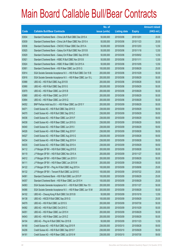|             |                                                                 | No. of        |                     |               | <b>Amount raised</b> |
|-------------|-----------------------------------------------------------------|---------------|---------------------|---------------|----------------------|
| <b>Code</b> | <b>Callable Bull/Bear Contracts</b>                             | issue (units) | <b>Listing date</b> | <b>Expiry</b> | $(HK$$ mil.)         |
| 63934       | Standard Chartered Bank - China Life R Bull CBBC Dec 2015 A     | 50,000,000    | 2015/03/06          | 2015/12/01    | 20.00                |
| 63939       | Standard Chartered Bank - China Life R Bear CBBC Nov 2015 A     | 50,000,000    | 2015/03/06          | 2015/11/23    | 20.00                |
| 63936       | Standard Chartered Bank - CNOOC R Bear CBBC Dec 2015 A          | 50,000,000    | 2015/03/06          | 2015/12/03    | 12.50                |
| 63925       | Standard Chartered Bank - Galaxy Ent R Bull CBBC Nov 2015 B     | 50,000,000    | 2015/03/06          | 2015/11/18    | 12.50                |
| 63929       | Standard Chartered Bank - Galaxy Ent R Bear CBBC Sep 2015 B     | 50,000,000    | 2015/03/06          | 2015/09/02    | 12.50                |
| 63921       | Standard Chartered Bank - HSBC R Bull CBBC Nov 2015 B           | 50,000,000    | 2015/03/06          | 2015/11/11    | 12.50                |
| 63924       | Standard Chartered Bank - HSBC R Bear CBBC Oct 2015 A           | 50,000,000    | 2015/03/06          | 2015/10/05    | 12.50                |
| 63901       | Standard Chartered Bank - HSI R Bear CBBC Jun 2015 G            | 100,000,000   | 2015/03/06          | 2015/06/29    | 25.00                |
| 63914       | SGA Societe Generale Acceptance N.V. - HSI R Bull CBBC Oct 15 B | 200,000,000   | 2015/03/06          | 2015/10/29    | 50.00                |
| 63916       | SGA Societe Generale Acceptance N.V. - HSI R Bear CBBC Jun 15 L | 200,000,000   | 2015/03/06          | 2015/06/29    | 50.00                |
| 63988       | UBS AG - HSI R Bull CBBC Aug 2015 B                             | 200,000,000   | 2015/03/06          | 2015/08/28    | 50.00                |
| 63990       | UBS AG - HSI R Bull CBBC Sep 2015 G                             | 200,000,000   | 2015/03/06          | 2015/09/29    | 50.00                |
| 63979       | UBS AG - HSI R Bear CBBC Jun 2015 B                             | 200,000,000   | 2015/03/06          | 2015/06/29    | 50.00                |
| 63880       | UBS AG - HSI R Bear CBBC Jun 2015 F                             | 200,000,000   | 2015/03/06          | 2015/06/29    | 50.00                |
| 63894       | UBS AG - HSI R Bear CBBC Jun 2015 Q                             | 200,000,000   | 2015/03/06          | 2015/06/29    | 50.00                |
| 64052       | BNP Paribas Arbit Issu B.V. - HSI R Bear CBBC Jun 2015 Y        | 200,000,000   | 2015/03/09          | 2015/06/29    | 50.00                |
| 64071       | Credit Suisse AG - HSI R Bull CBBC Sep 2015 D                   | 238,000,000   | 2015/03/09          | 2015/09/29    | 59.50                |
| 64070       | Credit Suisse AG - HSI R Bull CBBC Sep 2015 Z                   | 238,000,000   | 2015/03/09          | 2015/09/29    | 59.50                |
| 64036       | Credit Suisse AG - HSI R Bear CBBC Jun 2015 F                   | 238,000,000   | 2015/03/09          | 2015/06/29    | 59.50                |
| 64038       | Credit Suisse AG - HSI R Bear CBBC Jun 2015 G                   | 238,000,000   | 2015/03/09          | 2015/06/29    | 59.50                |
| 64040       | Credit Suisse AG - HSI R Bear CBBC Jun 2015 I                   | 238,000,000   | 2015/03/09          | 2015/06/29    | 59.50                |
| 64026       | Credit Suisse AG - HSI R Bear CBBC Aug 2015 F                   | 238,000,000   | 2015/03/09          | 2015/08/28    | 59.50                |
| 64027       | Credit Suisse AG - HSI R Bear CBBC Aug 2015 G                   | 238,000,000   | 2015/03/09          | 2015/08/28    | 59.50                |
| 64034       | Credit Suisse AG - HSI R Bear CBBC Aug 2015 H                   | 238,000,000   | 2015/03/09          | 2015/08/28    | 59.50                |
| 64035       | Credit Suisse AG - HSI R Bear CBBC Sep 2015 A                   | 238,000,000   | 2015/03/09          | 2015/09/29    | 59.50                |
| 64112       | J P Morgan SP BV - HSI R Bull CBBC Aug 2015 E                   | 200,000,000   | 2015/03/09          | 2015/08/28    | 50.00                |
| 64119       | J P Morgan SP BV - HSI R Bull CBBC Nov 2015 A                   | 200,000,000   | 2015/03/09          | 2015/11/27    | 50.00                |
| 64012       | J P Morgan SP BV - HSI R Bear CBBC Jun 2015 V                   | 200,000,000   | 2015/03/09          | 2015/06/29    | 50.00                |
| 64111       | J P Morgan SP BV - HSI R Bear CBBC Jun 2015 W                   | 200,000,000   | 2015/03/09          | 2015/06/29    | 50.00                |
| 64122       | J P Morgan SP BV - Ping An R Bull CBBC Aug 2015 A               | 100,000,000   | 2015/03/09          | 2015/08/06    | 25.00                |
| 64132       | J P Morgan SP BV - Tencent R Bull CBBC Jul 2015 E               | 100,000,000   | 2015/03/09          | 2015/07/22    | 25.00                |
| 64061       | Standard Chartered Bank - HSI R Bull CBBC Jun 2015 P            | 100,000,000   | 2015/03/09          | 2015/06/29    | 25.00                |
| 64057       | Standard Chartered Bank - HSI R Bear CBBC Jun 2015 H            | 100,000,000   | 2015/03/09          | 2015/06/29    | 25.00                |
| 64063       | SGA Societe Generale Acceptance N.V. - HSI R Bull CBBC Nov 15 I | 200,000,000   | 2015/03/09          | 2015/11/27    | 50.00                |
| 64066       | SGA Societe Generale Acceptance N.V. - HSI R Bear CBBC Jun 15 M | 200,000,000   | 2015/03/09          | 2015/06/29    | 50.00                |
| 64102       | UBS AG - Cheung Kong R Bull CBBC Oct 2015 B                     | 50,000,000    | 2015/03/09          | 2015/10/19    | 12.50                |
| 64138       | UBS AG - HSCEI R Bull CBBC Sep 2015 G                           | 100,000,000   | 2015/03/09          | 2015/09/29    | 25.00                |
| 64079       | UBS AG - HSI R Bull CBBC Jul 2015 S                             | 200,000,000   | 2015/03/09          | 2015/07/30    | 50.00                |
| 64082       | UBS AG - HSI R Bull CBBC Oct 2015 C                             | 200,000,000   | 2015/03/09          | 2015/10/29    | 50.00                |
| 64051       | UBS AG - HSI R Bear CBBC Jun 2015 H                             | 200,000,000   | 2015/03/09          | 2015/06/29    | 50.00                |
| 64043       | UBS AG - HSI R Bear CBBC Jun 2015 Z                             | 200,000,000   | 2015/03/09          | 2015/06/29    | 50.00                |
| 64104       | UBS AG - Ping An R Bull CBBC Nov 2015 B                         | 50,000,000    | 2015/03/09          | 2015/11/23    | 12.50                |
| 64180       | Credit Suisse AG - HSI R Bull CBBC Aug 2015 R                   | 238,000,000   | 2015/03/10          | 2015/08/28    | 59.50                |
| 64206       | Credit Suisse AG - HSI R Bull CBBC Sep 2015 F                   | 238,000,000   | 2015/03/10          | 2015/09/29    | 59.50                |
| 64181       | Credit Suisse AG - HSI R Bear CBBC Jul 2015 W                   | 238,000,000   | 2015/03/10          | 2015/07/30    | 59.50                |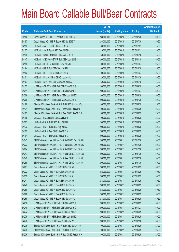|       |                                                          | No. of        |                     |               | <b>Amount raised</b> |
|-------|----------------------------------------------------------|---------------|---------------------|---------------|----------------------|
| Code  | <b>Callable Bull/Bear Contracts</b>                      | issue (units) | <b>Listing date</b> | <b>Expiry</b> | $(HK$$ mil.)         |
| 64186 | Credit Suisse AG - HSI R Bear CBBC Jul 2015 X            | 238,000,000   | 2015/03/10          | 2015/07/30    | 59.50                |
| 64187 | Credit Suisse AG - HSI R Bear CBBC Jul 2015 Y            | 238,000,000   | 2015/03/10          | 2015/07/30    | 59.50                |
| 64152 | HK Bank - AIA R Bull CBBC Dec 2015 A                     | 60,000,000    | 2015/03/10          | 2015/12/21    | 15.00                |
| 64157 | HK Bank - AIA R Bear CBBC Dec 2015 B                     | 40,000,000    | 2015/03/10          | 2015/12/21    | 10.00                |
| 64146 | HK Bank - China Life R Bull CBBC Jan 2016 A              | 60,000,000    | 2015/03/10          | 2016/01/18    | 15.00                |
| 64147 | HK Bank - CSOP A50 ETF R Bull CBBC Jan 2016 S            | 200,000,000   | 2015/03/10          | 2016/01/18    | 50.00                |
| 64150 | HK Bank - HSCEI R Bull CBBC Nov 2015 C                   | 100,000,000   | 2015/03/10          | 2015/11/27    | 25.00                |
| 64164 | HK Bank - HSI R Bull CBBC Oct 2015 N                     | 100,000,000   | 2015/03/10          | 2015/10/29    | 25.00                |
| 64162 | HK Bank - HSI R Bull CBBC Nov 2015 K                     | 100,000,000   | 2015/03/10          | 2015/11/27    | 25.00                |
| 64151 | HK Bank - Ping An R Bull CBBC Nov 2015 L                 | 120,000,000   | 2015/03/10          | 2015/11/30    | 30.00                |
| 64167 | HK Bank - SHK Ppt R Bull CBBC Jan 2016 A                 | 60,000,000    | 2015/03/10          | 2016/01/18    | 15.00                |
| 64177 | JP Morgan SP BV - HSI R Bull CBBC Sep 2015 S             | 200,000,000   | 2015/03/10          | 2015/09/29    | 50.00                |
| 64211 | J P Morgan SP BV - HSI R Bull CBBC Nov 2015 B            | 200,000,000   | 2015/03/10          | 2015/11/27    | 50.00                |
| 64208 | J P Morgan SP BV - HSI R Bear CBBC Jun 2015 X            | 200,000,000   | 2015/03/10          | 2015/06/29    | 50.00                |
| 64209 | J P Morgan SP BV - HSI R Bear CBBC Jul 2015 B            | 200,000,000   | 2015/03/10          | 2015/07/30    | 50.00                |
| 64169 | Standard Chartered Bank - HSI R Bull CBBC Jun 2015 Q     | 100,000,000   | 2015/03/10          | 2015/06/29    | 25.00                |
| 64171 | Standard Chartered Bank - HSI R Bear CBBC Jun 2015 I     | 100,000,000   | 2015/03/10          | 2015/06/29    | 25.00                |
| 64182 | Standard Chartered Bank - HSI R Bear CBBC Jun 2015 J     | 100,000,000   | 2015/03/10          | 2015/06/29    | 25.00                |
| 64198 | UBS AG - HSCEI R Bull CBBC Aug 2015 F                    | 100,000,000   | 2015/03/10          | 2015/08/28    | 25.00                |
| 64203 | UBS AG - HSI R Bull CBBC Aug 2015 H                      | 200,000,000   | 2015/03/10          | 2015/08/28    | 50.00                |
| 64172 | UBS AG - HSI R Bull CBBC Aug 2015 Z                      | 200,000,000   | 2015/03/10          | 2015/08/28    | 50.00                |
| 64192 | UBS AG - HSI R Bear CBBC Jun 2015 K                      | 200,000,000   | 2015/03/10          | 2015/06/29    | 50.00                |
| 64194 | UBS AG - HSI R Bear CBBC Jun 2015 L                      | 200,000,000   | 2015/03/10          | 2015/06/29    | 50.00                |
| 64243 | BNP Paribas Arbit Issu B.V. - HSI R Bull CBBC Dec 2015 C | 200,000,000   | 2015/03/11          | 2015/12/30    | 50.00                |
| 64223 | BNP Paribas Arbit Issu B.V. - HSI R Bull CBBC Dec 2015 G | 200,000,000   | 2015/03/11          | 2015/12/30    | 50.00                |
| 64224 | BNP Paribas Arbit Issu B.V. - HSI R Bull CBBC Dec 2015 J | 200,000,000   | 2015/03/11          | 2015/12/30    | 50.00                |
| 64247 | BNP Paribas Arbit Issu B.V. - HSI R Bear CBBC Jul 2015 W | 200,000,000   | 2015/03/11          | 2015/07/30    | 50.00                |
| 64249 | BNP Paribas Arbit Issu B.V. - HSI R Bear CBBC Jul 2015 X | 200,000,000   | 2015/03/11          | 2015/07/30    | 50.00                |
| 64259 | BNP Paribas Arbit Issu B.V. - HSI R Bear CBBC Jul 2015 Y | 200,000,000   | 2015/03/11          | 2015/07/30    | 50.00                |
| 64221 | Credit Suisse AG - HSI R Bull CBBC Oct 2015 H            | 238,000,000   | 2015/03/11          | 2015/10/29    | 59.50                |
| 64222 | Credit Suisse AG - HSI R Bull CBBC Oct 2015 I            | 238,000,000   | 2015/03/11          | 2015/10/29    | 59.50                |
| 64239 | Credit Suisse AG - HSI R Bull CBBC Oct 2015 J            | 238,000,000   | 2015/03/11          | 2015/10/29    | 59.50                |
| 64241 | Credit Suisse AG - HSI R Bull CBBC Oct 2015 K            | 238,000,000   | 2015/03/11          | 2015/10/29    | 59.50                |
| 64242 | Credit Suisse AG - HSI R Bear CBBC Jun 2015 H            | 238,000,000   | 2015/03/11          | 2015/06/29    | 59.50                |
| 64260 | Credit Suisse AG - HSI R Bear CBBC Jun 2015 J            | 238,000,000   | 2015/03/11          | 2015/06/29    | 59.50                |
| 64266 | Credit Suisse AG - HSI R Bear CBBC Jun 2015 L            | 238,000,000   | 2015/03/11          | 2015/06/29    | 59.50                |
| 64269 | Credit Suisse AG - HSI R Bear CBBC Jun 2015 U            | 238,000,000   | 2015/03/11          | 2015/06/29    | 59.50                |
| 64216 | J P Morgan SP BV - HSI R Bull CBBC Sep 2015 T            | 200,000,000   | 2015/03/11          | 2015/09/29    | 50.00                |
| 64248 | J P Morgan SP BV - HSI R Bull CBBC Nov 2015 C            | 200,000,000   | 2015/03/11          | 2015/11/27    | 50.00                |
| 64274 | J P Morgan SP BV - HSI R Bear CBBC Jun 2015 Y            | 200,000,000   | 2015/03/11          | 2015/06/29    | 50.00                |
| 64275 | J P Morgan SP BV - HSI R Bear CBBC Jun 2015 Z            | 200,000,000   | 2015/03/11          | 2015/06/29    | 50.00                |
| 64276 | J P Morgan SP BV - HSI R Bear CBBC Jul 2015 C            | 200,000,000   | 2015/03/11          | 2015/07/30    | 50.00                |
| 64235 | Standard Chartered Bank - HSI R Bull CBBC Jun 2015 N     | 100,000,000   | 2015/03/11          | 2015/06/29    | 25.00                |
| 64238 | Standard Chartered Bank - HSI R Bull CBBC Jun 2015 R     | 100,000,000   | 2015/03/11          | 2015/06/29    | 25.00                |
| 64236 | Standard Chartered Bank - HSI R Bear CBBC Jun 2015 K     | 100,000,000   | 2015/03/11          | 2015/06/29    | 25.00                |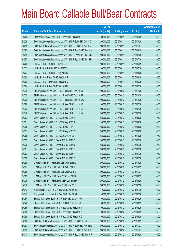|       |                                                                 | No. of        |                     |               | <b>Amount raised</b> |
|-------|-----------------------------------------------------------------|---------------|---------------------|---------------|----------------------|
| Code  | <b>Callable Bull/Bear Contracts</b>                             | issue (units) | <b>Listing date</b> | <b>Expiry</b> | $(HK$$ mil.)         |
| 64288 | Standard Chartered Bank - HSI R Bear CBBC Jun 2015 L            | 100,000,000   | 2015/03/11          | 2015/06/29    | 25.00                |
| 64229 | SGA Societe Generale Acceptance N.V. - HSI R Bull CBBC Oct 15 C | 200,000,000   | 2015/03/11          | 2015/10/29    | 50.00                |
| 64218 | SGA Societe Generale Acceptance N.V. - HSI R Bull CBBC Nov 15 J | 200,000,000   | 2015/03/11          | 2015/11/27    | 50.00                |
| 64285 | SGA Societe Generale Acceptance N.V. - HSI R Bear CBBC Jun 15 N | 200,000,000   | 2015/03/11          | 2015/06/29    | 50.00                |
| 64219 | SGA Societe Generale Acceptance N.V. - HSI R Bear CBBC Jul 15 H | 200,000,000   | 2015/03/11          | 2015/07/30    | 50.00                |
| 64287 | SGA Societe Generale Acceptance N.V. - HSI R Bear CBBC Jul 15 I | 200,000,000   | 2015/03/11          | 2015/07/30    | 50.00                |
| 64228 | UBS AG - HSI R Bull CBBC Jun 2015 D                             | 200,000,000   | 2015/03/11          | 2015/06/29    | 50.00                |
| 64232 | UBS AG - HSI R Bull CBBC Jul 2015 T                             | 200,000,000   | 2015/03/11          | 2015/07/30    | 50.00                |
| 64227 | UBS AG - HSI R Bull CBBC Aug 2015 C                             | 200,000,000   | 2015/03/11          | 2015/08/28    | 50.00                |
| 64282 | UBS AG - HSI R Bear CBBC Jun 2015 R                             | 200,000,000   | 2015/03/11          | 2015/06/29    | 50.00                |
| 64283 | UBS AG - HSI R Bear CBBC Jun 2015 V                             | 200,000,000   | 2015/03/11          | 2015/06/29    | 50.00                |
| 64284 | UBS AG - HSI R Bear CBBC Jul 2015 H                             | 200,000,000   | 2015/03/11          | 2015/07/30    | 50.00                |
| 64336 | BNP Paribas Arbit Issu B.V. - HSI R Bull CBBC Dec 2015 B        | 200,000,000   | 2015/03/12          | 2015/12/30    | 50.00                |
| 64335 | BNP Paribas Arbit Issu B.V. - HSI R Bull CBBC Dec 2015 F        | 200,000,000   | 2015/03/12          | 2015/12/30    | 50.00                |
| 64339 | BNP Paribas Arbit Issu B.V. - HSI R Bull CBBC Dec 2015 W        | 200,000,000   | 2015/03/12          | 2015/12/30    | 50.00                |
| 64390 | BNP Paribas Arbit Issu B.V. - HSI R Bear CBBC Jul 2015 C        | 200,000,000   | 2015/03/12          | 2015/07/30    | 50.00                |
| 64392 | BNP Paribas Arbit Issu B.V. - HSI R Bear CBBC Jul 2015 D        | 200,000,000   | 2015/03/12          | 2015/07/30    | 50.00                |
| 64340 | BNP Paribas Arbit Issu B.V. - HSI R Bear CBBC Jul 2015 Z        | 200,000,000   | 2015/03/12          | 2015/07/30    | 50.00                |
| 64303 | Credit Suisse AG - HSI R Bull CBBC Aug 2015 A                   | 238,000,000   | 2015/03/12          | 2015/08/28    | 59.50                |
| 64301 | Credit Suisse AG - HSI R Bull CBBC Aug 2015 B                   | 238,000,000   | 2015/03/12          | 2015/08/28    | 59.50                |
| 64305 | Credit Suisse AG - HSI R Bull CBBC Aug 2015 F                   | 238,000,000   | 2015/03/12          | 2015/08/28    | 59.50                |
| 64327 | Credit Suisse AG - HSI R Bull CBBC Aug 2015 Z                   | 238,000,000   | 2015/03/12          | 2015/08/28    | 59.50                |
| 64365 | Credit Suisse AG - HSI R Bull CBBC Oct 2015 L                   | 238,000,000   | 2015/03/12          | 2015/10/29    | 59.50                |
| 64329 | Credit Suisse AG - HSI R Bear CBBC Jul 2015 C                   | 238,000,000   | 2015/03/12          | 2015/07/30    | 59.50                |
| 64330 | Credit Suisse AG - HSI R Bear CBBC Jul 2015 D                   | 238,000,000   | 2015/03/12          | 2015/07/30    | 59.50                |
| 64361 | Credit Suisse AG - HSI R Bear CBBC Jul 2015 E                   | 238,000,000   | 2015/03/12          | 2015/07/30    | 59.50                |
| 64362 | Credit Suisse AG - HSI R Bear CBBC Jul 2015 F                   | 238,000,000   | 2015/03/12          | 2015/07/30    | 59.50                |
| 64328 | Credit Suisse AG - HSI R Bear CBBC Jul 2015 Z                   | 238,000,000   | 2015/03/12          | 2015/07/30    | 59.50                |
| 64299 | J P Morgan SP BV - HSI R Bull CBBC Oct 2015 K                   | 200,000,000   | 2015/03/12          | 2015/10/29    | 50.00                |
| 64367 | J P Morgan SP BV - HSI R Bull CBBC Oct 2015 L                   | 200,000,000   | 2015/03/12          | 2015/10/29    | 50.00                |
| 64368 | J P Morgan SP BV - HSI R Bull CBBC Nov 2015 D                   | 200,000,000   | 2015/03/12          | 2015/11/27    | 50.00                |
| 64369 | J P Morgan SP BV - HSI R Bear CBBC Jun 2015 B                   | 200,000,000   | 2015/03/12          | 2015/06/29    | 50.00                |
| 64375 | J P Morgan SP BV - HSI R Bear CBBC Jun 2015 D                   | 200,000,000   | 2015/03/12          | 2015/06/29    | 50.00                |
| 64378 | J P Morgan SP BV - HSI R Bear CBBC Jul 2015 D                   | 200,000,000   | 2015/03/12          | 2015/07/30    | 50.00                |
| 64343 | Macquarie Bank Ltd. - HSI R Bear CBBC Jul 2015 A                | 40,000,000    | 2015/03/12          | 2015/07/30    | 10.20                |
| 64345 | Macquarie Bank Ltd. - HSI R Bear CBBC Jul 2015 B                | 40,000,000    | 2015/03/12          | 2015/07/30    | 10.00                |
| 64354 | Standard Chartered Bank - HSI R Bull CBBC Jun 2015 M            | 100,000,000   | 2015/03/12          | 2015/06/29    | 25.00                |
| 64346 | Standard Chartered Bank - HSI R Bull CBBC Jun 2015 T            | 100,000,000   | 2015/03/12          | 2015/06/29    | 25.00                |
| 64356 | Standard Chartered Bank - HSI R Bear CBBC Jun 2015 M            | 100,000,000   | 2015/03/12          | 2015/06/29    | 25.00                |
| 64388 | Standard Chartered Bank - HSI R Bear CBBC Jun 2015 N            | 100,000,000   | 2015/03/12          | 2015/06/29    | 25.00                |
| 64389 | Standard Chartered Bank - HSI R Bear CBBC Jun 2015 O            | 100,000,000   | 2015/03/12          | 2015/06/29    | 25.00                |
| 64308 | SGA Societe Generale Acceptance N.V. - HSI R Bull CBBC Oct 15 D | 200,000,000   | 2015/03/12          | 2015/10/29    | 50.00                |
| 64357 | SGA Societe Generale Acceptance N.V. - HSI R Bull CBBC Nov 15 K | 200,000,000   | 2015/03/12          | 2015/11/27    | 50.00                |
| 64359 | SGA Societe Generale Acceptance N.V. - HSI R Bull CBBC Nov 15 L | 200,000,000   | 2015/03/12          | 2015/11/27    | 50.00                |
| 64317 | SGA Societe Generale Acceptance N.V. - HSI R Bear CBBC Jun 15 R | 200,000,000   | 2015/03/12          | 2015/06/29    | 50.00                |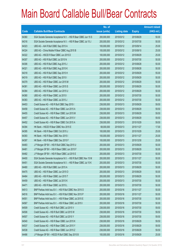|       |                                                                 | No. of        |                     |               | <b>Amount raised</b> |
|-------|-----------------------------------------------------------------|---------------|---------------------|---------------|----------------------|
| Code  | <b>Callable Bull/Bear Contracts</b>                             | issue (units) | <b>Listing date</b> | <b>Expiry</b> | $(HK$$ mil.)         |
| 64360 | SGA Societe Generale Acceptance N.V. - HSI R Bear CBBC Jun 15 S | 200,000,000   | 2015/03/12          | 2015/06/29    | 50.00                |
| 64316 | SGA Societe Generale Acceptance N.V. - HSI R Bear CBBC Jul 15 J | 200,000,000   | 2015/03/12          | 2015/07/30    | 50.00                |
| 64323 | UBS AG - AIA R Bull CBBC Sep 2015 A                             | 100,000,000   | 2015/03/12          | 2015/09/14    | 25.00                |
| 64324 | UBS AG - China Mobile R Bear CBBC Aug 2015 B                    | 100,000,000   | 2015/03/12          | 2015/08/10    | 25.00                |
| 64322 | UBS AG - HSCEI R Bear CBBC Jun 2015 D                           | 100,000,000   | 2015/03/12          | 2015/06/29    | 25.00                |
| 64307 | UBS AG - HSI R Bull CBBC Jul 2015 N                             | 200,000,000   | 2015/03/12          | 2015/07/30    | 50.00                |
| 64306 | UBS AG - HSI R Bull CBBC Aug 2015 J                             | 200,000,000   | 2015/03/12          | 2015/08/28    | 50.00                |
| 64321 | UBS AG - HSI R Bull CBBC Aug 2015 K                             | 200,000,000   | 2015/03/12          | 2015/08/28    | 50.00                |
| 64318 | UBS AG - HSI R Bull CBBC Sep 2015 H                             | 200,000,000   | 2015/03/12          | 2015/09/29    | 55.00                |
| 64319 | UBS AG - HSI R Bull CBBC Sep 2015 I                             | 200,000,000   | 2015/03/12          | 2015/09/29    | 50.00                |
| 64379 | UBS AG - HSI R Bear CBBC Jun 2015 M                             | 200,000,000   | 2015/03/12          | 2015/06/29    | 50.00                |
| 64381 | UBS AG - HSI R Bear CBBC Jun 2015 S                             | 200,000,000   | 2015/03/12          | 2015/06/29    | 50.00                |
| 64384 | UBS AG - HSI R Bear CBBC Jun 2015 U                             | 200,000,000   | 2015/03/12          | 2015/06/29    | 50.00                |
| 64380 | UBS AG - HSI R Bear CBBC Jul 2015 I                             | 200,000,000   | 2015/03/12          | 2015/07/30    | 50.00                |
| 64383 | UBS AG - HSI R Bear CBBC Jul 2015 J                             | 200,000,000   | 2015/03/12          | 2015/07/30    | 50.00                |
| 64453 | Credit Suisse AG - HSI R Bull CBBC Sep 2015 I                   | 238,000,000   | 2015/03/13          | 2015/09/29    | 59.50                |
| 64458 | Credit Suisse AG - HSI R Bear CBBC Jun 2015 A                   | 238,000,000   | 2015/03/13          | 2015/06/29    | 59.50                |
| 64455 | Credit Suisse AG - HSI R Bear CBBC Jun 2015 M                   | 238,000,000   | 2015/03/13          | 2015/06/29    | 59.50                |
| 64457 | Credit Suisse AG - HSI R Bear CBBC Jun 2015 V                   | 238,000,000   | 2015/03/13          | 2015/06/29    | 59.50                |
| 64452 | Credit Suisse AG - HSI R Bear CBBC Oct 2015 A                   | 238,000,000   | 2015/03/13          | 2015/10/29    | 59.50                |
| 64394 | HK Bank - HSCEI R Bear CBBC Nov 2015 E                          | 68,000,000    | 2015/03/13          | 2015/11/27    | 17.00                |
| 64395 | HK Bank - HSI R Bear CBBC Oct 2015 J                            | 100,000,000   | 2015/03/13          | 2015/10/29    | 25.00                |
| 64393 | HK Bank - HSI R Bear CBBC Nov 2015 I                            | 100,000,000   | 2015/03/13          | 2015/11/27    | 25.00                |
| 64397 | HK Bank - HSI R Bear CBBC Dec 2015 F                            | 100,000,000   | 2015/03/13          | 2015/12/30    | 25.00                |
| 64483 | J P Morgan SP BV - HSI R Bull CBBC Sep 2015 U                   | 200,000,000   | 2015/03/13          | 2015/09/29    | 50.00                |
| 64481 | J P Morgan SP BV - HSI R Bear CBBC Jun 2015 F                   | 200,000,000   | 2015/03/13          | 2015/06/29    | 50.00                |
| 64482 | J P Morgan SP BV - HSI R Bear CBBC Jul 2015 E                   | 200,000,000   | 2015/03/13          | 2015/07/30    | 50.00                |
| 64400 | SGA Societe Generale Acceptance N.V. - HSI R Bull CBBC Nov 15 M | 200,000,000   | 2015/03/13          | 2015/11/27    | 50.00                |
| 64451 | SGA Societe Generale Acceptance N.V. - HSI R Bear CBBC Jul 15 K | 200,000,000   | 2015/03/13          | 2015/07/30    | 50.00                |
| 64480 | UBS AG - HSI R Bull CBBC Jun 2015 A                             | 200,000,000   | 2015/03/13          | 2015/06/29    | 50.00                |
| 64475 | UBS AG - HSI R Bear CBBC Jun 2015 O                             | 200,000,000   | 2015/03/13          | 2015/06/29    | 50.00                |
| 64464 | UBS AG - HSI R Bear CBBC Jun 2015 T                             | 200,000,000   | 2015/03/13          | 2015/06/29    | 50.00                |
| 64459 | UBS AG - HSI R Bear CBBC Jul 2015 K                             | 200,000,000   | 2015/03/13          | 2015/07/30    | 50.00                |
| 64471 | UBS AG - HSI R Bear CBBC Jul 2015 L                             | 200,000,000   | 2015/03/13          | 2015/07/30    | 50.00                |
| 64513 | BNP Paribas Arbit Issu B.V. - HSI R Bull CBBC Nov 2015 O        | 200,000,000   | 2015/03/16          | 2015/11/27    | 50.00                |
| 64516 | BNP Paribas Arbit Issu B.V. - HSI R Bull CBBC Nov 2015 P        | 200,000,000   | 2015/03/16          | 2015/11/27    | 50.00                |
| 64551 | BNP Paribas Arbit Issu B.V. - HSI R Bear CBBC Jul 2015 E        | 200,000,000   | 2015/03/16          | 2015/07/30    | 50.00                |
| 64567 | BNP Paribas Arbit Issu B.V. - HSI R Bear CBBC Jul 2015 I        | 200,000,000   | 2015/03/16          | 2015/07/30    | 50.00                |
| 64509 | Credit Suisse AG - HSI R Bull CBBC Jul 2015 V                   | 238,000,000   | 2015/03/16          | 2015/07/30    | 59.50                |
| 64506 | Credit Suisse AG - HSI R Bull CBBC Jul 2015 W                   | 238,000,000   | 2015/03/16          | 2015/07/30    | 59.50                |
| 64507 | Credit Suisse AG - HSI R Bull CBBC Jul 2015 Y                   | 238,000,000   | 2015/03/16          | 2015/07/30    | 59.50                |
| 64540 | Credit Suisse AG - HSI R Bear CBBC Jun 2015 K                   | 238,000,000   | 2015/03/16          | 2015/06/29    | 59.50                |
| 64537 | Credit Suisse AG - HSI R Bear CBBC Jun 2015 Y                   | 238,000,000   | 2015/03/16          | 2015/06/29    | 59.50                |
| 64538 | Credit Suisse AG - HSI R Bear CBBC Jun 2015 Z                   | 238,000,000   | 2015/03/16          | 2015/06/29    | 59.50                |
| 64486 | J P Morgan SP BV - HSCEI R Bull CBBC Sep 2015 B                 | 100,000,000   | 2015/03/16          | 2015/09/29    | 25.00                |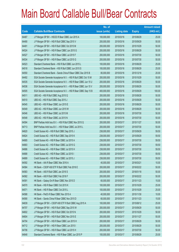|       |                                                                 | No. of        |                     |               | <b>Amount raised</b> |
|-------|-----------------------------------------------------------------|---------------|---------------------|---------------|----------------------|
| Code  | <b>Callable Bull/Bear Contracts</b>                             | issue (units) | <b>Listing date</b> | <b>Expiry</b> | $(HK$$ mil.)         |
| 64487 | J P Morgan SP BV - HSCEI R Bear CBBC Jun 2015 A                 | 100,000,000   | 2015/03/16          | 2015/06/29    | 25.00                |
| 64490 | J P Morgan SP BV - HSI R Bull CBBC Sep 2015 V                   | 200,000,000   | 2015/03/16          | 2015/09/29    | 50.00                |
| 64491 | J P Morgan SP BV - HSI R Bull CBBC Oct 2015 M                   | 200,000,000   | 2015/03/16          | 2015/10/29    | 50.00                |
| 64524 | J P Morgan SP BV - HSI R Bear CBBC Jun 2015 G                   | 200,000,000   | 2015/03/16          | 2015/06/29    | 50.00                |
| 64527 | J P Morgan SP BV - HSI R Bear CBBC Jul 2015 F                   | 200,000,000   | 2015/03/16          | 2015/07/30    | 50.00                |
| 64534 | J P Morgan SP BV - HSI R Bear CBBC Jul 2015 G                   | 200,000,000   | 2015/03/16          | 2015/07/30    | 50.00                |
| 64523 | Standard Chartered Bank - HSI R Bull CBBC Jun 2015 L            | 100,000,000   | 2015/03/16          | 2015/06/29    | 25.00                |
| 64518 | Standard Chartered Bank - HSI R Bull CBBC Jun 2015 S            | 100,000,000   | 2015/03/16          | 2015/06/29    | 25.00                |
| 64550 | Standard Chartered Bank - Sands China R Bear CBBC Dec 2015 B    | 80,000,000    | 2015/03/16          | 2015/12/18    | 20.00                |
| 64492 | SGA Societe Generale Acceptance N.V. - HSI R Bull CBBC Oct 15 M | 200,000,000   | 2015/03/16          | 2015/10/29    | 50.00                |
| 64535 | SGA Societe Generale Acceptance N.V. - HSI R Bear CBBC Jun 15 U | 200,000,000   | 2015/03/16          | 2015/06/29    | 50.00                |
| 64536 | SGA Societe Generale Acceptance N.V. - HSI R Bear CBBC Jun 15 V | 200,000,000   | 2015/03/16          | 2015/06/29    | 50.00                |
| 64505 | SGA Societe Generale Acceptance N.V. - HSI R Bear CBBC Sep 15 B | 400,000,000   | 2015/03/16          | 2015/09/29    | 100.00               |
| 64511 | UBS AG - HSI R Bull CBBC Aug 2015 Q                             | 200,000,000   | 2015/03/16          | 2015/08/28    | 50.00                |
| 64510 | UBS AG - HSI R Bull CBBC Sep 2015 J                             | 200,000,000   | 2015/03/16          | 2015/09/29    | 50.00                |
| 64545 | UBS AG - HSI R Bear CBBC Jun 2015 E                             | 200,000,000   | 2015/03/16          | 2015/06/29    | 50.00                |
| 64549 | UBS AG - HSI R Bear CBBC Jun 2015 W                             | 200,000,000   | 2015/03/16          | 2015/06/29    | 50.00                |
| 64546 | UBS AG - HSI R Bear CBBC Jul 2015 M                             | 200,000,000   | 2015/03/16          | 2015/07/30    | 50.00                |
| 64548 | UBS AG - HSI R Bear CBBC Jul 2015 N                             | 200,000,000   | 2015/03/16          | 2015/07/30    | 50.00                |
| 64594 | BNP Paribas Arbit Issu B.V. - HSI R Bull CBBC Nov 2015 Q        | 200,000,000   | 2015/03/17          | 2015/11/27    | 50.00                |
| 64713 | BNP Paribas Arbit Issu B.V. - HSI R Bear CBBC Jul 2015 L        | 200,000,000   | 2015/03/17          | 2015/07/30    | 50.00                |
| 64620 | Credit Suisse AG - HSI R Bull CBBC Sep 2015 J                   | 238,000,000   | 2015/03/17          | 2015/09/29    | 59.50                |
| 64624 | Credit Suisse AG - HSI R Bull CBBC Sep 2015 K                   | 238,000,000   | 2015/03/17          | 2015/09/29    | 59.50                |
| 64685 | Credit Suisse AG - HSI R Bear CBBC Jul 2015 A                   | 238,000,000   | 2015/03/17          | 2015/07/30    | 59.50                |
| 64683 | Credit Suisse AG - HSI R Bear CBBC Jul 2015 G                   | 238,000,000   | 2015/03/17          | 2015/07/30    | 59.50                |
| 64686 | Credit Suisse AG - HSI R Bear CBBC Jul 2015 H                   | 238,000,000   | 2015/03/17          | 2015/07/30    | 59.50                |
| 64688 | Credit Suisse AG - HSI R Bear CBBC Jul 2015 I                   | 238,000,000   | 2015/03/17          | 2015/07/30    | 59.50                |
| 64689 | Credit Suisse AG - HSI R Bear CBBC Jul 2015 J                   | 238,000,000   | 2015/03/17          | 2015/07/30    | 59.50                |
| 64592 | HK Bank - AIA R Bear CBBC Mar 2016 A                            | 40,000,000    | 2015/03/17          | 2016/03/21    | 10.00                |
| 64584 | HK Bank - CSOP A50 ETF R Bull CBBC Feb 2016 E                   | 200,000,000   | 2015/03/17          | 2016/02/22    | 50.00                |
| 64583 | HK Bank - A50 R Bull CBBC Jan 2016 S                            | 200,000,000   | 2015/03/17          | 2016/01/18    | 50.00                |
| 64582 | HK Bank - A50 R Bull CBBC Feb 2016 F                            | 200,000,000   | 2015/03/17          | 2016/02/22    | 50.00                |
| 64591 | HK Bank - Galaxy Ent R Bear CBBC Nov 2015 D                     | 60,000,000    | 2015/03/17          | 2015/11/23    | 15.00                |
| 64570 | HK Bank - HSI R Bear CBBC Oct 2015 K                            | 100,000,000   | 2015/03/17          | 2015/10/29    | 25.00                |
| 64571 | HK Bank - HSI R Bear CBBC Oct 2015 L                            | 100,000,000   | 2015/03/17          | 2015/10/29    | 25.00                |
| 64588 | HK Bank - PetCh R Bear CBBC Nov 2015 A                          | 40,000,000    | 2015/03/17          | 2015/11/30    | 10.00                |
| 64590 | HK Bank - Sands China R Bear CBBC Nov 2015 D                    | 60,000,000    | 2015/03/17          | 2015/11/23    | 15.00                |
| 64639 | J P Morgan SP BV - CSOP A50 ETF R Bull CBBC Aug 2015 A          | 100,000,000   | 2015/03/17          | 2015/08/12    | 25.00                |
| 64707 | J P Morgan SP BV - HSI R Bull CBBC Sep 2015 W                   | 200,000,000   | 2015/03/17          | 2015/09/29    | 50.00                |
| 64602 | J P Morgan SP BV - HSI R Bull CBBC Oct 2015 N                   | 200,000,000   | 2015/03/17          | 2015/10/29    | 50.00                |
| 64604 | J P Morgan SP BV - HSI R Bull CBBC Nov 2015 E                   | 200,000,000   | 2015/03/17          | 2015/11/27    | 50.00                |
| 64704 | J P Morgan SP BV - HSI R Bear CBBC Jun 2015 H                   | 200,000,000   | 2015/03/17          | 2015/06/29    | 50.00                |
| 64712 | J P Morgan SP BV - HSI R Bear CBBC Jun 2015 I                   | 200,000,000   | 2015/03/17          | 2015/06/29    | 50.00                |
| 64706 | J P Morgan SP BV - HSI R Bear CBBC Jul 2015 H                   | 200,000,000   | 2015/03/17          | 2015/07/30    | 50.00                |
| 64648 | Standard Chartered Bank - HSI R Bear CBBC Jun 2015 P            | 100,000,000   | 2015/03/17          | 2015/06/29    | 25.00                |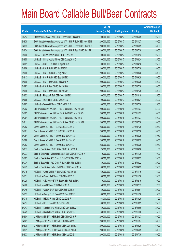|       |                                                                 | No. of        |                     |               | <b>Amount raised</b> |
|-------|-----------------------------------------------------------------|---------------|---------------------|---------------|----------------------|
| Code  | <b>Callable Bull/Bear Contracts</b>                             | issue (units) | <b>Listing date</b> | <b>Expiry</b> | $(HK$$ mil.)         |
| 64714 | Standard Chartered Bank - HSI R Bear CBBC Jun 2015 Q            | 100,000,000   | 2015/03/17          | 2015/06/29    | 25.00                |
| 64630 | SGA Societe Generale Acceptance N.V. - HSI R Bull CBBC Nov 15 N | 200,000,000   | 2015/03/17          | 2015/11/27    | 50.00                |
| 64633 | SGA Societe Generale Acceptance N.V. - HSI R Bear CBBC Jun 15 X | 200,000,000   | 2015/03/17          | 2015/06/29    | 50.00                |
| 64634 | SGA Societe Generale Acceptance N.V. - HSI R Bear CBBC Jul 15 L | 200,000,000   | 2015/03/17          | 2015/07/30    | 50.00                |
| 64666 | UBS AG - China Mobile R Bull CBBC Oct 2015 E                    | 100,000,000   | 2015/03/17          | 2015/10/12    | 25.00                |
| 64655 | UBS AG - China Mobile R Bear CBBC Aug 2015 C                    | 100,000,000   | 2015/03/17          | 2015/08/24    | 25.00                |
| 64681 | UBS AG - HSBC R Bull CBBC Apr 2016 A                            | 100,000,000   | 2015/03/17          | 2016/04/18    | 25.00                |
| 64606 | UBS AG - HSI R Bull CBBC Jul 2015 R                             | 200,000,000   | 2015/03/17          | 2015/07/30    | 50.00                |
| 64605 | UBS AG - HSI R Bull CBBC Aug 2015 Y                             | 200,000,000   | 2015/03/17          | 2015/08/28    | 50.00                |
| 64613 | UBS AG - HSI R Bull CBBC Sep 2015 K                             | 200,000,000   | 2015/03/17          | 2015/09/29    | 50.00                |
| 64690 | UBS AG - HSI R Bear CBBC Jun 2015 X                             | 200,000,000   | 2015/03/17          | 2015/06/29    | 50.00                |
| 64692 | UBS AG - HSI R Bear CBBC Jul 2015 O                             | 200,000,000   | 2015/03/17          | 2015/07/30    | 50.00                |
| 64695 | UBS AG - HSI R Bear CBBC Jul 2015 P                             | 200,000,000   | 2015/03/17          | 2015/07/30    | 50.00                |
| 64652 | UBS AG - Ping An R Bull CBBC Oct 2015 E                         | 100,000,000   | 2015/03/17          | 2015/10/19    | 25.00                |
| 64668 | UBS AG - TCH R Bull CBBC Sep 2015 C                             | 100,000,000   | 2015/03/17          | 2015/09/21    | 25.00                |
| 64667 | UBS AG - Tencent R Bear CBBC Jul 2015 B                         | 100,000,000   | 2015/03/17          | 2015/07/20    | 25.00                |
| 64762 | BNP Paribas Arbit Issu B.V. - HSI R Bull CBBC Nov 2015 R        | 200,000,000   | 2015/03/18          | 2015/11/27    | 54.00                |
| 64763 | BNP Paribas Arbit Issu B.V. - HSI R Bull CBBC Nov 2015 S        | 200,000,000   | 2015/03/18          | 2015/11/27    | 50.00                |
| 64764 | BNP Paribas Arbit Issu B.V. - HSI R Bull CBBC Nov 2015 T        | 200,000,000   | 2015/03/18          | 2015/11/27    | 50.00                |
| 64811 | BNP Paribas Arbit Issu B.V. - HSI R Bear CBBC Jul 2015 M        | 200,000,000   | 2015/03/18          | 2015/07/30    | 50.00                |
| 64782 | Credit Suisse AG - HSI R Bull CBBC Jul 2015 U                   | 238,000,000   | 2015/03/18          | 2015/07/30    | 59.50                |
| 64761 | Credit Suisse AG - HSI R Bull CBBC Jul 2015 X                   | 238,000,000   | 2015/03/18          | 2015/07/30    | 59.50                |
| 64784 | Credit Suisse AG - HSI R Bear CBBC Jun 2015 B                   | 238,000,000   | 2015/03/18          | 2015/06/29    | 59.50                |
| 64796 | Credit Suisse AG - HSI R Bear CBBC Jun 2015 D                   | 238,000,000   | 2015/03/18          | 2015/06/29    | 59.50                |
| 64783 | Credit Suisse AG - HSI R Bear CBBC Jun 2015 P                   | 238,000,000   | 2015/03/18          | 2015/06/29    | 59.50                |
| 64817 | Bank of East Asia - COVS R Bull CBBC Apr 2016 A                 | 25,000,000    | 2015/03/18          | 2016/04/26    | 11.00                |
| 64777 | Bank of East Asia - Minsheng Bank R Bull CBBC Nov 2015 A        | 40,000,000    | 2015/03/18          | 2015/11/30    | 10.00                |
| 64765 | Bank of East Asia - A50 China R Bull CBBC Mar 2016 A            | 80,000,000    | 2015/03/18          | 2016/03/22    | 20.00                |
| 64774 | Bank of East Asia - A50 China R Bull CBBC Mar 2016 B            | 80,000,000    | 2015/03/18          | 2016/03/22    | 20.00                |
| 64775 | Bank of East Asia - Galaxy Ent R Bull CBBC Apr 2016 A           | 100,000,000   | 2015/03/18          | 2016/04/22    | 25.00                |
| 64715 | HK Bank - China Mobile R Bear CBBC Nov 2015 C                   | 60,000,000    | 2015/03/18          | 2015/11/16    | 15.00                |
| 64751 | HK Bank - China Life R Bear CBBC Nov 2015 B                     | 50,000,000    | 2015/03/18          | 2015/11/30    | 20.00                |
| 64720 | HK Bank - CSOP A50 ETF R Bear CBBC Feb 2016 C                   | 40,000,000    | 2015/03/18          | 2016/02/15    | 10.00                |
| 64728 | HK Bank - A50 R Bear CBBC Feb 2016 D                            | 50,000,000    | 2015/03/18          | 2016/02/15    | 12.50                |
| 64746 | HK Bank - Galaxy Ent R Bull CBBC Feb 2016 A                     | 80,000,000    | 2015/03/18          | 2016/02/01    | 20.00                |
| 64737 | HK Bank - Galaxy Ent R Bear CBBC Nov 2015 E                     | 60,000,000    | 2015/03/18          | 2015/11/30    | 15.00                |
| 64719 | HK Bank - HSCEI R Bear CBBC Oct 2015 F                          | 68,000,000    | 2015/03/18          | 2015/10/29    | 17.00                |
| 64717 | HK Bank - HSI R Bear CBBC Oct 2015 M                            | 100,000,000   | 2015/03/18          | 2015/10/29    | 25.00                |
| 64747 | HK Bank - Sands China R Bull CBBC May 2016 A                    | 80,000,000    | 2015/03/18          | 2016/05/09    | 20.00                |
| 64749 | HK Bank - Sands China R Bear CBBC Nov 2015 E                    | 60,000,000    | 2015/03/18          | 2015/11/30    | 15.00                |
| 64804 | J P Morgan SP BV - HSI R Bull CBBC Nov 2015 F                   | 200,000,000   | 2015/03/18          | 2015/11/27    | 50.00                |
| 64821 | J P Morgan SP BV - HSI R Bull CBBC Nov 2015 G                   | 200,000,000   | 2015/03/18          | 2015/11/27    | 50.00                |
| 64830 | J P Morgan SP BV - HSI R Bear CBBC Jun 2015 J                   | 200,000,000   | 2015/03/18          | 2015/06/29    | 50.00                |
| 64831 | J P Morgan SP BV - HSI R Bear CBBC Jun 2015 K                   | 200,000,000   | 2015/03/18          | 2015/06/29    | 50.00                |
| 64833 | J P Morgan SP BV - HSI R Bear CBBC Jul 2015 I                   | 200,000,000   | 2015/03/18          | 2015/07/30    | 50.00                |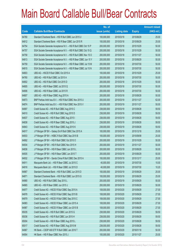|       |                                                                 | No. of        |                     |               | <b>Amount raised</b> |
|-------|-----------------------------------------------------------------|---------------|---------------------|---------------|----------------------|
| Code  | <b>Callable Bull/Bear Contracts</b>                             | issue (units) | <b>Listing date</b> | <b>Expiry</b> | $(HK$$ mil.)         |
| 64780 | Standard Chartered Bank - HSI R Bull CBBC Jun 2015 U            | 100,000,000   | 2015/03/18          | 2015/06/29    | 25.00                |
| 64812 | Standard Chartered Bank - HSI R Bear CBBC Jun 2015 R            | 100,000,000   | 2015/03/18          | 2015/06/29    | 25.00                |
| 64754 | SGA Societe Generale Acceptance N.V. - HSI R Bull CBBC Oct 15 P | 200,000,000   | 2015/03/18          | 2015/10/29    | 50.00                |
| 64757 | SGA Societe Generale Acceptance N.V. - HSI R Bull CBBC Oct 15 Q | 200,000,000   | 2015/03/18          | 2015/10/29    | 50.00                |
| 64758 | SGA Societe Generale Acceptance N.V. - HSI R Bull CBBC Nov 15 O | 200,000,000   | 2015/03/18          | 2015/11/27    | 50.00                |
| 64813 | SGA Societe Generale Acceptance N.V. - HSI R Bear CBBC Jun 15 Y | 200,000,000   | 2015/03/18          | 2015/06/29    | 50.00                |
| 64759 | SGA Societe Generale Acceptance N.V. - HSI R Bear CBBC Jul 15 M | 200,000,000   | 2015/03/18          | 2015/07/30    | 50.00                |
| 64815 | SGA Societe Generale Acceptance N.V. - HSI R Bear CBBC Jul 15 N | 200,000,000   | 2015/03/18          | 2015/07/30    | 50.00                |
| 64803 | UBS AG - HSCEI R Bull CBBC Oct 2015 A                           | 100,000,000   | 2015/03/18          | 2015/10/29    | 25.00                |
| 64760 | UBS AG - HSI R Bull CBBC Jul 2015 A                             | 200,000,000   | 2015/03/18          | 2015/07/30    | 50.00                |
| 64802 | UBS AG - HSI R Bull CBBC Oct 2015 D                             | 200,000,000   | 2015/03/18          | 2015/10/29    | 50.00                |
| 64805 | UBS AG - HSI R Bear CBBC Jul 2015 Q                             | 200,000,000   | 2015/03/18          | 2015/07/30    | 50.00                |
| 64806 | UBS AG - HSI R Bear CBBC Jul 2015 R                             | 200,000,000   | 2015/03/18          | 2015/07/30    | 50.00                |
| 64807 | UBS AG - HSI R Bear CBBC Aug 2015 A                             | 200,000,000   | 2015/03/18          | 2015/08/28    | 50.00                |
| 64873 | BNP Paribas Arbit Issu B.V. - HSI R Bull CBBC Nov 2015 U        | 200,000,000   | 2015/03/19          | 2015/11/27    | 62.00                |
| 64874 | BNP Paribas Arbit Issu B.V. - HSI R Bull CBBC Nov 2015 V        | 200,000,000   | 2015/03/19          | 2015/11/27    | 50.00                |
| 64897 | Credit Suisse AG - HSI R Bull CBBC Aug 2015 C                   | 238,000,000   | 2015/03/19          | 2015/08/28    | 59.50                |
| 64910 | Credit Suisse AG - HSI R Bull CBBC Aug 2015 D                   | 238,000,000   | 2015/03/19          | 2015/08/28    | 59.50                |
| 64837 | Credit Suisse AG - HSI R Bear CBBC Aug 2015 I                   | 238,000,000   | 2015/03/19          | 2015/08/28    | 59.50                |
| 64838 | Credit Suisse AG - HSI R Bear CBBC Aug 2015 J                   | 238,000,000   | 2015/03/19          | 2015/08/28    | 59.50                |
| 64843 | Credit Suisse AG - HSI R Bear CBBC Aug 2015 K                   | 238,000,000   | 2015/03/19          | 2015/08/28    | 59.50                |
| 64917 | J P Morgan SP BV - Galaxy Ent R Bull CBBC Dec 2015 A            | 100,000,000   | 2015/03/19          | 2015/12/18    | 25.00                |
| 64933 | J P Morgan SP BV - HSBC R Bull CBBC Sep 2015 B                  | 100,000,000   | 2015/03/19          | 2015/09/08    | 25.00                |
| 64892 | J P Morgan SP BV - HSI R Bull CBBC Oct 2015 O                   | 200,000,000   | 2015/03/19          | 2015/10/29    | 50.00                |
| 64934 | J P Morgan SP BV - HSI R Bull CBBC Nov 2015 H                   | 200,000,000   | 2015/03/19          | 2015/11/27    | 50.00                |
| 64836 | J P Morgan SP BV - HSI R Bear CBBC Jun 2015 L                   | 200,000,000   | 2015/03/19          | 2015/06/29    | 50.00                |
| 64935 | J P Morgan SP BV - HSI R Bear CBBC Jun 2015 T                   | 200,000,000   | 2015/03/19          | 2015/06/29    | 50.00                |
| 64932 | J P Morgan SP BV - Sands China R Bull CBBC Dec 2015 A           | 100,000,000   | 2015/03/19          | 2015/12/17    | 25.00                |
| 64911 | Macquarie Bank Ltd. - HSI R Bear CBBC Jul 2015 C                | 40,000,000    | 2015/03/19          | 2015/07/30    | 10.00                |
| 64916 | Macquarie Bank Ltd. - HSI R Bear CBBC Jul 2015 D                | 40,000,000    | 2015/03/19          | 2015/07/30    | 10.20                |
| 64867 | Standard Chartered Bank - HSI R Bull CBBC Jun 2015 D            | 100,000,000   | 2015/03/19          | 2015/06/29    | 25.00                |
| 64871 | Standard Chartered Bank - HSI R Bull CBBC Jun 2015 G            | 100,000,000   | 2015/03/19          | 2015/06/29    | 25.00                |
| 64880 | UBS AG - HSI R Bull CBBC Sep 2015 L                             | 200,000,000   | 2015/03/19          | 2015/09/29    | 50.00                |
| 64865 | UBS AG - HSI R Bear CBBC Jun 2015 J                             | 200,000,000   | 2015/03/19          | 2015/06/29    | 50.00                |
| 64977 | Credit Suisse AG - HSCEI R Bull CBBC Sep 2015 A                 | 108,000,000   | 2015/03/20          | 2015/09/29    | 27.00                |
| 64978 | Credit Suisse AG - HSCEI R Bull CBBC Sep 2015 B                 | 108,000,000   | 2015/03/20          | 2015/09/29    | 27.00                |
| 64979 | Credit Suisse AG - HSCEI R Bull CBBC Sep 2015 C                 | 108,000,000   | 2015/03/20          | 2015/09/29    | 27.00                |
| 64983 | Credit Suisse AG - HSCEI R Bear CBBC Jun 2015 A                 | 108,000,000   | 2015/03/20          | 2015/06/29    | 27.00                |
| 64987 | Credit Suisse AG - HSCEI R Bear CBBC Jun 2015 B                 | 108,000,000   | 2015/03/20          | 2015/06/29    | 27.00                |
| 65035 | Credit Suisse AG - HSI R Bull CBBC Jun 2015 G                   | 238,000,000   | 2015/03/20          | 2015/06/29    | 59.50                |
| 65036 | Credit Suisse AG - HSI R Bull CBBC Jun 2015 H                   | 238,000,000   | 2015/03/20          | 2015/06/29    | 59.50                |
| 65004 | Credit Suisse AG - HSI R Bear CBBC Aug 2015 L                   | 238,000,000   | 2015/03/20          | 2015/08/28    | 59.50                |
| 65017 | Credit Suisse AG - HSI R Bear CBBC Aug 2015 M                   | 238,000,000   | 2015/03/20          | 2015/08/28    | 59.50                |
| 64967 | HK Bank - CSOP A50 ETF R Bull CBBC Jan 2016 T                   | 200,000,000   | 2015/03/20          | 2016/01/18    | 50.00                |
| 64954 | HK Bank - HSI R Bear CBBC Nov 2015 J                            | 100,000,000   | 2015/03/20          | 2015/11/27    | 25.00                |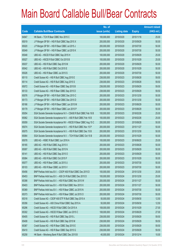|       |                                                                  | No. of        |                     |               | <b>Amount raised</b> |
|-------|------------------------------------------------------------------|---------------|---------------------|---------------|----------------------|
| Code  | <b>Callable Bull/Bear Contracts</b>                              | issue (units) | <b>Listing date</b> | <b>Expiry</b> | $(HK$$ mil.)         |
| 64947 | HK Bank – TCH R Bear CBBC Nov 2015 C                             | 100,000,000   | 2015/03/20          | 2015/11/16    | 25.00                |
| 65019 | J P Morgan SP BV - HSI R Bull CBBC Sep 2015 X                    | 200,000,000   | 2015/03/20          | 2015/09/29    | 50.00                |
| 65020 | J P Morgan SP BV - HSI R Bear CBBC Jul 2015 J                    | 200,000,000   | 2015/03/20          | 2015/07/30    | 50.00                |
| 65049 | J P Morgan SP BV - HSI R Bear CBBC Jul 2015 K                    | 200,000,000   | 2015/03/20          | 2015/07/30    | 50.00                |
| 65048 | UBS AG - HSCEI R Bull CBBC Sep 2015 H                            | 100,000,000   | 2015/03/20          | 2015/09/29    | 25.00                |
| 65027 | UBS AG - HSCEI R Bull CBBC Oct 2015 B                            | 100,000,000   | 2015/03/20          | 2015/10/29    | 25.00                |
| 65037 | UBS AG - HSI R Bull CBBC Sep 2015 M                              | 200,000,000   | 2015/03/20          | 2015/09/29    | 50.00                |
| 65042 | UBS AG - HSI R Bull CBBC Oct 2015 E                              | 200,000,000   | 2015/03/20          | 2015/10/29    | 50.00                |
| 65026 | UBS AG - HSI R Bear CBBC Jul 2015 S                              | 200,000,000   | 2015/03/20          | 2015/07/30    | 50.00                |
| 65110 | Credit Suisse AG - HSI R Bull CBBC Aug 2015 E                    | 238,000,000   | 2015/03/23          | 2015/08/28    | 59.50                |
| 65114 | Credit Suisse AG - HSI R Bull CBBC Aug 2015 S                    | 238,000,000   | 2015/03/23          | 2015/08/28    | 59.50                |
| 65072 | Credit Suisse AG - HSI R Bear CBBC Sep 2015 B                    | 238,000,000   | 2015/03/23          | 2015/09/29    | 59.50                |
| 65133 | Credit Suisse AG - HSI R Bear CBBC Sep 2015 D                    | 238,000,000   | 2015/03/23          | 2015/09/29    | 59.50                |
| 65076 | J P Morgan SP BV - HSI R Bull CBBC Dec 2015 C                    | 200,000,000   | 2015/03/23          | 2015/12/30    | 50.00                |
| 65173 | J P Morgan SP BV - HSI R Bull CBBC Dec 2015 D                    | 200,000,000   | 2015/03/23          | 2015/12/30    | 50.00                |
| 65166 | J P Morgan SP BV - HSI R Bear CBBC Jun 2015 M                    | 200,000,000   | 2015/03/23          | 2015/06/29    | 50.00                |
| 65179 | J P Morgan SP BV - HSI R Bear CBBC Jun 2015 P                    | 200,000,000   | 2015/03/23          | 2015/06/29    | 50.00                |
| 65054 | SGA Societe Generale Acceptance N.V - CSA50 R Bull CBBC Feb 16 B | 100,000,000   | 2015/03/23          | 2016/02/26    | 25.00                |
| 65062 | SGA Societe Generale Acceptance N.V. - A50 R Bull CBBC Feb 16 B  | 100,000,000   | 2015/03/23          | 2016/02/26    | 25.00                |
| 65059 | SGA Societe Generale Acceptance NV - HSCEI R Bear CBBC Aug 15 C  | 200,000,000   | 2015/03/23          | 2015/08/28    | 50.00                |
| 65074 | SGA Societe Generale Acceptance N.V. - HSI R Bull CBBC Nov 15 P  | 200,000,000   | 2015/03/23          | 2015/11/27    | 50.00                |
| 65075 | SGA Societe Generale Acceptance N.V. - HSI R Bull CBBC Dec 15 B  | 200,000,000   | 2015/03/23          | 2015/12/30    | 50.00                |
| 65064 | SGA Societe Generale Acceptance N.V. - TCH R Bull CBBC Oct 15 B  | 200,000,000   | 2015/03/23          | 2015/10/29    | 50.00                |
| 65078 | UBS AG - HSBC R Bull CBBC Jun 2016 A                             | 100,000,000   | 2015/03/23          | 2016/06/20    | 25.00                |
| 65165 | UBS AG - HSI R Bull CBBC Aug 2015 X                              | 200,000,000   | 2015/03/23          | 2015/08/28    | 50.00                |
| 65097 | UBS AG - HSI R Bull CBBC Sep 2015 N                              | 200,000,000   | 2015/03/23          | 2015/09/29    | 50.00                |
| 65141 | UBS AG - HSI R Bull CBBC Sep 2015 O                              | 200,000,000   | 2015/03/23          | 2015/09/29    | 50.00                |
| 65084 | UBS AG - HSI R Bull CBBC Oct 2015 F                              | 200,000,000   | 2015/03/23          | 2015/10/29    | 50.00                |
| 65077 | UBS AG - HSI R Bear CBBC Jul 2015 U                              | 200,000,000   | 2015/03/23          | 2015/07/30    | 50.00                |
| 65103 | UBS AG - HSI R Bear CBBC Jul 2015 V                              | 200,000,000   | 2015/03/23          | 2015/07/30    | 50.00                |
| 65456 | BNP Paribas Arbit Issu B.V. - CSOP A50 R Bull CBBC Dec 2015 D    | 100,000,000   | 2015/03/24          | 2015/12/30    | 25.00                |
| 65453 | BNP Paribas Arbit Issu B.V. - A50 Ch R Bull CBBC Dec 2015 D      | 100,000,000   | 2015/03/24          | 2015/12/30    | 25.00                |
| 65398 | BNP Paribas Arbit Issu B.V. - HSI R Bull CBBC Nov 2015 W         | 200,000,000   | 2015/03/24          | 2015/11/27    | 50.00                |
| 65403 | BNP Paribas Arbit Issu B.V. - HSI R Bull CBBC Nov 2015 X         | 200,000,000   | 2015/03/24          | 2015/11/27    | 50.00                |
| 65369 | BNP Paribas Arbit Issu B.V. - HSI R Bear CBBC Jul 2015 N         | 200,000,000   | 2015/03/24          | 2015/07/30    | 50.00                |
| 65373 | BNP Paribas Arbit Issu B.V. - HSI R Bear CBBC Jul 2015 O         | 200,000,000   | 2015/03/24          | 2015/07/30    | 50.00                |
| 65318 | Credit Suisse AG - CSOP A50 ETF R Bull CBBC Sep 2015 A           | 50,000,000    | 2015/03/24          | 2015/09/30    | 12.50                |
| 65356 | Credit Suisse AG - A50 China R Bull CBBC Sep 2015 A              | 50,000,000    | 2015/03/24          | 2015/09/30    | 12.50                |
| 65296 | Credit Suisse AG - HSCEI R Bull CBBC Oct 2015 A                  | 108,000,000   | 2015/03/24          | 2015/10/29    | 27.00                |
| 65302 | Credit Suisse AG - HSCEI R Bear CBBC Jun 2015 C                  | 108,000,000   | 2015/03/24          | 2015/06/29    | 27.00                |
| 65405 | Credit Suisse AG - HSI R Bull CBBC Sep 2015 L                    | 238,000,000   | 2015/03/24          | 2015/09/29    | 59.50                |
| 65408 | Credit Suisse AG - HSI R Bull CBBC Sep 2015 M                    | 238,000,000   | 2015/03/24          | 2015/09/29    | 59.50                |
| 65367 | Credit Suisse AG - HSI R Bear CBBC Sep 2015 E                    | 238,000,000   | 2015/03/24          | 2015/09/29    | 59.50                |
| 65410 | Credit Suisse AG - HSI R Bear CBBC Sep 2015 G                    | 238,000,000   | 2015/03/24          | 2015/09/29    | 59.50                |
| 65258 | HK Bank - Minsheng Bank R Bull CBBC Dec 2015 B                   | 40,000,000    | 2015/03/24          | 2015/12/14    | 10.00                |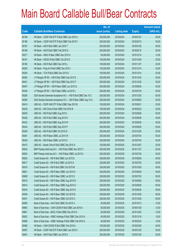|       |                                                                 | No. of        |                     |               | <b>Amount raised</b> |
|-------|-----------------------------------------------------------------|---------------|---------------------|---------------|----------------------|
| Code  | <b>Callable Bull/Bear Contracts</b>                             | issue (units) | <b>Listing date</b> | <b>Expiry</b> | $(HK$$ mil.)         |
| 65198 | HK Bank - CSOP A50 ETF R Bull CBBC Jan 2016 U                   | 200,000,000   | 2015/03/24          | 2016/01/27    | 50.00                |
| 65196 | HK Bank - CSOP A50 ETF R Bull CBBC Feb 2016 F                   | 200,000,000   | 2015/03/24          | 2016/02/15    | 50.00                |
| 65187 | HK Bank - A50 R Bull CBBC Jan 2016 T                            | 200,000,000   | 2015/03/24          | 2016/01/25    | 50.00                |
| 65186 | HK Bank - A50 R Bull CBBC Feb 2016 G                            | 200,000,000   | 2015/03/24          | 2016/02/15    | 50.00                |
| 65271 | HK Bank - HKEx R Bear CBBC Dec 2015 A                           | 50,000,000    | 2015/03/24          | 2015/12/14    | 12.50                |
| 65181 | HK Bank - HSCEI R Bull CBBC Oct 2015 E                          | 100,000,000   | 2015/03/24          | 2015/10/29    | 25.00                |
| 65180 | HK Bank - HSI R Bull CBBC Nov 2015 L                            | 100,000,000   | 2015/03/24          | 2015/11/27    | 25.00                |
| 65250 | HK Bank - Ping An R Bull CBBC Dec 2015 I                        | 120,000,000   | 2015/03/24          | 2015/12/14    | 30.00                |
| 65254 | HK Bank - TCH R Bull CBBC Dec 2015 G                            | 100,000,000   | 2015/03/24          | 2015/12/14    | 25.00                |
| 65383 | J P Morgan SP BV - HSI R Bull CBBC Dec 2015 E                   | 200,000,000   | 2015/03/24          | 2015/12/30    | 50.00                |
| 65441 | J P Morgan SP BV - HSI R Bull CBBC Dec 2015 F                   | 200,000,000   | 2015/03/24          | 2015/12/30    | 50.00                |
| 65447 | J P Morgan SP BV - HSI R Bear CBBC Jun 2015 Q                   | 200,000,000   | 2015/03/24          | 2015/06/29    | 50.00                |
| 65448 | J P Morgan SP BV - HSI R Bear CBBC Jul 2015 L                   | 200,000,000   | 2015/03/24          | 2015/07/30    | 50.00                |
| 65280 | SGA Societe Generale Acceptance N.V. - HSI R Bull CBBC Dec 15 C | 200,000,000   | 2015/03/24          | 2015/12/30    | 50.00                |
| 65290 | SGA Societe Generale Acceptance N.V. - HSI R Bear CBBC Aug 15 A | 200,000,000   | 2015/03/24          | 2015/08/28    | 50.00                |
| 65419 | UBS AG - CSOP A50 ETF R Bull CBBC Sep 2015 B                    | 100,000,000   | 2015/03/24          | 2015/09/21    | 25.00                |
| 65425 | UBS AG - A50 China R Bull CBBC Feb 2016 B                       | 100,000,000   | 2015/03/24          | 2016/02/22    | 25.00                |
| 65435 | UBS AG - HSI R Bull CBBC Aug 2015 L                             | 200,000,000   | 2015/03/24          | 2015/08/28    | 50.00                |
| 65428 | UBS AG - HSI R Bull CBBC Aug 2015 N                             | 200,000,000   | 2015/03/24          | 2015/08/28    | 50.00                |
| 65433 | UBS AG - HSI R Bull CBBC Aug 2015 W                             | 200,000,000   | 2015/03/24          | 2015/08/28    | 50.00                |
| 65434 | UBS AG - HSI R Bull CBBC Sep 2015 P                             | 200,000,000   | 2015/03/24          | 2015/09/29    | 50.00                |
| 65426 | UBS AG - HSI R Bull CBBC Oct 2015 G                             | 200,000,000   | 2015/03/24          | 2015/10/29    | 50.00                |
| 65381 | UBS AG - HSI R Bear CBBC Jul 2015 W                             | 200,000,000   | 2015/03/24          | 2015/07/30    | 50.00                |
| 65439 | UBS AG - HSI R Bear CBBC Jul 2015 X                             | 200,000,000   | 2015/03/24          | 2015/07/30    | 50.00                |
| 65413 | UBS AG - Sands China R Bull CBBC Dec 2015 A                     | 100,000,000   | 2015/03/24          | 2015/12/07    | 25.00                |
| 65544 | BNP Paribas Arbit Issu B.V. - HSI R Bull CBBC Nov 2015 Y        | 200,000,000   | 2015/03/25          | 2015/11/27    | 50.00                |
| 65554 | BNP Paribas Arbit Issu B.V. - HSI R Bear CBBC Jul 2015 K        | 200,000,000   | 2015/03/25          | 2015/07/30    | 50.00                |
| 65622 | Credit Suisse AG - HSI R Bull CBBC Jun 2015 E                   | 238,000,000   | 2015/03/25          | 2015/06/29    | 59.50                |
| 65617 | Credit Suisse AG - HSI R Bull CBBC Jul 2015 S                   | 238,000,000   | 2015/03/25          | 2015/07/30    | 59.50                |
| 65516 | Credit Suisse AG - HSI R Bull CBBC Oct 2015 M                   | 238,000,000   | 2015/03/25          | 2015/10/29    | 59.50                |
| 65601 | Credit Suisse AG - HSI R Bear CBBC Jun 2015 K                   | 238,000,000   | 2015/03/25          | 2015/06/29    | 59.50                |
| 65608 | Credit Suisse AG - HSI R Bear CBBC Jul 2015 S                   | 238,000,000   | 2015/03/25          | 2015/07/30    | 59.50                |
| 65519 | Credit Suisse AG - HSI R Bear CBBC Aug 2015 N                   | 238,000,000   | 2015/03/25          | 2015/08/28    | 59.50                |
| 65614 | Credit Suisse AG - HSI R Bear CBBC Aug 2015 O                   | 238,000,000   | 2015/03/25          | 2015/08/28    | 59.50                |
| 65534 | Credit Suisse AG - HSI R Bear CBBC Sep 2015 H                   | 238,000,000   | 2015/03/25          | 2015/09/29    | 59.50                |
| 65539 | Credit Suisse AG - HSI R Bear CBBC Oct 2015 B                   | 238,000,000   | 2015/03/25          | 2015/10/29    | 59.50                |
| 65541 | Credit Suisse AG - HSI R Bear CBBC Oct 2015 C                   | 238,000,000   | 2015/03/25          | 2015/10/29    | 59.50                |
| 65659 | Bank of East Asia - AIA R Bull CBBC Oct 2015 A                  | 50,000,000    | 2015/03/25          | 2015/10/13    | 12.50                |
| 65663 | Bank of East Asia - CAM CSI300 R Bull CBBC Jan 2016 A           | 50,000,000    | 2015/03/25          | 2016/01/28    | 12.50                |
| 65661 | Bank of East Asia - BOCL R Bull CBBC Dec 2015 A                 | 50,000,000    | 2015/03/25          | 2015/12/03    | 12.50                |
| 65623 | Bank of East Asia - HSBC Holdings R Bull CBBC Dec 2015 A        | 40,000,000    | 2015/03/25          | 2015/12/18    | 10.00                |
| 65658 | Bank of East Asia - HSBC Holdings R Bull CBBC Feb 2016 A        | 40,000,000    | 2015/03/25          | 2016/02/25    | 10.00                |
| 65486 | HK Bank - CAM CSI300 R Bull CBBC Feb 2016 A                     | 100,000,000   | 2015/03/25          | 2016/02/29    | 49.00                |
| 65487 | HK Bank - CSOP A50 ETF R Bull CBBC Jan 2016 V                   | 200,000,000   | 2015/03/25          | 2016/01/20    | 50.00                |
| 65461 | HK Bank - A50 R Bull CBBC Jan 2016 U                            | 200,000,000   | 2015/03/25          | 2016/01/20    | 50.00                |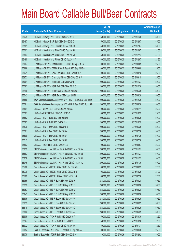|       |                                                                 | No. of        |                     |               | <b>Amount raised</b> |
|-------|-----------------------------------------------------------------|---------------|---------------------|---------------|----------------------|
| Code  | <b>Callable Bull/Bear Contracts</b>                             | issue (units) | <b>Listing date</b> | <b>Expiry</b> | (HK\$ mil.)          |
| 65479 | HK Bank - Galaxy Ent R Bull CBBC Nov 2015 D                     | 50,000,000    | 2015/03/25          | 2015/11/30    | 30.00                |
| 65497 | HK Bank - Galaxy Ent R Bull CBBC Dec 2015 C                     | 50,000,000    | 2015/03/25          | 2015/12/07    | 45.00                |
| 65501 | HK Bank - Galaxy Ent R Bear CBBC Dec 2015 D                     | 40,000,000    | 2015/03/25          | 2015/12/07    | 30.00                |
| 65502 | HK Bank - Sands China R Bull CBBC Dec 2015 C                    | 50,000,000    | 2015/03/25          | 2015/12/07    | 32.00                |
| 65504 | HK Bank - Sands China R Bull CBBC Dec 2015 D                    | 50,000,000    | 2015/03/25          | 2015/12/14    | 47.00                |
| 65485 | HK Bank - Sands China R Bear CBBC Dec 2015 A                    | 60,000,000    | 2015/03/25          | 2015/12/07    | 24.60                |
| 65667 | J P Morgan SP BV - CAM CSI300 R Bull CBBC Sep 2015 A            | 100,000,000   | 2015/03/25          | 2015/09/09    | 25.00                |
| 65668 | J P Morgan SP BV - CAM CSI300 R Bear CBBC Sep 2015 A            | 100,000,000   | 2015/03/25          | 2015/09/09    | 25.00                |
| 65671 | J P Morgan SP BV - China Life R Bull CBBC Mar 2016 A            | 100,000,000   | 2015/03/25          | 2016/03/15    | 25.00                |
| 65673 | J P Morgan SP BV - China Life R Bear CBBC Mar 2016 A            | 100,000,000   | 2015/03/25          | 2016/03/15    | 25.00                |
| 65664 | J P Morgan SP BV - HSI R Bull CBBC Nov 2015 I                   | 200,000,000   | 2015/03/25          | 2015/11/27    | 50.00                |
| 65562 | J P Morgan SP BV - HSI R Bull CBBC Dec 2015 G                   | 200,000,000   | 2015/03/25          | 2015/12/30    | 50.00                |
| 65496 | J P Morgan SP BV - HSI R Bear CBBC Jun 2015 G                   | 200,000,000   | 2015/03/25          | 2015/06/29    | 50.00                |
| 65542 | J P Morgan SP BV - HSI R Bear CBBC Jun 2015 I                   | 200,000,000   | 2015/03/25          | 2015/06/29    | 50.00                |
| 65556 | SGA Societe Generale Acceptance N.V. - HSI R Bull CBBC Dec 15 D | 200,000,000   | 2015/03/25          | 2015/12/30    | 50.00                |
| 65561 | SGA Societe Generale Acceptance N.V. - HSI R Bear CBBC Aug 15 B | 200,000,000   | 2015/03/25          | 2015/08/28    | 50.00                |
| 65564 | UBS AG - China Life R Bull CBBC Jan 2016 A                      | 100,000,000   | 2015/03/25          | 2016/01/11    | 25.00                |
| 65567 | UBS AG - HSCEI R Bull CBBC Oct 2015 C                           | 100,000,000   | 2015/03/25          | 2015/10/29    | 25.00                |
| 65582 | UBS AG - HSI R Bull CBBC Sep 2015 Q                             | 200,000,000   | 2015/03/25          | 2015/09/29    | 50.00                |
| 65583 | UBS AG - HSI R Bull CBBC Oct 2015 H                             | 200,000,000   | 2015/03/25          | 2015/10/29    | 50.00                |
| 65576 | UBS AG - HSI R Bear CBBC Jun 2015 Y                             | 200,000,000   | 2015/03/25          | 2015/06/29    | 50.00                |
| 65581 | UBS AG - HSI R Bear CBBC Jul 2015 A                             | 200,000,000   | 2015/03/25          | 2015/07/30    | 50.00                |
| 65509 | UBS AG - HSI R Bear CBBC Jul 2015 Y                             | 200,000,000   | 2015/03/25          | 2015/07/30    | 50.00                |
| 65515 | UBS AG - HSI R Bear CBBC Jul 2015 Z                             | 200,000,000   | 2015/03/25          | 2015/07/30    | 50.00                |
| 65563 | UBS AG - TCH R Bull CBBC Sep 2015 D                             | 100,000,000   | 2015/03/25          | 2015/09/07    | 25.00                |
| 65859 | BNP Paribas Arbit Issu B.V. - HSI R Bull CBBC Nov 2015 A        | 200,000,000   | 2015/03/26          | 2015/11/27    | 50.00                |
| 65863 | BNP Paribas Arbit Issu B.V. - HSI R Bull CBBC Nov 2015 B        | 200,000,000   | 2015/03/26          | 2015/11/27    | 50.00                |
| 65856 | BNP Paribas Arbit Issu B.V. - HSI R Bull CBBC Nov 2015 Z        | 200,000,000   | 2015/03/26          | 2015/11/27    | 50.00                |
| 66045 | BNP Paribas Arbit Issu B.V. - HSI R Bear CBBC Jul 2015 J        | 200,000,000   | 2015/03/26          | 2015/07/30    | 50.00                |
| 65788 | Credit Suisse AG - HSCEI R Bull CBBC Sep 2015 D                 | 108,000,000   | 2015/03/26          | 2015/09/29    | 27.00                |
| 65779 | Credit Suisse AG - HSCEI R Bull CBBC Oct 2015 B                 | 108,000,000   | 2015/03/26          | 2015/10/29    | 27.00                |
| 65789 | Credit Suisse AG - HSCEI R Bear CBBC Jul 2015 A                 | 108,000,000   | 2015/03/26          | 2015/07/30    | 27.00                |
| 65955 | Credit Suisse AG - HSI R Bull CBBC Aug 2015 R                   | 238,000,000   | 2015/03/26          | 2015/08/28    | 59.50                |
| 65952 | Credit Suisse AG - HSI R Bull CBBC Aug 2015 T                   | 238,000,000   | 2015/03/26          | 2015/08/28    | 59.50                |
| 65953 | Credit Suisse AG - HSI R Bull CBBC Aug 2015 U                   | 238,000,000   | 2015/03/26          | 2015/08/28    | 59.50                |
| 65945 | Credit Suisse AG - HSI R Bull CBBC Aug 2015 Y                   | 238,000,000   | 2015/03/26          | 2015/08/28    | 59.50                |
| 65805 | Credit Suisse AG - HSI R Bear CBBC Jun 2015 A                   | 238,000,000   | 2015/03/26          | 2015/06/29    | 59.50                |
| 65813 | Credit Suisse AG - HSI R Bear CBBC Jun 2015 B                   | 238,000,000   | 2015/03/26          | 2015/06/29    | 59.50                |
| 65819 | Credit Suisse AG - HSI R Bear CBBC Jun 2015 D                   | 238,000,000   | 2015/03/26          | 2015/06/29    | 59.50                |
| 65802 | Credit Suisse AG - HSI R Bear CBBC Jun 2015 Z                   | 238,000,000   | 2015/03/26          | 2015/06/29    | 59.50                |
| 65905 | Credit Suisse AG - TCH R Bull CBBC Oct 2015 A                   | 50,000,000    | 2015/03/26          | 2015/10/30    | 12.50                |
| 65927 | Credit Suisse AG - TCH R Bull CBBC Oct 2015 B                   | 50,000,000    | 2015/03/26          | 2015/10/30    | 12.50                |
| 65932 | Credit Suisse AG - TCH R Bear CBBC Jul 2015 A                   | 50,000,000    | 2015/03/26          | 2015/07/31    | 12.50                |
| 66054 | Bank of East Asia - A50 China R Bear CBBC Sep 2015 A            | 100,000,000   | 2015/03/26          | 2015/09/30    | 25.00                |
| 66075 | Bank of East Asia - TCH R Bull CBBC Dec 2015 A                  | 40,000,000    | 2015/03/26          | 2015/12/02    | 10.00                |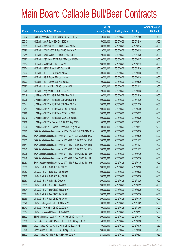# Main Board Callable Bull/Bear Contracts

|             |                                                                  | No. of        |                     |               | <b>Amount raised</b> |
|-------------|------------------------------------------------------------------|---------------|---------------------|---------------|----------------------|
| <b>Code</b> | <b>Callable Bull/Bear Contracts</b>                              | issue (units) | <b>Listing date</b> | <b>Expiry</b> | $(HK$$ mil.)         |
| 66092       | Bank of East Asia - TCH R Bear CBBC Dec 2015 A                   | 40,000,000    | 2015/03/26          | 2015/12/09    | 10.00                |
| 65713       | HK Bank - AIA R Bull CBBC Dec 2015 B                             | 50,000,000    | 2015/03/26          | 2015/12/14    | 25.00                |
| 65691       | HK Bank - CAM CSI300 R Bull CBBC Mar 2016 A                      | 100,000,000   | 2015/03/26          | 2016/03/14    | 40.00                |
| 65690       | HK Bank - CAM CSI300 R Bear CBBC Jan 2016 A                      | 40,000,000    | 2015/03/26          | 2016/01/25    | 29.60                |
| 65711       | HK Bank - China Mobile R Bull CBBC Nov 2015 F                    | 120,000,000   | 2015/03/26          | 2015/11/30    | 30.00                |
| 65683       | HK Bank - CSOP A50 ETF R Bull CBBC Jan 2016 W                    | 200,000,000   | 2015/03/26          | 2016/01/27    | 50.00                |
| 65687       | HK Bank - A50 R Bull CBBC Feb 2016 H                             | 200,000,000   | 2015/03/26          | 2016/02/15    | 50.00                |
| 65674       | HK Bank - HSCEI R Bull CBBC Dec 2015 B                           | 100,000,000   | 2015/03/26          | 2015/12/30    | 25.00                |
| 65693       | HK Bank - HSI R Bull CBBC Jan 2016 A                             | 400,000,000   | 2015/03/26          | 2016/01/28    | 100.00               |
| 65707       | HK Bank - HSI R Bear CBBC Jan 2016 A                             | 400,000,000   | 2015/03/26          | 2016/01/28    | 100.00               |
| 65677       | HK Bank - HSI R Bear CBBC Mar 2016 A                             | 400,000,000   | 2015/03/26          | 2016/03/30    | 100.00               |
| 65682       | HK Bank - Ping An R Bull CBBC Nov 2015 M                         | 120,000,000   | 2015/03/26          | 2015/11/23    | 30.00                |
| 65675       | HK Bank - Ping An R Bull CBBC Jan 2016 C                         | 120,000,000   | 2015/03/26          | 2016/01/25    | 30.00                |
| 66018       | J P Morgan SP BV - HSI R Bull CBBC Dec 2015 I                    | 200,000,000   | 2015/03/26          | 2015/12/30    | 50.00                |
| 66025       | J P Morgan SP BV - HSI R Bull CBBC Dec 2015 J                    | 200,000,000   | 2015/03/26          | 2015/12/30    | 50.00                |
| 66041       | J P Morgan SP BV - HSI R Bull CBBC Dec 2015 K                    | 200,000,000   | 2015/03/26          | 2015/12/30    | 50.00                |
| 65714       | J P Morgan SP BV - HSI R Bear CBBC Jun 2015 B                    | 200,000,000   | 2015/03/26          | 2015/06/29    | 50.00                |
| 65998       | J P Morgan SP BV - HSI R Bear CBBC Jun 2015 J                    | 200,000,000   | 2015/03/26          | 2015/06/29    | 50.00                |
| 66016       | J P Morgan SP BV - HSI R Bear CBBC Jun 2015 K                    | 200,000,000   | 2015/03/26          | 2015/06/29    | 50.00                |
| 65989       | J P Morgan SP BV - Tencent R Bull CBBC Aug 2015 A                | 100,000,000   | 2015/03/26          | 2015/08/17    | 25.00                |
| 65996       | J P Morgan SP BV - Tencent R Bear CBBC Aug 2015 A                | 100,000,000   | 2015/03/26          | 2015/08/17    | 25.00                |
| 65872       | SGA Societe Generale Acceptance N.V - CSA50 R Bull CBBC Mar 16 A | 100,000,000   | 2015/03/26          | 2016/03/30    | 25.00                |
| 65873       | SGA Societe Generale Acceptance N.V. - A50 R Bull CBBC Mar 16 A  | 100,000,000   | 2015/03/26          | 2016/03/30    | 25.00                |
| 65733       | SGA Societe Generale Acceptance N.V. - HSI R Bull CBBC Nov 15 Q  | 200,000,000   | 2015/03/26          | 2015/11/27    | 50.00                |
| 65841       | SGA Societe Generale Acceptance N.V. - HSI R Bull CBBC Nov 15 R  | 200,000,000   | 2015/03/26          | 2015/11/27    | 50.00                |
| 65842       | SGA Societe Generale Acceptance N.V. - HSI R Bull CBBC Nov 15 S  | 200,000,000   | 2015/03/26          | 2015/11/27    | 50.00                |
| 65735       | SGA Societe Generale Acceptance N.V. - HSI R Bear CBBC Jul 15 O  | 200,000,000   | 2015/03/26          | 2015/07/30    | 50.00                |
| 65749       | SGA Societe Generale Acceptance N.V. - HSI R Bear CBBC Jul 15 P  | 200,000,000   | 2015/03/26          | 2015/07/30    | 50.00                |
| 65757       | SGA Societe Generale Acceptance N.V. - HSI R Bear CBBC Jul 15 Q  | 200,000,000   | 2015/03/26          | 2015/07/30    | 50.00                |
| 65983       | UBS AG - HSI R Bull CBBC Jul 2015 V                              | 200,000,000   | 2015/03/26          | 2015/07/30    | 50.00                |
| 65982       | UBS AG - HSI R Bull CBBC Aug 2015 O                              | 200,000,000   | 2015/03/26          | 2015/08/28    | 50.00                |
| 65988       | UBS AG - HSI R Bull CBBC Aug 2015 P                              | 200,000,000   | 2015/03/26          | 2015/08/28    | 50.00                |
| 65967       | UBS AG - HSI R Bull CBBC Oct 2015 I                              | 200,000,000   | 2015/03/26          | 2015/10/29    | 50.00                |
| 65839       | UBS AG - HSI R Bear CBBC Jun 2015 O                              | 200,000,000   | 2015/03/26          | 2015/06/29    | 50.00                |
| 65834       | UBS AG - HSI R Bear CBBC Jun 2015 W                              | 200,000,000   | 2015/03/26          | 2015/06/29    | 50.00                |
| 65821       | UBS AG - HSI R Bear CBBC Jul 2015 B                              | 200,000,000   | 2015/03/26          | 2015/07/30    | 50.00                |
| 65959       | UBS AG - HSI R Bear CBBC Jul 2015 C                              | 200,000,000   | 2015/03/26          | 2015/07/30    | 50.00                |
| 65840       | UBS AG - Ping An R Bull CBBC Nov 2015 C                          | 100,000,000   | 2015/03/26          | 2015/11/09    | 25.00                |
| 66043       | UBS AG - TCH R Bull CBBC Oct 2015 A                              | 100,000,000   | 2015/03/26          | 2015/10/05    | 25.00                |
| 65957       | UBS AG - Tencent R Bear CBBC Jul 2015 C                          | 100,000,000   | 2015/03/26          | 2015/07/27    | 25.00                |
| 66632       | BNP Paribas Arbit Issu B.V. - HSI R Bear CBBC Jul 2015 P         | 200,000,000   | 2015/03/27          | 2015/07/30    | 50.00                |
| 66598       | Credit Suisse AG - CSOP A50 ETF R Bull CBBC Sep 2015 B           | 50,000,000    | 2015/03/27          | 2015/09/30    | 12.50                |
| 66589       | Credit Suisse AG - A50 China R Bull CBBC Sep 2015 B              | 50,000,000    | 2015/03/27          | 2015/09/30    | 12.50                |
| 66505       | Credit Suisse AG - HSI R Bull CBBC Aug 2015 A                    | 238,000,000   | 2015/03/27          | 2015/08/28    | 59.50                |
| 66502       | Credit Suisse AG - HSI R Bull CBBC Aug 2015 V                    | 238,000,000   | 2015/03/27          | 2015/08/28    | 59.50                |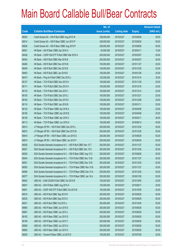# Main Board Callable Bull/Bear Contracts

|       |                                                                 | No. of        |                     |               | <b>Amount raised</b> |
|-------|-----------------------------------------------------------------|---------------|---------------------|---------------|----------------------|
| Code  | <b>Callable Bull/Bear Contracts</b>                             | issue (units) | <b>Listing date</b> | <b>Expiry</b> | $(HK$$ mil.)         |
| 66503 | Credit Suisse AG - HSI R Bull CBBC Aug 2015 W                   | 238,000,000   | 2015/03/27          | 2015/08/28    | 59.50                |
| 66514 | Credit Suisse AG - HSI R Bear CBBC Jun 2015 P                   | 238,000,000   | 2015/03/27          | 2015/06/29    | 59.50                |
| 66636 | Credit Suisse AG - HSI R Bear CBBC Aug 2015 P                   | 238,000,000   | 2015/03/27          | 2015/08/28    | 59.50                |
| 66501 | HK Bank - AIA R Bear CBBC Apr 2016 A                            | 40,000,000    | 2015/03/27          | 2016/04/11    | 10.00                |
| 66438 | HK Bank - CSOP A50 ETF R Bull CBBC Mar 2016 A                   | 200,000,000   | 2015/03/27          | 2016/03/07    | 50.00                |
| 66452 | HK Bank - A50 R Bull CBBC Mar 2016 B                            | 200,000,000   | 2015/03/27          | 2016/03/07    | 50.00                |
| 66465 | HK Bank - HSI R Bull CBBC Nov 2015 M                            | 100,000,000   | 2015/03/27          | 2015/11/27    | 25.00                |
| 66459 | HK Bank - HSI R Bull CBBC Dec 2015 B                            | 100,000,000   | 2015/03/27          | 2015/12/30    | 25.00                |
| 66463 | HK Bank - HSI R Bull CBBC Jan 2016 B                            | 100,000,000   | 2015/03/27          | 2016/01/28    | 25.00                |
| 66473 | HK Bank - Ping An R Bull CBBC Dec 2015 J                        | 120,000,000   | 2015/03/27          | 2015/12/14    | 30.00                |
| 66127 | HK Bank - TCH R Bull CBBC Nov 2015 H                            | 100,000,000   | 2015/03/27          | 2015/11/30    | 25.00                |
| 66111 | HK Bank - TCH R Bull CBBC Dec 2015 H                            | 100,000,000   | 2015/03/27          | 2015/12/16    | 25.00                |
| 66133 | HK Bank - TCH R Bull CBBC Dec 2015 I                            | 100,000,000   | 2015/03/27          | 2015/12/14    | 25.00                |
| 66155 | HK Bank - TCH R Bull CBBC Dec 2015 J                            | 100,000,000   | 2015/03/27          | 2015/12/21    | 25.00                |
| 66160 | HK Bank - TCH R Bull CBBC Dec 2015 K                            | 100,000,000   | 2015/03/27          | 2015/12/09    | 25.00                |
| 66116 | HK Bank - TCH R Bull CBBC Jan 2016 B                            | 100,000,000   | 2015/03/27          | 2016/01/11    | 25.00                |
| 66125 | HK Bank - TCH R Bear CBBC Apr 2016 A                            | 100,000,000   | 2015/03/27          | 2016/04/06    | 25.00                |
| 66156 | HK Bank - TCH R Bear CBBC Apr 2016 B                            | 100,000,000   | 2015/03/27          | 2016/04/08    | 25.00                |
| 66159 | HK Bank - TCH R Bear CBBC Apr 2016 C                            | 100,000,000   | 2015/03/27          | 2016/04/11    | 26.00                |
| 66113 | HK Bank - TCH R Bear CBBC Jun 2016 A                            | 100,000,000   | 2015/03/27          | 2016/06/13    | 40.00                |
| 66513 | J P Morgan SP BV - HSI R Bull CBBC Dec 2015 L                   | 200,000,000   | 2015/03/27          | 2015/12/30    | 50.00                |
| 66672 | J P Morgan SP BV - HSI R Bull CBBC Dec 2015 M                   | 200,000,000   | 2015/03/27          | 2015/12/30    | 50.00                |
| 66616 | J P Morgan SP BV - HSI R Bear CBBC Jun 2015 D                   | 200,000,000   | 2015/03/27          | 2015/06/29    | 50.00                |
| 66674 | J P Morgan SP BV - HSI R Bear CBBC Jun 2015 F                   | 200,000,000   | 2015/03/27          | 2015/06/29    | 50.00                |
| 66526 | SGA Societe Generale Acceptance N.V. - HSI R Bull CBBC Nov 15 T | 200,000,000   | 2015/03/27          | 2015/11/27    | 50.00                |
| 66527 | SGA Societe Generale Acceptance N.V. - HSI R Bull CBBC Dec 15 E | 200,000,000   | 2015/03/27          | 2015/12/30    | 50.00                |
| 66529 | SGA Societe Generale Acceptance N.V. - HSI R Bear CBBC Aug 15 C | 200,000,000   | 2015/03/27          | 2015/08/28    | 50.00                |
| 66544 | SGA Societe Generale Acceptance N.V. - TCH R Bull CBBC Nov 15 B | 200,000,000   | 2015/03/27          | 2015/11/27    | 50.00                |
| 66551 | SGA Societe Generale Acceptance N.V. - TCH R Bull CBBC Dec 15 B | 200,000,000   | 2015/03/27          | 2015/12/30    | 50.00                |
| 66555 | SGA Societe Generale Acceptance N.V. - TCH R Bear CBBC Nov 15 B | 200,000,000   | 2015/03/27          | 2015/11/27    | 50.00                |
| 66569 | SGA Societe Generale Acceptance N.V. - TCH R Bear CBBC Dec 15 A | 200,000,000   | 2015/03/27          | 2015/12/30    | 50.00                |
| 66577 | SGA Societe Generale Acceptance N.V. - TCH R Bear CBBC Jan 16 A | 200,000,000   | 2015/03/27          | 2016/01/28    | 50.00                |
| 66642 | UBS AG - CAM CSI300 R Bull CBBC Oct 2015 B                      | 100,000,000   | 2015/03/27          | 2015/10/05    | 25.00                |
| 66637 | UBS AG - CKH R Bear CBBC Aug 2015 A                             | 100,000,000   | 2015/03/27          | 2015/08/17    | 25.00                |
| 66641 | UBS AG - CSOP A50 ETF R Bull CBBC Oct 2015 B                    | 100,000,000   | 2015/03/27          | 2015/10/05    | 25.00                |
| 66516 | UBS AG - HSI R Bull CBBC Sep 2015 R                             | 200,000,000   | 2015/03/27          | 2015/09/29    | 50.00                |
| 66525 | UBS AG - HSI R Bull CBBC Sep 2015 S                             | 200,000,000   | 2015/03/27          | 2015/09/29    | 50.00                |
| 66521 | UBS AG - HSI R Bull CBBC Oct 2015 J                             | 200,000,000   | 2015/03/27          | 2015/10/29    | 50.00                |
| 66665 | UBS AG - HSI R Bear CBBC Jun 2015 E                             | 200,000,000   | 2015/03/27          | 2015/06/29    | 50.00                |
| 66667 | UBS AG - HSI R Bear CBBC Jun 2015 J                             | 200,000,000   | 2015/03/27          | 2015/06/29    | 50.00                |
| 66163 | UBS AG - HSI R Bear CBBC Jun 2015 S                             | 200,000,000   | 2015/03/27          | 2015/06/29    | 50.00                |
| 66166 | UBS AG - HSI R Bear CBBC Jun 2015 T                             | 200,000,000   | 2015/03/27          | 2015/06/29    | 50.00                |
| 66659 | UBS AG - HSI R Bear CBBC Jun 2015 U                             | 200,000,000   | 2015/03/27          | 2015/06/29    | 50.00                |
| 66660 | UBS AG - HSI R Bear CBBC Jun 2015 X                             | 200,000,000   | 2015/03/27          | 2015/06/29    | 50.00                |
| 66639 | UBS AG - Tencent R Bear CBBC Jul 2015 D                         | 100,000,000   | 2015/03/27          | 2015/07/06    | 25.00                |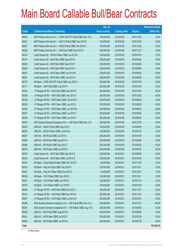# Main Board Callable Bull/Bear Contracts

|              |                                                                 | No. of        |                     |               | <b>Amount raised</b> |
|--------------|-----------------------------------------------------------------|---------------|---------------------|---------------|----------------------|
| Code         | <b>Callable Bull/Bear Contracts</b>                             | issue (units) | <b>Listing date</b> | <b>Expiry</b> | (HK\$ mil.)          |
| 66250        | BNP Paribas Arbit Issu B.V. - CSOP A50 ETF R Bull CBBC Dec 15 E | 100,000,000   | 2015/03/30          | 2015/12/30    | 25.00                |
| 66231        | BNP Paribas Arbit Issu B.V. - A50 Ch R Bull CBBC Dec 2015 E     | 100,000,000   | 2015/03/30          | 2015/12/30    | 25.00                |
| 66251        | BNP Paribas Arbit Issu B.V. - HSCEI R Bull CBBC Dec 2015 E      | 100,000,000   | 2015/03/30          | 2015/12/30    | 25.00                |
| 66228        | BNP Paribas Arbit Issu B.V. - HSI R Bull CBBC Nov 2015 C        | 200,000,000   | 2015/03/30          | 2015/11/27    | 50.00                |
| 66214        | Credit Suisse AG - HSCEI R Bear CBBC Jul 2015 B                 | 108,000,000   | 2015/03/30          | 2015/07/30    | 27.00                |
| 66191        | Credit Suisse AG - HSI R Bull CBBC Sep 2015 N                   | 238,000,000   | 2015/03/30          | 2015/09/29    | 59.50                |
| 66225        | Credit Suisse AG - HSI R Bull CBBC Sep 2015 P                   | 238,000,000   | 2015/03/30          | 2015/09/29    | 59.50                |
| 66262        | Credit Suisse AG - HSI R Bull CBBC Sep 2015 Q                   | 238,000,000   | 2015/03/30          | 2015/09/29    | 59.50                |
| 66207        | Credit Suisse AG - HSI R Bear CBBC Jun 2015 M                   | 238,000,000   | 2015/03/30          | 2015/06/29    | 59.50                |
| 66261        | Credit Suisse AG - HSI R Bear CBBC Jun 2015 U                   | 238,000,000   | 2015/03/30          | 2015/06/29    | 59.50                |
| 66170        | HK Bank - CSOP A50 ETF R Bull CBBC Jan 2016 X                   | 200,000,000   | 2015/03/30          | 2016/01/20    | 50.00                |
| 66171        | HK Bank - A50 R Bull CBBC Jan 2016 V                            | 200,000,000   | 2015/03/30          | 2016/01/20    | 50.00                |
| 66253        | J P Morgan SP BV - HSI R Bull CBBC Dec 2015 N                   | 200,000,000   | 2015/03/30          | 2015/12/30    | 50.00                |
| 66258        | J P Morgan SP BV - HSI R Bull CBBC Dec 2015 O                   | 200,000,000   | 2015/03/30          | 2015/12/30    | 50.00                |
| 66189        | J P Morgan SP BV - HSI R Bear CBBC Jun 2015 H                   | 200,000,000   | 2015/03/30          | 2015/06/29    | 50.00                |
| 66326        | J P Morgan SP BV - HSI R Bear CBBC Jun 2015 L                   | 200,000,000   | 2015/03/30          | 2015/06/29    | 50.00                |
| 66329        | J P Morgan SP BV - HSI R Bear CBBC Jun 2015 M                   | 200,000,000   | 2015/03/30          | 2015/06/29    | 50.00                |
| 66327        | J P Morgan SP BV - HSI R Bear CBBC Jun 2015 T                   | 200,000,000   | 2015/03/30          | 2015/06/29    | 50.00                |
| 66328        | J P Morgan SP BV - HSI R Bear CBBC Jun 2015 Y                   | 200,000,000   | 2015/03/30          | 2015/06/29    | 50.00                |
| 66223        | SGA Societe Generale Acceptance N.V. - HSI R Bull CBBC Dec 15 F | 200,000,000   | 2015/03/30          | 2015/12/30    | 50.00                |
| 66320        | UBS AG - HSCEI R Bull CBBC Sep 2015 I                           | 100,000,000   | 2015/03/30          | 2015/09/29    | 25.00                |
| 66325        | UBS AG - HSCEI R Bear CBBC Jul 2015 A                           | 100,000,000   | 2015/03/30          | 2015/07/30    | 25.00                |
| 66267        | UBS AG - HSI R Bull CBBC Jul 2015 X                             | 200,000,000   | 2015/03/30          | 2015/07/30    | 50.00                |
| 66266        | UBS AG - HSI R Bull CBBC Aug 2015 V                             | 200,000,000   | 2015/03/30          | 2015/08/28    | 50.00                |
| 66269        | UBS AG - HSI R Bull CBBC Sep 2015 T                             | 200,000,000   | 2015/03/30          | 2015/09/29    | 50.00                |
| 66218        | UBS AG - HSI R Bear CBBC Jul 2015 D                             | 200,000,000   | 2015/03/30          | 2015/07/30    | 50.00                |
| 66379        | Credit Suisse AG - HSI R Bull CBBC Sep 2015 O                   | 238,000,000   | 2015/03/31          | 2015/09/29    | 59.50                |
| 66400        | Credit Suisse AG - HSI R Bear CBBC Jul 2015 O                   | 238,000,000   | 2015/03/31          | 2015/07/30    | 59.50                |
| 66343        | HK Bank - China Mobile R Bear CBBC Nov 2015 D                   | 60,000,000    | 2015/03/31          | 2015/11/30    | 15.00                |
| 66333        | HK Bank - Ping An R Bull CBBC Dec 2015 K                        | 120,000,000   | 2015/03/31          | 2015/12/21    | 30.00                |
| 66341        | HK Bank - Ping An R Bear CBBC Dec 2015 C                        | 40,000,000    | 2015/03/31          | 2015/12/21    | 10.00                |
| 66359        | HK Bank - TCH R Bear CBBC Dec 2015 C                            | 100,000,000   | 2015/03/31          | 2015/12/21    | 25.00                |
| 66347        | HK Bank - TCH R Bear CBBC Jan 2016 A                            | 100,000,000   | 2015/03/31          | 2016/01/18    | 25.00                |
| 66376        | HK Bank - TCH R Bear CBBC Jan 2016 B                            | 100,000,000   | 2015/03/31          | 2016/01/25    | 25.00                |
| 66409        | J P Morgan SP BV - HSI R Bull CBBC Nov 2015 J                   | 200,000,000   | 2015/03/31          | 2015/11/27    | 50.00                |
| 66413        | J P Morgan SP BV - HSI R Bull CBBC Nov 2015 K                   | 200,000,000   | 2015/03/31          | 2015/11/27    | 50.00                |
| 66397        | J P Morgan SP BV - HSI R Bear CBBC Jul 2015 M                   | 200,000,000   | 2015/03/31          | 2015/07/30    | 50.00                |
| 66386        | SGA Societe Generale Acceptance N.V. - HSI R Bull CBBC Nov 15 U | 400,000,000   | 2015/03/31          | 2015/11/27    | 100.00               |
| 66387        | SGA Societe Generale Acceptance N.V. - HSI R Bear CBBC Aug 15 D | 200,000,000   | 2015/03/31          | 2015/08/28    | 50.00                |
| 66385        | UBS AG - HSI R Bull CBBC Aug 2015 B                             | 200,000,000   | 2015/03/31          | 2015/08/28    | 50.00                |
| 66401        | UBS AG - HSI R Bear CBBC Jul 2015 E                             | 200,000,000   | 2015/03/31          | 2015/07/30    | 50.00                |
| 66404        | UBS AG - HSI R Bear CBBC Jul 2015 G                             | 200,000,000   | 2015/03/31          | 2015/07/30    | 50.00                |
| <b>Total</b> |                                                                 |               |                     |               | 101,545.07           |

# Further issue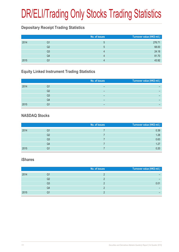# DR/ELI/Trading Only Stocks Trading Statistics

### **Depositary Receipt Trading Statistics**

|      |                | No. of issues | Turnover value (HK\$ mil.) |
|------|----------------|---------------|----------------------------|
| 2014 | Q1             | ხ             | 276.71                     |
|      | Q2             | $\mathcal{D}$ | 68.00                      |
|      | Q <sub>3</sub> |               | 24.18                      |
|      | Q4             |               | 81.70                      |
| 2015 | Q1             |               | 43.92                      |

### **Equity Linked Instrument Trading Statistics**

|      |    | No. of issues | Turnover value (HK\$ mil.) |
|------|----|---------------|----------------------------|
| 2014 | Q1 | -             |                            |
|      | Q2 | -             |                            |
|      | Q3 | -             |                            |
|      | Q4 | -             |                            |
| 2015 | Q1 |               |                            |

### **NASDAQ Stocks**

|      |                | No. of issues | Turnover value (HK\$ mil.) |
|------|----------------|---------------|----------------------------|
| 2014 | Q1             |               | 0.39                       |
|      | Q2             |               | 1.28                       |
|      | Q <sub>3</sub> |               | 0.63                       |
|      | Q4             |               | 1.27                       |
| 2015 | Q1             |               | 0.20                       |

#### **iShares**

|      |    | No. of issues | Turnover value (HK\$ mil.) |
|------|----|---------------|----------------------------|
| 2014 | Q1 |               |                            |
|      | Q2 |               |                            |
|      | Q3 |               | 0.01                       |
|      | Q4 |               |                            |
| 2015 | Q1 |               |                            |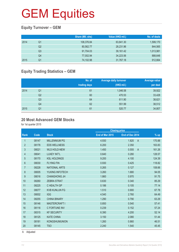### **Equity Turnover – GEM**

|      |                | Share (Mil. shs) | Value (HK\$ mil.) | No. of deals |
|------|----------------|------------------|-------------------|--------------|
| 2014 | Q1             | 108,376.84       | 63,841.30         | 1,599,170    |
|      | Q <sub>2</sub> | 80.562.77        | 28,231.96         | 844,565      |
|      | Q3             | 91,704.03        | 39,161.42         | 1,013,981    |
|      | Q4             | 77,002.94        | 34,223.56         | 888,648      |
| 2015 | Q1             | 74,102.98        | 31,767.18         | 912,664      |

### **Equity Trading Statistics – GEM**

|      |                | No. of<br>trading days | <b>Average daily turnover</b><br>(HK\$ mil.) | Average value<br>per deal |
|------|----------------|------------------------|----------------------------------------------|---------------------------|
| 2014 | Q1             | 61                     | 1,046.58                                     | 39,922                    |
|      | Q <sub>2</sub> | 60                     | 470.53                                       | 33,428                    |
|      | Q <sub>3</sub> | 64                     | 611.90                                       | 38,621                    |
|      | Q4             | 62                     | 551.99                                       | 38,512                    |
| 2015 | Q <sub>1</sub> | 61                     | 520.77                                       | 34,807                    |

#### **20 Most Advanced GEM Stocks**

for 1st quarter 2015

|                |       |                      |                 | <b>Closing price</b>    |        |
|----------------|-------|----------------------|-----------------|-------------------------|--------|
| Rank           | Code  | <b>Stock</b>         | End of Mar 2015 | End of Dec 2014         | % up   |
| $\mathbf{1}$   | 08147 | <b>MILLENNIUM PG</b> | 4.930           | 1.820<br>$\overline{A}$ | 170.88 |
| $\overline{2}$ | 08176 | <b>EDS WELLNESS</b>  | 6.200           | 2.350                   | 163.83 |
| 3              | 08021 | <b>WLS HOLD-NEW</b>  | 1.450           | 0.555<br>$\overline{A}$ | 161.26 |
| 4              | 08041 | LUXEY INT'L          | 0.640           | 0.280                   | 128.57 |
| 5              | 08170 | <b>KSL HOLDINGS</b>  | 9.200           | 4.100                   | 124.39 |
| 6              | 08030 | <b>FLYING FIN</b>    | 0.930           | 0.425                   | 118.82 |
| $\overline{7}$ | 08228 | <b>NATIONAL ARTS</b> | 0.265           | 0.127                   | 108.66 |
| 8              | 08005 | YUXING INFOTECH      | 3.260           | 1.680                   | 94.05  |
| 9              | 08016 | <b>CHANGHONG JH</b>  | 1.860           | 0.970                   | 91.75  |
| 10             | 08260 | <b>ZEBRA STRAT</b>   | 0.630           | 0.340                   | 85.29  |
| 11             | 08225 | C HEALTH GP          | 0.186           | 0.105                   | 77.14  |
| 12             | 08077 | <b>KVB KUNLUN FG</b> | 1.510           | 0.900                   | 67.78  |
| 13             | 08002 | <b>IGG</b>           | 4.540           | 2.760                   | 64.49  |
| 14             | 08255 | <b>CHINA BINARY</b>  | 1.290           | 0.790                   | 63.29  |
| 15             | 08146 | <b>MASTERCRAFT I</b> | 0.850           | 0.540                   | 57.41  |
| 16             | 08116 | <b>C FORTUNE INV</b> | 0.239           | 0.152                   | 57.24  |
| 17             | 08315 | <b>KF SECURITY</b>   | 6.390           | 4.200                   | 52.14  |
| 18             | 08125 | <b>KATE CHINA</b>    | 3.150           | 2.080                   | 51.44  |
| 19             | 08181 | <b>KONGSHUMUNION</b> | 1.260           | 0.860                   | 46.51  |
| 20             | 08145 | <b>TSO</b>           | 2.240           | 1.540                   | 45.45  |
|                |       |                      |                 |                         |        |

A Adjusted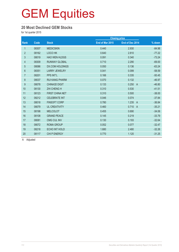#### **20 Most Declined GEM Stocks**

for 1st quarter 2015

|                |       |                        |                 | <b>Closing price</b>    |          |
|----------------|-------|------------------------|-----------------|-------------------------|----------|
| Rank           | Code  | <b>Stock</b>           | End of Mar 2015 | End of Dec 2014         | % down   |
| $\mathbf{1}$   | 08307 | <b>MEDICSKIN</b>       | 0.440           | 2.930                   | $-84.98$ |
| $\overline{2}$ | 08162 | LOCO HK                | 0.640           | 2.810                   | $-77.22$ |
| 3              | 08019 | <b>HAO WEN HLDGS</b>   | 0.091           | 0.340                   | $-73.24$ |
| 4              | 08309 | <b>RUNWAY GLOBAL</b>   | 0.710           | 2.290                   | $-69.00$ |
| $\overline{5}$ | 08086 | <b>DX.COM HOLDINGS</b> | 0.050           | 0.136                   | $-63.24$ |
| $6\phantom{.}$ | 08351 | <b>LARRY JEWELRY</b>   | 0.041           | 0.099                   | $-58.59$ |
| $\overline{7}$ | 08201 | <b>PPS INT'L</b>       | 0.166           | 0.335                   | $-50.45$ |
| $\,8\,$        | 08037 | <b>RUI KANG PHARM</b>  | 0.070           | 0.132                   | $-46.97$ |
| 9              | 08078 | <b>CHINA3D DIGIT</b>   | 0.133           | 0.250<br>$\overline{A}$ | $-46.80$ |
| 10             | 08130 | <b>ZHI CHENG H</b>     | 0.310           | 0.530                   | $-41.51$ |
| 11             | 08123 | <b>FIRST CHINA NET</b> | 0.310           | 0.500                   | $-38.00$ |
| 12             | 08212 | <b>CELEBRATE INT</b>   | 0.046           | 0.074                   | $-37.84$ |
| 13             | 08018 | <b>FINSOFT CORP</b>    | 0.780           | 1.235<br>$\overline{A}$ | $-36.84$ |
| 14             | 08079 | <b>UL CREATIVITY</b>   | 0.460           | 0.710<br>$\overline{A}$ | $-35.21$ |
| 15             | 08198 | <b>MELCOLOT</b>        | 0.455           | 0.690                   | $-34.06$ |
| 16             | 08108 | <b>GRAND PEACE</b>     | 0.145           | 0.219                   | $-33.79$ |
| 17             | 08081 | <b>CMG CUL INV</b>     | 0.130           | 0.193                   | $-32.64$ |
| 18             | 08072 | <b>ROMA GROUP</b>      | 0.052           | 0.077                   | $-32.47$ |
| 19             | 08218 | ECHO INT HOLD          | 1.680           | 2.480                   | $-32.26$ |
| 20             | 08117 | <b>CHI P ENERGY</b>    | 0.770           | 1.120                   | $-31.25$ |

A Adjusted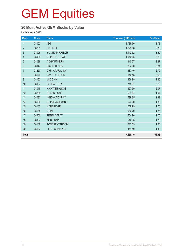### **20 Most Active GEM Stocks by Value**

for 1st quarter 2015

| Rank             | Code  | <b>Stock</b>          | Turnover (HK\$ mil.) | % of total |
|------------------|-------|-----------------------|----------------------|------------|
| $\mathbf{1}$     | 08002 | <b>IGG</b>            | 2,788.50             | 8.78       |
| $\overline{2}$   | 08201 | PPS INT'L             | 1,829.58             | 5.76       |
| 3                | 08005 | YUXING INFOTECH       | 1,112.52             | 3.50       |
| $\overline{4}$   | 08089 | <b>CHINESE STRAT</b>  | 1,016.05             | 3.20       |
| 5                | 08088 | <b>AID PARTNERS</b>   | 910.77               | 2.87       |
| $\,6\,$          | 08047 | <b>SKY FOREVER</b>    | 894.00               | 2.81       |
| $\overline{7}$   | 08250 | CHI NATURAL INV       | 887.40               | 2.79       |
| 8                | 08179 | <b>GAYETY HLDGS</b>   | 846.45               | 2.66       |
| $\boldsymbol{9}$ | 08162 | LOCO HK               | 826.99               | 2.60       |
| 10               | 08007 | <b>GLOBALSTRAT</b>    | 718.61               | 2.26       |
| 11               | 08019 | <b>HAO WEN HLDGS</b>  | 657.39               | 2.07       |
| 12               | 08268 | <b>DESON CONS</b>     | 624.84               | 1.97       |
| 13               | 08083 | <b>INNOVATIONPAY</b>  | 599.65               | 1.89       |
| 14               | 08156 | <b>CHINA VANGUARD</b> | 573.30               | 1.80       |
| 15               | 08137 | <b>HONBRIDGE</b>      | 559.99               | 1.76       |
| 16               | 08158 | <b>CRMI</b>           | 556.20               | 1.75       |
| 17               | 08260 | <b>ZEBRA STRAT</b>    | 554.90               | 1.75       |
| 18               | 08307 | <b>MEDICSKIN</b>      | 540.05               | 1.70       |
| 19               | 08138 | <b>TONGRENTANGCM</b>  | 517.59               | 1.63       |
| 20               | 08123 | FIRST CHINA NET       | 444.40               | 1.40       |
| <b>Total</b>     |       |                       | 17,459.19            | 54.96      |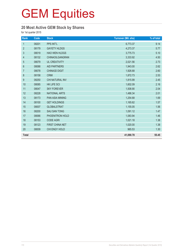### **20 Most Active GEM Stock by Shares**

for 1st quarter 2015

| Rank             | Code  | <b>Stock</b>           | <b>Turnover (Mil. shs)</b> | % of total |
|------------------|-------|------------------------|----------------------------|------------|
| $\mathbf{1}$     | 08201 | PPS INT'L              | 6,773.37                   | 9.14       |
| $\overline{2}$   | 08179 | <b>GAYETY HLDGS</b>    | 4,273.37                   | 5.77       |
| 3                | 08019 | <b>HAO WEN HLDGS</b>   | 3,775.73                   | 5.10       |
| $\overline{4}$   | 08132 | CHINAOILGANGRAN        | 3,333.92                   | 4.50       |
| $\overline{5}$   | 08079 | <b>UL CREATIVITY</b>   | 2,021.56                   | 2.73       |
| $\,6\,$          | 08088 | <b>AID PARTNERS</b>    | 1,943.00                   | 2.62       |
| $\overline{7}$   | 08078 | CHINA3D DIGIT          | 1,926.68                   | 2.60       |
| $\,8\,$          | 08158 | <b>CRMI</b>            | 1,872.73                   | 2.53       |
| $\boldsymbol{9}$ | 08250 | CHI NATURAL INV        | 1,815.99                   | 2.45       |
| 10               | 08085 | <b>HK LIFE SCI</b>     | 1,602.09                   | 2.16       |
| 11               | 08047 | <b>SKY FOREVER</b>     | 1,508.90                   | 2.04       |
| 12               | 08228 | <b>NATIONAL ARTS</b>   | 1,486.34                   | 2.01       |
| 13               | 08173 | <b>PAN ASIA MINING</b> | 1,254.68                   | 1.69       |
| 14               | 08100 | <b>GET HOLDINGS</b>    | 1,165.62                   | 1.57       |
| 15               | 08007 | <b>GLOBALSTRAT</b>     | 1,155.05                   | 1.56       |
| 16               | 08200 | <b>SAU SAN TONG</b>    | 1,091.12                   | 1.47       |
| 17               | 08066 | PHOENITRON HOLD        | 1,083.94                   | 1.46       |
| 18               | 08153 | <b>CODE AGRI</b>       | 1,021.18                   | 1.38       |
| 19               | 08123 | <b>FIRST CHINA NET</b> | 1,020.00                   | 1.38       |
| 20               | 08009 | CHI ENGY HOLD          | 965.53                     | 1.30       |
| <b>Total</b>     |       |                        | 41,090.78                  | 55.45      |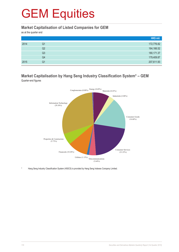#### **Market Capitalisation of Listed Companies for GEM**

as at the quarter end

|      |    | HK\$ mil.   |
|------|----|-------------|
| 2014 | Q1 | 172,776.82  |
|      | Q2 | 164,166.52  |
|      | Q3 | 180, 171.37 |
|      | Q4 | 179,409.87  |
| 2015 | Q1 | 207,611.93  |

#### **Market Capitalisation by Hang Seng Industry Classification System\* – GEM** Quarter-end figures



Hang Seng Industry Classification System (HSICS) is provided by Hang Seng Indexes Company Limited.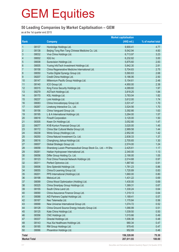### **50 Leading Companies by Market Capitalisation – GEM**

as at the 1st quarter end 2015

|                     |       |                                                              | <b>Market capitalisation</b> |                   |
|---------------------|-------|--------------------------------------------------------------|------------------------------|-------------------|
| <b>Rank</b>         |       | <b>Company</b>                                               | (HK\$ mil.)                  | % of market total |
| $\mathbf{1}$        | 08137 | Honbridge Holdings Ltd.                                      | 9,900.41                     | 4.77              |
| $\overline{2}$      | 08138 | Beijing Tong Ren Tang Chinese Medicine Co. Ltd.              | 9,542.94                     | 4.60              |
| $\sqrt{3}$          | 08032 | Viva China Holdings Ltd.                                     | 6,713.97                     | 3.23              |
| $\overline{4}$      | 08002 | <b>IGG Inc</b>                                               | 6,232.82                     | 3.00              |
| 5                   | 08008 | Sunevision Holdings Ltd.                                     | 5,875.60                     | 2.83              |
| $6\phantom{a}$      | 08005 | Yuxing InfoTech Investment Holdings Ltd.                     | 5,842.30                     | 2.81              |
| $\overline{7}$      | 08158 | China Regenerative Medicine International Ltd.               | 5,704.83                     | 2.75              |
| $\,8\,$             | 08050 | Yunbo Digital Synergy Group Ltd.                             | 5,560.63                     | 2.68              |
| $\boldsymbol{9}$    | 08207 | Credit China Holdings Ltd.                                   | 5,186.06                     | 2.50              |
| 10                  | 08147 | Millennium Pacific Group Holdings Ltd.                       | 5,154.61                     | 2.48              |
| 11                  | 08140 | ICO Group Ltd.                                               | 4,950.00                     | 2.38              |
| 12                  | 08315 | King Force Security Holdings Ltd.                            | 4,089.60                     | 1.97              |
| 13                  | 08279 | <b>AGTech Holdings Ltd.</b>                                  | 3,818.25                     | 1.84              |
| 14                  | 08170 | KSL Holdings Ltd.                                            | 3,783.04                     | 1.82              |
| 15                  | 08237 | Link Holdings Ltd.                                           | 3,612.00                     | 1.74              |
| 16                  | 08083 | China Innovationpay Group Ltd.                               | 3,531.47                     | 1.70              |
| 17                  | 08267 | Linekong Interactive Co., Ltd.                               | 3,524.56                     | 1.70              |
| 18                  | 08156 | China Vanguard Group Ltd.                                    | 3,392.66                     | 1.63              |
| 19                  | 08195 | L & A International Holdings Ltd.                            | 3,264.00                     | 1.57              |
| 20                  | 08018 | <b>Finsoft Corporation</b>                                   | 3,120.00                     | 1.50              |
| 21                  | 08305 | Kwan On Holdings Ltd.                                        | 3,052.80                     | 1.47              |
| 22                  | 08077 | KVB Kunlun Financial Group Ltd.                              | 3,020.00                     | 1.45              |
| 23                  | 08172 | China Star Cultural Media Group Ltd.                         | 2,989.58                     | 1.44              |
| 24                  | 08238 | Winto Group (Holdings) Ltd.                                  | 2,952.00                     | 1.42              |
| 25                  | 08250 | China Natural Investment Co. Ltd.                            | 2,838.33                     | 1.37              |
| 26                  | 08016 | Changhong Jiahua Holdings Ltd.                               | 2,705.65                     | 1.30              |
| 27                  | 08007 | Global Strategic Group Ltd.                                  | 2,574.00                     | 1.24              |
| 28                  | 08058 | Shandong Luoxin Pharmaceutical Group Stock Co., Ltd. - H Shs | 2,425.61                     | 1.17              |
| 29                  | 08261 | Haitian Hydropower International Ltd.                        | 2,340.00                     | 1.13              |
| 30                  | 08056 | Differ Group Holding Co. Ltd.                                | 2,190.00                     | 1.05              |
| 31                  | 08123 | First China Financial Network Holdings Ltd.                  | 2,014.68                     | 0.97              |
| 32                  | 08311 | Perfect Optronics Ltd.                                       | 1,887.60                     | 0.91              |
| 33                  | 08006 | Sino Splendid Holdings Ltd.                                  | 1,781.23                     | 0.86              |
| 34                  | 08055 | China E-Learning Group Ltd.                                  | 1,720.89                     | 0.83              |
| 35                  | 08201 | PPS International (Holdings) Ltd.                            | 1,660.00                     | 0.80              |
| 36                  | 08198 | MelcoLot Ltd.                                                | 1,431.22                     | 0.69              |
| 37                  | 08099 | China Wood Optimization (Holding) Ltd.                       | 1,430.00                     | 0.69              |
| 38                  | 08325 | China Smartpay Group Holdings Ltd.                           | 1,389.31                     | 0.67              |
| 39                  | 08155 | South China Land Ltd.                                        | 1,330.24                     | 0.64              |
| 40                  | 08090 | China Assurance Finance Group Ltd.                           | 1,319.13                     | 0.64              |
| 41                  | 08088 | AID Partners Capital Holdings Ltd.                           | 1,189.41                     | 0.57              |
| 42                  | 08167 | Neo Telemedia Ltd.                                           | 1,170.84                     | 0.56              |
| 43                  | 08068 | New Universe International Group Ltd.                        | 1,074.72                     | 0.52              |
| 44                  | 08128 | China Ground Source Energy Industry Group Ltd.               | 1,066.99                     | 0.51              |
| 45                  | 08125 | Kate China Holdings Ltd.                                     | 1,039.50                     | 0.50              |
| 46                  | 08356 | CNC Holdings Ltd.                                            | 1,015.66                     | 0.49              |
| 47                  | 08337 | Directel Holdings Ltd.                                       | 1,006.38                     | 0.48              |
| 48                  | 08143 | Hua Xia Healthcare Holdings Ltd.                             | 980.34                       | 0.47              |
| 49                  | 08185 | RM Group Holdings Ltd.                                       | 979.45                       | 0.47              |
| 50                  | 08066 | Phoenitron Holdings Ltd.                                     | 952.69                       | 0.46              |
| <b>Total</b>        |       |                                                              | 156,328.00                   | 75.30             |
| <b>Market Total</b> |       |                                                              | 207,611.93                   | 100.00            |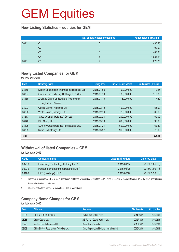#### **New Listing Statistics – equities for GEM**

|      |    | No. of newly listed companies | Funds raised (HK\$ mil.) |
|------|----|-------------------------------|--------------------------|
| 2014 | Q1 | $\mathbf b$                   | 496.33                   |
|      | Q2 |                               | 100.00                   |
|      | Q3 | 8                             | 480.88                   |
|      | Q4 | 5                             | 1,083.24                 |
| 2015 | Q1 | 9                             | 626.75                   |

#### **Newly Listed Companies for GEM**

for 1st quarter 2015

| Code         | <b>Company name</b>                            | <b>Listing date</b> | No. of issued shares | Funds raised (HK\$ mil.) |
|--------------|------------------------------------------------|---------------------|----------------------|--------------------------|
| 08268        | Deson Construction International Holdings Ltd. | 2015/01/08          | 400,000,000          | 19.25                    |
| 08067        | Oriental University City Holdings (H.K.) Ltd.  | 2015/01/16          | 180,000,000          | 118.80                   |
| 08139        | Zhejiang Chang'an Renheng Technology           | 2015/01/16          | 8,000,000            | 77.60                    |
|              | Co., Ltd. - H Shares                           |                     |                      |                          |
| 08093        | Odella Leather Holdings Ltd.                   | 2015/02/12          | 400,000,000          | 55.00                    |
| 08238        | Winto Group (Holdings) Ltd.                    | 2015/02/16          | 720,000,000          | 66.60                    |
| 08277        | Steed Oriental (Holdings) Co. Ltd.             | 2015/02/23          | 200,000,000          | 60.00                    |
| 08140        | ICO Group Ltd.                                 | 2015/03/18          | 1,000,000,000        | 95.00                    |
| 08105        | Synergy Group Holdings International Ltd.      | 2015/03/24          | 500,000,000          | 62.50                    |
| 08305        | Kwan On Holdings Ltd.                          | 2015/03/27          | 960,000,000          | 72.00                    |
| <b>Total</b> |                                                |                     |                      | 626.75                   |

### **Withdrawal of listed Companies – GEM**

for 1st quarter 2015

| <b>Code</b> | Company name                          | Last trading date | Delisted date |  |
|-------------|---------------------------------------|-------------------|---------------|--|
| 08276       | Huazhang Technology Holding Ltd. *    | 2015/01/02        | 2015/01/05    |  |
| 08039       | Pegasus Entertainment Holdings Ltd. * | 2015/01/08        | 2015/01/09    |  |
| 08168       | UKF (Holdings) Ltd. *                 | 2015/03/19        | 2015/03/20    |  |

\* Transfers of listing from GEM to Main Board pursuant to the revised Rule 9.24 of the GEM Listing Rules and to the new Chapter 9A of the Main Board Listing Rules effective from 1 July 2008.

§ Effective date of the transfer of listing from GEM to Main Board.

### **Company Name Changes for GEM**

for 1st quarter 2015

| Code  | Old name                                   | New name                                       | <b>Effective date</b> | <b>Adoption date</b> |
|-------|--------------------------------------------|------------------------------------------------|-----------------------|----------------------|
| 08007 | DIGITALHONGKONG.COM                        | Global Strategic Group Ltd.                    | 2014/12/12            | 2015/01/20           |
| 08088 | Crosby Capital Ltd.                        | AID Partners Capital Holdings Ltd.             | 2015/01/06            | 2015/02/06           |
| 08225 | Venturepharm Laboratories Ltd.             | China Health Group Inc.                        | 2015/01/12            | 2015/02/26           |
| 08158 | China Bio-Med Regeneration Technology Ltd. | China Regenerative Medicine International Ltd. | 2015/02/03            | 2015/03/09           |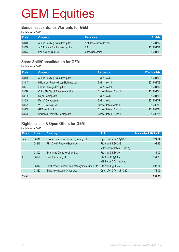#### **Bonus Issues/Bonus Warrants for GEM**

for 1st quarter 2015

| <b>Code</b> | <b>Company</b>                     | <b>Particulars</b>        | Ex-date    |
|-------------|------------------------------------|---------------------------|------------|
| 08148       | Aurum Pacific (China) Group Ltd.   | 1 sh for 5 subdivided shs | 2015/01/07 |
| 08088       | AID Partners Capital Holdings Ltd. | 5 for 1                   | 2015/01/12 |
| 08173       | Pan Asia Mining Ltd.               | 2 for 3 rts shares        | 2015/01/13 |

### **Share Split/Consolidation for GEM**

for 1st quarter 2015

| Code  | <b>Company</b>                         | <b>Particulars</b>      | <b>Effective date</b> |
|-------|----------------------------------------|-------------------------|-----------------------|
| 08148 | Aurum Pacific (China) Group Ltd.       | Split 1 into 5          | 2015/01/06            |
| 08147 | Millennium Pacific Group Holdings Ltd. | Split 1 into 10         | 2015/01/08            |
| 08007 | Global Strategic Group Ltd.            | Split 1 into 20         | 2015/01/12            |
| 08078 | China 3D Digital Entertainment Ltd.    | Consolidation 10 into 1 | 2015/01/14            |
| 08209 | Major Holdings Ltd.                    | Split 1 into 8          | 2015/01/15            |
| 08018 | <b>Finsoft Corporation</b>             | Split 1 into 2          | 2015/02/17            |
| 08021 | WLS Holdings Ltd.                      | Consolidation 5 into 1  | 2015/03/06            |
| 08100 | <b>GET Holdings Ltd.</b>               | Consolidation 10 into 1 | 2015/03/24            |
| 08079 | Unlimited Creativity Holdings Ltd.     | Consolidation 10 into 1 | 2015/03/24            |

## **Rights Issues & Open Offers for GEM**

for 1st quarter 2015

| <b>Month</b> | Code  | Company                                        | <b>Ratio</b>                    | Funds raised (HK\$ mil.) |
|--------------|-------|------------------------------------------------|---------------------------------|--------------------------|
| Jan          | 08116 | China Fortune Investments (Holding) Ltd.       | Open offer 2 for 1 @\$0.10      | 124.64                   |
|              | 08215 | First Credit Finance Group Ltd.                | Rts 3 for 1 @\$0.238            | 102.82                   |
|              |       |                                                | (after consolidation 10 into 1) |                          |
|              | 08022 | Evershine Group Holdings Ltd.                  | Rts 1 for 2 @\$0.30             | 84.02                    |
| Feb          | 08173 | Pan Asia Mining Ltd.                           | Rts 3 for 10 @\$0.50            | 151.38                   |
|              |       |                                                | with bonus 2 for 3 rts shs      |                          |
|              | 08047 | Sky Forever Supply Chain Management Group Ltd. | Rts 2 for 1 @\$0.45             | 397.64                   |
|              | 08082 | Sage International Group Ltd.                  | Open offer 2 for 1 $@$0.20$     | 71.05                    |
| <b>Total</b> |       |                                                |                                 | 931.55                   |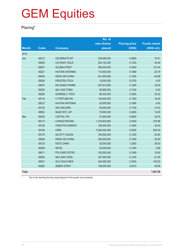## **Placing\***

|              |             |                        | No. of        |                      |                     |
|--------------|-------------|------------------------|---------------|----------------------|---------------------|
|              |             |                        | new shares    | <b>Placing price</b> | <b>Funds raised</b> |
| <b>Month</b> | <b>Code</b> | <b>Company</b>         | placed        | (HK\$)               | (HK\$ mil.)         |
| 2015         |             |                        |               |                      |                     |
| Jan          | 08212       | <b>CELEBRATE INT</b>   | 238,580,000   | 0.0650               | 15.51               |
|              | 08009       | CHI ENGY HOLD          | 254,120,000   | 0.1200               | 30.49               |
|              | 08007       | <b>GLOBALSTRAT</b>     | 360,000,000   | 0.3540               | 127.44              |
|              | 08227       | <b>HAITIAN ANTENNA</b> | 110,000,000   | 0.1890               | 20.79               |
|              | 08046       | <b>HENG XIN CHINA</b>  | 541,600,000   | 0.1200               | 64.99               |
|              | 08026       | PROSTEN TECH           | 15,000,000    | 0.2700               | 4.05                |
|              | 08037       | <b>RUI KANG PHARM</b>  | 257,812,500   | 0.1280               | 33.00               |
|              | 08200       | <b>SAU SAN TONG</b>    | 59,560,000    | 0.1430               | 8.52                |
|              | 08226       | SUNRISE C TECH         | 86,352,000    | 0.3500               | 30.22               |
| Feb          | 08116       | C FORTUNE INV          | 124,600,000   | 0.1300               | 16.20               |
|              | 08227       | <b>HAITIAN ANTENNA</b> | 50,000,000    | 0.1890               | 9.45                |
|              | 08120       | <b>ORI UNICORN</b>     | 83,000,000    | 0.1750               | 14.53               |
|              | 08082       | SAGE INT'L GP          | 70,000,000    | 0.2000               | 14.00               |
| Mar          | 08239       | <b>CAPITAL FIN</b>     | 51,800,000    | 0.5800               | 30.04               |
|              | 08172       | <b>CHINASTARCMG</b>    | 1,379,804,865 | 0.2000               | 275.96              |
|              | 08109       | <b>CREATIVE ENERGY</b> | 190,000,000   | 0.1600               | 30.40               |
|              | 08158       | <b>CRMI</b>            | 3,300,000,000 | 0.2500               | 825.00              |
|              | 08179       | <b>GAYETY HLDGS</b>    | 160,000,000   | 0.1250               | 20.00               |
|              | 08046       | <b>HENG XIN CHINA</b>  | 300,000,000   | 0.1200               | 36.00               |
|              | 08125       | <b>KATE CHINA</b>      | 30,000,000    | 1.2000               | 36.00               |
|              | 08256       | <b>NETEL</b>           | 20,000,000    | 0.1430               | 2.86                |
|              | 08011       | POLYARD PETRO          | 100,000,000   | 0.1950               | 19.50               |
|              | 08200       | <b>SAU SAN TONG</b>    | 357,000,000   | 0.1430               | 51.05               |
|              | 08021       | <b>WLS HOLD-NEW</b>    | 540,000,000   | 0.3000               | 162.00              |
|              | 08260       | <b>ZEBRA STRAT</b>     | 190,000,000   | 0.2610               | 49.59               |
| <b>Total</b> |             |                        |               |                      | 1,927.59            |

\* Due to the reporting time-lag, placing figures for the quarter are provisional.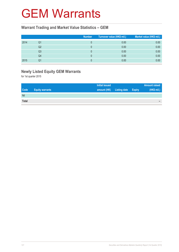## GEM Warrants

#### **Warrant Trading and Market Value Statistics – GEM**

|      |    | <b>Number</b> | Turnover value (HK\$ mil.) <sup>1</sup> | Market value (HK\$ mil.) |
|------|----|---------------|-----------------------------------------|--------------------------|
| 2014 | Q1 |               | 0.00                                    | 0.00                     |
|      | Q2 |               | 0.00                                    | 0.00                     |
|      | Q3 |               | 0.00                                    | 0.00                     |
|      | Q4 |               | 0.00                                    | 0.00                     |
| 2015 | Q1 |               | 0.00                                    | 0.00                     |

## **Newly Listed Equity GEM Warrants**

for 1st quarter 2015

|              |                        | <b>Initial issued</b> |                     |               | <b>Amount raised</b> |
|--------------|------------------------|-----------------------|---------------------|---------------|----------------------|
| <b>Code</b>  | <b>Equity warrants</b> | amount (HK)           | <b>Listing date</b> | <b>Expiry</b> | (HK\$ mil.)          |
| Nil          |                        |                       |                     |               |                      |
| <b>Total</b> |                        |                       |                     |               | -                    |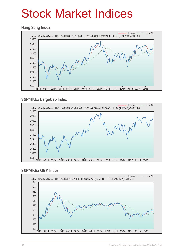# Stock Market Indices

#### **Hang Seng Index**



### **S&P/HKEx LargeCap Index**



#### **S&P/HKEx GEM Index**

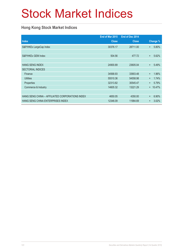# Stock Market Indices

### **Hong Kong Stock Market Indices**

|                                                 | End of Mar 2015 | End of Dec 2014 |           |          |
|-------------------------------------------------|-----------------|-----------------|-----------|----------|
| <b>Index</b>                                    | <b>Close</b>    | <b>Close</b>    |           | Change % |
| S&P/HKEx LargeCap Index                         | 30376.17        | 28711.00        | $+$       | 5.80%    |
|                                                 |                 |                 |           |          |
| S&P/HKEx GEM Index                              | 504.56          | 477.72          | $\ddot{}$ | 5.62%    |
|                                                 |                 |                 |           |          |
| <b>HANG SENG INDEX</b>                          | 24900.89        | 23605.04        | $+$       | 5.49%    |
| <b>SECTORIAL INDICES</b>                        |                 |                 |           |          |
| Finance                                         | 34568.93        | 33903.48        | $\ddot{}$ | 1.96%    |
| <b>Utilities</b>                                | 55510.36        | 54558.98        | $\ddot{}$ | 1.74%    |
| Properties                                      | 32313.82        | 30545.47        | $+$       | 5.79%    |
| Commerce & Industry                             | 14605.32        | 13221.29        | $+$       | 10.47%   |
|                                                 |                 |                 |           |          |
| HANG SENG CHINA - AFFILIATED CORPORATIONS INDEX | 4650.05         | 4350.00         | $\ddot{}$ | 6.90%    |
| HANG SENG CHINA ENTERPRISES INDEX               | 12346.09        | 11984.69        | $\ddot{}$ | 3.02%    |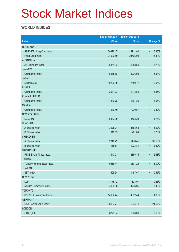# Stock Market Indices

### **WORLD INDICES**

|                                 | End of Mar 2015 | End of Dec 2014 |                          |
|---------------------------------|-----------------|-----------------|--------------------------|
| <b>Index</b>                    | <b>Close</b>    | <b>Close</b>    | <b>Change %</b>          |
| <b>HONG KONG</b>                |                 |                 |                          |
| S&P/HKEx LargeCap Index         | 30376.17        | 28711.00        | 5.80%<br>$\ddot{}$       |
| Hang Seng Index                 | 24900.89        | 23605.04        | $\ddot{}$<br>5.49%       |
| <b>AUSTRALIA</b>                |                 |                 |                          |
| All Ordinaries Index            | 5861.92         | 5388.60         | 8.78%<br>$\ddot{}$       |
| <b>JAKARTA</b>                  |                 |                 |                          |
| Composite Index                 | 5518.68         | 5226.95         | 5.58%<br>$\ddot{}$       |
| <b>JAPAN</b>                    |                 |                 |                          |
| Nikkei (225)                    | 19206.99        | 17450.77        | $+ 10.06\%$              |
| <b>KOREA</b>                    |                 |                 |                          |
| Composite Index                 | 2041.03         | 1915.59         | 6.55%<br>$\ddot{}$       |
| <b>KUALA LUMPUR</b>             |                 |                 |                          |
| Composite Index                 | 1830.78         | 1761.25         | 3.95%<br>$\ddot{}$       |
| <b>MANILA</b>                   |                 |                 |                          |
| Composite Index                 | 7940.49         | 7230.57         | 9.82%<br>$\ddot{}$       |
| <b>NEW ZEALAND</b>              |                 |                 |                          |
| <b>NZSE (50)</b>                | 5833.99         | 5568.28         | 4.77%<br>$\ddot{}$       |
| <b>SHANGHAI</b>                 |                 |                 |                          |
| A Shares Index                  | 3928.24         | 3388.63         | + 15.92%                 |
| <b>B</b> Shares Index           | 310.63          | 291.04          | 6.73%<br>$\ddot{}$       |
| <b>SHENZHEN</b>                 |                 |                 |                          |
| A Shares Index                  | 2048.42         | 1478.45         | + 38.55%                 |
| <b>B</b> Shares Index           | 1158.64         | 1028.81         | + 12.62%                 |
| <b>SINGAPORE</b>                |                 |                 |                          |
| <b>FTSE Straits Times Index</b> | 3447.01         | 3365.15         | 2.43%<br>$\ddot{}$       |
| <b>TAIWAN</b>                   |                 |                 |                          |
| Taipei Weighted Stock Index     | 9586.44         | 9307.26         | 3.00%<br>$\ddot{}$       |
| <b>THAILAND</b>                 |                 |                 |                          |
| <b>SET Index</b>                | 1505.94         | 1497.67         | 0.55%<br>$\ddot{}$       |
| <b>NEW YORK</b>                 |                 |                 |                          |
| <b>DJIA</b>                     | 17776.12        | 17823.07        | 0.26%<br>-               |
| Nasdaq Composite Index          | 4900.88         | 4736.05         | 3.48%<br>$\ddot{}$       |
| <b>TORONTO</b>                  |                 |                 |                          |
| S&P/TSX Composite Index         | 14902.44        | 14632.44        | 1.85%<br>$^{\mathrm{+}}$ |
| <b>GERMANY</b>                  |                 |                 |                          |
| DAX Capital Value Index         | 6137.77         | 5044.71         | + 21.67%                 |
| <b>LONDON</b>                   |                 |                 |                          |
| FTSE (100)                      | 6773.04         | 6566.09         | 3.15%<br>$\ddagger$      |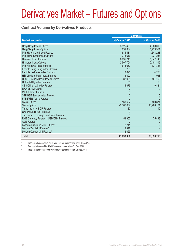### **Contract Volume by Derivatives Products**

|                                            | <b>Contracts</b> |                  |
|--------------------------------------------|------------------|------------------|
| <b>Derivatives product</b>                 | 1st Quarter 2015 | 1st Quarter 2014 |
| Hang Seng Index Futures                    | 3,925,409        | 4,368,013        |
| Hang Seng Index Options                    | 1,691,364        | 1,759,351        |
| Mini-Hang Seng Index Futures               | 1,834,431        | 1,648,258        |
| Mini-Hang Seng Index Options               | 243.616          | 221,287          |
| <b>H-shares Index Futures</b>              | 6,635,210        | 5,647,145        |
| H-shares Index Options                     | 2,507,704        | 2,401,315        |
| Mini H-shares Index Futures                | 1,673,669        | 731,328          |
| Flexible Hang Seng Index Options           | 200              | 150              |
| Flexible H-shares Index Options            | 13,090           | 4,250            |
| <b>HSI Dividend Point Index Futures</b>    | 3,300            | 7,933            |
| <b>HSCEI Dividend Point Index Futures</b>  | 82,908           | 101,165          |
| <b>HSI Volatility Index Futures</b>        | 50               | 153              |
| CES China 120 Index Futures                | 14,375           | 9,824            |
| <b>IBOVESPA Futures</b>                    |                  |                  |
| <b>MICEX Index Futures</b>                 | 0                | $\Omega$         |
| S&P BSE Sensex Index Futures               | 0                | $\Omega$         |
| FTSE/JSE Top40 Futures                     |                  | $\Omega$         |
| <b>Stock Futures</b>                       | 168,602          | 100,874          |
| <b>Stock Options</b>                       | 22, 162, 657     | 16,760,161       |
| Three-month HIBOR Futures                  | 80               | 10               |
| One-month HIBOR Futures                    | $\Omega$         | $\Omega$         |
| Three-year Exchange Fund Note Futures      | U                | $\Omega$         |
| RMB Currency Futures - USD/CNH Futures     | 58,303           | 75,498           |
| <b>Gold Futures</b>                        |                  |                  |
| London Aluminium Mini Futures <sup>1</sup> | 2,711            |                  |
| London Zinc Mini Futures <sup>2</sup>      | 3,378            |                  |
| London Copper Mini Futures <sup>3</sup>    | 12,329           |                  |
| <b>Total</b>                               | 41,033,386       | 33,836,715       |

1 Trading in London Aluminium Mini Futures commenced on 01 Dec 2014.

2 Trading in London Zinc Mini Futures commenced on 01 Dec 2014.

3 Trading in London Copper Mini Futures commenced on 01 Dec 2014.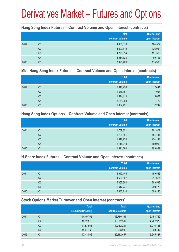#### **Hang Seng Index Futures – Contract Volume and Open Interest (contracts)**

|      |                | <b>Total</b><br>contract volume | <b>Quarter-end</b><br>open interest |
|------|----------------|---------------------------------|-------------------------------------|
| 2014 | Q <sub>1</sub> | 4,368,013                       | 104,527                             |
|      | Q <sub>2</sub> | 3,893,812                       | 126,964                             |
|      | Q <sub>3</sub> | 4,270,694                       | 131,566                             |
|      | Q4             | 4,534,728                       | 99,195                              |
| 2015 | Q1             | 3,925,409                       | 115,396                             |

#### **Mini Hang Seng Index Futures – Contract Volume and Open Interest (contracts)**

|      |                | <b>Total</b><br>contract volume | <b>Quarter-end</b><br>open interest |
|------|----------------|---------------------------------|-------------------------------------|
| 2014 | Q <sub>1</sub> | 1,648,258                       | 7,441                               |
|      | Q2             | 1,536,157                       | 7,067                               |
|      | Q <sub>3</sub> | 1,644,415                       | 9,081                               |
|      | Q4             | 2,131,008                       | 7,472                               |
| 2015 | Q1             | 1,834,431                       | 7,247                               |

#### **Hang Seng Index Options – Contract Volume and Open Interest (contracts)**

|      |                | <b>Total</b>    | Quarter-end   |
|------|----------------|-----------------|---------------|
|      |                | contract volume | open interest |
| 2014 | Q1             | 1,759,351       | 201,802       |
|      | Q <sub>2</sub> | 1,728,591       | 184,741       |
|      | Q <sub>3</sub> | 1,912,755       | 254,144       |
|      | Q4             | 2,118,013       | 169,950       |
| 2015 | Q <sub>1</sub> | 1,691,364       | 203,839       |

### **H-Share Index Futures – Contract Volume and Open Interest (contracts)**

|      |                | <b>Total</b>    | <b>Quarter-end</b> |
|------|----------------|-----------------|--------------------|
|      |                | contract volume | open interest      |
| 2014 | Q1             | 5,647,145       | 199,566            |
|      | Q <sub>2</sub> | 4,656,807       | 217,624            |
|      | Q3             | 5,067,604       | 209,592            |
|      | Q4             | 6,612,741       | 259,173            |
| 2015 | Q1             | 6,635,210       | 303,145            |

## **Stock Options Market Turnover and Open Interest (contracts)**

|      |    | <b>Total</b>        | <b>Total</b>    | <b>Quarter-end</b> |
|------|----|---------------------|-----------------|--------------------|
|      |    | Premium (HK\$ mil.) | contract volume | open interest      |
| 2014 | Q1 | 14,497.65           | 16,760,161      | 5,458,789          |
|      | Q2 | 10,523.18           | 15,082,507      | 4,767,976          |
|      | Q3 | 11,835.64           | 19,462,284      | 6,016,138          |
|      | Q4 | 15,471.60           | 23,238,909      | 6,320,147          |
| 2015 | Q1 | 17,410.66           | 22, 162, 657    | 6,545,827          |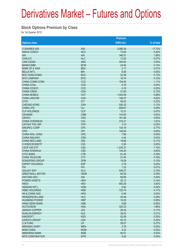#### **Stock Options Premium by Class**

for 1st Quarter 2015

|                           |                 | Premium      |            |
|---------------------------|-----------------|--------------|------------|
| <b>Options class</b>      |                 | $(HK$$ mil.) | % of total |
| X ISHARES A50             | A50             | 3,086.38     | 17.73%     |
| <b>ANHUI CONCH</b>        | <b>ACC</b>      | 73.84        | 0.42%      |
| <b>AIA</b>                | AIA             | 346.51       | 1.99%      |
| <b>CHALCO</b>             | <b>ALC</b>      | 12.20        | 0.07%      |
| CAM CSI300                | <b>AMC</b>      | 354.82       | 2.04%      |
| <b>BANKCOMM</b>           | <b>BCM</b>      | 24.94        | 0.14%      |
| <b>BANK OF E ASIA</b>     | <b>BEA</b>      | 2.17         | 0.01%      |
| <b>BELLE INT'L</b>        | <b>BIH</b>      | 8.08         | 0.05%      |
| <b>BOC HONG KONG</b>      | <b>BOC</b>      | 22.08        | 0.13%      |
| <b>BYD COMPANY</b>        | <b>BYD</b>      | 16.74        | 0.10%      |
| <b>CHINA COMM CONS</b>    | CCC             | 194.00       | 1.11%      |
| <b>CHINA COAL</b>         | <b>CCE</b>      | 6.16         | 0.04%      |
| <b>CHINA COSCO</b>        | <b>CCS</b>      | 4.19         | 0.02%      |
| <b>CHINA CINDA</b>        | <b>CDA</b>      | 21.85        | 0.13%      |
| <b>CHINA MOBILE</b>       | <b>CHT</b>      | 1,043.59     | 5.99%      |
| <b>CHINA UNICOM</b>       | <b>CHU</b>      | 108.57       | 0.62%      |
| <b>CITIC</b>              | <b>CIT</b>      | 56.42        | 0.32%      |
| <b>CHEUNG KONG</b>        | <b>CKH</b>      | 545.32       | 3.13%      |
| <b>CHINA LIFE</b>         | <b>CLI</b>      | 859.67       | 4.94%      |
| <b>CLP HOLDINGS</b>       | <b>CLP</b>      | 12.31        | 0.07%      |
| <b>CM BANK</b>            | <b>CMB</b>      | 143.65       | 0.83%      |
| <b>CNOOC</b>              | <b>CNC</b>      | 161.89       | 0.93%      |
| <b>CHINA OVERSEAS</b>     | COL             | 315.31       | 1.81%      |
| <b>CATHAY PAC AIR</b>     | <b>CPA</b>      | 3.10         | 0.02%      |
| SINOPEC CORP              | <b>CPC</b>      | 134.18       | 0.77%      |
| <b>CPIC</b>               | <b>CPI</b>      | 146.94       | 0.84%      |
| <b>CHINA RAIL CONS</b>    | <b>CRC</b>      | 7.89         | 0.05%      |
| <b>CHINA RAILWAY</b>      | <b>CRG</b>      | 4.44         | 0.03%      |
| <b>CHINA RES LAND</b>     | <b>CRL</b>      | 18.66        | 0.11%      |
| X WISECSI300ETF           | CS <sub>3</sub> | 0.56         | 0.00%      |
| CSOP A50 ETF              | <b>CSA</b>      | 1,235.37     | 7.10%      |
| <b>CHINA SHENHUA</b>      | <b>CSE</b>      | 144.20       | 0.83%      |
| <b>CITIC BANK</b>         | <b>CTB</b>      | 61.45        | 0.35%      |
| <b>CHINA TELECOM</b>      | <b>CTC</b>      | 27.40        | 0.16%      |
| <b>DONGFENG GROUP</b>     | <b>DFM</b>      | 18.09        | 0.10%      |
| <b>ESPRIT HOLDINGS</b>    | <b>ESP</b>      | 2.78         | 0.02%      |
| <b>FIH</b>                | <b>FIH</b>      | 1.32         | 0.01%      |
| <b>GALAXY ENT</b>         | <b>GLX</b>      | 549.27       | 3.15%      |
| <b>GREATWALL MOTOR</b>    | <b>GWM</b>      | 60.26        | 0.35%      |
| <b>HAITONG SEC</b>        | HAI             | 68.98        | 0.40%      |
| <b>POWER ASSETS</b>       | <b>HEH</b>      | 25.13        | 0.14%      |
| <b>HKEX</b>               | <b>HEX</b>      | 683.26       | 3.92%      |
| <b>HENGAN INT'L</b>       | <b>HGN</b>      | 6.92         | 0.04%      |
| <b>HSBC HOLDINGS</b>      | <b>HKB</b>      | 725.74       | 4.17%      |
| <b>HK &amp; CHINA GAS</b> | <b>HKG</b>      | 6.49         | 0.04%      |
| <b>HENDERSON LAND</b>     | <b>HLD</b>      | 45.48        | 0.26%      |
| <b>HUANENG POWER</b>      | <b>HNP</b>      | 16.25        | 0.09%      |
| <b>HANG SENG BANK</b>     | <b>HSB</b>      | 9.88         | 0.06%      |
| <b>HUTCHISON</b>          | <b>HWL</b>      | 323.23       | 1.86%      |
| <b>JIANGXI COPPER</b>     | <b>JXC</b>      | 29.32        | 0.17%      |
| <b>KUNLUN ENERGY</b>      | <b>KLE</b>      | 36.42        | 0.21%      |
| <b>KINGSOFT</b>           | <b>KSO</b>      | 52.08        | 0.30%      |
| LENOVO GROUP              | <b>LEN</b>      | 55.15        | 0.32%      |
| LI & FUNG                 | LIF             | 36.07        | 0.21%      |
| <b>MENGNIU DAIRY</b>      | <b>MEN</b>      | 2.79         | 0.02%      |
| <b>MGM CHINA</b>          | <b>MGM</b>      | 4.22         | 0.02%      |
| <b>MINSHENG BANK</b>      | <b>MSB</b>      | 90.51        | 0.52%      |
| <b>MTR CORPORATION</b>    | <b>MTR</b>      | 6.26         | 0.04%      |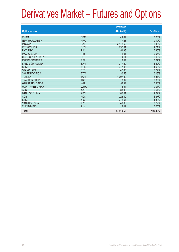|                           |            | <b>Premium</b> |            |
|---------------------------|------------|----------------|------------|
| <b>Options class</b>      |            | (HK\$ mil.)    | % of total |
| <b>CNBM</b>               | <b>NBM</b> | 44.67          | 0.26%      |
| NEW WORLD DEV             | <b>NWD</b> | 17.23          | 0.10%      |
| <b>PING AN</b>            | PAI        | 2,172.52       | 12.48%     |
| <b>PETROCHINA</b>         | PEC        | 297.01         | 1.71%      |
| PICC P&C                  | <b>PIC</b> | 51.38          | 0.30%      |
| <b>PICC GROUP</b>         | <b>PIN</b> | 11.91          | 0.07%      |
| <b>GCL-POLY ENERGY</b>    | <b>PLE</b> | 4.11           | 0.02%      |
| <b>R&amp;F PROPERTIES</b> | <b>RFP</b> | 12.04          | 0.07%      |
| <b>SANDS CHINA LTD</b>    | <b>SAN</b> | 247.29         | 1.42%      |
| <b>SHK PPT</b>            | <b>SHK</b> | 347.03         | 1.99%      |
| <b>STANCHART</b>          | <b>STC</b> | 47.65          | 0.27%      |
| <b>SWIRE PACIFIC A</b>    | <b>SWA</b> | 30.58          | 0.18%      |
| <b>TENCENT</b>            | <b>TCH</b> | 1,097.80       | 6.31%      |
| <b>TRACKER FUND</b>       | <b>TRF</b> | 8.07           | 0.05%      |
| <b>WHARF HOLDINGS</b>     | <b>WHL</b> | 52.84          | 0.30%      |
| <b>WANT WANT CHINA</b>    | <b>WWC</b> | 5.94           | 0.03%      |
| <b>ABC</b>                | <b>XAB</b> | 88.38          | 0.51%      |
| <b>BANK OF CHINA</b>      | <b>XBC</b> | 186.91         | 1.07%      |
| <b>CCB</b>                | <b>XCC</b> | 325.49         | 1.87%      |
| <b>ICBC</b>               | <b>XIC</b> | 242.54         | 1.39%      |
| YANZHOU COAL              | <b>YZC</b> | 49.96          | 0.29%      |
| <b>ZIJIN MINING</b>       | ZJM        | 8.49           | 0.05%      |
| <b>Total</b>              |            | 17,410.66      | 100.00%    |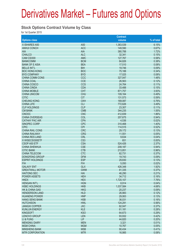#### **Stock Options Contract Volume by Class**

for 1st Quarter 2015

|                           |                 | <b>Contract</b> |            |
|---------------------------|-----------------|-----------------|------------|
| <b>Options class</b>      |                 | volume          | % of total |
| X ISHARES A50             | A50             | 1,363,539       | 6.15%      |
| <b>ANHUI CONCH</b>        | <b>ACC</b>      | 149,590         | 0.67%      |
| <b>AIA</b>                | <b>AIA</b>      | 380,788         | 1.72%      |
| <b>CHALCO</b>             | <b>ALC</b>      | 32,341          | 0.15%      |
| CAM CSI300                | <b>AMC</b>      | 127,767         | 0.58%      |
| <b>BANKCOMM</b>           | <b>BCM</b>      | 84,826          | 0.38%      |
| <b>BANK OF E ASIA</b>     | <b>BEA</b>      | 17,510          | 0.08%      |
| <b>BELLE INT'L</b>        | <b>BIH</b>      | 19,746          | 0.09%      |
| <b>BOC HONG KONG</b>      | <b>BOC</b>      | 75,188          | 0.34%      |
| <b>BYD COMPANY</b>        | <b>BYD</b>      | 17,025          | 0.08%      |
| <b>CHINA COMM CONS</b>    | CCC             | 327,047         | 1.48%      |
| <b>CHINA COAL</b>         | <b>CCE</b>      | 26,563          | 0.12%      |
| <b>CHINA COSCO</b>        | CCS             | 24,764          | 0.11%      |
| <b>CHINA CINDA</b>        | <b>CDA</b>      | 33,488          | 0.15%      |
| <b>CHINA MOBILE</b>       | <b>CHT</b>      | 871,757         | 3.93%      |
| <b>CHINA UNICOM</b>       | <b>CHU</b>      | 109,164         | 0.49%      |
| <b>CITIC</b>              | <b>CIT</b>      | 131,573         | 0.59%      |
| <b>CHEUNG KONG</b>        | <b>CKH</b>      | 169,087         | 0.76%      |
| <b>CHINA LIFF</b>         | <b>CLI</b>      | 772,626         | 3.49%      |
| <b>CLP HOLDINGS</b>       | <b>CLP</b>      | 23,307          | 0.11%      |
| <b>CM BANK</b>            | <b>CMB</b>      | 344,235         | 1.55%      |
| <b>CNOOC</b>              | <b>CNC</b>      | 412,839         | 1.86%      |
| <b>CHINA OVERSEAS</b>     | COL             | 207,675         | 0.94%      |
| <b>CATHAY PAC AIR</b>     | <b>CPA</b>      | 4,536           | 0.02%      |
| SINOPEC CORP              | <b>CPC</b>      | 310,468         | 1.40%      |
| <b>CPIC</b>               | <b>CPI</b>      | 114,515         | 0.52%      |
| <b>CHINA RAIL CONS</b>    | <b>CRC</b>      | 29,172          | 0.13%      |
| <b>CHINA RAILWAY</b>      | <b>CRG</b>      | 11,551          | 0.05%      |
| <b>CHINA RES LAND</b>     | <b>CRL</b>      | 9,634           | 0.04%      |
| X WISECSI300ETF           | CS <sub>3</sub> | 651             | 0.00%      |
| CSOP A50 ETF              | <b>CSA</b>      | 524,426         | 2.37%      |
| <b>CHINA SHENHUA</b>      | <b>CSE</b>      | 208,187         | 0.94%      |
| <b>CITIC BANK</b>         | <b>CTB</b>      | 213,851         | 0.96%      |
| <b>CHINA TELECOM</b>      | <b>CTC</b>      | 82,731          | 0.37%      |
| <b>DONGFENG GROUP</b>     | <b>DFM</b>      | 19,743          | 0.09%      |
| <b>ESPRIT HOLDINGS</b>    | <b>ESP</b>      | 29,830          | 0.13%      |
| <b>FIH</b>                | <b>FIH</b>      | 5,050           | 0.02%      |
| <b>GALAXY ENT</b>         | <b>GLX</b>      | 426,348         | 1.92%      |
| <b>GREATWALL MOTOR</b>    | <b>GWM</b>      | 81,335          | 0.37%      |
| <b>HAITONG SEC</b>        | HAI             | 46,290          | 0.21%      |
| <b>POWER ASSETS</b>       | <b>HEH</b>      | 34,712          | 0.16%      |
| <b>HKEX</b>               | <b>HEX</b>      | 1,720,107       | 7.76%      |
| <b>HENGAN INT'L</b>       | <b>HGN</b>      | 8,914           | 0.04%      |
| <b>HSBC HOLDINGS</b>      | <b>HKB</b>      | 1,037,584       | 4.68%      |
| <b>HK &amp; CHINA GAS</b> | <b>HKG</b>      | 20,237          | 0.09%      |
| <b>HENDERSON LAND</b>     | <b>HLD</b>      | 26,983          | 0.12%      |
| <b>HUANENG POWER</b>      | <b>HNP</b>      | 29,063          | 0.13%      |
| <b>HANG SENG BANK</b>     | <b>HSB</b>      | 36,031          | 0.16%      |
| <b>HUTCHISON</b>          | <b>HWL</b>      | 124,291         | 0.56%      |
| <b>JIANGXI COPPER</b>     | <b>JXC</b>      | 82,047          | 0.37%      |
| <b>KUNLUN ENERGY</b>      | <b>KLE</b>      | 61,181          | 0.28%      |
| <b>KINGSOFT</b>           | <b>KSO</b>      | 64,673          | 0.29%      |
| <b>LENOVO GROUP</b>       | <b>LEN</b>      | 93,932          | 0.42%      |
| LI & FUNG                 | <b>LIF</b>      | 44,820          | 0.20%      |
| <b>MENGNIU DAIRY</b>      | <b>MEN</b>      | 3,321           | 0.01%      |
| <b>MGM CHINA</b>          | <b>MGM</b>      | 10,767          | 0.05%      |
| <b>MINSHENG BANK</b>      | <b>MSB</b>      | 90,434          | 0.41%      |
| <b>MTR CORPORATION</b>    | <b>MTR</b>      | 16,985          | 0.08%      |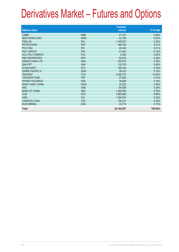| <b>Options class</b>      |            | <b>Contract</b><br>volume | % of total |
|---------------------------|------------|---------------------------|------------|
|                           |            |                           |            |
| <b>CNBM</b>               | <b>NBM</b> | 61,161                    | 0.28%      |
| <b>NEW WORLD DEV</b>      | <b>NWD</b> | 53,758                    | 0.24%      |
| <b>PING AN</b>            | PAI        | 1,185,927                 | 5.35%      |
| <b>PETROCHINA</b>         | PEC        | 489,165                   | 2.21%      |
| PICC P&C                  | <b>PIC</b> | 45,454                    | 0.21%      |
| <b>PICC GROUP</b>         | <b>PIN</b> | 21,653                    | 0.10%      |
| <b>GCL-POLY ENERGY</b>    | <b>PLE</b> | 8,383                     | 0.04%      |
| <b>R&amp;F PROPERTIES</b> | <b>RFP</b> | 63,670                    | 0.29%      |
| <b>SANDS CHINA LTD</b>    | <b>SAN</b> | 530,372                   | 2.39%      |
| <b>SHK PPT</b>            | <b>SHK</b> | 133,703                   | 0.60%      |
| <b>STANCHART</b>          | <b>STC</b> | 168,150                   | 0.76%      |
| <b>SWIRE PACIFIC A</b>    | <b>SWA</b> | 26,412                    | 0.12%      |
| <b>TENCENT</b>            | <b>TCH</b> | 3,090,772                 | 13.95%     |
| <b>TRACKER FUND</b>       | <b>TRF</b> | 27,583                    | 0.12%      |
| <b>WHARF HOLDINGS</b>     | <b>WHL</b> | 39,808                    | 0.18%      |
| <b>WANT WANT CHINA</b>    | <b>WWC</b> | 20,222                    | 0.09%      |
| <b>ABC</b>                | <b>XAB</b> | 64,585                    | 0.29%      |
| <b>BANK OF CHINA</b>      | <b>XBC</b> | 1,280,950                 | 5.78%      |
| <b>CCB</b>                | <b>XCC</b> | 1,985,266                 | 8.96%      |
| <b>ICBC</b>               | <b>XIC</b> | 1,384,873                 | 6.25%      |
| YANZHOU COAL              | <b>YZC</b> | 100.231                   | 0.45%      |
| <b>ZIJIN MINING</b>       | <b>ZJM</b> | 33,714                    | 0.15%      |
| <b>Total</b>              |            | 22, 162, 657              | 100.00%    |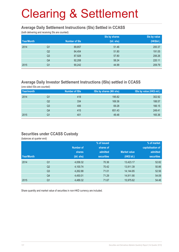#### **Average Daily Settlement Instructions (SIs) Settled in CCASS**

(both delivering and receiving SIs are counted)

|            |                |                      | Sis by shares | Sis by value |
|------------|----------------|----------------------|---------------|--------------|
| Year/Month |                | <b>Number of SIs</b> | (bil. shs)    | (HK\$bil.)   |
| 2014       | Q <sub>1</sub> | 89,857               | 51.46         | 200.37       |
|            | Q <sub>2</sub> | 84,454               | 51.80         | 191.05       |
|            | Q <sub>3</sub> | 87,928               | 57.80         | 206.26       |
|            | Q4             | 92,208               | 58.24         | 220.11       |
| 2015       | Q <sub>1</sub> | 90,242               | 44.99         | 209.79       |

### **Average Daily Investor Settlement Instructions (ISIs) settled in CCASS**

(one sided ISIs are counted)

| Year/month |    | <b>Number of ISIs</b> | ISIs by shares (Mil shs) | ISIs by value (HK\$ mil.) |
|------------|----|-----------------------|--------------------------|---------------------------|
| 2014       | Q1 | 418                   | 195.82                   | 302.92                    |
|            | Q2 | 334                   | 169.36                   | 188.57                    |
|            | Q3 | 406                   | 69.28                    | 166.15                    |
|            | Q4 | 415                   | 651.43                   | 249.41                    |
| 2015       | Q1 | 401                   | 49.48                    | 165.36                    |

#### **Securities under CCASS Custody**

(balances at quarter end)

|            |                |            | % of issued       |                     | % of market       |  |
|------------|----------------|------------|-------------------|---------------------|-------------------|--|
|            |                | Number of  | shares of         |                     | capitalisation of |  |
|            |                | shares     | admitted          | <b>Market value</b> | admitted          |  |
| Year/Month |                | (bil. shs) | <b>securities</b> | (HK\$ bil.)         | <b>securities</b> |  |
| 2014       | Q <sub>1</sub> | 4,058.32   | 70.36             | 13,423.17           | 52.82             |  |
|            | Q <sub>2</sub> | 4,100.74   | 70.42             | 13,911.39           | 50.86             |  |
|            | Q <sub>3</sub> | 4,262.88   | 71.01             | 14,144.85           | 52.56             |  |
|            | Q4             | 4,450.01   | 71.29             | 14,911.90           | 54.09             |  |
| 2015       | Q <sub>1</sub> | 4,489.32   | 71.67             | 15,975.62           | 54.46             |  |

Share quantity and market value of securities in non-HKD currency are included.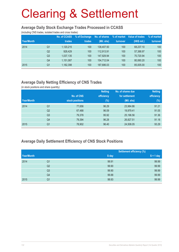#### **Average Daily Stock Exchange Trades Processed in CCASS**

(including CNS trades, isolated trades and cross trades)

|            |                | No. of CCASS | % of Exchange | No. of shares | % of market | Value of trades | % of market |
|------------|----------------|--------------|---------------|---------------|-------------|-----------------|-------------|
| Year/Month |                | trades       | trades        | (Mil. shs)    | turnover    | (HK\$ mil.)     | turnover    |
| 2014       | Q1             | 1,120,215    | 100           | 138,407.50    | 100         | 68.237.10       | 100         |
|            | Q <sub>2</sub> | 928.429      | 100           | 112,913.91    | 100         | 57,388.97       | 100         |
|            | Q <sub>3</sub> | 1,037,135    | 100           | 147,929.94    | 100         | 70,720.94       | 100         |
|            | Q4             | 1,151,087    | 100           | 154,712.04    | 100         | 80,060.20       | 100         |
| 2015       | Q1             | 1,182,398    | 100           | 187,686.03    | 100         | 85,005.00       | 100         |

### **Average Daily Netting Efficiency of CNS Trades**

(in stock positions and share quantity)

|            |                |                 | <b>Netting</b> | No. of shares due | <b>Netting</b> |
|------------|----------------|-----------------|----------------|-------------------|----------------|
|            |                | No. of CNS      | efficiency     | for settlement    | efficiency     |
| Year/Month |                | stock positions | $(\%)$         | (Mil. shs)        | $(\%)$         |
| 2014       | Q1             | 77,656          | 96.29          | 23,984.86         | 91.21          |
|            | Q <sub>2</sub> | 67,488          | 96.09          | 19,979.41         | 91.05          |
|            | Q <sub>3</sub> | 79,378          | 95.92          | 25,196.56         | 91.36          |
|            | Q4             | 79,394          | 96.28          | 26,827.51         | 91.18          |
| 2015       | Q1             | 78,902          | 96.40          | 24,508.05         | 93.29          |

### **Average Daily Settlement Efficiency of CNS Stock Positions**

|            |                | <b>Settlement efficiency (%)</b> |             |
|------------|----------------|----------------------------------|-------------|
| Year/Month |                | S day                            | $S + 1$ day |
| 2014       | Q <sub>1</sub> | 99.91                            | 99.99       |
|            | Q2             | 99.90                            | 99.99       |
|            | Q <sub>3</sub> | 99.90                            | 99.99       |
|            | Q4             | 99.88                            | 99.99       |
| 2015       | Q1             | 99.93                            | 99.99       |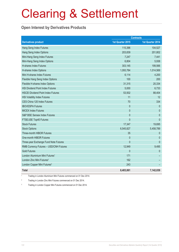### **Open Interest by Derivatives Products**

|                                            | <b>Contracts</b> |                  |  |
|--------------------------------------------|------------------|------------------|--|
| <b>Derivatives product</b>                 | 1st Quarter 2015 | 1st Quarter 2014 |  |
| Hang Seng Index Futures                    | 115,396          | 104,527          |  |
| Hang Seng Index Options                    | 203,839          | 201,802          |  |
| Mini-Hang Seng Index Futures               | 7,247            | 7,441            |  |
| Mini-Hang Seng Index Options               | 6,804            | 5,938            |  |
| <b>H-shares Index Futures</b>              | 303,145          | 199,566          |  |
| H-shares Index Options                     | 1,093,784        | 1,014,569        |  |
| Mini H-shares Index Futures                | 6,114            | 4,200            |  |
| Flexible Hang Seng Index Options           | 100              | 200              |  |
| Flexible H-shares Index Options            | 31,315           | 20,334           |  |
| <b>HSI Dividend Point Index Futures</b>    | 5,000            | 6,733            |  |
| <b>HSCEI Dividend Point Index Futures</b>  | 53,502           | 88,404           |  |
| <b>HSI Volatility Index Futures</b>        | 11               | 12               |  |
| CES China 120 Index Futures                | 70               | 334              |  |
| <b>IBOVESPA Futures</b>                    | $\mathbf{0}$     | $\mathbf{0}$     |  |
| <b>MICEX Index Futures</b>                 | $\mathbf{0}$     | $\mathbf{0}$     |  |
| S&P BSE Sensex Index Futures               | $\mathbf{0}$     | $\mathbf{0}$     |  |
| FTSE/JSE Top40 Futures                     | $\theta$         | $\mathbf{0}$     |  |
| <b>Stock Futures</b>                       | 17,347           | 19,695           |  |
| <b>Stock Options</b>                       | 6,545,827        | 5,458,789        |  |
| Three-month HIBOR Futures                  | 35               | $\theta$         |  |
| One-month HIBOR Futures                    | $\mathbf{0}$     | $\theta$         |  |
| Three-year Exchange Fund Note Futures      | $\mathbf{0}$     | $\mathbf{0}$     |  |
| RMB Currency Futures - USD/CNH Futures     | 12,949           | 9,495            |  |
| <b>Gold Futures</b>                        | $\mathbf{0}$     | $\mathbf{0}$     |  |
| London Aluminium Mini Futures <sup>1</sup> | 171              |                  |  |
| London Zinc Mini Futures <sup>2</sup>      | 162              |                  |  |
| London Copper Mini Futures <sup>3</sup>    | 243              |                  |  |
| <b>Total</b>                               | 8,403,061        | 7,142,039        |  |

1 Trading in London Aluminium Mini Futures commenced on 01 Dec 2014.

2 Trading in London Zinc Mini Futures commenced on 01 Dec 2014.

3 Trading in London Copper Mini Futures commenced on 01 Dec 2014.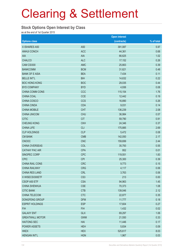#### **Stock Options Open Interest by Class**

as at the end of 1st Quarter 2015

|                        |                 | <b>Open interest</b> |            |
|------------------------|-----------------|----------------------|------------|
| <b>Options class</b>   |                 | (contracts)          | % of total |
| X ISHARES A50          | A50             | 391,087              | 5.97       |
| <b>ANHUI CONCH</b>     | <b>ACC</b>      | 44,361               | 0.68       |
| AIA                    | <b>AIA</b>      | 66,625               | 1.02       |
| <b>CHALCO</b>          | <b>ALC</b>      | 17,152               | 0.26       |
| CAM CSI300             | <b>AMC</b>      | 25,663               | 0.39       |
| <b>BANKCOMM</b>        | <b>BCM</b>      | 31,621               | 0.48       |
| <b>BANK OF E ASIA</b>  | <b>BEA</b>      | 7,434                | 0.11       |
| <b>BELLE INT'L</b>     | <b>BIH</b>      | 14,632               | 0.22       |
| <b>BOC HONG KONG</b>   | <b>BOC</b>      | 29,035               | 0.44       |
| <b>BYD COMPANY</b>     | <b>BYD</b>      | 4,936                | 0.08       |
| CHINA COMM CONS        | CCC             | 115,154              | 1.76       |
| CHINA COAL             | <b>CCE</b>      | 12,442               | 0.19       |
| CHINA COSCO            | <b>CCS</b>      | 16,890               | 0.26       |
| <b>CHINA CINDA</b>     | <b>CDA</b>      | 9,031                | 0.14       |
| <b>CHINA MOBILE</b>    | <b>CHT</b>      | 136,239              | 2.08       |
| <b>CHINA UNICOM</b>    | <b>CHU</b>      | 36,984               | 0.57       |
| <b>CITIC</b>           | <b>CIT</b>      | 59,790               | 0.91       |
| <b>CHEUNG KONG</b>     | <b>CKH</b>      | 24,346               | 0.37       |
| <b>CHINA LIFE</b>      | <b>CLI</b>      | 175,885              | 2.69       |
| <b>CLP HOLDINGS</b>    | <b>CLP</b>      | 5,472                | 0.08       |
| <b>CM BANK</b>         | <b>CMB</b>      | 142,050              | 2.17       |
| <b>CNOOC</b>           | <b>CNC</b>      | 159,699              | 2.44       |
| CHINA OVERSEAS         | COL             | 35,793               | 0.55       |
| <b>CATHAY PAC AIR</b>  | <b>CPA</b>      | 952                  | 0.01       |
| SINOPEC CORP           | <b>CPC</b>      | 119,551              | 1.83       |
| <b>CPIC</b>            | <b>CPI</b>      | 25,300               | 0.39       |
| <b>CHINA RAIL CONS</b> | <b>CRC</b>      | 9,773                | 0.15       |
| <b>CHINA RAILWAY</b>   | <b>CRG</b>      | 4,117                | 0.06       |
| <b>CHINA RES LAND</b>  | <b>CRL</b>      | 3,763                | 0.06       |
| X WISECSI300ETF        | CS <sub>3</sub> | 213                  | 0.00       |
| CSOP A50 ETF           | <b>CSA</b>      | 94,963               | 1.45       |
| <b>CHINA SHENHUA</b>   | <b>CSE</b>      | 70,373               | 1.08       |
| <b>CITIC BANK</b>      | <b>CTB</b>      | 139,046              | 2.12       |
| CHINA TELECOM          | <b>CTC</b>      | 22,877               | 0.35       |
| DONGFENG GROUP         | <b>DFM</b>      | 11,777               | 0.18       |
| <b>ESPRIT HOLDINGS</b> | <b>ESP</b>      | 17,604               | 0.27       |
| <b>FIH</b>             | <b>FIH</b>      | 1,432                | 0.02       |
| <b>GALAXY ENT</b>      | <b>GLX</b>      | 69,297               | 1.06       |
| <b>GREATWALL MOTOR</b> | <b>GWM</b>      | 21,550               | 0.33       |
| <b>HAITONG SEC</b>     | HAI             | 11,446               | 0.17       |
| <b>POWER ASSETS</b>    | <b>HEH</b>      | 5,834                | 0.09       |
| <b>HKEX</b>            | <b>HEX</b>      | 525,617              | 8.03       |
| <b>HENGAN INT'L</b>    | <b>HGN</b>      | 1,967                | 0.03       |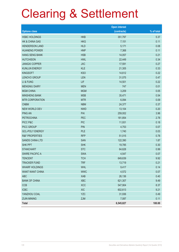|                           |            | <b>Open interest</b> |            |
|---------------------------|------------|----------------------|------------|
| <b>Options class</b>      |            | (contracts)          | % of total |
| <b>HSBC HOLDINGS</b>      | <b>HKB</b> | 351,797              | 5.37       |
| <b>HK &amp; CHINA GAS</b> | <b>HKG</b> | 7,151                | 0.11       |
| <b>HENDERSON LAND</b>     | <b>HLD</b> | 5,171                | 0.08       |
| <b>HUANENG POWER</b>      | <b>HNP</b> | 7,368                | 0.11       |
| <b>HANG SENG BANK</b>     | <b>HSB</b> | 14,057               | 0.21       |
| <b>HUTCHISON</b>          | <b>HWL</b> | 22,449               | 0.34       |
| <b>JIANGXI COPPER</b>     | <b>JXC</b> | 17,591               | 0.27       |
| <b>KUNLUN ENERGY</b>      | <b>KLE</b> | 21,305               | 0.33       |
| <b>KINGSOFT</b>           | <b>KSO</b> | 14,612               | 0.22       |
| LENOVO GROUP              | LEN        | 31,075               | 0.47       |
| LI & FUNG                 | LIF        | 14,501               | 0.22       |
| <b>MENGNIU DAIRY</b>      | <b>MEN</b> | 747                  | 0.01       |
| <b>MGM CHINA</b>          | <b>MGM</b> | 3,209                | 0.05       |
| <b>MINSHENG BANK</b>      | <b>MSB</b> | 35,471               | 0.54       |
| <b>MTR CORPORATION</b>    | <b>MTR</b> | 6,094                | 0.09       |
| <b>CNBM</b>               | <b>NBM</b> | 24,377               | 0.37       |
| <b>NEW WORLD DEV</b>      | <b>NWD</b> | 13,104               | 0.20       |
| <b>PING AN</b>            | PAI        | 259,002              | 3.96       |
| <b>PETROCHINA</b>         | <b>PEC</b> | 181,854              | 2.78       |
| PICC P&C                  | <b>PIC</b> | 11,931               | 0.18       |
| PICC GROUP                | <b>PIN</b> | 4,753                | 0.07       |
| <b>GCL-POLY ENERGY</b>    | <b>PLE</b> | 1,740                | 0.03       |
| <b>R&amp;F PROPERTIES</b> | <b>RFP</b> | 51,015               | 0.78       |
| <b>SANDS CHINA LTD</b>    | <b>SAN</b> | 122,390              | 1.87       |
| SHK PPT                   | <b>SHK</b> | 19,785               | 0.30       |
| <b>STANCHART</b>          | <b>STC</b> | 64,628               | 0.99       |
| <b>SWIRE PACIFIC A</b>    | <b>SWA</b> | 4,547                | 0.07       |
| <b>TENCENT</b>            | <b>TCH</b> | 649,639              | 9.92       |
| <b>TRACKER FUND</b>       | <b>TRF</b> | 13,719               | 0.21       |
| <b>WHARF HOLDINGS</b>     | <b>WHL</b> | 9,417                | 0.14       |
| <b>WANT WANT CHINA</b>    | <b>WWC</b> | 4,572                | 0.07       |
| ABC                       | <b>XAB</b> | 26,136               | 0.40       |
| <b>BANK OF CHINA</b>      | <b>XBC</b> | 621,307              | 9.49       |
| <b>CCB</b>                | <b>XCC</b> | 547,904              | 8.37       |
| <b>ICBC</b>               | <b>XIC</b> | 602,613              | 9.21       |
| YANZHOU COAL              | <b>YZC</b> | 31,936               | 0.49       |
| <b>ZIJIN MINING</b>       | ZJM        | 7,087                | 0.11       |
| Total                     |            | 6,545,827            | 100.00     |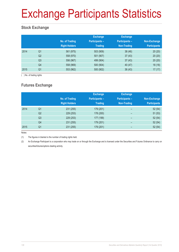# Exchange Participants Statistics

### **Stock Exchange**

|      |                | No. of Trading<br><b>Right Holders</b> | <b>Exchange</b><br><b>Participants -</b><br><b>Trading</b> | <b>Exchange</b><br><b>Participants -</b><br><b>Non-Trading</b> | Non-Exchange<br><b>Participants</b> |
|------|----------------|----------------------------------------|------------------------------------------------------------|----------------------------------------------------------------|-------------------------------------|
| 2014 | Q <sub>1</sub> | 561 (975)                              | 503 (909)                                                  | 38(46)                                                         | 20(20)                              |
|      | Q <sub>2</sub> | 558 (970)                              | 501 (907)                                                  | 37(43)                                                         | 20(20)                              |
|      | Q3             | 556 (967)                              | 499 (904)                                                  | 37(43)                                                         | 20(20)                              |
|      | Q4             | 558 (969)                              | 500 (904)                                                  | 40 (47)                                                        | 18(18)                              |
| 2015 | Q <sub>1</sub> | 553 (962)                              | 500 (902)                                                  | 36(43)                                                         | 17(17)                              |

( ) No. of trading rights

### **Futures Exchange**

|      |                | No. of Trading<br><b>Right Holders</b> | <b>Exchange</b><br><b>Participants -</b><br><b>Trading</b> | <b>Exchange</b><br><b>Participants -</b><br><b>Non-Trading</b> | Non-Exchange<br><b>Participants</b> |
|------|----------------|----------------------------------------|------------------------------------------------------------|----------------------------------------------------------------|-------------------------------------|
| 2014 | Q <sub>1</sub> | 231 (255)                              | 179 (201)                                                  | $\overline{\phantom{0}}$                                       | 52(54)                              |
|      | Q <sub>2</sub> | 229 (253)                              | 178 (200)                                                  | -                                                              | 51(53)                              |
|      | Q <sub>3</sub> | 229 (253)                              | 177 (199)                                                  | $\qquad \qquad$                                                | 52(54)                              |
|      | Q4             | 231 (255)                              | 179 (201)                                                  | $\overline{\phantom{0}}$                                       | 52(54)                              |
| 2015 | Q <sub>1</sub> | 231 (255)                              | 179 (201)                                                  | -                                                              | 52(54)                              |

Notes:

(1) The figures in blanket is the number of trading rights held.

(2) An Exchange Participant is a corporation who may trade on or through the Exchange and is licensed under the Securities and Futures Ordinance to carry on securities/futures/options dealing activity.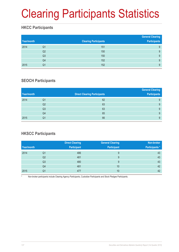# Clearing Participants Statistics

### **HKCC Participants**

| Year/month |                | <b>Clearing Participants</b> | <b>General Clearing</b><br><b>Participants</b> |
|------------|----------------|------------------------------|------------------------------------------------|
| 2014       | Q1             | 151                          | 9                                              |
|            | Q2             | 150                          | 9                                              |
|            | Q <sub>3</sub> | 150                          | 9                                              |
|            | Q4             | 152                          | 9                                              |
| 2015       | Q1             | 152                          | 9                                              |

### **SEOCH Participants**

|            |                |                                     | <b>General Clearing</b> |
|------------|----------------|-------------------------------------|-------------------------|
| Year/month |                | <b>Direct Clearing Participants</b> | <b>Participants</b>     |
| 2014       | Q1             | 62                                  | 9                       |
|            | Q <sub>2</sub> | 63                                  | 9                       |
|            | Q <sub>3</sub> | 63                                  | 9                       |
|            | Q4             | 65                                  | 9                       |
| 2015       | Q1             | 66                                  | 9                       |

### **HKSCC Participants**

|            |                | <b>Direct Clearing</b> | <b>General Clearing</b> | Non-broker            |
|------------|----------------|------------------------|-------------------------|-----------------------|
| Year/month |                | <b>Participant</b>     | <b>Participant</b>      | <b>Participants</b> * |
| 2014       | Q1             | 486                    | 9                       | 43                    |
|            | Q <sub>2</sub> | 481                    | 9                       | 43                    |
|            | Q3             | 480                    | 9                       | 43                    |
|            | Q4             | 481                    | 10                      | 42                    |
| 2015       | Q1             | 477                    | 10                      | 42                    |

Non-broker participants include Clearing Agency Participants, Custodian Participants and Stock Pledgee Participants.